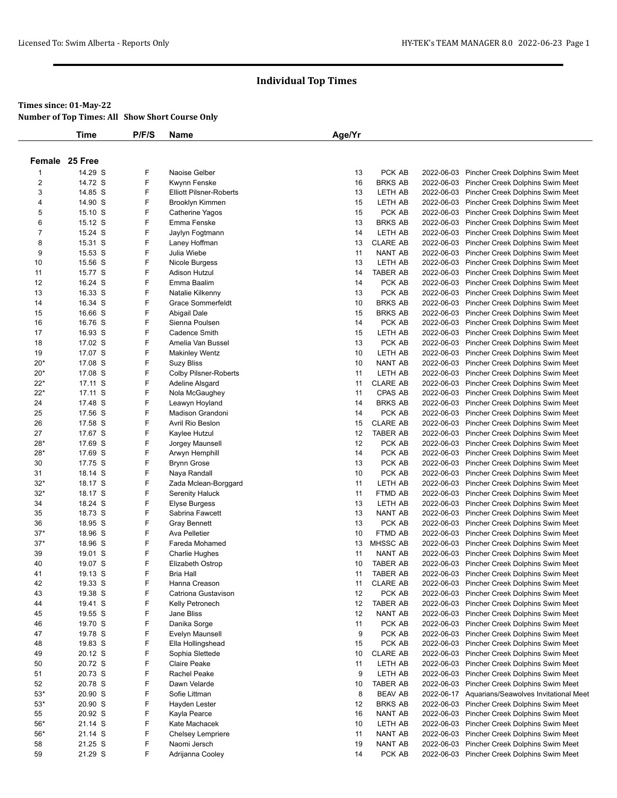### **Times since: 01-May-22**

**Number of Top Times: All Show Short Course Only**

|                         | <b>Time</b>        | P/F/S  | <b>Name</b>                           | Age/Yr   |                                    |            |                                                                                 |
|-------------------------|--------------------|--------|---------------------------------------|----------|------------------------------------|------------|---------------------------------------------------------------------------------|
|                         |                    |        |                                       |          |                                    |            |                                                                                 |
|                         | Female 25 Free     |        |                                       |          |                                    |            |                                                                                 |
| -1                      | 14.29 S            | F      | Naoise Gelber                         | 13       | PCK AB                             | 2022-06-03 | Pincher Creek Dolphins Swim Meet                                                |
| $\overline{\mathbf{c}}$ | 14.72 S            | F      | Kwynn Fenske                          | 16       | <b>BRKS AB</b>                     | 2022-06-03 | Pincher Creek Dolphins Swim Meet                                                |
| 3                       | 14.85 S            | F      | <b>Elliott Pilsner-Roberts</b>        | 13       | LETH AB                            |            | 2022-06-03 Pincher Creek Dolphins Swim Meet                                     |
| 4                       | 14.90 S            | F      | Brooklyn Kimmen                       | 15       | LETH AB                            |            | 2022-06-03 Pincher Creek Dolphins Swim Meet                                     |
| 5                       | 15.10 S            | F      | Catherine Yagos                       | 15       | PCK AB                             | 2022-06-03 | Pincher Creek Dolphins Swim Meet                                                |
| 6                       | 15.12 S            | F      | Emma Fenske                           | 13       | <b>BRKS AB</b>                     |            | 2022-06-03 Pincher Creek Dolphins Swim Meet                                     |
| $\overline{7}$          | 15.24 S            | F      | Jaylyn Fogtmann                       | 14       | LETH AB                            |            | 2022-06-03 Pincher Creek Dolphins Swim Meet                                     |
| 8                       | 15.31 S            | F      | Laney Hoffman                         | 13       | <b>CLARE AB</b>                    | 2022-06-03 | Pincher Creek Dolphins Swim Meet                                                |
| 9                       | 15.53 S            | F      | Julia Wiebe                           | 11       | NANT AB                            |            | 2022-06-03 Pincher Creek Dolphins Swim Meet                                     |
| 10                      | 15.56 S            | F      | Nicole Burgess                        | 13       | LETH AB                            |            | 2022-06-03 Pincher Creek Dolphins Swim Meet                                     |
| 11                      | 15.77 S            | F      | Adison Hutzul                         | 14       | <b>TABER AB</b>                    | 2022-06-03 | Pincher Creek Dolphins Swim Meet                                                |
| 12                      | 16.24 S            | F      | Emma Baalim                           | 14       | PCK AB                             |            | 2022-06-03 Pincher Creek Dolphins Swim Meet                                     |
| 13<br>14                | 16.33 S<br>16.34 S | F<br>F | Natalie Kilkenny<br>Grace Sommerfeldt | 13<br>10 | PCK AB<br><b>BRKS AB</b>           | 2022-06-03 | 2022-06-03 Pincher Creek Dolphins Swim Meet                                     |
| 15                      | 16.66 S            | F      | Abigail Dale                          | 15       | <b>BRKS AB</b>                     |            | Pincher Creek Dolphins Swim Meet<br>2022-06-03 Pincher Creek Dolphins Swim Meet |
| 16                      | 16.76 S            | F      | Sienna Poulsen                        | 14       | PCK AB                             |            | 2022-06-03 Pincher Creek Dolphins Swim Meet                                     |
| 17                      | 16.93 S            | F      | Cadence Smith                         | 15       | LETH AB                            | 2022-06-03 | Pincher Creek Dolphins Swim Meet                                                |
| 18                      | 17.02 S            | F      | Amelia Van Bussel                     | 13       | PCK AB                             |            | 2022-06-03 Pincher Creek Dolphins Swim Meet                                     |
| 19                      | 17.07 S            | F      | <b>Makinley Wentz</b>                 | 10       | LETH AB                            |            | 2022-06-03 Pincher Creek Dolphins Swim Meet                                     |
| $20*$                   | 17.08 S            | F      | <b>Suzy Bliss</b>                     | 10       | NANT AB                            |            | 2022-06-03 Pincher Creek Dolphins Swim Meet                                     |
| $20*$                   | 17.08 S            | F      | <b>Colby Pilsner-Roberts</b>          | 11       | LETH AB                            |            | 2022-06-03 Pincher Creek Dolphins Swim Meet                                     |
| $22*$                   | 17.11 S            | F      | Adeline Alsgard                       | 11       | <b>CLARE AB</b>                    |            | 2022-06-03 Pincher Creek Dolphins Swim Meet                                     |
| $22*$                   | 17.11 S            | F      | Nola McGaughey                        | 11       | CPAS AB                            |            | 2022-06-03 Pincher Creek Dolphins Swim Meet                                     |
| 24                      | 17.48 S            | F      | Leawyn Hoyland                        | 14       | <b>BRKS AB</b>                     | 2022-06-03 | Pincher Creek Dolphins Swim Meet                                                |
| 25                      | 17.56 S            | F      | Madison Grandoni                      | 14       | PCK AB                             |            | 2022-06-03 Pincher Creek Dolphins Swim Meet                                     |
| 26                      | 17.58 S            | F      | Avril Rio Beslon                      | 15       | <b>CLARE AB</b>                    |            | 2022-06-03 Pincher Creek Dolphins Swim Meet                                     |
| 27                      | 17.67 S            | F      | Kaylee Hutzul                         | 12       | <b>TABER AB</b>                    | 2022-06-03 | Pincher Creek Dolphins Swim Meet                                                |
| $28*$                   | 17.69 S            | F      | Jorgey Maunsell                       | 12       | PCK AB                             |            | 2022-06-03 Pincher Creek Dolphins Swim Meet                                     |
| $28*$                   | 17.69 S            | F      | Arwyn Hemphill                        | 14       | PCK AB                             |            | 2022-06-03 Pincher Creek Dolphins Swim Meet                                     |
| 30                      | 17.75 S            | F      | <b>Brynn Grose</b>                    | 13       | PCK AB                             | 2022-06-03 | Pincher Creek Dolphins Swim Meet                                                |
| 31                      | 18.14 S            | F      | Naya Randall                          | 10       | PCK AB                             |            | 2022-06-03 Pincher Creek Dolphins Swim Meet                                     |
| $32*$                   | 18.17 S            | F      | Zada Mclean-Borggard                  | 11       | LETH AB                            | 2022-06-03 | Pincher Creek Dolphins Swim Meet                                                |
| $32*$                   | 18.17 S            | F      | <b>Serenity Haluck</b>                | 11       | FTMD AB                            | 2022-06-03 | Pincher Creek Dolphins Swim Meet                                                |
| 34                      | 18.24 S            | F      | <b>Elyse Burgess</b>                  | 13       | LETH AB                            |            | 2022-06-03 Pincher Creek Dolphins Swim Meet                                     |
| 35                      | 18.73 S            | F      | Sabrina Fawcett                       | 13       | NANT AB                            |            | 2022-06-03 Pincher Creek Dolphins Swim Meet                                     |
| 36                      | 18.95 S            | F      | <b>Gray Bennett</b>                   | 13       | PCK AB                             |            | 2022-06-03 Pincher Creek Dolphins Swim Meet                                     |
| $37*$                   | 18.96 S            | F      | Ava Pelletier                         | 10       | FTMD AB                            | 2022-06-03 | Pincher Creek Dolphins Swim Meet                                                |
| $37*$                   | 18.96 S            | F      | Fareda Mohamed                        | 13       | MHSSC AB                           |            | 2022-06-03 Pincher Creek Dolphins Swim Meet                                     |
| 39                      | 19.01 S            | F      | <b>Charlie Hughes</b>                 | 11<br>10 | NANT AB                            |            | 2022-06-03 Pincher Creek Dolphins Swim Meet                                     |
| 40<br>41                | 19.07 S<br>19.13 S | F<br>F | Elizabeth Ostrop<br><b>Bria Hall</b>  | 11       | <b>TABER AB</b><br><b>TABER AB</b> | 2022-06-03 | Pincher Creek Dolphins Swim Meet<br>2022-06-03 Pincher Creek Dolphins Swim Meet |
| 42                      | 19.33 S            | F      | Hanna Creason                         | 11       | <b>CLARE AB</b>                    | 2022-06-03 | Pincher Creek Dolphins Swim Meet                                                |
| 43                      | 19.38 S            | F      | Catriona Gustavison                   | 12       | PCK AB                             | 2022-06-03 | Pincher Creek Dolphins Swim Meet                                                |
| 44                      | 19.41 S            | F      | Kelly Petronech                       | 12       | <b>TABER AB</b>                    | 2022-06-03 | Pincher Creek Dolphins Swim Meet                                                |
| 45                      | 19.55 S            | F      | Jane Bliss                            | 12       | NANT AB                            |            | 2022-06-03 Pincher Creek Dolphins Swim Meet                                     |
| 46                      | 19.70 S            | F      | Danika Sorge                          | 11       | PCK AB                             | 2022-06-03 | Pincher Creek Dolphins Swim Meet                                                |
| 47                      | 19.78 S            | F      | Evelyn Maunsell                       | 9        | PCK AB                             |            | 2022-06-03 Pincher Creek Dolphins Swim Meet                                     |
| 48                      | 19.83 S            | F      | Ella Hollingshead                     | 15       | PCK AB                             |            | 2022-06-03 Pincher Creek Dolphins Swim Meet                                     |
| 49                      | 20.12 S            | F      | Sophia Slettede                       | 10       | <b>CLARE AB</b>                    | 2022-06-03 | Pincher Creek Dolphins Swim Meet                                                |
| 50                      | 20.72 S            | F      | <b>Claire Peake</b>                   | 11       | LETH AB                            | 2022-06-03 | Pincher Creek Dolphins Swim Meet                                                |
| 51                      | 20.73 S            | F      | Rachel Peake                          | 9        | LETH AB                            | 2022-06-03 | Pincher Creek Dolphins Swim Meet                                                |
| 52                      | 20.78 S            | F      | Dawn Velarde                          | 10       | <b>TABER AB</b>                    | 2022-06-03 | Pincher Creek Dolphins Swim Meet                                                |
| $53*$                   | 20.90 S            | F      | Sofie Littman                         | 8        | <b>BEAV AB</b>                     |            | 2022-06-17 Aquarians/Seawolves Invitational Meet                                |
| $53*$                   | 20.90 S            | F      | Hayden Lester                         | 12       | <b>BRKS AB</b>                     | 2022-06-03 | Pincher Creek Dolphins Swim Meet                                                |
| 55                      | 20.92 S            | F      | Kayla Pearce                          | 16       | NANT AB                            | 2022-06-03 | Pincher Creek Dolphins Swim Meet                                                |
| $56*$                   | 21.14 S            | F      | Kate Machacek                         | 10       | LETH AB                            | 2022-06-03 | Pincher Creek Dolphins Swim Meet                                                |
| $56*$                   | 21.14 S            | F      | Chelsey Lempriere                     | 11       | NANT AB                            | 2022-06-03 | Pincher Creek Dolphins Swim Meet                                                |
| 58                      | 21.25 S            | F      | Naomi Jersch                          | 19       | NANT AB                            | 2022-06-03 | Pincher Creek Dolphins Swim Meet                                                |
| 59                      | 21.29 S            | F      | Adrijanna Cooley                      | 14       | PCK AB                             |            | 2022-06-03 Pincher Creek Dolphins Swim Meet                                     |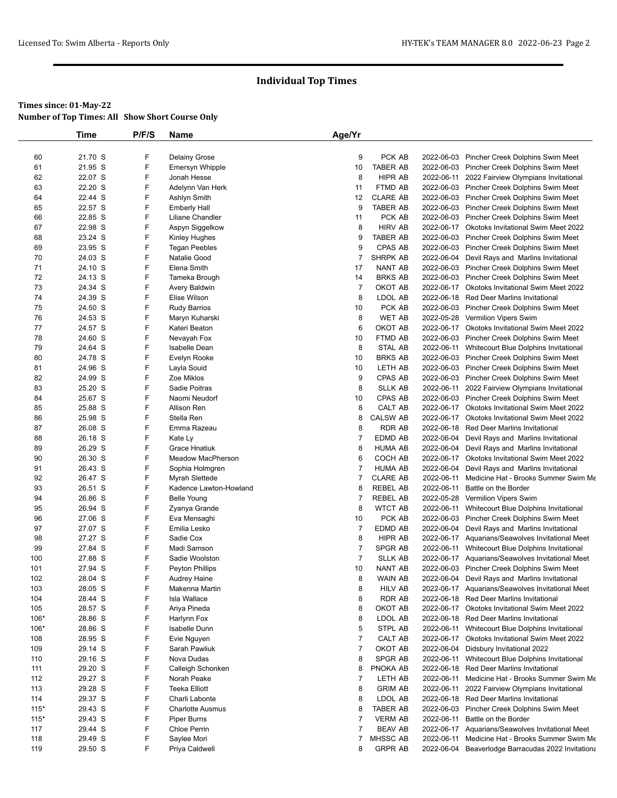|            | <b>Time</b>        | P/F/S  | Name                            | Age/Yr         |                           |            |                                                                                                    |
|------------|--------------------|--------|---------------------------------|----------------|---------------------------|------------|----------------------------------------------------------------------------------------------------|
|            |                    |        |                                 |                |                           |            |                                                                                                    |
| 60         | 21.70 S            | F      | Delainy Grose                   | 9              | PCK AB                    |            | 2022-06-03 Pincher Creek Dolphins Swim Meet                                                        |
| 61         | 21.95 S            | F      | <b>Emersyn Whipple</b>          | 10             | <b>TABER AB</b>           |            | 2022-06-03 Pincher Creek Dolphins Swim Meet                                                        |
| 62         | 22.07 S            | F      | Jonah Hesse                     | 8              | HIPR AB                   |            | 2022-06-11 2022 Fairview Olympians Invitational                                                    |
| 63         | 22.20 S            | F      | Adelynn Van Herk                | 11             | FTMD AB                   |            | 2022-06-03 Pincher Creek Dolphins Swim Meet                                                        |
| 64         | 22.44 S            | F      | Ashlyn Smith                    | 12             | <b>CLARE AB</b>           |            | 2022-06-03 Pincher Creek Dolphins Swim Meet                                                        |
| 65         | 22.57 S            | F      | <b>Emberly Hall</b>             | 9              | <b>TABER AB</b>           |            | 2022-06-03 Pincher Creek Dolphins Swim Meet                                                        |
| 66         | 22.85 S            | F      | Liliane Chandler                | 11             | PCK AB                    |            | 2022-06-03 Pincher Creek Dolphins Swim Meet                                                        |
| 67         | 22.98 S            | F      | Aspyn Siggelkow                 | 8              | HIRV AB                   |            | 2022-06-17 Okotoks Invitational Swim Meet 2022                                                     |
| 68         | 23.24 S            | F      | Kinley Hughes                   | 9              | <b>TABER AB</b>           |            | 2022-06-03 Pincher Creek Dolphins Swim Meet                                                        |
| 69         | 23.95 S            | F      | <b>Tegan Peebles</b>            | 9              | CPAS AB                   |            | 2022-06-03 Pincher Creek Dolphins Swim Meet                                                        |
| 70         | 24.03 S            | F      | Natalie Good                    | 7              | SHRPK AB                  |            | 2022-06-04 Devil Rays and Marlins Invitational                                                     |
| 71         | 24.10 S            | F      | Elena Smith                     | 17             | <b>NANT AB</b>            |            | 2022-06-03 Pincher Creek Dolphins Swim Meet                                                        |
| 72         | 24.13 S            | F      | Tameka Brough                   | 14             | <b>BRKS AB</b>            |            | 2022-06-03 Pincher Creek Dolphins Swim Meet                                                        |
| 73         | 24.34 S            | F<br>F | Avery Baldwin                   | $\overline{7}$ | OKOT AB                   |            | 2022-06-17 Okotoks Invitational Swim Meet 2022                                                     |
| 74         | 24.39 S            | F      | Elise Wilson                    | 8              | LDOL AB                   |            | 2022-06-18 Red Deer Marlins Invitational                                                           |
| 75<br>76   | 24.50 S<br>24.53 S | F      | <b>Rudy Barrios</b>             | 10<br>8        | PCK AB<br>WET AB          |            | 2022-06-03 Pincher Creek Dolphins Swim Meet                                                        |
| 77         | 24.57 S            | F      | Maryn Kuharski<br>Kateri Beaton | 6              | OKOT AB                   |            | 2022-05-28 Vermilion Vipers Swim<br>2022-06-17 Okotoks Invitational Swim Meet 2022                 |
| 78         | 24.60 S            | F      | Nevayah Fox                     | 10             | FTMD AB                   |            | 2022-06-03 Pincher Creek Dolphins Swim Meet                                                        |
| 79         | 24.64 S            | F      | <b>Isabelle Dean</b>            | 8              | STAL AB                   |            | 2022-06-11 Whitecourt Blue Dolphins Invitational                                                   |
| 80         | 24.78 S            | F      | Evelyn Rooke                    | 10             | <b>BRKS AB</b>            |            | 2022-06-03 Pincher Creek Dolphins Swim Meet                                                        |
| 81         | 24.96 S            | F      | Layla Souid                     | 10             | LETH AB                   |            | 2022-06-03 Pincher Creek Dolphins Swim Meet                                                        |
| 82         | 24.99 S            | F      | Zoe Miklos                      | 9              | <b>CPAS AB</b>            |            | 2022-06-03 Pincher Creek Dolphins Swim Meet                                                        |
| 83         | 25.20 S            | F      | Sadie Poitras                   | 8              | <b>SLLK AB</b>            |            | 2022-06-11 2022 Fairview Olympians Invitational                                                    |
| 84         | 25.67 S            | F      | Naomi Neudorf                   | 10             | CPAS AB                   |            | 2022-06-03 Pincher Creek Dolphins Swim Meet                                                        |
| 85         | 25.88 S            | F      | Allison Ren                     | 8              | CALT AB                   |            | 2022-06-17 Okotoks Invitational Swim Meet 2022                                                     |
| 86         | 25.98 S            | F      | Stella Ren                      | 8              | <b>CALSW AB</b>           |            | 2022-06-17 Okotoks Invitational Swim Meet 2022                                                     |
| 87         | 26.08 S            | F      | Emma Razeau                     | 8              | RDR AB                    |            | 2022-06-18 Red Deer Marlins Invitational                                                           |
| 88         | 26.18 S            | F      | Kate Ly                         | $\overline{7}$ | EDMD AB                   |            | 2022-06-04 Devil Rays and Marlins Invitational                                                     |
| 89         | 26.29 S            | F      | <b>Grace Hnatiuk</b>            | 8              | <b>HUMA AB</b>            | 2022-06-04 | Devil Rays and Marlins Invitational                                                                |
| 90         | 26.30 S            | F      | <b>Meadow MacPherson</b>        | 6              | COCH AB                   |            | 2022-06-17 Okotoks Invitational Swim Meet 2022                                                     |
| 91         | 26.43 S            | F      | Sophia Holmgren                 | 7              | <b>HUMA AB</b>            |            | 2022-06-04 Devil Rays and Marlins Invitational                                                     |
| 92         | 26.47 S            | F      | Myrah Slettede                  | 7              | <b>CLARE AB</b>           | 2022-06-11 | Medicine Hat - Brooks Summer Swim Me                                                               |
| 93         | 26.51 S            | F      | Kadence Lawton-Howland          | 8              | REBEL AB                  | 2022-06-11 | Battle on the Border                                                                               |
| 94         | 26.86 S            | F      | <b>Belle Young</b>              | 7              | <b>REBEL AB</b>           |            | 2022-05-28 Vermilion Vipers Swim                                                                   |
| 95         | 26.94 S            | F      | Zyanya Grande                   | 8              | <b>WTCT AB</b>            | 2022-06-11 | Whitecourt Blue Dolphins Invitational                                                              |
| 96         | 27.06 S            | F      | Eva Mensaghi                    | 10             | PCK AB                    |            | 2022-06-03 Pincher Creek Dolphins Swim Meet                                                        |
| 97         | 27.07 S            | F      | Emilia Lesko                    | $\overline{7}$ | EDMD AB                   |            | 2022-06-04 Devil Rays and Marlins Invitational                                                     |
| 98         | 27.27 S            | F      | Sadie Cox                       | 8              | HIPR AB                   |            | 2022-06-17 Aquarians/Seawolves Invitational Meet                                                   |
| 99         | 27.84 S            | F      | Madi Samson                     | $\overline{7}$ | SPGR AB                   |            | 2022-06-11 Whitecourt Blue Dolphins Invitational                                                   |
| 100<br>101 | 27.88 S            | F<br>F | Sadie Woolston                  | $\overline{7}$ | <b>SLLK AB</b><br>NANT AB |            | 2022-06-17 Aquarians/Seawolves Invitational Meet                                                   |
| 102        | 27.94 S<br>28.04 S | F      | Peyton Phillips                 | 10<br>8        |                           |            | 2022-06-03 Pincher Creek Dolphins Swim Meet                                                        |
| 103        | 28.05 S            | F      | Audrey Haine<br>Makenna Martin  | 8              | WAIN AB<br><b>HILV AB</b> |            | 2022-06-04 Devil Rays and Marlins Invitational<br>2022-06-17 Aquarians/Seawolves Invitational Meet |
| 104        | 28.44 S            | F      | Isla Wallace                    | 8              | RDR AB                    |            | 2022-06-18 Red Deer Marlins Invitational                                                           |
| 105        | 28.57 S            | F      | Ariya Pineda                    | 8              | OKOT AB                   |            | 2022-06-17 Okotoks Invitational Swim Meet 2022                                                     |
| 106*       | 28.86 S            | F      | Harlynn Fox                     | 8              | LDOL AB                   |            | 2022-06-18 Red Deer Marlins Invitational                                                           |
| 106*       | 28.86 S            | F      | Isabelle Dunn                   | 5              | STPL AB                   | 2022-06-11 | Whitecourt Blue Dolphins Invitational                                                              |
| 108        | 28.95 S            | F      | Evie Nguyen                     | $\overline{7}$ | CALT AB                   |            | 2022-06-17 Okotoks Invitational Swim Meet 2022                                                     |
| 109        | 29.14 S            | F      | Sarah Pawliuk                   | $\overline{7}$ | OKOT AB                   | 2022-06-04 | Didsbury Invitational 2022                                                                         |
| 110        | 29.16 S            | F      | Nova Dudas                      | 8              | <b>SPGR AB</b>            |            | 2022-06-11 Whitecourt Blue Dolphins Invitational                                                   |
| 111        | 29.20 S            | F      | Calleigh Schonken               | 8              | PNOKA AB                  |            | 2022-06-18 Red Deer Marlins Invitational                                                           |
| 112        | 29.27 S            | F      | Norah Peake                     | $\overline{7}$ | LETH AB                   |            | 2022-06-11 Medicine Hat - Brooks Summer Swim Me                                                    |
| 113        | 29.28 S            | F      | <b>Teeka Elliott</b>            | 8              | <b>GRIM AB</b>            |            | 2022-06-11 2022 Fairview Olympians Invitational                                                    |
| 114        | 29.37 S            | F      | Charli Labonte                  | 8              | LDOL AB                   |            | 2022-06-18 Red Deer Marlins Invitational                                                           |
| $115*$     | 29.43 S            | F      | <b>Charlotte Ausmus</b>         | 8              | TABER AB                  |            | 2022-06-03 Pincher Creek Dolphins Swim Meet                                                        |
| $115*$     | 29.43 S            | F      | Piper Burns                     | $\overline{7}$ | <b>VERM AB</b>            |            | 2022-06-11 Battle on the Border                                                                    |
| 117        | 29.44 S            | F      | <b>Chloe Perrin</b>             | $\overline{7}$ | BEAV AB                   |            | 2022-06-17 Aquarians/Seawolves Invitational Meet                                                   |
| 118        | 29.49 S            | F      | Saylee Mori                     | 7              | MHSSC AB                  | 2022-06-11 | Medicine Hat - Brooks Summer Swim Me                                                               |
| 119        | 29.50 S            | F      | Priya Caldwell                  | 8              | <b>GRPR AB</b>            |            | 2022-06-04 Beaverlodge Barracudas 2022 Invitationa                                                 |
|            |                    |        |                                 |                |                           |            |                                                                                                    |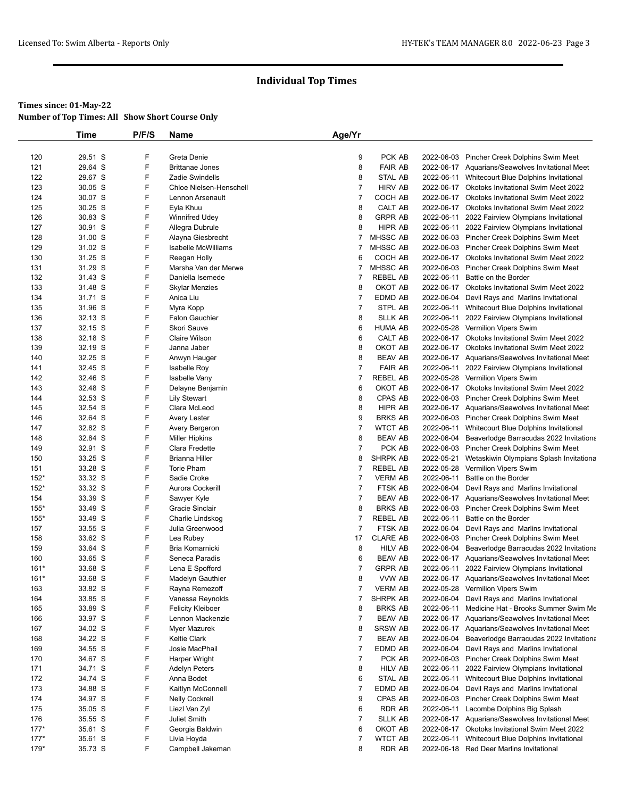|        | Time    | P/F/S | Name                       | Age/Yr         |                 |            |                                                    |
|--------|---------|-------|----------------------------|----------------|-----------------|------------|----------------------------------------------------|
|        |         |       |                            |                |                 |            |                                                    |
| 120    | 29.51 S | F     | Greta Denie                | 9              | PCK AB          |            | 2022-06-03 Pincher Creek Dolphins Swim Meet        |
| 121    | 29.64 S | F     | <b>Brittanae Jones</b>     | 8              | <b>FAIR AB</b>  |            | 2022-06-17 Aquarians/Seawolves Invitational Meet   |
| 122    | 29.67 S | F     | Zadie Swindells            | 8              | <b>STAL AB</b>  |            | 2022-06-11 Whitecourt Blue Dolphins Invitational   |
| 123    | 30.05 S | F     | Chloe Nielsen-Henschell    | $\overline{7}$ | <b>HIRV AB</b>  |            | 2022-06-17 Okotoks Invitational Swim Meet 2022     |
| 124    | 30.07 S | F     | Lennon Arsenault           | $\overline{7}$ | COCH AB         |            | 2022-06-17 Okotoks Invitational Swim Meet 2022     |
| 125    | 30.25 S | F     | Eyla Khuu                  | 8              | CALT AB         |            | 2022-06-17 Okotoks Invitational Swim Meet 2022     |
| 126    | 30.83 S | F     | Winnifred Udey             | 8              | <b>GRPR AB</b>  | 2022-06-11 | 2022 Fairview Olympians Invitational               |
| 127    | 30.91 S | F     | Allegra Dubrule            | 8              | HIPR AB         |            | 2022-06-11 2022 Fairview Olympians Invitational    |
| 128    | 31.00 S | F     | Alayna Giesbrecht          | 7              | <b>MHSSC AB</b> |            | 2022-06-03 Pincher Creek Dolphins Swim Meet        |
| 129    | 31.02 S | F     | <b>Isabelle McWilliams</b> | 7              | MHSSC AB        |            | 2022-06-03 Pincher Creek Dolphins Swim Meet        |
| 130    | 31.25 S | F     | Reegan Holly               | 6              | COCH AB         |            | 2022-06-17 Okotoks Invitational Swim Meet 2022     |
| 131    | 31.29 S | F     | Marsha Van der Merwe       | 7              | MHSSC AB        |            | 2022-06-03 Pincher Creek Dolphins Swim Meet        |
| 132    | 31.43 S | F     | Daniella Isemede           | 7              | <b>REBEL AB</b> | 2022-06-11 | Battle on the Border                               |
| 133    | 31.48 S | F     | <b>Skylar Menzies</b>      | 8              | OKOT AB         |            | 2022-06-17 Okotoks Invitational Swim Meet 2022     |
| 134    | 31.71 S | F     | Anica Liu                  | $\overline{7}$ | EDMD AB         |            | 2022-06-04 Devil Rays and Marlins Invitational     |
| 135    | 31.96 S | F     | Myra Kopp                  | $\overline{7}$ | STPL AB         |            | 2022-06-11 Whitecourt Blue Dolphins Invitational   |
| 136    | 32.13 S | F     | <b>Falon Gauchier</b>      | 8              | <b>SLLK AB</b>  |            | 2022-06-11 2022 Fairview Olympians Invitational    |
| 137    | 32.15 S | F     | Skori Sauve                | 6              | <b>HUMA AB</b>  |            | 2022-05-28 Vermilion Vipers Swim                   |
| 138    | 32.18 S | F     | <b>Claire Wilson</b>       | 6              | CALT AB         |            | 2022-06-17 Okotoks Invitational Swim Meet 2022     |
| 139    | 32.19 S | F     | Janna Jaber                | 8              | OKOT AB         |            | 2022-06-17 Okotoks Invitational Swim Meet 2022     |
| 140    | 32.25 S | F     | Anwyn Hauger               | 8              | <b>BEAV AB</b>  |            | 2022-06-17 Aquarians/Seawolves Invitational Meet   |
| 141    | 32.45 S | F     | Isabelle Roy               | $\overline{7}$ | <b>FAIR AB</b>  |            | 2022-06-11 2022 Fairview Olympians Invitational    |
| 142    | 32.46 S | F     | Isabelle Vany              | 7              | REBEL AB        |            | 2022-05-28 Vermilion Vipers Swim                   |
| 143    | 32.48 S | F     | Delayne Benjamin           | 6              | OKOT AB         |            | 2022-06-17 Okotoks Invitational Swim Meet 2022     |
| 144    | 32.53 S | F     | <b>Lily Stewart</b>        | 8              | CPAS AB         |            | 2022-06-03 Pincher Creek Dolphins Swim Meet        |
| 145    | 32.54 S | F     | Clara McLeod               | 8              | HIPR AB         |            |                                                    |
|        |         | F     |                            |                | <b>BRKS AB</b>  |            | 2022-06-17 Aquarians/Seawolves Invitational Meet   |
| 146    | 32.64 S | F     | Avery Lester               | 9              |                 |            | 2022-06-03 Pincher Creek Dolphins Swim Meet        |
| 147    | 32.82 S |       | Avery Bergeron             | $\overline{7}$ | <b>WTCT AB</b>  |            | 2022-06-11 Whitecourt Blue Dolphins Invitational   |
| 148    | 32.84 S | F     | <b>Miller Hipkins</b>      | 8              | <b>BEAV AB</b>  |            | 2022-06-04 Beaverlodge Barracudas 2022 Invitationa |
| 149    | 32.91 S | F     | Clara Fredette             | $\overline{7}$ | PCK AB          |            | 2022-06-03 Pincher Creek Dolphins Swim Meet        |
| 150    | 33.25 S | F     | Brianna Hiller             | 8              | <b>SHRPK AB</b> |            | 2022-05-21 Wetaskiwin Olympians Splash Invitationa |
| 151    | 33.28 S | F     | <b>Torie Pham</b>          | 7              | <b>REBEL AB</b> |            | 2022-05-28 Vermilion Vipers Swim                   |
| $152*$ | 33.32 S | F     | Sadie Croke                | $\overline{7}$ | <b>VERM AB</b>  | 2022-06-11 | Battle on the Border                               |
| $152*$ | 33.32 S | F     | Aurora Cockerill           | $\overline{7}$ | FTSK AB         |            | 2022-06-04 Devil Rays and Marlins Invitational     |
| 154    | 33.39 S | F     | Sawyer Kyle                | $\overline{7}$ | <b>BEAV AB</b>  |            | 2022-06-17 Aquarians/Seawolves Invitational Meet   |
| $155*$ | 33.49 S | F     | Gracie Sinclair            | 8              | <b>BRKS AB</b>  |            | 2022-06-03 Pincher Creek Dolphins Swim Meet        |
| $155*$ | 33.49 S | F     | Charlie Lindskog           | $\overline{7}$ | <b>REBEL AB</b> | 2022-06-11 | Battle on the Border                               |
| 157    | 33.55 S | F     | Julia Greenwood            | 7              | FTSK AB         |            | 2022-06-04 Devil Rays and Marlins Invitational     |
| 158    | 33.62 S | F     | Lea Rubey                  | 17             | <b>CLARE AB</b> |            | 2022-06-03 Pincher Creek Dolphins Swim Meet        |
| 159    | 33.64 S | F     | Bria Komarnicki            | 8              | <b>HILV AB</b>  |            | 2022-06-04 Beaverlodge Barracudas 2022 Invitationa |
| 160    | 33.65 S | F     | Seneca Paradis             | 6              | <b>BEAV AB</b>  |            | 2022-06-17 Aquarians/Seawolves Invitational Meet   |
| $161*$ | 33.68 S | F     | Lena E Spofford            | 7              | <b>GRPR AB</b>  |            | 2022-06-11 2022 Fairview Olympians Invitational    |
| $161*$ | 33.68 S | F     | Madelyn Gauthier           | 8              | VVW AB          |            | 2022-06-17 Aquarians/Seawolves Invitational Meet   |
| 163    | 33.82 S | F     | Rayna Remezoff             | 7              | <b>VERM AB</b>  |            | 2022-05-28 Vermilion Vipers Swim                   |
| 164    | 33.85 S | F     | Vanessa Reynolds           | 7              | SHRPK AB        |            | 2022-06-04 Devil Rays and Marlins Invitational     |
| 165    | 33.89 S | F     | <b>Felicity Kleiboer</b>   | 8              | <b>BRKS AB</b>  | 2022-06-11 | Medicine Hat - Brooks Summer Swim Me               |
| 166    | 33.97 S | F     | Lennon Mackenzie           | 7              | <b>BEAV AB</b>  |            | 2022-06-17 Aquarians/Seawolves Invitational Meet   |
| 167    | 34.02 S | F     | Myer Mazurek               | 8              | <b>SRSW AB</b>  |            | 2022-06-17 Aquarians/Seawolves Invitational Meet   |
|        | 34.22 S | F     | Keltie Clark               | 7              | <b>BEAV AB</b>  |            |                                                    |
| 168    |         | F     |                            |                |                 |            | 2022-06-04 Beaverlodge Barracudas 2022 Invitationa |
| 169    | 34.55 S |       | Josie MacPhail             | $\overline{7}$ | EDMD AB         |            | 2022-06-04 Devil Rays and Marlins Invitational     |
| 170    | 34.67 S | F     | Harper Wright              | $\overline{7}$ | PCK AB          |            | 2022-06-03 Pincher Creek Dolphins Swim Meet        |
| 171    | 34.71 S | F     | Adelyn Peters              | 8              | <b>HILV AB</b>  |            | 2022-06-11 2022 Fairview Olympians Invitational    |
| 172    | 34.74 S | F     | Anna Bodet                 | 6              | STAL AB         | 2022-06-11 | Whitecourt Blue Dolphins Invitational              |
| 173    | 34.88 S | F     | Kaitlyn McConnell          | $\overline{7}$ | EDMD AB         |            | 2022-06-04 Devil Rays and Marlins Invitational     |
| 174    | 34.97 S | F     | <b>Nelly Cockrell</b>      | 9              | CPAS AB         |            | 2022-06-03 Pincher Creek Dolphins Swim Meet        |
| 175    | 35.05 S | F     | Liezl Van Zyl              | 6              | <b>RDR AB</b>   | 2022-06-11 | Lacombe Dolphins Big Splash                        |
| 176    | 35.55 S | F     | Juliet Smith               | 7              | <b>SLLK AB</b>  |            | 2022-06-17 Aquarians/Seawolves Invitational Meet   |
| $177*$ | 35.61 S | F     | Georgia Baldwin            | 6              | OKOT AB         |            | 2022-06-17 Okotoks Invitational Swim Meet 2022     |
| $177*$ | 35.61 S | F     | Livia Hoyda                | $\overline{7}$ | <b>WTCT AB</b>  | 2022-06-11 | Whitecourt Blue Dolphins Invitational              |
| $179*$ | 35.73 S | F     | Campbell Jakeman           | 8              | <b>RDR AB</b>   |            | 2022-06-18 Red Deer Marlins Invitational           |
|        |         |       |                            |                |                 |            |                                                    |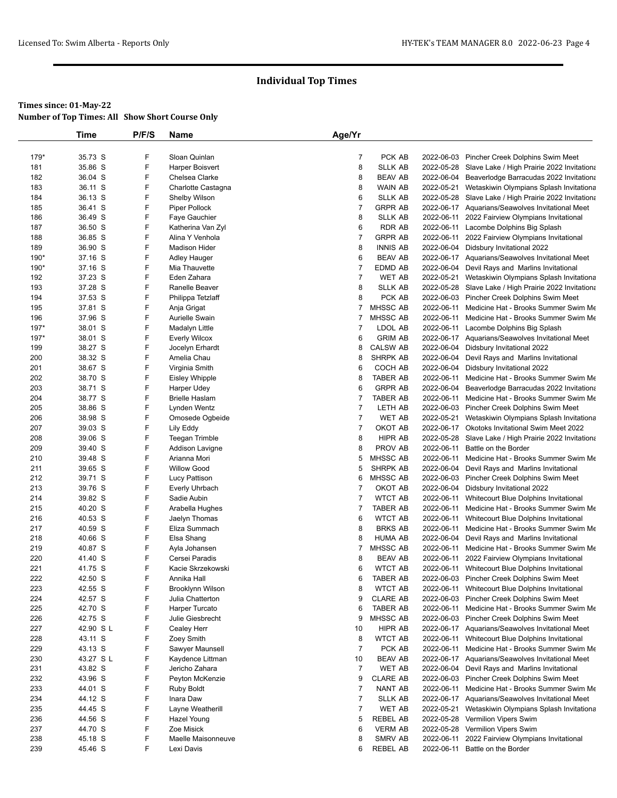|            | Time               | P/F/S  | Name                                        | Age/Yr                           |                                    |            |                                                                                           |
|------------|--------------------|--------|---------------------------------------------|----------------------------------|------------------------------------|------------|-------------------------------------------------------------------------------------------|
|            |                    |        |                                             |                                  |                                    |            |                                                                                           |
| 179*       | 35.73 S            | F      | Sloan Quinlan                               | $\overline{7}$                   | PCK AB                             |            | 2022-06-03 Pincher Creek Dolphins Swim Meet                                               |
| 181        | 35.86 S            | F      | Harper Boisvert                             | 8                                | <b>SLLK AB</b>                     | 2022-05-28 | Slave Lake / High Prairie 2022 Invitationa                                                |
| 182        | 36.04 S            | F      | Chelsea Clarke                              | 8                                | <b>BEAV AB</b>                     |            | 2022-06-04 Beaverlodge Barracudas 2022 Invitationa                                        |
| 183        | 36.11 S            | F      | Charlotte Castagna                          | 8                                | <b>WAIN AB</b>                     | 2022-05-21 | Wetaskiwin Olympians Splash Invitationa                                                   |
| 184        | 36.13 S            | F      | Shelby Wilson                               | 6                                | <b>SLLK AB</b>                     | 2022-05-28 | Slave Lake / High Prairie 2022 Invitationa                                                |
| 185        | 36.41 S            | F      | Piper Pollock                               | $\overline{7}$                   | <b>GRPR AB</b>                     |            | 2022-06-17 Aquarians/Seawolves Invitational Meet                                          |
| 186        | 36.49 S            | F      | Faye Gauchier                               | 8                                | <b>SLLK AB</b>                     | 2022-06-11 | 2022 Fairview Olympians Invitational                                                      |
| 187        | 36.50 S            | F      | Katherina Van Zyl                           | 6                                | <b>RDR AB</b>                      | 2022-06-11 | Lacombe Dolphins Big Splash                                                               |
| 188        | 36.85 S            | F      | Alina Y Venhola                             | $\overline{7}$                   | <b>GRPR AB</b>                     |            | 2022-06-11 2022 Fairview Olympians Invitational                                           |
| 189        | 36.90 S            | F      | <b>Madison Hider</b>                        | 8                                | <b>INNIS AB</b>                    |            | 2022-06-04 Didsbury Invitational 2022                                                     |
| 190*       | 37.16 S            | F<br>F | <b>Adley Hauger</b>                         | 6                                | <b>BEAV AB</b>                     |            | 2022-06-17 Aquarians/Seawolves Invitational Meet                                          |
| 190*       | 37.16 S            | F      | Mia Thauvette                               | $\overline{7}$<br>$\overline{7}$ | EDMD AB                            | 2022-06-04 | Devil Rays and Marlins Invitational                                                       |
| 192        | 37.23 S            |        | Eden Zahara                                 |                                  | <b>WET AB</b>                      |            | 2022-05-21 Wetaskiwin Olympians Splash Invitationa                                        |
| 193<br>194 | 37.28 S<br>37.53 S | F<br>F | Ranelle Beaver                              | 8<br>8                           | <b>SLLK AB</b><br>PCK AB           | 2022-05-28 | Slave Lake / High Prairie 2022 Invitationa<br>2022-06-03 Pincher Creek Dolphins Swim Meet |
|            |                    | F      | Philippa Tetzlaff                           |                                  |                                    |            |                                                                                           |
| 195        | 37.81 S            | F      | Anja Grigat                                 | 7                                | <b>MHSSC AB</b>                    | 2022-06-11 | Medicine Hat - Brooks Summer Swim Me                                                      |
| 196        | 37.96 S            | F      | Aurielle Swain                              | 7                                | MHSSC AB                           | 2022-06-11 | Medicine Hat - Brooks Summer Swim Me                                                      |
| 197*       | 38.01 S            | F      | Madalyn Little                              | 7<br>6                           | LDOL AB                            | 2022-06-11 | Lacombe Dolphins Big Splash                                                               |
| $197*$     | 38.01 S            |        | Everly Wilcox                               |                                  | <b>GRIM AB</b>                     |            | 2022-06-17 Aquarians/Seawolves Invitational Meet                                          |
| 199        | 38.27 S            | F<br>F | Jocelyn Erhardt                             | 8                                | <b>CALSW AB</b><br><b>SHRPK AB</b> |            | 2022-06-04 Didsbury Invitational 2022                                                     |
| 200        | 38.32 S            | F      | Amelia Chau                                 | 8                                |                                    | 2022-06-04 | Devil Rays and Marlins Invitational                                                       |
| 201<br>202 | 38.67 S<br>38.70 S | F      | Virginia Smith                              | 6<br>8                           | COCH AB<br><b>TABER AB</b>         | 2022-06-11 | 2022-06-04 Didsbury Invitational 2022                                                     |
| 203        | 38.71 S            | F      | Eisley Whipple                              | 6                                | <b>GRPR AB</b>                     | 2022-06-04 | Medicine Hat - Brooks Summer Swim Me                                                      |
| 204        | 38.77 S            | F      | <b>Harper Udey</b><br><b>Brielle Haslam</b> | 7                                | <b>TABER AB</b>                    | 2022-06-11 | Beaverlodge Barracudas 2022 Invitationa<br>Medicine Hat - Brooks Summer Swim Me           |
| 205        | 38.86 S            | F      |                                             | $\overline{7}$                   | LETH AB                            |            |                                                                                           |
| 206        | 38.98 S            | F      | Lynden Wentz<br>Omosede Ogbeide             | $\overline{7}$                   | <b>WET AB</b>                      | 2022-05-21 | 2022-06-03 Pincher Creek Dolphins Swim Meet<br>Wetaskiwin Olympians Splash Invitationa    |
| 207        | 39.03 S            | F      | Lily Eddy                                   | $\overline{7}$                   | OKOT AB                            |            | 2022-06-17 Okotoks Invitational Swim Meet 2022                                            |
| 208        | 39.06 S            | F      |                                             | 8                                | <b>HIPR AB</b>                     |            | 2022-05-28 Slave Lake / High Prairie 2022 Invitationa                                     |
| 209        | 39.40 S            | F      | Teegan Trimble<br>Addison Lavigne           | 8                                | PROV AB                            | 2022-06-11 | Battle on the Border                                                                      |
| 210        | 39.48 S            | F      | Arianna Mori                                | 5                                | MHSSC AB                           | 2022-06-11 | Medicine Hat - Brooks Summer Swim Me                                                      |
| 211        | 39.65 S            | F      | <b>Willow Good</b>                          | 5                                | <b>SHRPK AB</b>                    |            | 2022-06-04 Devil Rays and Marlins Invitational                                            |
| 212        | 39.71 S            | F      | Lucy Pattison                               | 6                                | MHSSC AB                           |            | 2022-06-03 Pincher Creek Dolphins Swim Meet                                               |
| 213        | 39.76 S            | F      | Everly Uhrbach                              | 7                                | OKOT AB                            |            | 2022-06-04 Didsbury Invitational 2022                                                     |
| 214        | 39.82 S            | F      | Sadie Aubin                                 | 7                                | <b>WTCT AB</b>                     | 2022-06-11 | Whitecourt Blue Dolphins Invitational                                                     |
| 215        | 40.20 S            | F      | Arabella Hughes                             | 7                                | <b>TABER AB</b>                    | 2022-06-11 | Medicine Hat - Brooks Summer Swim Me                                                      |
| 216        | 40.53 S            | F      | Jaelyn Thomas                               | 6                                | <b>WTCT AB</b>                     | 2022-06-11 | Whitecourt Blue Dolphins Invitational                                                     |
| 217        | 40.59 S            | F      | Eliza Summach                               | 8                                | <b>BRKS AB</b>                     | 2022-06-11 | Medicine Hat - Brooks Summer Swim Me                                                      |
| 218        | 40.66 S            | F      | Elsa Shang                                  | 8                                | <b>HUMA AB</b>                     | 2022-06-04 | Devil Rays and Marlins Invitational                                                       |
| 219        | 40.87 S            | F      | Ayla Johansen                               | 7                                | MHSSC AB                           | 2022-06-11 | Medicine Hat - Brooks Summer Swim Me                                                      |
| 220        | 41.40 S            | F      | Cersei Paradis                              | 8                                | <b>BEAV AB</b>                     | 2022-06-11 | 2022 Fairview Olympians Invitational                                                      |
| 221        | 41.75 S            | F      | Kacie Skrzekowski                           | 6                                | <b>WTCT AB</b>                     |            | 2022-06-11 Whitecourt Blue Dolphins Invitational                                          |
| 222        | 42.50 S            | F      | Annika Hall                                 | 6                                | TABER AB                           |            | 2022-06-03 Pincher Creek Dolphins Swim Meet                                               |
| 223        | 42.55 S            | F      | Brooklynn Wilson                            | 8                                | <b>WTCT AB</b>                     |            | 2022-06-11 Whitecourt Blue Dolphins Invitational                                          |
| 224        | 42.57 S            | F      | Julia Chatterton                            | 9                                | <b>CLARE AB</b>                    |            | 2022-06-03 Pincher Creek Dolphins Swim Meet                                               |
| 225        | 42.70 S            | F      | Harper Turcato                              | 6                                | TABER AB                           | 2022-06-11 | Medicine Hat - Brooks Summer Swim Me                                                      |
| 226        | 42.75 S            | F      | Julie Giesbrecht                            | 9                                | MHSSC AB                           |            | 2022-06-03 Pincher Creek Dolphins Swim Meet                                               |
| 227        | 42.90 S L          | F      | Cealey Herr                                 | 10                               | HIPR AB                            |            | 2022-06-17 Aquarians/Seawolves Invitational Meet                                          |
| 228        | 43.11 S            | F      | Zoey Smith                                  | 8                                | WTCT AB                            |            | 2022-06-11 Whitecourt Blue Dolphins Invitational                                          |
| 229        | 43.13 S            | F      | Sawyer Maunsell                             | $\overline{7}$                   | PCK AB                             | 2022-06-11 | Medicine Hat - Brooks Summer Swim Me                                                      |
| 230        | 43.27 S L          | F      | Kaydence Littman                            | 10                               | <b>BEAV AB</b>                     |            | 2022-06-17 Aquarians/Seawolves Invitational Meet                                          |
| 231        | 43.82 S            | F      | Jericho Zahara                              | $\overline{7}$                   | WET AB                             |            | 2022-06-04 Devil Rays and Marlins Invitational                                            |
| 232        | 43.96 S            | F      | Peyton McKenzie                             | 9                                | <b>CLARE AB</b>                    |            | 2022-06-03 Pincher Creek Dolphins Swim Meet                                               |
| 233        | 44.01 S            | F      | Ruby Boldt                                  | $\overline{7}$                   | NANT AB                            | 2022-06-11 | Medicine Hat - Brooks Summer Swim Me                                                      |
| 234        | 44.12 S            | F      | Inara Daw                                   | $\overline{7}$                   | SLLK AB                            |            | 2022-06-17 Aquarians/Seawolves Invitational Meet                                          |
| 235        | 44.45 S            | F      | Layne Weatherill                            | $\overline{7}$                   | WET AB                             | 2022-05-21 | Wetaskiwin Olympians Splash Invitationa                                                   |
| 236        | 44.56 S            | F      | Hazel Young                                 | 5                                | REBEL AB                           |            | 2022-05-28 Vermilion Vipers Swim                                                          |
| 237        | 44.70 S            | F      | Zoe Misick                                  | 6                                | <b>VERM AB</b>                     |            | 2022-05-28 Vermilion Vipers Swim                                                          |
| 238        | 45.18 S            | F      | Maelle Maisonneuve                          | 8                                | SMRV AB                            | 2022-06-11 | 2022 Fairview Olympians Invitational                                                      |
| 239        | 45.46 S            | F      | Lexi Davis                                  | 6                                | <b>REBEL AB</b>                    |            | 2022-06-11 Battle on the Border                                                           |
|            |                    |        |                                             |                                  |                                    |            |                                                                                           |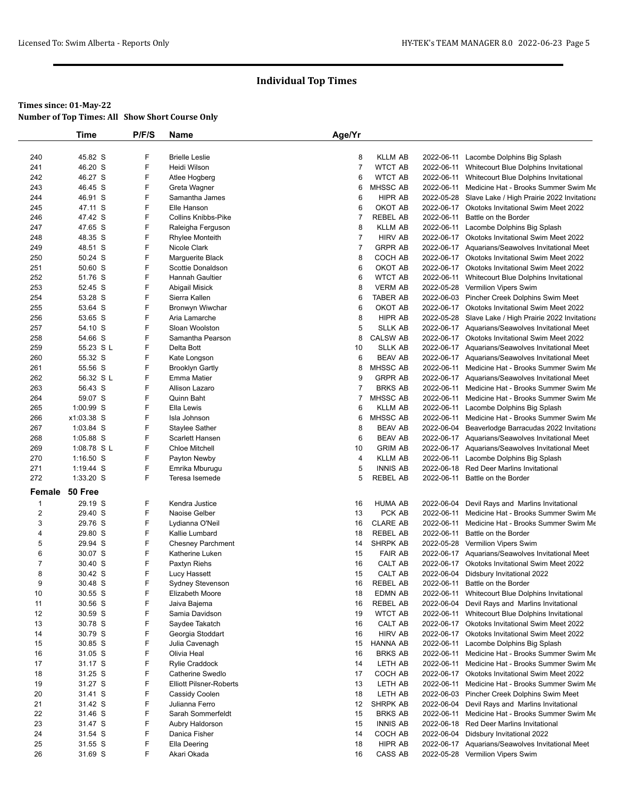|                | <b>Time</b>          | P/F/S  | <b>Name</b>                      | Age/Yr              |                                   |            |                                                                                                    |
|----------------|----------------------|--------|----------------------------------|---------------------|-----------------------------------|------------|----------------------------------------------------------------------------------------------------|
|                |                      |        |                                  |                     |                                   |            |                                                                                                    |
| 240            | 45.82 S              | F      | <b>Brielle Leslie</b>            | 8                   | <b>KLLM AB</b>                    | 2022-06-11 | Lacombe Dolphins Big Splash                                                                        |
| 241            | 46.20 S              | F      | Heidi Wilson                     | $\overline{7}$      | <b>WTCT AB</b>                    | 2022-06-11 | Whitecourt Blue Dolphins Invitational                                                              |
| 242            | 46.27 S              | F      | Atlee Hogberg                    | 6                   | <b>WTCT AB</b>                    |            | 2022-06-11 Whitecourt Blue Dolphins Invitational                                                   |
| 243            | 46.45 S              | F      | Greta Wagner                     | 6                   | MHSSC AB                          | 2022-06-11 | Medicine Hat - Brooks Summer Swim Me                                                               |
| 244            | 46.91 S              | F      | Samantha James                   | 6                   | HIPR AB                           |            | 2022-05-28 Slave Lake / High Prairie 2022 Invitationa                                              |
| 245            | 47.11 S              | F      | Elle Hanson                      | 6                   | OKOT AB                           | 2022-06-17 | Okotoks Invitational Swim Meet 2022                                                                |
| 246            | 47.42 S              | F      | <b>Collins Knibbs-Pike</b>       | $\overline{7}$      | <b>REBEL AB</b>                   | 2022-06-11 | Battle on the Border                                                                               |
| 247            | 47.65 S              | F      | Raleigha Ferguson                | 8                   | <b>KLLM AB</b>                    | 2022-06-11 | Lacombe Dolphins Big Splash                                                                        |
| 248            | 48.35 S              | F      | <b>Rhylee Monteith</b>           | $\overline{7}$      | <b>HIRV AB</b>                    | 2022-06-17 | Okotoks Invitational Swim Meet 2022                                                                |
| 249            | 48.51 S              | F      | Nicole Clark                     | $\overline{7}$      | <b>GRPR AB</b>                    |            | 2022-06-17 Aquarians/Seawolves Invitational Meet                                                   |
| 250            | 50.24 S              | F      | Marguerite Black                 | 8                   | COCH AB                           |            | 2022-06-17 Okotoks Invitational Swim Meet 2022                                                     |
| 251            | 50.60 S              | F      | Scottie Donaldson                | 6                   | OKOT AB                           |            | 2022-06-17 Okotoks Invitational Swim Meet 2022                                                     |
| 252            | 51.76 S              | F      | Hannah Gaultier                  | 6                   | <b>WTCT AB</b>                    |            | 2022-06-11 Whitecourt Blue Dolphins Invitational                                                   |
| 253            | 52.45 S              | F      | Abigail Misick                   | 8                   | <b>VERM AB</b>                    | 2022-05-28 | Vermilion Vipers Swim                                                                              |
| 254            | 53.28 S              | F      | Sierra Kallen                    | 6                   | <b>TABER AB</b>                   | 2022-06-03 | Pincher Creek Dolphins Swim Meet                                                                   |
| 255            | 53.64 S              | F      | Bronwyn Wiwchar                  | 6                   | OKOT AB                           |            | 2022-06-17 Okotoks Invitational Swim Meet 2022                                                     |
| 256            | 53.65 S              | F      | Aria Lamarche                    | 8                   | HIPR AB                           | 2022-05-28 | Slave Lake / High Prairie 2022 Invitationa                                                         |
| 257            | 54.10 S              | F      | Sloan Woolston                   | 5                   | <b>SLLK AB</b>                    |            | 2022-06-17 Aquarians/Seawolves Invitational Meet                                                   |
| 258            | 54.66 S              | F      | Samantha Pearson                 | 8                   | <b>CALSW AB</b>                   |            | 2022-06-17 Okotoks Invitational Swim Meet 2022                                                     |
| 259            | 55.23 S L            | F<br>F | Delta Bott                       | 10                  | <b>SLLK AB</b>                    |            | 2022-06-17 Aquarians/Seawolves Invitational Meet                                                   |
| 260            | 55.32 S              |        | Kate Longson                     | 6                   | <b>BEAV AB</b>                    |            | 2022-06-17 Aquarians/Seawolves Invitational Meet                                                   |
| 261            | 55.56 S              | F<br>F | <b>Brooklyn Gartly</b>           | 8                   | MHSSC AB                          |            | 2022-06-11 Medicine Hat - Brooks Summer Swim Me                                                    |
| 262            | 56.32 S L<br>56.43 S | F      | <b>Emma Matier</b>               | 9                   | <b>GRPR AB</b>                    | 2022-06-17 | Aquarians/Seawolves Invitational Meet                                                              |
| 263<br>264     | 59.07 S              | F      | Allison Lazaro<br>Quinn Baht     | $\overline{7}$<br>7 | <b>BRKS AB</b><br>MHSSC AB        | 2022-06-11 | Medicine Hat - Brooks Summer Swim Me<br>2022-06-11 Medicine Hat - Brooks Summer Swim Me            |
| 265            | 1:00.99 S            | F      | Ella Lewis                       | 6                   | <b>KLLM AB</b>                    | 2022-06-11 |                                                                                                    |
| 266            | x1:03.38 S           | F      | Isla Johnson                     | 6                   | MHSSC AB                          | 2022-06-11 | Lacombe Dolphins Big Splash<br>Medicine Hat - Brooks Summer Swim Me                                |
| 267            | 1:03.84 S            | F      | Staylee Sather                   | 8                   | <b>BEAV AB</b>                    | 2022-06-04 | Beaverlodge Barracudas 2022 Invitationa                                                            |
| 268            | 1:05.88 S            | F      | Scarlett Hansen                  | 6                   | <b>BEAV AB</b>                    |            | 2022-06-17 Aquarians/Seawolves Invitational Meet                                                   |
| 269            | 1:08.78 S L          | F      | <b>Chloe Mitchell</b>            | 10                  | <b>GRIM AB</b>                    |            | 2022-06-17 Aquarians/Seawolves Invitational Meet                                                   |
| 270            | $1:16.50$ S          | F      | Payton Newby                     | 4                   | <b>KLLM AB</b>                    | 2022-06-11 | Lacombe Dolphins Big Splash                                                                        |
| 271            | 1:19.44 S            | F      | Emrika Mburugu                   | 5                   | <b>INNIS AB</b>                   | 2022-06-18 | <b>Red Deer Marlins Invitational</b>                                                               |
| 272            | 1:33.20 S            | F      | Teresa Isemede                   | 5                   | <b>REBEL AB</b>                   | 2022-06-11 | Battle on the Border                                                                               |
|                |                      |        |                                  |                     |                                   |            |                                                                                                    |
| Female         | 50 Free              |        |                                  |                     |                                   |            |                                                                                                    |
| 1              | 29.19 S              | F      | Kendra Justice                   | 16                  | <b>HUMA AB</b>                    | 2022-06-04 | Devil Rays and Marlins Invitational                                                                |
| 2              | 29.40 S              | F      | Naoise Gelber                    | 13                  | PCK AB                            | 2022-06-11 | Medicine Hat - Brooks Summer Swim Me                                                               |
| 3              | 29.76 S              | F      | Lydianna O'Neil                  | 16                  | <b>CLARE AB</b>                   | 2022-06-11 | Medicine Hat - Brooks Summer Swim Me                                                               |
| 4              | 29.80 S              | F      | Kallie Lumbard                   | 18                  | <b>REBEL AB</b>                   | 2022-06-11 | Battle on the Border                                                                               |
| 5              | 29.94 S              | F      | <b>Chesney Parchment</b>         | 14                  | <b>SHRPK AB</b>                   |            | 2022-05-28 Vermilion Vipers Swim                                                                   |
| 6              | 30.07 S              | F      | Katherine Luken                  | 15                  | <b>FAIR AB</b>                    |            | 2022-06-17 Aquarians/Seawolves Invitational Meet                                                   |
| $\overline{7}$ | 30.40 S              | F      | Paxtyn Riehs                     | 16                  | CALT AB                           | 2022-06-17 | <b>Okotoks Invitational Swim Meet 2022</b>                                                         |
| 8              | 30.42 S              | F      | Lucy Hassett                     | 15                  | CALT AB                           |            | 2022-06-04 Didsbury Invitational 2022                                                              |
| 9              | 30.48 S              | F<br>F | Sydney Stevenson                 | 16<br>18            | REBEL AB                          | 2022-06-11 | 2022-06-11 Battle on the Border                                                                    |
| 10             | 30.55 S              | F      | Elizabeth Moore                  |                     | <b>EDMN AB</b>                    |            | Whitecourt Blue Dolphins Invitational                                                              |
| 11<br>12       | 30.56 S<br>30.59 S   | F      | Jaiva Bajema                     | 16<br>19            | <b>REBEL AB</b><br><b>WTCT AB</b> | 2022-06-04 | Devil Rays and Marlins Invitational                                                                |
| 13             | 30.78 S              | F      | Samia Davidson<br>Saydee Takatch | 16                  | CALT AB                           |            | 2022-06-11 Whitecourt Blue Dolphins Invitational<br>2022-06-17 Okotoks Invitational Swim Meet 2022 |
| 14             | 30.79 S              | F      | Georgia Stoddart                 | 16                  | <b>HIRV AB</b>                    |            | 2022-06-17 Okotoks Invitational Swim Meet 2022                                                     |
| 15             | 30.85 S              | F      | Julia Cavenagh                   | 15                  | <b>HANNA AB</b>                   | 2022-06-11 | Lacombe Dolphins Big Splash                                                                        |
| 16             | 31.05 S              | F      | Olivia Heal                      | 16                  | <b>BRKS AB</b>                    | 2022-06-11 | Medicine Hat - Brooks Summer Swim Me                                                               |
| 17             | 31.17 S              | F      | <b>Rylie Craddock</b>            | 14                  | LETH AB                           |            | 2022-06-11 Medicine Hat - Brooks Summer Swim Me                                                    |
| 18             | 31.25 S              | F      | Catherine Swedlo                 | 17                  | COCH AB                           |            | 2022-06-17 Okotoks Invitational Swim Meet 2022                                                     |
| 19             | 31.27 S              | F      | <b>Elliott Pilsner-Roberts</b>   | 13                  | LETH AB                           | 2022-06-11 | Medicine Hat - Brooks Summer Swim Me                                                               |
| 20             | 31.41 S              | F      | Cassidy Coolen                   | 18                  | LETH AB                           |            | 2022-06-03 Pincher Creek Dolphins Swim Meet                                                        |
| 21             | 31.42 S              | F      | Julianna Ferro                   | 12                  | SHRPK AB                          |            | 2022-06-04 Devil Rays and Marlins Invitational                                                     |
| 22             | 31.46 S              | F      | Sarah Sommerfeldt                | 15                  | <b>BRKS AB</b>                    | 2022-06-11 | Medicine Hat - Brooks Summer Swim Me                                                               |
| 23             | 31.47 S              | F      | Aubry Haldorson                  | 15                  | <b>INNIS AB</b>                   | 2022-06-18 | Red Deer Marlins Invitational                                                                      |
| 24             | 31.54 S              | F      | Danica Fisher                    | 14                  | COCH AB                           | 2022-06-04 | Didsbury Invitational 2022                                                                         |
| 25             | 31.55 S              | F      | Ella Deering                     | 18                  | HIPR AB                           |            | 2022-06-17 Aquarians/Seawolves Invitational Meet                                                   |
| 26             | 31.69 S              | F      | Akari Okada                      | 16                  | CASS AB                           |            | 2022-05-28 Vermilion Vipers Swim                                                                   |
|                |                      |        |                                  |                     |                                   |            |                                                                                                    |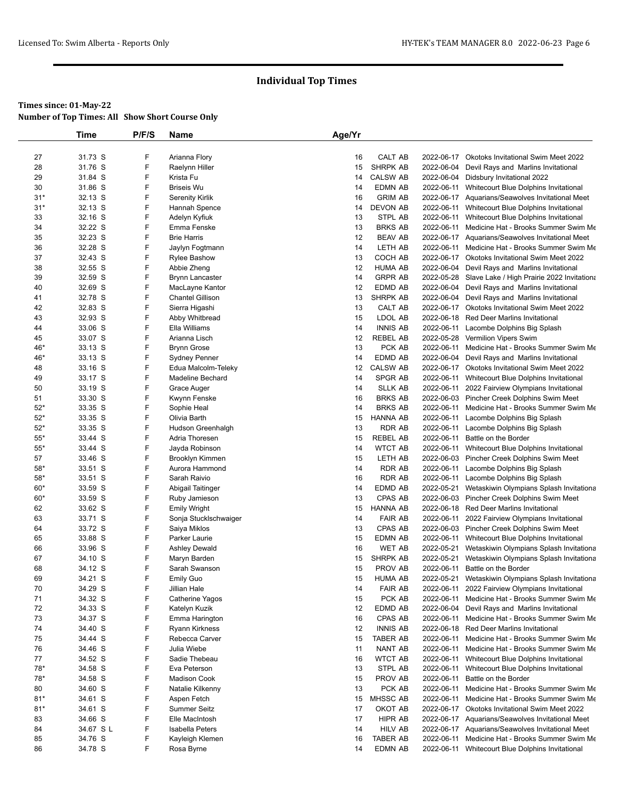|                | Time               | P/F/S  | Name                                  | Age/Yr   |                          |            |                                                                              |
|----------------|--------------------|--------|---------------------------------------|----------|--------------------------|------------|------------------------------------------------------------------------------|
|                |                    |        |                                       |          |                          |            |                                                                              |
| 27             | 31.73 S            | F      | Arianna Flory                         | 16       | CALT AB                  |            | 2022-06-17 Okotoks Invitational Swim Meet 2022                               |
| 28             | 31.76 S            | F      | Raelynn Hiller                        | 15       | <b>SHRPK AB</b>          | 2022-06-04 | Devil Rays and Marlins Invitational                                          |
| 29             | 31.84 S            | F      | Krista Fu                             | 14       | <b>CALSW AB</b>          | 2022-06-04 | Didsbury Invitational 2022                                                   |
| 30             | 31.86 S            | F      | <b>Briseis Wu</b>                     | 14       | <b>EDMN AB</b>           | 2022-06-11 | Whitecourt Blue Dolphins Invitational                                        |
| $31*$          | 32.13 S            | F      | <b>Serenity Kirlik</b>                | 16       | <b>GRIM AB</b>           |            | 2022-06-17 Aquarians/Seawolves Invitational Meet                             |
| $31*$          | 32.13 S            | F      | Hannah Spence                         | 14       | DEVON AB                 | 2022-06-11 | Whitecourt Blue Dolphins Invitational                                        |
| 33             | 32.16 S            | F      | Adelyn Kyfiuk                         | 13       | STPL AB                  | 2022-06-11 | Whitecourt Blue Dolphins Invitational                                        |
| 34             | 32.22 S            | F      | Emma Fenske                           | 13       | <b>BRKS AB</b>           |            | 2022-06-11 Medicine Hat - Brooks Summer Swim Me                              |
| 35             | 32.23 S            | F      | <b>Brie Harris</b>                    | 12       | <b>BEAV AB</b>           |            | 2022-06-17 Aquarians/Seawolves Invitational Meet                             |
| 36             | 32.28 S            | F      | Jaylyn Fogtmann                       | 14       | LETH AB                  | 2022-06-11 | Medicine Hat - Brooks Summer Swim Me                                         |
| 37             | 32.43 S            | F      | <b>Rylee Bashow</b>                   | 13       | COCH AB                  |            | 2022-06-17 Okotoks Invitational Swim Meet 2022                               |
| 38             | 32.55 S            | F      | Abbie Zheng                           | 12       | <b>HUMA AB</b>           | 2022-06-04 | Devil Rays and Marlins Invitational                                          |
| 39             | 32.59 S            | F      | <b>Brynn Lancaster</b>                | 14       | <b>GRPR AB</b>           |            | 2022-05-28 Slave Lake / High Prairie 2022 Invitationa                        |
| 40             | 32.69 S            | F      | MacLayne Kantor                       | 12       | EDMD AB                  |            | 2022-06-04 Devil Rays and Marlins Invitational                               |
| 41             | 32.78 S            | F      | <b>Chantel Gillison</b>               | 13       | SHRPK AB                 | 2022-06-04 | Devil Rays and Marlins Invitational                                          |
| 42             | 32.83 S            | F      | Sierra Higashi                        | 13       | CALT AB                  |            | 2022-06-17 Okotoks Invitational Swim Meet 2022                               |
| 43             | 32.93 S            | F      | Abby Whitbread                        | 15       | LDOL AB                  | 2022-06-18 | <b>Red Deer Marlins Invitational</b>                                         |
| 44             | 33.06 S            | F      | Ella Williams                         | 14       | <b>INNIS AB</b>          | 2022-06-11 | Lacombe Dolphins Big Splash                                                  |
| 45             | 33.07 S            | F      | Arianna Lisch                         | 12       | <b>REBEL AB</b>          | 2022-05-28 | Vermilion Vipers Swim                                                        |
| 46*            | 33.13 S            | F      | <b>Brynn Grose</b>                    | 13       | PCK AB                   | 2022-06-11 | Medicine Hat - Brooks Summer Swim Me                                         |
| 46*            | 33.13 S            | F      | <b>Sydney Penner</b>                  | 14       | EDMD AB                  |            | 2022-06-04 Devil Rays and Marlins Invitational                               |
| 48             | 33.16 S            | F      | Edua Malcolm-Teleky                   | 12       | <b>CALSW AB</b>          |            | 2022-06-17 Okotoks Invitational Swim Meet 2022                               |
| 49             | 33.17 S            | F      | <b>Madeline Bechard</b>               | 14       | <b>SPGR AB</b>           | 2022-06-11 | Whitecourt Blue Dolphins Invitational                                        |
| 50             | 33.19 S            | F      | Grace Auger                           | 14       | <b>SLLK AB</b>           |            | 2022-06-11 2022 Fairview Olympians Invitational                              |
| 51             | 33.30 S            | F      | Kwynn Fenske                          | 16       | <b>BRKS AB</b>           |            | 2022-06-03 Pincher Creek Dolphins Swim Meet                                  |
| $52*$          | 33.35 S            | F      | Sophie Heal                           | 14       | <b>BRKS AB</b>           | 2022-06-11 | Medicine Hat - Brooks Summer Swim Me                                         |
| $52*$          | 33.35 S            | F      | Olivia Barth                          | 15       | <b>HANNA AB</b>          |            | 2022-06-11 Lacombe Dolphins Big Splash                                       |
| $52*$          | 33.35 S            | F      | Hudson Greenhalgh                     | 13       | <b>RDR AB</b>            | 2022-06-11 | Lacombe Dolphins Big Splash                                                  |
| $55*$          | 33.44 S            | F      | Adria Thoresen                        | 15       | <b>REBEL AB</b>          | 2022-06-11 | Battle on the Border                                                         |
| $55*$          | 33.44 S            | F      | Jayda Robinson                        | 14       | <b>WTCT AB</b>           |            | 2022-06-11 Whitecourt Blue Dolphins Invitational                             |
| 57             | 33.46 S            | F<br>F | Brooklyn Kimmen                       | 15       | LETH AB                  | 2022-06-03 | Pincher Creek Dolphins Swim Meet                                             |
| $58*$          | 33.51 S            | F      | Aurora Hammond                        | 14       | <b>RDR AB</b>            | 2022-06-11 | Lacombe Dolphins Big Splash                                                  |
| $58*$<br>$60*$ | 33.51 S<br>33.59 S | F      | Sarah Raivio                          | 16<br>14 | <b>RDR AB</b><br>EDMD AB | 2022-05-21 | 2022-06-11 Lacombe Dolphins Big Splash                                       |
| $60*$          | 33.59 S            | F      | Abigail Taitinger                     | 13       | CPAS AB                  | 2022-06-03 | Wetaskiwin Olympians Splash Invitationa                                      |
| 62             | 33.62 S            | F      | Ruby Jamieson                         | 15       | <b>HANNA AB</b>          |            | Pincher Creek Dolphins Swim Meet<br>2022-06-18 Red Deer Marlins Invitational |
| 63             | 33.71 S            | F      | Emily Wright<br>Sonja Stucklschwaiger | 14       | <b>FAIR AB</b>           |            | 2022-06-11 2022 Fairview Olympians Invitational                              |
| 64             | 33.72 S            | F      | Saiya Miklos                          | 13       | CPAS AB                  |            | 2022-06-03 Pincher Creek Dolphins Swim Meet                                  |
| 65             | 33.88 S            | F      | Parker Laurie                         | 15       | <b>EDMN AB</b>           |            | 2022-06-11 Whitecourt Blue Dolphins Invitational                             |
| 66             | 33.96 S            | F      | <b>Ashley Dewald</b>                  | 16       | <b>WET AB</b>            | 2022-05-21 | Wetaskiwin Olympians Splash Invitationa                                      |
| 67             | 34.10 S            | F      | Maryn Barden                          | 15       | <b>SHRPK AB</b>          | 2022-05-21 | Wetaskiwin Olympians Splash Invitationa                                      |
| 68             | 34.12 S            | F      | Sarah Swanson                         | 15       | PROV AB                  | 2022-06-11 | Battle on the Border                                                         |
| 69             | 34.21 S            | F.     | <b>Emily Guo</b>                      | 15       | <b>HUMA AB</b>           | 2022-05-21 | Wetaskiwin Olympians Splash Invitationa                                      |
| 70             | 34.29 S            | F      | Jillian Hale                          | 14       | <b>FAIR AB</b>           |            | 2022-06-11 2022 Fairview Olympians Invitational                              |
| 71             | 34.32 S            | F      | Catherine Yagos                       | 15       | PCK AB                   | 2022-06-11 | Medicine Hat - Brooks Summer Swim Me                                         |
| 72             | 34.33 S            | F      | Katelyn Kuzik                         | 12       | EDMD AB                  |            | 2022-06-04 Devil Rays and Marlins Invitational                               |
| 73             | 34.37 S            | F      | Emma Harington                        | 16       | CPAS AB                  | 2022-06-11 | Medicine Hat - Brooks Summer Swim Me                                         |
| 74             | 34.40 S            | F      | Ryann Kirkness                        | 12       | <b>INNIS AB</b>          | 2022-06-18 | <b>Red Deer Marlins Invitational</b>                                         |
| 75             | 34.44 S            | F      | Rebecca Carver                        | 15       | <b>TABER AB</b>          |            | 2022-06-11 Medicine Hat - Brooks Summer Swim Me                              |
| 76             | 34.46 S            | F      | Julia Wiebe                           | 11       | NANT AB                  | 2022-06-11 | Medicine Hat - Brooks Summer Swim Me                                         |
| 77             | 34.52 S            | F      | Sadie Thebeau                         | 16       | <b>WTCT AB</b>           | 2022-06-11 | Whitecourt Blue Dolphins Invitational                                        |
| 78*            | 34.58 S            | F      | Eva Peterson                          | 13       | STPL AB                  | 2022-06-11 | Whitecourt Blue Dolphins Invitational                                        |
| 78*            | 34.58 S            | F      | <b>Madison Cook</b>                   | 15       | PROV AB                  | 2022-06-11 | Battle on the Border                                                         |
| 80             | 34.60 S            | F      | Natalie Kilkenny                      | 13       | PCK AB                   | 2022-06-11 | Medicine Hat - Brooks Summer Swim Me                                         |
| $81*$          | 34.61 S            | F      | Aspen Fetch                           | 15       | MHSSC AB                 |            | 2022-06-11 Medicine Hat - Brooks Summer Swim Me                              |
| $81*$          | 34.61 S            | F      | <b>Summer Seitz</b>                   | 17       | OKOT AB                  |            | 2022-06-17 Okotoks Invitational Swim Meet 2022                               |
| 83             | 34.66 S            | F      | Elle MacIntosh                        | 17       | HIPR AB                  |            | 2022-06-17 Aquarians/Seawolves Invitational Meet                             |
|                |                    | F      | Isabella Peters                       |          | <b>HILV AB</b>           |            | 2022-06-17 Aquarians/Seawolves Invitational Meet                             |
|                | 34.67 S L          |        |                                       | 14       |                          |            |                                                                              |
| 84<br>85       | 34.76 S            | F      | Kayleigh Klemen                       | 16       | <b>TABER AB</b>          | 2022-06-11 | Medicine Hat - Brooks Summer Swim Me                                         |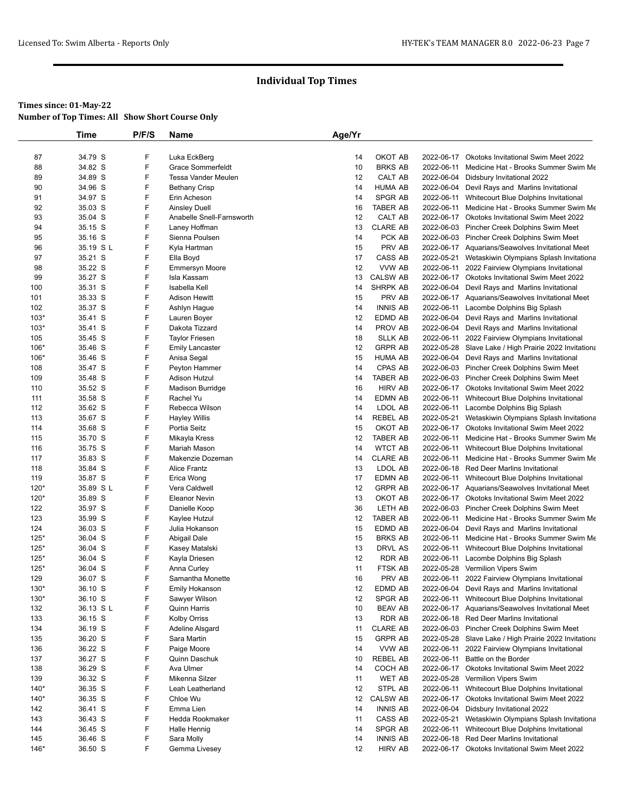|                  | Time               | P/F/S  | Name                                 | Age/Yr   |                   |                          |                                                                                        |
|------------------|--------------------|--------|--------------------------------------|----------|-------------------|--------------------------|----------------------------------------------------------------------------------------|
|                  |                    |        |                                      |          |                   |                          |                                                                                        |
| 87               | 34.79 S            | F      | Luka EckBerg                         | 14       | OKOT AB           | 2022-06-17               | <b>Okotoks Invitational Swim Meet 2022</b>                                             |
| 88               | 34.82 S            | F      | <b>Grace Sommerfeldt</b>             | 10       | <b>BRKS AB</b>    | 2022-06-11               | Medicine Hat - Brooks Summer Swim Me                                                   |
| 89               | 34.89 S            | F      | Tessa Vander Meulen                  | 12       | CALT AB           |                          | 2022-06-04 Didsbury Invitational 2022                                                  |
| 90               | 34.96 S            | F      | <b>Bethany Crisp</b>                 | 14       | <b>HUMA AB</b>    |                          | 2022-06-04 Devil Rays and Marlins Invitational                                         |
| 91               | 34.97 S            | F      | Erin Acheson                         | 14       | SPGR AB           | 2022-06-11               | Whitecourt Blue Dolphins Invitational                                                  |
| 92               | 35.03 S            | F      | <b>Ainsley Duell</b>                 | 16       | TABER AB          | 2022-06-11               | Medicine Hat - Brooks Summer Swim Me                                                   |
| 93               | 35.04 S            | F      | Anabelle Snell-Farnsworth            | 12       | CALT AB           |                          | 2022-06-17 Okotoks Invitational Swim Meet 2022                                         |
| 94               | 35.15 S            | F      | Laney Hoffman                        | 13       | <b>CLARE AB</b>   |                          | 2022-06-03 Pincher Creek Dolphins Swim Meet                                            |
| 95               | 35.16 S            | F      | Sienna Poulsen                       | 14       | PCK AB            |                          | 2022-06-03 Pincher Creek Dolphins Swim Meet                                            |
| 96               | 35.19 S L          | F      | Kyla Hartman                         | 15       | PRV AB            |                          | 2022-06-17 Aquarians/Seawolves Invitational Meet                                       |
| 97<br>98         | 35.21 S<br>35.22 S | F<br>F | Ella Boyd                            | 17<br>12 | CASS AB<br>VVW AB | 2022-05-21<br>2022-06-11 | Wetaskiwin Olympians Splash Invitationa<br>2022 Fairview Olympians Invitational        |
| 99               | 35.27 S            | F      | <b>Emmersyn Moore</b><br>Isla Kassam | 13       | <b>CALSW AB</b>   |                          | 2022-06-17 Okotoks Invitational Swim Meet 2022                                         |
| 100              | 35.31 S            | F      | Isabella Kell                        | 14       | SHRPK AB          |                          | 2022-06-04 Devil Rays and Marlins Invitational                                         |
| 101              | 35.33 S            | F      | <b>Adison Hewitt</b>                 | 15       | PRV AB            |                          | 2022-06-17 Aquarians/Seawolves Invitational Meet                                       |
| 102              | 35.37 S            | F      | Ashlyn Hague                         | 14       | <b>INNIS AB</b>   |                          | 2022-06-11 Lacombe Dolphins Big Splash                                                 |
| $103*$           | 35.41 S            | F      | Lauren Boyer                         | 12       | EDMD AB           |                          | 2022-06-04 Devil Rays and Marlins Invitational                                         |
| $103*$           | 35.41 S            | F      | Dakota Tizzard                       | 14       | PROV AB           |                          | 2022-06-04 Devil Rays and Marlins Invitational                                         |
| 105              | 35.45 S            | F      | <b>Taylor Friesen</b>                | 18       | <b>SLLK AB</b>    |                          | 2022-06-11 2022 Fairview Olympians Invitational                                        |
| 106*             | 35.46 S            | F      | <b>Emily Lancaster</b>               | 12       | <b>GRPR AB</b>    |                          | 2022-05-28 Slave Lake / High Prairie 2022 Invitationa                                  |
| $106*$           | 35.46 S            | F      | Anisa Segal                          | 15       | <b>HUMA AB</b>    |                          | 2022-06-04 Devil Rays and Marlins Invitational                                         |
| 108              | 35.47 S            | F      | Peyton Hammer                        | 14       | CPAS AB           |                          | 2022-06-03 Pincher Creek Dolphins Swim Meet                                            |
| 109              | 35.48 S            | F      | Adison Hutzul                        | 14       | TABER AB          |                          | 2022-06-03 Pincher Creek Dolphins Swim Meet                                            |
| 110              | 35.52 S            | F      | Madison Burridge                     | 16       | <b>HIRV AB</b>    |                          | 2022-06-17 Okotoks Invitational Swim Meet 2022                                         |
| 111              | 35.58 S            | F      | Rachel Yu                            | 14       | EDMN AB           | 2022-06-11               | Whitecourt Blue Dolphins Invitational                                                  |
| 112              | 35.62 S            | F      | Rebecca Wilson                       | 14       | LDOL AB           | 2022-06-11               | Lacombe Dolphins Big Splash                                                            |
| 113              | 35.67 S            | F      | <b>Hayley Willis</b>                 | 14       | REBEL AB          | 2022-05-21               | Wetaskiwin Olympians Splash Invitationa                                                |
| 114              | 35.68 S            | F      | Portia Seitz                         | 15       | OKOT AB           |                          | 2022-06-17 Okotoks Invitational Swim Meet 2022                                         |
| 115              | 35.70 S            | F      | Mikayla Kress                        | 12       | <b>TABER AB</b>   | 2022-06-11               | Medicine Hat - Brooks Summer Swim Me                                                   |
| 116              | 35.75 S            | F      | Mariah Mason                         | 14       | <b>WTCT AB</b>    | 2022-06-11               | Whitecourt Blue Dolphins Invitational                                                  |
| 117              | 35.83 S            | F      | Makenzie Dozeman                     | 14       | <b>CLARE AB</b>   | 2022-06-11               | Medicine Hat - Brooks Summer Swim Me                                                   |
| 118              | 35.84 S            | F      | Alice Frantz                         | 13       | LDOL AB           |                          | 2022-06-18 Red Deer Marlins Invitational                                               |
| 119              | 35.87 S            | F      | Erica Wong                           | 17       | EDMN AB           | 2022-06-11               | Whitecourt Blue Dolphins Invitational                                                  |
| $120*$           | 35.89 SL           | F      | Vera Caldwell                        | 12       | <b>GRPR AB</b>    |                          | 2022-06-17 Aquarians/Seawolves Invitational Meet                                       |
| $120*$           | 35.89 S            | F      | <b>Eleanor Nevin</b>                 | 13       | OKOT AB           |                          | 2022-06-17 Okotoks Invitational Swim Meet 2022                                         |
| 122              | 35.97 S            | F      | Danielle Koop                        | 36       | LETH AB           |                          | 2022-06-03 Pincher Creek Dolphins Swim Meet                                            |
| 123              | 35.99 S            | F<br>F | Kaylee Hutzul                        | 12       | TABER AB          | 2022-06-11               | Medicine Hat - Brooks Summer Swim Me                                                   |
| 124              | 36.03 S            | F      | Julia Hokanson                       | 15       | EDMD AB           |                          | 2022-06-04 Devil Rays and Marlins Invitational<br>Medicine Hat - Brooks Summer Swim Me |
| $125*$           | 36.04 S            | F      | Abigail Dale                         | 15<br>13 | <b>BRKS AB</b>    | 2022-06-11               |                                                                                        |
| $125*$<br>$125*$ | 36.04 S<br>36.04 S | F      | Kasey Matalski<br>Kayla Driesen      | 12       | DRVL AS<br>RDR AB | 2022-06-11<br>2022-06-11 | Whitecourt Blue Dolphins Invitational<br>Lacombe Dolphins Big Splash                   |
| $125*$           | 36.04 S            | F      | Anna Curley                          | 11       | <b>FTSK AB</b>    |                          | 2022-05-28 Vermilion Vipers Swim                                                       |
| 129              | 36.07 S            | F      | Samantha Monette                     | 16       | PRV AB            | 2022-06-11               | 2022 Fairview Olympians Invitational                                                   |
| 130*             | 36.10 S            | F      | Emily Hokanson                       | 12       | EDMD AB           |                          | 2022-06-04 Devil Rays and Marlins Invitational                                         |
| 130*             | 36.10 S            | F      | Sawyer Wilson                        | 12       | SPGR AB           | 2022-06-11               | Whitecourt Blue Dolphins Invitational                                                  |
| 132              | 36.13 SL           | F      | <b>Quinn Harris</b>                  | 10       | BEAV AB           |                          | 2022-06-17 Aquarians/Seawolves Invitational Meet                                       |
| 133              | 36.15 S            | F      | <b>Kolby Orriss</b>                  | 13       | RDR AB            |                          | 2022-06-18 Red Deer Marlins Invitational                                               |
| 134              | 36.19 S            | F      | Adeline Alsgard                      | 11       | <b>CLARE AB</b>   |                          | 2022-06-03 Pincher Creek Dolphins Swim Meet                                            |
| 135              | 36.20 S            | F      | Sara Martin                          | 15       | <b>GRPR AB</b>    |                          | 2022-05-28 Slave Lake / High Prairie 2022 Invitationa                                  |
| 136              | 36.22 S            | F      | Paige Moore                          | 14       | VVW AB            | 2022-06-11               | 2022 Fairview Olympians Invitational                                                   |
| 137              | 36.27 S            | F      | Quinn Daschuk                        | 10       | <b>REBEL AB</b>   | 2022-06-11               | Battle on the Border                                                                   |
| 138              | 36.29 S            | F      | Ava Ulmer                            | 14       | COCH AB           | 2022-06-17               | Okotoks Invitational Swim Meet 2022                                                    |
| 139              | 36.32 S            | F      | Mikenna Silzer                       | 11       | <b>WET AB</b>     | 2022-05-28               | Vermilion Vipers Swim                                                                  |
| $140*$           | 36.35 S            | F      | Leah Leatherland                     | 12       | STPL AB           | 2022-06-11               | Whitecourt Blue Dolphins Invitational                                                  |
| $140*$           | 36.35 S            | F      | Chloe Wu                             | 12       | <b>CALSW AB</b>   |                          | 2022-06-17 Okotoks Invitational Swim Meet 2022                                         |
| 142              | 36.41 S            | F      | Emma Lien                            | 14       | <b>INNIS AB</b>   |                          | 2022-06-04 Didsbury Invitational 2022                                                  |
| 143              | 36.43 S            | F      | Hedda Rookmaker                      | 11       | CASS AB           | 2022-05-21               | Wetaskiwin Olympians Splash Invitationa                                                |
| 144              | 36.45 S            | F      | Halle Hennig                         | 14       | SPGR AB           | 2022-06-11               | Whitecourt Blue Dolphins Invitational                                                  |
| 145              | 36.46 S            | F      | Sara Molly                           | 14       | <b>INNIS AB</b>   | 2022-06-18               | <b>Red Deer Marlins Invitational</b>                                                   |
| 146*             | 36.50 S            | F      | Gemma Livesey                        | 12       | HIRV AB           |                          | 2022-06-17 Okotoks Invitational Swim Meet 2022                                         |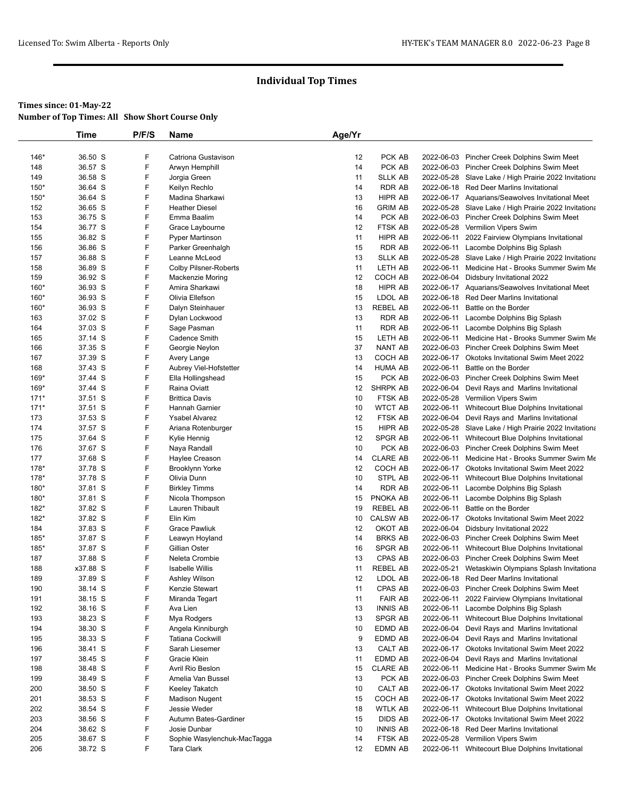|            | Time               | P/F/S  | Name                                     | Age/Yr   |                           |            |                                                                                 |
|------------|--------------------|--------|------------------------------------------|----------|---------------------------|------------|---------------------------------------------------------------------------------|
|            |                    |        |                                          |          |                           |            |                                                                                 |
| $146*$     | 36.50 S            | F      | Catriona Gustavison                      | 12       | PCK AB                    |            | 2022-06-03 Pincher Creek Dolphins Swim Meet                                     |
| 148        | 36.57 S            | F      | Arwyn Hemphill                           | 14       | PCK AB                    |            | 2022-06-03 Pincher Creek Dolphins Swim Meet                                     |
| 149        | 36.58 S            | F      | Jorgia Green                             | 11       | <b>SLLK AB</b>            |            | 2022-05-28 Slave Lake / High Prairie 2022 Invitationa                           |
| 150*       | 36.64 S            | F<br>F | Keilyn Rechlo                            | 14       | RDR AB                    |            | 2022-06-18 Red Deer Marlins Invitational                                        |
| 150*       | 36.64 S<br>36.65 S | F      | Madina Sharkawi<br><b>Heather Diesel</b> | 13<br>16 | HIPR AB<br><b>GRIM AB</b> |            | 2022-06-17 Aquarians/Seawolves Invitational Meet                                |
| 152<br>153 | 36.75 S            | F      | Emma Baalim                              | 14       | PCK AB                    |            | 2022-05-28 Slave Lake / High Prairie 2022 Invitationa                           |
| 154        | 36.77 S            | F      | Grace Laybourne                          | 12       | FTSK AB                   |            | 2022-06-03 Pincher Creek Dolphins Swim Meet<br>2022-05-28 Vermilion Vipers Swim |
| 155        | 36.82 S            | F      | <b>Pyper Martinson</b>                   | 11       | HIPR AB                   |            | 2022-06-11 2022 Fairview Olympians Invitational                                 |
| 156        | 36.86 S            | F      | Parker Greenhalgh                        | 15       | <b>RDR AB</b>             |            | 2022-06-11 Lacombe Dolphins Big Splash                                          |
| 157        | 36.88 S            | F      | Leanne McLeod                            | 13       | <b>SLLK AB</b>            |            | 2022-05-28 Slave Lake / High Prairie 2022 Invitationa                           |
| 158        | 36.89 S            | F      | Colby Pilsner-Roberts                    | 11       | LETH AB                   |            | 2022-06-11 Medicine Hat - Brooks Summer Swim Me                                 |
| 159        | 36.92 S            | F      | Mackenzie Moring                         | 12       | COCH AB                   |            | 2022-06-04 Didsbury Invitational 2022                                           |
| 160*       | 36.93 S            | F      | Amira Sharkawi                           | 18       | HIPR AB                   |            | 2022-06-17 Aquarians/Seawolves Invitational Meet                                |
| 160*       | 36.93 S            | F      | Olivia Ellefson                          | 15       | LDOL AB                   |            | 2022-06-18 Red Deer Marlins Invitational                                        |
| 160*       | 36.93 S            | F      | Dalyn Steinhauer                         | 13       | <b>REBEL AB</b>           |            | 2022-06-11 Battle on the Border                                                 |
| 163        | 37.02 S            | F      | Dylan Lockwood                           | 13       | RDR AB                    |            | 2022-06-11 Lacombe Dolphins Big Splash                                          |
| 164        | 37.03 S            | F      | Sage Pasman                              | 11       | <b>RDR AB</b>             |            | 2022-06-11 Lacombe Dolphins Big Splash                                          |
| 165        | 37.14 S            | F      | Cadence Smith                            | 15       | LETH AB                   |            | 2022-06-11 Medicine Hat - Brooks Summer Swim Me                                 |
| 166        | 37.35 S            | F      | Georgie Neylon                           | 37       | NANT AB                   |            | 2022-06-03 Pincher Creek Dolphins Swim Meet                                     |
| 167        | 37.39 S            | F      | Avery Lange                              | 13       | COCH AB                   |            | 2022-06-17 Okotoks Invitational Swim Meet 2022                                  |
| 168        | 37.43 S            | F      | Aubrey Viel-Hofstetter                   | 14       | <b>HUMA AB</b>            |            | 2022-06-11 Battle on the Border                                                 |
| 169*       | 37.44 S            | F      | Ella Hollingshead                        | 15       | PCK AB                    |            | 2022-06-03 Pincher Creek Dolphins Swim Meet                                     |
| 169*       | 37.44 S            | F      | Raina Oviatt                             | 12       | SHRPK AB                  |            | 2022-06-04 Devil Rays and Marlins Invitational                                  |
| $171*$     | 37.51 S            | F      | <b>Brittica Davis</b>                    | 10       | FTSK AB                   |            | 2022-05-28 Vermilion Vipers Swim                                                |
| $171*$     | 37.51 S            | F      | Hannah Garnier                           | 10       | <b>WTCT AB</b>            |            | 2022-06-11 Whitecourt Blue Dolphins Invitational                                |
| 173        | 37.53 S            | F      | <b>Ysabel Alvarez</b>                    | 12       | FTSK AB                   |            | 2022-06-04 Devil Rays and Marlins Invitational                                  |
| 174        | 37.57 S            | F      | Ariana Rotenburger                       | 15       | HIPR AB                   |            | 2022-05-28 Slave Lake / High Prairie 2022 Invitationa                           |
| 175        | 37.64 S            | F      | Kylie Hennig                             | 12       | SPGR AB                   |            | 2022-06-11 Whitecourt Blue Dolphins Invitational                                |
| 176        | 37.67 S            | F      | Naya Randall                             | 10       | PCK AB                    |            | 2022-06-03 Pincher Creek Dolphins Swim Meet                                     |
| 177        | 37.68 S            | F      | Haylee Creason                           | 14       | <b>CLARE AB</b>           |            | 2022-06-11 Medicine Hat - Brooks Summer Swim Me                                 |
| 178*       | 37.78 S            | F      | <b>Brooklynn Yorke</b>                   | 12       | COCH AB                   |            | 2022-06-17 Okotoks Invitational Swim Meet 2022                                  |
| 178*       | 37.78 S            | F      | Olivia Dunn                              | 10       | STPL AB                   | 2022-06-11 | Whitecourt Blue Dolphins Invitational                                           |
| 180*       | 37.81 S            | F      | <b>Birkley Timms</b>                     | 14       | RDR AB                    |            | 2022-06-11 Lacombe Dolphins Big Splash                                          |
| 180*       | 37.81 S            | F      | Nicola Thompson                          | 15       | PNOKA AB                  |            | 2022-06-11 Lacombe Dolphins Big Splash                                          |
| $182*$     | 37.82 S            | F      | Lauren Thibault                          | 19       | REBEL AB                  | 2022-06-11 | Battle on the Border                                                            |
| $182*$     | 37.82 S            | F      | Elin Kim                                 | 10       | <b>CALSW AB</b>           |            | 2022-06-17 Okotoks Invitational Swim Meet 2022                                  |
| 184        | 37.83 S            | F      | <b>Grace Pawliuk</b>                     | 12       | OKOT AB                   |            | 2022-06-04 Didsbury Invitational 2022                                           |
| $185*$     | 37.87 S            | F      | Leawyn Hoyland                           | 14       | <b>BRKS AB</b>            |            | 2022-06-03 Pincher Creek Dolphins Swim Meet                                     |
| 185*       | 37.87 S            | F      | Gillian Oster                            | 16       | SPGR AB                   |            | 2022-06-11 Whitecourt Blue Dolphins Invitational                                |
| 187        | 37.88 S            | F      | Neleta Crombie                           | 13       | CPAS AB                   |            | 2022-06-03 Pincher Creek Dolphins Swim Meet                                     |
| 188        | x37.88 S           | F      | <b>Isabelle Willis</b>                   | 11       | REBEL AB                  |            | 2022-05-21 Wetaskiwin Olympians Splash Invitationa                              |
| 189        | 37.89 S            | F      | Ashley Wilson                            | 12       | LDOL AB                   |            | 2022-06-18 Red Deer Marlins Invitational                                        |
| 190        | 38.14 S            | F      | Kenzie Stewart                           | 11       | CPAS AB                   |            | 2022-06-03 Pincher Creek Dolphins Swim Meet                                     |
| 191        | 38.15 S            | F      | Miranda Tegart                           | 11       | <b>FAIR AB</b>            | 2022-06-11 | 2022 Fairview Olympians Invitational                                            |
| 192        | 38.16 S            | F      | Ava Lien                                 | 13       | <b>INNIS AB</b>           |            | 2022-06-11 Lacombe Dolphins Big Splash                                          |
| 193        | 38.23 S            | F      | Mya Rodgers                              | 13       | SPGR AB                   |            | 2022-06-11 Whitecourt Blue Dolphins Invitational                                |
| 194        | 38.30 S            | F      | Angela Kinniburgh                        | 10       | EDMD AB                   | 2022-06-04 | Devil Rays and Marlins Invitational                                             |
| 195        | 38.33 S            | F      | Tatiana Cockwill                         | 9        | EDMD AB                   | 2022-06-04 | Devil Rays and Marlins Invitational                                             |
| 196        | 38.41 S            | F      | Sarah Liesemer                           | 13       | CALT AB                   |            | 2022-06-17 Okotoks Invitational Swim Meet 2022                                  |
| 197        | 38.45 S            | F      | Gracie Klein                             | 11       | EDMD AB                   | 2022-06-04 | Devil Rays and Marlins Invitational                                             |
| 198        | 38.48 S            | F      | Avril Rio Beslon                         | 15       | <b>CLARE AB</b>           |            | 2022-06-11 Medicine Hat - Brooks Summer Swim Me                                 |
| 199        | 38.49 S            | F      | Amelia Van Bussel                        | 13       | PCK AB                    |            | 2022-06-03 Pincher Creek Dolphins Swim Meet                                     |
| 200        | 38.50 S            | F      | Keeley Takatch                           | 10       | CALT AB                   |            | 2022-06-17 Okotoks Invitational Swim Meet 2022                                  |
| 201        | 38.53 S            | F      | <b>Madison Nugent</b>                    | 15       | COCH AB                   |            | 2022-06-17 Okotoks Invitational Swim Meet 2022                                  |
| 202        | 38.54 S            | F      | Jessie Weder                             | 18       | <b>WTLK AB</b>            | 2022-06-11 | Whitecourt Blue Dolphins Invitational                                           |
| 203        | 38.56 S            | F      | Autumn Bates-Gardiner                    | 15       | DIDS AB                   |            | 2022-06-17 Okotoks Invitational Swim Meet 2022                                  |
| 204        | 38.62 S            | F      | Josie Dunbar                             | 10       | <b>INNIS AB</b>           |            | 2022-06-18 Red Deer Marlins Invitational                                        |
| 205        | 38.67 S            | F      | Sophie Wasylenchuk-MacTagga              | 14       | FTSK AB                   |            | 2022-05-28 Vermilion Vipers Swim                                                |
| 206        | 38.72 S            | F      | Tara Clark                               | 12       | EDMN AB                   |            | 2022-06-11 Whitecourt Blue Dolphins Invitational                                |
|            |                    |        |                                          |          |                           |            |                                                                                 |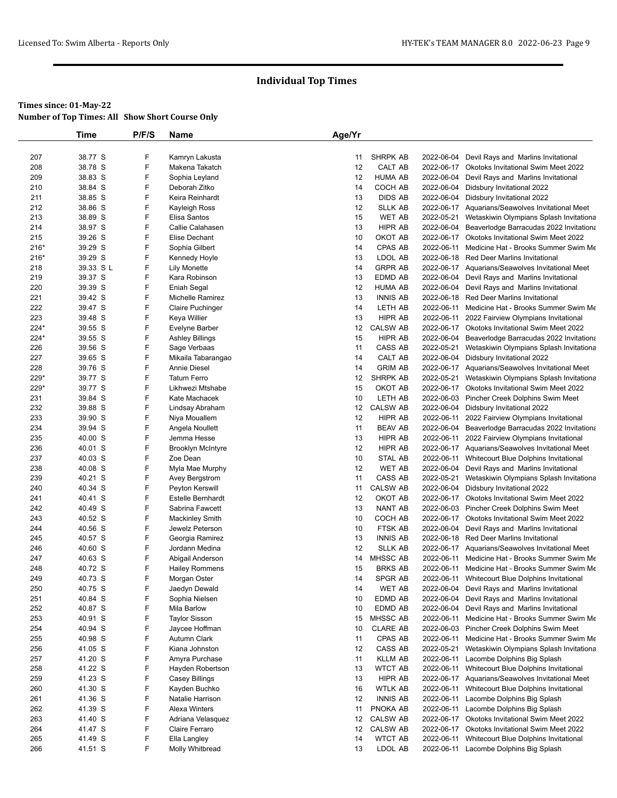|             | <b>Time</b>        | P/F/S  | Name                            | Age/Yr   |                    |                          |                                                                                                      |
|-------------|--------------------|--------|---------------------------------|----------|--------------------|--------------------------|------------------------------------------------------------------------------------------------------|
|             |                    |        |                                 |          |                    |                          |                                                                                                      |
| 207         | 38.77 S            | F      | Kamryn Lakusta                  | 11       | <b>SHRPK AB</b>    | 2022-06-04               | Devil Rays and Marlins Invitational                                                                  |
| 208         | 38.78 S            | F      | Makena Takatch                  | 12       | CALT AB            | 2022-06-17               | Okotoks Invitational Swim Meet 2022                                                                  |
| 209         | 38.83 S            | F      | Sophia Leyland                  | 12       | <b>HUMA AB</b>     | 2022-06-04               | Devil Rays and Marlins Invitational                                                                  |
| 210         | 38.84 S            | F      | Deborah Zitko                   | 14       | COCH AB            | 2022-06-04               | Didsbury Invitational 2022                                                                           |
| 211         | 38.85 S            | F      | Keira Reinhardt                 | 13       | DIDS AB            | 2022-06-04               | Didsbury Invitational 2022                                                                           |
| 212         | 38.86 S            | F      | Kayleigh Ross                   | 12       | <b>SLLK AB</b>     |                          | 2022-06-17 Aquarians/Seawolves Invitational Meet                                                     |
| 213         | 38.89 S            | F      | Elisa Santos                    | 15       | <b>WET AB</b>      |                          | 2022-05-21 Wetaskiwin Olympians Splash Invitationa                                                   |
| 214         | 38.97 S            | F      | Callie Calahasen                | 13       | HIPR AB            | 2022-06-04               | Beaverlodge Barracudas 2022 Invitationa                                                              |
| 215         | 39.26 S            | F      | Elise Dechant                   | 10       | OKOT AB            | 2022-06-17               | Okotoks Invitational Swim Meet 2022                                                                  |
| $216*$      | 39.29 S            | F      | Sophia Gilbert                  | 14       | CPAS AB            |                          | 2022-06-11 Medicine Hat - Brooks Summer Swim Me                                                      |
| $216*$      | 39.29 S            | F      | Kennedy Hoyle                   | 13       | LDOL AB            |                          | 2022-06-18 Red Deer Marlins Invitational                                                             |
| 218         | 39.33 S L          | F      | <b>Lily Monette</b>             | 14       | <b>GRPR AB</b>     |                          | 2022-06-17 Aquarians/Seawolves Invitational Meet                                                     |
| 219         | 39.37 S            | F      | Kara Robinson                   | 13       | EDMD AB            |                          | 2022-06-04 Devil Rays and Marlins Invitational                                                       |
| 220         | 39.39 S            | F      | Eniah Segal                     | 12       | <b>HUMA AB</b>     | 2022-06-04               | Devil Rays and Marlins Invitational                                                                  |
| 221         | 39.42 S            | F      | <b>Michelle Ramirez</b>         | 13       | <b>INNIS AB</b>    | 2022-06-18               | <b>Red Deer Marlins Invitational</b>                                                                 |
| 222         | 39.47 S            | F<br>F | <b>Claire Puchinger</b>         | 14<br>13 | LETH AB<br>HIPR AB |                          | 2022-06-11 Medicine Hat - Brooks Summer Swim Me                                                      |
| 223<br>224* | 39.48 S<br>39.55 S | F      | Keya Willier                    | 12       | <b>CALSW AB</b>    |                          | 2022-06-11 2022 Fairview Olympians Invitational                                                      |
| 224*        | 39.55 S            | F      | Evelyne Barber                  | 15       | HIPR AB            |                          | 2022-06-17 Okotoks Invitational Swim Meet 2022<br>2022-06-04 Beaverlodge Barracudas 2022 Invitationa |
| 226         | 39.56 S            | F      | Ashley Billings<br>Sage Verbaas | 11       | CASS AB            | 2022-05-21               | Wetaskiwin Olympians Splash Invitationa                                                              |
| 227         | 39.65 S            | F      | Mikaila Tabarangao              | 14       | CALT AB            | 2022-06-04               | Didsbury Invitational 2022                                                                           |
| 228         | 39.76 S            | F      | Annie Diesel                    | 14       | <b>GRIM AB</b>     |                          | 2022-06-17 Aquarians/Seawolves Invitational Meet                                                     |
| 229*        | 39.77 S            | F      | <b>Tatum Ferro</b>              | 12       | SHRPK AB           |                          | 2022-05-21 Wetaskiwin Olympians Splash Invitationa                                                   |
| 229*        | 39.77 S            | F      | Likhwezi Mtshabe                | 15       | OKOT AB            |                          | 2022-06-17 Okotoks Invitational Swim Meet 2022                                                       |
| 231         | 39.84 S            | F      | Kate Machacek                   | 10       | LETH AB            |                          | 2022-06-03 Pincher Creek Dolphins Swim Meet                                                          |
| 232         | 39.88 S            | F      | Lindsay Abraham                 | 12       | <b>CALSW AB</b>    |                          | 2022-06-04 Didsbury Invitational 2022                                                                |
| 233         | 39.90 S            | F      | Niya Mouallem                   | 12       | HIPR AB            | 2022-06-11               | 2022 Fairview Olympians Invitational                                                                 |
| 234         | 39.94 S            | F      | Angela Noullett                 | 11       | <b>BEAV AB</b>     | 2022-06-04               | Beaverlodge Barracudas 2022 Invitationa                                                              |
| 235         | 40.00 S            | F      | Jemma Hesse                     | 13       | HIPR AB            | 2022-06-11               | 2022 Fairview Olympians Invitational                                                                 |
| 236         | 40.01 S            | F      | <b>Brooklyn McIntyre</b>        | 12       | HIPR AB            |                          | 2022-06-17 Aquarians/Seawolves Invitational Meet                                                     |
| 237         | 40.03 S            | F      | Zoe Dean                        | 10       | <b>STAL AB</b>     |                          | 2022-06-11 Whitecourt Blue Dolphins Invitational                                                     |
| 238         | 40.08 S            | F      | Myla Mae Murphy                 | 12       | <b>WET AB</b>      |                          | 2022-06-04 Devil Rays and Marlins Invitational                                                       |
| 239         | 40.21 S            | F      | Avey Bergstrom                  | 11       | CASS AB            | 2022-05-21               | Wetaskiwin Olympians Splash Invitationa                                                              |
| 240         | 40.34 S            | F      | Peyton Kerswill                 | 11       | <b>CALSW AB</b>    | 2022-06-04               | Didsbury Invitational 2022                                                                           |
| 241         | 40.41 S            | F      | Estelle Bernhardt               | 12       | OKOT AB            |                          | 2022-06-17 Okotoks Invitational Swim Meet 2022                                                       |
| 242         | 40.49 S            | F      | Sabrina Fawcett                 | 13       | <b>NANT AB</b>     |                          | 2022-06-03 Pincher Creek Dolphins Swim Meet                                                          |
| 243         | 40.52 S            | F      | Mackinley Smith                 | 10       | COCH AB            |                          | 2022-06-17 Okotoks Invitational Swim Meet 2022                                                       |
| 244         | 40.56 S            | F      | Jewelz Peterson                 | 10       | FTSK AB            | 2022-06-04               | Devil Rays and Marlins Invitational                                                                  |
| 245         | 40.57 S            | F      | Georgia Ramirez                 | 13       | <b>INNIS AB</b>    |                          | 2022-06-18 Red Deer Marlins Invitational                                                             |
| 246         | 40.60 S            | F      | Jordann Medina                  | 12       | <b>SLLK AB</b>     |                          | 2022-06-17 Aquarians/Seawolves Invitational Meet                                                     |
| 247         | 40.63 S            | F      | Abigail Anderson                | 14       | MHSSC AB           |                          | 2022-06-11 Medicine Hat - Brooks Summer Swim Me                                                      |
| 248         | 40.72 S            | F<br>F | <b>Hailey Rommens</b>           | 15       | <b>BRKS AB</b>     |                          | 2022-06-11 Medicine Hat - Brooks Summer Swim Me                                                      |
| 249         | 40.73 S<br>40.75 S | F      | Morgan Oster                    | 14       | SPGR AB            |                          | 2022-06-11 Whitecourt Blue Dolphins Invitational                                                     |
| 250         |                    | F      | Jaedyn Dewald                   | 14       | <b>WET AB</b>      |                          | 2022-06-04 Devil Rays and Marlins Invitational                                                       |
| 251<br>252  | 40.84 S<br>40.87 S | F      | Sophia Nielsen<br>Mila Barlow   | 10<br>10 | EDMD AB<br>EDMD AB | 2022-06-04<br>2022-06-04 | Devil Rays and Marlins Invitational<br>Devil Rays and Marlins Invitational                           |
| 253         | 40.91 S            | F      | <b>Taylor Sisson</b>            | 15       | MHSSC AB           | 2022-06-11               | Medicine Hat - Brooks Summer Swim Me                                                                 |
| 254         | 40.94 S            | F      | Jaycee Hoffman                  | 10       | <b>CLARE AB</b>    |                          | 2022-06-03 Pincher Creek Dolphins Swim Meet                                                          |
| 255         | 40.98 S            | F      | Autumn Clark                    | 11       | CPAS AB            |                          | 2022-06-11 Medicine Hat - Brooks Summer Swim Me                                                      |
| 256         | 41.05 S            | F      | Kiana Johnston                  | 12       | CASS AB            | 2022-05-21               | Wetaskiwin Olympians Splash Invitationa                                                              |
| 257         | 41.20 S            | F      | Amyra Purchase                  | 11       | <b>KLLM AB</b>     |                          | 2022-06-11 Lacombe Dolphins Big Splash                                                               |
| 258         | 41.22 S            | F      | Hayden Robertson                | 13       | <b>WTCT AB</b>     |                          | 2022-06-11 Whitecourt Blue Dolphins Invitational                                                     |
| 259         | 41.23 S            | F      | Casey Billings                  | 13       | HIPR AB            |                          | 2022-06-17 Aquarians/Seawolves Invitational Meet                                                     |
| 260         | 41.30 S            | F      | Kayden Buchko                   | 16       | <b>WTLK AB</b>     |                          | 2022-06-11 Whitecourt Blue Dolphins Invitational                                                     |
| 261         | 41.36 S            | F      | Natalie Harrison                | 12       | <b>INNIS AB</b>    |                          | 2022-06-11 Lacombe Dolphins Big Splash                                                               |
| 262         | 41.39 S            | F      | Alexa Winters                   | 11       | PNOKA AB           |                          | 2022-06-11 Lacombe Dolphins Big Splash                                                               |
| 263         | 41.40 S            | F      | Adriana Velasquez               | 12       | <b>CALSW AB</b>    |                          | 2022-06-17 Okotoks Invitational Swim Meet 2022                                                       |
| 264         | 41.47 S            | F      | Claire Ferraro                  | 12       | <b>CALSW AB</b>    |                          | 2022-06-17 Okotoks Invitational Swim Meet 2022                                                       |
| 265         | 41.49 S            | F      | Ella Langley                    | 14       | <b>WTCT AB</b>     | 2022-06-11               | Whitecourt Blue Dolphins Invitational                                                                |
| 266         | 41.51 S            | F      | Molly Whitbread                 | 13       | LDOL AB            |                          | 2022-06-11 Lacombe Dolphins Big Splash                                                               |
|             |                    |        |                                 |          |                    |                          |                                                                                                      |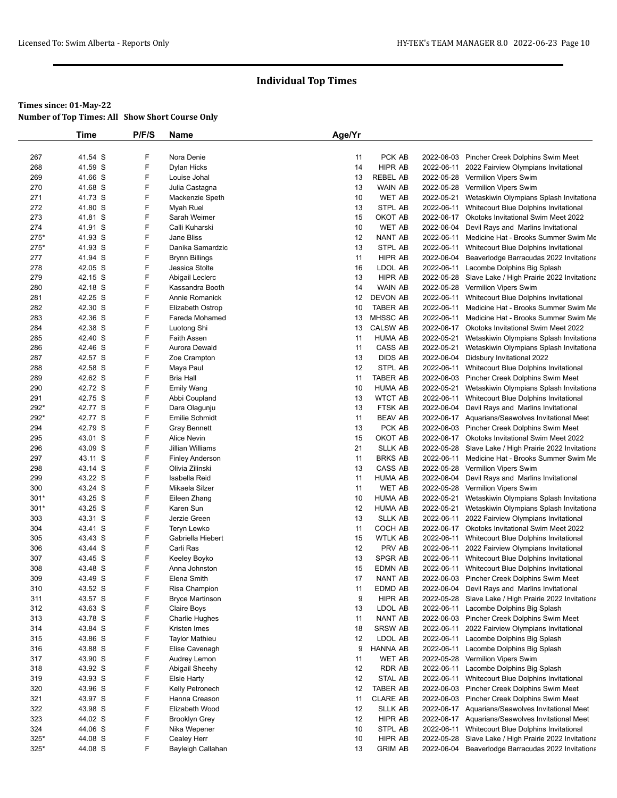|            | Time               | P/F/S  | Name                               | Age/Yr   |                             |                          |                                                                                           |
|------------|--------------------|--------|------------------------------------|----------|-----------------------------|--------------------------|-------------------------------------------------------------------------------------------|
|            |                    |        |                                    |          |                             |                          |                                                                                           |
| 267        | 41.54 S            | F      | Nora Denie                         | 11       | PCK AB                      |                          | 2022-06-03 Pincher Creek Dolphins Swim Meet                                               |
| 268        | 41.59 S            | F      | Dylan Hicks                        | 14       | HIPR AB                     | 2022-06-11               | 2022 Fairview Olympians Invitational                                                      |
| 269        | 41.66 S            | F      | Louise Johal                       | 13       | <b>REBEL AB</b>             |                          | 2022-05-28 Vermilion Vipers Swim                                                          |
| 270        | 41.68 S            | F      | Julia Castagna                     | 13       | WAIN AB                     |                          | 2022-05-28 Vermilion Vipers Swim                                                          |
| 271        | 41.73 S            | F      | Mackenzie Speth                    | 10       | <b>WET AB</b>               | 2022-05-21               | Wetaskiwin Olympians Splash Invitationa                                                   |
| 272        | 41.80 S            | F      | Myah Ruel                          | 13       | STPL AB                     | 2022-06-11               | Whitecourt Blue Dolphins Invitational                                                     |
| 273        | 41.81 S            | F      | Sarah Weimer                       | 15       | OKOT AB                     |                          | 2022-06-17 Okotoks Invitational Swim Meet 2022                                            |
| 274        | 41.91 S            | F      | Calli Kuharski                     | 10       | <b>WET AB</b>               |                          | 2022-06-04 Devil Rays and Marlins Invitational                                            |
| 275*       | 41.93 S            | F      | Jane Bliss                         | 12       | <b>NANT AB</b>              | 2022-06-11               | Medicine Hat - Brooks Summer Swim Me                                                      |
| 275*       | 41.93 S            | F      | Danika Samardzic                   | 13       | STPL AB                     |                          | 2022-06-11 Whitecourt Blue Dolphins Invitational                                          |
| 277        | 41.94 S            | F      | <b>Brynn Billings</b>              | 11       | HIPR AB                     | 2022-06-04               | Beaverlodge Barracudas 2022 Invitationa                                                   |
| 278        | 42.05 S            | F      | Jessica Stolte                     | 16       | LDOL AB                     | 2022-06-11               | Lacombe Dolphins Big Splash                                                               |
| 279        | 42.15 S            | F      | Abigail Leclerc                    | 13       | HIPR AB                     |                          | 2022-05-28 Slave Lake / High Prairie 2022 Invitationa                                     |
| 280        | 42.18 S            | F<br>F | Kassandra Booth                    | 14       | <b>WAIN AB</b>              |                          | 2022-05-28 Vermilion Vipers Swim                                                          |
| 281<br>282 | 42.25 S<br>42.30 S | F      | Annie Romanick                     | 12<br>10 | DEVON AB<br><b>TABER AB</b> | 2022-06-11<br>2022-06-11 | Whitecourt Blue Dolphins Invitational<br>Medicine Hat - Brooks Summer Swim Me             |
| 283        | 42.36 S            | F      | Elizabeth Ostrop<br>Fareda Mohamed | 13       | <b>MHSSC AB</b>             | 2022-06-11               | Medicine Hat - Brooks Summer Swim Me                                                      |
| 284        | 42.38 S            | F      | Luotong Shi                        | 13       | <b>CALSW AB</b>             | 2022-06-17               | Okotoks Invitational Swim Meet 2022                                                       |
| 285        | 42.40 S            | F      | <b>Faith Assen</b>                 | 11       | <b>HUMA AB</b>              | 2022-05-21               | Wetaskiwin Olympians Splash Invitationa                                                   |
| 286        | 42.46 S            | F      | Aurora Dewald                      | 11       | CASS AB                     | 2022-05-21               | Wetaskiwin Olympians Splash Invitationa                                                   |
| 287        | 42.57 S            | F      | Zoe Crampton                       | 13       | <b>DIDS AB</b>              | 2022-06-04               | Didsbury Invitational 2022                                                                |
| 288        | 42.58 S            | F      | Maya Paul                          | 12       | STPL AB                     |                          | 2022-06-11 Whitecourt Blue Dolphins Invitational                                          |
| 289        | 42.62 S            | F      | <b>Bria Hall</b>                   | 11       | <b>TABER AB</b>             |                          | 2022-06-03 Pincher Creek Dolphins Swim Meet                                               |
| 290        | 42.72 S            | F      | Emily Wang                         | 10       | <b>HUMA AB</b>              | 2022-05-21               | Wetaskiwin Olympians Splash Invitationa                                                   |
| 291        | 42.75 S            | F      | Abbi Coupland                      | 13       | <b>WTCT AB</b>              |                          | 2022-06-11 Whitecourt Blue Dolphins Invitational                                          |
| 292*       | 42.77 S            | F      | Dara Olagunju                      | 13       | FTSK AB                     |                          | 2022-06-04 Devil Rays and Marlins Invitational                                            |
| 292*       | 42.77 S            | F      | <b>Emilie Schmidt</b>              | 11       | <b>BEAV AB</b>              |                          | 2022-06-17 Aquarians/Seawolves Invitational Meet                                          |
| 294        | 42.79 S            | F      | Gray Bennett                       | 13       | PCK AB                      |                          | 2022-06-03 Pincher Creek Dolphins Swim Meet                                               |
| 295        | 43.01 S            | F      | Alice Nevin                        | 15       | OKOT AB                     |                          | 2022-06-17 Okotoks Invitational Swim Meet 2022                                            |
| 296        | 43.09 S            | F      | Jillian Williams                   | 21       | <b>SLLK AB</b>              |                          | 2022-05-28 Slave Lake / High Prairie 2022 Invitationa                                     |
| 297        | 43.11 S            | F      | <b>Finley Anderson</b>             | 11       | <b>BRKS AB</b>              | 2022-06-11               | Medicine Hat - Brooks Summer Swim Me                                                      |
| 298        | 43.14 S            | F      | Olivia Zilinski                    | 13       | CASS AB                     |                          | 2022-05-28 Vermilion Vipers Swim                                                          |
| 299        | 43.22 S            | F      | Isabella Reid                      | 11       | <b>HUMA AB</b>              |                          | 2022-06-04 Devil Rays and Marlins Invitational                                            |
| 300        | 43.24 S            | F      | Mikaela Silzer                     | 11       | <b>WET AB</b>               |                          | 2022-05-28 Vermilion Vipers Swim                                                          |
| $301*$     | 43.25 S            | F      | Eileen Zhang                       | 10       | <b>HUMA AB</b>              | 2022-05-21               | Wetaskiwin Olympians Splash Invitationa                                                   |
| $301*$     | 43.25 S            | F      | Karen Sun                          | 12       | <b>HUMA AB</b>              | 2022-05-21               | Wetaskiwin Olympians Splash Invitationa                                                   |
| 303        | 43.31 S            | F      | Jerzie Green                       | 13       | <b>SLLK AB</b>              | 2022-06-11               | 2022 Fairview Olympians Invitational                                                      |
| 304        | 43.41 S            | F      | Teryn Lewko                        | 11       | COCH AB                     |                          | 2022-06-17 Okotoks Invitational Swim Meet 2022                                            |
| 305        | 43.43 S            | F<br>F | Gabriella Hiebert                  | 15       | <b>WTLK AB</b>              | 2022-06-11               | Whitecourt Blue Dolphins Invitational                                                     |
| 306        | 43.44 S            | F      | Carli Ras                          | 12<br>13 | PRV AB<br><b>SPGR AB</b>    | 2022-06-11               | 2022 Fairview Olympians Invitational                                                      |
| 307<br>308 | 43.45 S<br>43.48 S | F      | Keeley Boyko<br>Anna Johnston      | 15       | EDMN AB                     | 2022-06-11               | Whitecourt Blue Dolphins Invitational<br>2022-06-11 Whitecourt Blue Dolphins Invitational |
| 309        | 43.49 S            | F      | Elena Smith                        | 17       | NANT AB                     |                          | 2022-06-03 Pincher Creek Dolphins Swim Meet                                               |
| 310        | 43.52 S            | F      | Risa Champion                      | 11       | EDMD AB                     |                          | 2022-06-04 Devil Rays and Marlins Invitational                                            |
| 311        | 43.57 S            | F      | <b>Bryce Martinson</b>             | 9        | HIPR AB                     |                          | 2022-05-28 Slave Lake / High Prairie 2022 Invitationa                                     |
| 312        | 43.63 S            | F      | Claire Boys                        | 13       | LDOL AB                     | 2022-06-11               | Lacombe Dolphins Big Splash                                                               |
| 313        | 43.78 S            | F      | Charlie Hughes                     | 11       | NANT AB                     |                          | 2022-06-03 Pincher Creek Dolphins Swim Meet                                               |
| 314        | 43.84 S            | F      | Kristen Imes                       | 18       | <b>SRSW AB</b>              | 2022-06-11               | 2022 Fairview Olympians Invitational                                                      |
| 315        | 43.86 S            | F      | Taylor Mathieu                     | 12       | LDOL AB                     | 2022-06-11               | Lacombe Dolphins Big Splash                                                               |
| 316        | 43.88 S            | F      | Elise Cavenagh                     | 9        | HANNA AB                    | 2022-06-11               | Lacombe Dolphins Big Splash                                                               |
| 317        | 43.90 S            | F      | Audrey Lemon                       | 11       | WET AB                      |                          | 2022-05-28 Vermilion Vipers Swim                                                          |
| 318        | 43.92 S            | F      | Abigail Sheehy                     | 12       | RDR AB                      | 2022-06-11               | Lacombe Dolphins Big Splash                                                               |
| 319        | 43.93 S            | F      | <b>Elsie Harty</b>                 | 12       | STAL AB                     | 2022-06-11               | Whitecourt Blue Dolphins Invitational                                                     |
| 320        | 43.96 S            | F      | Kelly Petronech                    | 12       | TABER AB                    |                          | 2022-06-03 Pincher Creek Dolphins Swim Meet                                               |
| 321        | 43.97 S            | F      | Hanna Creason                      | 11       | <b>CLARE AB</b>             |                          | 2022-06-03 Pincher Creek Dolphins Swim Meet                                               |
| 322        | 43.98 S            | F      | Elizabeth Wood                     | 12       | <b>SLLK AB</b>              |                          | 2022-06-17 Aquarians/Seawolves Invitational Meet                                          |
| 323        | 44.02 S            | F      | Brooklyn Grey                      | 12       | HIPR AB                     |                          | 2022-06-17 Aquarians/Seawolves Invitational Meet                                          |
| 324        | 44.06 S            | F      | Nika Wepener                       | 10       | STPL AB                     |                          | 2022-06-11 Whitecourt Blue Dolphins Invitational                                          |
| $325*$     | 44.08 S            | F      | Cealey Herr                        | 10       | HIPR AB                     | 2022-05-28               | Slave Lake / High Prairie 2022 Invitationa                                                |
| $325*$     | 44.08 S            | F      | Bayleigh Callahan                  | 13       | <b>GRIM AB</b>              | 2022-06-04               | Beaverlodge Barracudas 2022 Invitationa                                                   |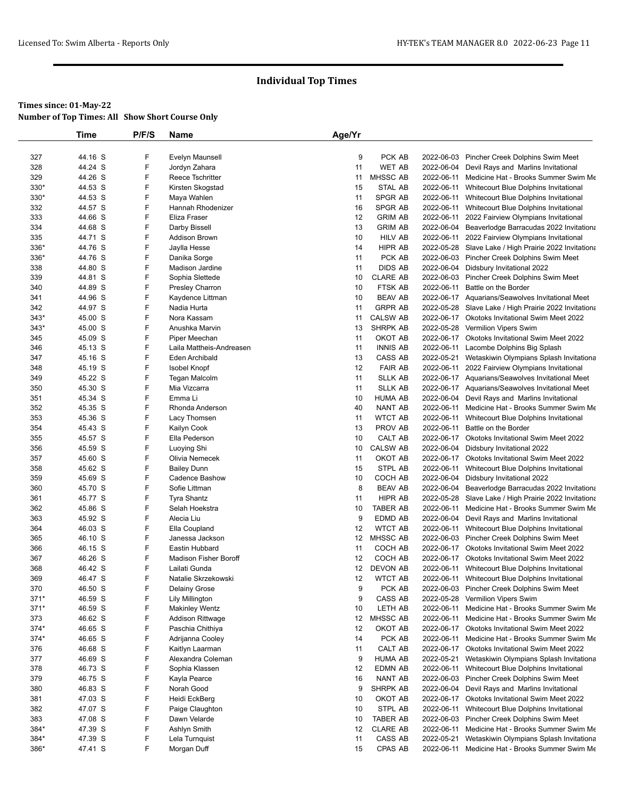|            | <b>Time</b>        | P/F/S  | Name                                           | Age/Yr   |                    |            |                                                                                                  |
|------------|--------------------|--------|------------------------------------------------|----------|--------------------|------------|--------------------------------------------------------------------------------------------------|
|            |                    |        |                                                |          |                    |            |                                                                                                  |
| 327        | 44.16 S            | F      | Evelyn Maunsell                                | 9        | PCK AB             |            | 2022-06-03 Pincher Creek Dolphins Swim Meet                                                      |
| 328        | 44.24 S            | F      | Jordyn Zahara                                  | 11       | <b>WET AB</b>      | 2022-06-04 | Devil Rays and Marlins Invitational                                                              |
| 329        | 44.26 S            | F      | Reece Tschritter                               | 11       | MHSSC AB           | 2022-06-11 | Medicine Hat - Brooks Summer Swim Me                                                             |
| 330*       | 44.53 S            | F      | Kirsten Skogstad                               | 15       | STAL AB            | 2022-06-11 | Whitecourt Blue Dolphins Invitational                                                            |
| 330*       | 44.53 S            | F      | Maya Wahlen                                    | 11       | SPGR AB            | 2022-06-11 | Whitecourt Blue Dolphins Invitational                                                            |
| 332        | 44.57 S            | F      | Hannah Rhodenizer                              | 16       | <b>SPGR AB</b>     | 2022-06-11 | Whitecourt Blue Dolphins Invitational                                                            |
| 333        | 44.66 S            | F      | Eliza Fraser                                   | 12       | <b>GRIM AB</b>     | 2022-06-11 | 2022 Fairview Olympians Invitational                                                             |
| 334        | 44.68 S            | F      | Darby Bissell                                  | 13       | <b>GRIM AB</b>     | 2022-06-04 | Beaverlodge Barracudas 2022 Invitationa                                                          |
| 335        | 44.71 S            | F      | Addison Brown                                  | 10       | <b>HILV AB</b>     |            | 2022-06-11 2022 Fairview Olympians Invitational                                                  |
| 336*       | 44.76 S            | F      | Jaylla Hesse                                   | 14       | HIPR AB<br>PCK AB  |            | 2022-05-28 Slave Lake / High Prairie 2022 Invitationa                                            |
| 336*       | 44.76 S<br>44.80 S | F<br>F | Danika Sorge                                   | 11<br>11 | <b>DIDS AB</b>     |            | 2022-06-03 Pincher Creek Dolphins Swim Meet<br>2022-06-04 Didsbury Invitational 2022             |
| 338<br>339 | 44.81 S            | F      | Madison Jardine<br>Sophia Slettede             | 10       | <b>CLARE AB</b>    |            |                                                                                                  |
| 340        | 44.89 S            | F      | Presley Charron                                | 10       | FTSK AB            | 2022-06-11 | 2022-06-03 Pincher Creek Dolphins Swim Meet<br>Battle on the Border                              |
| 341        | 44.96 S            | F      | Kaydence Littman                               | 10       | <b>BEAV AB</b>     |            | 2022-06-17 Aquarians/Seawolves Invitational Meet                                                 |
| 342        | 44.97 S            | F      | Nadia Hurta                                    | 11       | <b>GRPR AB</b>     |            | 2022-05-28 Slave Lake / High Prairie 2022 Invitationa                                            |
| $343*$     | 45.00 S            | F      | Nora Kassam                                    | 11       | <b>CALSW AB</b>    |            | 2022-06-17 Okotoks Invitational Swim Meet 2022                                                   |
| $343*$     | 45.00 S            | F      | Anushka Marvin                                 | 13       | <b>SHRPK AB</b>    |            | 2022-05-28 Vermilion Vipers Swim                                                                 |
| 345        | 45.09 S            | F      | Piper Meechan                                  | 11       | OKOT AB            |            | 2022-06-17 Okotoks Invitational Swim Meet 2022                                                   |
| 346        | 45.13 S            | F      | Laila Mattheis-Andreasen                       | 11       | <b>INNIS AB</b>    | 2022-06-11 | Lacombe Dolphins Big Splash                                                                      |
| 347        | 45.16 S            | F      | Eden Archibald                                 | 13       | CASS AB            | 2022-05-21 | Wetaskiwin Olympians Splash Invitationa                                                          |
| 348        | 45.19 S            | F      | <b>Isobel Knopf</b>                            | 12       | <b>FAIR AB</b>     | 2022-06-11 | 2022 Fairview Olympians Invitational                                                             |
| 349        | 45.22 S            | F      | <b>Tegan Malcolm</b>                           | 11       | <b>SLLK AB</b>     |            | 2022-06-17 Aquarians/Seawolves Invitational Meet                                                 |
| 350        | 45.30 S            | F      | Mia Vizcarra                                   | 11       | <b>SLLK AB</b>     |            | 2022-06-17 Aquarians/Seawolves Invitational Meet                                                 |
| 351        | 45.34 S            | F      | Emma Li                                        | 10       | <b>HUMA AB</b>     |            | 2022-06-04 Devil Rays and Marlins Invitational                                                   |
| 352        | 45.35 S            | F      | Rhonda Anderson                                | 40       | NANT AB            | 2022-06-11 | Medicine Hat - Brooks Summer Swim Me                                                             |
| 353        | 45.36 S            | F      | Lacy Thomsen                                   | 11       | <b>WTCT AB</b>     | 2022-06-11 | Whitecourt Blue Dolphins Invitational                                                            |
| 354        | 45.43 S            | F      | Kailyn Cook                                    | 13       | PROV AB            | 2022-06-11 | Battle on the Border                                                                             |
| 355        | 45.57 S            | F      | Ella Pederson                                  | 10       | CALT AB            |            | 2022-06-17 Okotoks Invitational Swim Meet 2022                                                   |
| 356        | 45.59 S            | F      | Luoying Shi                                    | 10       | <b>CALSW AB</b>    | 2022-06-04 | Didsbury Invitational 2022                                                                       |
| 357        | 45.60 S            | F      | Olivia Nemecek                                 | 11       | OKOT AB            |            | 2022-06-17 Okotoks Invitational Swim Meet 2022                                                   |
| 358        | 45.62 S            | F      | <b>Bailey Dunn</b>                             | 15       | STPL AB            | 2022-06-11 | Whitecourt Blue Dolphins Invitational                                                            |
| 359        | 45.69 S            | F      | Cadence Bashow                                 | 10       | COCH AB            | 2022-06-04 | Didsbury Invitational 2022                                                                       |
| 360        | 45.70 S            | F      | Sofie Littman                                  | 8        | <b>BEAV AB</b>     | 2022-06-04 | Beaverlodge Barracudas 2022 Invitationa                                                          |
| 361        | 45.77 S            | F      | Tyra Shantz                                    | 11       | HIPR AB            |            | 2022-05-28 Slave Lake / High Prairie 2022 Invitationa                                            |
| 362        | 45.86 S            | F      | Selah Hoekstra                                 | 10       | <b>TABER AB</b>    | 2022-06-11 | Medicine Hat - Brooks Summer Swim Me                                                             |
| 363        | 45.92 S            | F      | Alecia Liu                                     | 9        | EDMD AB            | 2022-06-04 | Devil Rays and Marlins Invitational                                                              |
| 364        | 46.03 S            | F      | Ella Coupland                                  | 12       | <b>WTCT AB</b>     |            | 2022-06-11 Whitecourt Blue Dolphins Invitational                                                 |
| 365        | 46.10 S            | F      | Janessa Jackson                                | 12       | <b>MHSSC AB</b>    |            | 2022-06-03 Pincher Creek Dolphins Swim Meet                                                      |
| 366        | 46.15 S            | F<br>F | Eastin Hubbard<br><b>Madison Fisher Boroff</b> | 11<br>12 | COCH AB<br>COCH AB |            | 2022-06-17 Okotoks Invitational Swim Meet 2022<br>2022-06-17 Okotoks Invitational Swim Meet 2022 |
| 367<br>368 | 46.26 S<br>46.42 S | F      | Lailati Gunda                                  | 12       | DEVON AB           |            | 2022-06-11 Whitecourt Blue Dolphins Invitational                                                 |
| 369        | 46.47 S            | F      | Natalie Skrzekowski                            | 12       | <b>WTCT AB</b>     |            | 2022-06-11 Whitecourt Blue Dolphins Invitational                                                 |
| 370        | 46.50 S            | F      | Delainy Grose                                  | 9        | PCK AB             |            | 2022-06-03 Pincher Creek Dolphins Swim Meet                                                      |
| $371*$     | 46.59 S            | F      | Lily Millington                                | 9        | CASS AB            | 2022-05-28 | Vermilion Vipers Swim                                                                            |
| 371*       | 46.59 S            | F      | <b>Makinley Wentz</b>                          | 10       | LETH AB            | 2022-06-11 | Medicine Hat - Brooks Summer Swim Me                                                             |
| 373        | 46.62 S            | F      | Addison Rittwage                               | 12       | MHSSC AB           | 2022-06-11 | Medicine Hat - Brooks Summer Swim Me                                                             |
| 374*       | 46.65 S            | F      | Paschia Chithiya                               | 12       | OKOT AB            |            | 2022-06-17 Okotoks Invitational Swim Meet 2022                                                   |
| 374*       | 46.65 S            | F      | Adrijanna Cooley                               | 14       | PCK AB             | 2022-06-11 | Medicine Hat - Brooks Summer Swim Me                                                             |
| 376        | 46.68 S            | F      | Kaitlyn Laarman                                | 11       | CALT AB            | 2022-06-17 | <b>Okotoks Invitational Swim Meet 2022</b>                                                       |
| 377        | 46.69 S            | F      | Alexandra Coleman                              | 9        | <b>HUMA AB</b>     | 2022-05-21 | Wetaskiwin Olympians Splash Invitationa                                                          |
| 378        | 46.73 S            | F      | Sophia Klassen                                 | 12       | EDMN AB            | 2022-06-11 | Whitecourt Blue Dolphins Invitational                                                            |
| 379        | 46.75 S            | F      | Kayla Pearce                                   | 16       | NANT AB            | 2022-06-03 | Pincher Creek Dolphins Swim Meet                                                                 |
| 380        | 46.83 S            | F      | Norah Good                                     | 9        | SHRPK AB           | 2022-06-04 | Devil Rays and Marlins Invitational                                                              |
| 381        | 47.03 S            | F      | Heidi EckBerg                                  | 10       | OKOT AB            | 2022-06-17 | Okotoks Invitational Swim Meet 2022                                                              |
| 382        | 47.07 S            | F      | Paige Claughton                                | 10       | STPL AB            | 2022-06-11 | Whitecourt Blue Dolphins Invitational                                                            |
| 383        | 47.08 S            | F      | Dawn Velarde                                   | 10       | TABER AB           |            | 2022-06-03 Pincher Creek Dolphins Swim Meet                                                      |
| 384*       | 47.39 S            | F      | Ashlyn Smith                                   | 12       | <b>CLARE AB</b>    | 2022-06-11 | Medicine Hat - Brooks Summer Swim Me                                                             |
| 384*       | 47.39 S            | F      | Lela Turnquist                                 | 11       | CASS AB            | 2022-05-21 | Wetaskiwin Olympians Splash Invitationa                                                          |
| 386*       | 47.41 S            | F      | Morgan Duff                                    | 15       | CPAS AB            |            | 2022-06-11 Medicine Hat - Brooks Summer Swim Me                                                  |
|            |                    |        |                                                |          |                    |            |                                                                                                  |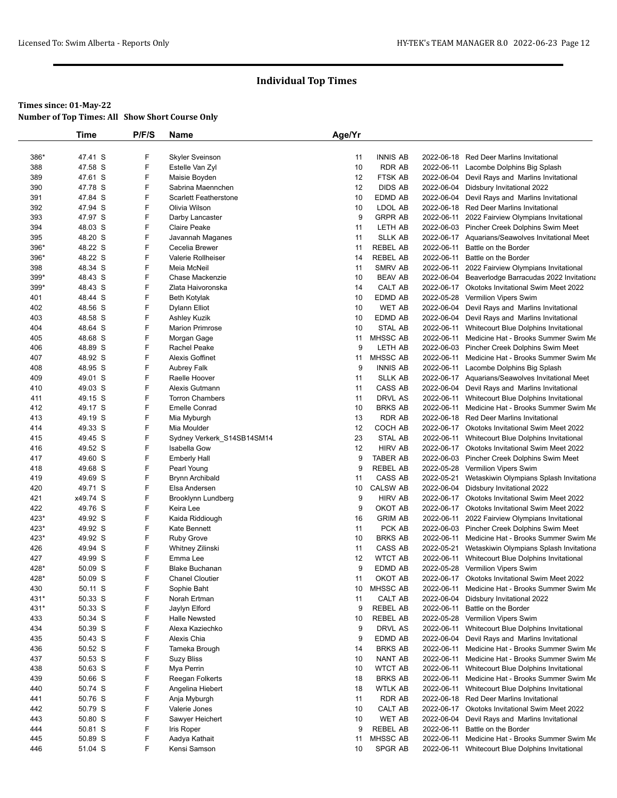|            | Time               | P/F/S  | <b>Name</b>                            | Age/Yr   |                           |            |                                                                          |
|------------|--------------------|--------|----------------------------------------|----------|---------------------------|------------|--------------------------------------------------------------------------|
|            |                    |        |                                        |          |                           |            |                                                                          |
| 386*       | 47.41 S            | F      | <b>Skyler Sveinson</b>                 | 11       | <b>INNIS AB</b>           | 2022-06-18 | <b>Red Deer Marlins Invitational</b>                                     |
| 388        | 47.58 S            | F      | Estelle Van Zyl                        | 10       | <b>RDR AB</b>             |            | 2022-06-11 Lacombe Dolphins Big Splash                                   |
| 389        | 47.61 S            | F<br>F | Maisie Boyden<br>Sabrina Maennchen     | 12       | FTSK AB                   |            | 2022-06-04 Devil Rays and Marlins Invitational                           |
| 390        | 47.78 S            | F      | <b>Scarlett Featherstone</b>           | 12<br>10 | <b>DIDS AB</b><br>EDMD AB |            | 2022-06-04 Didsbury Invitational 2022                                    |
| 391        | 47.84 S            | F      |                                        |          |                           |            | 2022-06-04 Devil Rays and Marlins Invitational                           |
| 392        | 47.94 S            |        | Olivia Wilson                          | 10       | LDOL AB                   |            | 2022-06-18 Red Deer Marlins Invitational                                 |
| 393<br>394 | 47.97 S<br>48.03 S | F<br>F | Darby Lancaster<br><b>Claire Peake</b> | 9<br>11  | <b>GRPR AB</b><br>LETH AB |            | 2022-06-11 2022 Fairview Olympians Invitational                          |
| 395        | 48.20 S            | F      | Javannah Maganes                       | 11       | <b>SLLK AB</b>            |            | 2022-06-03 Pincher Creek Dolphins Swim Meet                              |
| 396*       | 48.22 S            | F      | Cecelia Brewer                         | 11       | REBEL AB                  | 2022-06-11 | 2022-06-17 Aquarians/Seawolves Invitational Meet<br>Battle on the Border |
| 396*       | 48.22 S            | F      | Valerie Rollheiser                     | 14       | <b>REBEL AB</b>           | 2022-06-11 | Battle on the Border                                                     |
| 398        | 48.34 S            | F      | Meia McNeil                            | 11       | SMRV AB                   | 2022-06-11 | 2022 Fairview Olympians Invitational                                     |
| $399*$     | 48.43 S            | F      | Chase Mackenzie                        | 10       | <b>BEAV AB</b>            |            | 2022-06-04 Beaverlodge Barracudas 2022 Invitationa                       |
| 399*       | 48.43 S            | F      | Zlata Haivoronska                      | 14       | CALT AB                   |            | 2022-06-17 Okotoks Invitational Swim Meet 2022                           |
| 401        | 48.44 S            | F      | <b>Beth Kotylak</b>                    | 10       | EDMD AB                   |            | 2022-05-28 Vermilion Vipers Swim                                         |
| 402        | 48.56 S            | F      | Dylann Elliot                          | 10       | WET AB                    |            | 2022-06-04 Devil Rays and Marlins Invitational                           |
| 403        | 48.58 S            | F      | Ashley Kuzik                           | 10       | EDMD AB                   | 2022-06-04 | Devil Rays and Marlins Invitational                                      |
| 404        | 48.64 S            | F      | <b>Marion Primrose</b>                 | 10       | <b>STAL AB</b>            |            | 2022-06-11 Whitecourt Blue Dolphins Invitational                         |
| 405        | 48.68 S            | F      | Morgan Gage                            | 11       | MHSSC AB                  |            | 2022-06-11 Medicine Hat - Brooks Summer Swim Me                          |
| 406        | 48.89 S            | F      | Rachel Peake                           | 9        | LETH AB                   |            | 2022-06-03 Pincher Creek Dolphins Swim Meet                              |
| 407        | 48.92 S            | F      | <b>Alexis Goffinet</b>                 | 11       | MHSSC AB                  |            | 2022-06-11 Medicine Hat - Brooks Summer Swim Me                          |
| 408        | 48.95 S            | F      | <b>Aubrey Falk</b>                     | 9        | <b>INNIS AB</b>           |            | 2022-06-11 Lacombe Dolphins Big Splash                                   |
| 409        | 49.01 S            | F      | Raelle Hoover                          | 11       | SLLK AB                   |            | 2022-06-17 Aquarians/Seawolves Invitational Meet                         |
| 410        | 49.03 S            | F      | Alexis Gutmann                         | 11       | CASS AB                   |            | 2022-06-04 Devil Rays and Marlins Invitational                           |
| 411        | 49.15 S            | F      | <b>Torron Chambers</b>                 | 11       | DRVL AS                   |            | 2022-06-11 Whitecourt Blue Dolphins Invitational                         |
| 412        | 49.17 S            | F      | <b>Emelle Conrad</b>                   | 10       | <b>BRKS AB</b>            | 2022-06-11 | Medicine Hat - Brooks Summer Swim Me                                     |
| 413        | 49.19 S            | F      | Mia Myburgh                            | 13       | <b>RDR AB</b>             |            | 2022-06-18 Red Deer Marlins Invitational                                 |
| 414        | 49.33 S            | F      | Mia Moulder                            | 12       | COCH AB                   |            | 2022-06-17 Okotoks Invitational Swim Meet 2022                           |
| 415        | 49.45 S            | F      | Sydney Verkerk_S14SB14SM14             | 23       | STAL AB                   |            | 2022-06-11 Whitecourt Blue Dolphins Invitational                         |
| 416        | 49.52 S            | F      | Isabella Gow                           | 12       | <b>HIRV AB</b>            |            | 2022-06-17 Okotoks Invitational Swim Meet 2022                           |
| 417        | 49.60 S            | F      | <b>Emberly Hall</b>                    | 9        | TABER AB                  |            | 2022-06-03 Pincher Creek Dolphins Swim Meet                              |
| 418        | 49.68 S            | F      | Pearl Young                            | 9        | REBEL AB                  |            | 2022-05-28 Vermilion Vipers Swim                                         |
| 419        | 49.69 S            | F      | Brynn Archibald                        | 11       | CASS AB                   |            | 2022-05-21 Wetaskiwin Olympians Splash Invitationa                       |
| 420        | 49.71 S            | F      | Elsa Andersen                          | 10       | <b>CALSW AB</b>           |            | 2022-06-04 Didsbury Invitational 2022                                    |
| 421        | x49.74 S           | F      | Brooklynn Lundberg                     | 9        | <b>HIRV AB</b>            |            | 2022-06-17 Okotoks Invitational Swim Meet 2022                           |
| 422        | 49.76 S            | F      | Keira Lee                              | 9        | OKOT AB                   |            | 2022-06-17 Okotoks Invitational Swim Meet 2022                           |
| 423*       | 49.92 S            | F      | Kaida Riddiough                        | 16       | <b>GRIM AB</b>            |            | 2022-06-11 2022 Fairview Olympians Invitational                          |
| $423*$     | 49.92 S            | F      | Kate Bennett                           | 11       | PCK AB                    |            | 2022-06-03 Pincher Creek Dolphins Swim Meet                              |
| 423*       | 49.92 S            | F      | <b>Ruby Grove</b>                      | 10       | <b>BRKS AB</b>            |            | 2022-06-11 Medicine Hat - Brooks Summer Swim Me                          |
| 426        | 49.94 S            | F      | Whitney Zilinski                       | 11       | CASS AB                   |            | 2022-05-21 Wetaskiwin Olympians Splash Invitationa                       |
| 427        | 49.99 S            | F      | Emma Lee                               | 12       | <b>WTCT AB</b>            | 2022-06-11 | Whitecourt Blue Dolphins Invitational                                    |
| 428*       | 50.09 S            | F      | <b>Blake Buchanan</b>                  | 9        | EDMD AB                   |            | 2022-05-28 Vermilion Vipers Swim                                         |
| 428*       | 50.09 S            | F      | <b>Chanel Cloutier</b>                 | 11       | OKOT AB                   |            | 2022-06-17 Okotoks Invitational Swim Meet 2022                           |
| 430        | 50.11 S            | F      | Sophie Baht                            | 10       | MHSSC AB                  |            | 2022-06-11 Medicine Hat - Brooks Summer Swim Me                          |
| 431*       | 50.33 S            | F      | Norah Ertman                           | 11       | CALT AB                   | 2022-06-04 | Didsbury Invitational 2022                                               |
| 431*       | 50.33 S            | F      | Jaylyn Elford                          | 9        | REBEL AB                  | 2022-06-11 | Battle on the Border                                                     |
| 433        | 50.34 S            | F      | <b>Halle Newsted</b>                   | 10       | REBEL AB                  |            | 2022-05-28 Vermilion Vipers Swim                                         |
| 434        | 50.39 S            | F      | Alexa Kaziechko                        | 9        | DRVL AS                   | 2022-06-11 | Whitecourt Blue Dolphins Invitational                                    |
| 435        | 50.43 S            | F      | Alexis Chia                            | 9        | EDMD AB                   | 2022-06-04 | Devil Rays and Marlins Invitational                                      |
| 436        | 50.52 S            | F      | Tameka Brough                          | 14       | <b>BRKS AB</b>            | 2022-06-11 | Medicine Hat - Brooks Summer Swim Me                                     |
| 437        | 50.53 S            | F      | <b>Suzy Bliss</b>                      | 10       | NANT AB                   | 2022-06-11 | Medicine Hat - Brooks Summer Swim Me                                     |
| 438        | 50.63 S            | F      | Mya Perrin                             | 10       | <b>WTCT AB</b>            |            | 2022-06-11 Whitecourt Blue Dolphins Invitational                         |
| 439        | 50.66 S            | F      | Reegan Folkerts                        | 18       | <b>BRKS AB</b>            |            | 2022-06-11 Medicine Hat - Brooks Summer Swim Me                          |
| 440        | 50.74 S            | F      | Angelina Hiebert                       | 18       | <b>WTLK AB</b>            | 2022-06-11 | Whitecourt Blue Dolphins Invitational                                    |
| 441        | 50.76 S            | F      | Anja Myburgh                           | 11       | RDR AB                    |            | 2022-06-18 Red Deer Marlins Invitational                                 |
| 442        | 50.79 S            | F      | Valerie Jones                          | 10       | CALT AB                   |            | 2022-06-17 Okotoks Invitational Swim Meet 2022                           |
| 443        | 50.80 S            | F      | Sawyer Heichert                        | 10       | WET AB                    | 2022-06-04 | Devil Rays and Marlins Invitational                                      |
| 444        | 50.81 S            | F      | Iris Roper                             | 9        | REBEL AB                  | 2022-06-11 | Battle on the Border                                                     |
| 445        | 50.89 S            | F      | Aadya Kathait                          | 11       | MHSSC AB                  | 2022-06-11 | Medicine Hat - Brooks Summer Swim Me                                     |
| 446        | 51.04 S            | F      | Kensi Samson                           | 10       | SPGR AB                   | 2022-06-11 | Whitecourt Blue Dolphins Invitational                                    |
|            |                    |        |                                        |          |                           |            |                                                                          |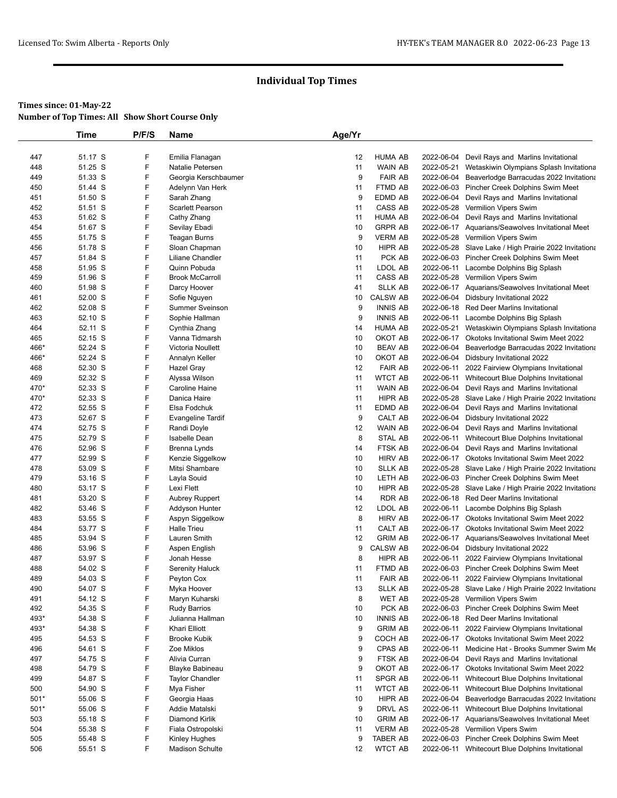# **Times since: 01-May-22**

| <b>Number of Top Times: All Show Short Course Only</b> |  |
|--------------------------------------------------------|--|
|--------------------------------------------------------|--|

| 447<br>51.17 S<br>F<br>12<br>Emilia Flanagan<br><b>HUMA AB</b><br>F<br>51.25 S<br>WAIN AB<br>448<br>Natalie Petersen<br>11<br>F<br>449<br>51.33 S<br>9<br><b>FAIR AB</b><br>Georgia Kerschbaumer<br>F<br>FTMD AB<br>450<br>51.44 S<br>Adelynn Van Herk<br>11<br>F<br>9<br><b>EDMD AB</b><br>451<br>51.50 S<br>Sarah Zhang<br>F<br>CASS AB<br>452<br>51.51 S<br><b>Scarlett Pearson</b><br>11<br>F<br>453<br>51.62 S<br><b>HUMA AB</b><br>Cathy Zhang<br>11<br>F<br><b>GRPR AB</b><br>454<br>51.67 S<br>10<br>Sevilay Ebadi<br>F<br>455<br>51.75 S<br>9<br><b>VERM AB</b><br>Teagan Burns<br>F<br>HIPR AB<br>456<br>51.78 S<br>Sloan Chapman<br>10<br>F<br>PCK AB<br>457<br>51.84 S<br>Liliane Chandler<br>11<br>F<br>51.95 S<br>11<br>LDOL AB<br>458<br>Quinn Pobuda<br>F<br>11<br>CASS AB<br>459<br>51.96 S<br><b>Brook McCarroll</b><br>F<br><b>SLLK AB</b><br>51.98 S<br>460<br>Darcy Hoover<br>41<br>F<br>52.00 S<br><b>CALSW AB</b><br>461<br>Sofie Nguyen<br>10<br>F<br>9<br><b>INNIS AB</b><br>462<br>52.08 S<br><b>Summer Sveinson</b><br>F<br>463<br>52.10 S<br>9<br><b>INNIS AB</b><br>Sophie Hallman<br>F<br>52.11 S<br><b>HUMA AB</b><br>464<br>Cynthia Zhang<br>14<br>F<br>52.15 S<br>10<br>OKOT AB<br>465<br>Vanna Tidmarsh<br>F<br>466*<br>52.24 S<br>10<br><b>BEAV AB</b><br>Victoria Noullett<br>F<br>10<br>OKOT AB<br>466*<br>52.24 S<br>Annalyn Keller<br>F<br>52.30 S<br>12<br><b>FAIR AB</b><br>468<br>Hazel Gray<br>F<br>52.32 S<br>11<br><b>WTCT AB</b><br>469<br>Alyssa Wilson<br>F<br>52.33 S<br>11<br><b>WAIN AB</b><br>470*<br>Caroline Haine<br>F<br>470*<br>52.33 S<br>11<br>HIPR AB<br>Danica Haire<br>F<br>52.55 S<br>11<br><b>EDMD AB</b><br>2022-06-04<br>472<br>Elsa Fodchuk<br>F<br>9<br>473<br>52.67 S<br>CALT AB<br>2022-06-04<br><b>Evangeline Tardif</b><br>F<br>474<br>52.75 S<br>12<br><b>WAIN AB</b><br>2022-06-04<br>Randi Doyle<br>F<br>475<br>52.79 S<br>8<br><b>STAL AB</b><br>2022-06-11<br>Isabelle Dean<br>F<br>476<br>52.96 S<br>14<br>FTSK AB<br>Brenna Lynds<br>2022-06-04<br>F<br>477<br>52.99 S<br>10<br><b>HIRV AB</b><br>Kenzie Siggelkow<br>F<br>10<br><b>SLLK AB</b><br>478<br>53.09 S<br>Mitsi Shambare<br>2022-05-28<br>F<br>479<br>53.16 S<br>Layla Souid<br>10<br>LETH AB<br>F<br>480<br>53.17 S<br>10<br>HIPR AB<br>Lexi Flett<br>F<br>14<br><b>RDR AB</b><br>481<br>53.20 S<br><b>Aubrey Ruppert</b><br>2022-06-18<br>482<br>53.46 S<br>F<br>12<br>LDOL AB<br>Addyson Hunter<br>F<br>483<br>8<br><b>HIRV AB</b><br>53.55 S<br>Aspyn Siggelkow<br>F<br>53.77 S<br>11<br>CALT AB<br>484<br><b>Halle Trieu</b><br>2022-06-17<br>F<br>485<br>53.94 S<br>12<br><b>GRIM AB</b><br>Lauren Smith<br>F<br>53.96 S<br>9<br><b>CALSW AB</b><br>486<br>Aspen English<br>F<br>53.97 S<br>8<br><b>HIPR AB</b><br>487<br>Jonah Hesse<br>F<br>54.02 S<br>488<br><b>Serenity Haluck</b><br>11<br>FTMD AB<br>F<br>54.03 S<br>Peyton Cox<br><b>FAIR AB</b><br>489<br>11<br>F<br>490<br>54.07 S<br><b>SLLK AB</b><br>Myka Hoover<br>13<br>F<br>491<br>54.12 S<br>8<br><b>WET AB</b><br>Maryn Kuharski<br>F<br>54.35 S<br>10<br>PCK AB<br>492<br><b>Rudy Barrios</b><br>F<br>493*<br>54.38 S<br><b>INNIS AB</b><br>Julianna Hallman<br>10<br>F<br>493*<br>54.38 S<br>9<br><b>GRIM AB</b><br>Khari Elliott<br>F<br>495<br>54.53 S<br>9<br>COCH AB<br><b>Brooke Kubik</b><br>F<br>496<br>54.61 S<br>9<br>CPAS AB<br>Zoe Miklos<br>F<br>497<br>54.75 S<br>Alivia Curran<br>9<br>FTSK AB<br>F<br>54.79 S<br>9<br>OKOT AB<br>498<br>Blayke Babineau<br>F<br>499<br>54.87 S<br>SPGR AB<br><b>Taylor Chandler</b><br>11<br>F<br>500<br>54.90 S<br>Mya Fisher<br>11<br>WTCT AB<br>F<br>501*<br>55.06 S<br>10<br>HIPR AB<br>Georgia Haas<br>F<br>501*<br>55.06 S<br>9<br>DRVL AS<br>Addie Matalski<br>F<br><b>GRIM AB</b><br>503<br>55.18 S<br>Diamond Kirlik<br>10<br>F<br>504<br>55.38 S<br><b>VERM AB</b> |                                                          |
|------------------------------------------------------------------------------------------------------------------------------------------------------------------------------------------------------------------------------------------------------------------------------------------------------------------------------------------------------------------------------------------------------------------------------------------------------------------------------------------------------------------------------------------------------------------------------------------------------------------------------------------------------------------------------------------------------------------------------------------------------------------------------------------------------------------------------------------------------------------------------------------------------------------------------------------------------------------------------------------------------------------------------------------------------------------------------------------------------------------------------------------------------------------------------------------------------------------------------------------------------------------------------------------------------------------------------------------------------------------------------------------------------------------------------------------------------------------------------------------------------------------------------------------------------------------------------------------------------------------------------------------------------------------------------------------------------------------------------------------------------------------------------------------------------------------------------------------------------------------------------------------------------------------------------------------------------------------------------------------------------------------------------------------------------------------------------------------------------------------------------------------------------------------------------------------------------------------------------------------------------------------------------------------------------------------------------------------------------------------------------------------------------------------------------------------------------------------------------------------------------------------------------------------------------------------------------------------------------------------------------------------------------------------------------------------------------------------------------------------------------------------------------------------------------------------------------------------------------------------------------------------------------------------------------------------------------------------------------------------------------------------------------------------------------------------------------------------------------------------------------------------------------------------------------------------------------------------------------------------------------------------------------------------------------------------------------------------------------------------------------------------------------------------------------------------------------------------------------------------------------------------------------------------------------------------------------------------------------------------------------------------------------------------------------------------------------------------------------------------------------------------------------------------------------------------------------------------------|----------------------------------------------------------|
|                                                                                                                                                                                                                                                                                                                                                                                                                                                                                                                                                                                                                                                                                                                                                                                                                                                                                                                                                                                                                                                                                                                                                                                                                                                                                                                                                                                                                                                                                                                                                                                                                                                                                                                                                                                                                                                                                                                                                                                                                                                                                                                                                                                                                                                                                                                                                                                                                                                                                                                                                                                                                                                                                                                                                                                                                                                                                                                                                                                                                                                                                                                                                                                                                                                                                                                                                                                                                                                                                                                                                                                                                                                                                                                                                                                                                                                |                                                          |
|                                                                                                                                                                                                                                                                                                                                                                                                                                                                                                                                                                                                                                                                                                                                                                                                                                                                                                                                                                                                                                                                                                                                                                                                                                                                                                                                                                                                                                                                                                                                                                                                                                                                                                                                                                                                                                                                                                                                                                                                                                                                                                                                                                                                                                                                                                                                                                                                                                                                                                                                                                                                                                                                                                                                                                                                                                                                                                                                                                                                                                                                                                                                                                                                                                                                                                                                                                                                                                                                                                                                                                                                                                                                                                                                                                                                                                                | 2022-06-04<br>Devil Rays and Marlins Invitational        |
|                                                                                                                                                                                                                                                                                                                                                                                                                                                                                                                                                                                                                                                                                                                                                                                                                                                                                                                                                                                                                                                                                                                                                                                                                                                                                                                                                                                                                                                                                                                                                                                                                                                                                                                                                                                                                                                                                                                                                                                                                                                                                                                                                                                                                                                                                                                                                                                                                                                                                                                                                                                                                                                                                                                                                                                                                                                                                                                                                                                                                                                                                                                                                                                                                                                                                                                                                                                                                                                                                                                                                                                                                                                                                                                                                                                                                                                | 2022-05-21<br>Wetaskiwin Olympians Splash Invitationa    |
|                                                                                                                                                                                                                                                                                                                                                                                                                                                                                                                                                                                                                                                                                                                                                                                                                                                                                                                                                                                                                                                                                                                                                                                                                                                                                                                                                                                                                                                                                                                                                                                                                                                                                                                                                                                                                                                                                                                                                                                                                                                                                                                                                                                                                                                                                                                                                                                                                                                                                                                                                                                                                                                                                                                                                                                                                                                                                                                                                                                                                                                                                                                                                                                                                                                                                                                                                                                                                                                                                                                                                                                                                                                                                                                                                                                                                                                | 2022-06-04<br>Beaverlodge Barracudas 2022 Invitationa    |
|                                                                                                                                                                                                                                                                                                                                                                                                                                                                                                                                                                                                                                                                                                                                                                                                                                                                                                                                                                                                                                                                                                                                                                                                                                                                                                                                                                                                                                                                                                                                                                                                                                                                                                                                                                                                                                                                                                                                                                                                                                                                                                                                                                                                                                                                                                                                                                                                                                                                                                                                                                                                                                                                                                                                                                                                                                                                                                                                                                                                                                                                                                                                                                                                                                                                                                                                                                                                                                                                                                                                                                                                                                                                                                                                                                                                                                                | 2022-06-03<br>Pincher Creek Dolphins Swim Meet           |
|                                                                                                                                                                                                                                                                                                                                                                                                                                                                                                                                                                                                                                                                                                                                                                                                                                                                                                                                                                                                                                                                                                                                                                                                                                                                                                                                                                                                                                                                                                                                                                                                                                                                                                                                                                                                                                                                                                                                                                                                                                                                                                                                                                                                                                                                                                                                                                                                                                                                                                                                                                                                                                                                                                                                                                                                                                                                                                                                                                                                                                                                                                                                                                                                                                                                                                                                                                                                                                                                                                                                                                                                                                                                                                                                                                                                                                                | 2022-06-04<br>Devil Rays and Marlins Invitational        |
|                                                                                                                                                                                                                                                                                                                                                                                                                                                                                                                                                                                                                                                                                                                                                                                                                                                                                                                                                                                                                                                                                                                                                                                                                                                                                                                                                                                                                                                                                                                                                                                                                                                                                                                                                                                                                                                                                                                                                                                                                                                                                                                                                                                                                                                                                                                                                                                                                                                                                                                                                                                                                                                                                                                                                                                                                                                                                                                                                                                                                                                                                                                                                                                                                                                                                                                                                                                                                                                                                                                                                                                                                                                                                                                                                                                                                                                | 2022-05-28 Vermilion Vipers Swim                         |
|                                                                                                                                                                                                                                                                                                                                                                                                                                                                                                                                                                                                                                                                                                                                                                                                                                                                                                                                                                                                                                                                                                                                                                                                                                                                                                                                                                                                                                                                                                                                                                                                                                                                                                                                                                                                                                                                                                                                                                                                                                                                                                                                                                                                                                                                                                                                                                                                                                                                                                                                                                                                                                                                                                                                                                                                                                                                                                                                                                                                                                                                                                                                                                                                                                                                                                                                                                                                                                                                                                                                                                                                                                                                                                                                                                                                                                                | 2022-06-04<br>Devil Rays and Marlins Invitational        |
|                                                                                                                                                                                                                                                                                                                                                                                                                                                                                                                                                                                                                                                                                                                                                                                                                                                                                                                                                                                                                                                                                                                                                                                                                                                                                                                                                                                                                                                                                                                                                                                                                                                                                                                                                                                                                                                                                                                                                                                                                                                                                                                                                                                                                                                                                                                                                                                                                                                                                                                                                                                                                                                                                                                                                                                                                                                                                                                                                                                                                                                                                                                                                                                                                                                                                                                                                                                                                                                                                                                                                                                                                                                                                                                                                                                                                                                | 2022-06-17 Aquarians/Seawolves Invitational Meet         |
|                                                                                                                                                                                                                                                                                                                                                                                                                                                                                                                                                                                                                                                                                                                                                                                                                                                                                                                                                                                                                                                                                                                                                                                                                                                                                                                                                                                                                                                                                                                                                                                                                                                                                                                                                                                                                                                                                                                                                                                                                                                                                                                                                                                                                                                                                                                                                                                                                                                                                                                                                                                                                                                                                                                                                                                                                                                                                                                                                                                                                                                                                                                                                                                                                                                                                                                                                                                                                                                                                                                                                                                                                                                                                                                                                                                                                                                | 2022-05-28 Vermilion Vipers Swim                         |
|                                                                                                                                                                                                                                                                                                                                                                                                                                                                                                                                                                                                                                                                                                                                                                                                                                                                                                                                                                                                                                                                                                                                                                                                                                                                                                                                                                                                                                                                                                                                                                                                                                                                                                                                                                                                                                                                                                                                                                                                                                                                                                                                                                                                                                                                                                                                                                                                                                                                                                                                                                                                                                                                                                                                                                                                                                                                                                                                                                                                                                                                                                                                                                                                                                                                                                                                                                                                                                                                                                                                                                                                                                                                                                                                                                                                                                                | 2022-05-28 Slave Lake / High Prairie 2022 Invitationa    |
|                                                                                                                                                                                                                                                                                                                                                                                                                                                                                                                                                                                                                                                                                                                                                                                                                                                                                                                                                                                                                                                                                                                                                                                                                                                                                                                                                                                                                                                                                                                                                                                                                                                                                                                                                                                                                                                                                                                                                                                                                                                                                                                                                                                                                                                                                                                                                                                                                                                                                                                                                                                                                                                                                                                                                                                                                                                                                                                                                                                                                                                                                                                                                                                                                                                                                                                                                                                                                                                                                                                                                                                                                                                                                                                                                                                                                                                | 2022-06-03 Pincher Creek Dolphins Swim Meet              |
|                                                                                                                                                                                                                                                                                                                                                                                                                                                                                                                                                                                                                                                                                                                                                                                                                                                                                                                                                                                                                                                                                                                                                                                                                                                                                                                                                                                                                                                                                                                                                                                                                                                                                                                                                                                                                                                                                                                                                                                                                                                                                                                                                                                                                                                                                                                                                                                                                                                                                                                                                                                                                                                                                                                                                                                                                                                                                                                                                                                                                                                                                                                                                                                                                                                                                                                                                                                                                                                                                                                                                                                                                                                                                                                                                                                                                                                | 2022-06-11<br>Lacombe Dolphins Big Splash                |
|                                                                                                                                                                                                                                                                                                                                                                                                                                                                                                                                                                                                                                                                                                                                                                                                                                                                                                                                                                                                                                                                                                                                                                                                                                                                                                                                                                                                                                                                                                                                                                                                                                                                                                                                                                                                                                                                                                                                                                                                                                                                                                                                                                                                                                                                                                                                                                                                                                                                                                                                                                                                                                                                                                                                                                                                                                                                                                                                                                                                                                                                                                                                                                                                                                                                                                                                                                                                                                                                                                                                                                                                                                                                                                                                                                                                                                                | 2022-05-28<br><b>Vermilion Vipers Swim</b>               |
|                                                                                                                                                                                                                                                                                                                                                                                                                                                                                                                                                                                                                                                                                                                                                                                                                                                                                                                                                                                                                                                                                                                                                                                                                                                                                                                                                                                                                                                                                                                                                                                                                                                                                                                                                                                                                                                                                                                                                                                                                                                                                                                                                                                                                                                                                                                                                                                                                                                                                                                                                                                                                                                                                                                                                                                                                                                                                                                                                                                                                                                                                                                                                                                                                                                                                                                                                                                                                                                                                                                                                                                                                                                                                                                                                                                                                                                | 2022-06-17 Aquarians/Seawolves Invitational Meet         |
|                                                                                                                                                                                                                                                                                                                                                                                                                                                                                                                                                                                                                                                                                                                                                                                                                                                                                                                                                                                                                                                                                                                                                                                                                                                                                                                                                                                                                                                                                                                                                                                                                                                                                                                                                                                                                                                                                                                                                                                                                                                                                                                                                                                                                                                                                                                                                                                                                                                                                                                                                                                                                                                                                                                                                                                                                                                                                                                                                                                                                                                                                                                                                                                                                                                                                                                                                                                                                                                                                                                                                                                                                                                                                                                                                                                                                                                | 2022-06-04<br>Didsbury Invitational 2022                 |
|                                                                                                                                                                                                                                                                                                                                                                                                                                                                                                                                                                                                                                                                                                                                                                                                                                                                                                                                                                                                                                                                                                                                                                                                                                                                                                                                                                                                                                                                                                                                                                                                                                                                                                                                                                                                                                                                                                                                                                                                                                                                                                                                                                                                                                                                                                                                                                                                                                                                                                                                                                                                                                                                                                                                                                                                                                                                                                                                                                                                                                                                                                                                                                                                                                                                                                                                                                                                                                                                                                                                                                                                                                                                                                                                                                                                                                                | 2022-06-18<br><b>Red Deer Marlins Invitational</b>       |
|                                                                                                                                                                                                                                                                                                                                                                                                                                                                                                                                                                                                                                                                                                                                                                                                                                                                                                                                                                                                                                                                                                                                                                                                                                                                                                                                                                                                                                                                                                                                                                                                                                                                                                                                                                                                                                                                                                                                                                                                                                                                                                                                                                                                                                                                                                                                                                                                                                                                                                                                                                                                                                                                                                                                                                                                                                                                                                                                                                                                                                                                                                                                                                                                                                                                                                                                                                                                                                                                                                                                                                                                                                                                                                                                                                                                                                                | 2022-06-11<br>Lacombe Dolphins Big Splash                |
|                                                                                                                                                                                                                                                                                                                                                                                                                                                                                                                                                                                                                                                                                                                                                                                                                                                                                                                                                                                                                                                                                                                                                                                                                                                                                                                                                                                                                                                                                                                                                                                                                                                                                                                                                                                                                                                                                                                                                                                                                                                                                                                                                                                                                                                                                                                                                                                                                                                                                                                                                                                                                                                                                                                                                                                                                                                                                                                                                                                                                                                                                                                                                                                                                                                                                                                                                                                                                                                                                                                                                                                                                                                                                                                                                                                                                                                | 2022-05-21<br>Wetaskiwin Olympians Splash Invitationa    |
|                                                                                                                                                                                                                                                                                                                                                                                                                                                                                                                                                                                                                                                                                                                                                                                                                                                                                                                                                                                                                                                                                                                                                                                                                                                                                                                                                                                                                                                                                                                                                                                                                                                                                                                                                                                                                                                                                                                                                                                                                                                                                                                                                                                                                                                                                                                                                                                                                                                                                                                                                                                                                                                                                                                                                                                                                                                                                                                                                                                                                                                                                                                                                                                                                                                                                                                                                                                                                                                                                                                                                                                                                                                                                                                                                                                                                                                | 2022-06-17<br><b>Okotoks Invitational Swim Meet 2022</b> |
|                                                                                                                                                                                                                                                                                                                                                                                                                                                                                                                                                                                                                                                                                                                                                                                                                                                                                                                                                                                                                                                                                                                                                                                                                                                                                                                                                                                                                                                                                                                                                                                                                                                                                                                                                                                                                                                                                                                                                                                                                                                                                                                                                                                                                                                                                                                                                                                                                                                                                                                                                                                                                                                                                                                                                                                                                                                                                                                                                                                                                                                                                                                                                                                                                                                                                                                                                                                                                                                                                                                                                                                                                                                                                                                                                                                                                                                | 2022-06-04<br>Beaverlodge Barracudas 2022 Invitationa    |
|                                                                                                                                                                                                                                                                                                                                                                                                                                                                                                                                                                                                                                                                                                                                                                                                                                                                                                                                                                                                                                                                                                                                                                                                                                                                                                                                                                                                                                                                                                                                                                                                                                                                                                                                                                                                                                                                                                                                                                                                                                                                                                                                                                                                                                                                                                                                                                                                                                                                                                                                                                                                                                                                                                                                                                                                                                                                                                                                                                                                                                                                                                                                                                                                                                                                                                                                                                                                                                                                                                                                                                                                                                                                                                                                                                                                                                                | 2022-06-04<br>Didsbury Invitational 2022                 |
|                                                                                                                                                                                                                                                                                                                                                                                                                                                                                                                                                                                                                                                                                                                                                                                                                                                                                                                                                                                                                                                                                                                                                                                                                                                                                                                                                                                                                                                                                                                                                                                                                                                                                                                                                                                                                                                                                                                                                                                                                                                                                                                                                                                                                                                                                                                                                                                                                                                                                                                                                                                                                                                                                                                                                                                                                                                                                                                                                                                                                                                                                                                                                                                                                                                                                                                                                                                                                                                                                                                                                                                                                                                                                                                                                                                                                                                | 2022-06-11<br>2022 Fairview Olympians Invitational       |
|                                                                                                                                                                                                                                                                                                                                                                                                                                                                                                                                                                                                                                                                                                                                                                                                                                                                                                                                                                                                                                                                                                                                                                                                                                                                                                                                                                                                                                                                                                                                                                                                                                                                                                                                                                                                                                                                                                                                                                                                                                                                                                                                                                                                                                                                                                                                                                                                                                                                                                                                                                                                                                                                                                                                                                                                                                                                                                                                                                                                                                                                                                                                                                                                                                                                                                                                                                                                                                                                                                                                                                                                                                                                                                                                                                                                                                                | 2022-06-11<br>Whitecourt Blue Dolphins Invitational      |
|                                                                                                                                                                                                                                                                                                                                                                                                                                                                                                                                                                                                                                                                                                                                                                                                                                                                                                                                                                                                                                                                                                                                                                                                                                                                                                                                                                                                                                                                                                                                                                                                                                                                                                                                                                                                                                                                                                                                                                                                                                                                                                                                                                                                                                                                                                                                                                                                                                                                                                                                                                                                                                                                                                                                                                                                                                                                                                                                                                                                                                                                                                                                                                                                                                                                                                                                                                                                                                                                                                                                                                                                                                                                                                                                                                                                                                                | 2022-06-04 Devil Rays and Marlins Invitational           |
|                                                                                                                                                                                                                                                                                                                                                                                                                                                                                                                                                                                                                                                                                                                                                                                                                                                                                                                                                                                                                                                                                                                                                                                                                                                                                                                                                                                                                                                                                                                                                                                                                                                                                                                                                                                                                                                                                                                                                                                                                                                                                                                                                                                                                                                                                                                                                                                                                                                                                                                                                                                                                                                                                                                                                                                                                                                                                                                                                                                                                                                                                                                                                                                                                                                                                                                                                                                                                                                                                                                                                                                                                                                                                                                                                                                                                                                | 2022-05-28 Slave Lake / High Prairie 2022 Invitationa    |
|                                                                                                                                                                                                                                                                                                                                                                                                                                                                                                                                                                                                                                                                                                                                                                                                                                                                                                                                                                                                                                                                                                                                                                                                                                                                                                                                                                                                                                                                                                                                                                                                                                                                                                                                                                                                                                                                                                                                                                                                                                                                                                                                                                                                                                                                                                                                                                                                                                                                                                                                                                                                                                                                                                                                                                                                                                                                                                                                                                                                                                                                                                                                                                                                                                                                                                                                                                                                                                                                                                                                                                                                                                                                                                                                                                                                                                                | Devil Rays and Marlins Invitational                      |
|                                                                                                                                                                                                                                                                                                                                                                                                                                                                                                                                                                                                                                                                                                                                                                                                                                                                                                                                                                                                                                                                                                                                                                                                                                                                                                                                                                                                                                                                                                                                                                                                                                                                                                                                                                                                                                                                                                                                                                                                                                                                                                                                                                                                                                                                                                                                                                                                                                                                                                                                                                                                                                                                                                                                                                                                                                                                                                                                                                                                                                                                                                                                                                                                                                                                                                                                                                                                                                                                                                                                                                                                                                                                                                                                                                                                                                                | Didsbury Invitational 2022                               |
|                                                                                                                                                                                                                                                                                                                                                                                                                                                                                                                                                                                                                                                                                                                                                                                                                                                                                                                                                                                                                                                                                                                                                                                                                                                                                                                                                                                                                                                                                                                                                                                                                                                                                                                                                                                                                                                                                                                                                                                                                                                                                                                                                                                                                                                                                                                                                                                                                                                                                                                                                                                                                                                                                                                                                                                                                                                                                                                                                                                                                                                                                                                                                                                                                                                                                                                                                                                                                                                                                                                                                                                                                                                                                                                                                                                                                                                | Devil Rays and Marlins Invitational                      |
|                                                                                                                                                                                                                                                                                                                                                                                                                                                                                                                                                                                                                                                                                                                                                                                                                                                                                                                                                                                                                                                                                                                                                                                                                                                                                                                                                                                                                                                                                                                                                                                                                                                                                                                                                                                                                                                                                                                                                                                                                                                                                                                                                                                                                                                                                                                                                                                                                                                                                                                                                                                                                                                                                                                                                                                                                                                                                                                                                                                                                                                                                                                                                                                                                                                                                                                                                                                                                                                                                                                                                                                                                                                                                                                                                                                                                                                |                                                          |
|                                                                                                                                                                                                                                                                                                                                                                                                                                                                                                                                                                                                                                                                                                                                                                                                                                                                                                                                                                                                                                                                                                                                                                                                                                                                                                                                                                                                                                                                                                                                                                                                                                                                                                                                                                                                                                                                                                                                                                                                                                                                                                                                                                                                                                                                                                                                                                                                                                                                                                                                                                                                                                                                                                                                                                                                                                                                                                                                                                                                                                                                                                                                                                                                                                                                                                                                                                                                                                                                                                                                                                                                                                                                                                                                                                                                                                                | Whitecourt Blue Dolphins Invitational                    |
|                                                                                                                                                                                                                                                                                                                                                                                                                                                                                                                                                                                                                                                                                                                                                                                                                                                                                                                                                                                                                                                                                                                                                                                                                                                                                                                                                                                                                                                                                                                                                                                                                                                                                                                                                                                                                                                                                                                                                                                                                                                                                                                                                                                                                                                                                                                                                                                                                                                                                                                                                                                                                                                                                                                                                                                                                                                                                                                                                                                                                                                                                                                                                                                                                                                                                                                                                                                                                                                                                                                                                                                                                                                                                                                                                                                                                                                | Devil Rays and Marlins Invitational                      |
|                                                                                                                                                                                                                                                                                                                                                                                                                                                                                                                                                                                                                                                                                                                                                                                                                                                                                                                                                                                                                                                                                                                                                                                                                                                                                                                                                                                                                                                                                                                                                                                                                                                                                                                                                                                                                                                                                                                                                                                                                                                                                                                                                                                                                                                                                                                                                                                                                                                                                                                                                                                                                                                                                                                                                                                                                                                                                                                                                                                                                                                                                                                                                                                                                                                                                                                                                                                                                                                                                                                                                                                                                                                                                                                                                                                                                                                | 2022-06-17 Okotoks Invitational Swim Meet 2022           |
|                                                                                                                                                                                                                                                                                                                                                                                                                                                                                                                                                                                                                                                                                                                                                                                                                                                                                                                                                                                                                                                                                                                                                                                                                                                                                                                                                                                                                                                                                                                                                                                                                                                                                                                                                                                                                                                                                                                                                                                                                                                                                                                                                                                                                                                                                                                                                                                                                                                                                                                                                                                                                                                                                                                                                                                                                                                                                                                                                                                                                                                                                                                                                                                                                                                                                                                                                                                                                                                                                                                                                                                                                                                                                                                                                                                                                                                | Slave Lake / High Prairie 2022 Invitationa               |
|                                                                                                                                                                                                                                                                                                                                                                                                                                                                                                                                                                                                                                                                                                                                                                                                                                                                                                                                                                                                                                                                                                                                                                                                                                                                                                                                                                                                                                                                                                                                                                                                                                                                                                                                                                                                                                                                                                                                                                                                                                                                                                                                                                                                                                                                                                                                                                                                                                                                                                                                                                                                                                                                                                                                                                                                                                                                                                                                                                                                                                                                                                                                                                                                                                                                                                                                                                                                                                                                                                                                                                                                                                                                                                                                                                                                                                                | 2022-06-03 Pincher Creek Dolphins Swim Meet              |
|                                                                                                                                                                                                                                                                                                                                                                                                                                                                                                                                                                                                                                                                                                                                                                                                                                                                                                                                                                                                                                                                                                                                                                                                                                                                                                                                                                                                                                                                                                                                                                                                                                                                                                                                                                                                                                                                                                                                                                                                                                                                                                                                                                                                                                                                                                                                                                                                                                                                                                                                                                                                                                                                                                                                                                                                                                                                                                                                                                                                                                                                                                                                                                                                                                                                                                                                                                                                                                                                                                                                                                                                                                                                                                                                                                                                                                                | 2022-05-28 Slave Lake / High Prairie 2022 Invitationa    |
|                                                                                                                                                                                                                                                                                                                                                                                                                                                                                                                                                                                                                                                                                                                                                                                                                                                                                                                                                                                                                                                                                                                                                                                                                                                                                                                                                                                                                                                                                                                                                                                                                                                                                                                                                                                                                                                                                                                                                                                                                                                                                                                                                                                                                                                                                                                                                                                                                                                                                                                                                                                                                                                                                                                                                                                                                                                                                                                                                                                                                                                                                                                                                                                                                                                                                                                                                                                                                                                                                                                                                                                                                                                                                                                                                                                                                                                | Red Deer Marlins Invitational                            |
|                                                                                                                                                                                                                                                                                                                                                                                                                                                                                                                                                                                                                                                                                                                                                                                                                                                                                                                                                                                                                                                                                                                                                                                                                                                                                                                                                                                                                                                                                                                                                                                                                                                                                                                                                                                                                                                                                                                                                                                                                                                                                                                                                                                                                                                                                                                                                                                                                                                                                                                                                                                                                                                                                                                                                                                                                                                                                                                                                                                                                                                                                                                                                                                                                                                                                                                                                                                                                                                                                                                                                                                                                                                                                                                                                                                                                                                | 2022-06-11 Lacombe Dolphins Big Splash                   |
|                                                                                                                                                                                                                                                                                                                                                                                                                                                                                                                                                                                                                                                                                                                                                                                                                                                                                                                                                                                                                                                                                                                                                                                                                                                                                                                                                                                                                                                                                                                                                                                                                                                                                                                                                                                                                                                                                                                                                                                                                                                                                                                                                                                                                                                                                                                                                                                                                                                                                                                                                                                                                                                                                                                                                                                                                                                                                                                                                                                                                                                                                                                                                                                                                                                                                                                                                                                                                                                                                                                                                                                                                                                                                                                                                                                                                                                | 2022-06-17 Okotoks Invitational Swim Meet 2022           |
|                                                                                                                                                                                                                                                                                                                                                                                                                                                                                                                                                                                                                                                                                                                                                                                                                                                                                                                                                                                                                                                                                                                                                                                                                                                                                                                                                                                                                                                                                                                                                                                                                                                                                                                                                                                                                                                                                                                                                                                                                                                                                                                                                                                                                                                                                                                                                                                                                                                                                                                                                                                                                                                                                                                                                                                                                                                                                                                                                                                                                                                                                                                                                                                                                                                                                                                                                                                                                                                                                                                                                                                                                                                                                                                                                                                                                                                | <b>Okotoks Invitational Swim Meet 2022</b>               |
|                                                                                                                                                                                                                                                                                                                                                                                                                                                                                                                                                                                                                                                                                                                                                                                                                                                                                                                                                                                                                                                                                                                                                                                                                                                                                                                                                                                                                                                                                                                                                                                                                                                                                                                                                                                                                                                                                                                                                                                                                                                                                                                                                                                                                                                                                                                                                                                                                                                                                                                                                                                                                                                                                                                                                                                                                                                                                                                                                                                                                                                                                                                                                                                                                                                                                                                                                                                                                                                                                                                                                                                                                                                                                                                                                                                                                                                | 2022-06-17 Aquarians/Seawolves Invitational Meet         |
|                                                                                                                                                                                                                                                                                                                                                                                                                                                                                                                                                                                                                                                                                                                                                                                                                                                                                                                                                                                                                                                                                                                                                                                                                                                                                                                                                                                                                                                                                                                                                                                                                                                                                                                                                                                                                                                                                                                                                                                                                                                                                                                                                                                                                                                                                                                                                                                                                                                                                                                                                                                                                                                                                                                                                                                                                                                                                                                                                                                                                                                                                                                                                                                                                                                                                                                                                                                                                                                                                                                                                                                                                                                                                                                                                                                                                                                | 2022-06-04<br>Didsbury Invitational 2022                 |
|                                                                                                                                                                                                                                                                                                                                                                                                                                                                                                                                                                                                                                                                                                                                                                                                                                                                                                                                                                                                                                                                                                                                                                                                                                                                                                                                                                                                                                                                                                                                                                                                                                                                                                                                                                                                                                                                                                                                                                                                                                                                                                                                                                                                                                                                                                                                                                                                                                                                                                                                                                                                                                                                                                                                                                                                                                                                                                                                                                                                                                                                                                                                                                                                                                                                                                                                                                                                                                                                                                                                                                                                                                                                                                                                                                                                                                                | 2022-06-11<br>2022 Fairview Olympians Invitational       |
|                                                                                                                                                                                                                                                                                                                                                                                                                                                                                                                                                                                                                                                                                                                                                                                                                                                                                                                                                                                                                                                                                                                                                                                                                                                                                                                                                                                                                                                                                                                                                                                                                                                                                                                                                                                                                                                                                                                                                                                                                                                                                                                                                                                                                                                                                                                                                                                                                                                                                                                                                                                                                                                                                                                                                                                                                                                                                                                                                                                                                                                                                                                                                                                                                                                                                                                                                                                                                                                                                                                                                                                                                                                                                                                                                                                                                                                | 2022-06-03<br>Pincher Creek Dolphins Swim Meet           |
|                                                                                                                                                                                                                                                                                                                                                                                                                                                                                                                                                                                                                                                                                                                                                                                                                                                                                                                                                                                                                                                                                                                                                                                                                                                                                                                                                                                                                                                                                                                                                                                                                                                                                                                                                                                                                                                                                                                                                                                                                                                                                                                                                                                                                                                                                                                                                                                                                                                                                                                                                                                                                                                                                                                                                                                                                                                                                                                                                                                                                                                                                                                                                                                                                                                                                                                                                                                                                                                                                                                                                                                                                                                                                                                                                                                                                                                | 2022-06-11 2022 Fairview Olympians Invitational          |
|                                                                                                                                                                                                                                                                                                                                                                                                                                                                                                                                                                                                                                                                                                                                                                                                                                                                                                                                                                                                                                                                                                                                                                                                                                                                                                                                                                                                                                                                                                                                                                                                                                                                                                                                                                                                                                                                                                                                                                                                                                                                                                                                                                                                                                                                                                                                                                                                                                                                                                                                                                                                                                                                                                                                                                                                                                                                                                                                                                                                                                                                                                                                                                                                                                                                                                                                                                                                                                                                                                                                                                                                                                                                                                                                                                                                                                                | Slave Lake / High Prairie 2022 Invitationa<br>2022-05-28 |
|                                                                                                                                                                                                                                                                                                                                                                                                                                                                                                                                                                                                                                                                                                                                                                                                                                                                                                                                                                                                                                                                                                                                                                                                                                                                                                                                                                                                                                                                                                                                                                                                                                                                                                                                                                                                                                                                                                                                                                                                                                                                                                                                                                                                                                                                                                                                                                                                                                                                                                                                                                                                                                                                                                                                                                                                                                                                                                                                                                                                                                                                                                                                                                                                                                                                                                                                                                                                                                                                                                                                                                                                                                                                                                                                                                                                                                                | 2022-05-28<br>Vermilion Vipers Swim                      |
|                                                                                                                                                                                                                                                                                                                                                                                                                                                                                                                                                                                                                                                                                                                                                                                                                                                                                                                                                                                                                                                                                                                                                                                                                                                                                                                                                                                                                                                                                                                                                                                                                                                                                                                                                                                                                                                                                                                                                                                                                                                                                                                                                                                                                                                                                                                                                                                                                                                                                                                                                                                                                                                                                                                                                                                                                                                                                                                                                                                                                                                                                                                                                                                                                                                                                                                                                                                                                                                                                                                                                                                                                                                                                                                                                                                                                                                | 2022-06-03<br>Pincher Creek Dolphins Swim Meet           |
|                                                                                                                                                                                                                                                                                                                                                                                                                                                                                                                                                                                                                                                                                                                                                                                                                                                                                                                                                                                                                                                                                                                                                                                                                                                                                                                                                                                                                                                                                                                                                                                                                                                                                                                                                                                                                                                                                                                                                                                                                                                                                                                                                                                                                                                                                                                                                                                                                                                                                                                                                                                                                                                                                                                                                                                                                                                                                                                                                                                                                                                                                                                                                                                                                                                                                                                                                                                                                                                                                                                                                                                                                                                                                                                                                                                                                                                | 2022-06-18<br><b>Red Deer Marlins Invitational</b>       |
|                                                                                                                                                                                                                                                                                                                                                                                                                                                                                                                                                                                                                                                                                                                                                                                                                                                                                                                                                                                                                                                                                                                                                                                                                                                                                                                                                                                                                                                                                                                                                                                                                                                                                                                                                                                                                                                                                                                                                                                                                                                                                                                                                                                                                                                                                                                                                                                                                                                                                                                                                                                                                                                                                                                                                                                                                                                                                                                                                                                                                                                                                                                                                                                                                                                                                                                                                                                                                                                                                                                                                                                                                                                                                                                                                                                                                                                | 2022-06-11<br>2022 Fairview Olympians Invitational       |
|                                                                                                                                                                                                                                                                                                                                                                                                                                                                                                                                                                                                                                                                                                                                                                                                                                                                                                                                                                                                                                                                                                                                                                                                                                                                                                                                                                                                                                                                                                                                                                                                                                                                                                                                                                                                                                                                                                                                                                                                                                                                                                                                                                                                                                                                                                                                                                                                                                                                                                                                                                                                                                                                                                                                                                                                                                                                                                                                                                                                                                                                                                                                                                                                                                                                                                                                                                                                                                                                                                                                                                                                                                                                                                                                                                                                                                                | 2022-06-17<br>Okotoks Invitational Swim Meet 2022        |
|                                                                                                                                                                                                                                                                                                                                                                                                                                                                                                                                                                                                                                                                                                                                                                                                                                                                                                                                                                                                                                                                                                                                                                                                                                                                                                                                                                                                                                                                                                                                                                                                                                                                                                                                                                                                                                                                                                                                                                                                                                                                                                                                                                                                                                                                                                                                                                                                                                                                                                                                                                                                                                                                                                                                                                                                                                                                                                                                                                                                                                                                                                                                                                                                                                                                                                                                                                                                                                                                                                                                                                                                                                                                                                                                                                                                                                                | 2022-06-11<br>Medicine Hat - Brooks Summer Swim Me       |
|                                                                                                                                                                                                                                                                                                                                                                                                                                                                                                                                                                                                                                                                                                                                                                                                                                                                                                                                                                                                                                                                                                                                                                                                                                                                                                                                                                                                                                                                                                                                                                                                                                                                                                                                                                                                                                                                                                                                                                                                                                                                                                                                                                                                                                                                                                                                                                                                                                                                                                                                                                                                                                                                                                                                                                                                                                                                                                                                                                                                                                                                                                                                                                                                                                                                                                                                                                                                                                                                                                                                                                                                                                                                                                                                                                                                                                                | 2022-06-04<br>Devil Rays and Marlins Invitational        |
|                                                                                                                                                                                                                                                                                                                                                                                                                                                                                                                                                                                                                                                                                                                                                                                                                                                                                                                                                                                                                                                                                                                                                                                                                                                                                                                                                                                                                                                                                                                                                                                                                                                                                                                                                                                                                                                                                                                                                                                                                                                                                                                                                                                                                                                                                                                                                                                                                                                                                                                                                                                                                                                                                                                                                                                                                                                                                                                                                                                                                                                                                                                                                                                                                                                                                                                                                                                                                                                                                                                                                                                                                                                                                                                                                                                                                                                | 2022-06-17<br>Okotoks Invitational Swim Meet 2022        |
|                                                                                                                                                                                                                                                                                                                                                                                                                                                                                                                                                                                                                                                                                                                                                                                                                                                                                                                                                                                                                                                                                                                                                                                                                                                                                                                                                                                                                                                                                                                                                                                                                                                                                                                                                                                                                                                                                                                                                                                                                                                                                                                                                                                                                                                                                                                                                                                                                                                                                                                                                                                                                                                                                                                                                                                                                                                                                                                                                                                                                                                                                                                                                                                                                                                                                                                                                                                                                                                                                                                                                                                                                                                                                                                                                                                                                                                | 2022-06-11<br>Whitecourt Blue Dolphins Invitational      |
|                                                                                                                                                                                                                                                                                                                                                                                                                                                                                                                                                                                                                                                                                                                                                                                                                                                                                                                                                                                                                                                                                                                                                                                                                                                                                                                                                                                                                                                                                                                                                                                                                                                                                                                                                                                                                                                                                                                                                                                                                                                                                                                                                                                                                                                                                                                                                                                                                                                                                                                                                                                                                                                                                                                                                                                                                                                                                                                                                                                                                                                                                                                                                                                                                                                                                                                                                                                                                                                                                                                                                                                                                                                                                                                                                                                                                                                | 2022-06-11<br>Whitecourt Blue Dolphins Invitational      |
|                                                                                                                                                                                                                                                                                                                                                                                                                                                                                                                                                                                                                                                                                                                                                                                                                                                                                                                                                                                                                                                                                                                                                                                                                                                                                                                                                                                                                                                                                                                                                                                                                                                                                                                                                                                                                                                                                                                                                                                                                                                                                                                                                                                                                                                                                                                                                                                                                                                                                                                                                                                                                                                                                                                                                                                                                                                                                                                                                                                                                                                                                                                                                                                                                                                                                                                                                                                                                                                                                                                                                                                                                                                                                                                                                                                                                                                | 2022-06-04<br>Beaverlodge Barracudas 2022 Invitationa    |
|                                                                                                                                                                                                                                                                                                                                                                                                                                                                                                                                                                                                                                                                                                                                                                                                                                                                                                                                                                                                                                                                                                                                                                                                                                                                                                                                                                                                                                                                                                                                                                                                                                                                                                                                                                                                                                                                                                                                                                                                                                                                                                                                                                                                                                                                                                                                                                                                                                                                                                                                                                                                                                                                                                                                                                                                                                                                                                                                                                                                                                                                                                                                                                                                                                                                                                                                                                                                                                                                                                                                                                                                                                                                                                                                                                                                                                                | 2022-06-11<br>Whitecourt Blue Dolphins Invitational      |
|                                                                                                                                                                                                                                                                                                                                                                                                                                                                                                                                                                                                                                                                                                                                                                                                                                                                                                                                                                                                                                                                                                                                                                                                                                                                                                                                                                                                                                                                                                                                                                                                                                                                                                                                                                                                                                                                                                                                                                                                                                                                                                                                                                                                                                                                                                                                                                                                                                                                                                                                                                                                                                                                                                                                                                                                                                                                                                                                                                                                                                                                                                                                                                                                                                                                                                                                                                                                                                                                                                                                                                                                                                                                                                                                                                                                                                                | 2022-06-17<br>Aquarians/Seawolves Invitational Meet      |
| Fiala Ostropolski<br>11                                                                                                                                                                                                                                                                                                                                                                                                                                                                                                                                                                                                                                                                                                                                                                                                                                                                                                                                                                                                                                                                                                                                                                                                                                                                                                                                                                                                                                                                                                                                                                                                                                                                                                                                                                                                                                                                                                                                                                                                                                                                                                                                                                                                                                                                                                                                                                                                                                                                                                                                                                                                                                                                                                                                                                                                                                                                                                                                                                                                                                                                                                                                                                                                                                                                                                                                                                                                                                                                                                                                                                                                                                                                                                                                                                                                                        | 2022-05-28<br>Vermilion Vipers Swim                      |
| F<br>505<br>55.48 S<br>9<br>TABER AB<br>Kinley Hughes                                                                                                                                                                                                                                                                                                                                                                                                                                                                                                                                                                                                                                                                                                                                                                                                                                                                                                                                                                                                                                                                                                                                                                                                                                                                                                                                                                                                                                                                                                                                                                                                                                                                                                                                                                                                                                                                                                                                                                                                                                                                                                                                                                                                                                                                                                                                                                                                                                                                                                                                                                                                                                                                                                                                                                                                                                                                                                                                                                                                                                                                                                                                                                                                                                                                                                                                                                                                                                                                                                                                                                                                                                                                                                                                                                                          | Pincher Creek Dolphins Swim Meet<br>2022-06-03           |
| F<br><b>WTCT AB</b><br>506<br>55.51 S<br><b>Madison Schulte</b><br>12                                                                                                                                                                                                                                                                                                                                                                                                                                                                                                                                                                                                                                                                                                                                                                                                                                                                                                                                                                                                                                                                                                                                                                                                                                                                                                                                                                                                                                                                                                                                                                                                                                                                                                                                                                                                                                                                                                                                                                                                                                                                                                                                                                                                                                                                                                                                                                                                                                                                                                                                                                                                                                                                                                                                                                                                                                                                                                                                                                                                                                                                                                                                                                                                                                                                                                                                                                                                                                                                                                                                                                                                                                                                                                                                                                          | 2022-06-11 Whitecourt Blue Dolphins Invitational         |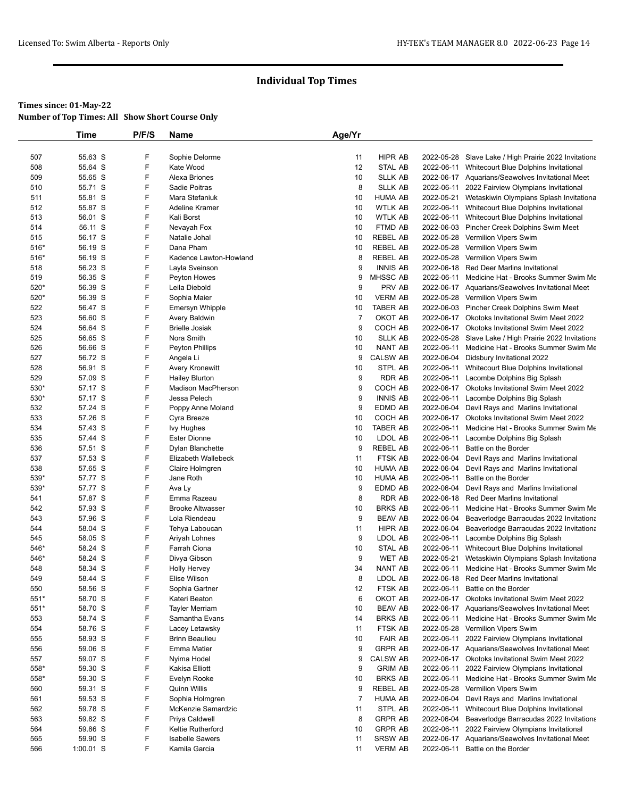|             | Time               | P/F/S  | Name                                   | Age/Yr               |                     |            |                                                                                                  |
|-------------|--------------------|--------|----------------------------------------|----------------------|---------------------|------------|--------------------------------------------------------------------------------------------------|
|             |                    |        |                                        |                      |                     |            |                                                                                                  |
| 507         | 55.63 S            | F      | Sophie Delorme                         | 11                   | HIPR AB             |            | 2022-05-28 Slave Lake / High Prairie 2022 Invitationa                                            |
| 508         | 55.64 S            | F      | Kate Wood                              | 12                   | <b>STAL AB</b>      | 2022-06-11 | Whitecourt Blue Dolphins Invitational                                                            |
| 509         | 55.65 S            | F      | Alexa Briones                          | 10                   | <b>SLLK AB</b>      |            | 2022-06-17 Aquarians/Seawolves Invitational Meet                                                 |
| 510         | 55.71 S            | F      | Sadie Poitras                          | 8                    | <b>SLLK AB</b>      | 2022-06-11 | 2022 Fairview Olympians Invitational                                                             |
| 511         | 55.81 S            | F      | Mara Stefaniuk                         | 10                   | <b>HUMA AB</b>      | 2022-05-21 | Wetaskiwin Olympians Splash Invitationa                                                          |
| 512         | 55.87 S            | F      | Adeline Kramer                         | 10                   | <b>WTLK AB</b>      |            | 2022-06-11 Whitecourt Blue Dolphins Invitational                                                 |
| 513         | 56.01 S            | F      | Kali Borst                             | 10                   | <b>WTLK AB</b>      |            | 2022-06-11 Whitecourt Blue Dolphins Invitational                                                 |
| 514         | 56.11 S            | F      | Nevayah Fox                            | 10                   | FTMD AB             |            | 2022-06-03 Pincher Creek Dolphins Swim Meet                                                      |
| 515         | 56.17 S            | F      | Natalie Johal                          | 10                   | <b>REBEL AB</b>     |            | 2022-05-28 Vermilion Vipers Swim                                                                 |
| 516*        | 56.19 S            | F      | Dana Pham                              | 10                   | <b>REBEL AB</b>     |            | 2022-05-28 Vermilion Vipers Swim                                                                 |
| 516*        | 56.19 S            | F      | Kadence Lawton-Howland                 | 8                    | REBEL AB            |            | 2022-05-28 Vermilion Vipers Swim                                                                 |
| 518         | 56.23 S            | F      | Layla Sveinson                         | 9                    | <b>INNIS AB</b>     |            | 2022-06-18 Red Deer Marlins Invitational                                                         |
| 519         | 56.35 S            | F      | Peyton Howes                           | 9                    | MHSSC AB            | 2022-06-11 | Medicine Hat - Brooks Summer Swim Me                                                             |
| 520*        | 56.39 S            | F      | Leila Diebold                          | 9                    | PRV AB              |            | 2022-06-17 Aquarians/Seawolves Invitational Meet                                                 |
| 520*        | 56.39 S            | F<br>F | Sophia Maier                           | 10                   | <b>VERM AB</b>      |            | 2022-05-28 Vermilion Vipers Swim                                                                 |
| 522<br>523  | 56.47 S            | F      | Emersyn Whipple                        | 10<br>$\overline{7}$ | TABER AB<br>OKOT AB |            | 2022-06-03 Pincher Creek Dolphins Swim Meet                                                      |
| 524         | 56.60 S<br>56.64 S | F      | Avery Baldwin<br><b>Brielle Josiak</b> | 9                    | COCH AB             |            | 2022-06-17 Okotoks Invitational Swim Meet 2022<br>2022-06-17 Okotoks Invitational Swim Meet 2022 |
| 525         | 56.65 S            | F      | Nora Smith                             | 10                   | <b>SLLK AB</b>      |            | 2022-05-28 Slave Lake / High Prairie 2022 Invitationa                                            |
| 526         | 56.66 S            | F      | Peyton Phillips                        | 10                   | NANT AB             | 2022-06-11 | Medicine Hat - Brooks Summer Swim Me                                                             |
| 527         | 56.72 S            | F      | Angela Li                              | 9                    | <b>CALSW AB</b>     |            | 2022-06-04 Didsbury Invitational 2022                                                            |
| 528         | 56.91 S            | F      | Avery Kronewitt                        | 10                   | STPL AB             |            | 2022-06-11 Whitecourt Blue Dolphins Invitational                                                 |
| 529         | 57.09 S            | F      | <b>Hailey Blurton</b>                  | 9                    | RDR AB              | 2022-06-11 | Lacombe Dolphins Big Splash                                                                      |
| 530*        | 57.17 S            | F      | <b>Madison MacPherson</b>              | 9                    | COCH AB             |            | 2022-06-17 Okotoks Invitational Swim Meet 2022                                                   |
| 530*        | 57.17 S            | F      | Jessa Pelech                           | 9                    | <b>INNIS AB</b>     |            | 2022-06-11 Lacombe Dolphins Big Splash                                                           |
| 532         | 57.24 S            | F      | Poppy Anne Moland                      | 9                    | EDMD AB             |            | 2022-06-04 Devil Rays and Marlins Invitational                                                   |
| 533         | 57.26 S            | F      | Cyra Breeze                            | 10                   | COCH AB             |            | 2022-06-17 Okotoks Invitational Swim Meet 2022                                                   |
| 534         | 57.43 S            | F      | <b>Ivy Hughes</b>                      | 10                   | TABER AB            | 2022-06-11 | Medicine Hat - Brooks Summer Swim Me                                                             |
| 535         | 57.44 S            | F      | <b>Ester Dionne</b>                    | 10                   | LDOL AB             | 2022-06-11 | Lacombe Dolphins Big Splash                                                                      |
| 536         | 57.51 S            | F      | Dylan Blanchette                       | 9                    | <b>REBEL AB</b>     | 2022-06-11 | Battle on the Border                                                                             |
| 537         | 57.53 S            | F      | Elizabeth Wallebeck                    | 11                   | FTSK AB             | 2022-06-04 | Devil Rays and Marlins Invitational                                                              |
| 538         | 57.65 S            | F      | Claire Holmgren                        | 10                   | <b>HUMA AB</b>      |            | 2022-06-04 Devil Rays and Marlins Invitational                                                   |
| 539*        | 57.77 S            | F      | Jane Roth                              | 10                   | <b>HUMA AB</b>      | 2022-06-11 | Battle on the Border                                                                             |
| 539*        | 57.77 S            | F      | Ava Ly                                 | 9                    | EDMD AB             | 2022-06-04 | Devil Rays and Marlins Invitational                                                              |
| 541         | 57.87 S            | F      | Emma Razeau                            | 8                    | RDR AB              |            | 2022-06-18 Red Deer Marlins Invitational                                                         |
| 542         | 57.93 S            | F      | <b>Brooke Altwasser</b>                | 10                   | <b>BRKS AB</b>      | 2022-06-11 | Medicine Hat - Brooks Summer Swim Me                                                             |
| 543         | 57.96 S            | F      | Lola Riendeau                          | 9                    | <b>BEAV AB</b>      | 2022-06-04 | Beaverlodge Barracudas 2022 Invitationa                                                          |
| 544         | 58.04 S            | F      | Tehya Laboucan                         | 11                   | HIPR AB             |            | 2022-06-04 Beaverlodge Barracudas 2022 Invitationa                                               |
| 545         | 58.05 S            | F      | Ariyah Lohnes                          | 9                    | LDOL AB             | 2022-06-11 | Lacombe Dolphins Big Splash                                                                      |
| 546*        | 58.24 S            | F      | Farrah Ciona                           | 10                   | STAL AB             | 2022-06-11 | Whitecourt Blue Dolphins Invitational                                                            |
| 546*        | 58.24 S            | F      | Divya Gibson                           | 9                    | WET AB              | 2022-05-21 | Wetaskiwin Olympians Splash Invitationa                                                          |
| 548         | 58.34 S            | F      | <b>Holly Hervey</b>                    | 34                   | NANT AB             | 2022-06-11 | Medicine Hat - Brooks Summer Swim Me                                                             |
| 549         | 58.44 S            | F      | Elise Wilson                           | 8                    | LDOL AB             |            | 2022-06-18 Red Deer Marlins Invitational                                                         |
| 550<br>551* | 58.56 S<br>58.70 S | F<br>F | Sophia Gartner<br>Kateri Beaton        | 12<br>6              | FTSK AB<br>OKOT AB  |            | 2022-06-11 Battle on the Border<br>2022-06-17 Okotoks Invitational Swim Meet 2022                |
| 551*        | 58.70 S            | F      | <b>Tayler Merriam</b>                  | 10                   | <b>BEAV AB</b>      |            | 2022-06-17 Aquarians/Seawolves Invitational Meet                                                 |
| 553         | 58.74 S            | F      | Samantha Evans                         | 14                   | <b>BRKS AB</b>      | 2022-06-11 | Medicine Hat - Brooks Summer Swim Me                                                             |
| 554         | 58.76 S            | F      | Lacey Letawsky                         | 11                   | FTSK AB             |            | 2022-05-28 Vermilion Vipers Swim                                                                 |
| 555         | 58.93 S            | F      | <b>Brinn Beaulieu</b>                  | 10                   | <b>FAIR AB</b>      | 2022-06-11 | 2022 Fairview Olympians Invitational                                                             |
| 556         | 59.06 S            | F      | <b>Emma Matier</b>                     | 9                    | <b>GRPR AB</b>      |            | 2022-06-17 Aquarians/Seawolves Invitational Meet                                                 |
| 557         | 59.07 S            | F      | Nyima Hodel                            | 9                    | <b>CALSW AB</b>     |            | 2022-06-17 Okotoks Invitational Swim Meet 2022                                                   |
| 558*        | 59.30 S            | F      | Kakisa Elliott                         | 9                    | <b>GRIM AB</b>      | 2022-06-11 | 2022 Fairview Olympians Invitational                                                             |
| 558*        | 59.30 S            | F      | Evelyn Rooke                           | 10                   | <b>BRKS AB</b>      | 2022-06-11 | Medicine Hat - Brooks Summer Swim Me                                                             |
| 560         | 59.31 S            | F      | Quinn Willis                           | 9                    | <b>REBEL AB</b>     |            | 2022-05-28 Vermilion Vipers Swim                                                                 |
| 561         | 59.53 S            | F      | Sophia Holmgren                        | $\overline{7}$       | <b>HUMA AB</b>      | 2022-06-04 | Devil Rays and Marlins Invitational                                                              |
| 562         | 59.78 S            | F      | McKenzie Samardzic                     | 11                   | STPL AB             | 2022-06-11 | Whitecourt Blue Dolphins Invitational                                                            |
| 563         | 59.82 S            | F      | Priya Caldwell                         | 8                    | <b>GRPR AB</b>      |            | 2022-06-04 Beaverlodge Barracudas 2022 Invitationa                                               |
| 564         | 59.86 S            | F      | Keltie Rutherford                      | 10                   | <b>GRPR AB</b>      | 2022-06-11 | 2022 Fairview Olympians Invitational                                                             |
| 565         | 59.90 S            | F      | <b>Isabelle Sawers</b>                 | 11                   | <b>SRSW AB</b>      | 2022-06-17 | Aquarians/Seawolves Invitational Meet                                                            |
| 566         | $1:00.01$ S        | F      | Kamila Garcia                          | 11                   | <b>VERM AB</b>      |            | 2022-06-11 Battle on the Border                                                                  |
|             |                    |        |                                        |                      |                     |            |                                                                                                  |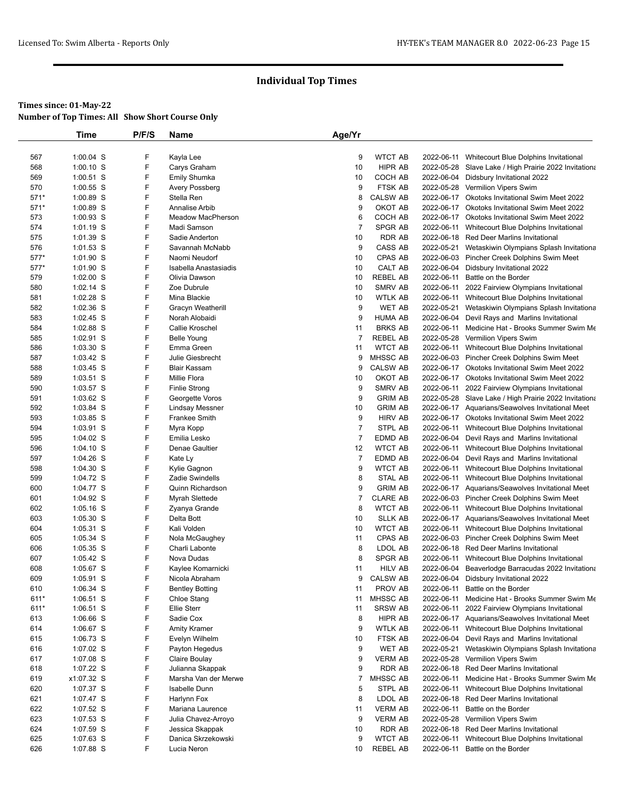|        | Time        | P/F/S | Name                     | Age/Yr         |                 |            |                                                       |
|--------|-------------|-------|--------------------------|----------------|-----------------|------------|-------------------------------------------------------|
|        |             |       |                          |                |                 |            |                                                       |
| 567    | 1:00.04 S   | F     | Kayla Lee                | 9              | <b>WTCT AB</b>  |            | 2022-06-11 Whitecourt Blue Dolphins Invitational      |
| 568    | $1:00.10$ S | F     | Carys Graham             | 10             | <b>HIPR AB</b>  |            | 2022-05-28 Slave Lake / High Prairie 2022 Invitationa |
| 569    | 1:00.51 S   | F     | Emily Shumka             | 10             | COCH AB         |            | 2022-06-04 Didsbury Invitational 2022                 |
| 570    | 1:00.55 S   | F     | Avery Possberg           | 9              | FTSK AB         |            | 2022-05-28 Vermilion Vipers Swim                      |
| $571*$ | 1:00.89 S   | F     | Stella Ren               | 8              | <b>CALSW AB</b> |            | 2022-06-17 Okotoks Invitational Swim Meet 2022        |
| $571*$ | 1:00.89 S   | F     | Annalise Arbib           | 9              | OKOT AB         | 2022-06-17 | <b>Okotoks Invitational Swim Meet 2022</b>            |
| 573    | 1:00.93 S   | F     | <b>Meadow MacPherson</b> | 6              | COCH AB         |            | 2022-06-17 Okotoks Invitational Swim Meet 2022        |
| 574    | 1:01.19 S   | F     | Madi Samson              | $\overline{7}$ | SPGR AB         | 2022-06-11 | Whitecourt Blue Dolphins Invitational                 |
| 575    | 1:01.39 S   | F     | Sadie Anderton           | 10             | <b>RDR AB</b>   |            | 2022-06-18 Red Deer Marlins Invitational              |
| 576    | 1:01.53 S   | F     | Savannah McNabb          | 9              | CASS AB         | 2022-05-21 | Wetaskiwin Olympians Splash Invitationa               |
| 577*   | 1:01.90 S   | F     | Naomi Neudorf            | 10             | CPAS AB         |            | 2022-06-03 Pincher Creek Dolphins Swim Meet           |
| 577*   | 1:01.90 S   | F     | Isabella Anastasiadis    | 10             | CALT AB         | 2022-06-04 | Didsbury Invitational 2022                            |
| 579    | 1:02.00 S   | F     | Olivia Dawson            | 10             | REBEL AB        | 2022-06-11 | Battle on the Border                                  |
| 580    | 1:02.14 S   | F     | Zoe Dubrule              | 10             | SMRV AB         | 2022-06-11 | 2022 Fairview Olympians Invitational                  |
| 581    | 1:02.28 S   | F     | Mina Blackie             | 10             | <b>WTLK AB</b>  | 2022-06-11 | Whitecourt Blue Dolphins Invitational                 |
| 582    | 1:02.36 S   | F     | Gracyn Weatherill        | 9              | WET AB          | 2022-05-21 | Wetaskiwin Olympians Splash Invitationa               |
| 583    | 1:02.45 S   | F     | Norah Alobaidi           | 9              | <b>HUMA AB</b>  |            | 2022-06-04 Devil Rays and Marlins Invitational        |
| 584    | 1:02.88 S   | F     | Callie Kroschel          | 11             | <b>BRKS AB</b>  | 2022-06-11 | Medicine Hat - Brooks Summer Swim Me                  |
| 585    | 1:02.91 S   | F     | <b>Belle Young</b>       | $\overline{7}$ | <b>REBEL AB</b> | 2022-05-28 | Vermilion Vipers Swim                                 |
| 586    | $1:03.30$ S | F     | Emma Green               | 11             | <b>WTCT AB</b>  | 2022-06-11 | Whitecourt Blue Dolphins Invitational                 |
| 587    | 1:03.42 S   | F     | Julie Giesbrecht         | 9              | MHSSC AB        |            | 2022-06-03 Pincher Creek Dolphins Swim Meet           |
| 588    | 1:03.45 S   | F     | <b>Blair Kassam</b>      | 9              | <b>CALSW AB</b> |            | 2022-06-17 Okotoks Invitational Swim Meet 2022        |
| 589    | 1:03.51 S   | F     | Millie Flora             | 10             | OKOT AB         |            | 2022-06-17 Okotoks Invitational Swim Meet 2022        |
| 590    | 1:03.57 S   | F     | <b>Finlie Strong</b>     | 9              | SMRV AB         | 2022-06-11 | 2022 Fairview Olympians Invitational                  |
| 591    | $1:03.62$ S | F     | Georgette Voros          | 9              | <b>GRIM AB</b>  |            | 2022-05-28 Slave Lake / High Prairie 2022 Invitationa |
| 592    | 1:03.84 S   | F     | <b>Lindsay Messner</b>   | 10             | <b>GRIM AB</b>  |            | 2022-06-17 Aquarians/Seawolves Invitational Meet      |
| 593    | 1:03.85 S   | F     | <b>Frankee Smith</b>     | 9              | HIRV AB         |            | 2022-06-17 Okotoks Invitational Swim Meet 2022        |
| 594    | $1:03.91$ S | F     | Myra Kopp                | $\overline{7}$ | STPL AB         | 2022-06-11 | Whitecourt Blue Dolphins Invitational                 |
| 595    | 1:04.02 S   | F     | Emilia Lesko             | $\overline{7}$ | EDMD AB         | 2022-06-04 | Devil Rays and Marlins Invitational                   |
|        | $1:04.10$ S | F     | Denae Gaultier           | 12             | <b>WTCT AB</b>  | 2022-06-11 |                                                       |
| 596    |             |       |                          |                |                 |            | Whitecourt Blue Dolphins Invitational                 |
| 597    | $1:04.26$ S | F     | Kate Ly                  | $\overline{7}$ | EDMD AB         | 2022-06-04 | Devil Rays and Marlins Invitational                   |
| 598    | 1:04.30 S   | F     | Kylie Gagnon             | 9              | WTCT AB         | 2022-06-11 | Whitecourt Blue Dolphins Invitational                 |
| 599    | 1:04.72 S   | F     | Zadie Swindells          | 8              | STAL AB         | 2022-06-11 | Whitecourt Blue Dolphins Invitational                 |
| 600    | 1:04.77 S   | F     | Quinn Richardson         | 9              | <b>GRIM AB</b>  |            | 2022-06-17 Aquarians/Seawolves Invitational Meet      |
| 601    | 1:04.92 S   | F     | Myrah Slettede           | $\overline{7}$ | <b>CLARE AB</b> |            | 2022-06-03 Pincher Creek Dolphins Swim Meet           |
| 602    | 1:05.16 S   | F     | Zyanya Grande            | 8              | <b>WTCT AB</b>  |            | 2022-06-11 Whitecourt Blue Dolphins Invitational      |
| 603    | $1:05.30$ S | F     | Delta Bott               | 10             | <b>SLLK AB</b>  |            | 2022-06-17 Aquarians/Seawolves Invitational Meet      |
| 604    | 1:05.31 S   | F     | Kali Volden              | 10             | WTCT AB         | 2022-06-11 | Whitecourt Blue Dolphins Invitational                 |
| 605    | $1:05.34$ S | F     | Nola McGaughey           | 11             | CPAS AB         |            | 2022-06-03 Pincher Creek Dolphins Swim Meet           |
| 606    | 1:05.35 S   | F     | Charli Labonte           | 8              | LDOL AB         |            | 2022-06-18 Red Deer Marlins Invitational              |
| 607    | 1:05.42 S   | F     | Nova Dudas               | 8              | <b>SPGR AB</b>  | 2022-06-11 | Whitecourt Blue Dolphins Invitational                 |
| 608    | 1:05.67 S   | F     | Kaylee Komarnicki        | 11             | HILV AB         | 2022-06-04 | Beaverlodge Barracudas 2022 Invitationa               |
| 609    | 1:05.91 S   | F     | Nicola Abraham           | 9              | <b>CALSW AB</b> |            | 2022-06-04 Didsbury Invitational 2022                 |
| 610    | 1:06.34 S   | F     | <b>Bentley Botting</b>   | 11             | PROV AB         | 2022-06-11 | Battle on the Border                                  |
| 611*   | $1:06.51$ S | F     | Chloe Stang              | 11             | MHSSC AB        | 2022-06-11 | Medicine Hat - Brooks Summer Swim Me                  |
| 611*   | $1:06.51$ S | F     | <b>Ellie Sterr</b>       | 11             | <b>SRSW AB</b>  | 2022-06-11 | 2022 Fairview Olympians Invitational                  |
| 613    | $1:06.66$ S | F     | Sadie Cox                | 8              | HIPR AB         |            | 2022-06-17 Aquarians/Seawolves Invitational Meet      |
| 614    | $1:06.67$ S | F     | Amity Kramer             | 9              | <b>WTLK AB</b>  |            | 2022-06-11 Whitecourt Blue Dolphins Invitational      |
| 615    | $1:06.73$ S | F     | Evelyn Wilhelm           | 10             | FTSK AB         |            | 2022-06-04 Devil Rays and Marlins Invitational        |
| 616    | $1:07.02$ S | F     | Payton Hegedus           | 9              | WET AB          | 2022-05-21 | Wetaskiwin Olympians Splash Invitationa               |
| 617    | 1:07.08 S   | F     | Claire Boulay            | 9              | VERM AB         |            | 2022-05-28 Vermilion Vipers Swim                      |
| 618    | $1:07.22$ S | F     | Julianna Skappak         | 9              | RDR AB          |            | 2022-06-18 Red Deer Marlins Invitational              |
| 619    | x1:07.32 S  | F     | Marsha Van der Merwe     | $\overline{7}$ | MHSSC AB        | 2022-06-11 | Medicine Hat - Brooks Summer Swim Me                  |
| 620    | 1:07.37 S   | F     | Isabelle Dunn            | 5              | STPL AB         | 2022-06-11 | Whitecourt Blue Dolphins Invitational                 |
| 621    | 1:07.47 S   | F     | Harlynn Fox              | 8              | LDOL AB         |            | 2022-06-18 Red Deer Marlins Invitational              |
| 622    | 1:07.52 S   | F     | Mariana Laurence         | 11             | <b>VERM AB</b>  | 2022-06-11 | Battle on the Border                                  |
| 623    | $1:07.53$ S | F     | Julia Chavez-Arroyo      | 9              | <b>VERM AB</b>  | 2022-05-28 | Vermilion Vipers Swim                                 |
| 624    | 1:07.59 S   | F     | Jessica Skappak          | 10             | RDR AB          |            | 2022-06-18 Red Deer Marlins Invitational              |
| 625    | 1:07.63 S   | F     | Danica Skrzekowski       | 9              | <b>WTCT AB</b>  | 2022-06-11 | Whitecourt Blue Dolphins Invitational                 |
| 626    | 1:07.88 S   | F     | Lucia Neron              | 10             | REBEL AB        | 2022-06-11 | Battle on the Border                                  |
|        |             |       |                          |                |                 |            |                                                       |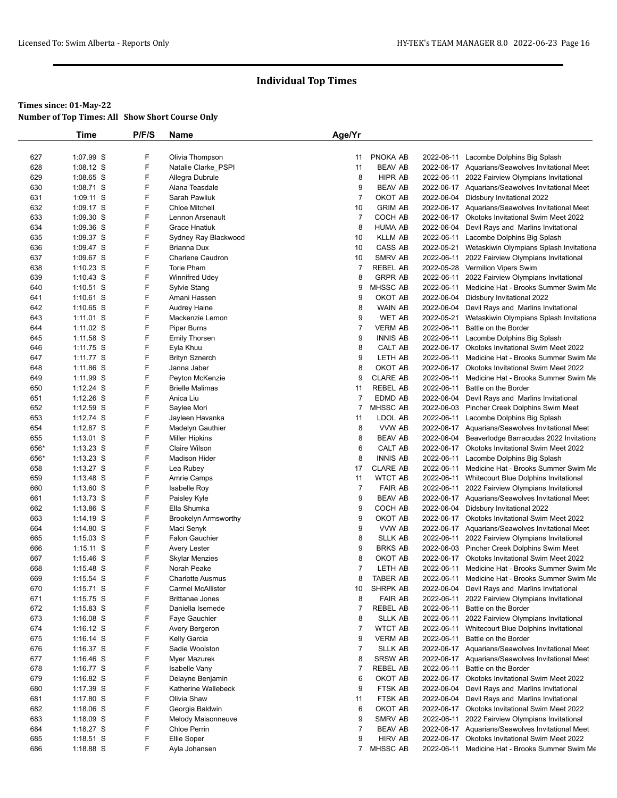|            | Time                     | P/F/S  | Name                                        | Age/Yr         |                            |                          |                                                                                        |
|------------|--------------------------|--------|---------------------------------------------|----------------|----------------------------|--------------------------|----------------------------------------------------------------------------------------|
|            |                          |        |                                             |                |                            |                          |                                                                                        |
| 627        | 1:07.99 S                | F      | Olivia Thompson                             | 11             | PNOKA AB                   | 2022-06-11               | Lacombe Dolphins Big Splash                                                            |
| 628        | 1:08.12 S                | F      | Natalie Clarke_PSPI                         | 11             | <b>BEAV AB</b>             |                          | 2022-06-17 Aquarians/Seawolves Invitational Meet                                       |
| 629        | 1:08.65 S                | F      | Allegra Dubrule                             | 8              | HIPR AB                    | 2022-06-11               | 2022 Fairview Olympians Invitational                                                   |
| 630        | 1:08.71 S                | F      | Alana Teasdale                              | 9              | <b>BEAV AB</b>             |                          | 2022-06-17 Aquarians/Seawolves Invitational Meet                                       |
| 631        | 1:09.11 S                | F      | Sarah Pawliuk                               | $\overline{7}$ | OKOT AB                    |                          | 2022-06-04 Didsbury Invitational 2022                                                  |
| 632        | 1:09.17 S                | F      | <b>Chloe Mitchell</b>                       | 10             | <b>GRIM AB</b>             |                          | 2022-06-17 Aquarians/Seawolves Invitational Meet                                       |
| 633        | 1:09.30 S                | F      | Lennon Arsenault                            | $\overline{7}$ | COCH AB                    |                          | 2022-06-17 Okotoks Invitational Swim Meet 2022                                         |
| 634        | $1:09.36$ S              | F      | <b>Grace Hnatiuk</b>                        | 8              | HUMA AB                    | 2022-06-04               | Devil Rays and Marlins Invitational                                                    |
| 635        | 1:09.37 S                | F      | Sydney Ray Blackwood                        | 10             | <b>KLLM AB</b>             |                          | 2022-06-11 Lacombe Dolphins Big Splash                                                 |
| 636        | $1:09.47$ S              | F      | Brianna Dux                                 | 10             | CASS AB                    | 2022-05-21               | Wetaskiwin Olympians Splash Invitationa                                                |
| 637        | 1:09.67 S                | F      | Charlene Caudron                            | 10             | SMRV AB                    | 2022-06-11               | 2022 Fairview Olympians Invitational                                                   |
| 638        | $1:10.23$ S              | F      | <b>Torie Pham</b>                           | $\overline{7}$ | <b>REBEL AB</b>            |                          | 2022-05-28 Vermilion Vipers Swim                                                       |
| 639        | $1:10.43$ S              | F      | <b>Winnifred Udey</b>                       | 8              | <b>GRPR AB</b>             | 2022-06-11               | 2022 Fairview Olympians Invitational                                                   |
| 640        | $1:10.51$ S              | F      | Sylvie Stang                                | 9              | MHSSC AB                   | 2022-06-11               | Medicine Hat - Brooks Summer Swim Me                                                   |
| 641        | 1:10.61 S                | F<br>F | Amani Hassen                                | 9              | OKOT AB                    |                          | 2022-06-04 Didsbury Invitational 2022                                                  |
| 642        | 1:10.65 S                | F      | <b>Audrey Haine</b>                         | 8<br>9         | WAIN AB                    |                          | 2022-06-04 Devil Rays and Marlins Invitational                                         |
| 643<br>644 | $1:11.01$ S<br>1:11.02 S | F      | Mackenzie Lemon<br>Piper Burns              | $\overline{7}$ | WET AB<br><b>VERM AB</b>   | 2022-05-21<br>2022-06-11 | Wetaskiwin Olympians Splash Invitationa<br>Battle on the Border                        |
| 645        | $1:11.58$ S              | F      | <b>Emily Thorsen</b>                        | 9              | <b>INNIS AB</b>            | 2022-06-11               | Lacombe Dolphins Big Splash                                                            |
| 646        | $1:11.75$ S              | F      | Eyla Khuu                                   | 8              | CALT AB                    |                          | 2022-06-17 Okotoks Invitational Swim Meet 2022                                         |
| 647        | 1:11.77 S                | F      | <b>Brityn Sznerch</b>                       | 9              | LETH AB                    | 2022-06-11               | Medicine Hat - Brooks Summer Swim Me                                                   |
| 648        | $1:11.86$ S              | F      | Janna Jaber                                 | 8              | OKOT AB                    |                          | 2022-06-17 Okotoks Invitational Swim Meet 2022                                         |
| 649        | 1:11.99 S                | F      | Peyton McKenzie                             | 9              | <b>CLARE AB</b>            | 2022-06-11               | Medicine Hat - Brooks Summer Swim Me                                                   |
| 650        | 1:12.24 S                | F      | <b>Brielle Malimas</b>                      | 11             | <b>REBEL AB</b>            | 2022-06-11               | Battle on the Border                                                                   |
| 651        | 1:12.26 S                | F      | Anica Liu                                   | $\overline{7}$ | EDMD AB                    |                          | 2022-06-04 Devil Rays and Marlins Invitational                                         |
| 652        | 1:12.59 S                | F      | Saylee Mori                                 | $\overline{7}$ | MHSSC AB                   |                          | 2022-06-03 Pincher Creek Dolphins Swim Meet                                            |
| 653        | $1:12.74$ S              | F      | Jayleen Havanka                             | 11             | LDOL AB                    | 2022-06-11               | Lacombe Dolphins Big Splash                                                            |
| 654        | $1:12.87$ S              | F      | Madelyn Gauthier                            | 8              | VVW AB                     |                          | 2022-06-17 Aquarians/Seawolves Invitational Meet                                       |
| 655        | 1:13.01 S                | F      | <b>Miller Hipkins</b>                       | 8              | <b>BEAV AB</b>             |                          | 2022-06-04 Beaverlodge Barracudas 2022 Invitationa                                     |
| 656*       | $1:13.23$ S              | F      | <b>Claire Wilson</b>                        | 6              | CALT AB                    |                          | 2022-06-17 Okotoks Invitational Swim Meet 2022                                         |
| 656*       | $1:13.23$ S              | F      | <b>Madison Hider</b>                        | 8              | <b>INNIS AB</b>            | 2022-06-11               | Lacombe Dolphins Big Splash                                                            |
| 658        | 1:13.27 S                | F      | Lea Rubey                                   | 17             | <b>CLARE AB</b>            | 2022-06-11               | Medicine Hat - Brooks Summer Swim Me                                                   |
| 659        | $1:13.48$ S              | F      | Amrie Camps                                 | 11             | <b>WTCT AB</b>             | 2022-06-11               | Whitecourt Blue Dolphins Invitational                                                  |
| 660        | 1:13.60 S                | F      | <b>Isabelle Roy</b>                         | $\overline{7}$ | <b>FAIR AB</b>             | 2022-06-11               | 2022 Fairview Olympians Invitational                                                   |
| 661        | 1:13.73 S                | F      | Paisley Kyle                                | 9              | <b>BEAV AB</b>             |                          | 2022-06-17 Aquarians/Seawolves Invitational Meet                                       |
| 662        | $1:13.86$ S              | F      | Ella Shumka                                 | 9              | COCH AB                    |                          | 2022-06-04 Didsbury Invitational 2022                                                  |
| 663        | 1:14.19 S                | F      | <b>Brookelyn Armsworthy</b>                 | 9              | OKOT AB                    |                          | 2022-06-17 Okotoks Invitational Swim Meet 2022                                         |
| 664        | $1:14.80$ S              | F      | Maci Senyk                                  | 9              | VVW AB                     |                          | 2022-06-17 Aquarians/Seawolves Invitational Meet                                       |
| 665        | $1:15.03$ S              | F      | <b>Falon Gauchier</b>                       | 8              | <b>SLLK AB</b>             | 2022-06-11               | 2022 Fairview Olympians Invitational                                                   |
| 666        | $1:15.11$ S              | F      | Avery Lester                                | 9              | <b>BRKS AB</b>             |                          | 2022-06-03 Pincher Creek Dolphins Swim Meet                                            |
| 667        | 1:15.46 S                | F      | <b>Skylar Menzies</b>                       | 8              | OKOT AB                    |                          | 2022-06-17 Okotoks Invitational Swim Meet 2022                                         |
| 668        | $1:15.48$ S              | F<br>F | Norah Peake                                 | 7<br>8         | LETH AB                    | 2022-06-11               | Medicine Hat - Brooks Summer Swim Me                                                   |
| 669        | 1:15.54 S<br>1:15.71 S   | F      | <b>Charlotte Ausmus</b>                     |                | TABER AB                   |                          | 2022-06-11 Medicine Hat - Brooks Summer Swim Me                                        |
| 670<br>671 | $1:15.75$ S              | F      | Carmel McAllister<br><b>Brittanae Jones</b> | 10<br>8        | SHRPK AB<br><b>FAIR AB</b> | 2022-06-11               | 2022-06-04 Devil Rays and Marlins Invitational<br>2022 Fairview Olympians Invitational |
| 672        | 1:15.83 S                | F      | Daniella Isemede                            | $\overline{7}$ | <b>REBEL AB</b>            | 2022-06-11               | Battle on the Border                                                                   |
| 673        | $1:16.08$ S              | F      | Faye Gauchier                               | 8              | <b>SLLK AB</b>             | 2022-06-11               | 2022 Fairview Olympians Invitational                                                   |
| 674        | $1:16.12$ S              | F      | Avery Bergeron                              | $\overline{7}$ | <b>WTCT AB</b>             | 2022-06-11               | Whitecourt Blue Dolphins Invitational                                                  |
| 675        | $1:16.14$ S              | F      | Kelly Garcia                                | 9              | <b>VERM AB</b>             | 2022-06-11               | Battle on the Border                                                                   |
| 676        | 1:16.37 S                | F      | Sadie Woolston                              | $\overline{7}$ | <b>SLLK AB</b>             |                          | 2022-06-17 Aquarians/Seawolves Invitational Meet                                       |
| 677        | $1:16.46$ S              | F      | Myer Mazurek                                | 8              | <b>SRSW AB</b>             |                          | 2022-06-17 Aquarians/Seawolves Invitational Meet                                       |
| 678        | 1:16.77 $S$              | F      | Isabelle Vany                               | $\overline{7}$ | <b>REBEL AB</b>            | 2022-06-11               | Battle on the Border                                                                   |
| 679        | 1:16.82 S                | F      | Delayne Benjamin                            | 6              | OKOT AB                    |                          | 2022-06-17 Okotoks Invitational Swim Meet 2022                                         |
| 680        | 1:17.39 S                | F      | Katherine Wallebeck                         | 9              | FTSK AB                    |                          | 2022-06-04 Devil Rays and Marlins Invitational                                         |
| 681        | 1:17.80 S                | F      | Olivia Shaw                                 | 11             | FTSK AB                    |                          | 2022-06-04 Devil Rays and Marlins Invitational                                         |
| 682        | $1:18.06$ S              | F      | Georgia Baldwin                             | 6              | OKOT AB                    |                          | 2022-06-17 Okotoks Invitational Swim Meet 2022                                         |
| 683        | $1:18.09$ S              | F      | Melody Maisonneuve                          | 9              | SMRV AB                    |                          | 2022-06-11 2022 Fairview Olympians Invitational                                        |
| 684        | $1:18.27$ S              | F      | Chloe Perrin                                | $\overline{7}$ | BEAV AB                    |                          | 2022-06-17 Aquarians/Seawolves Invitational Meet                                       |
| 685        | $1:18.51$ S              | F      | Ellie Soper                                 | 9              | HIRV AB                    | 2022-06-17               | <b>Okotoks Invitational Swim Meet 2022</b>                                             |
| 686        | 1:18.88 S                | F      | Ayla Johansen                               |                | 7 MHSSC AB                 |                          | 2022-06-11 Medicine Hat - Brooks Summer Swim Me                                        |
|            |                          |        |                                             |                |                            |                          |                                                                                        |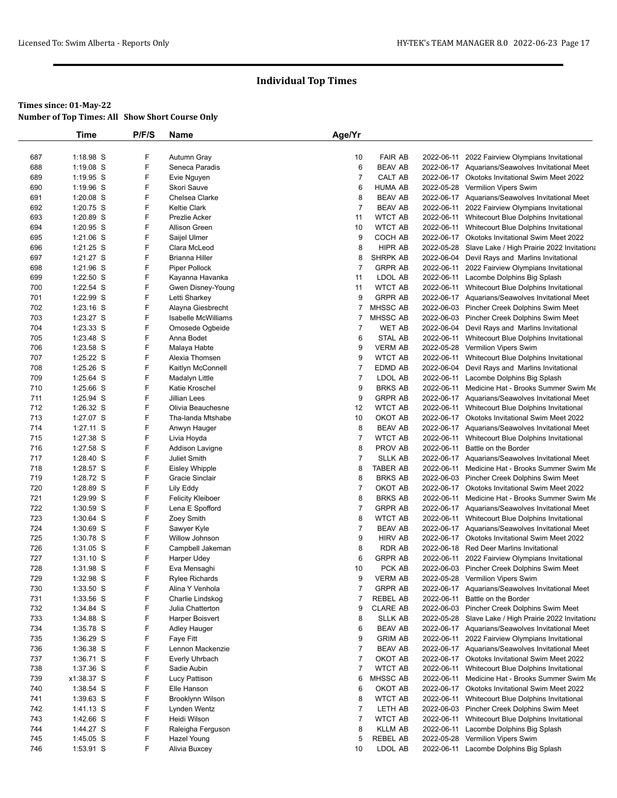|            | Time                     | P/F/S  | Name                                  | Age/Yr                           |                            |                          |                                                                                          |
|------------|--------------------------|--------|---------------------------------------|----------------------------------|----------------------------|--------------------------|------------------------------------------------------------------------------------------|
|            |                          |        |                                       |                                  |                            |                          |                                                                                          |
| 687        | 1:18.98 S                | F      | Autumn Gray                           | 10                               | <b>FAIR AB</b>             | 2022-06-11               | 2022 Fairview Olympians Invitational                                                     |
| 688        | 1:19.08 S                | F      | Seneca Paradis                        | 6                                | <b>BEAV AB</b>             |                          | 2022-06-17 Aquarians/Seawolves Invitational Meet                                         |
| 689        | 1:19.95 S                | F      | Evie Nguyen                           | $\overline{7}$                   | CALT AB                    |                          | 2022-06-17 Okotoks Invitational Swim Meet 2022                                           |
| 690        | 1:19.96 S                | F      | Skori Sauve                           | 6                                | HUMA AB                    |                          | 2022-05-28 Vermilion Vipers Swim                                                         |
| 691        | $1:20.08$ S              | F      | Chelsea Clarke                        | 8                                | <b>BEAV AB</b>             |                          | 2022-06-17 Aquarians/Seawolves Invitational Meet                                         |
| 692        | 1:20.75 S                | F      | <b>Keltie Clark</b>                   | $\overline{7}$                   | <b>BEAV AB</b>             |                          | 2022-06-11 2022 Fairview Olympians Invitational                                          |
| 693        | 1:20.89 S                | F      | Prezlie Acker                         | 11                               | <b>WTCT AB</b>             |                          | 2022-06-11 Whitecourt Blue Dolphins Invitational                                         |
| 694        | 1:20.95 S                | F      | <b>Allison Green</b>                  | 10                               | WTCT AB                    |                          | 2022-06-11 Whitecourt Blue Dolphins Invitational                                         |
| 695        | 1:21.06 S                | F<br>F | Saijel Ulmer                          | 9                                | COCH AB                    |                          | 2022-06-17 Okotoks Invitational Swim Meet 2022                                           |
| 696        | $1:21.25$ S              | F      | Clara McLeod<br><b>Brianna Hiller</b> | 8                                | HIPR AB<br>SHRPK AB        |                          | 2022-05-28 Slave Lake / High Prairie 2022 Invitationa                                    |
| 697<br>698 | 1:21.27 S<br>1:21.96 S   | F      | Piper Pollock                         | 8<br>7                           | <b>GRPR AB</b>             | 2022-06-11               | 2022-06-04 Devil Rays and Marlins Invitational<br>2022 Fairview Olympians Invitational   |
| 699        | 1:22.50 S                | F      | Kayanna Havanka                       | 11                               | LDOL AB                    | 2022-06-11               | Lacombe Dolphins Big Splash                                                              |
| 700        | 1:22.54 S                | F      | Gwen Disney-Young                     | 11                               | <b>WTCT AB</b>             |                          | 2022-06-11 Whitecourt Blue Dolphins Invitational                                         |
| 701        | 1:22.99 S                | F      | Letti Sharkey                         | 9                                | <b>GRPR AB</b>             |                          | 2022-06-17 Aquarians/Seawolves Invitational Meet                                         |
| 702        | $1:23.16$ S              | F      | Alayna Giesbrecht                     | 7                                | MHSSC AB                   |                          | 2022-06-03 Pincher Creek Dolphins Swim Meet                                              |
| 703        | 1:23.27 S                | F      | <b>Isabelle McWilliams</b>            | 7                                | MHSSC AB                   |                          | 2022-06-03 Pincher Creek Dolphins Swim Meet                                              |
| 704        | $1:23.33$ S              | F      | Omosede Ogbeide                       | 7                                | <b>WET AB</b>              |                          | 2022-06-04 Devil Rays and Marlins Invitational                                           |
| 705        | 1:23.48 S                | F      | Anna Bodet                            | 6                                | STAL AB                    |                          | 2022-06-11 Whitecourt Blue Dolphins Invitational                                         |
| 706        | 1:23.58 S                | F      | Malaya Habte                          | 9                                | <b>VERM AB</b>             |                          | 2022-05-28 Vermilion Vipers Swim                                                         |
| 707        | 1:25.22 S                | F      | Alexia Thomsen                        | 9                                | <b>WTCT AB</b>             | 2022-06-11               | Whitecourt Blue Dolphins Invitational                                                    |
| 708        | 1:25.26 S                | F      | Kaitlyn McConnell                     | $\overline{7}$                   | EDMD AB                    |                          | 2022-06-04 Devil Rays and Marlins Invitational                                           |
| 709        | 1:25.64 S                | F      | Madalyn Little                        | $\overline{7}$                   | LDOL AB                    | 2022-06-11               | Lacombe Dolphins Big Splash                                                              |
| 710        | 1:25.66 S                | F      | Katie Kroschel                        | 9                                | <b>BRKS AB</b>             |                          | 2022-06-11 Medicine Hat - Brooks Summer Swim Me                                          |
| 711        | 1:25.94 S                | F      | <b>Jillian Lees</b>                   | 9                                | <b>GRPR AB</b>             |                          | 2022-06-17 Aquarians/Seawolves Invitational Meet                                         |
| 712        | 1:26.32 S                | F      | Olivia Beauchesne                     | 12                               | <b>WTCT AB</b>             |                          | 2022-06-11 Whitecourt Blue Dolphins Invitational                                         |
| 713        | 1:27.07 S                | F      | Tha-landa Mtshabe                     | 10                               | OKOT AB                    |                          | 2022-06-17 Okotoks Invitational Swim Meet 2022                                           |
| 714        | 1:27.11 S                | F      | Anwyn Hauger                          | 8                                | <b>BEAV AB</b>             |                          | 2022-06-17 Aquarians/Seawolves Invitational Meet                                         |
| 715        | 1:27.38 S                | F      | Livia Hoyda                           | $\overline{7}$                   | <b>WTCT AB</b>             | 2022-06-11               | Whitecourt Blue Dolphins Invitational                                                    |
| 716        | 1:27.58 S                | F      | Addison Lavigne                       | 8                                | PROV AB                    | 2022-06-11               | Battle on the Border                                                                     |
| 717<br>718 | $1:28.40$ S<br>1:28.57 S | F<br>F | Juliet Smith                          | $\overline{7}$<br>8              | <b>SLLK AB</b><br>TABER AB | 2022-06-11               | 2022-06-17 Aquarians/Seawolves Invitational Meet<br>Medicine Hat - Brooks Summer Swim Me |
| 719        | 1:28.72 S                | F      | Eisley Whipple<br>Gracie Sinclair     | 8                                | <b>BRKS AB</b>             |                          | 2022-06-03 Pincher Creek Dolphins Swim Meet                                              |
| 720        | 1:28.89 S                | F      | Lily Eddy                             | $\overline{7}$                   | OKOT AB                    |                          | 2022-06-17 Okotoks Invitational Swim Meet 2022                                           |
| 721        | 1:29.99 S                | F      | <b>Felicity Kleiboer</b>              | 8                                | <b>BRKS AB</b>             | 2022-06-11               | Medicine Hat - Brooks Summer Swim Me                                                     |
| 722        | 1:30.59 S                | F      | Lena E Spofford                       | $\overline{7}$                   | <b>GRPR AB</b>             |                          | 2022-06-17 Aquarians/Seawolves Invitational Meet                                         |
| 723        | 1:30.64 S                | F      | Zoey Smith                            | 8                                | WTCT AB                    |                          | 2022-06-11 Whitecourt Blue Dolphins Invitational                                         |
| 724        | $1:30.69$ S              | F      | Sawyer Kyle                           | $\overline{7}$                   | BEAV AB                    |                          | 2022-06-17 Aquarians/Seawolves Invitational Meet                                         |
| 725        | 1:30.78 S                | F      | Willow Johnson                        | 9                                | HIRV AB                    |                          | 2022-06-17 Okotoks Invitational Swim Meet 2022                                           |
| 726        | $1:31.05$ S              | F      | Campbell Jakeman                      | 8                                | RDR AB                     |                          | 2022-06-18 Red Deer Marlins Invitational                                                 |
| 727        | 1:31.10 S                | F      | Harper Udey                           | 6                                | <b>GRPR AB</b>             | 2022-06-11               | 2022 Fairview Olympians Invitational                                                     |
| 728        | 1:31.98 S                | F      | Eva Mensaghi                          | 10                               | PCK AB                     |                          | 2022-06-03 Pincher Creek Dolphins Swim Meet                                              |
| 729        | 1:32.98 S                | F      | <b>Rylee Richards</b>                 | 9                                | <b>VERM AB</b>             |                          | 2022-05-28 Vermilion Vipers Swim                                                         |
| 730        | 1:33.50 S                | F      | Alina Y Venhola                       | 7                                | <b>GRPR AB</b>             |                          | 2022-06-17 Aquarians/Seawolves Invitational Meet                                         |
| 731        | 1:33.56 S                | F      | Charlie Lindskog                      | 7                                | <b>REBEL AB</b>            | 2022-06-11               | Battle on the Border                                                                     |
| 732        | 1:34.84 S                | F      | Julia Chatterton                      | 9                                | <b>CLARE AB</b>            |                          | 2022-06-03 Pincher Creek Dolphins Swim Meet                                              |
| 733        | 1:34.88 S                | F      | Harper Boisvert                       | 8                                | <b>SLLK AB</b>             |                          | 2022-05-28 Slave Lake / High Prairie 2022 Invitationa                                    |
| 734        | 1:35.78 S                | F      | Adley Hauger                          | 6                                | <b>BEAV AB</b>             |                          | 2022-06-17 Aquarians/Seawolves Invitational Meet                                         |
| 735        | $1:36.29$ S              | F      | Faye Fitt                             | 9                                | <b>GRIM AB</b>             | 2022-06-11               | 2022 Fairview Olympians Invitational                                                     |
| 736        | 1:36.38 S                | F<br>F | Lennon Mackenzie                      | $\overline{7}$                   | <b>BEAV AB</b>             |                          | 2022-06-17 Aquarians/Seawolves Invitational Meet                                         |
| 737<br>738 | $1:36.71$ S              | F      | Everly Uhrbach                        | $\overline{7}$<br>$\overline{7}$ | OKOT AB<br><b>WTCT AB</b>  |                          | 2022-06-17 Okotoks Invitational Swim Meet 2022<br>Whitecourt Blue Dolphins Invitational  |
| 739        | 1:37.36 S<br>x1:38.37 S  | F      | Sadie Aubin<br>Lucy Pattison          | 6                                | MHSSC AB                   | 2022-06-11<br>2022-06-11 | Medicine Hat - Brooks Summer Swim Me                                                     |
| 740        | $1:38.54$ S              | F      | Elle Hanson                           | 6                                | OKOT AB                    |                          | 2022-06-17 Okotoks Invitational Swim Meet 2022                                           |
| 741        | $1:39.63$ S              | F      | Brooklynn Wilson                      | 8                                | <b>WTCT AB</b>             | 2022-06-11               | Whitecourt Blue Dolphins Invitational                                                    |
| 742        | 1:41.13 S                | F      | Lynden Wentz                          | $\overline{7}$                   | LETH AB                    |                          | 2022-06-03 Pincher Creek Dolphins Swim Meet                                              |
| 743        | 1:42.66 S                | F      | Heidi Wilson                          | $\overline{7}$                   | <b>WTCT AB</b>             |                          | 2022-06-11 Whitecourt Blue Dolphins Invitational                                         |
| 744        | 1:44.27 S                | F      | Raleigha Ferguson                     | 8                                | KLLM AB                    | 2022-06-11               | Lacombe Dolphins Big Splash                                                              |
| 745        | $1:45.05$ S              | F      | Hazel Young                           | 5                                | REBEL AB                   | 2022-05-28               | Vermilion Vipers Swim                                                                    |
| 746        | 1:53.91 S                | F      | Alivia Buxcey                         | 10                               | LDOL AB                    |                          | 2022-06-11 Lacombe Dolphins Big Splash                                                   |
|            |                          |        |                                       |                                  |                            |                          |                                                                                          |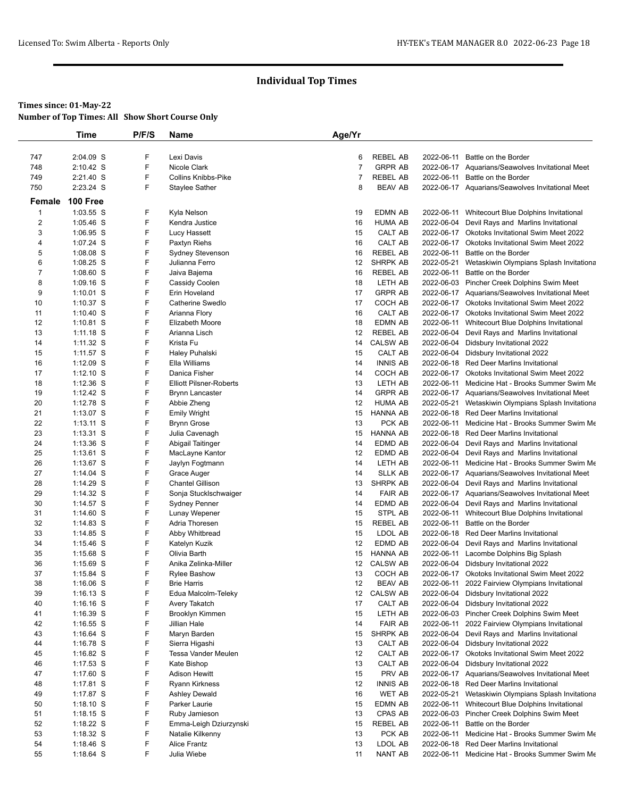## **Times since: 01-May-22**

**Number of Top Times: All Show Short Course Only**

|                | Time        | P/F/S  | Name                           | Age/Yr |                 |            |                                                    |
|----------------|-------------|--------|--------------------------------|--------|-----------------|------------|----------------------------------------------------|
| 747            | 2:04.09 S   | F      | Lexi Davis                     | 6      | REBEL AB        |            | 2022-06-11 Battle on the Border                    |
| 748            | 2:10.42 S   | F      | Nicole Clark                   | 7      | <b>GRPR AB</b>  |            | 2022-06-17 Aquarians/Seawolves Invitational Meet   |
| 749            | 2:21.40 S   | F      | <b>Collins Knibbs-Pike</b>     | 7      | <b>REBEL AB</b> |            | 2022-06-11 Battle on the Border                    |
| 750            | 2:23.24 S   | F      | <b>Staylee Sather</b>          | 8      | <b>BEAV AB</b>  |            | 2022-06-17 Aquarians/Seawolves Invitational Meet   |
| Female         | 100 Free    |        |                                |        |                 |            |                                                    |
| $\mathbf{1}$   | 1:03.55 S   | F      | Kyla Nelson                    | 19     | <b>EDMN AB</b>  |            | 2022-06-11 Whitecourt Blue Dolphins Invitational   |
| $\overline{2}$ | 1:05.46 S   | F      | Kendra Justice                 | 16     | <b>HUMA AB</b>  |            | 2022-06-04 Devil Rays and Marlins Invitational     |
| $\mathbf{3}$   | 1:06.95 S   | F      | Lucy Hassett                   | 15     | CALT AB         |            | 2022-06-17 Okotoks Invitational Swim Meet 2022     |
| 4              | 1:07.24 S   | F      | Paxtyn Riehs                   | 16     | CALT AB         |            | 2022-06-17 Okotoks Invitational Swim Meet 2022     |
| 5              | $1:08.08$ S | F      | Sydney Stevenson               | 16     | <b>REBEL AB</b> | 2022-06-11 | Battle on the Border                               |
| 6              | $1:08.25$ S | F      | Julianna Ferro                 | 12     | SHRPK AB        | 2022-05-21 | Wetaskiwin Olympians Splash Invitationa            |
| $\overline{7}$ | 1:08.60 S   | F      | Jaiva Bajema                   | 16     | <b>REBEL AB</b> | 2022-06-11 | Battle on the Border                               |
| 8              | 1:09.16 S   | F      | Cassidy Coolen                 | 18     | LETH AB         |            | 2022-06-03 Pincher Creek Dolphins Swim Meet        |
| 9              | $1:10.01$ S | F      | Erin Hoveland                  | 17     | <b>GRPR AB</b>  |            | 2022-06-17 Aquarians/Seawolves Invitational Meet   |
| 10             | 1:10.37 S   | F      | Catherine Swedlo               | 17     | COCH AB         |            | 2022-06-17 Okotoks Invitational Swim Meet 2022     |
| 11             | $1:10.40$ S | F      | Arianna Flory                  | 16     | CALT AB         |            | 2022-06-17 Okotoks Invitational Swim Meet 2022     |
| 12             | $1:10.81$ S | F      | Elizabeth Moore                | 18     | EDMN AB         |            | 2022-06-11 Whitecourt Blue Dolphins Invitational   |
| 13             | $1:11.18$ S | F      | Arianna Lisch                  | 12     | REBEL AB        | 2022-06-04 | Devil Rays and Marlins Invitational                |
| 14             | 1:11.32 S   | F      | Krista Fu                      | 14     | <b>CALSW AB</b> | 2022-06-04 | Didsbury Invitational 2022                         |
| 15             | 1:11.57 S   | F      | Haley Puhalski                 | 15     | CALT AB         |            | 2022-06-04 Didsbury Invitational 2022              |
| 16             | $1:12.09$ S | F      | Ella Williams                  | 14     | <b>INNIS AB</b> |            | 2022-06-18 Red Deer Marlins Invitational           |
| 17             | $1:12.10$ S | F      | Danica Fisher                  | 14     | COCH AB         |            | 2022-06-17 Okotoks Invitational Swim Meet 2022     |
| 18             | $1:12.36$ S | F      | <b>Elliott Pilsner-Roberts</b> | 13     | LETH AB         |            | 2022-06-11 Medicine Hat - Brooks Summer Swim Me    |
| 19             | $1:12.42$ S | F      | <b>Brynn Lancaster</b>         | 14     | <b>GRPR AB</b>  |            | 2022-06-17 Aquarians/Seawolves Invitational Meet   |
| 20             | 1:12.78 S   | F      | Abbie Zheng                    | 12     | <b>HUMA AB</b>  |            | 2022-05-21 Wetaskiwin Olympians Splash Invitationa |
| 21             | $1:13.07$ S | F      | <b>Emily Wright</b>            | 15     | <b>HANNA AB</b> |            | 2022-06-18 Red Deer Marlins Invitational           |
| 22             | $1:13.11$ S | F      | <b>Brynn Grose</b>             | 13     | PCK AB          | 2022-06-11 | Medicine Hat - Brooks Summer Swim Me               |
| 23             | 1:13.31 S   | F      | Julia Cavenagh                 | 15     | <b>HANNA AB</b> |            | 2022-06-18 Red Deer Marlins Invitational           |
| 24             | 1:13.36 S   | F      | Abigail Taitinger              | 14     | EDMD AB         |            | 2022-06-04 Devil Rays and Marlins Invitational     |
| 25             | $1:13.61$ S | F      | MacLayne Kantor                | 12     | EDMD AB         | 2022-06-04 | Devil Rays and Marlins Invitational                |
| 26             | 1:13.67 S   | F      | Jaylyn Fogtmann                | 14     | LETH AB         |            | 2022-06-11 Medicine Hat - Brooks Summer Swim Me    |
| 27             | $1:14.04$ S | F      | Grace Auger                    | 14     | <b>SLLK AB</b>  |            | 2022-06-17 Aquarians/Seawolves Invitational Meet   |
| 28             | 1:14.29 S   | F      | <b>Chantel Gillison</b>        | 13     | <b>SHRPK AB</b> |            | 2022-06-04 Devil Rays and Marlins Invitational     |
| 29             | 1:14.32 S   | F      | Sonja Stucklschwaiger          | 14     | <b>FAIR AB</b>  |            | 2022-06-17 Aquarians/Seawolves Invitational Meet   |
| 30             | 1:14.57 S   | F      | <b>Sydney Penner</b>           | 14     | EDMD AB         |            | 2022-06-04 Devil Rays and Marlins Invitational     |
| 31             | $1:14.60$ S | F      | Lunay Wepener                  | 15     | STPL AB         |            | 2022-06-11 Whitecourt Blue Dolphins Invitational   |
| 32             | $1:14.83$ S | F      | Adria Thoresen                 | 15     | <b>REBEL AB</b> | 2022-06-11 | Battle on the Border                               |
| 33             | 1:14.85 S   | F      | Abby Whitbread                 | 15     | LDOL AB         |            | 2022-06-18 Red Deer Marlins Invitational           |
| 34             | $1:15.46$ S | F      | Katelyn Kuzik                  | 12     | EDMD AB         |            | 2022-06-04 Devil Rays and Marlins Invitational     |
| 35             | $1:15.68$ S | F      | Olivia Barth                   | 15     | <b>HANNA AB</b> | 2022-06-11 | Lacombe Dolphins Big Splash                        |
| 36             | 1:15.69 S   | F      | Anika Zelinka-Miller           | 12     | <b>CALSW AB</b> | 2022-06-04 | Didsbury Invitational 2022                         |
| 37             | 1:15.84 S   | F      | <b>Rylee Bashow</b>            | 13     | COCH AB         |            | 2022-06-17 Okotoks Invitational Swim Meet 2022     |
| 38             | $1:16.06$ S | F      | <b>Brie Harris</b>             | 12     | <b>BEAV AB</b>  |            | 2022-06-11 2022 Fairview Olympians Invitational    |
| 39             | $1:16.13$ S | F      | Edua Malcolm-Teleky            | 12     | <b>CALSW AB</b> | 2022-06-04 | Didsbury Invitational 2022                         |
| 40             | $1:16.16$ S | F      | Avery Takatch                  | 17     | CALT AB         |            | 2022-06-04 Didsbury Invitational 2022              |
| 41             | $1:16.39$ S | F      | Brooklyn Kimmen                | 15     | LETH AB         |            | 2022-06-03 Pincher Creek Dolphins Swim Meet        |
| 42             | $1:16.55$ S | F      | Jillian Hale                   | 14     | <b>FAIR AB</b>  |            | 2022-06-11 2022 Fairview Olympians Invitational    |
| 43             | 1:16.64 S   | F      | Maryn Barden                   | 15     | SHRPK AB        |            | 2022-06-04 Devil Rays and Marlins Invitational     |
| 44             | 1:16.78 S   | F      | Sierra Higashi                 | 13     | CALT AB         |            | 2022-06-04 Didsbury Invitational 2022              |
| 45             | 1:16.82 S   | F      | <b>Tessa Vander Meulen</b>     | 12     | CALT AB         |            | 2022-06-17 Okotoks Invitational Swim Meet 2022     |
| 46             | $1:17.53$ S | F      | Kate Bishop                    | 13     | CALT AB         |            | 2022-06-04 Didsbury Invitational 2022              |
| 47             | 1:17.60 S   | F<br>F | <b>Adison Hewitt</b>           | 15     | PRV AB          |            | 2022-06-17 Aquarians/Seawolves Invitational Meet   |
| 48             | 1:17.81 S   | F      | Ryann Kirkness                 | 12     | <b>INNIS AB</b> |            | 2022-06-18 Red Deer Marlins Invitational           |
| 49             | 1:17.87 S   |        | <b>Ashley Dewald</b>           | 16     | WET AB          |            | 2022-05-21 Wetaskiwin Olympians Splash Invitationa |
| 50             | $1:18.10$ S | F      | Parker Laurie                  | 15     | EDMN AB         |            | 2022-06-11 Whitecourt Blue Dolphins Invitational   |
| 51             | $1:18.15$ S | F<br>F | Ruby Jamieson                  | 13     | CPAS AB         |            | 2022-06-03 Pincher Creek Dolphins Swim Meet        |
| 52             | 1:18.22 S   | F      | Emma-Leigh Dziurzynski         | 15     | REBEL AB        | 2022-06-11 | Battle on the Border                               |
| 53             | 1:18.32 S   |        | Natalie Kilkenny               | 13     | PCK AB          |            | 2022-06-11 Medicine Hat - Brooks Summer Swim Me    |
| 54             | $1:18.46$ S | F      | Alice Frantz                   | 13     | LDOL AB         | 2022-06-18 | Red Deer Marlins Invitational                      |
| 55             | 1:18.64 S   | F      | Julia Wiebe                    | 11     | NANT AB         |            | 2022-06-11 Medicine Hat - Brooks Summer Swim Me    |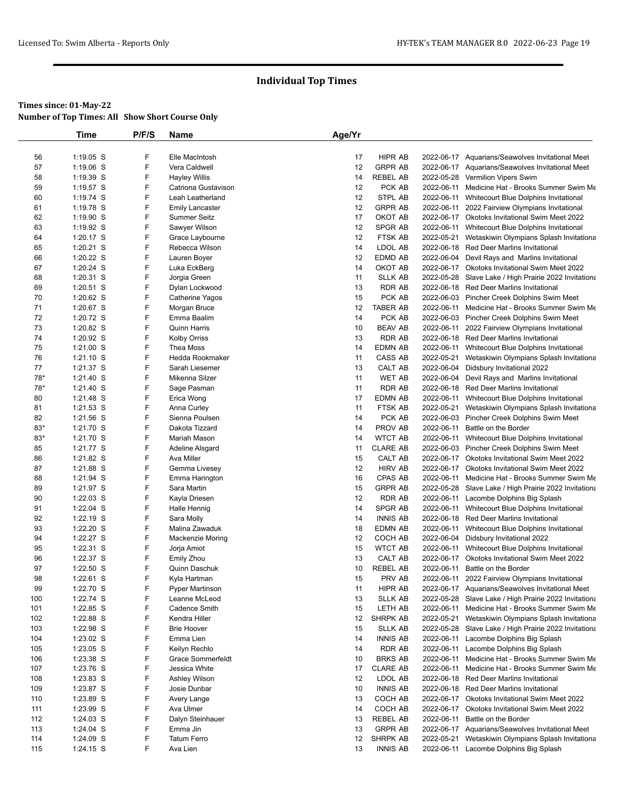|          | <b>Time</b>              | P/F/S  | Name                           | Age/Yr   |                            |            |                                                                                                   |
|----------|--------------------------|--------|--------------------------------|----------|----------------------------|------------|---------------------------------------------------------------------------------------------------|
|          |                          |        |                                |          |                            |            |                                                                                                   |
| 56       | 1:19.05 S                | F      | Elle MacIntosh                 | 17       | HIPR AB                    |            | 2022-06-17 Aquarians/Seawolves Invitational Meet                                                  |
| 57       | 1:19.06 S                | F      | Vera Caldwell                  | 12       | <b>GRPR AB</b>             |            | 2022-06-17 Aquarians/Seawolves Invitational Meet                                                  |
| 58       | 1:19.39 S                | F      | <b>Hayley Willis</b>           | 14       | <b>REBEL AB</b>            |            | 2022-05-28 Vermilion Vipers Swim                                                                  |
| 59       | 1:19.57 S                | F      | Catriona Gustavison            | 12       | PCK AB                     |            | 2022-06-11 Medicine Hat - Brooks Summer Swim Me                                                   |
| 60       | 1:19.74 S                | F      | Leah Leatherland               | 12       | STPL AB                    |            | 2022-06-11 Whitecourt Blue Dolphins Invitational                                                  |
| 61       | 1:19.78 S                | F      | <b>Emily Lancaster</b>         | 12       | <b>GRPR AB</b>             |            | 2022-06-11 2022 Fairview Olympians Invitational                                                   |
| 62       | 1:19.90 S                | F      | <b>Summer Seitz</b>            | 17       | OKOT AB                    |            | 2022-06-17 Okotoks Invitational Swim Meet 2022                                                    |
| 63       | $1:19.92$ S              | F      | Sawyer Wilson                  | 12       | SPGR AB                    |            | 2022-06-11 Whitecourt Blue Dolphins Invitational                                                  |
| 64       | 1:20.17 S                | F      | Grace Laybourne                | 12       | FTSK AB                    | 2022-05-21 | Wetaskiwin Olympians Splash Invitationa                                                           |
| 65       | $1:20.21$ S              | F      | Rebecca Wilson                 | 14       | LDOL AB                    |            | 2022-06-18 Red Deer Marlins Invitational                                                          |
| 66       | $1:20.22$ S              | F<br>F | Lauren Boyer                   | 12<br>14 | EDMD AB<br>OKOT AB         |            | 2022-06-04 Devil Rays and Marlins Invitational                                                    |
| 67<br>68 | 1:20.24 S<br>1:20.31 S   | F      | Luka EckBerg                   | 11       | <b>SLLK AB</b>             |            | 2022-06-17 Okotoks Invitational Swim Meet 2022                                                    |
| 69       | 1:20.51 S                | F      | Jorgia Green<br>Dylan Lockwood | 13       | RDR AB                     |            | 2022-05-28 Slave Lake / High Prairie 2022 Invitationa<br>2022-06-18 Red Deer Marlins Invitational |
| 70       | 1:20.62 S                | F      | Catherine Yagos                | 15       | PCK AB                     |            | 2022-06-03 Pincher Creek Dolphins Swim Meet                                                       |
| 71       | 1:20.67 S                | F      | Morgan Bruce                   | 12       | <b>TABER AB</b>            |            | 2022-06-11 Medicine Hat - Brooks Summer Swim Me                                                   |
| 72       | 1:20.72 S                | F      | Emma Baalim                    | 14       | PCK AB                     |            | 2022-06-03 Pincher Creek Dolphins Swim Meet                                                       |
| 73       | 1:20.82 S                | F      | Quinn Harris                   | 10       | <b>BEAV AB</b>             |            | 2022-06-11 2022 Fairview Olympians Invitational                                                   |
| 74       | $1:20.92$ S              | F      | <b>Kolby Orriss</b>            | 13       | <b>RDR AB</b>              |            | 2022-06-18 Red Deer Marlins Invitational                                                          |
| 75       | $1:21.00$ S              | F      | Thea Moss                      | 14       | EDMN AB                    |            | 2022-06-11 Whitecourt Blue Dolphins Invitational                                                  |
| 76       | 1:21.10 S                | F      | Hedda Rookmaker                | 11       | CASS AB                    | 2022-05-21 | Wetaskiwin Olympians Splash Invitationa                                                           |
| 77       | $1:21.37$ S              | F      | Sarah Liesemer                 | 13       | CALT AB                    |            | 2022-06-04 Didsbury Invitational 2022                                                             |
| 78*      | 1:21.40 S                | F      | Mikenna Silzer                 | 11       | <b>WET AB</b>              |            | 2022-06-04 Devil Rays and Marlins Invitational                                                    |
| 78*      | 1:21.40 S                | F      | Sage Pasman                    | 11       | <b>RDR AB</b>              |            | 2022-06-18 Red Deer Marlins Invitational                                                          |
| 80       | 1:21.48 S                | F      | Erica Wong                     | 17       | EDMN AB                    |            | 2022-06-11 Whitecourt Blue Dolphins Invitational                                                  |
| 81       | 1:21.53 S                | F      | Anna Curley                    | 11       | FTSK AB                    |            | 2022-05-21 Wetaskiwin Olympians Splash Invitationa                                                |
| 82       | $1:21.56$ S              | F      | Sienna Poulsen                 | 14       | PCK AB                     |            | 2022-06-03 Pincher Creek Dolphins Swim Meet                                                       |
| $83*$    | 1:21.70 S                | F      | Dakota Tizzard                 | 14       | PROV AB                    |            | 2022-06-11 Battle on the Border                                                                   |
| $83*$    | 1:21.70 S                | F      | Mariah Mason                   | 14       | <b>WTCT AB</b>             |            | 2022-06-11 Whitecourt Blue Dolphins Invitational                                                  |
| 85       | 1:21.77 S                | F      | Adeline Alsgard                | 11       | <b>CLARE AB</b>            |            | 2022-06-03 Pincher Creek Dolphins Swim Meet                                                       |
| 86       | 1:21.82 S                | F      | Ava Miller                     | 15       | CALT AB                    |            | 2022-06-17 Okotoks Invitational Swim Meet 2022                                                    |
| 87       | 1:21.88 S                | F      | Gemma Livesey                  | 12       | <b>HIRV AB</b>             |            | 2022-06-17 Okotoks Invitational Swim Meet 2022                                                    |
| 88       | 1:21.94 S                | F      | Emma Harington                 | 16       | CPAS AB                    |            | 2022-06-11 Medicine Hat - Brooks Summer Swim Me                                                   |
| 89       | 1:21.97 S                | F      | Sara Martin                    | 15       | <b>GRPR AB</b>             |            | 2022-05-28 Slave Lake / High Prairie 2022 Invitationa                                             |
| 90       | 1:22.03 S                | F      | Kayla Driesen                  | 12       | <b>RDR AB</b>              |            | 2022-06-11 Lacombe Dolphins Big Splash                                                            |
| 91       | 1:22.04 S                | F<br>F | Halle Hennig                   | 14       | SPGR AB                    |            | 2022-06-11 Whitecourt Blue Dolphins Invitational                                                  |
| 92<br>93 | 1:22.19 S<br>$1:22.20$ S | F      | Sara Molly<br>Malina Zawaduk   | 14<br>18 | <b>INNIS AB</b><br>EDMN AB |            | 2022-06-18 Red Deer Marlins Invitational                                                          |
| 94       | 1:22.27 S                | F      | Mackenzie Moring               | 12       | COCH AB                    |            | 2022-06-11 Whitecourt Blue Dolphins Invitational<br>2022-06-04 Didsbury Invitational 2022         |
| 95       | 1:22.31 S                | F      | Jorja Amiot                    | 15       | WTCT AB                    | 2022-06-11 | Whitecourt Blue Dolphins Invitational                                                             |
| 96       | 1:22.37 S                | F      | <b>Emily Zhou</b>              | 13       | CALT AB                    |            | 2022-06-17 Okotoks Invitational Swim Meet 2022                                                    |
| 97       | 1:22.50 S                | F      | Quinn Daschuk                  | 10       | REBEL AB                   | 2022-06-11 | Battle on the Border                                                                              |
| 98       | 1:22.61 S                | F      | Kyla Hartman                   | 15       | PRV AB                     |            | 2022-06-11 2022 Fairview Olympians Invitational                                                   |
| 99       | 1:22.70 S                | F      | Pyper Martinson                | 11       | <b>HIPR AB</b>             |            | 2022-06-17 Aquarians/Seawolves Invitational Meet                                                  |
| 100      | 1:22.74 S                | F      | Leanne McLeod                  | 13       | <b>SLLK AB</b>             |            | 2022-05-28 Slave Lake / High Prairie 2022 Invitationa                                             |
| 101      | 1:22.85 S                | F      | Cadence Smith                  | 15       | LETH AB                    |            | 2022-06-11 Medicine Hat - Brooks Summer Swim Me                                                   |
| 102      | 1:22.88 S                | F      | Kendra Hiller                  | 12       | SHRPK AB                   |            | 2022-05-21 Wetaskiwin Olympians Splash Invitationa                                                |
| 103      | 1:22.98 S                | F      | <b>Brie Hoover</b>             | 15       | <b>SLLK AB</b>             |            | 2022-05-28 Slave Lake / High Prairie 2022 Invitationa                                             |
| 104      | 1:23.02 S                | F      | Emma Lien                      | 14       | <b>INNIS AB</b>            |            | 2022-06-11 Lacombe Dolphins Big Splash                                                            |
| 105      | 1:23.05 S                | F      | Keilyn Rechlo                  | 14       | RDR AB                     |            | 2022-06-11 Lacombe Dolphins Big Splash                                                            |
| 106      | 1:23.38 S                | F      | Grace Sommerfeldt              | 10       | <b>BRKS AB</b>             |            | 2022-06-11 Medicine Hat - Brooks Summer Swim Me                                                   |
| 107      | 1:23.76 S                | F      | Jessica White                  | 17       | <b>CLARE AB</b>            | 2022-06-11 | Medicine Hat - Brooks Summer Swim Me                                                              |
| 108      | 1:23.83 S                | F      | Ashley Wilson                  | 12       | LDOL AB                    |            | 2022-06-18 Red Deer Marlins Invitational                                                          |
| 109      | 1:23.87 S                | F      | Josie Dunbar                   | 10       | <b>INNIS AB</b>            |            | 2022-06-18 Red Deer Marlins Invitational                                                          |
| 110      | 1:23.89 S                | F      | Avery Lange                    | 13       | COCH AB                    |            | 2022-06-17 Okotoks Invitational Swim Meet 2022                                                    |
| 111      | 1:23.99 S                | F      | Ava Ulmer                      | 14       | COCH AB                    |            | 2022-06-17 Okotoks Invitational Swim Meet 2022                                                    |
| 112      | 1:24.03 S                | F      | Dalyn Steinhauer               | 13       | REBEL AB                   |            | 2022-06-11 Battle on the Border                                                                   |
| 113      | 1:24.04 S                | F      | Emma Jin                       | 13       | <b>GRPR AB</b>             |            | 2022-06-17 Aquarians/Seawolves Invitational Meet                                                  |
| 114      | 1:24.09 S                | F      | <b>Tatum Ferro</b>             | 12       | SHRPK AB                   | 2022-05-21 | Wetaskiwin Olympians Splash Invitationa                                                           |
| 115      | $1:24.15$ S              | F      | Ava Lien                       | 13       | <b>INNIS AB</b>            |            | 2022-06-11 Lacombe Dolphins Big Splash                                                            |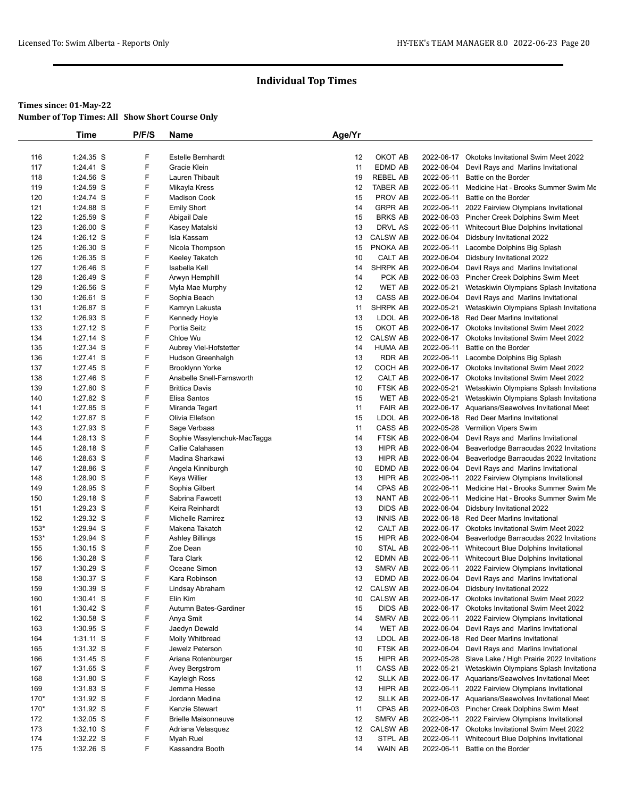|        | <b>Time</b> | P/F/S | Name                        | Age/Yr |                 |            |                                                       |
|--------|-------------|-------|-----------------------------|--------|-----------------|------------|-------------------------------------------------------|
|        |             |       |                             |        |                 |            |                                                       |
| 116    | 1:24.35 S   | F     | <b>Estelle Bernhardt</b>    | 12     | OKOT AB         | 2022-06-17 | <b>Okotoks Invitational Swim Meet 2022</b>            |
| 117    | 1:24.41 S   | F     | Gracie Klein                | 11     | EDMD AB         | 2022-06-04 | Devil Rays and Marlins Invitational                   |
| 118    | 1:24.56 S   | F     | Lauren Thibault             | 19     | <b>REBEL AB</b> | 2022-06-11 | Battle on the Border                                  |
| 119    | 1:24.59 S   | F     | Mikayla Kress               | 12     | <b>TABER AB</b> | 2022-06-11 | Medicine Hat - Brooks Summer Swim Me                  |
| 120    | 1:24.74 S   | F     | <b>Madison Cook</b>         | 15     | PROV AB         | 2022-06-11 | Battle on the Border                                  |
| 121    | 1:24.88 S   | F     | <b>Emily Short</b>          | 14     | <b>GRPR AB</b>  |            | 2022-06-11 2022 Fairview Olympians Invitational       |
| 122    | 1:25.59 S   | F     | Abigail Dale                | 15     | <b>BRKS AB</b>  |            | 2022-06-03 Pincher Creek Dolphins Swim Meet           |
| 123    | $1:26.00$ S | F     | Kasey Matalski              | 13     | DRVL AS         |            | 2022-06-11 Whitecourt Blue Dolphins Invitational      |
| 124    | 1:26.12 S   | F     | Isla Kassam                 | 13     | <b>CALSW AB</b> |            | 2022-06-04 Didsbury Invitational 2022                 |
| 125    | 1:26.30 S   | F     | Nicola Thompson             | 15     | PNOKA AB        |            | 2022-06-11 Lacombe Dolphins Big Splash                |
| 126    | $1:26.35$ S | F     | Keeley Takatch              | 10     | CALT AB         |            | 2022-06-04 Didsbury Invitational 2022                 |
| 127    | 1:26.46 S   | F     | Isabella Kell               | 14     | <b>SHRPK AB</b> | 2022-06-04 | Devil Rays and Marlins Invitational                   |
| 128    | 1:26.49 S   | F     | Arwyn Hemphill              | 14     | PCK AB          |            | 2022-06-03 Pincher Creek Dolphins Swim Meet           |
| 129    | $1:26.56$ S | F     | Myla Mae Murphy             | 12     | WET AB          | 2022-05-21 | Wetaskiwin Olympians Splash Invitationa               |
| 130    | 1:26.61 S   | F     | Sophia Beach                | 13     | CASS AB         | 2022-06-04 | Devil Rays and Marlins Invitational                   |
| 131    | 1:26.87 S   | F     | Kamryn Lakusta              | 11     | SHRPK AB        | 2022-05-21 | Wetaskiwin Olympians Splash Invitationa               |
| 132    | 1:26.93 S   | F     | Kennedy Hoyle               | 13     | LDOL AB         |            | 2022-06-18 Red Deer Marlins Invitational              |
| 133    | 1:27.12 S   | F     | Portia Seitz                | 15     | OKOT AB         |            | 2022-06-17 Okotoks Invitational Swim Meet 2022        |
| 134    | 1:27.14 S   | F     | Chloe Wu                    | 12     | <b>CALSW AB</b> |            | 2022-06-17 Okotoks Invitational Swim Meet 2022        |
| 135    | 1:27.34 S   | F     | Aubrey Viel-Hofstetter      | 14     | <b>HUMA AB</b>  | 2022-06-11 | Battle on the Border                                  |
| 136    | 1:27.41 S   | F     | Hudson Greenhalgh           | 13     | <b>RDR AB</b>   | 2022-06-11 | Lacombe Dolphins Big Splash                           |
| 137    | $1:27.45$ S | F     | <b>Brooklynn Yorke</b>      | 12     | COCH AB         |            | 2022-06-17 Okotoks Invitational Swim Meet 2022        |
| 138    | 1:27.46 S   | F     | Anabelle Snell-Farnsworth   | 12     | CALT AB         |            | 2022-06-17 Okotoks Invitational Swim Meet 2022        |
| 139    | 1:27.80 S   | F     | <b>Brittica Davis</b>       | 10     | FTSK AB         | 2022-05-21 | Wetaskiwin Olympians Splash Invitationa               |
| 140    | 1:27.82 S   | F     | Elisa Santos                | 15     | <b>WET AB</b>   |            | 2022-05-21 Wetaskiwin Olympians Splash Invitationa    |
| 141    | 1:27.85 S   | F     | Miranda Tegart              | 11     | <b>FAIR AB</b>  |            | 2022-06-17 Aquarians/Seawolves Invitational Meet      |
| 142    | 1:27.87 S   | F     | Olivia Ellefson             | 15     | LDOL AB         |            | 2022-06-18 Red Deer Marlins Invitational              |
| 143    | 1:27.93 S   | F     | Sage Verbaas                | 11     | CASS AB         |            | 2022-05-28 Vermilion Vipers Swim                      |
| 144    | $1:28.13$ S | F     | Sophie Wasylenchuk-MacTagga | 14     | FTSK AB         |            | 2022-06-04 Devil Rays and Marlins Invitational        |
| 145    | 1:28.18 S   | F     | Callie Calahasen            | 13     | HIPR AB         | 2022-06-04 | Beaverlodge Barracudas 2022 Invitationa               |
| 146    | 1:28.63 S   | F     | Madina Sharkawi             | 13     | HIPR AB         | 2022-06-04 | Beaverlodge Barracudas 2022 Invitationa               |
| 147    | 1:28.86 S   | F     | Angela Kinniburgh           | 10     | EDMD AB         |            | 2022-06-04 Devil Rays and Marlins Invitational        |
| 148    | 1:28.90 S   | F     | Keya Willier                | 13     | HIPR AB         | 2022-06-11 | 2022 Fairview Olympians Invitational                  |
| 149    | 1:28.95 S   | F     | Sophia Gilbert              | 14     | CPAS AB         |            | 2022-06-11 Medicine Hat - Brooks Summer Swim Me       |
| 150    | 1:29.18 S   | F     | Sabrina Fawcett             | 13     | NANT AB         | 2022-06-11 | Medicine Hat - Brooks Summer Swim Me                  |
| 151    | 1:29.23 S   | F     | Keira Reinhardt             | 13     | <b>DIDS AB</b>  | 2022-06-04 | Didsbury Invitational 2022                            |
| 152    | 1:29.32 S   | F     | Michelle Ramirez            | 13     | <b>INNIS AB</b> |            | 2022-06-18 Red Deer Marlins Invitational              |
| $153*$ | 1:29.94 S   | F     | Makena Takatch              | 12     | CALT AB         |            | 2022-06-17 Okotoks Invitational Swim Meet 2022        |
| $153*$ | 1:29.94 S   | F     | <b>Ashley Billings</b>      | 15     | HIPR AB         |            | 2022-06-04 Beaverlodge Barracudas 2022 Invitationa    |
| 155    | 1:30.15 S   | F     | Zoe Dean                    | 10     | STAL AB         | 2022-06-11 | Whitecourt Blue Dolphins Invitational                 |
| 156    | 1:30.28 S   | F     | <b>Tara Clark</b>           | 12     | EDMN AB         |            | 2022-06-11 Whitecourt Blue Dolphins Invitational      |
| 157    | 1:30.29 S   | F     | Oceane Simon                | 13     | SMRV AB         |            | 2022-06-11 2022 Fairview Olympians Invitational       |
| 158    | 1:30.37 S   | F     | Kara Robinson               | 13     | EDMD AB         |            | 2022-06-04 Devil Rays and Marlins Invitational        |
| 159    | 1:30.39 S   | F     | Lindsay Abraham             |        | 12 CALSW AB     |            | 2022-06-04 Didsbury Invitational 2022                 |
| 160    | 1:30.41 S   | F     | Elin Kim                    | 10     | <b>CALSW AB</b> |            | 2022-06-17 Okotoks Invitational Swim Meet 2022        |
| 161    | $1:30.42$ S | F     | Autumn Bates-Gardiner       | 15     | <b>DIDS AB</b>  |            | 2022-06-17 Okotoks Invitational Swim Meet 2022        |
| 162    | 1:30.58 S   | F     | Anya Smit                   | 14     | SMRV AB         |            | 2022-06-11 2022 Fairview Olympians Invitational       |
| 163    | 1:30.95 S   | F     | Jaedyn Dewald               | 14     | <b>WET AB</b>   |            | 2022-06-04 Devil Rays and Marlins Invitational        |
| 164    | $1:31.11$ S | F     | Molly Whitbread             | 13     | LDOL AB         |            | 2022-06-18 Red Deer Marlins Invitational              |
| 165    | 1:31.32 S   | F     | Jewelz Peterson             | 10     | FTSK AB         | 2022-06-04 | Devil Rays and Marlins Invitational                   |
| 166    | 1:31.45 S   | F     | Ariana Rotenburger          | 15     | HIPR AB         |            | 2022-05-28 Slave Lake / High Prairie 2022 Invitationa |
| 167    | 1:31.65 S   | F     | Avey Bergstrom              | 11     | CASS AB         | 2022-05-21 | Wetaskiwin Olympians Splash Invitationa               |
| 168    | 1:31.80 S   | F     | Kayleigh Ross               | 12     | <b>SLLK AB</b>  |            | 2022-06-17 Aquarians/Seawolves Invitational Meet      |
| 169    | $1:31.83$ S | F     | Jemma Hesse                 | 13     | HIPR AB         |            | 2022-06-11 2022 Fairview Olympians Invitational       |
| 170*   | 1:31.92 S   | F     | Jordann Medina              | 12     | SLLK AB         |            | 2022-06-17 Aquarians/Seawolves Invitational Meet      |
| 170*   | 1:31.92 S   | F     | Kenzie Stewart              | 11     | CPAS AB         |            | 2022-06-03 Pincher Creek Dolphins Swim Meet           |
| 172    | $1:32.05$ S | F     | <b>Brielle Maisonneuve</b>  | 12     | SMRV AB         |            | 2022-06-11 2022 Fairview Olympians Invitational       |
| 173    | $1:32.10$ S | F     | Adriana Velasquez           | 12     | <b>CALSW AB</b> |            | 2022-06-17 Okotoks Invitational Swim Meet 2022        |
| 174    | 1:32.22 S   | F     | Myah Ruel                   | 13     | STPL AB         | 2022-06-11 | Whitecourt Blue Dolphins Invitational                 |
| 175    | 1:32.26 S   | F     | Kassandra Booth             | 14     | WAIN AB         |            | 2022-06-11 Battle on the Border                       |
|        |             |       |                             |        |                 |            |                                                       |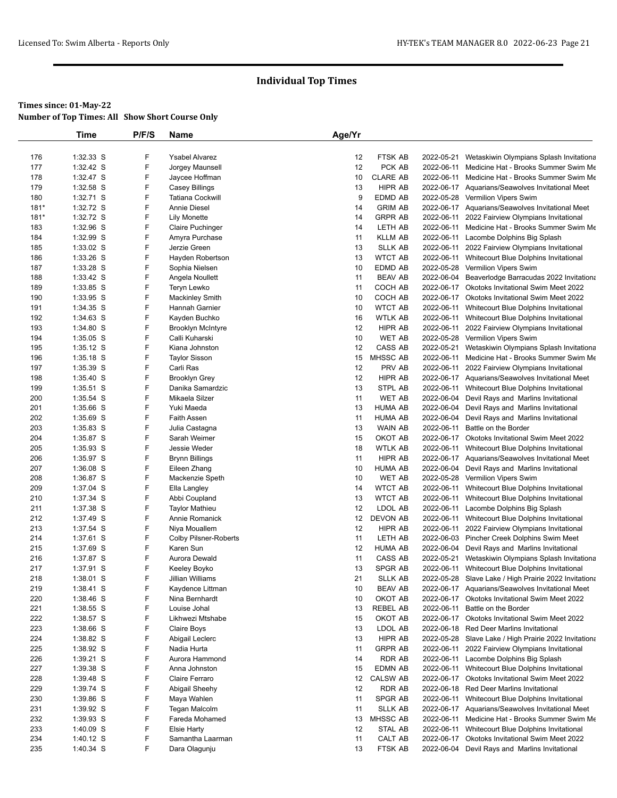|            | Time                   | P/F/S  | Name                                       | Age/Yr   |                     |            |                                                                                                          |
|------------|------------------------|--------|--------------------------------------------|----------|---------------------|------------|----------------------------------------------------------------------------------------------------------|
|            |                        |        |                                            |          |                     |            |                                                                                                          |
| 176        | 1:32.33 S              | F      | Ysabel Alvarez                             | 12       | <b>FTSK AB</b>      | 2022-05-21 | Wetaskiwin Olympians Splash Invitationa                                                                  |
| 177        | 1:32.42 S              | F      | Jorgey Maunsell                            | 12       | PCK AB              | 2022-06-11 | Medicine Hat - Brooks Summer Swim Me                                                                     |
| 178        | 1:32.47 S              | F      | Jaycee Hoffman                             | 10       | <b>CLARE AB</b>     | 2022-06-11 | Medicine Hat - Brooks Summer Swim Me                                                                     |
| 179        | 1:32.58 S              | F      | Casey Billings                             | 13       | <b>HIPR AB</b>      |            | 2022-06-17 Aquarians/Seawolves Invitational Meet                                                         |
| 180        | 1:32.71 S              | F      | <b>Tatiana Cockwill</b>                    | 9        | EDMD AB             |            | 2022-05-28 Vermilion Vipers Swim                                                                         |
| $181*$     | 1:32.72 S              | F      | <b>Annie Diesel</b>                        | 14       | <b>GRIM AB</b>      |            | 2022-06-17 Aquarians/Seawolves Invitational Meet                                                         |
| $181*$     | 1:32.72 S              | F      | <b>Lily Monette</b>                        | 14       | <b>GRPR AB</b>      | 2022-06-11 | 2022 Fairview Olympians Invitational                                                                     |
| 183        | 1:32.96 S              | F      | Claire Puchinger                           | 14       | LETH AB             | 2022-06-11 | Medicine Hat - Brooks Summer Swim Me                                                                     |
| 184        | 1:32.99 S              | F      | Amyra Purchase                             | 11       | <b>KLLM AB</b>      |            | 2022-06-11 Lacombe Dolphins Big Splash                                                                   |
| 185        | 1:33.02 S              | F      | Jerzie Green                               | 13       | <b>SLLK AB</b>      |            | 2022-06-11 2022 Fairview Olympians Invitational                                                          |
| 186        | 1:33.26 S              | F      | Hayden Robertson                           | 13       | <b>WTCT AB</b>      | 2022-06-11 | Whitecourt Blue Dolphins Invitational                                                                    |
| 187        | 1:33.28 S              | F      | Sophia Nielsen                             | 10       | EDMD AB             |            | 2022-05-28 Vermilion Vipers Swim                                                                         |
| 188        | 1:33.42 S              | F      | Angela Noullett                            | 11       | <b>BEAV AB</b>      |            | 2022-06-04 Beaverlodge Barracudas 2022 Invitationa                                                       |
| 189        | 1:33.85 S              | F      | Teryn Lewko                                | 11       | COCH AB             |            | 2022-06-17 Okotoks Invitational Swim Meet 2022                                                           |
| 190        | 1:33.95 S              | F<br>F | <b>Mackinley Smith</b>                     | 10       | COCH AB             |            | 2022-06-17 Okotoks Invitational Swim Meet 2022                                                           |
| 191        | 1:34.35 S              |        | Hannah Garnier                             | 10       | <b>WTCT AB</b>      | 2022-06-11 | Whitecourt Blue Dolphins Invitational                                                                    |
| 192<br>193 | 1:34.63 S<br>1:34.80 S | F<br>F | Kayden Buchko                              | 16<br>12 | WTLK AB<br>HIPR AB  |            | 2022-06-11 Whitecourt Blue Dolphins Invitational<br>2022-06-11 2022 Fairview Olympians Invitational      |
| 194        | $1:35.05$ S            | F      | <b>Brooklyn McIntyre</b><br>Calli Kuharski | 10       | <b>WET AB</b>       |            | 2022-05-28 Vermilion Vipers Swim                                                                         |
| 195        | $1:35.12$ S            | F      | Kiana Johnston                             | 12       | CASS AB             | 2022-05-21 | Wetaskiwin Olympians Splash Invitationa                                                                  |
| 196        | $1:35.18$ S            | F      | <b>Taylor Sisson</b>                       | 15       | <b>MHSSC AB</b>     | 2022-06-11 | Medicine Hat - Brooks Summer Swim Me                                                                     |
| 197        | 1:35.39 S              | F      | Carli Ras                                  | 12       | PRV AB              | 2022-06-11 | 2022 Fairview Olympians Invitational                                                                     |
| 198        | 1:35.40 S              | F      | <b>Brooklyn Grey</b>                       | 12       | HIPR AB             |            | 2022-06-17 Aquarians/Seawolves Invitational Meet                                                         |
| 199        | 1:35.51 S              | F      | Danika Samardzic                           | 13       | <b>STPL AB</b>      | 2022-06-11 | Whitecourt Blue Dolphins Invitational                                                                    |
| 200        | 1:35.54 S              | F      | Mikaela Silzer                             | 11       | <b>WET AB</b>       |            | 2022-06-04 Devil Rays and Marlins Invitational                                                           |
| 201        | 1:35.66 S              | F      | Yuki Maeda                                 | 13       | <b>HUMA AB</b>      |            | 2022-06-04 Devil Rays and Marlins Invitational                                                           |
| 202        | 1:35.69 S              | F      | <b>Faith Assen</b>                         | 11       | HUMA AB             | 2022-06-04 | Devil Rays and Marlins Invitational                                                                      |
| 203        | 1:35.83 S              | F      | Julia Castagna                             | 13       | WAIN AB             | 2022-06-11 | Battle on the Border                                                                                     |
| 204        | 1:35.87 S              | F      | Sarah Weimer                               | 15       | OKOT AB             |            | 2022-06-17 Okotoks Invitational Swim Meet 2022                                                           |
| 205        | 1:35.93 S              | F      | Jessie Weder                               | 18       | <b>WTLK AB</b>      | 2022-06-11 | Whitecourt Blue Dolphins Invitational                                                                    |
| 206        | 1:35.97 S              | F      | Brynn Billings                             | 11       | HIPR AB             |            | 2022-06-17 Aquarians/Seawolves Invitational Meet                                                         |
| 207        | 1:36.08 S              | F      | Eileen Zhang                               | 10       | <b>HUMA AB</b>      |            | 2022-06-04 Devil Rays and Marlins Invitational                                                           |
| 208        | 1:36.87 S              | F      | Mackenzie Speth                            | 10       | <b>WET AB</b>       |            | 2022-05-28 Vermilion Vipers Swim                                                                         |
| 209        | 1:37.04 S              | F      | Ella Langley                               | 14       | <b>WTCT AB</b>      |            | 2022-06-11 Whitecourt Blue Dolphins Invitational                                                         |
| 210        | 1:37.34 S              | F      | Abbi Coupland                              | 13       | <b>WTCT AB</b>      | 2022-06-11 | Whitecourt Blue Dolphins Invitational                                                                    |
| 211        | 1:37.38 S              | F      | <b>Taylor Mathieu</b>                      | 12       | LDOL AB             | 2022-06-11 | Lacombe Dolphins Big Splash                                                                              |
| 212        | 1:37.49 S              | F      | Annie Romanick                             | 12       | DEVON AB            |            | 2022-06-11 Whitecourt Blue Dolphins Invitational                                                         |
| 213        | 1:37.54 S              | F      | Niya Mouallem                              | 12       | HIPR AB             |            | 2022-06-11 2022 Fairview Olympians Invitational                                                          |
| 214        | 1:37.61 S              | F      | <b>Colby Pilsner-Roberts</b>               | 11       | LETH AB             |            | 2022-06-03 Pincher Creek Dolphins Swim Meet                                                              |
| 215        | 1:37.69 S              | F      | Karen Sun                                  | 12       | HUMA AB             |            | 2022-06-04 Devil Rays and Marlins Invitational                                                           |
| 216        | 1:37.87 S              | F      | Aurora Dewald                              | 11       | CASS AB             | 2022-05-21 | Wetaskiwin Olympians Splash Invitationa                                                                  |
| 217        | 1:37.91 S              | F      | Keeley Boyko                               | 13       | <b>SPGR AB</b>      |            | 2022-06-11 Whitecourt Blue Dolphins Invitational                                                         |
| 218        | 1:38.01 S              | F      | Jillian Williams                           | 21       | SLLK AB             |            | 2022-05-28 Slave Lake / High Prairie 2022 Invitationa                                                    |
| 219        | 1:38.41 S              | F      | Kaydence Littman                           | 10       | <b>BEAV AB</b>      |            | 2022-06-17 Aquarians/Seawolves Invitational Meet                                                         |
| 220        | 1:38.46 S              | F<br>F | Nina Bernhardt                             | 10       | OKOT AB             | 2022-06-11 | 2022-06-17 Okotoks Invitational Swim Meet 2022<br>Battle on the Border                                   |
| 221<br>222 | 1:38.55 S              | F      | Louise Johal                               | 13       | REBEL AB<br>OKOT AB |            | 2022-06-17 Okotoks Invitational Swim Meet 2022                                                           |
| 223        | 1:38.57 S<br>1:38.66 S | F      | Likhwezi Mtshabe                           | 15<br>13 | LDOL AB             |            | 2022-06-18 Red Deer Marlins Invitational                                                                 |
| 224        |                        | F      | Claire Boys<br>Abigail Leclerc             |          | HIPR AB             |            |                                                                                                          |
| 225        | 1:38.82 S<br>1:38.92 S | F      | Nadia Hurta                                | 13<br>11 | <b>GRPR AB</b>      |            | 2022-05-28 Slave Lake / High Prairie 2022 Invitationa<br>2022-06-11 2022 Fairview Olympians Invitational |
| 226        | 1:39.21 S              | F      | Aurora Hammond                             | 14       | RDR AB              |            | 2022-06-11 Lacombe Dolphins Big Splash                                                                   |
| 227        | 1:39.38 S              | F      | Anna Johnston                              | 15       | EDMN AB             |            | 2022-06-11 Whitecourt Blue Dolphins Invitational                                                         |
| 228        | 1:39.48 S              | F      | Claire Ferraro                             | 12       | <b>CALSW AB</b>     |            | 2022-06-17 Okotoks Invitational Swim Meet 2022                                                           |
| 229        | 1:39.74 S              | F      | Abigail Sheehy                             | 12       | <b>RDR AB</b>       |            | 2022-06-18 Red Deer Marlins Invitational                                                                 |
| 230        | 1:39.86 S              | F      | Maya Wahlen                                | 11       | SPGR AB             |            | 2022-06-11 Whitecourt Blue Dolphins Invitational                                                         |
| 231        | 1:39.92 S              | F      | Tegan Malcolm                              | 11       | <b>SLLK AB</b>      |            | 2022-06-17 Aquarians/Seawolves Invitational Meet                                                         |
| 232        | $1:39.93$ S            | F      | Fareda Mohamed                             | 13       | MHSSC AB            | 2022-06-11 | Medicine Hat - Brooks Summer Swim Me                                                                     |
| 233        | 1:40.09 S              | F      | <b>Elsie Harty</b>                         | 12       | STAL AB             |            | 2022-06-11 Whitecourt Blue Dolphins Invitational                                                         |
| 234        | $1:40.12$ S            | F      | Samantha Laarman                           | 11       | CALT AB             |            | 2022-06-17 Okotoks Invitational Swim Meet 2022                                                           |
| 235        | 1:40.34 S              | F      | Dara Olagunju                              | 13       | FTSK AB             |            | 2022-06-04 Devil Rays and Marlins Invitational                                                           |
|            |                        |        |                                            |          |                     |            |                                                                                                          |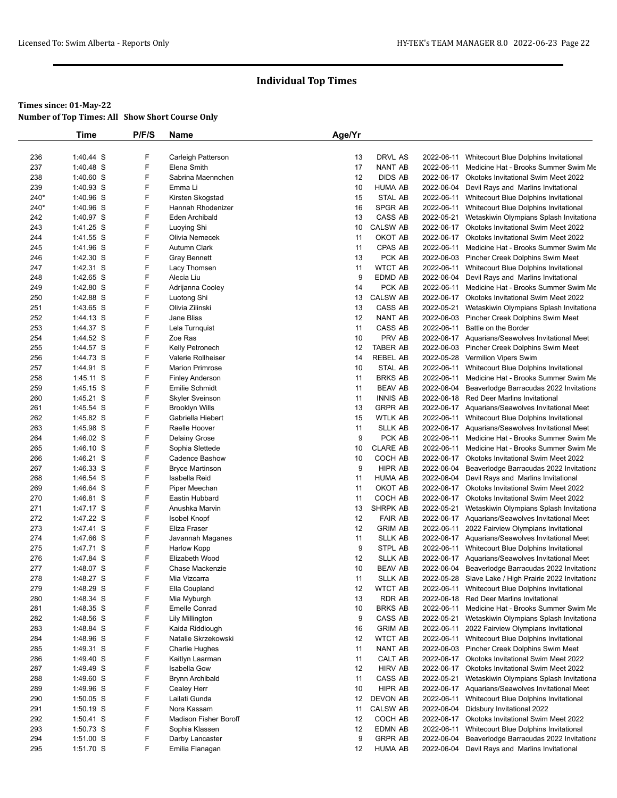## **Times since: 01-May-22**

**Number of Top Times: All Show Short Course Only**

|            | Time                   | P/F/S  | <b>Name</b>                         | Age/Yr   |                   |            |                                                                                        |
|------------|------------------------|--------|-------------------------------------|----------|-------------------|------------|----------------------------------------------------------------------------------------|
|            |                        |        |                                     |          |                   |            |                                                                                        |
| 236        | 1:40.44 S              | F      | Carleigh Patterson                  | 13       | DRVL AS           |            | 2022-06-11 Whitecourt Blue Dolphins Invitational                                       |
| 237        | 1:40.48 S              | F      | Elena Smith                         | 17       | <b>NANT AB</b>    |            | 2022-06-11 Medicine Hat - Brooks Summer Swim Me                                        |
| 238        | $1:40.60$ S            | F      | Sabrina Maennchen                   | 12       | <b>DIDS AB</b>    |            | 2022-06-17 Okotoks Invitational Swim Meet 2022                                         |
| 239        | 1:40.93 S              | F      | Emma Li                             | 10       | <b>HUMA AB</b>    | 2022-06-04 | Devil Rays and Marlins Invitational                                                    |
| 240*       | 1:40.96 S              | F      | Kirsten Skogstad                    | 15       | <b>STAL AB</b>    |            | 2022-06-11 Whitecourt Blue Dolphins Invitational                                       |
| 240*       | 1:40.96 S              | F      | Hannah Rhodenizer                   | 16       | SPGR AB           |            | 2022-06-11 Whitecourt Blue Dolphins Invitational                                       |
| 242        | 1:40.97 S              | F      | Eden Archibald                      | 13       | CASS AB           | 2022-05-21 | Wetaskiwin Olympians Splash Invitationa                                                |
| 243        | 1:41.25 S              | F      | Luoying Shi                         | 10       | <b>CALSW AB</b>   |            | 2022-06-17 Okotoks Invitational Swim Meet 2022                                         |
| 244        | 1:41.55 S              | F      | Olivia Nemecek                      | 11       | OKOT AB           |            | 2022-06-17 Okotoks Invitational Swim Meet 2022                                         |
| 245        | 1:41.96 S              | F<br>F | Autumn Clark                        | 11       | CPAS AB<br>PCK AB |            | 2022-06-11 Medicine Hat - Brooks Summer Swim Me                                        |
| 246        | 1:42.30 S<br>1:42.31 S | F      | <b>Gray Bennett</b><br>Lacy Thomsen | 13<br>11 | <b>WTCT AB</b>    |            | 2022-06-03 Pincher Creek Dolphins Swim Meet                                            |
| 247<br>248 | 1:42.65 S              | F      |                                     | 9        | EDMD AB           | 2022-06-04 | 2022-06-11 Whitecourt Blue Dolphins Invitational                                       |
| 249        | 1:42.80 S              | F      | Alecia Liu                          | 14       | PCK AB            |            | Devil Rays and Marlins Invitational<br>2022-06-11 Medicine Hat - Brooks Summer Swim Me |
| 250        | 1:42.88 S              | F      | Adrijanna Cooley<br>Luotong Shi     | 13       | <b>CALSW AB</b>   |            | 2022-06-17 Okotoks Invitational Swim Meet 2022                                         |
| 251        | 1:43.65 S              | F      | Olivia Zilinski                     | 13       | CASS AB           | 2022-05-21 | Wetaskiwin Olympians Splash Invitationa                                                |
| 252        | 1:44.13 S              | F      | Jane Bliss                          | 12       | <b>NANT AB</b>    |            | 2022-06-03 Pincher Creek Dolphins Swim Meet                                            |
| 253        | 1:44.37 S              | F      | Lela Turnquist                      | 11       | CASS AB           |            | 2022-06-11 Battle on the Border                                                        |
| 254        | 1:44.52 S              | F      | Zoe Ras                             | 10       | PRV AB            |            | 2022-06-17 Aquarians/Seawolves Invitational Meet                                       |
| 255        | 1:44.57 S              | F      | Kelly Petronech                     | 12       | <b>TABER AB</b>   |            | 2022-06-03 Pincher Creek Dolphins Swim Meet                                            |
| 256        | 1:44.73 S              | F      | Valerie Rollheiser                  | 14       | <b>REBEL AB</b>   |            | 2022-05-28 Vermilion Vipers Swim                                                       |
| 257        | 1:44.91 S              | F      | <b>Marion Primrose</b>              | 10       | <b>STAL AB</b>    |            | 2022-06-11 Whitecourt Blue Dolphins Invitational                                       |
| 258        | 1:45.11 S              | F      | <b>Finley Anderson</b>              | 11       | <b>BRKS AB</b>    |            | 2022-06-11 Medicine Hat - Brooks Summer Swim Me                                        |
| 259        | 1:45.15 S              | F      | <b>Emilie Schmidt</b>               | 11       | <b>BEAV AB</b>    | 2022-06-04 | Beaverlodge Barracudas 2022 Invitationa                                                |
| 260        | 1:45.21 S              | F      | <b>Skyler Sveinson</b>              | 11       | <b>INNIS AB</b>   |            | 2022-06-18 Red Deer Marlins Invitational                                               |
| 261        | 1:45.54 S              | F      | <b>Brooklyn Wills</b>               | 13       | <b>GRPR AB</b>    |            | 2022-06-17 Aquarians/Seawolves Invitational Meet                                       |
| 262        | 1:45.82 S              | F      | Gabriella Hiebert                   | 15       | <b>WTLK AB</b>    |            | 2022-06-11 Whitecourt Blue Dolphins Invitational                                       |
| 263        | 1:45.98 S              | F      | Raelle Hoover                       | 11       | <b>SLLK AB</b>    |            | 2022-06-17 Aquarians/Seawolves Invitational Meet                                       |
| 264        | 1:46.02 S              | F      | <b>Delainy Grose</b>                | 9        | PCK AB            |            | 2022-06-11 Medicine Hat - Brooks Summer Swim Me                                        |
| 265        | 1:46.10 S              | F      | Sophia Slettede                     | 10       | <b>CLARE AB</b>   |            | 2022-06-11 Medicine Hat - Brooks Summer Swim Me                                        |
| 266        | 1:46.21 S              | F      | Cadence Bashow                      | 10       | COCH AB           |            | 2022-06-17 Okotoks Invitational Swim Meet 2022                                         |
| 267        | 1:46.33 S              | F      | <b>Bryce Martinson</b>              | 9        | HIPR AB           | 2022-06-04 | Beaverlodge Barracudas 2022 Invitationa                                                |
| 268        | 1:46.54 S              | F      | Isabella Reid                       | 11       | <b>HUMA AB</b>    | 2022-06-04 | Devil Rays and Marlins Invitational                                                    |
| 269        | 1:46.64 S              | F      | Piper Meechan                       | 11       | OKOT AB           |            | 2022-06-17 Okotoks Invitational Swim Meet 2022                                         |
| 270        | 1:46.81 S              | F      | Eastin Hubbard                      | 11       | COCH AB           | 2022-06-17 | Okotoks Invitational Swim Meet 2022                                                    |
| 271        | 1:47.17 S              | F      | Anushka Marvin                      | 13       | SHRPK AB          | 2022-05-21 | Wetaskiwin Olympians Splash Invitationa                                                |
| 272        | 1:47.22 S              | F      | <b>Isobel Knopf</b>                 | 12       | <b>FAIR AB</b>    |            | 2022-06-17 Aquarians/Seawolves Invitational Meet                                       |
| 273        | 1:47.41 S              | F      | Eliza Fraser                        | 12       | <b>GRIM AB</b>    | 2022-06-11 | 2022 Fairview Olympians Invitational                                                   |
| 274        | 1:47.66 S              | F      | Javannah Maganes                    | 11       | <b>SLLK AB</b>    |            | 2022-06-17 Aquarians/Seawolves Invitational Meet                                       |
| 275        | 1:47.71 S              | F      | <b>Harlow Kopp</b>                  | 9        | STPL AB           |            | 2022-06-11 Whitecourt Blue Dolphins Invitational                                       |
| 276        | 1:47.84 S              | F      | Elizabeth Wood                      | 12       | <b>SLLK AB</b>    |            | 2022-06-17 Aquarians/Seawolves Invitational Meet                                       |
| 277        | 1:48.07 S              | F      | Chase Mackenzie                     | 10       | <b>BEAV AB</b>    | 2022-06-04 | Beaverlodge Barracudas 2022 Invitationa                                                |
| 278        | 1:48.27 S              | F      | Mia Vizcarra                        | 11       | <b>SLLK AB</b>    |            | 2022-05-28 Slave Lake / High Prairie 2022 Invitationa                                  |
| 279        | 1:48.29 S              | F      | Ella Coupland                       | 12       | <b>WTCT AB</b>    |            | 2022-06-11 Whitecourt Blue Dolphins Invitational                                       |
| 280        | 1:48.34 S              | F      | Mia Myburgh                         | 13       | RDR AB            |            | 2022-06-18 Red Deer Marlins Invitational                                               |
| 281        | 1:48.35 S              | F      | <b>Emelle Conrad</b>                | 10       | <b>BRKS AB</b>    | 2022-06-11 | Medicine Hat - Brooks Summer Swim Me                                                   |
| 282        | 1:48.56 S              | F      | <b>Lily Millington</b>              | 9        | CASS AB           | 2022-05-21 | Wetaskiwin Olympians Splash Invitationa                                                |
| 283        | 1:48.84 S              | F      | Kaida Riddiough                     | 16       | <b>GRIM AB</b>    | 2022-06-11 | 2022 Fairview Olympians Invitational                                                   |
| 284        | 1:48.96 S              | F      | Natalie Skrzekowski                 | 12       | <b>WTCT AB</b>    |            | 2022-06-11 Whitecourt Blue Dolphins Invitational                                       |
| 285        | 1:49.31 S              | F      | <b>Charlie Hughes</b>               | 11       | NANT AB           |            | 2022-06-03 Pincher Creek Dolphins Swim Meet                                            |
| 286        | 1:49.40 S              | F      | Kaitlyn Laarman                     | 11       | CALT AB           |            | 2022-06-17 Okotoks Invitational Swim Meet 2022                                         |
| 287        | 1:49.49 S              | F      | Isabella Gow                        | 12       | <b>HIRV AB</b>    |            | 2022-06-17 Okotoks Invitational Swim Meet 2022                                         |
| 288        | 1:49.60 S              | F      | <b>Brynn Archibald</b>              | 11       | CASS AB           | 2022-05-21 | Wetaskiwin Olympians Splash Invitationa                                                |
| 289        | 1:49.96 S              | F<br>F | Cealey Herr                         | 10       | HIPR AB           |            | 2022-06-17 Aquarians/Seawolves Invitational Meet                                       |
| 290        | 1:50.05 S              |        | Lailati Gunda                       | 12       | DEVON AB          | 2022-06-11 | Whitecourt Blue Dolphins Invitational                                                  |
| 291        | $1:50.19$ S            | F      | Nora Kassam                         | 11       | <b>CALSW AB</b>   |            | 2022-06-04 Didsbury Invitational 2022                                                  |
| 292        | $1:50.41$ S            | F<br>F | <b>Madison Fisher Boroff</b>        | 12       | COCH AB           | 2022-06-17 | Okotoks Invitational Swim Meet 2022                                                    |
| 293        | 1:50.73 S              |        | Sophia Klassen                      | 12       | EDMN AB           | 2022-06-11 | Whitecourt Blue Dolphins Invitational                                                  |
| 294        | $1:51.00$ S            | F<br>F | Darby Lancaster                     | 9        | <b>GRPR AB</b>    | 2022-06-04 | Beaverlodge Barracudas 2022 Invitationa                                                |
| 295        | 1:51.70 S              |        | Emilia Flanagan                     | 12       | <b>HUMA AB</b>    | 2022-06-04 | Devil Rays and Marlins Invitational                                                    |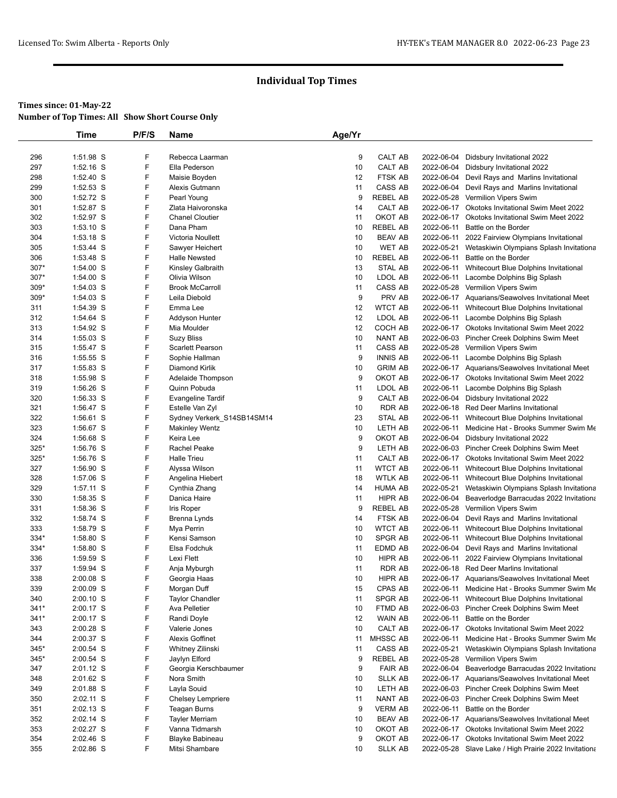# **Times since: 01-May-22**

| <b>Number of Top Times: All Show Short Course Only</b> |  |
|--------------------------------------------------------|--|
|--------------------------------------------------------|--|

|            | Time                     | P/F/S  | <b>Name</b>                          | Age/Yr  |                                   |            |                                                                                                    |
|------------|--------------------------|--------|--------------------------------------|---------|-----------------------------------|------------|----------------------------------------------------------------------------------------------------|
|            |                          |        |                                      |         |                                   |            |                                                                                                    |
| 296        | 1:51.98 S                | F      | Rebecca Laarman                      | 9       | CALT AB                           | 2022-06-04 | Didsbury Invitational 2022                                                                         |
| 297        | $1:52.16$ S              | F      | Ella Pederson                        | 10      | CALT AB                           |            | 2022-06-04 Didsbury Invitational 2022                                                              |
| 298        | 1:52.40 S                | F      | Maisie Boyden                        | 12      | <b>FTSK AB</b>                    | 2022-06-04 | Devil Rays and Marlins Invitational                                                                |
| 299        | 1:52.53 S                | F      | Alexis Gutmann                       | 11      | CASS AB                           | 2022-06-04 | Devil Rays and Marlins Invitational                                                                |
| 300        | 1:52.72 S                | F      | Pearl Young                          | 9       | <b>REBEL AB</b>                   |            | 2022-05-28 Vermilion Vipers Swim                                                                   |
| 301        | 1:52.87 S                | F      | Zlata Haivoronska                    | 14      | CALT AB                           |            | 2022-06-17 Okotoks Invitational Swim Meet 2022                                                     |
| 302        | 1:52.97 S                | F      | <b>Chanel Cloutier</b>               | 11      | OKOT AB                           |            | 2022-06-17 Okotoks Invitational Swim Meet 2022                                                     |
| 303        | $1:53.10$ S              | F      | Dana Pham                            | 10      | <b>REBEL AB</b>                   | 2022-06-11 | Battle on the Border                                                                               |
| 304        | 1:53.18 S                | F      | Victoria Noullett                    | 10      | <b>BEAV AB</b>                    | 2022-06-11 | 2022 Fairview Olympians Invitational                                                               |
| 305        | $1:53.44$ S              | F      | Sawyer Heichert                      | 10      | WET AB                            | 2022-05-21 | Wetaskiwin Olympians Splash Invitationa                                                            |
| 306        | 1:53.48 S                | F      | <b>Halle Newsted</b>                 | 10      | <b>REBEL AB</b>                   | 2022-06-11 | Battle on the Border                                                                               |
| 307*       | 1:54.00 S                | F      | Kinsley Galbraith                    | 13      | <b>STAL AB</b>                    |            | 2022-06-11 Whitecourt Blue Dolphins Invitational                                                   |
| 307*       | 1:54.00 S                | F      | Olivia Wilson                        | 10      | LDOL AB                           | 2022-06-11 | Lacombe Dolphins Big Splash                                                                        |
| 309*       | 1:54.03 S                | F<br>F | <b>Brook McCarroll</b>               | 11      | CASS AB                           |            | 2022-05-28 Vermilion Vipers Swim                                                                   |
| 309*       | 1:54.03 S                |        | Leila Diebold                        | 9       | PRV AB                            |            | 2022-06-17 Aquarians/Seawolves Invitational Meet                                                   |
| 311        | 1:54.39 S                | F<br>F | Emma Lee                             | 12      | <b>WTCT AB</b>                    | 2022-06-11 | Whitecourt Blue Dolphins Invitational                                                              |
| 312        | 1:54.64 S                |        | Addyson Hunter                       | 12      | LDOL AB                           |            | 2022-06-11 Lacombe Dolphins Big Splash                                                             |
| 313        | 1:54.92 S                | F<br>F | Mia Moulder                          | 12      | COCH AB                           |            | 2022-06-17 Okotoks Invitational Swim Meet 2022                                                     |
| 314        | $1:55.03$ S<br>1:55.47 S | F      | Suzy Bliss                           | 10      | NANT AB<br>CASS AB                |            | 2022-06-03 Pincher Creek Dolphins Swim Meet<br>2022-05-28 Vermilion Vipers Swim                    |
| 315        |                          | F      | <b>Scarlett Pearson</b>              | 11<br>9 |                                   |            |                                                                                                    |
| 316        | 1:55.55 S                | F      | Sophie Hallman<br>Diamond Kirlik     |         | <b>INNIS AB</b><br><b>GRIM AB</b> |            | 2022-06-11 Lacombe Dolphins Big Splash                                                             |
| 317<br>318 | 1:55.83 S<br>1:55.98 S   | F      |                                      | 10<br>9 | OKOT AB                           |            | 2022-06-17 Aquarians/Seawolves Invitational Meet<br>2022-06-17 Okotoks Invitational Swim Meet 2022 |
|            | 1:56.26 S                | F      | Adelaide Thompson<br>Quinn Pobuda    |         | LDOL AB                           |            | 2022-06-11 Lacombe Dolphins Big Splash                                                             |
| 319<br>320 | 1:56.33 S                | F      |                                      | 11<br>9 | CALT AB                           | 2022-06-04 | Didsbury Invitational 2022                                                                         |
| 321        | 1:56.47 S                | F      | Evangeline Tardif<br>Estelle Van Zyl | 10      | <b>RDR AB</b>                     | 2022-06-18 | <b>Red Deer Marlins Invitational</b>                                                               |
| 322        | 1:56.61 S                | F      | Sydney Verkerk_S14SB14SM14           | 23      | STAL AB                           |            | 2022-06-11 Whitecourt Blue Dolphins Invitational                                                   |
| 323        | 1:56.67 S                | F      | <b>Makinley Wentz</b>                | 10      | LETH AB                           | 2022-06-11 | Medicine Hat - Brooks Summer Swim Me                                                               |
| 324        | 1:56.68 S                | F      | Keira Lee                            | 9       | OKOT AB                           | 2022-06-04 | Didsbury Invitational 2022                                                                         |
| 325*       | 1:56.76 S                | F      | Rachel Peake                         | 9       | LETH AB                           |            | 2022-06-03 Pincher Creek Dolphins Swim Meet                                                        |
| 325*       | 1:56.76 S                | F      | <b>Halle Trieu</b>                   | 11      | CALT AB                           |            | 2022-06-17 Okotoks Invitational Swim Meet 2022                                                     |
| 327        | $1:56.90$ S              | F      | Alyssa Wilson                        | 11      | <b>WTCT AB</b>                    | 2022-06-11 | Whitecourt Blue Dolphins Invitational                                                              |
| 328        | 1:57.06 S                | F      | Angelina Hiebert                     | 18      | <b>WTLK AB</b>                    |            | 2022-06-11 Whitecourt Blue Dolphins Invitational                                                   |
| 329        | 1:57.11 S                | F      | Cynthia Zhang                        | 14      | <b>HUMA AB</b>                    | 2022-05-21 | Wetaskiwin Olympians Splash Invitationa                                                            |
| 330        | 1:58.35 S                | F      | Danica Haire                         | 11      | HIPR AB                           | 2022-06-04 | Beaverlodge Barracudas 2022 Invitationa                                                            |
| 331        | 1:58.36 S                | F      | Iris Roper                           | 9       | <b>REBEL AB</b>                   | 2022-05-28 | Vermilion Vipers Swim                                                                              |
| 332        | 1:58.74 S                | F      | Brenna Lynds                         | 14      | FTSK AB                           |            | 2022-06-04 Devil Rays and Marlins Invitational                                                     |
| 333        | 1:58.79 S                | F      | Mya Perrin                           | 10      | <b>WTCT AB</b>                    | 2022-06-11 | Whitecourt Blue Dolphins Invitational                                                              |
| 334*       | 1:58.80 S                | F      | Kensi Samson                         | 10      | <b>SPGR AB</b>                    | 2022-06-11 | Whitecourt Blue Dolphins Invitational                                                              |
| 334*       | 1:58.80 S                | F      | Elsa Fodchuk                         | 11      | EDMD AB                           |            | 2022-06-04 Devil Rays and Marlins Invitational                                                     |
| 336        | 1:59.59 S                | F      | Lexi Flett                           | 10      | <b>HIPR AB</b>                    | 2022-06-11 | 2022 Fairview Olympians Invitational                                                               |
| 337        | 1:59.94 S                | F      | Anja Myburgh                         | 11      | <b>RDR AB</b>                     | 2022-06-18 | <b>Red Deer Marlins Invitational</b>                                                               |
| 338        | 2:00.08 S                | F      | Georgia Haas                         | 10      | <b>HIPR AB</b>                    |            | 2022-06-17 Aquarians/Seawolves Invitational Meet                                                   |
| 339        | 2:00.09 S                | F      | Morgan Duff                          | 15      | CPAS AB                           | 2022-06-11 | Medicine Hat - Brooks Summer Swim Me                                                               |
| 340        | $2:00.10$ S              | F      | <b>Taylor Chandler</b>               | 11      | SPGR AB                           | 2022-06-11 | Whitecourt Blue Dolphins Invitational                                                              |
| $341*$     | 2:00.17 S                | F      | Ava Pelletier                        | 10      | FTMD AB                           | 2022-06-03 | Pincher Creek Dolphins Swim Meet                                                                   |
| $341*$     | 2:00.17 S                | F      | Randi Doyle                          | 12      | WAIN AB                           | 2022-06-11 | Battle on the Border                                                                               |
| 343        | 2:00.28 S                | F      | Valerie Jones                        | 10      | CALT AB                           |            | 2022-06-17 Okotoks Invitational Swim Meet 2022                                                     |
| 344        | 2:00.37 S                | F      | <b>Alexis Goffinet</b>               | 11      | MHSSC AB                          | 2022-06-11 | Medicine Hat - Brooks Summer Swim Me                                                               |
| 345*       | 2:00.54 S                | F      | Whitney Zilinski                     | 11      | CASS AB                           | 2022-05-21 | Wetaskiwin Olympians Splash Invitationa                                                            |
| $345*$     | 2:00.54 S                | F      | Jaylyn Elford                        | 9       | <b>REBEL AB</b>                   | 2022-05-28 | Vermilion Vipers Swim                                                                              |
| 347        | 2:01.12 S                | F      | Georgia Kerschbaumer                 | 9       | <b>FAIR AB</b>                    | 2022-06-04 | Beaverlodge Barracudas 2022 Invitationa                                                            |
| 348        | 2:01.62 S                | F      | Nora Smith                           | 10      | <b>SLLK AB</b>                    |            | 2022-06-17 Aquarians/Seawolves Invitational Meet                                                   |
| 349        | 2:01.88 S                | F      | Layla Souid                          | 10      | LETH AB                           |            | 2022-06-03 Pincher Creek Dolphins Swim Meet                                                        |
| 350        | 2:02.11 S                | F      | Chelsey Lempriere                    | 11      | NANT AB                           |            | 2022-06-03 Pincher Creek Dolphins Swim Meet                                                        |
| 351        | 2:02.13 S                | F      | Teagan Burns                         | 9       | <b>VERM AB</b>                    | 2022-06-11 | Battle on the Border                                                                               |
| 352        | 2:02.14 S                | F      | <b>Tayler Merriam</b>                | 10      | <b>BEAV AB</b>                    |            | 2022-06-17 Aquarians/Seawolves Invitational Meet                                                   |
| 353        | 2:02.27 S                | F.     | Vanna Tidmarsh                       | 10      | OKOT AB                           |            | 2022-06-17 Okotoks Invitational Swim Meet 2022                                                     |
| 354        | 2:02.46 S                | F      | <b>Blayke Babineau</b>               | 9       | OKOT AB                           |            | 2022-06-17 Okotoks Invitational Swim Meet 2022                                                     |
| 355        | 2:02.86 S                | F      | Mitsi Shambare                       | 10      | <b>SLLK AB</b>                    |            | 2022-05-28 Slave Lake / High Prairie 2022 Invitationa                                              |
|            |                          |        |                                      |         |                                   |            |                                                                                                    |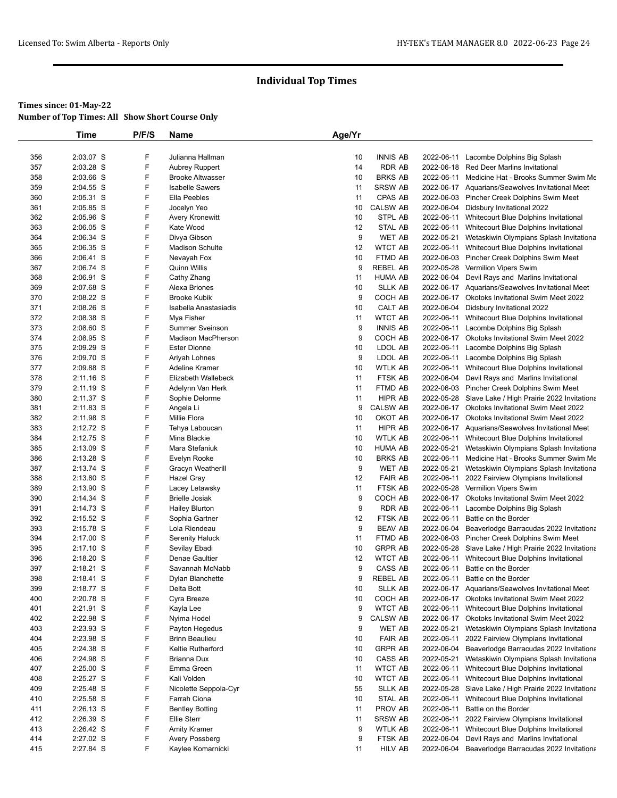|     | Time        | P/F/S | Name                      | Age/Yr |                 |            |                                                       |
|-----|-------------|-------|---------------------------|--------|-----------------|------------|-------------------------------------------------------|
|     |             |       |                           |        |                 |            |                                                       |
| 356 | 2:03.07 S   | F     | Julianna Hallman          | 10     | <b>INNIS AB</b> | 2022-06-11 | Lacombe Dolphins Big Splash                           |
| 357 | 2:03.28 S   | F     | <b>Aubrey Ruppert</b>     | 14     | <b>RDR AB</b>   |            | 2022-06-18 Red Deer Marlins Invitational              |
| 358 | 2:03.66 S   | F     | <b>Brooke Altwasser</b>   | 10     | <b>BRKS AB</b>  | 2022-06-11 | Medicine Hat - Brooks Summer Swim Me                  |
| 359 | 2:04.55 S   | F     | <b>Isabelle Sawers</b>    | 11     | <b>SRSW AB</b>  |            | 2022-06-17 Aquarians/Seawolves Invitational Meet      |
| 360 | 2:05.31 S   | F     | Ella Peebles              | 11     | CPAS AB         |            | 2022-06-03 Pincher Creek Dolphins Swim Meet           |
| 361 | 2:05.85 S   | F     | Jocelyn Yeo               | 10     | <b>CALSW AB</b> |            | 2022-06-04 Didsbury Invitational 2022                 |
| 362 | 2:05.96 S   | F     | Avery Kronewitt           | 10     | STPL AB         | 2022-06-11 | Whitecourt Blue Dolphins Invitational                 |
| 363 | $2:06.05$ S | F     | Kate Wood                 | 12     | STAL AB         | 2022-06-11 | Whitecourt Blue Dolphins Invitational                 |
| 364 | 2:06.34 S   | F     | Divya Gibson              | 9      | WET AB          | 2022-05-21 | Wetaskiwin Olympians Splash Invitationa               |
| 365 | 2:06.35 S   | F     | <b>Madison Schulte</b>    | 12     | <b>WTCT AB</b>  |            | 2022-06-11 Whitecourt Blue Dolphins Invitational      |
| 366 | 2:06.41 S   | F     | Nevayah Fox               | 10     | FTMD AB         |            | 2022-06-03 Pincher Creek Dolphins Swim Meet           |
| 367 | 2:06.74 S   | F     | Quinn Willis              | 9      | REBEL AB        |            | 2022-05-28 Vermilion Vipers Swim                      |
| 368 | 2:06.91 S   | F     | Cathy Zhang               | 11     | <b>HUMA AB</b>  |            | 2022-06-04 Devil Rays and Marlins Invitational        |
| 369 | 2:07.68 S   | F     | Alexa Briones             | 10     | <b>SLLK AB</b>  |            | 2022-06-17 Aquarians/Seawolves Invitational Meet      |
| 370 | 2:08.22 S   | F     | <b>Brooke Kubik</b>       | 9      | COCH AB         |            | 2022-06-17 Okotoks Invitational Swim Meet 2022        |
| 371 | 2:08.26 S   | F     | Isabella Anastasiadis     | 10     | CALT AB         |            | 2022-06-04 Didsbury Invitational 2022                 |
| 372 | 2:08.38 S   | F     | Mya Fisher                | 11     | WTCT AB         |            | 2022-06-11 Whitecourt Blue Dolphins Invitational      |
| 373 | 2:08.60 S   | F     | <b>Summer Sveinson</b>    | 9      | <b>INNIS AB</b> |            | 2022-06-11 Lacombe Dolphins Big Splash                |
| 374 | 2:08.95 S   | F     | <b>Madison MacPherson</b> | 9      | COCH AB         |            | 2022-06-17 Okotoks Invitational Swim Meet 2022        |
| 375 | 2:09.29 S   | F     | <b>Ester Dionne</b>       | 10     | LDOL AB         | 2022-06-11 | Lacombe Dolphins Big Splash                           |
| 376 | 2:09.70 S   | F     | Ariyah Lohnes             | 9      | LDOL AB         | 2022-06-11 | Lacombe Dolphins Big Splash                           |
| 377 | 2:09.88 S   | F     | Adeline Kramer            | 10     | <b>WTLK AB</b>  |            | 2022-06-11 Whitecourt Blue Dolphins Invitational      |
| 378 | 2:11.16 S   | F     | Elizabeth Wallebeck       | 11     | FTSK AB         |            | 2022-06-04 Devil Rays and Marlins Invitational        |
| 379 | 2:11.19 S   | F     | Adelynn Van Herk          | 11     | FTMD AB         |            | 2022-06-03 Pincher Creek Dolphins Swim Meet           |
| 380 | 2:11.37 S   | F     | Sophie Delorme            | 11     | HIPR AB         |            | 2022-05-28 Slave Lake / High Prairie 2022 Invitationa |
| 381 | 2:11.83 S   | F     | Angela Li                 | 9      | <b>CALSW AB</b> |            | 2022-06-17 Okotoks Invitational Swim Meet 2022        |
| 382 | 2:11.98 S   | F     | Millie Flora              | 10     | OKOT AB         |            | 2022-06-17 Okotoks Invitational Swim Meet 2022        |
| 383 | 2:12.72 S   | F     | Tehya Laboucan            | 11     | HIPR AB         |            | 2022-06-17 Aquarians/Seawolves Invitational Meet      |
| 384 | 2:12.75 S   | F     | Mina Blackie              | 10     | <b>WTLK AB</b>  |            | 2022-06-11 Whitecourt Blue Dolphins Invitational      |
| 385 | 2:13.09 S   | F     | Mara Stefaniuk            | 10     | <b>HUMA AB</b>  | 2022-05-21 | Wetaskiwin Olympians Splash Invitationa               |
| 386 | 2:13.28 S   | F     | Evelyn Rooke              | 10     | <b>BRKS AB</b>  | 2022-06-11 | Medicine Hat - Brooks Summer Swim Me                  |
| 387 | 2:13.74 S   | F     | Gracyn Weatherill         | 9      | WET AB          | 2022-05-21 | Wetaskiwin Olympians Splash Invitationa               |
| 388 | 2:13.80 S   | F     | Hazel Gray                | 12     | <b>FAIR AB</b>  | 2022-06-11 | 2022 Fairview Olympians Invitational                  |
| 389 | 2:13.90 S   | F     | Lacey Letawsky            | 11     | FTSK AB         |            | 2022-05-28 Vermilion Vipers Swim                      |
| 390 | 2:14.34 S   | F     | <b>Brielle Josiak</b>     | 9      | COCH AB         |            | 2022-06-17 Okotoks Invitational Swim Meet 2022        |
| 391 | 2:14.73 S   | F     | <b>Hailey Blurton</b>     | 9      | RDR AB          | 2022-06-11 | Lacombe Dolphins Big Splash                           |
| 392 | 2:15.52 S   | F     | Sophia Gartner            | 12     | FTSK AB         | 2022-06-11 | Battle on the Border                                  |
| 393 | 2:15.78 S   | F     | Lola Riendeau             | 9      | <b>BEAV AB</b>  |            | 2022-06-04 Beaverlodge Barracudas 2022 Invitationa    |
| 394 | 2:17.00 S   | F     | Serenity Haluck           | 11     | FTMD AB         |            | 2022-06-03 Pincher Creek Dolphins Swim Meet           |
| 395 | 2:17.10 S   | F     | Sevilay Ebadi             | 10     | <b>GRPR AB</b>  | 2022-05-28 | Slave Lake / High Prairie 2022 Invitationa            |
| 396 | 2:18.20 S   | F     | Denae Gaultier            | 12     | <b>WTCT AB</b>  | 2022-06-11 | Whitecourt Blue Dolphins Invitational                 |
| 397 | 2:18.21 S   | F     | Savannah McNabb           | 9      | CASS AB         | 2022-06-11 | Battle on the Border                                  |
| 398 | 2:18.41 S   | F     | Dylan Blanchette          | 9      | <b>REBEL AB</b> | 2022-06-11 | Battle on the Border                                  |
| 399 | 2:18.77 S   | F     | Delta Bott                | 10     | <b>SLLK AB</b>  |            | 2022-06-17 Aquarians/Seawolves Invitational Meet      |
| 400 | 2:20.78 S   | F     | Cyra Breeze               | 10     | COCH AB         |            | 2022-06-17 Okotoks Invitational Swim Meet 2022        |
| 401 | 2:21.91 S   | F     | Kayla Lee                 | 9      | <b>WTCT AB</b>  | 2022-06-11 | Whitecourt Blue Dolphins Invitational                 |
| 402 | 2:22.98 S   | F     | Nyima Hodel               | 9      | <b>CALSW AB</b> |            | 2022-06-17 Okotoks Invitational Swim Meet 2022        |
| 403 | 2:23.93 S   | F     | Payton Hegedus            | 9      | WET AB          | 2022-05-21 | Wetaskiwin Olympians Splash Invitationa               |
| 404 | 2:23.98 S   | F     | <b>Brinn Beaulieu</b>     | 10     | <b>FAIR AB</b>  | 2022-06-11 | 2022 Fairview Olympians Invitational                  |
| 405 | 2:24.38 S   | F     | Keltie Rutherford         | 10     | <b>GRPR AB</b>  | 2022-06-04 | Beaverlodge Barracudas 2022 Invitationa               |
| 406 | 2:24.98 S   | F     | Brianna Dux               | 10     | CASS AB         | 2022-05-21 | Wetaskiwin Olympians Splash Invitationa               |
| 407 | $2:25.00$ S | F     | Emma Green                | 11     | <b>WTCT AB</b>  | 2022-06-11 | Whitecourt Blue Dolphins Invitational                 |
| 408 | 2:25.27 S   | F     | Kali Volden               | 10     | <b>WTCT AB</b>  | 2022-06-11 | Whitecourt Blue Dolphins Invitational                 |
| 409 | $2:25.48$ S | F     | Nicolette Seppola-Cyr     | 55     | <b>SLLK AB</b>  |            | 2022-05-28 Slave Lake / High Prairie 2022 Invitationa |
| 410 | 2:25.58 S   | F     | Farrah Ciona              | 10     | STAL AB         | 2022-06-11 | Whitecourt Blue Dolphins Invitational                 |
| 411 | 2:26.13 S   | F     | <b>Bentley Botting</b>    | 11     | PROV AB         | 2022-06-11 | Battle on the Border                                  |
| 412 | 2:26.39 S   | F     | <b>Ellie Sterr</b>        | 11     | <b>SRSW AB</b>  | 2022-06-11 | 2022 Fairview Olympians Invitational                  |
| 413 | 2:26.42 S   | F     | <b>Amity Kramer</b>       | 9      | <b>WTLK AB</b>  | 2022-06-11 | Whitecourt Blue Dolphins Invitational                 |
| 414 | 2:27.02 S   | F     | Avery Possberg            | 9      | FTSK AB         | 2022-06-04 | Devil Rays and Marlins Invitational                   |
| 415 | 2:27.84 S   | F     | Kaylee Komarnicki         | 11     | <b>HILV AB</b>  |            | 2022-06-04 Beaverlodge Barracudas 2022 Invitationa    |
|     |             |       |                           |        |                 |            |                                                       |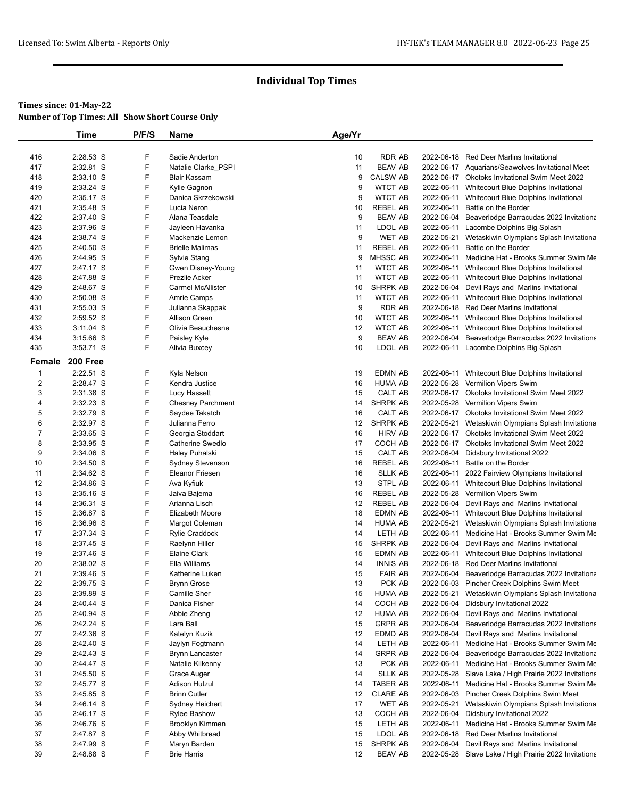# **Times since: 01-May-22**

| <b>Number of Top Times: All Show Short Course Only</b> |  |
|--------------------------------------------------------|--|
|--------------------------------------------------------|--|

|                  | Time                   | P/F/S | Name                     | Age/Yr |                           |            |                                                       |
|------------------|------------------------|-------|--------------------------|--------|---------------------------|------------|-------------------------------------------------------|
|                  |                        |       |                          |        |                           |            |                                                       |
| 416              | 2:28.53 S              | F     | Sadie Anderton           | 10     | RDR AB                    | 2022-06-18 | Red Deer Marlins Invitational                         |
| 417              | 2:32.81 S              | F     | Natalie Clarke_PSPI      | 11     | <b>BEAV AB</b>            |            | 2022-06-17 Aquarians/Seawolves Invitational Meet      |
| 418              | 2:33.10 S              | F     | Blair Kassam             | 9      | <b>CALSW AB</b>           |            | 2022-06-17 Okotoks Invitational Swim Meet 2022        |
| 419              | 2:33.24 S              | F     | Kylie Gagnon             | 9      | <b>WTCT AB</b>            | 2022-06-11 | Whitecourt Blue Dolphins Invitational                 |
| 420              | 2:35.17 S              | F     | Danica Skrzekowski       | 9      | <b>WTCT AB</b>            | 2022-06-11 | Whitecourt Blue Dolphins Invitational                 |
| 421              | 2:35.48 S              | F     | Lucia Neron              | 10     | <b>REBEL AB</b>           | 2022-06-11 | Battle on the Border                                  |
| 422              | 2:37.40 S              | F     | Alana Teasdale           | 9      | <b>BEAV AB</b>            | 2022-06-04 | Beaverlodge Barracudas 2022 Invitationa               |
| 423              | 2:37.96 S              | F     | Jayleen Havanka          | 11     | LDOL AB                   |            | 2022-06-11 Lacombe Dolphins Big Splash                |
| 424              | 2:38.74 S              | F     | Mackenzie Lemon          | 9      | <b>WET AB</b>             | 2022-05-21 | Wetaskiwin Olympians Splash Invitationa               |
| 425              | 2:40.50 S              | F     | <b>Brielle Malimas</b>   | 11     | REBEL AB                  | 2022-06-11 | Battle on the Border                                  |
| 426              | 2:44.95 S              | F     | Sylvie Stang             | 9      | MHSSC AB                  |            | 2022-06-11 Medicine Hat - Brooks Summer Swim Me       |
| 427              | 2:47.17 S              | F     | Gwen Disney-Young        | 11     | <b>WTCT AB</b>            |            | 2022-06-11 Whitecourt Blue Dolphins Invitational      |
| 428              | 2:47.88 S              | F     | <b>Prezlie Acker</b>     | 11     | <b>WTCT AB</b>            | 2022-06-11 | Whitecourt Blue Dolphins Invitational                 |
| 429              | 2:48.67 S              | F     | <b>Carmel McAllister</b> | 10     | <b>SHRPK AB</b>           |            | 2022-06-04 Devil Rays and Marlins Invitational        |
| 430              | 2:50.08 S              | F     | Amrie Camps              | 11     | <b>WTCT AB</b>            |            | 2022-06-11 Whitecourt Blue Dolphins Invitational      |
| 431              | $2:55.03$ S            | F     | Julianna Skappak         | 9      | RDR AB                    |            | 2022-06-18 Red Deer Marlins Invitational              |
| 432              | 2:59.52 S              | F     | <b>Allison Green</b>     | 10     | <b>WTCT AB</b>            |            | 2022-06-11 Whitecourt Blue Dolphins Invitational      |
| 433              | $3:11.04$ S            | F     | Olivia Beauchesne        | 12     | <b>WTCT AB</b>            |            | 2022-06-11 Whitecourt Blue Dolphins Invitational      |
| 434              | 3:15.66 S              | F     | Paisley Kyle             | 9      | <b>BEAV AB</b>            | 2022-06-04 | Beaverlodge Barracudas 2022 Invitationa               |
| 435              | $3:53.71$ S            | F     | Alivia Buxcey            | 10     | LDOL AB                   |            | 2022-06-11 Lacombe Dolphins Big Splash                |
| Female           | 200 Free               |       |                          |        |                           |            |                                                       |
| $\mathbf{1}$     | 2:22.51 S              | F     | Kyla Nelson              | 19     | EDMN AB                   |            | 2022-06-11 Whitecourt Blue Dolphins Invitational      |
| $\overline{c}$   | 2:28.47 S              | F     | Kendra Justice           | 16     | HUMA AB                   |            | 2022-05-28 Vermilion Vipers Swim                      |
| 3                | 2:31.38 S              | F     | Lucy Hassett             | 15     | CALT AB                   |            | 2022-06-17 Okotoks Invitational Swim Meet 2022        |
| 4                | 2:32.23 S              | F     | <b>Chesney Parchment</b> | 14     | <b>SHRPK AB</b>           |            | 2022-05-28 Vermilion Vipers Swim                      |
| 5                | 2:32.79 S              | F     | Saydee Takatch           | 16     | CALT AB                   |            | 2022-06-17 Okotoks Invitational Swim Meet 2022        |
| 6                | 2:32.97 S              | F     | Julianna Ferro           | 12     | <b>SHRPK AB</b>           | 2022-05-21 | Wetaskiwin Olympians Splash Invitationa               |
| $\boldsymbol{7}$ | 2:33.65 S              | F     | Georgia Stoddart         | 16     | <b>HIRV AB</b>            |            | 2022-06-17 Okotoks Invitational Swim Meet 2022        |
| 8                | 2:33.95 S              | F     | Catherine Swedlo         | 17     | COCH AB                   |            | 2022-06-17 Okotoks Invitational Swim Meet 2022        |
| 9                | 2:34.06 S              | F     | Haley Puhalski           | 15     | CALT AB                   | 2022-06-04 | Didsbury Invitational 2022                            |
| 10               | 2:34.50 S              | F     | Sydney Stevenson         | 16     | <b>REBEL AB</b>           | 2022-06-11 | Battle on the Border                                  |
| 11               | 2:34.62 S              | F     | <b>Eleanor Friesen</b>   | 16     | <b>SLLK AB</b>            | 2022-06-11 | 2022 Fairview Olympians Invitational                  |
| 12               | 2:34.86 S              | F     | Ava Kyfiuk               | 13     | STPL AB                   | 2022-06-11 | Whitecourt Blue Dolphins Invitational                 |
| 13               | 2:35.16 S              | F     | Jaiva Bajema             | 16     | <b>REBEL AB</b>           |            | 2022-05-28 Vermilion Vipers Swim                      |
| 14               | 2:36.31 S              | F     | Arianna Lisch            | 12     | <b>REBEL AB</b>           |            | 2022-06-04 Devil Rays and Marlins Invitational        |
| 15               | 2:36.87 S              | F     | Elizabeth Moore          | 18     | EDMN AB                   |            | 2022-06-11 Whitecourt Blue Dolphins Invitational      |
| 16               | 2:36.96 S              | F     | Margot Coleman           | 14     | <b>HUMA AB</b>            | 2022-05-21 | Wetaskiwin Olympians Splash Invitationa               |
| 17               | 2:37.34 S              | F     | Rylie Craddock           | 14     | LETH AB                   |            | 2022-06-11 Medicine Hat - Brooks Summer Swim Me       |
| 18               | 2:37.45 S              | F     | Raelynn Hiller           | 15     | <b>SHRPK AB</b>           |            | 2022-06-04 Devil Rays and Marlins Invitational        |
| 19               | 2:37.46 S              | F     | Elaine Clark             | 15     | EDMN AB                   |            | 2022-06-11 Whitecourt Blue Dolphins Invitational      |
| 20               | 2:38.02 S              | F     | Ella Williams            | 14     | <b>INNIS AB</b>           |            | 2022-06-18 Red Deer Marlins Invitational              |
| 21               | 2:39.46 S              | F     | Katherine Luken          | 15     | <b>FAIR AB</b>            |            | 2022-06-04 Beaverlodge Barracudas 2022 Invitationa    |
| 22               | 2:39.75 S              | F     | <b>Brynn Grose</b>       | 13     | PCK AB                    |            | 2022-06-03 Pincher Creek Dolphins Swim Meet           |
| 23               | 2:39.89 S              | F     | Camille Sher             | 15     | HUMA AB                   |            | 2022-05-21 Wetaskiwin Olympians Splash Invitationa    |
|                  |                        | F     | Danica Fisher            |        |                           |            | Didsbury Invitational 2022                            |
| 24<br>25         | 2:40.44 S<br>2:40.94 S | F     |                          | 14     | COCH AB<br><b>HUMA AB</b> | 2022-06-04 | 2022-06-04 Devil Rays and Marlins Invitational        |
|                  | 2:42.24 S              | F     | Abbie Zheng              | 12     |                           |            |                                                       |
| 26               |                        | F     | Lara Ball                | 15     | <b>GRPR AB</b>            |            | 2022-06-04 Beaverlodge Barracudas 2022 Invitationa    |
| 27               | 2:42.36 S              |       | Katelyn Kuzik            | 12     | EDMD AB                   | 2022-06-04 | Devil Rays and Marlins Invitational                   |
| 28               | 2:42.40 S              | F     | Jaylyn Fogtmann          | 14     | LETH AB                   | 2022-06-11 | Medicine Hat - Brooks Summer Swim Me                  |
| 29               | 2:42.43 S              | F     | Brynn Lancaster          | 14     | <b>GRPR AB</b>            |            | 2022-06-04 Beaverlodge Barracudas 2022 Invitationa    |
| 30               | 2:44.47 S              | F     | Natalie Kilkenny         | 13     | PCK AB                    |            | 2022-06-11 Medicine Hat - Brooks Summer Swim Me       |
| 31               | 2:45.50 S              | F     | Grace Auger              | 14     | SLLK AB                   |            | 2022-05-28 Slave Lake / High Prairie 2022 Invitationa |
| 32               | 2:45.77 S              | F     | <b>Adison Hutzul</b>     | 14     | <b>TABER AB</b>           |            | 2022-06-11 Medicine Hat - Brooks Summer Swim Me       |
| 33               | 2:45.85 S              | F     | <b>Brinn Cutler</b>      | 12     | <b>CLARE AB</b>           |            | 2022-06-03 Pincher Creek Dolphins Swim Meet           |
| 34               | 2:46.14 S              | F     | Sydney Heichert          | 17     | WET AB                    | 2022-05-21 | Wetaskiwin Olympians Splash Invitationa               |
| 35               | 2:46.17 S              | F     | Rylee Bashow             | 13     | COCH AB                   | 2022-06-04 | Didsbury Invitational 2022                            |
| 36               | 2:46.76 S              | F     | Brooklyn Kimmen          | 15     | LETH AB                   | 2022-06-11 | Medicine Hat - Brooks Summer Swim Me                  |
| 37               | 2:47.87 S              | F     | Abby Whitbread           | 15     | LDOL AB                   | 2022-06-18 | Red Deer Marlins Invitational                         |
| 38               | 2:47.99 S              | F     | Maryn Barden             | 15     | SHRPK AB                  | 2022-06-04 | Devil Rays and Marlins Invitational                   |
| 39               | 2:48.88 S              | F.    | <b>Brie Harris</b>       | 12     | BEAV AB                   |            | 2022-05-28 Slave Lake / High Prairie 2022 Invitationa |
|                  |                        |       |                          |        |                           |            |                                                       |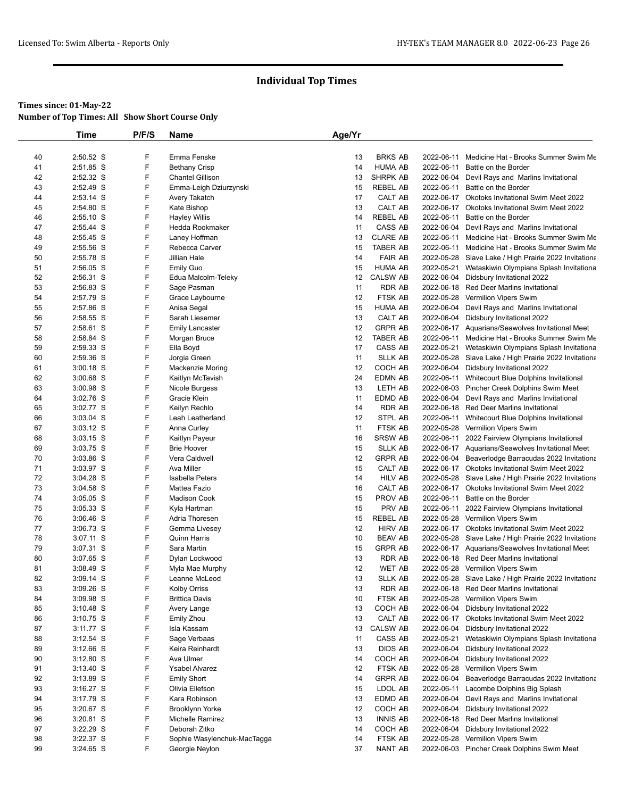|          | Time                     | P/F/S  | Name                                    | Age/Yr   |                           |                          |                                                                                                         |
|----------|--------------------------|--------|-----------------------------------------|----------|---------------------------|--------------------------|---------------------------------------------------------------------------------------------------------|
|          |                          |        |                                         |          |                           |                          |                                                                                                         |
| 40       | 2:50.52 S                | F      | Emma Fenske                             | 13       | <b>BRKS AB</b>            | 2022-06-11               | Medicine Hat - Brooks Summer Swim Me                                                                    |
| 41       | 2:51.85 S                | F      | <b>Bethany Crisp</b>                    | 14       | <b>HUMA AB</b>            | 2022-06-11               | Battle on the Border                                                                                    |
| 42       | 2:52.32 S                | F      | <b>Chantel Gillison</b>                 | 13       | <b>SHRPK AB</b>           |                          | 2022-06-04 Devil Rays and Marlins Invitational                                                          |
| 43       | 2:52.49 S                | F      | Emma-Leigh Dziurzynski                  | 15       | <b>REBEL AB</b>           | 2022-06-11               | Battle on the Border                                                                                    |
| 44       | $2:53.14$ S              | F      | Avery Takatch                           | 17       | CALT AB                   |                          | 2022-06-17 Okotoks Invitational Swim Meet 2022                                                          |
| 45       | 2:54.80 S                | F      | Kate Bishop                             | 13       | CALT AB                   |                          | 2022-06-17 Okotoks Invitational Swim Meet 2022                                                          |
| 46       | $2:55.10$ S<br>2:55.44 S | F<br>F | <b>Hayley Willis</b><br>Hedda Rookmaker | 14<br>11 | REBEL AB<br>CASS AB       | 2022-06-11<br>2022-06-04 | Battle on the Border                                                                                    |
| 47<br>48 | 2:55.45 S                | F      | Laney Hoffman                           | 13       | <b>CLARE AB</b>           |                          | Devil Rays and Marlins Invitational<br>2022-06-11 Medicine Hat - Brooks Summer Swim Me                  |
| 49       | 2:55.56 S                | F      | Rebecca Carver                          | 15       | TABER AB                  |                          | 2022-06-11 Medicine Hat - Brooks Summer Swim Me                                                         |
| 50       | 2:55.78 S                | F      | Jillian Hale                            | 14       | <b>FAIR AB</b>            |                          | 2022-05-28 Slave Lake / High Prairie 2022 Invitationa                                                   |
| 51       | $2:56.05$ S              | F      | <b>Emily Guo</b>                        | 15       | <b>HUMA AB</b>            |                          | 2022-05-21 Wetaskiwin Olympians Splash Invitationa                                                      |
| 52       | 2:56.31 S                | F      | Edua Malcolm-Teleky                     | 12       | <b>CALSW AB</b>           |                          | 2022-06-04 Didsbury Invitational 2022                                                                   |
| 53       | 2:56.83 S                | F      | Sage Pasman                             | 11       | <b>RDR AB</b>             |                          | 2022-06-18 Red Deer Marlins Invitational                                                                |
| 54       | 2:57.79 S                | F      | Grace Laybourne                         | 12       | FTSK AB                   |                          | 2022-05-28 Vermilion Vipers Swim                                                                        |
| 55       | 2:57.86 S                | F      | Anisa Segal                             | 15       | <b>HUMA AB</b>            |                          | 2022-06-04 Devil Rays and Marlins Invitational                                                          |
| 56       | 2:58.55 S                | F      | Sarah Liesemer                          | 13       | CALT AB                   |                          | 2022-06-04 Didsbury Invitational 2022                                                                   |
| 57       | 2:58.61 S                | F      | <b>Emily Lancaster</b>                  | 12       | <b>GRPR AB</b>            |                          | 2022-06-17 Aquarians/Seawolves Invitational Meet                                                        |
| 58       | 2:58.84 S                | F      | Morgan Bruce                            | 12       | TABER AB                  |                          | 2022-06-11 Medicine Hat - Brooks Summer Swim Me                                                         |
| 59       | 2:59.33 S                | F      | Ella Boyd                               | 17       | CASS AB                   |                          | 2022-05-21 Wetaskiwin Olympians Splash Invitationa                                                      |
| 60       | 2:59.36 S                | F      | Jorgia Green                            | 11       | <b>SLLK AB</b>            |                          | 2022-05-28 Slave Lake / High Prairie 2022 Invitationa                                                   |
| 61       | $3:00.18$ S              | F      | Mackenzie Moring                        | 12       | COCH AB                   |                          | 2022-06-04 Didsbury Invitational 2022                                                                   |
| 62       | $3:00.68$ S              | F      | Kaitlyn McTavish                        | 24       | EDMN AB                   |                          | 2022-06-11 Whitecourt Blue Dolphins Invitational                                                        |
| 63       | $3:00.98$ S              | F      | Nicole Burgess                          | 13       | LETH AB                   |                          | 2022-06-03 Pincher Creek Dolphins Swim Meet                                                             |
| 64       | $3:02.76$ S              | F      | Gracie Klein                            | 11       | EDMD AB                   |                          | 2022-06-04 Devil Rays and Marlins Invitational                                                          |
| 65       | 3:02.77 S                | F      | Keilyn Rechlo                           | 14       | RDR AB                    |                          | 2022-06-18 Red Deer Marlins Invitational                                                                |
| 66       | 3:03.04 S                | F      | Leah Leatherland                        | 12       | STPL AB                   |                          | 2022-06-11 Whitecourt Blue Dolphins Invitational                                                        |
| 67       | $3:03.12$ S              | F      | Anna Curley                             | 11       | FTSK AB                   |                          | 2022-05-28 Vermilion Vipers Swim                                                                        |
| 68       | $3:03.15$ S              | F      | Kaitlyn Payeur                          | 16       | <b>SRSW AB</b>            |                          | 2022-06-11 2022 Fairview Olympians Invitational                                                         |
| 69       | 3:03.75 S                | F<br>F | <b>Brie Hoover</b>                      | 15       | <b>SLLK AB</b>            |                          | 2022-06-17 Aquarians/Seawolves Invitational Meet                                                        |
| 70       | $3:03.86$ S              | F      | Vera Caldwell                           | 12       | <b>GRPR AB</b>            |                          | 2022-06-04 Beaverlodge Barracudas 2022 Invitationa                                                      |
| 71<br>72 | 3:03.97 S<br>3:04.28 S   | F      | Ava Miller<br><b>Isabella Peters</b>    | 15<br>14 | CALT AB<br><b>HILV AB</b> |                          | 2022-06-17 Okotoks Invitational Swim Meet 2022                                                          |
| 73       | $3:04.58$ S              | F      | Mattea Fazio                            | 16       | CALT AB                   |                          | 2022-05-28 Slave Lake / High Prairie 2022 Invitationa<br>2022-06-17 Okotoks Invitational Swim Meet 2022 |
| 74       | $3:05.05$ S              | F      | <b>Madison Cook</b>                     | 15       | PROV AB                   | 2022-06-11               | Battle on the Border                                                                                    |
| 75       | $3:05.33$ S              | F      | Kyla Hartman                            | 15       | PRV AB                    |                          | 2022-06-11 2022 Fairview Olympians Invitational                                                         |
| 76       | $3:06.46$ S              | F      | Adria Thoresen                          | 15       | <b>REBEL AB</b>           |                          | 2022-05-28 Vermilion Vipers Swim                                                                        |
| 77       | $3:06.73$ S              | F      | Gemma Livesey                           | 12       | <b>HIRV AB</b>            |                          | 2022-06-17 Okotoks Invitational Swim Meet 2022                                                          |
| 78       | 3:07.11 S                | F      | <b>Quinn Harris</b>                     | 10       | <b>BEAV AB</b>            |                          | 2022-05-28 Slave Lake / High Prairie 2022 Invitationa                                                   |
| 79       | $3:07.31$ S              | F      | Sara Martin                             | 15       | <b>GRPR AB</b>            |                          | 2022-06-17 Aquarians/Seawolves Invitational Meet                                                        |
| 80       | 3:07.65 S                | F      | Dylan Lockwood                          | 13       | <b>RDR AB</b>             |                          | 2022-06-18 Red Deer Marlins Invitational                                                                |
| 81       | $3:08.49$ S              | F      | Myla Mae Murphy                         | 12       | WET AB                    |                          | 2022-05-28 Vermilion Vipers Swim                                                                        |
| 82       | $3:09.14$ S              | F      | Leanne McLeod                           | 13       | <b>SLLK AB</b>            |                          | 2022-05-28 Slave Lake / High Prairie 2022 Invitationa                                                   |
| 83       | 3:09.26 S                | F      | Kolby Orriss                            | 13       | <b>RDR AB</b>             |                          | 2022-06-18 Red Deer Marlins Invitational                                                                |
| 84       | $3:09.98$ S              | F      | <b>Brittica Davis</b>                   | 10       | FTSK AB                   |                          | 2022-05-28 Vermilion Vipers Swim                                                                        |
| 85       | $3:10.48$ S              | F      | Avery Lange                             | 13       | COCH AB                   |                          | 2022-06-04 Didsbury Invitational 2022                                                                   |
| 86       | $3:10.75$ S              | F      | Emily Zhou                              | 13       | CALT AB                   |                          | 2022-06-17 Okotoks Invitational Swim Meet 2022                                                          |
| 87       | $3:11.77$ S              | F      | Isla Kassam                             | 13       | <b>CALSW AB</b>           | 2022-06-04               | Didsbury Invitational 2022                                                                              |
| 88       | $3:12.54$ S              | F      | Sage Verbaas                            | 11       | CASS AB                   | 2022-05-21               | Wetaskiwin Olympians Splash Invitationa                                                                 |
| 89       | $3:12.66$ S              | F      | Keira Reinhardt                         | 13       | DIDS AB                   |                          | 2022-06-04 Didsbury Invitational 2022                                                                   |
| 90       | $3:12.80$ S              | F      | Ava Ulmer                               | 14       | COCH AB                   | 2022-06-04               | Didsbury Invitational 2022                                                                              |
| 91       | $3:13.40$ S              | F      | <b>Ysabel Alvarez</b>                   | 12       | FTSK AB                   | 2022-05-28               | Vermilion Vipers Swim                                                                                   |
| 92       | $3:13.89$ S              | F      | <b>Emily Short</b>                      | 14       | <b>GRPR AB</b>            |                          | 2022-06-04 Beaverlodge Barracudas 2022 Invitationa                                                      |
| 93       | $3:16.27$ S              | F      | Olivia Ellefson                         | 15       | LDOL AB                   | 2022-06-11               | Lacombe Dolphins Big Splash                                                                             |
| 94       | $3:17.79$ S              | F      | Kara Robinson                           | 13       | EDMD AB                   | 2022-06-04               | Devil Rays and Marlins Invitational                                                                     |
| 95       | $3:20.67$ S              | F      | Brooklynn Yorke                         | 12       | COCH AB                   |                          | 2022-06-04 Didsbury Invitational 2022                                                                   |
| 96       | 3:20.81 S                | F      | Michelle Ramirez                        | 13       | <b>INNIS AB</b>           |                          | 2022-06-18 Red Deer Marlins Invitational                                                                |
| 97       | 3:22.29 S                | F      | Deborah Zitko                           | 14       | COCH AB                   | 2022-06-04               | Didsbury Invitational 2022                                                                              |
| 98       | $3:22.37$ S              | F      | Sophie Wasylenchuk-MacTagga             | 14       | FTSK AB                   | 2022-05-28               | Vermilion Vipers Swim                                                                                   |
| 99       | 3:24.65 S                | F      | Georgie Neylon                          | 37       | NANT AB                   |                          | 2022-06-03 Pincher Creek Dolphins Swim Meet                                                             |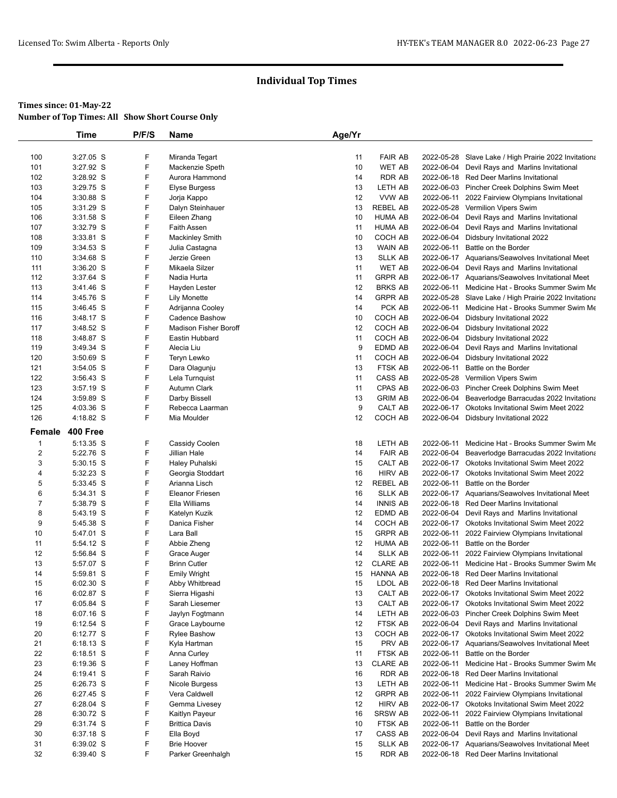# **Times since: 01-May-22**

| <b>Number of Top Times: All Show Short Course Only</b> |  |
|--------------------------------------------------------|--|
|--------------------------------------------------------|--|

|                | Time        | P/F/S  | <b>Name</b>                  | Age/Yr |                                 |            |                                                                                              |
|----------------|-------------|--------|------------------------------|--------|---------------------------------|------------|----------------------------------------------------------------------------------------------|
|                |             |        |                              |        |                                 |            |                                                                                              |
| 100            | 3:27.05 S   | F      | Miranda Tegart               | 11     | <b>FAIR AB</b>                  |            | 2022-05-28 Slave Lake / High Prairie 2022 Invitationa                                        |
| 101            | 3:27.92 S   | F      | Mackenzie Speth              | 10     | <b>WET AB</b>                   |            | 2022-06-04 Devil Rays and Marlins Invitational                                               |
| 102            | 3:28.92 S   | F      | Aurora Hammond               | 14     | <b>RDR AB</b>                   |            | 2022-06-18 Red Deer Marlins Invitational                                                     |
| 103            | $3:29.75$ S | F      | Elyse Burgess                | 13     | LETH AB                         |            | 2022-06-03 Pincher Creek Dolphins Swim Meet                                                  |
| 104            | 3:30.88 S   | F      | Jorja Kappo                  | 12     | VVW AB                          | 2022-06-11 | 2022 Fairview Olympians Invitational                                                         |
| 105            | 3:31.29 S   | F      | Dalyn Steinhauer             | 13     | <b>REBEL AB</b>                 |            | 2022-05-28 Vermilion Vipers Swim                                                             |
| 106            | 3:31.58 S   | F      | Eileen Zhang                 | 10     | HUMA AB                         | 2022-06-04 | Devil Rays and Marlins Invitational                                                          |
| 107            | 3:32.79 S   | F      | <b>Faith Assen</b>           | 11     | <b>HUMA AB</b>                  | 2022-06-04 | Devil Rays and Marlins Invitational                                                          |
| 108            | 3:33.81 S   | F      | <b>Mackinley Smith</b>       | 10     | COCH AB                         | 2022-06-04 | Didsbury Invitational 2022                                                                   |
| 109            | $3:34.53$ S | F      | Julia Castagna               | 13     | <b>WAIN AB</b>                  | 2022-06-11 | Battle on the Border                                                                         |
| 110            | 3:34.68 S   | F      | Jerzie Green                 | 13     | <b>SLLK AB</b>                  |            | 2022-06-17 Aquarians/Seawolves Invitational Meet                                             |
| 111            | $3:36.20$ S | F      | Mikaela Silzer               | 11     | <b>WET AB</b>                   |            | 2022-06-04 Devil Rays and Marlins Invitational                                               |
| 112            | 3:37.64 S   | F      | Nadia Hurta                  | 11     | <b>GRPR AB</b>                  |            | 2022-06-17 Aquarians/Seawolves Invitational Meet                                             |
| 113            | 3:41.46 S   | F      | Hayden Lester                | 12     | <b>BRKS AB</b>                  | 2022-06-11 | Medicine Hat - Brooks Summer Swim Me                                                         |
| 114            | 3:45.76 S   | F      | <b>Lily Monette</b>          | 14     | <b>GRPR AB</b>                  |            | 2022-05-28 Slave Lake / High Prairie 2022 Invitationa                                        |
| 115            | $3:46.45$ S | F      | Adrijanna Cooley             | 14     | PCK AB                          | 2022-06-11 | Medicine Hat - Brooks Summer Swim Me                                                         |
| 116            | 3:48.17 S   | F      | <b>Cadence Bashow</b>        | 10     | COCH AB                         | 2022-06-04 | Didsbury Invitational 2022                                                                   |
| 117            | 3:48.52 S   | F      | <b>Madison Fisher Boroff</b> | 12     | COCH AB                         | 2022-06-04 | Didsbury Invitational 2022                                                                   |
| 118            | 3:48.87 S   | F      | Eastin Hubbard               | 11     | COCH AB                         | 2022-06-04 | Didsbury Invitational 2022                                                                   |
| 119            | 3:49.34 S   | F      | Alecia Liu                   | 9      | EDMD AB                         | 2022-06-04 | Devil Rays and Marlins Invitational                                                          |
| 120            | $3:50.69$ S | F      | Teryn Lewko                  | 11     | COCH AB                         | 2022-06-04 | Didsbury Invitational 2022                                                                   |
| 121            | 3:54.05 S   | F      | Dara Olagunju                | 13     | <b>FTSK AB</b>                  | 2022-06-11 | Battle on the Border                                                                         |
| 122            | $3:56.43$ S | F      | Lela Turnquist               | 11     | CASS AB                         | 2022-05-28 | Vermilion Vipers Swim                                                                        |
| 123            | $3:57.19$ S | F      | Autumn Clark                 | 11     | <b>CPAS AB</b>                  |            | 2022-06-03 Pincher Creek Dolphins Swim Meet                                                  |
| 124            | 3:59.89 S   | F      | Darby Bissell                | 13     | <b>GRIM AB</b>                  | 2022-06-04 | Beaverlodge Barracudas 2022 Invitationa                                                      |
| 125            | 4:03.36 S   | F      | Rebecca Laarman              | 9      | CALT AB                         | 2022-06-17 | <b>Okotoks Invitational Swim Meet 2022</b>                                                   |
| 126            | 4:18.82 S   | F      | Mia Moulder                  | 12     | COCH AB                         |            | 2022-06-04 Didsbury Invitational 2022                                                        |
| Female         | 400 Free    |        |                              |        |                                 |            |                                                                                              |
| 1              | 5:13.35 S   | F      | Cassidy Coolen               | 18     | LETH AB                         |            | 2022-06-11 Medicine Hat - Brooks Summer Swim Me                                              |
| 2              | 5:22.76 S   | F      | Jillian Hale                 | 14     | <b>FAIR AB</b>                  | 2022-06-04 | Beaverlodge Barracudas 2022 Invitationa                                                      |
| 3              | 5:30.15 S   | F      | Haley Puhalski               | 15     | CALT AB                         |            | 2022-06-17 Okotoks Invitational Swim Meet 2022                                               |
| 4              | 5:32.23 S   | F      | Georgia Stoddart             | 16     | <b>HIRV AB</b>                  |            | 2022-06-17 Okotoks Invitational Swim Meet 2022                                               |
| 5              |             |        |                              |        |                                 |            | Battle on the Border                                                                         |
|                |             |        |                              |        |                                 |            |                                                                                              |
|                | 5:33.45 S   | F      | Arianna Lisch                | 12     | <b>REBEL AB</b>                 | 2022-06-11 |                                                                                              |
| 6              | 5:34.31 S   | F      | <b>Eleanor Friesen</b>       | 16     | <b>SLLK AB</b>                  |            | 2022-06-17 Aquarians/Seawolves Invitational Meet                                             |
| $\overline{7}$ | 5:38.79 S   | F      | Ella Williams                | 14     | <b>INNIS AB</b>                 |            | 2022-06-18 Red Deer Marlins Invitational                                                     |
| 8              | 5:43.19 S   | F      | Katelyn Kuzik                | 12     | EDMD AB                         |            | 2022-06-04 Devil Rays and Marlins Invitational                                               |
| 9              | 5:45.38 S   | F      | Danica Fisher                | 14     | COCH AB                         |            | 2022-06-17 Okotoks Invitational Swim Meet 2022                                               |
| 10             | 5:47.01 S   | F      | Lara Ball                    | 15     | <b>GRPR AB</b>                  |            | 2022-06-11 2022 Fairview Olympians Invitational                                              |
| 11             | 5:54.12 S   | F      | Abbie Zheng                  | 12     | HUMA AB                         | 2022-06-11 | Battle on the Border                                                                         |
| 12             | 5:56.84 S   | F      | Grace Auger                  | 14     | <b>SLLK AB</b>                  | 2022-06-11 | 2022 Fairview Olympians Invitational                                                         |
| 13             | 5:57.07 S   | F      | <b>Brinn Cutler</b>          | 12     | <b>CLARE AB</b>                 |            | 2022-06-11 Medicine Hat - Brooks Summer Swim Me                                              |
| 14             | 5:59.81 S   | F      | <b>Emily Wright</b>          | 15     | <b>HANNA AB</b>                 |            | 2022-06-18 Red Deer Marlins Invitational                                                     |
| 15             | 6:02.30 S   | F      | Abby Whitbread               | 15     | LDOL AB                         |            | 2022-06-18 Red Deer Marlins Invitational                                                     |
| 16             | 6:02.87 S   | F      | Sierra Higashi               | 13     | CALT AB                         |            | 2022-06-17 Okotoks Invitational Swim Meet 2022                                               |
| 17             | 6:05.84 S   | F      | Sarah Liesemer               | 13     | CALT AB                         |            | 2022-06-17 Okotoks Invitational Swim Meet 2022                                               |
| 18             | 6:07.16 S   | F      | Jaylyn Fogtmann              | 14     | LETH AB                         |            | 2022-06-03 Pincher Creek Dolphins Swim Meet                                                  |
| 19             | 6:12.54 S   | F      | Grace Laybourne              | 12     | FTSK AB                         |            | 2022-06-04 Devil Rays and Marlins Invitational                                               |
| 20             | 6:12.77 S   | F      | <b>Rylee Bashow</b>          | 13     | COCH AB                         |            | 2022-06-17 Okotoks Invitational Swim Meet 2022                                               |
| 21             | 6:18.13 S   | F      | Kyla Hartman                 | 15     | PRV AB                          |            | 2022-06-17 Aquarians/Seawolves Invitational Meet                                             |
| 22             | 6:18.51 S   | F      | Anna Curley                  | 11     | FTSK AB                         | 2022-06-11 | Battle on the Border                                                                         |
| 23             | 6:19.36 S   | F      | Laney Hoffman                | 13     | <b>CLARE AB</b>                 | 2022-06-11 | Medicine Hat - Brooks Summer Swim Me                                                         |
| 24             | 6:19.41 S   | F      | Sarah Raivio                 | 16     | <b>RDR AB</b>                   | 2022-06-18 | <b>Red Deer Marlins Invitational</b>                                                         |
| 25             | 6:26.73 S   | F      | Nicole Burgess               | 13     | LETH AB                         | 2022-06-11 | Medicine Hat - Brooks Summer Swim Me                                                         |
| 26             | 6:27.45 S   | F      | Vera Caldwell                | 12     | <b>GRPR AB</b>                  |            | 2022-06-11 2022 Fairview Olympians Invitational                                              |
| 27             | 6:28.04 S   | F      | Gemma Livesey                | 12     | <b>HIRV AB</b>                  |            | 2022-06-17 Okotoks Invitational Swim Meet 2022                                               |
| 28             | 6:30.72 S   | F      | Kaitlyn Payeur               | 16     | SRSW AB                         | 2022-06-11 | 2022 Fairview Olympians Invitational                                                         |
| 29             | 6:31.74 S   | F      | <b>Brittica Davis</b>        | 10     | FTSK AB                         | 2022-06-11 | Battle on the Border                                                                         |
| 30             | 6:37.18 S   | F      | Ella Boyd                    | 17     | CASS AB                         |            | 2022-06-04 Devil Rays and Marlins Invitational                                               |
| 31<br>32       | 6:39.02 S   | F<br>F | <b>Brie Hoover</b>           | 15     | <b>SLLK AB</b><br><b>RDR AB</b> |            | 2022-06-17 Aquarians/Seawolves Invitational Meet<br>2022-06-18 Red Deer Marlins Invitational |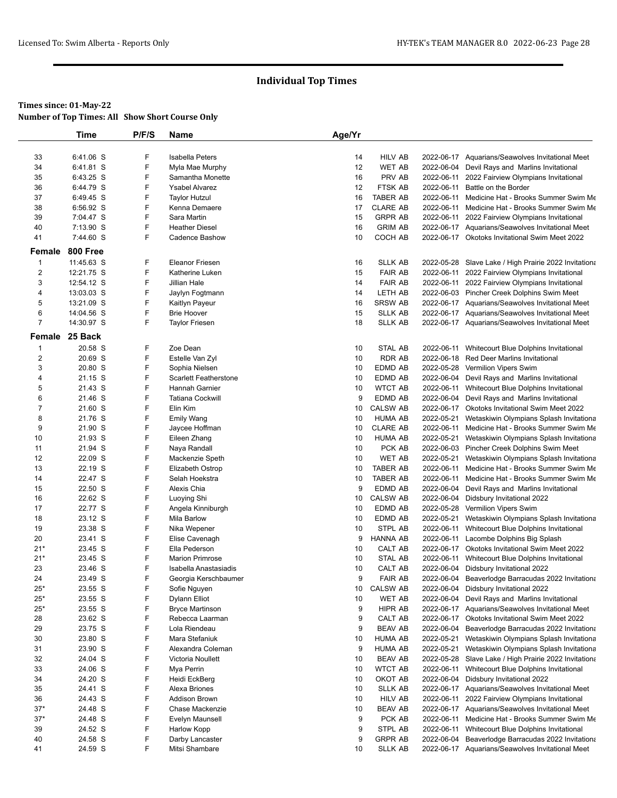### **Times since: 01-May-22**

**Number of Top Times: All Show Short Course Only**

|                | <b>Time</b>     | P/F/S | Name                         | Age/Yr |                 |            |                                                       |
|----------------|-----------------|-------|------------------------------|--------|-----------------|------------|-------------------------------------------------------|
|                |                 |       |                              |        |                 |            |                                                       |
| 33             | 6:41.06 S       | F     | Isabella Peters              | 14     | <b>HILV AB</b>  |            | 2022-06-17 Aquarians/Seawolves Invitational Meet      |
| 34             | 6:41.81 S       | F     | Myla Mae Murphy              | 12     | <b>WET AB</b>   | 2022-06-04 | Devil Rays and Marlins Invitational                   |
| 35             | 6:43.25 S       | F     | Samantha Monette             | 16     | PRV AB          | 2022-06-11 | 2022 Fairview Olympians Invitational                  |
| 36             | 6:44.79 S       | F     | <b>Ysabel Alvarez</b>        | 12     | <b>FTSK AB</b>  |            | 2022-06-11 Battle on the Border                       |
| 37             | 6:49.45 S       | F     | <b>Taylor Hutzul</b>         | 16     | <b>TABER AB</b> | 2022-06-11 | Medicine Hat - Brooks Summer Swim Me                  |
| 38             | 6:56.92 S       | F     | Kenna Demaere                | 17     | <b>CLARE AB</b> | 2022-06-11 | Medicine Hat - Brooks Summer Swim Me                  |
| 39             | 7:04.47 S       | F     | Sara Martin                  | 15     | <b>GRPR AB</b>  |            | 2022-06-11 2022 Fairview Olympians Invitational       |
| 40             | 7:13.90 S       | F     | <b>Heather Diesel</b>        | 16     | <b>GRIM AB</b>  |            | 2022-06-17 Aquarians/Seawolves Invitational Meet      |
| 41             | 7:44.60 S       | F     | Cadence Bashow               | 10     | COCH AB         |            | 2022-06-17 Okotoks Invitational Swim Meet 2022        |
| Female         | <b>800 Free</b> |       |                              |        |                 |            |                                                       |
| $\mathbf{1}$   | 11:45.63 S      | F     | <b>Eleanor Friesen</b>       | 16     | <b>SLLK AB</b>  |            | 2022-05-28 Slave Lake / High Prairie 2022 Invitationa |
| $\overline{2}$ | 12:21.75 S      | F     | <b>Katherine Luken</b>       | 15     | <b>FAIR AB</b>  |            | 2022-06-11 2022 Fairview Olympians Invitational       |
| 3              | 12:54.12 S      | F     | Jillian Hale                 | 14     | <b>FAIR AB</b>  |            | 2022-06-11 2022 Fairview Olympians Invitational       |
| 4              | 13:03.03 S      | F     | Jaylyn Fogtmann              | 14     | LETH AB         |            | 2022-06-03 Pincher Creek Dolphins Swim Meet           |
| 5              | 13:21.09 S      | F     | Kaitlyn Payeur               | 16     | <b>SRSW AB</b>  |            | 2022-06-17 Aquarians/Seawolves Invitational Meet      |
| 6              | 14:04.56 S      | F     | <b>Brie Hoover</b>           | 15     | <b>SLLK AB</b>  |            | 2022-06-17 Aquarians/Seawolves Invitational Meet      |
| $\overline{7}$ | 14:30.97 S      | F     | <b>Taylor Friesen</b>        | 18     | <b>SLLK AB</b>  |            | 2022-06-17 Aquarians/Seawolves Invitational Meet      |
| Female         | 25 Back         |       |                              |        |                 |            |                                                       |
| $\mathbf{1}$   | 20.58 S         | F     | Zoe Dean                     | 10     | STAL AB         | 2022-06-11 | Whitecourt Blue Dolphins Invitational                 |
| $\sqrt{2}$     | 20.69 S         | F     | Estelle Van Zyl              | 10     | <b>RDR AB</b>   | 2022-06-18 | <b>Red Deer Marlins Invitational</b>                  |
| 3              | 20.80 S         | F     | Sophia Nielsen               | 10     | EDMD AB         |            | 2022-05-28 Vermilion Vipers Swim                      |
| 4              | 21.15 S         | F     | <b>Scarlett Featherstone</b> | 10     | EDMD AB         |            | 2022-06-04 Devil Rays and Marlins Invitational        |
| 5              | 21.43 S         | F     | Hannah Garnier               | 10     | <b>WTCT AB</b>  | 2022-06-11 | Whitecourt Blue Dolphins Invitational                 |
| 6              | 21.46 S         | F     | <b>Tatiana Cockwill</b>      | 9      | EDMD AB         | 2022-06-04 | Devil Rays and Marlins Invitational                   |
| $\overline{7}$ | 21.60 S         | F     | Elin Kim                     | 10     | <b>CALSW AB</b> |            | 2022-06-17 Okotoks Invitational Swim Meet 2022        |
| 8              | 21.76 S         | F     | <b>Emily Wang</b>            | 10     | <b>HUMA AB</b>  | 2022-05-21 | Wetaskiwin Olympians Splash Invitationa               |
| 9              | 21.90 S         | F     | Jaycee Hoffman               | 10     | <b>CLARE AB</b> |            | 2022-06-11 Medicine Hat - Brooks Summer Swim Me       |
| 10             | 21.93 S         | F     | Eileen Zhang                 | 10     | <b>HUMA AB</b>  | 2022-05-21 | Wetaskiwin Olympians Splash Invitationa               |
| 11             | 21.94 S         | F     | Naya Randall                 | 10     | PCK AB          |            | 2022-06-03 Pincher Creek Dolphins Swim Meet           |
| 12             | 22.09 S         | F     | Mackenzie Speth              | 10     | <b>WET AB</b>   | 2022-05-21 | Wetaskiwin Olympians Splash Invitationa               |
| 13             | 22.19 S         | F     | Elizabeth Ostrop             | 10     | <b>TABER AB</b> | 2022-06-11 | Medicine Hat - Brooks Summer Swim Me                  |
| 14             | 22.47 S         | F     | Selah Hoekstra               | 10     | <b>TABER AB</b> | 2022-06-11 | Medicine Hat - Brooks Summer Swim Me                  |
| 15             | 22.50 S         | F     | Alexis Chia                  | 9      | EDMD AB         | 2022-06-04 | Devil Rays and Marlins Invitational                   |
| 16             | 22.62 S         | F     | Luoying Shi                  | 10     | <b>CALSW AB</b> | 2022-06-04 | Didsbury Invitational 2022                            |
| 17             | 22.77 S         | F     | Angela Kinniburgh            | 10     | EDMD AB         |            | 2022-05-28 Vermilion Vipers Swim                      |
| 18             | 23.12 S         | F     | Mila Barlow                  | 10     | EDMD AB         | 2022-05-21 | Wetaskiwin Olympians Splash Invitationa               |
| 19             | 23.38 S         | F     | Nika Wepener                 | 10     | <b>STPL AB</b>  |            | 2022-06-11 Whitecourt Blue Dolphins Invitational      |
| 20             | 23.41 S         | F     | Elise Cavenagh               | 9      | <b>HANNA AB</b> |            | 2022-06-11 Lacombe Dolphins Big Splash                |
| $21*$          | 23.45 S         | F     | Ella Pederson                | 10     | CALT AB         |            | 2022-06-17 Okotoks Invitational Swim Meet 2022        |
| $21*$          | 23.45 S         | F     | <b>Marion Primrose</b>       | 10     | STAL AB         | 2022-06-11 | Whitecourt Blue Dolphins Invitational                 |
| 23             | 23.46 S         | F     | Isabella Anastasiadis        | 10     | CALT AB         |            | 2022-06-04 Didsbury Invitational 2022                 |
| 24             | 23.49 S         | F     | Georgia Kerschbaumer         | 9      | <b>FAIR AB</b>  | 2022-06-04 | Beaverlodge Barracudas 2022 Invitationa               |
| $25*$          | 23.55 S         | F     | Sofie Nguyen                 | 10     | <b>CALSW AB</b> |            | 2022-06-04 Didsbury Invitational 2022                 |
| $25*$          | 23.55 S         | F     | Dylann Elliot                | 10     | <b>WET AB</b>   | 2022-06-04 | Devil Rays and Marlins Invitational                   |
| $25*$          | 23.55 S         | F     | <b>Bryce Martinson</b>       | 9      | HIPR AB         |            | 2022-06-17 Aquarians/Seawolves Invitational Meet      |
| 28             | 23.62 S         | F     | Rebecca Laarman              | 9      | CALT AB         | 2022-06-17 | Okotoks Invitational Swim Meet 2022                   |
| 29             | 23.75 S         | F     | Lola Riendeau                | 9      | <b>BEAV AB</b>  | 2022-06-04 | Beaverlodge Barracudas 2022 Invitationa               |
| 30             | 23.80 S         | F     | Mara Stefaniuk               | 10     | HUMA AB         | 2022-05-21 | Wetaskiwin Olympians Splash Invitationa               |
| 31             | 23.90 S         | F     | Alexandra Coleman            | 9      | <b>HUMA AB</b>  | 2022-05-21 | Wetaskiwin Olympians Splash Invitationa               |
| 32             | 24.04 S         | F     | Victoria Noullett            | 10     | <b>BEAV AB</b>  |            | 2022-05-28 Slave Lake / High Prairie 2022 Invitationa |
| 33             | 24.06 S         | F     | Mya Perrin                   | 10     | <b>WTCT AB</b>  | 2022-06-11 | Whitecourt Blue Dolphins Invitational                 |
| 34             | 24.20 S         | F     | Heidi EckBerg                | 10     | OKOT AB         | 2022-06-04 | Didsbury Invitational 2022                            |
| 35             | 24.41 S         | F     | Alexa Briones                | 10     | <b>SLLK AB</b>  |            | 2022-06-17 Aquarians/Seawolves Invitational Meet      |
| 36             | 24.43 S         | F     | <b>Addison Brown</b>         | 10     | <b>HILV AB</b>  | 2022-06-11 | 2022 Fairview Olympians Invitational                  |
| $37*$          | 24.48 S         | F     | Chase Mackenzie              | 10     | <b>BEAV AB</b>  |            | 2022-06-17 Aquarians/Seawolves Invitational Meet      |
| $37*$          | 24.48 S         | F     | Evelyn Maunsell              | 9      | PCK AB          |            | 2022-06-11 Medicine Hat - Brooks Summer Swim Me       |
| 39             | 24.52 S         | F     | <b>Harlow Kopp</b>           | 9      | STPL AB         | 2022-06-11 | Whitecourt Blue Dolphins Invitational                 |
| 40             | 24.58 S         | F     | Darby Lancaster              | 9      | <b>GRPR AB</b>  | 2022-06-04 | Beaverlodge Barracudas 2022 Invitationa               |
| 41             | 24.59 S         | F     | Mitsi Shambare               | 10     | <b>SLLK AB</b>  |            | 2022-06-17 Aquarians/Seawolves Invitational Meet      |
|                |                 |       |                              |        |                 |            |                                                       |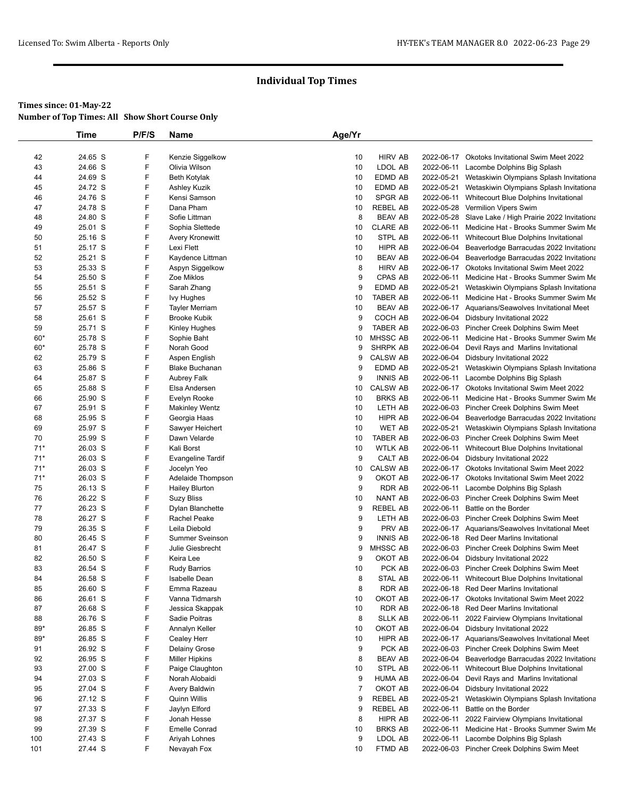|       | <b>Time</b> | P/F/S | Name                     | Age/Yr         |                 |            |                                                       |
|-------|-------------|-------|--------------------------|----------------|-----------------|------------|-------------------------------------------------------|
|       |             |       |                          |                |                 |            |                                                       |
| 42    | 24.65 S     | F     | Kenzie Siggelkow         | 10             | <b>HIRV AB</b>  |            | 2022-06-17 Okotoks Invitational Swim Meet 2022        |
| 43    | 24.66 S     | F     | Olivia Wilson            | 10             | LDOL AB         | 2022-06-11 | Lacombe Dolphins Big Splash                           |
| 44    | 24.69 S     | F     | <b>Beth Kotylak</b>      | 10             | EDMD AB         |            | 2022-05-21 Wetaskiwin Olympians Splash Invitationa    |
| 45    | 24.72 S     | F     | Ashley Kuzik             | 10             | EDMD AB         |            | 2022-05-21 Wetaskiwin Olympians Splash Invitationa    |
| 46    | 24.76 S     | F     | Kensi Samson             | 10             | SPGR AB         |            | 2022-06-11 Whitecourt Blue Dolphins Invitational      |
| 47    | 24.78 S     | F     | Dana Pham                | 10             | <b>REBEL AB</b> |            | 2022-05-28 Vermilion Vipers Swim                      |
| 48    | 24.80 S     | F     | Sofie Littman            | 8              | <b>BEAV AB</b>  |            | 2022-05-28 Slave Lake / High Prairie 2022 Invitationa |
| 49    | 25.01 S     | F     | Sophia Slettede          | 10             | <b>CLARE AB</b> |            | 2022-06-11 Medicine Hat - Brooks Summer Swim Me       |
| 50    | 25.16 S     | F     | Avery Kronewitt          | 10             | STPL AB         | 2022-06-11 | Whitecourt Blue Dolphins Invitational                 |
| 51    | 25.17 S     | F     | Lexi Flett               | 10             | HIPR AB         |            | 2022-06-04 Beaverlodge Barracudas 2022 Invitationa    |
| 52    | 25.21 S     | F     | Kaydence Littman         | 10             | <b>BEAV AB</b>  | 2022-06-04 | Beaverlodge Barracudas 2022 Invitationa               |
| 53    | 25.33 S     | F     | Aspyn Siggelkow          | 8              | <b>HIRV AB</b>  |            | 2022-06-17 Okotoks Invitational Swim Meet 2022        |
| 54    | 25.50 S     | F     | Zoe Miklos               | 9              | CPAS AB         |            | 2022-06-11 Medicine Hat - Brooks Summer Swim Me       |
| 55    | 25.51 S     | F     | Sarah Zhang              | 9              | EDMD AB         | 2022-05-21 | Wetaskiwin Olympians Splash Invitationa               |
| 56    | 25.52 S     | F     | lvy Hughes               | 10             | <b>TABER AB</b> |            | 2022-06-11 Medicine Hat - Brooks Summer Swim Me       |
| 57    | 25.57 S     | F     | <b>Tayler Merriam</b>    | 10             | <b>BEAV AB</b>  |            | 2022-06-17 Aquarians/Seawolves Invitational Meet      |
| 58    | 25.61 S     | F     | Brooke Kubik             | 9              | COCH AB         | 2022-06-04 | Didsbury Invitational 2022                            |
| 59    | 25.71 S     | F     | Kinley Hughes            | 9              | <b>TABER AB</b> |            | 2022-06-03 Pincher Creek Dolphins Swim Meet           |
| $60*$ | 25.78 S     | F     | Sophie Baht              | 10             | MHSSC AB        |            | 2022-06-11 Medicine Hat - Brooks Summer Swim Me       |
| $60*$ | 25.78 S     | F     | Norah Good               | 9              | <b>SHRPK AB</b> | 2022-06-04 | Devil Rays and Marlins Invitational                   |
| 62    | 25.79 S     | F     | Aspen English            | 9              | <b>CALSW AB</b> | 2022-06-04 | Didsbury Invitational 2022                            |
| 63    | 25.86 S     | F     | <b>Blake Buchanan</b>    | 9              | EDMD AB         |            | 2022-05-21 Wetaskiwin Olympians Splash Invitationa    |
| 64    | 25.87 S     | F     | Aubrey Falk              | 9              | <b>INNIS AB</b> |            | 2022-06-11 Lacombe Dolphins Big Splash                |
| 65    | 25.88 S     | F     | Elsa Andersen            | 10             | <b>CALSW AB</b> |            | 2022-06-17 Okotoks Invitational Swim Meet 2022        |
| 66    | 25.90 S     | F     | Evelyn Rooke             | 10             | <b>BRKS AB</b>  |            | 2022-06-11 Medicine Hat - Brooks Summer Swim Me       |
| 67    | 25.91 S     | F     | <b>Makinley Wentz</b>    | 10             | LETH AB         |            | 2022-06-03 Pincher Creek Dolphins Swim Meet           |
| 68    | 25.95 S     | F     | Georgia Haas             | 10             | HIPR AB         | 2022-06-04 | Beaverlodge Barracudas 2022 Invitationa               |
| 69    | 25.97 S     | F     | Sawyer Heichert          | 10             | <b>WET AB</b>   |            | 2022-05-21 Wetaskiwin Olympians Splash Invitationa    |
| 70    | 25.99 S     | F     | Dawn Velarde             | 10             | <b>TABER AB</b> |            | 2022-06-03 Pincher Creek Dolphins Swim Meet           |
| $71*$ | 26.03 S     | F     | Kali Borst               | 10             | <b>WTLK AB</b>  | 2022-06-11 | Whitecourt Blue Dolphins Invitational                 |
| $71*$ | 26.03 S     | F     | <b>Evangeline Tardif</b> | 9              | CALT AB         | 2022-06-04 | Didsbury Invitational 2022                            |
| $71*$ | 26.03 S     | F     | Jocelyn Yeo              | 10             | <b>CALSW AB</b> |            | 2022-06-17 Okotoks Invitational Swim Meet 2022        |
| $71*$ | 26.03 S     | F     | Adelaide Thompson        | 9              | OKOT AB         |            | 2022-06-17 Okotoks Invitational Swim Meet 2022        |
| 75    | 26.13 S     | F     | <b>Hailey Blurton</b>    | 9              | <b>RDR AB</b>   |            | 2022-06-11 Lacombe Dolphins Big Splash                |
| 76    | 26.22 S     | F     | <b>Suzy Bliss</b>        | 10             | <b>NANT AB</b>  |            | 2022-06-03 Pincher Creek Dolphins Swim Meet           |
| 77    | 26.23 S     | F     | Dylan Blanchette         | 9              | <b>REBEL AB</b> | 2022-06-11 | Battle on the Border                                  |
| 78    | 26.27 S     | F     | Rachel Peake             | 9              | LETH AB         |            | 2022-06-03 Pincher Creek Dolphins Swim Meet           |
| 79    | 26.35 S     | F     | Leila Diebold            | 9              | PRV AB          |            | 2022-06-17 Aquarians/Seawolves Invitational Meet      |
| 80    | 26.45 S     | F     | <b>Summer Sveinson</b>   | 9              | <b>INNIS AB</b> |            | 2022-06-18 Red Deer Marlins Invitational              |
| 81    | 26.47 S     | F     | Julie Giesbrecht         | 9              | MHSSC AB        |            | 2022-06-03 Pincher Creek Dolphins Swim Meet           |
| 82    | 26.50 S     | F     | Keira Lee                | 9              | OKOT AB         | 2022-06-04 | Didsbury Invitational 2022                            |
| 83    | 26.54 S     | F     | <b>Rudy Barrios</b>      | 10             | PCK AB          |            | 2022-06-03 Pincher Creek Dolphins Swim Meet           |
| 84    | 26.58 S     | F     | Isabelle Dean            | 8              | <b>STAL AB</b>  |            | 2022-06-11 Whitecourt Blue Dolphins Invitational      |
| 85    | 26.60 S     | F     | Emma Razeau              | 8              | <b>RDR AB</b>   |            | 2022-06-18 Red Deer Marlins Invitational              |
| 86    | 26.61 S     | F     | Vanna Tidmarsh           | 10             | OKOT AB         |            | 2022-06-17 Okotoks Invitational Swim Meet 2022        |
| 87    | 26.68 S     | F     | Jessica Skappak          | 10             | <b>RDR AB</b>   | 2022-06-18 | <b>Red Deer Marlins Invitational</b>                  |
| 88    | 26.76 S     | F     | Sadie Poitras            | 8              | <b>SLLK AB</b>  | 2022-06-11 | 2022 Fairview Olympians Invitational                  |
| 89*   | 26.85 S     | F     | Annalyn Keller           | 10             | OKOT AB         |            | 2022-06-04 Didsbury Invitational 2022                 |
| 89*   | 26.85 S     | F     | Cealey Herr              | 10             | HIPR AB         |            | 2022-06-17 Aquarians/Seawolves Invitational Meet      |
| 91    | 26.92 S     | F     | Delainy Grose            | 9              | PCK AB          | 2022-06-03 | Pincher Creek Dolphins Swim Meet                      |
| 92    | 26.95 S     | F     | <b>Miller Hipkins</b>    | 8              | <b>BEAV AB</b>  | 2022-06-04 | Beaverlodge Barracudas 2022 Invitationa               |
| 93    | 27.00 S     | F     | Paige Claughton          | 10             | STPL AB         | 2022-06-11 | Whitecourt Blue Dolphins Invitational                 |
| 94    | 27.03 S     | F     | Norah Alobaidi           | 9              | <b>HUMA AB</b>  | 2022-06-04 | Devil Rays and Marlins Invitational                   |
| 95    | 27.04 S     | F     | Avery Baldwin            | $\overline{7}$ | OKOT AB         | 2022-06-04 | Didsbury Invitational 2022                            |
| 96    | 27.12 S     | F     | Quinn Willis             | 9              | <b>REBEL AB</b> | 2022-05-21 | Wetaskiwin Olympians Splash Invitationa               |
| 97    | 27.33 S     | F     | Jaylyn Elford            | 9              | <b>REBEL AB</b> | 2022-06-11 | Battle on the Border                                  |
| 98    | 27.37 S     | F     | Jonah Hesse              | 8              | HIPR AB         |            | 2022-06-11 2022 Fairview Olympians Invitational       |
| 99    | 27.39 S     | F     | <b>Emelle Conrad</b>     | 10             | <b>BRKS AB</b>  |            | 2022-06-11 Medicine Hat - Brooks Summer Swim Me       |
| 100   | 27.43 S     | F     | Ariyah Lohnes            | 9              | LDOL AB         | 2022-06-11 | Lacombe Dolphins Big Splash                           |
| 101   | 27.44 S     | F     | Nevayah Fox              | 10             | FTMD AB         |            | 2022-06-03 Pincher Creek Dolphins Swim Meet           |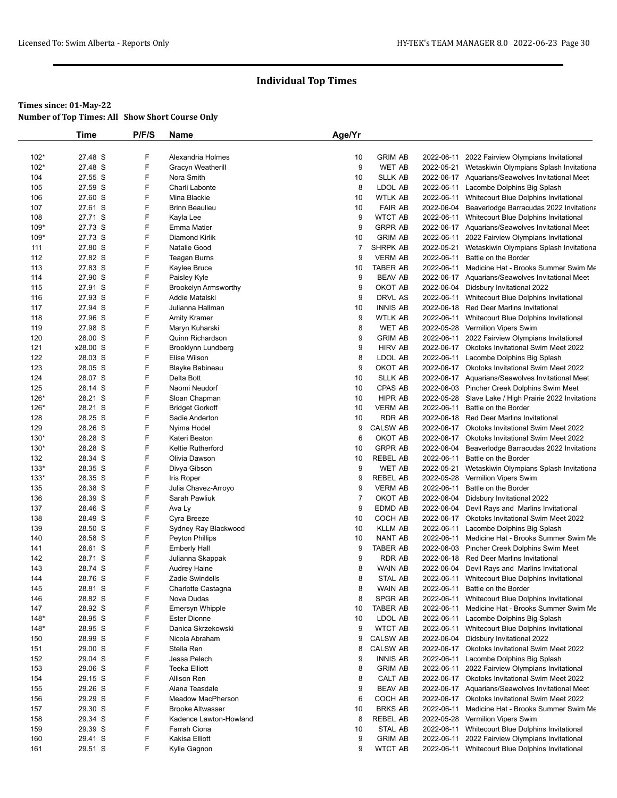|        | Time     | P/F/S | Name                        | Age/Yr         |                 |            |                                                       |
|--------|----------|-------|-----------------------------|----------------|-----------------|------------|-------------------------------------------------------|
|        |          |       |                             |                |                 |            |                                                       |
| $102*$ | 27.48 S  | F     | Alexandria Holmes           | 10             | <b>GRIM AB</b>  | 2022-06-11 | 2022 Fairview Olympians Invitational                  |
| $102*$ | 27.48 S  | F     | Gracyn Weatherill           | 9              | <b>WET AB</b>   | 2022-05-21 | Wetaskiwin Olympians Splash Invitationa               |
| 104    | 27.55 S  | F     | Nora Smith                  | 10             | <b>SLLK AB</b>  |            | 2022-06-17 Aquarians/Seawolves Invitational Meet      |
| 105    | 27.59 S  | F     | Charli Labonte              | 8              | LDOL AB         | 2022-06-11 | Lacombe Dolphins Big Splash                           |
| 106    | 27.60 S  | F     | Mina Blackie                | 10             | WTLK AB         | 2022-06-11 | Whitecourt Blue Dolphins Invitational                 |
| 107    | 27.61 S  | F     | <b>Brinn Beaulieu</b>       | 10             | <b>FAIR AB</b>  | 2022-06-04 | Beaverlodge Barracudas 2022 Invitationa               |
| 108    | 27.71 S  | F     | Kayla Lee                   | 9              | <b>WTCT AB</b>  | 2022-06-11 | Whitecourt Blue Dolphins Invitational                 |
| $109*$ | 27.73 S  | F     | <b>Emma Matier</b>          | 9              | <b>GRPR AB</b>  |            | 2022-06-17 Aquarians/Seawolves Invitational Meet      |
| 109*   | 27.73 S  | F     | <b>Diamond Kirlik</b>       | 10             | <b>GRIM AB</b>  | 2022-06-11 | 2022 Fairview Olympians Invitational                  |
| 111    | 27.80 S  | F     | Natalie Good                | 7              | SHRPK AB        | 2022-05-21 | Wetaskiwin Olympians Splash Invitationa               |
| 112    | 27.82 S  | F     | Teagan Burns                | 9              | <b>VERM AB</b>  | 2022-06-11 | Battle on the Border                                  |
| 113    | 27.83 S  | F     | Kaylee Bruce                | 10             | TABER AB        | 2022-06-11 | Medicine Hat - Brooks Summer Swim Me                  |
| 114    | 27.90 S  | F     | Paisley Kyle                | 9              | <b>BEAV AB</b>  |            | 2022-06-17 Aquarians/Seawolves Invitational Meet      |
| 115    | 27.91 S  | F     | <b>Brookelyn Armsworthy</b> | 9              | OKOT AB         |            | 2022-06-04 Didsbury Invitational 2022                 |
| 116    | 27.93 S  | F     | Addie Matalski              | 9              | DRVL AS         | 2022-06-11 | Whitecourt Blue Dolphins Invitational                 |
| 117    | 27.94 S  | F     | Julianna Hallman            | 10             | <b>INNIS AB</b> |            | 2022-06-18 Red Deer Marlins Invitational              |
| 118    | 27.96 S  | F     | <b>Amity Kramer</b>         | 9              | <b>WTLK AB</b>  | 2022-06-11 | Whitecourt Blue Dolphins Invitational                 |
| 119    | 27.98 S  | F     | Maryn Kuharski              | 8              | WET AB          |            | 2022-05-28 Vermilion Vipers Swim                      |
| 120    | 28.00 S  | F     | Quinn Richardson            | 9              | <b>GRIM AB</b>  |            | 2022-06-11 2022 Fairview Olympians Invitational       |
| 121    | x28.00 S | F     | Brooklynn Lundberg          | 9              | <b>HIRV AB</b>  |            | 2022-06-17 Okotoks Invitational Swim Meet 2022        |
| 122    | 28.03 S  | F     | Elise Wilson                | 8              | LDOL AB         | 2022-06-11 | Lacombe Dolphins Big Splash                           |
| 123    | 28.05 S  | F     | Blayke Babineau             | 9              | OKOT AB         |            | 2022-06-17 Okotoks Invitational Swim Meet 2022        |
| 124    | 28.07 S  | F     | Delta Bott                  | 10             | <b>SLLK AB</b>  |            | 2022-06-17 Aquarians/Seawolves Invitational Meet      |
| 125    | 28.14 S  | F     | Naomi Neudorf               | 10             | <b>CPAS AB</b>  |            | 2022-06-03 Pincher Creek Dolphins Swim Meet           |
| 126*   | 28.21 S  | F     | Sloan Chapman               | 10             | HIPR AB         |            | 2022-05-28 Slave Lake / High Prairie 2022 Invitationa |
| 126*   | 28.21 S  | F     | <b>Bridget Gorkoff</b>      | 10             | <b>VERM AB</b>  | 2022-06-11 | Battle on the Border                                  |
| 128    | 28.25 S  | F     | Sadie Anderton              | 10             | <b>RDR AB</b>   |            | 2022-06-18 Red Deer Marlins Invitational              |
| 129    | 28.26 S  | F     | Nyima Hodel                 | 9              | <b>CALSW AB</b> |            | 2022-06-17 Okotoks Invitational Swim Meet 2022        |
| 130*   | 28.28 S  | F     | Kateri Beaton               | 6              | OKOT AB         |            | 2022-06-17 Okotoks Invitational Swim Meet 2022        |
| $130*$ | 28.28 S  | F     | <b>Keltie Rutherford</b>    | 10             | <b>GRPR AB</b>  | 2022-06-04 | Beaverlodge Barracudas 2022 Invitationa               |
| 132    | 28.34 S  | F     | Olivia Dawson               | 10             | <b>REBEL AB</b> | 2022-06-11 | Battle on the Border                                  |
| $133*$ | 28.35 S  | F     | Divya Gibson                | 9              | WET AB          | 2022-05-21 | Wetaskiwin Olympians Splash Invitationa               |
| $133*$ | 28.35 S  | F     | Iris Roper                  | 9              | <b>REBEL AB</b> |            | 2022-05-28 Vermilion Vipers Swim                      |
| 135    | 28.38 S  | F     | Julia Chavez-Arroyo         | 9              | <b>VERM AB</b>  | 2022-06-11 | Battle on the Border                                  |
| 136    | 28.39 S  | F     | Sarah Pawliuk               | $\overline{7}$ | OKOT AB         |            | 2022-06-04 Didsbury Invitational 2022                 |
| 137    | 28.46 S  | F     | Ava Ly                      | 9              | EDMD AB         |            | 2022-06-04 Devil Rays and Marlins Invitational        |
| 138    | 28.49 S  | F     | Cyra Breeze                 | 10             | COCH AB         |            | 2022-06-17 Okotoks Invitational Swim Meet 2022        |
| 139    | 28.50 S  | F     | Sydney Ray Blackwood        | 10             | <b>KLLM AB</b>  |            | 2022-06-11 Lacombe Dolphins Big Splash                |
| 140    | 28.58 S  | F     | Peyton Phillips             | 10             | NANT AB         | 2022-06-11 | Medicine Hat - Brooks Summer Swim Me                  |
| 141    | 28.61 S  | F     | <b>Emberly Hall</b>         | 9              | TABER AB        |            | 2022-06-03 Pincher Creek Dolphins Swim Meet           |
| 142    | 28.71 S  | F     | Julianna Skappak            | 9              | RDR AB          |            | 2022-06-18 Red Deer Marlins Invitational              |
| 143    | 28.74 S  | F     | <b>Audrey Haine</b>         | 8              | WAIN AB         |            | 2022-06-04 Devil Rays and Marlins Invitational        |
| 144    | 28.76 S  | F     | Zadie Swindells             | 8              | <b>STAL AB</b>  |            | 2022-06-11 Whitecourt Blue Dolphins Invitational      |
| 145    | 28.81 S  | F     | Charlotte Castagna          | 8              | WAIN AB         | 2022-06-11 | Battle on the Border                                  |
| 146    | 28.82 S  | F     | Nova Dudas                  | 8              | SPGR AB         | 2022-06-11 | Whitecourt Blue Dolphins Invitational                 |
| 147    | 28.92 S  | F     | Emersyn Whipple             | 10             | TABER AB        | 2022-06-11 | Medicine Hat - Brooks Summer Swim Me                  |
| $148*$ | 28.95 S  | F     | <b>Ester Dionne</b>         | 10             | LDOL AB         | 2022-06-11 | Lacombe Dolphins Big Splash                           |
| $148*$ | 28.95 S  | F     | Danica Skrzekowski          | 9              | <b>WTCT AB</b>  | 2022-06-11 | Whitecourt Blue Dolphins Invitational                 |
| 150    | 28.99 S  | F     | Nicola Abraham              | 9              | <b>CALSW AB</b> | 2022-06-04 | Didsbury Invitational 2022                            |
| 151    | 29.00 S  | F     | Stella Ren                  | 8              | <b>CALSW AB</b> |            | 2022-06-17 Okotoks Invitational Swim Meet 2022        |
| 152    | 29.04 S  | F     | Jessa Pelech                | 9              | <b>INNIS AB</b> | 2022-06-11 | Lacombe Dolphins Big Splash                           |
| 153    | 29.06 S  | F     | <b>Teeka Elliott</b>        | 8              | <b>GRIM AB</b>  | 2022-06-11 | 2022 Fairview Olympians Invitational                  |
| 154    | 29.15 S  | F     | Allison Ren                 | 8              | CALT AB         |            | 2022-06-17 Okotoks Invitational Swim Meet 2022        |
| 155    | 29.26 S  | F     | Alana Teasdale              | 9              | <b>BEAV AB</b>  |            | 2022-06-17 Aquarians/Seawolves Invitational Meet      |
| 156    | 29.29 S  | F     | <b>Meadow MacPherson</b>    | 6              | COCH AB         |            | 2022-06-17 Okotoks Invitational Swim Meet 2022        |
| 157    | 29.30 S  | F     | <b>Brooke Altwasser</b>     | 10             | <b>BRKS AB</b>  | 2022-06-11 | Medicine Hat - Brooks Summer Swim Me                  |
| 158    | 29.34 S  | F     | Kadence Lawton-Howland      | 8              | REBEL AB        |            | 2022-05-28 Vermilion Vipers Swim                      |
| 159    | 29.39 S  | F     | Farrah Ciona                | 10             | STAL AB         | 2022-06-11 | Whitecourt Blue Dolphins Invitational                 |
| 160    | 29.41 S  | F     | Kakisa Elliott              | 9              | <b>GRIM AB</b>  | 2022-06-11 | 2022 Fairview Olympians Invitational                  |
| 161    | 29.51 S  | F     | Kylie Gagnon                | 9              | WTCT AB         |            | 2022-06-11 Whitecourt Blue Dolphins Invitational      |
|        |          |       |                             |                |                 |            |                                                       |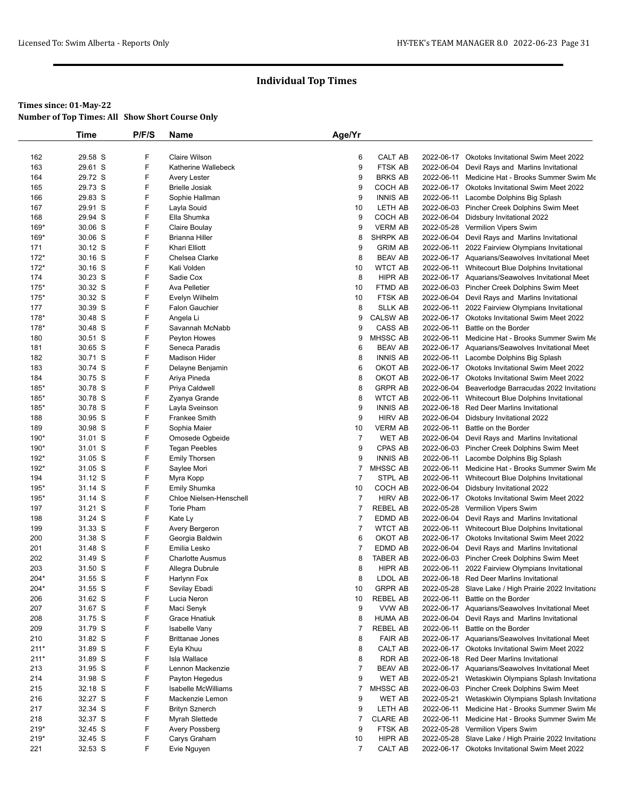|             | <b>Time</b>        | P/F/S  | Name                                   | Age/Yr         |                           |            |                                                                           |
|-------------|--------------------|--------|----------------------------------------|----------------|---------------------------|------------|---------------------------------------------------------------------------|
|             |                    |        |                                        |                |                           |            |                                                                           |
| 162         | 29.58 S            | F      | <b>Claire Wilson</b>                   | 6              | CALT AB                   |            | 2022-06-17 Okotoks Invitational Swim Meet 2022                            |
| 163         | 29.61 S            | F      | Katherine Wallebeck                    | 9              | FTSK AB                   |            | 2022-06-04 Devil Rays and Marlins Invitational                            |
| 164         | 29.72 S            | F      | Avery Lester                           | 9              | <b>BRKS AB</b>            | 2022-06-11 | Medicine Hat - Brooks Summer Swim Me                                      |
| 165         | 29.73 S            | F      | <b>Brielle Josiak</b>                  | 9              | COCH AB                   |            | 2022-06-17 Okotoks Invitational Swim Meet 2022                            |
| 166         | 29.83 S            | F      | Sophie Hallman                         | 9              | <b>INNIS AB</b>           |            | 2022-06-11 Lacombe Dolphins Big Splash                                    |
| 167         | 29.91 S            | F      | Layla Souid                            | 10             | LETH AB                   |            | 2022-06-03 Pincher Creek Dolphins Swim Meet                               |
| 168<br>169* | 29.94 S<br>30.06 S | F<br>F | Ella Shumka                            | 9<br>9         | COCH AB<br><b>VERM AB</b> |            | 2022-06-04 Didsbury Invitational 2022<br>2022-05-28 Vermilion Vipers Swim |
| 169*        | 30.06 S            | F      | Claire Boulay<br><b>Brianna Hiller</b> | 8              | <b>SHRPK AB</b>           |            | 2022-06-04 Devil Rays and Marlins Invitational                            |
| 171         | 30.12 S            | F      | Khari Elliott                          | 9              | <b>GRIM AB</b>            | 2022-06-11 | 2022 Fairview Olympians Invitational                                      |
| $172*$      | 30.16 S            | F      | Chelsea Clarke                         | 8              | <b>BEAV AB</b>            |            | 2022-06-17 Aquarians/Seawolves Invitational Meet                          |
| $172*$      | $30.16$ S          | F      | Kali Volden                            | 10             | <b>WTCT AB</b>            |            | 2022-06-11 Whitecourt Blue Dolphins Invitational                          |
| 174         | 30.23 S            | F      | Sadie Cox                              | 8              | HIPR AB                   |            | 2022-06-17 Aquarians/Seawolves Invitational Meet                          |
| $175*$      | 30.32 S            | F      | Ava Pelletier                          | 10             | FTMD AB                   |            | 2022-06-03 Pincher Creek Dolphins Swim Meet                               |
| $175*$      | 30.32 S            | F      | Evelyn Wilhelm                         | 10             | FTSK AB                   |            | 2022-06-04 Devil Rays and Marlins Invitational                            |
| 177         | 30.39 S            | F      | <b>Falon Gauchier</b>                  | 8              | <b>SLLK AB</b>            | 2022-06-11 | 2022 Fairview Olympians Invitational                                      |
| 178*        | 30.48 S            | F      | Angela Li                              | 9              | <b>CALSW AB</b>           |            | 2022-06-17 Okotoks Invitational Swim Meet 2022                            |
| $178*$      | 30.48 S            | F      | Savannah McNabb                        | 9              | CASS AB                   | 2022-06-11 | Battle on the Border                                                      |
| 180         | 30.51 S            | F      | Peyton Howes                           | 9              | MHSSC AB                  |            | 2022-06-11 Medicine Hat - Brooks Summer Swim Me                           |
| 181         | 30.65 S            | F      | Seneca Paradis                         | 6              | <b>BEAV AB</b>            |            | 2022-06-17 Aquarians/Seawolves Invitational Meet                          |
| 182         | 30.71 S            | F      | <b>Madison Hider</b>                   | 8              | <b>INNIS AB</b>           |            | 2022-06-11 Lacombe Dolphins Big Splash                                    |
| 183         | 30.74 S            | F      | Delayne Benjamin                       | 6              | OKOT AB                   |            | 2022-06-17 Okotoks Invitational Swim Meet 2022                            |
| 184         | 30.75 S            | F      | Ariya Pineda                           | 8              | OKOT AB                   |            | 2022-06-17 Okotoks Invitational Swim Meet 2022                            |
| 185*        | 30.78 S            | F      | Priya Caldwell                         | 8              | <b>GRPR AB</b>            |            | 2022-06-04 Beaverlodge Barracudas 2022 Invitationa                        |
| $185*$      | 30.78 S            | F      | Zyanya Grande                          | 8              | <b>WTCT AB</b>            |            | 2022-06-11 Whitecourt Blue Dolphins Invitational                          |
| $185*$      | 30.78 S            | F      | Layla Sveinson                         | 9              | <b>INNIS AB</b>           |            | 2022-06-18 Red Deer Marlins Invitational                                  |
| 188         | 30.95 S            | F      | <b>Frankee Smith</b>                   | 9              | <b>HIRV AB</b>            |            | 2022-06-04 Didsbury Invitational 2022                                     |
| 189         | 30.98 S            | F      | Sophia Maier                           | 10             | <b>VERM AB</b>            | 2022-06-11 | Battle on the Border                                                      |
| 190*        | 31.01 S            | F      | Omosede Ogbeide                        | $\overline{7}$ | <b>WET AB</b>             | 2022-06-04 | Devil Rays and Marlins Invitational                                       |
| 190*        | 31.01 S            | F      | <b>Tegan Peebles</b>                   | 9              | CPAS AB                   |            | 2022-06-03 Pincher Creek Dolphins Swim Meet                               |
| 192*        | 31.05 S            | F      | <b>Emily Thorsen</b>                   | 9              | <b>INNIS AB</b>           |            | 2022-06-11 Lacombe Dolphins Big Splash                                    |
| 192*        | 31.05 S            | F      | Saylee Mori                            | 7              | MHSSC AB                  |            | 2022-06-11 Medicine Hat - Brooks Summer Swim Me                           |
| 194         | 31.12 S            | F      | Myra Kopp                              | $\overline{7}$ | STPL AB                   |            | 2022-06-11 Whitecourt Blue Dolphins Invitational                          |
| $195*$      | $31.14$ S          | F      | Emily Shumka                           | 10             | COCH AB                   |            | 2022-06-04 Didsbury Invitational 2022                                     |
| $195*$      | $31.14$ S          | F      | Chloe Nielsen-Henschell                | $\overline{7}$ | <b>HIRV AB</b>            |            | 2022-06-17 Okotoks Invitational Swim Meet 2022                            |
| 197         | 31.21 S            | F      | Torie Pham                             | $\overline{7}$ | <b>REBEL AB</b>           | 2022-05-28 | Vermilion Vipers Swim                                                     |
| 198         | 31.24 S            | F      | Kate Ly                                | 7              | EDMD AB                   |            | 2022-06-04 Devil Rays and Marlins Invitational                            |
| 199         | 31.33 S            | F      | Avery Bergeron                         | $\overline{7}$ | <b>WTCT AB</b>            |            | 2022-06-11 Whitecourt Blue Dolphins Invitational                          |
| 200         | 31.38 S            | F      | Georgia Baldwin                        | 6              | OKOT AB                   |            | 2022-06-17 Okotoks Invitational Swim Meet 2022                            |
| 201         | 31.48 S            | F      | Emilia Lesko                           | 7              | EDMD AB                   |            | 2022-06-04 Devil Rays and Marlins Invitational                            |
| 202         | 31.49 S            | F      | Charlotte Ausmus                       | 8              | <b>TABER AB</b>           |            | 2022-06-03 Pincher Creek Dolphins Swim Meet                               |
| 203         | 31.50 S            | F      | Allegra Dubrule                        | 8              | HIPR AB                   |            | 2022-06-11 2022 Fairview Olympians Invitational                           |
| 204*        | 31.55 S            | F      | Harlynn Fox                            | 8              | LDOL AB                   |            | 2022-06-18 Red Deer Marlins Invitational                                  |
| $204*$      | 31.55 S            | F      | Sevilay Ebadi                          | 10             | <b>GRPR AB</b>            |            | 2022-05-28 Slave Lake / High Prairie 2022 Invitationa                     |
| 206         | 31.62 S            | F      | Lucia Neron                            | 10             | <b>REBEL AB</b>           |            | 2022-06-11 Battle on the Border                                           |
| 207         | 31.67 S            | F      | Maci Senyk                             | 9              | VVW AB                    |            | 2022-06-17 Aquarians/Seawolves Invitational Meet                          |
| 208         | 31.75 S            | F      | Grace Hnatiuk                          | 8              | <b>HUMA AB</b>            |            | 2022-06-04 Devil Rays and Marlins Invitational                            |
| 209         | 31.79 S            | F      | Isabelle Vany                          | $\overline{7}$ | REBEL AB                  |            | 2022-06-11 Battle on the Border                                           |
| 210         | 31.82 S            | F      | <b>Brittanae Jones</b>                 | 8              | <b>FAIR AB</b>            |            | 2022-06-17 Aquarians/Seawolves Invitational Meet                          |
| $211*$      | 31.89 S            | F      | Eyla Khuu                              | 8              | CALT AB                   |            | 2022-06-17 Okotoks Invitational Swim Meet 2022                            |
| $211*$      | 31.89 S            | F      | Isla Wallace                           | 8              | RDR AB                    |            | 2022-06-18 Red Deer Marlins Invitational                                  |
| 213         | 31.95 S            | F      | Lennon Mackenzie                       | $\overline{7}$ | <b>BEAV AB</b>            |            | 2022-06-17 Aquarians/Seawolves Invitational Meet                          |
| 214         | 31.98 S            | F      | Payton Hegedus                         | 9              | WET AB                    |            | 2022-05-21 Wetaskiwin Olympians Splash Invitationa                        |
| 215         | 32.18 S            | F      | Isabelle McWilliams                    | $\overline{7}$ | MHSSC AB                  |            | 2022-06-03 Pincher Creek Dolphins Swim Meet                               |
| 216         | 32.27 S            | F      | Mackenzie Lemon                        | 9              | WET AB                    | 2022-05-21 | Wetaskiwin Olympians Splash Invitationa                                   |
| 217         | 32.34 S            | F      | <b>Brityn Sznerch</b>                  | 9              | LETH AB                   | 2022-06-11 | Medicine Hat - Brooks Summer Swim Me                                      |
| 218         | 32.37 S            | F      | Myrah Slettede                         | $\overline{7}$ | <b>CLARE AB</b>           |            | 2022-06-11 Medicine Hat - Brooks Summer Swim Me                           |
| $219*$      | 32.45 S            | F      | Avery Possberg                         | 9              | FTSK AB                   |            | 2022-05-28 Vermilion Vipers Swim                                          |
| $219*$      | 32.45 S            | F      | Carys Graham                           | 10             | HIPR AB                   |            | 2022-05-28 Slave Lake / High Prairie 2022 Invitationa                     |
| 221         | 32.53 S            | F      | Evie Nguyen                            | $\overline{7}$ | CALT AB                   |            | 2022-06-17 Okotoks Invitational Swim Meet 2022                            |
|             |                    |        |                                        |                |                           |            |                                                                           |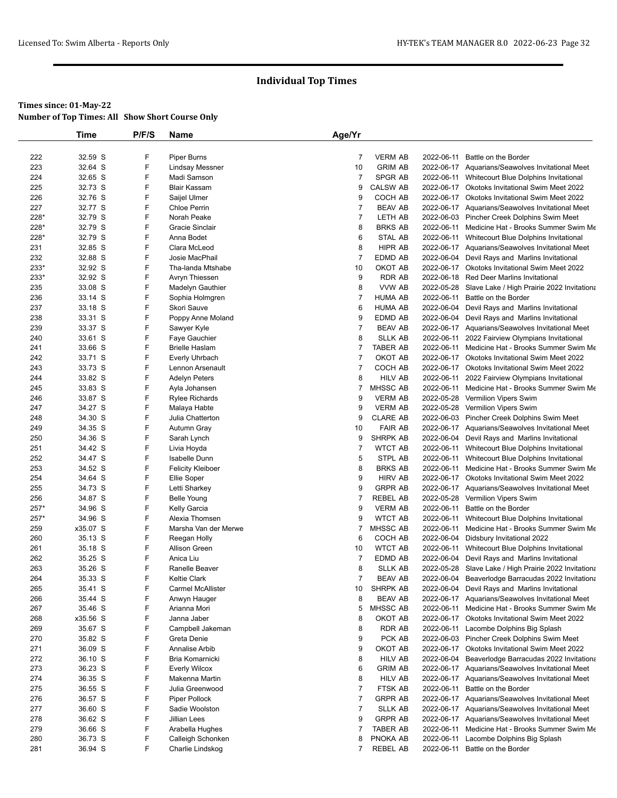|             | <b>Time</b>        | P/F/S  | Name                                | Age/Yr               |                                  |                          |                                                                                              |
|-------------|--------------------|--------|-------------------------------------|----------------------|----------------------------------|--------------------------|----------------------------------------------------------------------------------------------|
|             |                    |        |                                     |                      |                                  |                          |                                                                                              |
| 222         | 32.59 S            | F      | Piper Burns                         | $\overline{7}$       | <b>VERM AB</b>                   | 2022-06-11               | Battle on the Border                                                                         |
| 223         | 32.64 S            | F      | <b>Lindsay Messner</b>              | 10                   | <b>GRIM AB</b>                   |                          | 2022-06-17 Aquarians/Seawolves Invitational Meet                                             |
| 224         | 32.65 S            | F      | Madi Samson                         | $\overline{7}$       | SPGR AB                          |                          | 2022-06-11 Whitecourt Blue Dolphins Invitational                                             |
| 225         | 32.73 S            | F      | <b>Blair Kassam</b>                 | 9                    | <b>CALSW AB</b>                  |                          | 2022-06-17 Okotoks Invitational Swim Meet 2022                                               |
| 226         | 32.76 S            | F      | Saijel Ulmer                        | 9                    | COCH AB                          |                          | 2022-06-17 Okotoks Invitational Swim Meet 2022                                               |
| 227         | 32.77 S            | F      | <b>Chloe Perrin</b>                 | 7                    | <b>BEAV AB</b>                   |                          | 2022-06-17 Aquarians/Seawolves Invitational Meet                                             |
| 228*        | 32.79 S            | F      | Norah Peake                         | $\overline{7}$       | LETH AB                          |                          | 2022-06-03 Pincher Creek Dolphins Swim Meet                                                  |
| 228*        | 32.79 S            | F      | Gracie Sinclair                     | 8                    | <b>BRKS AB</b>                   | 2022-06-11               | Medicine Hat - Brooks Summer Swim Me                                                         |
| 228*        | 32.79 S            | F      | Anna Bodet                          | 6                    | <b>STAL AB</b>                   | 2022-06-11               | Whitecourt Blue Dolphins Invitational                                                        |
| 231         | 32.85 S            | F      | Clara McLeod                        | 8                    | <b>HIPR AB</b><br><b>EDMD AB</b> |                          | 2022-06-17 Aquarians/Seawolves Invitational Meet                                             |
| 232<br>233* | 32.88 S<br>32.92 S | F<br>F | Josie MacPhail<br>Tha-landa Mtshabe | $\overline{7}$<br>10 | OKOT AB                          |                          | 2022-06-04 Devil Rays and Marlins Invitational                                               |
| 233*        | 32.92 S            | F      | Avryn Thiessen                      | 9                    | <b>RDR AB</b>                    |                          | 2022-06-17 Okotoks Invitational Swim Meet 2022<br>2022-06-18 Red Deer Marlins Invitational   |
| 235         | 33.08 S            | F      | Madelyn Gauthier                    | 8                    | VVW AB                           | 2022-05-28               |                                                                                              |
| 236         | 33.14 S            | F      | Sophia Holmgren                     | $\overline{7}$       | <b>HUMA AB</b>                   | 2022-06-11               | Slave Lake / High Prairie 2022 Invitationa<br>Battle on the Border                           |
| 237         | 33.18 S            | F      | Skori Sauve                         | 6                    | <b>HUMA AB</b>                   |                          | 2022-06-04 Devil Rays and Marlins Invitational                                               |
| 238         | 33.31 S            | F      | Poppy Anne Moland                   | 9                    | EDMD AB                          |                          | 2022-06-04 Devil Rays and Marlins Invitational                                               |
| 239         | 33.37 S            | F      | Sawyer Kyle                         | $\overline{7}$       | <b>BEAV AB</b>                   |                          | 2022-06-17 Aquarians/Seawolves Invitational Meet                                             |
| 240         | 33.61 S            | F      | Faye Gauchier                       | 8                    | <b>SLLK AB</b>                   |                          | 2022-06-11 2022 Fairview Olympians Invitational                                              |
| 241         | 33.66 S            | F      | <b>Brielle Haslam</b>               | $\overline{7}$       | <b>TABER AB</b>                  |                          | 2022-06-11 Medicine Hat - Brooks Summer Swim Me                                              |
| 242         | 33.71 S            | F      | Everly Uhrbach                      | $\overline{7}$       | OKOT AB                          |                          | 2022-06-17 Okotoks Invitational Swim Meet 2022                                               |
| 243         | 33.73 S            | F      | Lennon Arsenault                    | $\overline{7}$       | COCH AB                          |                          | 2022-06-17 Okotoks Invitational Swim Meet 2022                                               |
| 244         | 33.82 S            | F      | <b>Adelyn Peters</b>                | 8                    | <b>HILV AB</b>                   | 2022-06-11               | 2022 Fairview Olympians Invitational                                                         |
| 245         | 33.83 S            | F      | Ayla Johansen                       | 7                    | MHSSC AB                         | 2022-06-11               | Medicine Hat - Brooks Summer Swim Me                                                         |
| 246         | 33.87 S            | F      | <b>Rylee Richards</b>               | 9                    | <b>VERM AB</b>                   |                          | 2022-05-28 Vermilion Vipers Swim                                                             |
| 247         | 34.27 S            | F      | Malaya Habte                        | 9                    | <b>VERM AB</b>                   |                          | 2022-05-28 Vermilion Vipers Swim                                                             |
| 248         | 34.30 S            | F      | Julia Chatterton                    | 9                    | <b>CLARE AB</b>                  |                          | 2022-06-03 Pincher Creek Dolphins Swim Meet                                                  |
| 249         | 34.35 S            | F      | Autumn Gray                         | 10                   | <b>FAIR AB</b>                   |                          | 2022-06-17 Aquarians/Seawolves Invitational Meet                                             |
| 250         | 34.36 S            | F      | Sarah Lynch                         | 9                    | <b>SHRPK AB</b>                  |                          | 2022-06-04 Devil Rays and Marlins Invitational                                               |
| 251         | 34.42 S            | F      | Livia Hoyda                         | $\overline{7}$       | <b>WTCT AB</b>                   |                          | 2022-06-11 Whitecourt Blue Dolphins Invitational                                             |
| 252         | 34.47 S            | F      | <b>Isabelle Dunn</b>                | 5                    | STPL AB                          | 2022-06-11               | Whitecourt Blue Dolphins Invitational                                                        |
| 253         | 34.52 S            | F      | <b>Felicity Kleiboer</b>            | 8                    | <b>BRKS AB</b>                   | 2022-06-11               | Medicine Hat - Brooks Summer Swim Me                                                         |
| 254         | 34.64 S            | F      | Ellie Soper                         | 9                    | <b>HIRV AB</b>                   |                          | 2022-06-17 Okotoks Invitational Swim Meet 2022                                               |
| 255         | 34.73 S            | F      | Letti Sharkey                       | 9                    | <b>GRPR AB</b>                   |                          | 2022-06-17 Aquarians/Seawolves Invitational Meet                                             |
| 256         | 34.87 S            | F      | <b>Belle Young</b>                  | $\overline{7}$       | <b>REBEL AB</b>                  |                          | 2022-05-28 Vermilion Vipers Swim                                                             |
| 257*        | 34.96 S            | F      | Kelly Garcia                        | 9                    | <b>VERM AB</b>                   | 2022-06-11               | Battle on the Border                                                                         |
| 257*        | 34.96 S            | F      | Alexia Thomsen                      | 9                    | <b>WTCT AB</b>                   | 2022-06-11               | Whitecourt Blue Dolphins Invitational                                                        |
| 259         | x35.07 S           | F      | Marsha Van der Merwe                | 7                    | <b>MHSSC AB</b>                  | 2022-06-11               | Medicine Hat - Brooks Summer Swim Me                                                         |
| 260         | 35.13 S            | F<br>F | Reegan Holly                        | 6                    | COCH AB                          | 2022-06-04               | Didsbury Invitational 2022                                                                   |
| 261         | 35.18 S            | F      | Allison Green<br>Anica Liu          | 10                   | <b>WTCT AB</b><br>EDMD AB        | 2022-06-11<br>2022-06-04 | Whitecourt Blue Dolphins Invitational                                                        |
| 262<br>263  | 35.25 S<br>35.26 S | F      | Ranelle Beaver                      | $\overline{7}$<br>8  | <b>SLLK AB</b>                   |                          | Devil Rays and Marlins Invitational<br>2022-05-28 Slave Lake / High Prairie 2022 Invitationa |
| 264         | 35.33 S            | F      | Keltie Clark                        | $\overline{7}$       | <b>BEAV AB</b>                   |                          | 2022-06-04 Beaverlodge Barracudas 2022 Invitationa                                           |
| 265         | 35.41 S            | F      | Carmel McAllister                   | 10                   | SHRPK AB                         |                          | 2022-06-04 Devil Rays and Marlins Invitational                                               |
| 266         | 35.44 S            | F      | Anwyn Hauger                        | 8                    | <b>BEAV AB</b>                   |                          | 2022-06-17 Aquarians/Seawolves Invitational Meet                                             |
| 267         | 35.46 S            | F      | Arianna Mori                        | 5                    | MHSSC AB                         | 2022-06-11               | Medicine Hat - Brooks Summer Swim Me                                                         |
| 268         | x35.56 S           | F      | Janna Jaber                         | 8                    | OKOT AB                          |                          | 2022-06-17 Okotoks Invitational Swim Meet 2022                                               |
| 269         | 35.67 S            | F      | Campbell Jakeman                    | 8                    | <b>RDR AB</b>                    | 2022-06-11               | Lacombe Dolphins Big Splash                                                                  |
| 270         | 35.82 S            | F      | Greta Denie                         | 9                    | PCK AB                           |                          | 2022-06-03 Pincher Creek Dolphins Swim Meet                                                  |
| 271         | 36.09 S            | F      | Annalise Arbib                      | 9                    | OKOT AB                          |                          | 2022-06-17 Okotoks Invitational Swim Meet 2022                                               |
| 272         | 36.10 S            | F      | Bria Komarnicki                     | 8                    | <b>HILV AB</b>                   | 2022-06-04               | Beaverlodge Barracudas 2022 Invitationa                                                      |
| 273         | 36.23 S            | F      | <b>Everly Wilcox</b>                | 6                    | <b>GRIM AB</b>                   |                          | 2022-06-17 Aquarians/Seawolves Invitational Meet                                             |
| 274         | 36.35 S            | F      | Makenna Martin                      | 8                    | <b>HILV AB</b>                   |                          | 2022-06-17 Aquarians/Seawolves Invitational Meet                                             |
| 275         | 36.55 S            | F      | Julia Greenwood                     | $\overline{7}$       | FTSK AB                          | 2022-06-11               | Battle on the Border                                                                         |
| 276         | 36.57 S            | F      | Piper Pollock                       | $\overline{7}$       | <b>GRPR AB</b>                   |                          | 2022-06-17 Aquarians/Seawolves Invitational Meet                                             |
| 277         | 36.60 S            | F      | Sadie Woolston                      | $\overline{7}$       | <b>SLLK AB</b>                   |                          | 2022-06-17 Aquarians/Seawolves Invitational Meet                                             |
| 278         | 36.62 S            | F      | Jillian Lees                        | 9                    | <b>GRPR AB</b>                   |                          | 2022-06-17 Aquarians/Seawolves Invitational Meet                                             |
| 279         | 36.66 S            | F      | Arabella Hughes                     | $\overline{7}$       | <b>TABER AB</b>                  | 2022-06-11               | Medicine Hat - Brooks Summer Swim Me                                                         |
| 280         | 36.73 S            | F      | Calleigh Schonken                   | 8                    | PNOKA AB                         | 2022-06-11               | Lacombe Dolphins Big Splash                                                                  |
| 281         | 36.94 S            | F      | Charlie Lindskog                    | 7                    | REBEL AB                         |                          | 2022-06-11 Battle on the Border                                                              |
|             |                    |        |                                     |                      |                                  |                          |                                                                                              |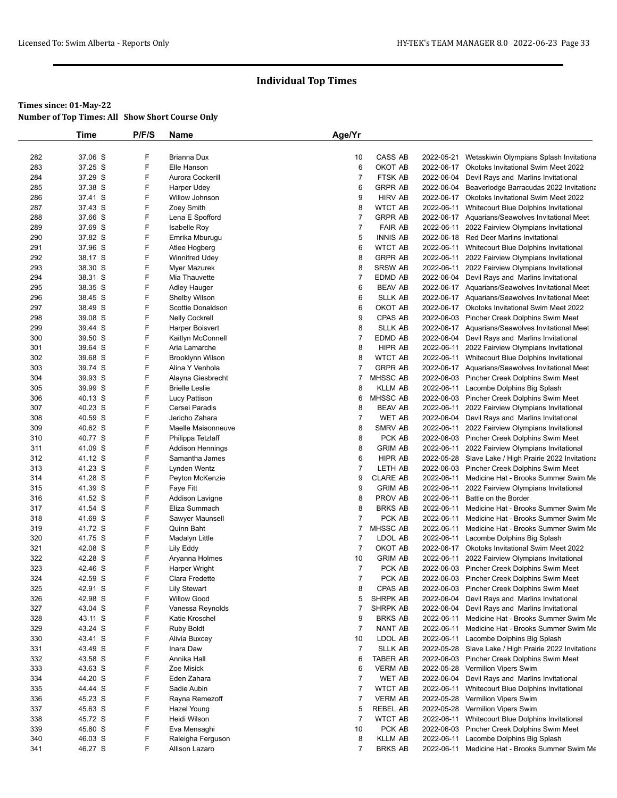|            | Time               | P/F/S  | <b>Name</b>                                | Age/Yr               |                    |            |                                                                                               |
|------------|--------------------|--------|--------------------------------------------|----------------------|--------------------|------------|-----------------------------------------------------------------------------------------------|
|            |                    |        |                                            |                      |                    |            |                                                                                               |
| 282        | 37.06 S            | F      | Brianna Dux                                | 10                   | CASS AB            | 2022-05-21 | Wetaskiwin Olympians Splash Invitationa                                                       |
| 283        | 37.25 S            | F      | Elle Hanson                                | 6                    | OKOT AB            |            | 2022-06-17 Okotoks Invitational Swim Meet 2022                                                |
| 284        | 37.29 S            | F      | Aurora Cockerill                           | $\overline{7}$       | FTSK AB            | 2022-06-04 | Devil Rays and Marlins Invitational                                                           |
| 285        | 37.38 S            | F      | Harper Udey                                | 6                    | <b>GRPR AB</b>     |            | 2022-06-04 Beaverlodge Barracudas 2022 Invitationa                                            |
| 286        | 37.41 S            | F      | Willow Johnson                             | 9                    | <b>HIRV AB</b>     |            | 2022-06-17 Okotoks Invitational Swim Meet 2022                                                |
| 287        | 37.43 S            | F      | Zoey Smith                                 | 8                    | <b>WTCT AB</b>     | 2022-06-11 | Whitecourt Blue Dolphins Invitational                                                         |
| 288        | 37.66 S            | F      | Lena E Spofford                            | $\overline{7}$       | <b>GRPR AB</b>     |            | 2022-06-17 Aquarians/Seawolves Invitational Meet                                              |
| 289        | 37.69 S            | F      | <b>Isabelle Roy</b>                        | 7                    | <b>FAIR AB</b>     | 2022-06-11 | 2022 Fairview Olympians Invitational                                                          |
| 290        | 37.82 S            | F      | Emrika Mburugu                             | 5                    | <b>INNIS AB</b>    |            | 2022-06-18 Red Deer Marlins Invitational                                                      |
| 291        | 37.96 S            | F      | Atlee Hogberg                              | 6                    | <b>WTCT AB</b>     |            | 2022-06-11 Whitecourt Blue Dolphins Invitational                                              |
| 292        | 38.17 S            | F      | <b>Winnifred Udey</b>                      | 8                    | <b>GRPR AB</b>     | 2022-06-11 | 2022 Fairview Olympians Invitational                                                          |
| 293        | 38.30 S            | F      | Myer Mazurek                               | 8                    | <b>SRSW AB</b>     | 2022-06-11 | 2022 Fairview Olympians Invitational                                                          |
| 294        | 38.31 S            | F      | Mia Thauvette                              | $\overline{7}$       | <b>EDMD AB</b>     | 2022-06-04 | Devil Rays and Marlins Invitational                                                           |
| 295        | 38.35 S            | F      | Adley Hauger                               | 6                    | <b>BEAV AB</b>     |            | 2022-06-17 Aquarians/Seawolves Invitational Meet                                              |
| 296        | 38.45 S            | F<br>F | <b>Shelby Wilson</b>                       | 6                    | <b>SLLK AB</b>     |            | 2022-06-17 Aquarians/Seawolves Invitational Meet                                              |
| 297<br>298 | 38.49 S<br>39.08 S | F      | Scottie Donaldson<br><b>Nelly Cockrell</b> | 6<br>9               | OKOT AB<br>CPAS AB |            | 2022-06-17 Okotoks Invitational Swim Meet 2022<br>2022-06-03 Pincher Creek Dolphins Swim Meet |
| 299        | 39.44 S            | F      | <b>Harper Boisvert</b>                     | 8                    | <b>SLLK AB</b>     |            | 2022-06-17 Aquarians/Seawolves Invitational Meet                                              |
| 300        | 39.50 S            | F      | Kaitlyn McConnell                          | 7                    | EDMD AB            |            | 2022-06-04 Devil Rays and Marlins Invitational                                                |
| 301        | 39.64 S            | F      | Aria Lamarche                              | 8                    | HIPR AB            |            | 2022-06-11 2022 Fairview Olympians Invitational                                               |
| 302        | 39.68 S            | F      | Brooklynn Wilson                           | 8                    | <b>WTCT AB</b>     |            | 2022-06-11 Whitecourt Blue Dolphins Invitational                                              |
| 303        | 39.74 S            | F      | Alina Y Venhola                            | $\overline{7}$       | <b>GRPR AB</b>     |            | 2022-06-17 Aquarians/Seawolves Invitational Meet                                              |
| 304        | 39.93 S            | F      | Alayna Giesbrecht                          | $\overline{7}$       | MHSSC AB           |            | 2022-06-03 Pincher Creek Dolphins Swim Meet                                                   |
| 305        | 39.99 S            | F      | <b>Brielle Leslie</b>                      | 8                    | <b>KLLM AB</b>     |            | 2022-06-11 Lacombe Dolphins Big Splash                                                        |
| 306        | 40.13 S            | F      | Lucy Pattison                              | 6                    | MHSSC AB           |            | 2022-06-03 Pincher Creek Dolphins Swim Meet                                                   |
| 307        | 40.23 S            | F      | Cersei Paradis                             | 8                    | <b>BEAV AB</b>     | 2022-06-11 | 2022 Fairview Olympians Invitational                                                          |
| 308        | 40.59 S            | F      | Jericho Zahara                             | 7                    | <b>WET AB</b>      |            | 2022-06-04 Devil Rays and Marlins Invitational                                                |
| 309        | 40.62 S            | F      | Maelle Maisonneuve                         | 8                    | SMRV AB            |            | 2022-06-11 2022 Fairview Olympians Invitational                                               |
| 310        | 40.77 S            | F      | Philippa Tetzlaff                          | 8                    | PCK AB             |            | 2022-06-03 Pincher Creek Dolphins Swim Meet                                                   |
| 311        | 41.09 S            | F      | Addison Hennings                           | 8                    | <b>GRIM AB</b>     |            | 2022-06-11 2022 Fairview Olympians Invitational                                               |
| 312        | 41.12 S            | F      | Samantha James                             | 6                    | HIPR AB            |            | 2022-05-28 Slave Lake / High Prairie 2022 Invitationa                                         |
| 313        | 41.23 S            | F      | Lynden Wentz                               | $\overline{7}$       | LETH AB            |            | 2022-06-03 Pincher Creek Dolphins Swim Meet                                                   |
| 314        | 41.28 S            | F      | Peyton McKenzie                            | 9                    | <b>CLARE AB</b>    |            | 2022-06-11 Medicine Hat - Brooks Summer Swim Me                                               |
| 315        | 41.39 S            | F      | Faye Fitt                                  | 9                    | <b>GRIM AB</b>     | 2022-06-11 | 2022 Fairview Olympians Invitational                                                          |
| 316        | 41.52 S            | F      | Addison Lavigne                            | 8                    | PROV AB            | 2022-06-11 | Battle on the Border                                                                          |
| 317        | 41.54 S            | F      | Eliza Summach                              | 8                    | <b>BRKS AB</b>     |            | 2022-06-11 Medicine Hat - Brooks Summer Swim Me                                               |
| 318        | 41.69 S            | F      | Sawyer Maunsell                            | $\overline{7}$       | PCK AB             | 2022-06-11 | Medicine Hat - Brooks Summer Swim Me                                                          |
| 319        | 41.72 S            | F      | Quinn Baht                                 | $\overline{7}$       | <b>MHSSC AB</b>    |            | 2022-06-11 Medicine Hat - Brooks Summer Swim Me                                               |
| 320        | 41.75 S            | F      | Madalyn Little                             | $\overline{7}$       | LDOL AB            |            | 2022-06-11 Lacombe Dolphins Big Splash                                                        |
| 321        | 42.08 S            | F      | Lily Eddy                                  | 7                    | OKOT AB            |            | 2022-06-17 Okotoks Invitational Swim Meet 2022                                                |
| 322        | 42.28 S            | F<br>F | Aryanna Holmes                             | 10<br>$\overline{7}$ | <b>GRIM AB</b>     |            | 2022-06-11 2022 Fairview Olympians Invitational                                               |
| 323<br>324 | 42.46 S<br>42.59 S | F      | Harper Wright<br>Clara Fredette            | $\overline{7}$       | PCK AB<br>PCK AB   |            | 2022-06-03 Pincher Creek Dolphins Swim Meet<br>2022-06-03 Pincher Creek Dolphins Swim Meet    |
| 325        | 42.91 S            | F      | <b>Lily Stewart</b>                        | 8                    | CPAS AB            |            | 2022-06-03 Pincher Creek Dolphins Swim Meet                                                   |
| 326        | 42.98 S            | F      | <b>Willow Good</b>                         | 5                    | SHRPK AB           | 2022-06-04 | Devil Rays and Marlins Invitational                                                           |
| 327        | 43.04 S            | F      | Vanessa Reynolds                           | 7                    | SHRPK AB           | 2022-06-04 | Devil Rays and Marlins Invitational                                                           |
| 328        | 43.11 S            | F      | Katie Kroschel                             | 9                    | <b>BRKS AB</b>     |            | 2022-06-11 Medicine Hat - Brooks Summer Swim Me                                               |
| 329        | 43.24 S            | F      | <b>Ruby Boldt</b>                          | $\overline{7}$       | NANT AB            |            | 2022-06-11 Medicine Hat - Brooks Summer Swim Me                                               |
| 330        | 43.41 S            | F      | Alivia Buxcey                              | 10                   | LDOL AB            |            | 2022-06-11 Lacombe Dolphins Big Splash                                                        |
| 331        | 43.49 S            | F      | Inara Daw                                  | $\overline{7}$       | <b>SLLK AB</b>     |            | 2022-05-28 Slave Lake / High Prairie 2022 Invitationa                                         |
| 332        | 43.58 S            | F      | Annika Hall                                | 6                    | TABER AB           |            | 2022-06-03 Pincher Creek Dolphins Swim Meet                                                   |
| 333        | 43.63 S            | F      | Zoe Misick                                 | 6                    | <b>VERM AB</b>     |            | 2022-05-28 Vermilion Vipers Swim                                                              |
| 334        | 44.20 S            | F      | Eden Zahara                                | $\overline{7}$       | WET AB             | 2022-06-04 | Devil Rays and Marlins Invitational                                                           |
| 335        | 44.44 S            | F      | Sadie Aubin                                | $\overline{7}$       | <b>WTCT AB</b>     |            | 2022-06-11 Whitecourt Blue Dolphins Invitational                                              |
| 336        | 45.23 S            | F      | Rayna Remezoff                             | $\overline{7}$       | <b>VERM AB</b>     |            | 2022-05-28 Vermilion Vipers Swim                                                              |
| 337        | 45.63 S            | F      | Hazel Young                                | 5                    | <b>REBEL AB</b>    |            | 2022-05-28 Vermilion Vipers Swim                                                              |
| 338        | 45.72 S            | F      | Heidi Wilson                               | 7                    | <b>WTCT AB</b>     |            | 2022-06-11 Whitecourt Blue Dolphins Invitational                                              |
| 339        | 45.80 S            | F      | Eva Mensaghi                               | 10                   | PCK AB             |            | 2022-06-03 Pincher Creek Dolphins Swim Meet                                                   |
| 340        | 46.03 S            | F      | Raleigha Ferguson                          | 8                    | KLLM AB            |            | 2022-06-11 Lacombe Dolphins Big Splash                                                        |
| 341        | 46.27 S            | F      | Allison Lazaro                             | 7                    | <b>BRKS AB</b>     |            | 2022-06-11 Medicine Hat - Brooks Summer Swim Me                                               |
|            |                    |        |                                            |                      |                    |            |                                                                                               |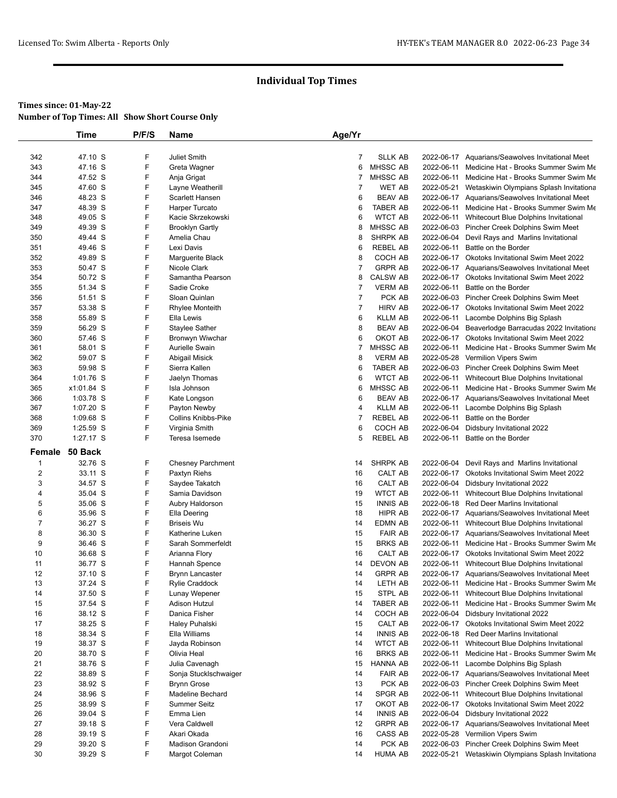|                | Time        | P/F/S  | Name                                 | Age/Yr         |                                   |            |                                                                                                     |
|----------------|-------------|--------|--------------------------------------|----------------|-----------------------------------|------------|-----------------------------------------------------------------------------------------------------|
|                |             |        |                                      |                |                                   |            |                                                                                                     |
| 342            | 47.10 S     | F      | Juliet Smith                         | 7              | <b>SLLK AB</b>                    |            | 2022-06-17 Aquarians/Seawolves Invitational Meet                                                    |
| 343            | 47.16 S     | F      | Greta Wagner                         | 6              | <b>MHSSC AB</b>                   |            | 2022-06-11 Medicine Hat - Brooks Summer Swim Me                                                     |
| 344            | 47.52 S     | F      | Anja Grigat                          | 7              | <b>MHSSC AB</b>                   |            | 2022-06-11 Medicine Hat - Brooks Summer Swim Me                                                     |
| 345            | 47.60 S     | F      | Layne Weatherill                     | 7              | WET AB                            |            | 2022-05-21 Wetaskiwin Olympians Splash Invitationa                                                  |
| 346            | 48.23 S     | F      | Scarlett Hansen                      | 6              | <b>BEAV AB</b>                    |            | 2022-06-17 Aquarians/Seawolves Invitational Meet                                                    |
| 347            | 48.39 S     | F      | Harper Turcato                       | 6              | <b>TABER AB</b>                   |            | 2022-06-11 Medicine Hat - Brooks Summer Swim Me                                                     |
| 348            | 49.05 S     | F      | Kacie Skrzekowski                    | 6              | <b>WTCT AB</b>                    |            | 2022-06-11 Whitecourt Blue Dolphins Invitational                                                    |
| 349            | 49.39 S     | F      | <b>Brooklyn Gartly</b>               | 8              | <b>MHSSC AB</b>                   |            | 2022-06-03 Pincher Creek Dolphins Swim Meet                                                         |
| 350            | 49.44 S     | F      | Amelia Chau                          | 8              | SHRPK AB                          | 2022-06-04 | Devil Rays and Marlins Invitational                                                                 |
| 351            | 49.46 S     | F      | Lexi Davis                           | 6              | <b>REBEL AB</b>                   | 2022-06-11 | Battle on the Border                                                                                |
| 352            | 49.89 S     | F      | Marguerite Black                     | 8              | COCH AB                           |            | 2022-06-17 Okotoks Invitational Swim Meet 2022                                                      |
| 353            | 50.47 S     | F      | Nicole Clark                         | 7              | <b>GRPR AB</b>                    |            | 2022-06-17 Aquarians/Seawolves Invitational Meet                                                    |
| 354            | 50.72 S     | F      | Samantha Pearson                     | 8              | <b>CALSW AB</b>                   |            | 2022-06-17 Okotoks Invitational Swim Meet 2022                                                      |
| 355            | 51.34 S     | F      | Sadie Croke                          | $\overline{7}$ | <b>VERM AB</b>                    | 2022-06-11 | Battle on the Border                                                                                |
| 356            | 51.51 S     | F      | Sloan Quinlan                        | $\overline{7}$ | PCK AB                            |            | 2022-06-03 Pincher Creek Dolphins Swim Meet                                                         |
| 357            | 53.38 S     | F      | <b>Rhylee Monteith</b>               | $\overline{7}$ | <b>HIRV AB</b>                    |            | 2022-06-17 Okotoks Invitational Swim Meet 2022                                                      |
| 358            | 55.89 S     | F      | Ella Lewis                           | 6              | <b>KLLM AB</b>                    |            | 2022-06-11 Lacombe Dolphins Big Splash                                                              |
| 359            | 56.29 S     | F      | <b>Staylee Sather</b>                | 8              | <b>BEAV AB</b>                    |            | 2022-06-04 Beaverlodge Barracudas 2022 Invitationa                                                  |
| 360            | 57.46 S     | F      | Bronwyn Wiwchar                      | 6              | OKOT AB                           |            | 2022-06-17 Okotoks Invitational Swim Meet 2022                                                      |
| 361            | 58.01 S     | F      | Aurielle Swain                       | 7              | <b>MHSSC AB</b>                   |            | 2022-06-11 Medicine Hat - Brooks Summer Swim Me                                                     |
| 362            | 59.07 S     | F      | Abigail Misick                       | 8              | <b>VERM AB</b>                    |            | 2022-05-28 Vermilion Vipers Swim                                                                    |
| 363            | 59.98 S     | F      | Sierra Kallen                        | 6              | <b>TABER AB</b>                   |            | 2022-06-03 Pincher Creek Dolphins Swim Meet                                                         |
| 364            | 1:01.76 S   | F      | Jaelyn Thomas                        | 6              | <b>WTCT AB</b>                    |            | 2022-06-11 Whitecourt Blue Dolphins Invitational                                                    |
| 365            | x1:01.84 S  | F      | Isla Johnson                         | 6              | <b>MHSSC AB</b>                   |            | 2022-06-11 Medicine Hat - Brooks Summer Swim Me                                                     |
| 366            | 1:03.78 S   | F      | Kate Longson                         | 6              | <b>BEAV AB</b>                    |            | 2022-06-17 Aquarians/Seawolves Invitational Meet                                                    |
| 367            | $1:07.20$ S | F      | Payton Newby                         | 4              | <b>KLLM AB</b>                    |            | 2022-06-11 Lacombe Dolphins Big Splash                                                              |
| 368            | $1:09.68$ S | F      | <b>Collins Knibbs-Pike</b>           | $\overline{7}$ | <b>REBEL AB</b>                   |            | 2022-06-11 Battle on the Border                                                                     |
| 369            | $1:25.59$ S | F      | Virginia Smith                       | 6              | COCH AB                           | 2022-06-04 | Didsbury Invitational 2022                                                                          |
| 370            | 1:27.17 S   | F      | Teresa Isemede                       | 5              | <b>REBEL AB</b>                   |            | 2022-06-11 Battle on the Border                                                                     |
| Female         | 50 Back     |        |                                      |                |                                   |            |                                                                                                     |
| 1              | 32.76 S     | F      | <b>Chesney Parchment</b>             | 14             | <b>SHRPK AB</b>                   |            | 2022-06-04 Devil Rays and Marlins Invitational                                                      |
| $\overline{c}$ | 33.11 S     | F      | Paxtyn Riehs                         | 16             | CALT AB                           | 2022-06-17 | Okotoks Invitational Swim Meet 2022                                                                 |
| 3              | 34.57 S     | F      | Saydee Takatch                       | 16             | CALT AB                           |            | 2022-06-04 Didsbury Invitational 2022                                                               |
| 4              | 35.04 S     | F      | Samia Davidson                       | 19             | <b>WTCT AB</b>                    | 2022-06-11 | Whitecourt Blue Dolphins Invitational                                                               |
| 5              | 35.06 S     | F      | Aubry Haldorson                      | 15             | <b>INNIS AB</b>                   |            | 2022-06-18 Red Deer Marlins Invitational                                                            |
| 6              | 35.96 S     | F      |                                      | 18             | <b>HIPR AB</b>                    |            |                                                                                                     |
| $\overline{7}$ | 36.27 S     | F      | Ella Deering<br><b>Briseis Wu</b>    | 14             | EDMN AB                           |            | 2022-06-17 Aquarians/Seawolves Invitational Meet                                                    |
|                |             | F      |                                      |                | <b>FAIR AB</b>                    |            | 2022-06-11 Whitecourt Blue Dolphins Invitational                                                    |
| 8              | 36.30 S     | F      | Katherine Luken<br>Sarah Sommerfeldt | 15             |                                   |            | 2022-06-17 Aquarians/Seawolves Invitational Meet                                                    |
| 9              | 36.46 S     | F      |                                      | 15             | <b>BRKS AB</b>                    |            | 2022-06-11 Medicine Hat - Brooks Summer Swim Me                                                     |
| 10             | 36.68 S     |        | Arianna Flory                        | 16             | CALT AB                           |            | 2022-06-17 Okotoks Invitational Swim Meet 2022                                                      |
| 11             | 36.77 S     | F<br>F | Hannah Spence                        | 14             | <b>DEVON AB</b><br><b>GRPR AB</b> | 2022-06-11 | Whitecourt Blue Dolphins Invitational                                                               |
| 12             | 37.10 S     | F      | <b>Brynn Lancaster</b>               | 14             |                                   |            | 2022-06-17 Aquarians/Seawolves Invitational Meet<br>2022-06-11 Medicine Hat - Brooks Summer Swim Me |
| 13             | 37.24 S     |        | Rylie Craddock                       | 14             | LETH AB                           |            |                                                                                                     |
| 14             | 37.50 S     | F      | Lunay Wepener                        | 15             | STPL AB                           |            | 2022-06-11 Whitecourt Blue Dolphins Invitational                                                    |
| 15             | 37.54 S     | F      | <b>Adison Hutzul</b>                 | 14             | <b>TABER AB</b>                   | 2022-06-11 | Medicine Hat - Brooks Summer Swim Me                                                                |
| 16             | 38.12 S     | F      | Danica Fisher                        | 14             | COCH AB                           |            | 2022-06-04 Didsbury Invitational 2022                                                               |
| 17             | 38.25 S     | F      | Haley Puhalski                       | 15             | CALT AB                           |            | 2022-06-17 Okotoks Invitational Swim Meet 2022                                                      |
| 18             | 38.34 S     | F      | Ella Williams                        | 14             | <b>INNIS AB</b>                   |            | 2022-06-18 Red Deer Marlins Invitational                                                            |
| 19             | 38.37 S     | F      | Jayda Robinson                       | 14             | <b>WTCT AB</b>                    |            | 2022-06-11 Whitecourt Blue Dolphins Invitational                                                    |
| 20             | 38.70 S     | F      | Olivia Heal                          | 16             | <b>BRKS AB</b>                    |            | 2022-06-11 Medicine Hat - Brooks Summer Swim Me                                                     |
| 21             | 38.76 S     | F      | Julia Cavenagh                       | 15             | HANNA AB                          | 2022-06-11 | Lacombe Dolphins Big Splash                                                                         |
| 22             | 38.89 S     | F      | Sonja Stucklschwaiger                | 14             | <b>FAIR AB</b>                    |            | 2022-06-17 Aquarians/Seawolves Invitational Meet                                                    |
| 23             | 38.92 S     | F      | <b>Brynn Grose</b>                   | 13             | PCK AB                            |            | 2022-06-03 Pincher Creek Dolphins Swim Meet                                                         |
| 24             | 38.96 S     | F      | <b>Madeline Bechard</b>              | 14             | SPGR AB                           |            | 2022-06-11 Whitecourt Blue Dolphins Invitational                                                    |
| 25             | 38.99 S     | F      | <b>Summer Seitz</b>                  | 17             | OKOT AB                           |            | 2022-06-17 Okotoks Invitational Swim Meet 2022                                                      |
| 26             | 39.04 S     | F      | Emma Lien                            | 14             | <b>INNIS AB</b>                   |            | 2022-06-04 Didsbury Invitational 2022                                                               |
| 27             | 39.18 S     | F      | Vera Caldwell                        | 12             | <b>GRPR AB</b>                    |            | 2022-06-17 Aquarians/Seawolves Invitational Meet                                                    |
| 28             | 39.19 S     | F      | Akari Okada                          | 16             | CASS AB                           | 2022-05-28 | Vermilion Vipers Swim                                                                               |
| 29             | 39.20 S     | F      | Madison Grandoni                     | 14             | PCK AB                            |            | 2022-06-03 Pincher Creek Dolphins Swim Meet                                                         |
| 30             | 39.29 S     | F      | Margot Coleman                       | 14             | <b>HUMA AB</b>                    | 2022-05-21 | Wetaskiwin Olympians Splash Invitationa                                                             |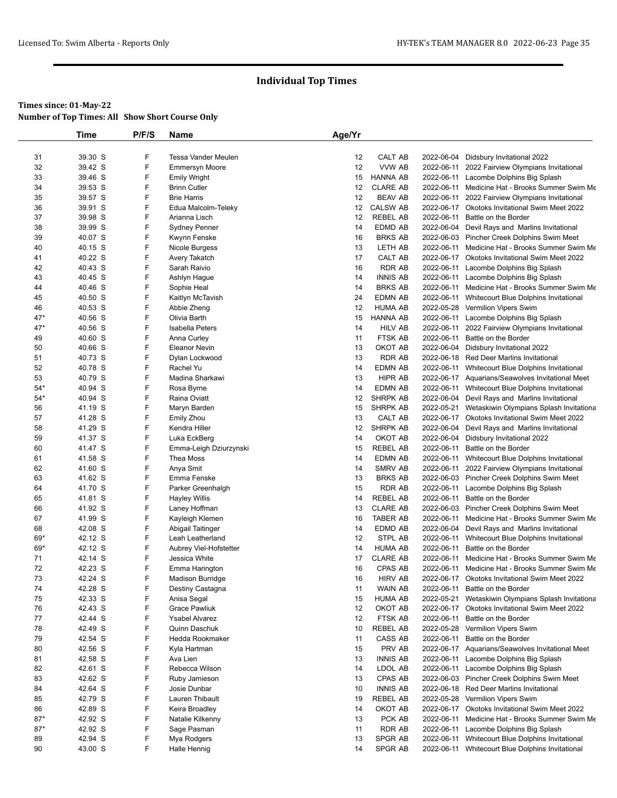|       | <b>Time</b> | P/F/S | Name                    | Age/Yr |                   |            |                                                    |
|-------|-------------|-------|-------------------------|--------|-------------------|------------|----------------------------------------------------|
|       |             |       |                         |        |                   |            |                                                    |
| 31    | 39.30 S     | F     | Tessa Vander Meulen     | 12     | CALT AB           |            | 2022-06-04 Didsbury Invitational 2022              |
| 32    | 39.42 S     | F     | <b>Emmersyn Moore</b>   | 12     | VVW AB            |            | 2022-06-11 2022 Fairview Olympians Invitational    |
| 33    | 39.46 S     | F     | <b>Emily Wright</b>     | 15     | <b>HANNA AB</b>   |            | 2022-06-11 Lacombe Dolphins Big Splash             |
| 34    | 39.53 S     | F     | <b>Brinn Cutler</b>     | 12     | <b>CLARE AB</b>   |            | 2022-06-11 Medicine Hat - Brooks Summer Swim Me    |
| 35    | 39.57 S     | F     | <b>Brie Harris</b>      | 12     | <b>BEAV AB</b>    |            | 2022-06-11 2022 Fairview Olympians Invitational    |
| 36    | 39.91 S     | F     | Edua Malcolm-Teleky     | 12     | <b>CALSW AB</b>   |            | 2022-06-17 Okotoks Invitational Swim Meet 2022     |
| 37    | 39.98 S     | F     | Arianna Lisch           | 12     | <b>REBEL AB</b>   | 2022-06-11 | Battle on the Border                               |
| 38    | 39.99 S     | F     | <b>Sydney Penner</b>    | 14     | EDMD AB           |            | 2022-06-04 Devil Rays and Marlins Invitational     |
| 39    | 40.07 S     | F     | Kwynn Fenske            | 16     | <b>BRKS AB</b>    |            | 2022-06-03 Pincher Creek Dolphins Swim Meet        |
| 40    | 40.15 S     | F     | Nicole Burgess          | 13     | LETH AB           |            | 2022-06-11 Medicine Hat - Brooks Summer Swim Me    |
| 41    | 40.22 S     | F     | Avery Takatch           | 17     | CALT AB           |            | 2022-06-17 Okotoks Invitational Swim Meet 2022     |
| 42    | 40.43 S     | F     | Sarah Raivio            | 16     | <b>RDR AB</b>     |            | 2022-06-11 Lacombe Dolphins Big Splash             |
| 43    | 40.45 S     | F     | Ashlyn Hague            | 14     | <b>INNIS AB</b>   |            | 2022-06-11 Lacombe Dolphins Big Splash             |
| 44    | 40.46 S     | F     | Sophie Heal             | 14     | <b>BRKS AB</b>    |            | 2022-06-11 Medicine Hat - Brooks Summer Swim Me    |
| 45    | 40.50 S     | F     | Kaitlyn McTavish        | 24     | EDMN AB           |            | 2022-06-11 Whitecourt Blue Dolphins Invitational   |
| 46    | 40.53 S     | F     | Abbie Zheng             | 12     | <b>HUMA AB</b>    |            | 2022-05-28 Vermilion Vipers Swim                   |
| $47*$ | 40.56 S     | F     | Olivia Barth            | 15     | HANNA AB          |            | 2022-06-11 Lacombe Dolphins Big Splash             |
| $47*$ | 40.56 S     | F     | Isabella Peters         | 14     | <b>HILV AB</b>    |            | 2022-06-11 2022 Fairview Olympians Invitational    |
| 49    | 40.60 S     | F     | Anna Curley             | 11     | FTSK AB           |            | 2022-06-11 Battle on the Border                    |
| 50    | 40.66 S     | F     | <b>Eleanor Nevin</b>    | 13     | OKOT AB           | 2022-06-04 | Didsbury Invitational 2022                         |
| 51    | 40.73 S     | F     | Dylan Lockwood          | 13     | RDR AB            |            | 2022-06-18 Red Deer Marlins Invitational           |
| 52    | 40.78 S     | F     | Rachel Yu               | 14     | EDMN AB           |            | 2022-06-11 Whitecourt Blue Dolphins Invitational   |
| 53    | 40.79 S     | F     | Madina Sharkawi         | 13     | HIPR AB           |            | 2022-06-17 Aquarians/Seawolves Invitational Meet   |
| $54*$ | 40.94 S     | F     | Rosa Byrne              | 14     | <b>EDMN AB</b>    | 2022-06-11 | Whitecourt Blue Dolphins Invitational              |
| $54*$ | 40.94 S     | F     | Raina Oviatt            | 12     | SHRPK AB          |            | 2022-06-04 Devil Rays and Marlins Invitational     |
| 56    | 41.19 S     | F     | Maryn Barden            | 15     | SHRPK AB          |            | 2022-05-21 Wetaskiwin Olympians Splash Invitationa |
| 57    | 41.28 S     | F     | <b>Emily Zhou</b>       | 13     | CALT AB           |            | 2022-06-17 Okotoks Invitational Swim Meet 2022     |
| 58    | 41.29 S     | F     | Kendra Hiller           | 12     | SHRPK AB          | 2022-06-04 | Devil Rays and Marlins Invitational                |
| 59    | 41.37 S     | F     | Luka EckBerg            | 14     | OKOT AB           |            | 2022-06-04 Didsbury Invitational 2022              |
| 60    | 41.47 S     | F     | Emma-Leigh Dziurzynski  | 15     | REBEL AB          | 2022-06-11 | Battle on the Border                               |
| 61    | 41.58 S     | F     | Thea Moss               | 14     | EDMN AB           |            | 2022-06-11 Whitecourt Blue Dolphins Invitational   |
| 62    | 41.60 S     | F     | Anya Smit               | 14     | SMRV AB           |            | 2022-06-11 2022 Fairview Olympians Invitational    |
| 63    | 41.62 S     | F     | Emma Fenske             | 13     | <b>BRKS AB</b>    |            | 2022-06-03 Pincher Creek Dolphins Swim Meet        |
| 64    | 41.70 S     | F     | Parker Greenhalgh       | 15     | RDR AB            |            | 2022-06-11 Lacombe Dolphins Big Splash             |
| 65    | 41.81 S     | F     | <b>Hayley Willis</b>    | 14     | REBEL AB          |            | 2022-06-11 Battle on the Border                    |
| 66    | 41.92 S     | F     | Laney Hoffman           | 13     | <b>CLARE AB</b>   |            | 2022-06-03 Pincher Creek Dolphins Swim Meet        |
| 67    | 41.99 S     | F     | Kayleigh Klemen         | 16     | TABER AB          |            | 2022-06-11 Medicine Hat - Brooks Summer Swim Me    |
| 68    | 42.08 S     | F     | Abigail Taitinger       | 14     | EDMD AB           |            | 2022-06-04 Devil Rays and Marlins Invitational     |
| 69*   | 42.12 S     | F     | Leah Leatherland        | 12     | STPL AB           |            | 2022-06-11 Whitecourt Blue Dolphins Invitational   |
| 69*   | 42.12 S     | F     | Aubrey Viel-Hofstetter  | 14     | <b>HUMA AB</b>    | 2022-06-11 | Battle on the Border                               |
| 71    | 42.14 S     | F     | Jessica White           | 17     | <b>CLARE AB</b>   | 2022-06-11 | Medicine Hat - Brooks Summer Swim Me               |
| 72    | 42.23 S     | F     | Emma Harington          | 16     | <b>CPAS AB</b>    |            | 2022-06-11 Medicine Hat - Brooks Summer Swim Me    |
| 73    | 42.24 S     | F     | <b>Madison Burridge</b> | 16     | <b>HIRV AB</b>    |            | 2022-06-17 Okotoks Invitational Swim Meet 2022     |
| 74    | 42.28 S     | F     | Destiny Castagna        | 11     | WAIN AB           |            | 2022-06-11 Battle on the Border                    |
| 75    | 42.33 S     | F     | Anisa Segal             | 15     | <b>HUMA AB</b>    | 2022-05-21 | Wetaskiwin Olympians Splash Invitationa            |
| 76    | 42.43 S     | F     | <b>Grace Pawliuk</b>    | 12     | OKOT AB           |            | 2022-06-17 Okotoks Invitational Swim Meet 2022     |
| 77    | 42.44 S     | F     | <b>Ysabel Alvarez</b>   | 12     | FTSK AB           | 2022-06-11 | Battle on the Border                               |
| 78    | 42.49 S     | F     | Quinn Daschuk           | 10     | REBEL AB          |            | 2022-05-28 Vermilion Vipers Swim                   |
| 79    | 42.54 S     | F     | Hedda Rookmaker         | 11     |                   | 2022-06-11 | Battle on the Border                               |
|       | 42.56 S     | F     |                         |        | CASS AB<br>PRV AB |            |                                                    |
| 80    |             | F     | Kyla Hartman            | 15     |                   |            | 2022-06-17 Aquarians/Seawolves Invitational Meet   |
| 81    | 42.58 S     |       | Ava Lien                | 13     | <b>INNIS AB</b>   |            | 2022-06-11 Lacombe Dolphins Big Splash             |
| 82    | 42.61 S     | F     | Rebecca Wilson          | 14     | LDOL AB           |            | 2022-06-11 Lacombe Dolphins Big Splash             |
| 83    | 42.62 S     | F     | Ruby Jamieson           | 13     | CPAS AB           |            | 2022-06-03 Pincher Creek Dolphins Swim Meet        |
| 84    | 42.64 S     | F     | Josie Dunbar            | 10     | <b>INNIS AB</b>   |            | 2022-06-18 Red Deer Marlins Invitational           |
| 85    | 42.79 S     | F     | Lauren Thibault         | 19     | REBEL AB          |            | 2022-05-28 Vermilion Vipers Swim                   |
| 86    | 42.89 S     | F     | Keira Broadley          | 14     | OKOT AB           |            | 2022-06-17 Okotoks Invitational Swim Meet 2022     |
| $87*$ | 42.92 S     | F     | Natalie Kilkenny        | 13     | PCK AB            |            | 2022-06-11 Medicine Hat - Brooks Summer Swim Me    |
| $87*$ | 42.92 S     | F     | Sage Pasman             | 11     | RDR AB            | 2022-06-11 | Lacombe Dolphins Big Splash                        |
| 89    | 42.94 S     | F     | Mya Rodgers             | 13     | SPGR AB           | 2022-06-11 | Whitecourt Blue Dolphins Invitational              |
| 90    | 43.00 S     | F     | <b>Halle Hennig</b>     | 14     | SPGR AB           |            | 2022-06-11 Whitecourt Blue Dolphins Invitational   |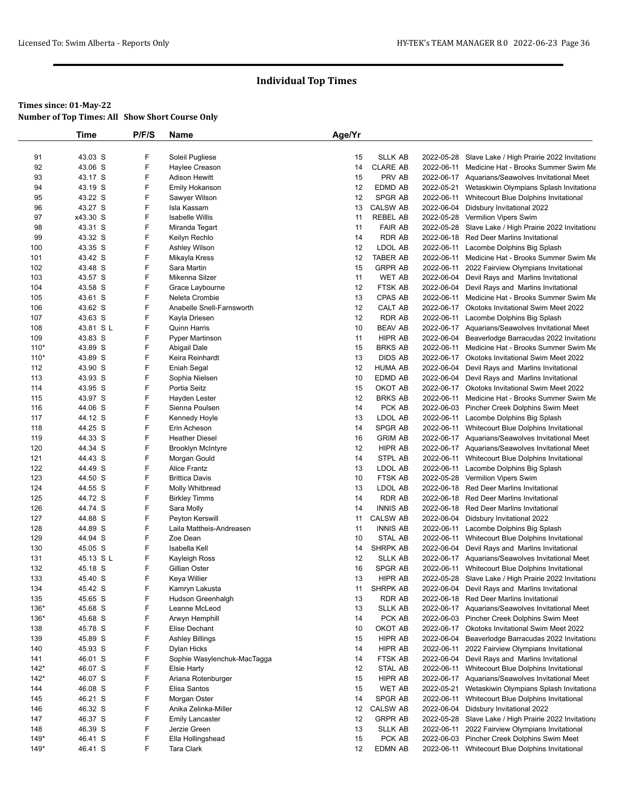|        | <b>Time</b> | P/F/S | Name                                | Age/Yr |                 |            |                                                       |
|--------|-------------|-------|-------------------------------------|--------|-----------------|------------|-------------------------------------------------------|
|        |             |       |                                     |        |                 |            |                                                       |
| 91     | 43.03 S     | F     | Soleil Pugliese                     | 15     | <b>SLLK AB</b>  |            | 2022-05-28 Slave Lake / High Prairie 2022 Invitationa |
| 92     | 43.06 S     | F     | Haylee Creason                      | 14     | <b>CLARE AB</b> |            | 2022-06-11 Medicine Hat - Brooks Summer Swim Me       |
| 93     | 43.17 S     | F     | <b>Adison Hewitt</b>                | 15     | PRV AB          |            | 2022-06-17 Aquarians/Seawolves Invitational Meet      |
| 94     | 43.19 S     | F     | Emily Hokanson                      | 12     | EDMD AB         |            | 2022-05-21 Wetaskiwin Olympians Splash Invitationa    |
| 95     | 43.22 S     | F     | Sawyer Wilson                       | 12     | SPGR AB         | 2022-06-11 | Whitecourt Blue Dolphins Invitational                 |
| 96     | 43.27 S     | F     | Isla Kassam                         | 13     | <b>CALSW AB</b> |            | 2022-06-04 Didsbury Invitational 2022                 |
| 97     | x43.30 S    | F     | <b>Isabelle Willis</b>              | 11     | REBEL AB        |            | 2022-05-28 Vermilion Vipers Swim                      |
| 98     | 43.31 S     | F     | Miranda Tegart                      | 11     | <b>FAIR AB</b>  |            | 2022-05-28 Slave Lake / High Prairie 2022 Invitationa |
| 99     | 43.32 S     | F     | Keilyn Rechlo                       | 14     | RDR AB          |            | 2022-06-18 Red Deer Marlins Invitational              |
| 100    | 43.35 S     | F     | Ashley Wilson                       | 12     | LDOL AB         |            | 2022-06-11 Lacombe Dolphins Big Splash                |
| 101    | 43.42 S     | F     | Mikayla Kress                       | 12     | <b>TABER AB</b> |            | 2022-06-11 Medicine Hat - Brooks Summer Swim Me       |
| 102    | 43.48 S     | F     | Sara Martin                         | 15     | <b>GRPR AB</b>  | 2022-06-11 | 2022 Fairview Olympians Invitational                  |
| 103    | 43.57 S     | F     | Mikenna Silzer                      | 11     | <b>WET AB</b>   | 2022-06-04 | Devil Rays and Marlins Invitational                   |
| 104    | 43.58 S     | F     | Grace Laybourne                     | 12     | FTSK AB         | 2022-06-04 | Devil Rays and Marlins Invitational                   |
| 105    | 43.61 S     | F     | Neleta Crombie                      | 13     | CPAS AB         | 2022-06-11 | Medicine Hat - Brooks Summer Swim Me                  |
| 106    | 43.62 S     | F     | Anabelle Snell-Farnsworth           | 12     | CALT AB         |            | 2022-06-17 Okotoks Invitational Swim Meet 2022        |
| 107    | 43.63 S     | F     | Kayla Driesen                       | 12     | RDR AB          |            | 2022-06-11 Lacombe Dolphins Big Splash                |
| 108    | 43.81 SL    | F     | <b>Quinn Harris</b>                 | 10     | <b>BEAV AB</b>  |            | 2022-06-17 Aquarians/Seawolves Invitational Meet      |
| 109    | 43.83 S     | F     | <b>Pyper Martinson</b>              | 11     | <b>HIPR AB</b>  |            | 2022-06-04 Beaverlodge Barracudas 2022 Invitationa    |
| $110*$ | 43.89 S     | F     | Abigail Dale                        | 15     | <b>BRKS AB</b>  |            | 2022-06-11 Medicine Hat - Brooks Summer Swim Me       |
| $110*$ | 43.89 S     | F     | Keira Reinhardt                     | 13     | <b>DIDS AB</b>  |            | 2022-06-17 Okotoks Invitational Swim Meet 2022        |
| 112    | 43.90 S     | F     | Eniah Segal                         | 12     | <b>HUMA AB</b>  | 2022-06-04 | Devil Rays and Marlins Invitational                   |
| 113    | 43.93 S     | F     | Sophia Nielsen                      | 10     | EDMD AB         |            | 2022-06-04 Devil Rays and Marlins Invitational        |
| 114    | 43.95 S     | F     | Portia Seitz                        | 15     | OKOT AB         |            | 2022-06-17 Okotoks Invitational Swim Meet 2022        |
| 115    | 43.97 S     | F     | Hayden Lester                       | 12     | <b>BRKS AB</b>  |            | 2022-06-11 Medicine Hat - Brooks Summer Swim Me       |
| 116    | 44.06 S     | F     | Sienna Poulsen                      | 14     | PCK AB          |            | 2022-06-03 Pincher Creek Dolphins Swim Meet           |
| 117    | 44.12 S     | F     | Kennedy Hoyle                       | 13     | LDOL AB         |            | 2022-06-11 Lacombe Dolphins Big Splash                |
| 118    | 44.25 S     | F     | Erin Acheson                        | 14     | SPGR AB         |            | 2022-06-11 Whitecourt Blue Dolphins Invitational      |
| 119    | 44.33 S     | F     | <b>Heather Diesel</b>               | 16     | <b>GRIM AB</b>  |            | 2022-06-17 Aquarians/Seawolves Invitational Meet      |
| 120    | 44.34 S     | F     | <b>Brooklyn McIntyre</b>            | 12     | HIPR AB         |            | 2022-06-17 Aquarians/Seawolves Invitational Meet      |
| 121    | 44.43 S     | F     |                                     | 14     | STPL AB         | 2022-06-11 |                                                       |
| 122    | 44.49 S     | F     | Morgan Gould<br><b>Alice Frantz</b> | 13     | LDOL AB         |            | Whitecourt Blue Dolphins Invitational                 |
|        |             |       |                                     |        |                 |            | 2022-06-11 Lacombe Dolphins Big Splash                |
| 123    | 44.50 S     | F     | <b>Brittica Davis</b>               | 10     | FTSK AB         |            | 2022-05-28 Vermilion Vipers Swim                      |
| 124    | 44.55 S     | F     | Molly Whitbread                     | 13     | LDOL AB         |            | 2022-06-18 Red Deer Marlins Invitational              |
| 125    | 44.72 S     | F     | <b>Birkley Timms</b>                | 14     | <b>RDR AB</b>   |            | 2022-06-18 Red Deer Marlins Invitational              |
| 126    | 44.74 S     | F     | Sara Molly                          | 14     | <b>INNIS AB</b> |            | 2022-06-18 Red Deer Marlins Invitational              |
| 127    | 44.88 S     | F     | Peyton Kerswill                     | 11     | <b>CALSW AB</b> | 2022-06-04 | Didsbury Invitational 2022                            |
| 128    | 44.89 S     | F     | Laila Mattheis-Andreasen            | 11     | <b>INNIS AB</b> |            | 2022-06-11 Lacombe Dolphins Big Splash                |
| 129    | 44.94 S     | F     | Zoe Dean                            | 10     | STAL AB         |            | 2022-06-11 Whitecourt Blue Dolphins Invitational      |
| 130    | 45.05 S     | F     | Isabella Kell                       | 14     | SHRPK AB        |            | 2022-06-04 Devil Rays and Marlins Invitational        |
| 131    | 45.13 S L   | F     | Kayleigh Ross                       | 12     | <b>SLLK AB</b>  |            | 2022-06-17 Aquarians/Seawolves Invitational Meet      |
| 132    | 45.18 S     | F     | Gillian Oster                       | 16     | SPGR AB         |            | 2022-06-11 Whitecourt Blue Dolphins Invitational      |
| 133    | 45.40 S     | F     | Keya Willier                        | 13     | HIPR AB         |            | 2022-05-28 Slave Lake / High Prairie 2022 Invitationa |
| 134    | 45.42 S     | F     | Kamryn Lakusta                      | 11     | SHRPK AB        |            | 2022-06-04 Devil Rays and Marlins Invitational        |
| 135    | 45.65 S     | F     | Hudson Greenhalgh                   | 13     | <b>RDR AB</b>   |            | 2022-06-18 Red Deer Marlins Invitational              |
| 136*   | 45.68 S     | F     | Leanne McLeod                       | 13     | <b>SLLK AB</b>  |            | 2022-06-17 Aquarians/Seawolves Invitational Meet      |
| $136*$ | 45.68 S     | F     | Arwyn Hemphill                      | 14     | PCK AB          |            | 2022-06-03 Pincher Creek Dolphins Swim Meet           |
| 138    | 45.78 S     | F     | Elise Dechant                       | 10     | OKOT AB         |            | 2022-06-17 Okotoks Invitational Swim Meet 2022        |
| 139    | 45.89 S     | F     | <b>Ashley Billings</b>              | 15     | HIPR AB         | 2022-06-04 | Beaverlodge Barracudas 2022 Invitationa               |
| 140    | 45.93 S     | F     | Dylan Hicks                         | 14     | HIPR AB         | 2022-06-11 | 2022 Fairview Olympians Invitational                  |
| 141    | 46.01 S     | F     | Sophie Wasylenchuk-MacTagga         | 14     | FTSK AB         |            | 2022-06-04 Devil Rays and Marlins Invitational        |
| $142*$ | 46.07 S     | F     | Elsie Harty                         | 12     | STAL AB         | 2022-06-11 | Whitecourt Blue Dolphins Invitational                 |
| $142*$ | 46.07 S     | F     | Ariana Rotenburger                  | 15     | HIPR AB         |            | 2022-06-17 Aquarians/Seawolves Invitational Meet      |
| 144    | 46.08 S     | F     | Elisa Santos                        | 15     | WET AB          | 2022-05-21 | Wetaskiwin Olympians Splash Invitationa               |
| 145    | 46.21 S     | F     | Morgan Oster                        | 14     | SPGR AB         | 2022-06-11 | Whitecourt Blue Dolphins Invitational                 |
| 146    | 46.32 S     | F     | Anika Zelinka-Miller                | 12     | <b>CALSW AB</b> | 2022-06-04 | Didsbury Invitational 2022                            |
| 147    | 46.37 S     | F     | <b>Emily Lancaster</b>              | 12     | <b>GRPR AB</b>  |            | 2022-05-28 Slave Lake / High Prairie 2022 Invitationa |
| 148    | 46.39 S     | F     | Jerzie Green                        | 13     | <b>SLLK AB</b>  | 2022-06-11 | 2022 Fairview Olympians Invitational                  |
| $149*$ | 46.41 S     | F     | Ella Hollingshead                   | 15     | PCK AB          |            | 2022-06-03 Pincher Creek Dolphins Swim Meet           |
| $149*$ | 46.41 S     | F     | Tara Clark                          | 12     | EDMN AB         |            | 2022-06-11 Whitecourt Blue Dolphins Invitational      |
|        |             |       |                                     |        |                 |            |                                                       |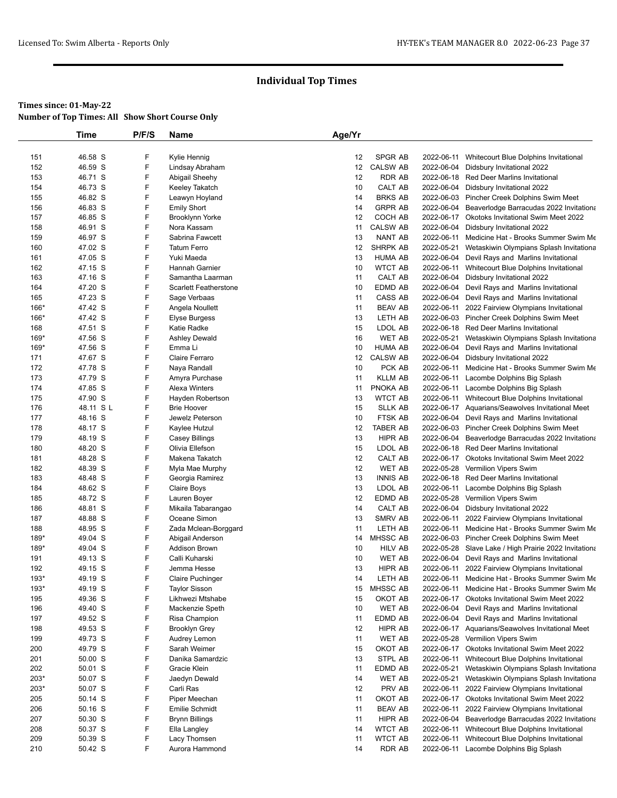|        | Time     | P/F/S | Name                         | Age/Yr |                 |            |                                                       |
|--------|----------|-------|------------------------------|--------|-----------------|------------|-------------------------------------------------------|
|        |          |       |                              |        |                 |            |                                                       |
| 151    | 46.58 S  | F     | Kylie Hennig                 | 12     | SPGR AB         | 2022-06-11 | Whitecourt Blue Dolphins Invitational                 |
| 152    | 46.59 S  | F     | Lindsay Abraham              | 12     | <b>CALSW AB</b> | 2022-06-04 | Didsbury Invitational 2022                            |
| 153    | 46.71 S  | F     | Abigail Sheehy               | 12     | RDR AB          |            | 2022-06-18 Red Deer Marlins Invitational              |
| 154    | 46.73 S  | F     | Keeley Takatch               | 10     | CALT AB         |            | 2022-06-04 Didsbury Invitational 2022                 |
| 155    | 46.82 S  | F     | Leawyn Hoyland               | 14     | <b>BRKS AB</b>  |            | 2022-06-03 Pincher Creek Dolphins Swim Meet           |
| 156    | 46.83 S  | F     | <b>Emily Short</b>           | 14     | <b>GRPR AB</b>  |            | 2022-06-04 Beaverlodge Barracudas 2022 Invitationa    |
| 157    | 46.85 S  | F     | Brooklynn Yorke              | 12     | COCH AB         |            | 2022-06-17 Okotoks Invitational Swim Meet 2022        |
| 158    | 46.91 S  | F     | Nora Kassam                  | 11     | <b>CALSW AB</b> | 2022-06-04 | Didsbury Invitational 2022                            |
| 159    | 46.97 S  | F     | Sabrina Fawcett              | 13     | NANT AB         | 2022-06-11 | Medicine Hat - Brooks Summer Swim Me                  |
| 160    | 47.02 S  | F     | <b>Tatum Ferro</b>           | 12     | SHRPK AB        | 2022-05-21 | Wetaskiwin Olympians Splash Invitationa               |
| 161    | 47.05 S  | F     | Yuki Maeda                   | 13     | <b>HUMA AB</b>  |            | 2022-06-04 Devil Rays and Marlins Invitational        |
| 162    | 47.15 S  | F     | Hannah Garnier               | 10     | <b>WTCT AB</b>  |            | 2022-06-11 Whitecourt Blue Dolphins Invitational      |
| 163    | 47.16 S  | F     | Samantha Laarman             | 11     | CALT AB         |            | 2022-06-04 Didsbury Invitational 2022                 |
| 164    | 47.20 S  | F     | <b>Scarlett Featherstone</b> | 10     | EDMD AB         | 2022-06-04 | Devil Rays and Marlins Invitational                   |
| 165    | 47.23 S  | F     | Sage Verbaas                 | 11     | CASS AB         |            | 2022-06-04 Devil Rays and Marlins Invitational        |
| 166*   | 47.42 S  | F     | Angela Noullett              | 11     | <b>BEAV AB</b>  | 2022-06-11 | 2022 Fairview Olympians Invitational                  |
| 166*   | 47.42 S  | F     | Elyse Burgess                | 13     | LETH AB         |            | 2022-06-03 Pincher Creek Dolphins Swim Meet           |
| 168    | 47.51 S  | F     | Katie Radke                  | 15     | LDOL AB         |            | 2022-06-18 Red Deer Marlins Invitational              |
| 169*   | 47.56 S  | F     | <b>Ashley Dewald</b>         | 16     | WET AB          | 2022-05-21 | Wetaskiwin Olympians Splash Invitationa               |
| $169*$ | 47.56 S  | F     | Emma Li                      | 10     | <b>HUMA AB</b>  | 2022-06-04 | Devil Rays and Marlins Invitational                   |
| 171    | 47.67 S  | F     | Claire Ferraro               | 12     | <b>CALSW AB</b> | 2022-06-04 | Didsbury Invitational 2022                            |
| 172    | 47.78 S  | F     | Naya Randall                 | 10     | PCK AB          | 2022-06-11 | Medicine Hat - Brooks Summer Swim Me                  |
| 173    | 47.79 S  | F     | Amyra Purchase               | 11     | KLLM AB         | 2022-06-11 | Lacombe Dolphins Big Splash                           |
| 174    | 47.85 S  | F     | <b>Alexa Winters</b>         | 11     | PNOKA AB        | 2022-06-11 | Lacombe Dolphins Big Splash                           |
| 175    | 47.90 S  | F     | Hayden Robertson             | 13     | <b>WTCT AB</b>  |            | 2022-06-11 Whitecourt Blue Dolphins Invitational      |
| 176    | 48.11 SL | F     | <b>Brie Hoover</b>           | 15     | <b>SLLK AB</b>  |            | 2022-06-17 Aquarians/Seawolves Invitational Meet      |
| 177    | 48.16 S  | F     | Jewelz Peterson              | 10     | FTSK AB         |            | 2022-06-04 Devil Rays and Marlins Invitational        |
| 178    | 48.17 S  | F     | Kaylee Hutzul                | 12     | TABER AB        |            | 2022-06-03 Pincher Creek Dolphins Swim Meet           |
| 179    | 48.19 S  | F     | <b>Casey Billings</b>        | 13     | HIPR AB         | 2022-06-04 | Beaverlodge Barracudas 2022 Invitationa               |
| 180    | 48.20 S  | F     | Olivia Ellefson              | 15     | LDOL AB         |            | 2022-06-18 Red Deer Marlins Invitational              |
| 181    | 48.28 S  | F     | Makena Takatch               | 12     | CALT AB         |            | 2022-06-17 Okotoks Invitational Swim Meet 2022        |
| 182    | 48.39 S  | F     | Myla Mae Murphy              | 12     | WET AB          |            | 2022-05-28 Vermilion Vipers Swim                      |
| 183    | 48.48 S  | F     | Georgia Ramirez              | 13     | <b>INNIS AB</b> |            | 2022-06-18 Red Deer Marlins Invitational              |
| 184    | 48.62 S  | F     | Claire Boys                  | 13     | LDOL AB         |            | 2022-06-11 Lacombe Dolphins Big Splash                |
| 185    | 48.72 S  | F     | Lauren Boyer                 | 12     | EDMD AB         |            | 2022-05-28 Vermilion Vipers Swim                      |
| 186    | 48.81 S  | F     | Mikaila Tabarangao           | 14     | CALT AB         | 2022-06-04 | Didsbury Invitational 2022                            |
| 187    | 48.88 S  | F     | Oceane Simon                 | 13     | SMRV AB         | 2022-06-11 | 2022 Fairview Olympians Invitational                  |
| 188    | 48.95 S  | F     | Zada Mclean-Borggard         | 11     | LETH AB         | 2022-06-11 | Medicine Hat - Brooks Summer Swim Me                  |
| 189*   | 49.04 S  | F     | Abigail Anderson             | 14     | MHSSC AB        |            | 2022-06-03 Pincher Creek Dolphins Swim Meet           |
| 189*   | 49.04 S  | F     | <b>Addison Brown</b>         | 10     | <b>HILV AB</b>  |            | 2022-05-28 Slave Lake / High Prairie 2022 Invitationa |
| 191    | 49.13 S  | F     | Calli Kuharski               | 10     | WET AB          |            | 2022-06-04 Devil Rays and Marlins Invitational        |
| 192    | 49.15 S  | F     | Jemma Hesse                  | 13     | HIPR AB         | 2022-06-11 | 2022 Fairview Olympians Invitational                  |
| 193*   | 49.19 S  | F     | Claire Puchinger             | 14     | LETH AB         |            | 2022-06-11 Medicine Hat - Brooks Summer Swim Me       |
| 193*   | 49.19 S  | F     | <b>Taylor Sisson</b>         | 15     | MHSSC AB        | 2022-06-11 | Medicine Hat - Brooks Summer Swim Me                  |
| 195    | 49.36 S  | F     | Likhwezi Mtshabe             | 15     | OKOT AB         | 2022-06-17 | Okotoks Invitational Swim Meet 2022                   |
| 196    | 49.40 S  | F     | Mackenzie Speth              | 10     | WET AB          | 2022-06-04 | Devil Rays and Marlins Invitational                   |
| 197    | 49.52 S  | F     | Risa Champion                | 11     | EDMD AB         |            | 2022-06-04 Devil Rays and Marlins Invitational        |
| 198    | 49.53 S  | F     | Brooklyn Grey                | 12     | HIPR AB         |            | 2022-06-17 Aquarians/Seawolves Invitational Meet      |
| 199    | 49.73 S  | F     | Audrey Lemon                 | 11     | WET AB          |            | 2022-05-28 Vermilion Vipers Swim                      |
| 200    | 49.79 S  | F     | Sarah Weimer                 | 15     | OKOT AB         |            | 2022-06-17 Okotoks Invitational Swim Meet 2022        |
| 201    | 50.00 S  | F     | Danika Samardzic             | 13     | STPL AB         | 2022-06-11 |                                                       |
|        |          | F     |                              |        |                 |            | Whitecourt Blue Dolphins Invitational                 |
| 202    | 50.01 S  |       | Gracie Klein                 | 11     | EDMD AB         | 2022-05-21 | Wetaskiwin Olympians Splash Invitationa               |
| 203*   | 50.07 S  | F     | Jaedyn Dewald                | 14     | WET AB          | 2022-05-21 | Wetaskiwin Olympians Splash Invitationa               |
| 203*   | 50.07 S  | F     | Carli Ras                    | 12     | PRV AB          | 2022-06-11 | 2022 Fairview Olympians Invitational                  |
| 205    | 50.14 S  | F     | Piper Meechan                | 11     | OKOT AB         |            | 2022-06-17 Okotoks Invitational Swim Meet 2022        |
| 206    | 50.16 S  | F     | Emilie Schmidt               | 11     | <b>BEAV AB</b>  | 2022-06-11 | 2022 Fairview Olympians Invitational                  |
| 207    | 50.30 S  | F     | <b>Brynn Billings</b>        | 11     | HIPR AB         |            | 2022-06-04 Beaverlodge Barracudas 2022 Invitationa    |
| 208    | 50.37 S  | F     | Ella Langley                 | 14     | WTCT AB         | 2022-06-11 | Whitecourt Blue Dolphins Invitational                 |
| 209    | 50.39 S  | F     | Lacy Thomsen                 | 11     | WTCT AB         | 2022-06-11 | Whitecourt Blue Dolphins Invitational                 |
| 210    | 50.42 S  | F     | Aurora Hammond               | 14     | RDR AB          | 2022-06-11 | Lacombe Dolphins Big Splash                           |
|        |          |       |                              |        |                 |            |                                                       |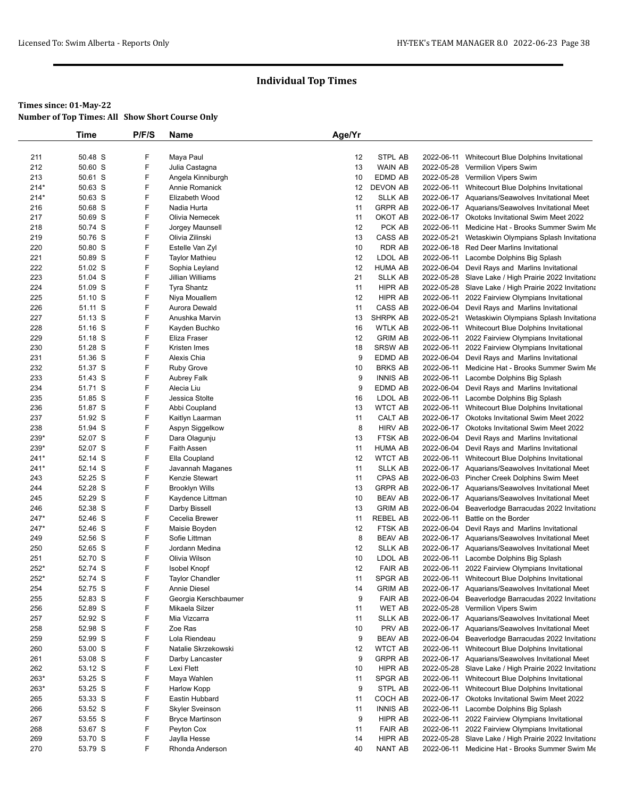## **Times since: 01-May-22**

**Number of Top Times: All Show Short Course Only**

|               | Time               | P/F/S  | Name                               | Age/Yr   |                                  |            |                                                                                                    |
|---------------|--------------------|--------|------------------------------------|----------|----------------------------------|------------|----------------------------------------------------------------------------------------------------|
|               |                    |        |                                    |          |                                  |            |                                                                                                    |
| 211           | 50.48 S            | F      | Maya Paul                          | 12       | STPL AB                          | 2022-06-11 | Whitecourt Blue Dolphins Invitational                                                              |
| 212           | 50.60 S            | F      | Julia Castagna                     | 13       | WAIN AB                          |            | 2022-05-28 Vermilion Vipers Swim                                                                   |
| 213           | 50.61 S            | F      | Angela Kinniburgh                  | 10       | EDMD AB                          |            | 2022-05-28 Vermilion Vipers Swim                                                                   |
| $214*$        | 50.63 S            | F<br>F | Annie Romanick                     | 12       | <b>DEVON AB</b>                  |            | 2022-06-11 Whitecourt Blue Dolphins Invitational                                                   |
| $214*$        | 50.63 S<br>50.68 S | F      | Elizabeth Wood<br>Nadia Hurta      | 12<br>11 | <b>SLLK AB</b><br><b>GRPR AB</b> |            | 2022-06-17 Aquarians/Seawolves Invitational Meet                                                   |
| 216<br>217    | 50.69 S            | F      | Olivia Nemecek                     | 11       | OKOT AB                          |            | 2022-06-17 Aquarians/Seawolves Invitational Meet<br>2022-06-17 Okotoks Invitational Swim Meet 2022 |
| 218           | 50.74 S            | F      | Jorgey Maunsell                    | 12       | PCK AB                           | 2022-06-11 | Medicine Hat - Brooks Summer Swim Me                                                               |
| 219           | 50.76 S            | F      | Olivia Zilinski                    | 13       | CASS AB                          | 2022-05-21 | Wetaskiwin Olympians Splash Invitationa                                                            |
| 220           | 50.80 S            | F      | Estelle Van Zyl                    | 10       | RDR AB                           |            | 2022-06-18 Red Deer Marlins Invitational                                                           |
| 221           | 50.89 S            | F      | <b>Taylor Mathieu</b>              | 12       | LDOL AB                          |            | 2022-06-11 Lacombe Dolphins Big Splash                                                             |
| 222           | 51.02 S            | F      | Sophia Leyland                     | 12       | HUMA AB                          |            | 2022-06-04 Devil Rays and Marlins Invitational                                                     |
| 223           | 51.04 S            | F      | Jillian Williams                   | 21       | <b>SLLK AB</b>                   |            | 2022-05-28 Slave Lake / High Prairie 2022 Invitationa                                              |
| 224           | 51.09 S            | F      | <b>Tyra Shantz</b>                 | 11       | HIPR AB                          |            | 2022-05-28 Slave Lake / High Prairie 2022 Invitationa                                              |
| 225           | 51.10 S            | F      | Niya Mouallem                      | 12       | HIPR AB                          | 2022-06-11 | 2022 Fairview Olympians Invitational                                                               |
| 226           | 51.11 S            | F      | Aurora Dewald                      | 11       | CASS AB                          | 2022-06-04 | Devil Rays and Marlins Invitational                                                                |
| 227           | 51.13 S            | F      | Anushka Marvin                     | 13       | SHRPK AB                         | 2022-05-21 | Wetaskiwin Olympians Splash Invitationa                                                            |
| 228           | 51.16 S            | F      | Kayden Buchko                      | 16       | <b>WTLK AB</b>                   |            | 2022-06-11 Whitecourt Blue Dolphins Invitational                                                   |
| 229           | 51.18 S            | F      | Eliza Fraser                       | 12       | <b>GRIM AB</b>                   |            | 2022-06-11 2022 Fairview Olympians Invitational                                                    |
| 230           | 51.28 S            | F      | Kristen Imes                       | 18       | <b>SRSW AB</b>                   |            | 2022-06-11 2022 Fairview Olympians Invitational                                                    |
| 231           | 51.36 S            | F      | Alexis Chia                        | 9        | EDMD AB                          |            | 2022-06-04 Devil Rays and Marlins Invitational                                                     |
| 232           | 51.37 S            | F      | <b>Ruby Grove</b>                  | 10       | <b>BRKS AB</b>                   | 2022-06-11 | Medicine Hat - Brooks Summer Swim Me                                                               |
| 233           | 51.43 S            | F      | Aubrey Falk                        | 9        | <b>INNIS AB</b>                  | 2022-06-11 | Lacombe Dolphins Big Splash                                                                        |
| 234           | 51.71 S            | F      | Alecia Liu                         | 9        | EDMD AB                          | 2022-06-04 | Devil Rays and Marlins Invitational                                                                |
| 235           | 51.85 S            | F      | Jessica Stolte                     | 16       | LDOL AB                          |            | 2022-06-11 Lacombe Dolphins Big Splash                                                             |
| 236           | 51.87 S            | F      | Abbi Coupland                      | 13       | <b>WTCT AB</b>                   | 2022-06-11 | Whitecourt Blue Dolphins Invitational                                                              |
| 237           | 51.92 S            | F      | Kaitlyn Laarman                    | 11       | CALT AB                          |            | 2022-06-17 Okotoks Invitational Swim Meet 2022                                                     |
| 238           | 51.94 S            | F      | Aspyn Siggelkow                    | 8        | <b>HIRV AB</b>                   |            | 2022-06-17 Okotoks Invitational Swim Meet 2022                                                     |
| 239*          | 52.07 S            | F      | Dara Olagunju                      | 13       | FTSK AB                          | 2022-06-04 | Devil Rays and Marlins Invitational                                                                |
| 239*          | 52.07 S            | F<br>F | <b>Faith Assen</b>                 | 11       | HUMA AB                          | 2022-06-04 | Devil Rays and Marlins Invitational                                                                |
| $241*$        | 52.14 S<br>52.14 S | F      | Ella Coupland                      | 12<br>11 | <b>WTCT AB</b><br><b>SLLK AB</b> | 2022-06-11 | Whitecourt Blue Dolphins Invitational                                                              |
| $241*$<br>243 | 52.25 S            | F      | Javannah Maganes<br>Kenzie Stewart | 11       | CPAS AB                          |            | 2022-06-17 Aquarians/Seawolves Invitational Meet                                                   |
| 244           | 52.28 S            | F      | <b>Brooklyn Wills</b>              | 13       | <b>GRPR AB</b>                   |            | 2022-06-03 Pincher Creek Dolphins Swim Meet<br>2022-06-17 Aquarians/Seawolves Invitational Meet    |
| 245           | 52.29 S            | F      | Kaydence Littman                   | 10       | <b>BEAV AB</b>                   |            | 2022-06-17 Aquarians/Seawolves Invitational Meet                                                   |
| 246           | 52.38 S            | F      | Darby Bissell                      | 13       | <b>GRIM AB</b>                   | 2022-06-04 | Beaverlodge Barracudas 2022 Invitationa                                                            |
| 247*          | 52.46 S            | F      | Cecelia Brewer                     | 11       | <b>REBEL AB</b>                  | 2022-06-11 | Battle on the Border                                                                               |
| 247*          | 52.46 S            | F      | Maisie Boyden                      | 12       | FTSK AB                          |            | 2022-06-04 Devil Rays and Marlins Invitational                                                     |
| 249           | 52.56 S            | F      | Sofie Littman                      | 8        | <b>BEAV AB</b>                   |            | 2022-06-17 Aquarians/Seawolves Invitational Meet                                                   |
| 250           | 52.65 S            | F      | Jordann Medina                     | 12       | <b>SLLK AB</b>                   |            | 2022-06-17 Aquarians/Seawolves Invitational Meet                                                   |
| 251           | 52.70 S            | F      | Olivia Wilson                      | 10       | LDOL AB                          |            | 2022-06-11 Lacombe Dolphins Big Splash                                                             |
| $252*$        | 52.74 S            | F      | <b>Isobel Knopf</b>                | 12       | <b>FAIR AB</b>                   |            | 2022-06-11 2022 Fairview Olympians Invitational                                                    |
| 252*          | 52.74 S            | F      | <b>Taylor Chandler</b>             | 11       | SPGR AB                          |            | 2022-06-11 Whitecourt Blue Dolphins Invitational                                                   |
| 254           | 52.75 S            | F      | Annie Diesel                       | 14       | <b>GRIM AB</b>                   |            | 2022-06-17 Aquarians/Seawolves Invitational Meet                                                   |
| 255           | 52.83 S            | F      | Georgia Kerschbaumer               | 9        | <b>FAIR AB</b>                   | 2022-06-04 | Beaverlodge Barracudas 2022 Invitationa                                                            |
| 256           | 52.89 S            | F      | Mikaela Silzer                     | 11       | WET AB                           |            | 2022-05-28 Vermilion Vipers Swim                                                                   |
| 257           | 52.92 S            | F      | Mia Vizcarra                       | 11       | <b>SLLK AB</b>                   |            | 2022-06-17 Aquarians/Seawolves Invitational Meet                                                   |
| 258           | 52.98 S            | F      | Zoe Ras                            | 10       | PRV AB                           |            | 2022-06-17 Aquarians/Seawolves Invitational Meet                                                   |
| 259           | 52.99 S            | F      | Lola Riendeau                      | 9        | <b>BEAV AB</b>                   | 2022-06-04 | Beaverlodge Barracudas 2022 Invitationa                                                            |
| 260           | 53.00 S            | F      | Natalie Skrzekowski                | 12       | <b>WTCT AB</b>                   | 2022-06-11 | Whitecourt Blue Dolphins Invitational                                                              |
| 261           | 53.08 S            | F      | Darby Lancaster                    | 9        | <b>GRPR AB</b>                   |            | 2022-06-17 Aquarians/Seawolves Invitational Meet                                                   |
| 262           | 53.12 S            | F      | Lexi Flett                         | 10       | HIPR AB                          |            | 2022-05-28 Slave Lake / High Prairie 2022 Invitationa                                              |
| $263*$        | 53.25 S            | F      | Maya Wahlen                        | 11       | SPGR AB                          |            | 2022-06-11 Whitecourt Blue Dolphins Invitational                                                   |
| $263*$        | 53.25 S            | F      | Harlow Kopp                        | 9        | STPL AB                          | 2022-06-11 | Whitecourt Blue Dolphins Invitational                                                              |
| 265           | 53.33 S            | F      | Eastin Hubbard                     | 11       | COCH AB                          |            | 2022-06-17 Okotoks Invitational Swim Meet 2022                                                     |
| 266           | 53.52 S            | F      | <b>Skyler Sveinson</b>             | 11       | <b>INNIS AB</b>                  |            | 2022-06-11 Lacombe Dolphins Big Splash                                                             |
| 267           | 53.55 S            | F      | <b>Bryce Martinson</b>             | 9        | HIPR AB                          |            | 2022-06-11 2022 Fairview Olympians Invitational                                                    |
| 268           | 53.67 S            | F      | Peyton Cox                         | 11       | <b>FAIR AB</b>                   |            | 2022-06-11 2022 Fairview Olympians Invitational                                                    |
| 269           | 53.70 S            | F      | Jaylla Hesse                       | 14       | HIPR AB                          |            | 2022-05-28 Slave Lake / High Prairie 2022 Invitationa                                              |
| 270           | 53.79 S            | F      | Rhonda Anderson                    | 40       | NANT AB                          | 2022-06-11 | Medicine Hat - Brooks Summer Swim Me                                                               |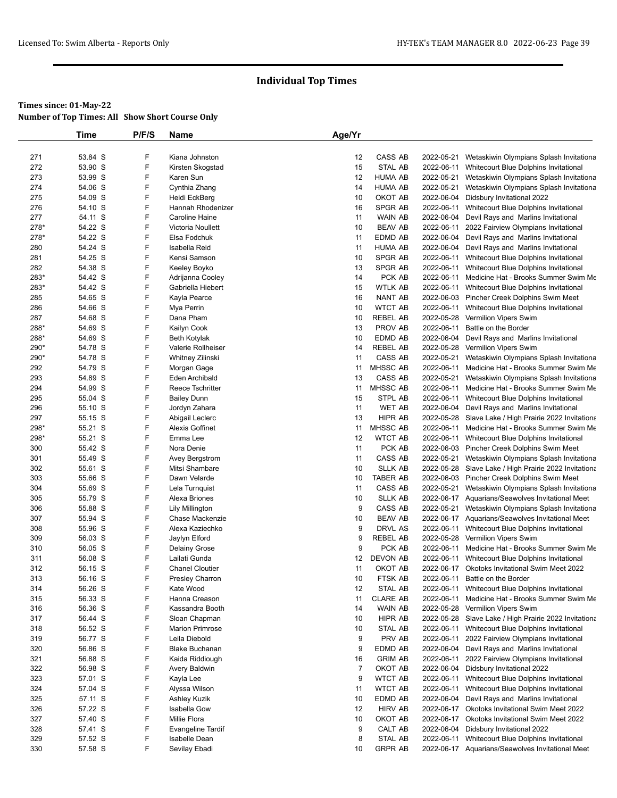|              | <b>Time</b>        | P/F/S  | <b>Name</b>                               | Age/Yr         |                            |            |                                                                                          |
|--------------|--------------------|--------|-------------------------------------------|----------------|----------------------------|------------|------------------------------------------------------------------------------------------|
|              |                    |        |                                           |                |                            |            |                                                                                          |
| 271          | 53.84 S            | F      | Kiana Johnston                            | 12             | CASS AB                    | 2022-05-21 | Wetaskiwin Olympians Splash Invitationa                                                  |
| 272          | 53.90 S            | F      | Kirsten Skogstad                          | 15             | STAL AB                    | 2022-06-11 | Whitecourt Blue Dolphins Invitational                                                    |
| 273          | 53.99 S            | F      | Karen Sun                                 | 12             | <b>HUMA AB</b>             | 2022-05-21 | Wetaskiwin Olympians Splash Invitationa                                                  |
| 274          | 54.06 S            | F      | Cynthia Zhang                             | 14             | <b>HUMA AB</b>             | 2022-05-21 | Wetaskiwin Olympians Splash Invitationa                                                  |
| 275          | 54.09 S            | F      | Heidi EckBerg                             | 10             | OKOT AB                    | 2022-06-04 | Didsbury Invitational 2022                                                               |
| 276          | 54.10 S            | F      | Hannah Rhodenizer                         | 16             | SPGR AB                    | 2022-06-11 | Whitecourt Blue Dolphins Invitational                                                    |
| 277          | 54.11 S            | F      | Caroline Haine                            | 11             | <b>WAIN AB</b>             | 2022-06-04 | Devil Rays and Marlins Invitational                                                      |
| 278*         | 54.22 S            | F      | Victoria Noullett                         | 10             | <b>BEAV AB</b>             | 2022-06-11 | 2022 Fairview Olympians Invitational                                                     |
| 278*         | 54.22 S            | F      | Elsa Fodchuk                              | 11             | EDMD AB                    | 2022-06-04 | Devil Rays and Marlins Invitational                                                      |
| 280          | 54.24 S            | F      | Isabella Reid                             | 11             | <b>HUMA AB</b>             |            | 2022-06-04 Devil Rays and Marlins Invitational                                           |
| 281          | 54.25 S            | F      | Kensi Samson                              | 10             | SPGR AB                    |            | 2022-06-11 Whitecourt Blue Dolphins Invitational                                         |
| 282          | 54.38 S            | F      | Keeley Boyko                              | 13             | <b>SPGR AB</b>             |            | 2022-06-11 Whitecourt Blue Dolphins Invitational                                         |
| 283*         | 54.42 S            | F      | Adrijanna Cooley                          | 14             | PCK AB                     |            | 2022-06-11 Medicine Hat - Brooks Summer Swim Me                                          |
| 283*         | 54.42 S            | F      | Gabriella Hiebert                         | 15             | <b>WTLK AB</b>             |            | 2022-06-11 Whitecourt Blue Dolphins Invitational                                         |
| 285          | 54.65 S            | F      | Kayla Pearce                              | 16             | <b>NANT AB</b>             |            | 2022-06-03 Pincher Creek Dolphins Swim Meet                                              |
| 286          | 54.66 S            | F      | Mya Perrin                                | 10             | <b>WTCT AB</b>             |            | 2022-06-11 Whitecourt Blue Dolphins Invitational                                         |
| 287          | 54.68 S            | F<br>F | Dana Pham                                 | 10             | <b>REBEL AB</b>            |            | 2022-05-28 Vermilion Vipers Swim                                                         |
| 288*         | 54.69 S            | F      | Kailyn Cook                               | 13<br>10       | PROV AB                    |            | 2022-06-11 Battle on the Border                                                          |
| 288*<br>290* | 54.69 S<br>54.78 S | F      | <b>Beth Kotylak</b><br>Valerie Rollheiser | 14             | EDMD AB<br><b>REBEL AB</b> |            | 2022-06-04 Devil Rays and Marlins Invitational<br>2022-05-28 Vermilion Vipers Swim       |
| 290*         | 54.78 S            | F      | Whitney Zilinski                          | 11             | CASS AB                    | 2022-05-21 | Wetaskiwin Olympians Splash Invitationa                                                  |
| 292          | 54.79 S            | F      | Morgan Gage                               | 11             | MHSSC AB                   |            | 2022-06-11 Medicine Hat - Brooks Summer Swim Me                                          |
| 293          | 54.89 S            | F      | Eden Archibald                            | 13             | CASS AB                    | 2022-05-21 | Wetaskiwin Olympians Splash Invitationa                                                  |
| 294          | 54.99 S            | F      | Reece Tschritter                          | 11             | <b>MHSSC AB</b>            |            | 2022-06-11 Medicine Hat - Brooks Summer Swim Me                                          |
| 295          | 55.04 S            | F      | <b>Bailey Dunn</b>                        | 15             | STPL AB                    |            | 2022-06-11 Whitecourt Blue Dolphins Invitational                                         |
| 296          | 55.10 S            | F      | Jordyn Zahara                             | 11             | <b>WET AB</b>              |            | 2022-06-04 Devil Rays and Marlins Invitational                                           |
| 297          | 55.15 S            | F      | Abigail Leclerc                           | 13             | HIPR AB                    |            | 2022-05-28 Slave Lake / High Prairie 2022 Invitationa                                    |
| 298*         | 55.21 S            | F      | <b>Alexis Goffinet</b>                    | 11             | MHSSC AB                   |            | 2022-06-11 Medicine Hat - Brooks Summer Swim Me                                          |
| 298*         | 55.21 S            | F      | Emma Lee                                  | 12             | <b>WTCT AB</b>             |            | 2022-06-11 Whitecourt Blue Dolphins Invitational                                         |
| 300          | 55.42 S            | F      | Nora Denie                                | 11             | PCK AB                     |            | 2022-06-03 Pincher Creek Dolphins Swim Meet                                              |
| 301          | 55.49 S            | F      | Avey Bergstrom                            | 11             | CASS AB                    |            | 2022-05-21 Wetaskiwin Olympians Splash Invitationa                                       |
| 302          | 55.61 S            | F      | Mitsi Shambare                            | 10             | <b>SLLK AB</b>             |            | 2022-05-28 Slave Lake / High Prairie 2022 Invitationa                                    |
| 303          | 55.66 S            | F      | Dawn Velarde                              | 10             | <b>TABER AB</b>            |            | 2022-06-03 Pincher Creek Dolphins Swim Meet                                              |
| 304          | 55.69 S            | F      | Lela Turnquist                            | 11             | CASS AB                    |            | 2022-05-21 Wetaskiwin Olympians Splash Invitationa                                       |
| 305          | 55.79 S            | F      | Alexa Briones                             | 10             | <b>SLLK AB</b>             |            | 2022-06-17 Aquarians/Seawolves Invitational Meet                                         |
| 306          | 55.88 S            | F      | <b>Lily Millington</b>                    | 9              | CASS AB                    | 2022-05-21 | Wetaskiwin Olympians Splash Invitationa                                                  |
| 307          | 55.94 S            | F      | Chase Mackenzie                           | 10             | <b>BEAV AB</b>             |            | 2022-06-17 Aquarians/Seawolves Invitational Meet                                         |
| 308          | 55.96 S            | F      | Alexa Kaziechko                           | 9              | DRVL AS                    |            | 2022-06-11 Whitecourt Blue Dolphins Invitational                                         |
| 309          | 56.03 S            | F      | Jaylyn Elford                             | 9              | <b>REBEL AB</b>            |            | 2022-05-28 Vermilion Vipers Swim                                                         |
| 310          | 56.05 S            | F      | <b>Delainy Grose</b>                      | 9              | PCK AB                     |            | 2022-06-11 Medicine Hat - Brooks Summer Swim Me                                          |
| 311          | 56.08 S            | F      | Lailati Gunda                             | 12             | DEVON AB                   |            | 2022-06-11 Whitecourt Blue Dolphins Invitational                                         |
| 312          | 56.15 S            | F<br>F | <b>Chanel Cloutier</b>                    | 11             | OKOT AB                    |            | 2022-06-17 Okotoks Invitational Swim Meet 2022                                           |
| 313          | 56.16 S            | F      | Presley Charron<br>Kate Wood              | 10             | FTSK AB                    |            | 2022-06-11 Battle on the Border                                                          |
| 314<br>315   | 56.26 S<br>56.33 S | F      | Hanna Creason                             | 12<br>11       | STAL AB<br><b>CLARE AB</b> | 2022-06-11 | 2022-06-11 Whitecourt Blue Dolphins Invitational<br>Medicine Hat - Brooks Summer Swim Me |
| 316          | 56.36 S            | F      | Kassandra Booth                           | 14             | <b>WAIN AB</b>             | 2022-05-28 | Vermilion Vipers Swim                                                                    |
| 317          | 56.44 S            | F      | Sloan Chapman                             | 10             | HIPR AB                    |            | 2022-05-28 Slave Lake / High Prairie 2022 Invitationa                                    |
| 318          | 56.52 S            | F      | <b>Marion Primrose</b>                    | 10             | STAL AB                    | 2022-06-11 | Whitecourt Blue Dolphins Invitational                                                    |
| 319          | 56.77 S            | F      | Leila Diebold                             | 9              | PRV AB                     | 2022-06-11 | 2022 Fairview Olympians Invitational                                                     |
| 320          | 56.86 S            | F      | <b>Blake Buchanan</b>                     | 9              | EDMD AB                    | 2022-06-04 | Devil Rays and Marlins Invitational                                                      |
| 321          | 56.88 S            | F      | Kaida Riddiough                           | 16             | <b>GRIM AB</b>             | 2022-06-11 | 2022 Fairview Olympians Invitational                                                     |
| 322          | 56.98 S            | F      | Avery Baldwin                             | $\overline{7}$ | OKOT AB                    | 2022-06-04 | Didsbury Invitational 2022                                                               |
| 323          | 57.01 S            | F      | Kayla Lee                                 | 9              | <b>WTCT AB</b>             | 2022-06-11 | Whitecourt Blue Dolphins Invitational                                                    |
| 324          | 57.04 S            | F      | Alyssa Wilson                             | 11             | <b>WTCT AB</b>             |            | 2022-06-11 Whitecourt Blue Dolphins Invitational                                         |
| 325          | 57.11 S            | F      | Ashley Kuzik                              | 10             | EDMD AB                    | 2022-06-04 | Devil Rays and Marlins Invitational                                                      |
| 326          | 57.22 S            | F      | Isabella Gow                              | 12             | <b>HIRV AB</b>             |            | 2022-06-17 Okotoks Invitational Swim Meet 2022                                           |
| 327          | 57.40 S            | F      | Millie Flora                              | 10             | OKOT AB                    |            | 2022-06-17 Okotoks Invitational Swim Meet 2022                                           |
| 328          | 57.41 S            | F      | <b>Evangeline Tardif</b>                  | 9              | CALT AB                    | 2022-06-04 | Didsbury Invitational 2022                                                               |
| 329          | 57.52 S            | F      | <b>Isabelle Dean</b>                      | 8              | STAL AB                    | 2022-06-11 | Whitecourt Blue Dolphins Invitational                                                    |
| 330          | 57.58 S            | F      | Sevilay Ebadi                             | 10             | <b>GRPR AB</b>             |            | 2022-06-17 Aquarians/Seawolves Invitational Meet                                         |
|              |                    |        |                                           |                |                            |            |                                                                                          |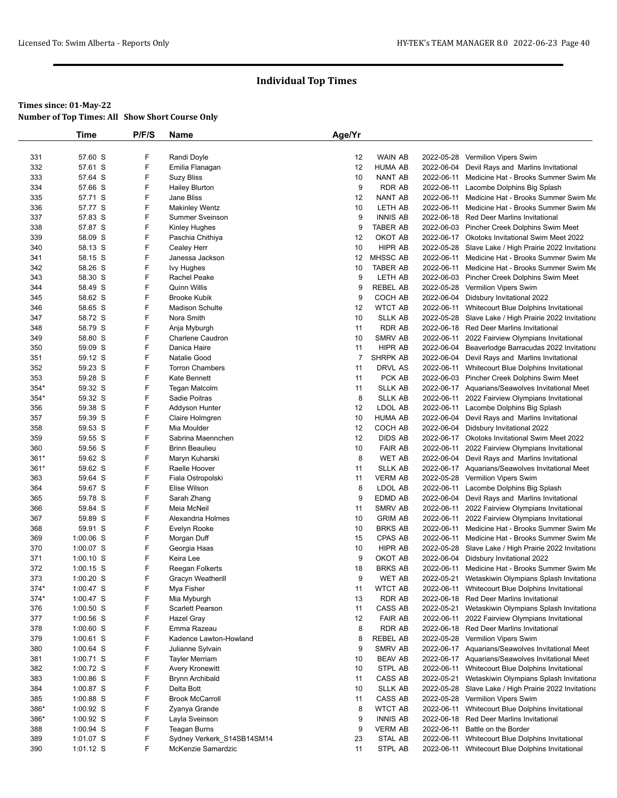|        | Time        | P/F/S | Name                       | Age/Yr |                 |            |                                                       |
|--------|-------------|-------|----------------------------|--------|-----------------|------------|-------------------------------------------------------|
|        |             |       |                            |        |                 |            |                                                       |
| 331    | 57.60 S     | F     | Randi Doyle                | 12     | <b>WAIN AB</b>  |            | 2022-05-28 Vermilion Vipers Swim                      |
| 332    | 57.61 S     | F     | Emilia Flanagan            | 12     | <b>HUMA AB</b>  |            | 2022-06-04 Devil Rays and Marlins Invitational        |
| 333    | 57.64 S     | F     | <b>Suzy Bliss</b>          | 10     | <b>NANT AB</b>  |            | 2022-06-11 Medicine Hat - Brooks Summer Swim Me       |
| 334    | 57.66 S     | F     | <b>Hailey Blurton</b>      | 9      | <b>RDR AB</b>   |            | 2022-06-11 Lacombe Dolphins Big Splash                |
| 335    | 57.71 S     | F     | Jane Bliss                 | 12     | <b>NANT AB</b>  |            | 2022-06-11 Medicine Hat - Brooks Summer Swim Me       |
| 336    | 57.77 S     | F     | <b>Makinley Wentz</b>      | 10     | LETH AB         |            | 2022-06-11 Medicine Hat - Brooks Summer Swim Me       |
| 337    | 57.83 S     | F     | <b>Summer Sveinson</b>     | 9      | <b>INNIS AB</b> |            | 2022-06-18 Red Deer Marlins Invitational              |
| 338    | 57.87 S     | F     | Kinley Hughes              | 9      | <b>TABER AB</b> |            | 2022-06-03 Pincher Creek Dolphins Swim Meet           |
| 339    | 58.09 S     | F     | Paschia Chithiya           | 12     | OKOT AB         |            | 2022-06-17 Okotoks Invitational Swim Meet 2022        |
| 340    | 58.13 S     | F     | Cealey Herr                | 10     | <b>HIPR AB</b>  |            | 2022-05-28 Slave Lake / High Prairie 2022 Invitationa |
| 341    | 58.15 S     | F     | Janessa Jackson            | 12     | MHSSC AB        |            | 2022-06-11 Medicine Hat - Brooks Summer Swim Me       |
| 342    | 58.26 S     | F     | lvy Hughes                 | 10     | <b>TABER AB</b> |            | 2022-06-11 Medicine Hat - Brooks Summer Swim Me       |
| 343    | 58.30 S     | F     | Rachel Peake               | 9      | LETH AB         |            | 2022-06-03 Pincher Creek Dolphins Swim Meet           |
| 344    | 58.49 S     | F     | <b>Quinn Willis</b>        | 9      | <b>REBEL AB</b> |            | 2022-05-28 Vermilion Vipers Swim                      |
| 345    | 58.62 S     | F     | <b>Brooke Kubik</b>        | 9      | COCH AB         | 2022-06-04 | Didsbury Invitational 2022                            |
| 346    | 58.65 S     | F     | <b>Madison Schulte</b>     | 12     | <b>WTCT AB</b>  |            | 2022-06-11 Whitecourt Blue Dolphins Invitational      |
| 347    | 58.72 S     | F     | Nora Smith                 | 10     | <b>SLLK AB</b>  |            | 2022-05-28 Slave Lake / High Prairie 2022 Invitationa |
| 348    | 58.79 S     | F     | Anja Myburgh               | 11     | <b>RDR AB</b>   |            | 2022-06-18 Red Deer Marlins Invitational              |
| 349    | 58.80 S     | F     | <b>Charlene Caudron</b>    | 10     | SMRV AB         |            | 2022-06-11 2022 Fairview Olympians Invitational       |
| 350    | 59.09 S     | F     | Danica Haire               | 11     | HIPR AB         |            | 2022-06-04 Beaverlodge Barracudas 2022 Invitationa    |
| 351    | 59.12 S     | F     | <b>Natalie Good</b>        | 7      | <b>SHRPK AB</b> |            | 2022-06-04 Devil Rays and Marlins Invitational        |
| 352    | 59.23 S     | F     | <b>Torron Chambers</b>     | 11     | DRVL AS         |            | 2022-06-11 Whitecourt Blue Dolphins Invitational      |
| 353    | 59.28 S     | F     | Kate Bennett               | 11     | PCK AB          |            | 2022-06-03 Pincher Creek Dolphins Swim Meet           |
| 354*   | 59.32 S     | F     | Tegan Malcolm              | 11     | <b>SLLK AB</b>  |            | 2022-06-17 Aquarians/Seawolves Invitational Meet      |
| $354*$ | 59.32 S     | F     | Sadie Poitras              | 8      | <b>SLLK AB</b>  |            | 2022-06-11 2022 Fairview Olympians Invitational       |
| 356    | 59.38 S     | F     | Addyson Hunter             | 12     | LDOL AB         |            | 2022-06-11 Lacombe Dolphins Big Splash                |
| 357    | 59.39 S     | F     | Claire Holmgren            | 10     | <b>HUMA AB</b>  |            | 2022-06-04 Devil Rays and Marlins Invitational        |
| 358    | 59.53 S     | F     | Mia Moulder                | 12     | COCH AB         | 2022-06-04 | Didsbury Invitational 2022                            |
| 359    | 59.55 S     | F     | Sabrina Maennchen          | 12     | <b>DIDS AB</b>  |            | 2022-06-17 Okotoks Invitational Swim Meet 2022        |
| 360    | 59.56 S     | F     | <b>Brinn Beaulieu</b>      | 10     | <b>FAIR AB</b>  |            | 2022-06-11 2022 Fairview Olympians Invitational       |
| $361*$ | 59.62 S     | F     | Maryn Kuharski             | 8      | <b>WET AB</b>   | 2022-06-04 | Devil Rays and Marlins Invitational                   |
| 361*   | 59.62 S     | F     | Raelle Hoover              | 11     | <b>SLLK AB</b>  |            | 2022-06-17 Aquarians/Seawolves Invitational Meet      |
| 363    | 59.64 S     | F     | Fiala Ostropolski          | 11     | <b>VERM AB</b>  |            | 2022-05-28 Vermilion Vipers Swim                      |
| 364    | 59.67 S     | F     | Elise Wilson               | 8      | LDOL AB         |            | 2022-06-11 Lacombe Dolphins Big Splash                |
| 365    | 59.78 S     | F     | Sarah Zhang                | 9      | EDMD AB         |            | 2022-06-04 Devil Rays and Marlins Invitational        |
| 366    | 59.84 S     | F     | Meia McNeil                | 11     | SMRV AB         |            | 2022-06-11 2022 Fairview Olympians Invitational       |
| 367    | 59.89 S     | F     | Alexandria Holmes          | 10     | <b>GRIM AB</b>  | 2022-06-11 | 2022 Fairview Olympians Invitational                  |
| 368    | 59.91 S     | F     | Evelyn Rooke               | 10     | <b>BRKS AB</b>  |            | 2022-06-11 Medicine Hat - Brooks Summer Swim Me       |
| 369    | 1:00.06 S   | F     | Morgan Duff                | 15     | CPAS AB         |            | 2022-06-11 Medicine Hat - Brooks Summer Swim Me       |
| 370    | 1:00.07 S   | F     | Georgia Haas               | 10     | HIPR AB         |            | 2022-05-28 Slave Lake / High Prairie 2022 Invitationa |
| 371    | $1:00.10$ S | F     | Keira Lee                  | 9      | OKOT AB         | 2022-06-04 | Didsbury Invitational 2022                            |
| 372    | $1:00.15$ S | F     | Reegan Folkerts            | 18     | <b>BRKS AB</b>  |            | 2022-06-11 Medicine Hat - Brooks Summer Swim Me       |
| 373    | 1:00.20 S   | F     | Gracyn Weatherill          | 9      | <b>WET AB</b>   | 2022-05-21 | Wetaskiwin Olympians Splash Invitationa               |
| 374*   | $1:00.47$ S | F     | Mya Fisher                 | 11     | <b>WTCT AB</b>  |            | 2022-06-11 Whitecourt Blue Dolphins Invitational      |
| 374*   | $1:00.47$ S | F     | Mia Myburgh                | 13     | RDR AB          |            | 2022-06-18 Red Deer Marlins Invitational              |
| 376    | $1:00.50$ S | F     | <b>Scarlett Pearson</b>    | 11     | CASS AB         | 2022-05-21 | Wetaskiwin Olympians Splash Invitationa               |
| 377    | $1:00.56$ S | F     | Hazel Gray                 | 12     | <b>FAIR AB</b>  | 2022-06-11 | 2022 Fairview Olympians Invitational                  |
| 378    | $1:00.60$ S | F     | Emma Razeau                | 8      | RDR AB          |            | 2022-06-18 Red Deer Marlins Invitational              |
| 379    | 1:00.61 S   | F     | Kadence Lawton-Howland     | 8      | REBEL AB        |            | 2022-05-28 Vermilion Vipers Swim                      |
| 380    | $1:00.64$ S | F     | Julianne Sylvain           | 9      | SMRV AB         |            | 2022-06-17 Aquarians/Seawolves Invitational Meet      |
| 381    | $1:00.71$ S | F     | <b>Tayler Merriam</b>      | 10     | <b>BEAV AB</b>  |            | 2022-06-17 Aquarians/Seawolves Invitational Meet      |
| 382    | 1:00.72 S   | F     | Avery Kronewitt            | 10     | STPL AB         |            | 2022-06-11 Whitecourt Blue Dolphins Invitational      |
| 383    | $1:00.86$ S | F     | <b>Brynn Archibald</b>     | 11     | CASS AB         | 2022-05-21 | Wetaskiwin Olympians Splash Invitationa               |
| 384    | 1:00.87 S   | F     | Delta Bott                 | 10     | <b>SLLK AB</b>  |            | 2022-05-28 Slave Lake / High Prairie 2022 Invitationa |
| 385    | $1:00.88$ S | F     | <b>Brook McCarroll</b>     | 11     | CASS AB         |            | 2022-05-28 Vermilion Vipers Swim                      |
| 386*   | $1:00.92$ S | F     | Zyanya Grande              | 8      | <b>WTCT AB</b>  | 2022-06-11 | Whitecourt Blue Dolphins Invitational                 |
| 386*   | $1:00.92$ S | F     | Layla Sveinson             | 9      | <b>INNIS AB</b> |            | 2022-06-18 Red Deer Marlins Invitational              |
| 388    | $1:00.94$ S | F     | Teagan Burns               | 9      | <b>VERM AB</b>  |            | 2022-06-11 Battle on the Border                       |
| 389    | 1:01.07 S   | F     | Sydney Verkerk_S14SB14SM14 | 23     | STAL AB         | 2022-06-11 | Whitecourt Blue Dolphins Invitational                 |
| 390    | $1:01.12$ S | F     | McKenzie Samardzic         | 11     | STPL AB         |            | 2022-06-11 Whitecourt Blue Dolphins Invitational      |
|        |             |       |                            |        |                 |            |                                                       |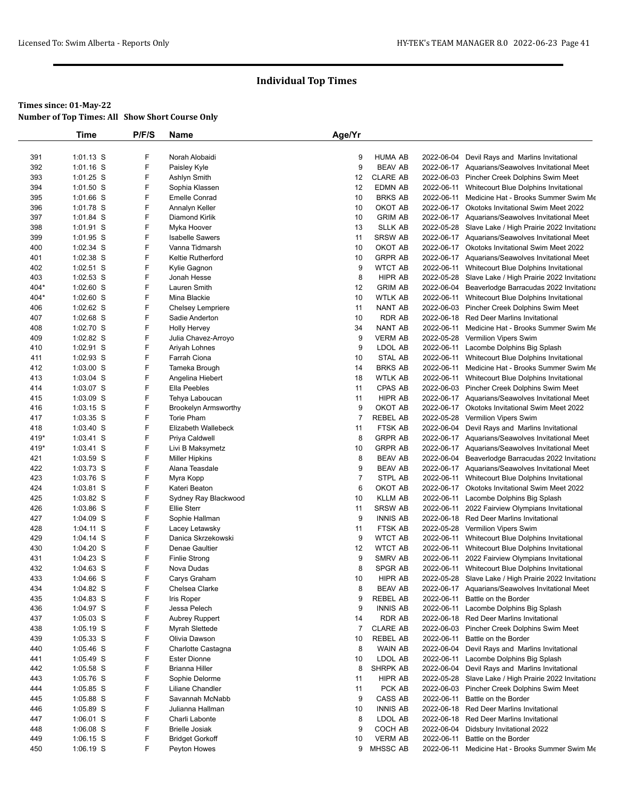|            | Time                       | P/F/S  | Name                                  | Age/Yr         |                                   |            |                                                                                                    |
|------------|----------------------------|--------|---------------------------------------|----------------|-----------------------------------|------------|----------------------------------------------------------------------------------------------------|
|            |                            |        |                                       |                |                                   |            |                                                                                                    |
| 391        | 1:01.13 S                  | F      | Norah Alobaidi                        | 9              | <b>HUMA AB</b>                    |            | 2022-06-04 Devil Rays and Marlins Invitational                                                     |
| 392        | 1:01.16 S                  | F      | Paisley Kyle                          | 9              | <b>BEAV AB</b>                    |            | 2022-06-17 Aquarians/Seawolves Invitational Meet                                                   |
| 393        | 1:01.25 S                  | F      | Ashlyn Smith                          | 12             | <b>CLARE AB</b>                   |            | 2022-06-03 Pincher Creek Dolphins Swim Meet                                                        |
| 394        | $1:01.50$ S                | F      | Sophia Klassen                        | 12             | EDMN AB                           |            | 2022-06-11 Whitecourt Blue Dolphins Invitational                                                   |
| 395        | 1:01.66 S                  | F      | <b>Emelle Conrad</b>                  | 10             | <b>BRKS AB</b>                    | 2022-06-11 | Medicine Hat - Brooks Summer Swim Me                                                               |
| 396        | 1:01.78 S                  | F      | Annalyn Keller                        | 10             | OKOT AB                           |            | 2022-06-17 Okotoks Invitational Swim Meet 2022                                                     |
| 397        | 1:01.84 S                  | F      | Diamond Kirlik                        | 10             | <b>GRIM AB</b>                    |            | 2022-06-17 Aquarians/Seawolves Invitational Meet                                                   |
| 398        | 1:01.91 S                  | F<br>F | Myka Hoover<br><b>Isabelle Sawers</b> | 13             | <b>SLLK AB</b>                    |            | 2022-05-28 Slave Lake / High Prairie 2022 Invitationa                                              |
| 399<br>400 | 1:01.95 S<br>1:02.34 S     | F      | Vanna Tidmarsh                        | 11<br>10       | <b>SRSW AB</b><br>OKOT AB         |            | 2022-06-17 Aquarians/Seawolves Invitational Meet<br>2022-06-17 Okotoks Invitational Swim Meet 2022 |
| 401        | 1:02.38 S                  | F      | <b>Keltie Rutherford</b>              | 10             | <b>GRPR AB</b>                    |            | 2022-06-17 Aquarians/Seawolves Invitational Meet                                                   |
| 402        | 1:02.51 S                  | F      | Kylie Gagnon                          | 9              | <b>WTCT AB</b>                    | 2022-06-11 | Whitecourt Blue Dolphins Invitational                                                              |
| 403        | 1:02.53 S                  | F      | Jonah Hesse                           | 8              | HIPR AB                           |            | 2022-05-28 Slave Lake / High Prairie 2022 Invitationa                                              |
| 404*       | 1:02.60 S                  | F      | Lauren Smith                          | 12             | <b>GRIM AB</b>                    |            | 2022-06-04 Beaverlodge Barracudas 2022 Invitationa                                                 |
| 404*       | $1:02.60$ S                | F      | Mina Blackie                          | 10             | <b>WTLK AB</b>                    | 2022-06-11 | Whitecourt Blue Dolphins Invitational                                                              |
| 406        | 1:02.62 S                  | F      | <b>Chelsey Lempriere</b>              | 11             | NANT AB                           |            | 2022-06-03 Pincher Creek Dolphins Swim Meet                                                        |
| 407        | 1:02.68 S                  | F      | Sadie Anderton                        | 10             | <b>RDR AB</b>                     |            | 2022-06-18 Red Deer Marlins Invitational                                                           |
| 408        | 1:02.70 S                  | F      | <b>Holly Hervey</b>                   | 34             | NANT AB                           | 2022-06-11 | Medicine Hat - Brooks Summer Swim Me                                                               |
| 409        | 1:02.82 S                  | F      | Julia Chavez-Arroyo                   | 9              | <b>VERM AB</b>                    |            | 2022-05-28 Vermilion Vipers Swim                                                                   |
| 410        | 1:02.91 S                  | F      | Ariyah Lohnes                         | 9              | LDOL AB                           | 2022-06-11 | Lacombe Dolphins Big Splash                                                                        |
| 411        | 1:02.93 S                  | F      | Farrah Ciona                          | 10             | STAL AB                           | 2022-06-11 | Whitecourt Blue Dolphins Invitational                                                              |
| 412        | 1:03.00 S                  | F      | Tameka Brough                         | 14             | <b>BRKS AB</b>                    | 2022-06-11 | Medicine Hat - Brooks Summer Swim Me                                                               |
| 413        | 1:03.04 S                  | F      | Angelina Hiebert                      | 18             | <b>WTLK AB</b>                    | 2022-06-11 | Whitecourt Blue Dolphins Invitational                                                              |
| 414        | 1:03.07 S                  | F      | Ella Peebles                          | 11             | CPAS AB                           |            | 2022-06-03 Pincher Creek Dolphins Swim Meet                                                        |
| 415        | 1:03.09 S                  | F      | Tehya Laboucan                        | 11             | HIPR AB                           |            | 2022-06-17 Aquarians/Seawolves Invitational Meet                                                   |
| 416        | 1:03.15 S                  | F      | <b>Brookelyn Armsworthy</b>           | 9              | OKOT AB                           |            | 2022-06-17 Okotoks Invitational Swim Meet 2022                                                     |
| 417        | 1:03.35 S                  | F      | <b>Torie Pham</b>                     | $\overline{7}$ | <b>REBEL AB</b>                   |            | 2022-05-28 Vermilion Vipers Swim                                                                   |
| 418        | 1:03.40 S                  | F      | Elizabeth Wallebeck                   | 11             | FTSK AB                           |            | 2022-06-04 Devil Rays and Marlins Invitational                                                     |
| 419*       | 1:03.41 S                  | F      | Priya Caldwell                        | 8              | <b>GRPR AB</b>                    |            | 2022-06-17 Aquarians/Seawolves Invitational Meet                                                   |
| 419*       | 1:03.41 S                  | F      | Livi B Maksymetz                      | 10             | <b>GRPR AB</b>                    |            | 2022-06-17 Aquarians/Seawolves Invitational Meet                                                   |
| 421        | 1:03.59 S                  | F      | <b>Miller Hipkins</b>                 | 8              | <b>BEAV AB</b>                    | 2022-06-04 | Beaverlodge Barracudas 2022 Invitationa                                                            |
| 422        | 1:03.73 S                  | F      | Alana Teasdale                        | 9              | <b>BEAV AB</b>                    |            | 2022-06-17 Aquarians/Seawolves Invitational Meet                                                   |
| 423        | 1:03.76 S                  | F      | Myra Kopp                             | $\overline{7}$ | STPL AB                           | 2022-06-11 | Whitecourt Blue Dolphins Invitational                                                              |
| 424        | 1:03.81 S                  | F      | Kateri Beaton                         | 6              | OKOT AB                           |            | 2022-06-17 Okotoks Invitational Swim Meet 2022                                                     |
| 425        | 1:03.82 S                  | F      | Sydney Ray Blackwood                  | 10             | <b>KLLM AB</b>                    | 2022-06-11 | Lacombe Dolphins Big Splash                                                                        |
| 426        | 1:03.86 S                  | F      | Ellie Sterr                           | 11             | <b>SRSW AB</b>                    | 2022-06-11 | 2022 Fairview Olympians Invitational                                                               |
| 427        | 1:04.09 S<br>1:04.11 S     | F<br>F | Sophie Hallman                        | 9<br>11        | <b>INNIS AB</b><br><b>FTSK AB</b> |            | 2022-06-18 Red Deer Marlins Invitational                                                           |
| 428<br>429 |                            | F      | Lacey Letawsky<br>Danica Skrzekowski  | 9              | <b>WTCT AB</b>                    | 2022-06-11 | 2022-05-28 Vermilion Vipers Swim<br>Whitecourt Blue Dolphins Invitational                          |
| 430        | $1:04.14$ S<br>$1:04.20$ S | F      | Denae Gaultier                        | 12             | WTCT AB                           |            | 2022-06-11 Whitecourt Blue Dolphins Invitational                                                   |
| 431        | 1:04.23 S                  | F      | <b>Finlie Strong</b>                  | 9              | <b>SMRV AB</b>                    | 2022-06-11 | 2022 Fairview Olympians Invitational                                                               |
| 432        | $1:04.63$ S                | F      | Nova Dudas                            | 8              | SPGR AB                           |            | 2022-06-11 Whitecourt Blue Dolphins Invitational                                                   |
| 433        | 1:04.66 S                  | F      | Carys Graham                          | 10             | HIPR AB                           |            | 2022-05-28 Slave Lake / High Prairie 2022 Invitationa                                              |
| 434        | 1:04.82 S                  | F      | Chelsea Clarke                        | 8              | <b>BEAV AB</b>                    |            | 2022-06-17 Aquarians/Seawolves Invitational Meet                                                   |
| 435        | 1:04.83 S                  | F      | Iris Roper                            | 9              | <b>REBEL AB</b>                   |            | 2022-06-11 Battle on the Border                                                                    |
| 436        | 1:04.97 S                  | F      | Jessa Pelech                          | 9              | <b>INNIS AB</b>                   | 2022-06-11 | Lacombe Dolphins Big Splash                                                                        |
| 437        | $1:05.03$ S                | F      | <b>Aubrey Ruppert</b>                 | 14             | RDR AB                            |            | 2022-06-18 Red Deer Marlins Invitational                                                           |
| 438        | 1:05.19 S                  | F      | Myrah Slettede                        | 7              | <b>CLARE AB</b>                   |            | 2022-06-03 Pincher Creek Dolphins Swim Meet                                                        |
| 439        | 1:05.33 S                  | F      | Olivia Dawson                         | 10             | <b>REBEL AB</b>                   | 2022-06-11 | Battle on the Border                                                                               |
| 440        | $1:05.46$ S                | F      | Charlotte Castagna                    | 8              | WAIN AB                           |            | 2022-06-04 Devil Rays and Marlins Invitational                                                     |
| 441        | 1:05.49 S                  | F      | <b>Ester Dionne</b>                   | 10             | LDOL AB                           |            | 2022-06-11 Lacombe Dolphins Big Splash                                                             |
| 442        | 1:05.58 S                  | F      | <b>Brianna Hiller</b>                 | 8              | SHRPK AB                          |            | 2022-06-04 Devil Rays and Marlins Invitational                                                     |
| 443        | $1:05.76$ S                | F      | Sophie Delorme                        | 11             | HIPR AB                           |            | 2022-05-28 Slave Lake / High Prairie 2022 Invitationa                                              |
| 444        | 1:05.85 S                  | F      | Liliane Chandler                      | 11             | PCK AB                            |            | 2022-06-03 Pincher Creek Dolphins Swim Meet                                                        |
| 445        | 1:05.88 S                  | F      | Savannah McNabb                       | 9              | CASS AB                           | 2022-06-11 | Battle on the Border                                                                               |
| 446        | $1:05.89$ S                | F      | Julianna Hallman                      | 10             | <b>INNIS AB</b>                   |            | 2022-06-18 Red Deer Marlins Invitational                                                           |
| 447        | 1:06.01 S                  | F      | Charli Labonte                        | 8              | LDOL AB                           |            | 2022-06-18 Red Deer Marlins Invitational                                                           |
| 448        | $1:06.08$ S                | F      | <b>Brielle Josiak</b>                 | 9              | COCH AB                           |            | 2022-06-04 Didsbury Invitational 2022                                                              |
| 449        | $1:06.15$ S                | F      | <b>Bridget Gorkoff</b>                | 10             | <b>VERM AB</b>                    | 2022-06-11 | Battle on the Border                                                                               |
| 450        | 1:06.19 S                  | F      | Peyton Howes                          |                | 9 MHSSC AB                        |            | 2022-06-11 Medicine Hat - Brooks Summer Swim Me                                                    |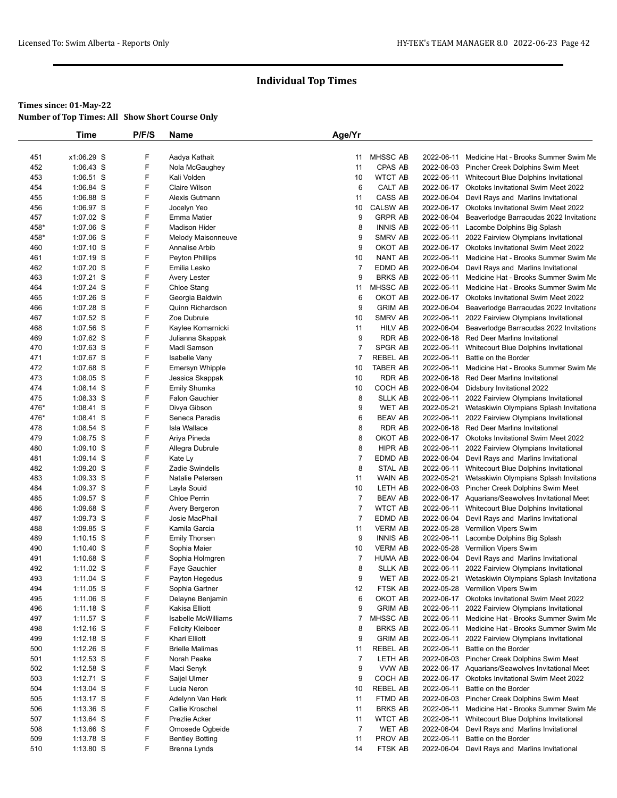|            | Time                   | P/F/S  | Name                         | Age/Yr         |                            |                          |                                                               |
|------------|------------------------|--------|------------------------------|----------------|----------------------------|--------------------------|---------------------------------------------------------------|
|            |                        |        |                              |                |                            |                          |                                                               |
| 451        | x1:06.29 S             | F      | Aadya Kathait                | 11             | MHSSC AB                   |                          | 2022-06-11 Medicine Hat - Brooks Summer Swim Me               |
| 452        | 1:06.43 S              | F      | Nola McGaughey               | 11             | CPAS AB                    |                          | 2022-06-03 Pincher Creek Dolphins Swim Meet                   |
| 453        | 1:06.51 S              | F      | Kali Volden                  | 10             | <b>WTCT AB</b>             | 2022-06-11               | Whitecourt Blue Dolphins Invitational                         |
| 454        | 1:06.84 S              | F      | <b>Claire Wilson</b>         | 6              | CALT AB                    |                          | 2022-06-17 Okotoks Invitational Swim Meet 2022                |
| 455        | 1:06.88 S              | F      | Alexis Gutmann               | 11             | CASS AB                    | 2022-06-04               | Devil Rays and Marlins Invitational                           |
| 456        | 1:06.97 S              | F      | Jocelyn Yeo                  | 10             | <b>CALSW AB</b>            |                          | 2022-06-17 Okotoks Invitational Swim Meet 2022                |
| 457        | 1:07.02 S              | F      | <b>Emma Matier</b>           | 9              | <b>GRPR AB</b>             | 2022-06-04               | Beaverlodge Barracudas 2022 Invitationa                       |
| 458*       | 1:07.06 S              | F      | <b>Madison Hider</b>         | 8              | <b>INNIS AB</b>            |                          | 2022-06-11 Lacombe Dolphins Big Splash                        |
| 458*       | 1:07.06 S              | F      | Melody Maisonneuve           | 9              | SMRV AB                    |                          | 2022-06-11 2022 Fairview Olympians Invitational               |
| 460        | 1:07.10 S              | F      | Annalise Arbib               | 9              | OKOT AB                    |                          | 2022-06-17 Okotoks Invitational Swim Meet 2022                |
| 461        | 1:07.19 S              | F      | <b>Peyton Phillips</b>       | 10             | NANT AB                    | 2022-06-11               | Medicine Hat - Brooks Summer Swim Me                          |
| 462        | 1:07.20 S              | F      | Emilia Lesko                 | $\overline{7}$ | EDMD AB                    | 2022-06-04               | Devil Rays and Marlins Invitational                           |
| 463        | 1:07.21 S              | F<br>F | Avery Lester                 | 9              | <b>BRKS AB</b>             |                          | 2022-06-11 Medicine Hat - Brooks Summer Swim Me               |
| 464        | 1:07.24 S              |        | Chloe Stang                  | 11             | MHSSC AB<br>OKOT AB        |                          | 2022-06-11 Medicine Hat - Brooks Summer Swim Me               |
| 465        | 1:07.26 S              | F<br>F | Georgia Baldwin              | 6              |                            |                          | 2022-06-17 Okotoks Invitational Swim Meet 2022                |
| 466        | 1:07.28 S              | F      | Quinn Richardson             | 9              | <b>GRIM AB</b>             | 2022-06-04               | Beaverlodge Barracudas 2022 Invitationa                       |
| 467        | 1:07.52 S              | F      | Zoe Dubrule                  | 10             | SMRV AB                    | 2022-06-11<br>2022-06-04 | 2022 Fairview Olympians Invitational                          |
| 468        | 1:07.56 S              | F      | Kaylee Komarnicki            | 11<br>9        | <b>HILV AB</b>             |                          | Beaverlodge Barracudas 2022 Invitationa                       |
| 469        | 1:07.62 S<br>1:07.63 S | F      | Julianna Skappak             | $\overline{7}$ | <b>RDR AB</b>              |                          | 2022-06-18 Red Deer Marlins Invitational                      |
| 470<br>471 | 1:07.67 S              | F      | Madi Samson<br>Isabelle Vany | $\overline{7}$ | SPGR AB<br><b>REBEL AB</b> | 2022-06-11<br>2022-06-11 | Whitecourt Blue Dolphins Invitational<br>Battle on the Border |
| 472        | 1:07.68 S              | F      | Emersyn Whipple              | 10             | <b>TABER AB</b>            | 2022-06-11               | Medicine Hat - Brooks Summer Swim Me                          |
| 473        | 1:08.05 S              | F      | Jessica Skappak              | 10             | RDR AB                     |                          | 2022-06-18 Red Deer Marlins Invitational                      |
| 474        | 1:08.14 S              | F      | Emily Shumka                 | 10             | COCH AB                    |                          | 2022-06-04 Didsbury Invitational 2022                         |
| 475        | $1:08.33$ S            | F      | <b>Falon Gauchier</b>        | 8              | <b>SLLK AB</b>             |                          | 2022-06-11 2022 Fairview Olympians Invitational               |
| 476*       | $1:08.41$ S            | F      | Divya Gibson                 | 9              | <b>WET AB</b>              |                          | 2022-05-21 Wetaskiwin Olympians Splash Invitationa            |
| 476*       | $1:08.41$ S            | F      | Seneca Paradis               | 6              | <b>BEAV AB</b>             | 2022-06-11               | 2022 Fairview Olympians Invitational                          |
| 478        | $1:08.54$ S            | F      | Isla Wallace                 | 8              | <b>RDR AB</b>              |                          | 2022-06-18 Red Deer Marlins Invitational                      |
| 479        | 1:08.75 S              | F      | Ariya Pineda                 | 8              | OKOT AB                    |                          | 2022-06-17 Okotoks Invitational Swim Meet 2022                |
| 480        | 1:09.10 S              | F      | Allegra Dubrule              | 8              | <b>HIPR AB</b>             | 2022-06-11               | 2022 Fairview Olympians Invitational                          |
| 481        | $1:09.14$ S            | F      | Kate Ly                      | $\overline{7}$ | EDMD AB                    | 2022-06-04               | Devil Rays and Marlins Invitational                           |
| 482        | 1:09.20 S              | F      | <b>Zadie Swindells</b>       | 8              | STAL AB                    |                          | 2022-06-11 Whitecourt Blue Dolphins Invitational              |
| 483        | $1:09.33$ S            | F      | Natalie Petersen             | 11             | WAIN AB                    | 2022-05-21               | Wetaskiwin Olympians Splash Invitationa                       |
| 484        | 1:09.37 S              | F      | Layla Souid                  | 10             | LETH AB                    |                          | 2022-06-03 Pincher Creek Dolphins Swim Meet                   |
| 485        | 1:09.57 S              | F      | <b>Chloe Perrin</b>          | $\overline{7}$ | <b>BEAV AB</b>             |                          | 2022-06-17 Aquarians/Seawolves Invitational Meet              |
| 486        | $1:09.68$ S            | F      | Avery Bergeron               | $\overline{7}$ | <b>WTCT AB</b>             |                          | 2022-06-11 Whitecourt Blue Dolphins Invitational              |
| 487        | 1:09.73 S              | F      | Josie MacPhail               | $\overline{7}$ | EDMD AB                    | 2022-06-04               | Devil Rays and Marlins Invitational                           |
| 488        | 1:09.85 S              | F      | Kamila Garcia                | 11             | <b>VERM AB</b>             | 2022-05-28               | Vermilion Vipers Swim                                         |
| 489        | $1:10.15$ S            | F      | <b>Emily Thorsen</b>         | 9              | <b>INNIS AB</b>            | 2022-06-11               | Lacombe Dolphins Big Splash                                   |
| 490        | $1:10.40$ S            | F      | Sophia Maier                 | 10             | <b>VERM AB</b>             |                          | 2022-05-28 Vermilion Vipers Swim                              |
| 491        | 1:10.68 S              | F      | Sophia Holmgren              | $\overline{7}$ | <b>HUMA AB</b>             | 2022-06-04               | Devil Rays and Marlins Invitational                           |
| 492        | $1:11.02$ S            | F      | Faye Gauchier                | 8              | SLLK AB                    |                          | 2022-06-11 2022 Fairview Olympians Invitational               |
| 493        | 1:11.04 S              | F      | Payton Hegedus               | 9              | <b>WET AB</b>              | 2022-05-21               | Wetaskiwin Olympians Splash Invitationa                       |
| 494        | 1:11.05 S              | F      | Sophia Gartner               | 12             | FTSK AB                    |                          | 2022-05-28 Vermilion Vipers Swim                              |
| 495        | 1:11.06 S              | F      | Delayne Benjamin             | 6              | OKOT AB                    |                          | 2022-06-17 Okotoks Invitational Swim Meet 2022                |
| 496        | $1:11.18$ S            | F      | Kakisa Elliott               | 9              | <b>GRIM AB</b>             | 2022-06-11               | 2022 Fairview Olympians Invitational                          |
| 497        | $1:11.57$ S            | F      | Isabelle McWilliams          | $\overline{7}$ | MHSSC AB                   |                          | 2022-06-11 Medicine Hat - Brooks Summer Swim Me               |
| 498        | $1:12.16$ S            | F      | <b>Felicity Kleiboer</b>     | 8              | <b>BRKS AB</b>             |                          | 2022-06-11 Medicine Hat - Brooks Summer Swim Me               |
| 499        | $1:12.18$ S            | F      | Khari Elliott                | 9              | <b>GRIM AB</b>             |                          | 2022-06-11 2022 Fairview Olympians Invitational               |
| 500        | 1:12.26 S              | F      | <b>Brielle Malimas</b>       | 11             | <b>REBEL AB</b>            |                          | 2022-06-11 Battle on the Border                               |
| 501        | $1:12.53$ S            | F      | Norah Peake                  | $\overline{7}$ | LETH AB                    |                          | 2022-06-03 Pincher Creek Dolphins Swim Meet                   |
| 502        | 1:12.58 S              | F      | Maci Senyk                   | 9              | VVW AB                     |                          | 2022-06-17 Aquarians/Seawolves Invitational Meet              |
| 503        | $1:12.71$ S            | F      | Saijel Ulmer                 | 9              | COCH AB                    |                          | 2022-06-17 Okotoks Invitational Swim Meet 2022                |
| 504        | $1:13.04$ S            | F      | Lucia Neron                  | 10             | <b>REBEL AB</b>            |                          | 2022-06-11 Battle on the Border                               |
| 505        | $1:13.17$ S            | F      | Adelynn Van Herk             | 11             | FTMD AB                    |                          | 2022-06-03 Pincher Creek Dolphins Swim Meet                   |
| 506        | 1:13.36 S              | F      | Callie Kroschel              | 11             | <b>BRKS AB</b>             | 2022-06-11               | Medicine Hat - Brooks Summer Swim Me                          |
| 507        | $1:13.64$ S            | F      | Prezlie Acker                | 11             | <b>WTCT AB</b>             | 2022-06-11               | Whitecourt Blue Dolphins Invitational                         |
| 508        | $1:13.66$ S            | F      | Omosede Ogbeide              | $\overline{7}$ | WET AB                     |                          | 2022-06-04 Devil Rays and Marlins Invitational                |
| 509        | 1:13.78 S              | F      | <b>Bentley Botting</b>       | 11             | PROV AB                    | 2022-06-11               | Battle on the Border                                          |
| 510        | 1:13.80 S              | F      | Brenna Lynds                 | 14             | FTSK AB                    |                          | 2022-06-04 Devil Rays and Marlins Invitational                |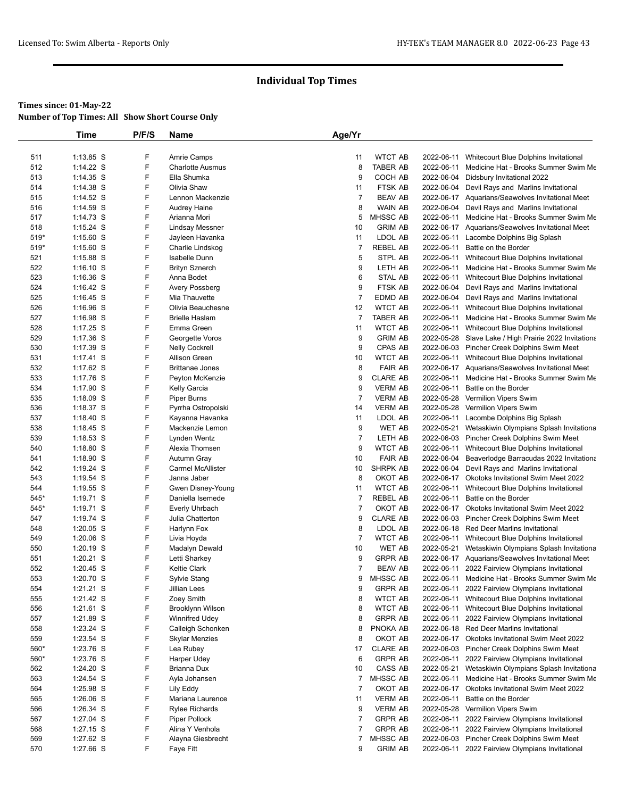|      | Time        | P/F/S | <b>Name</b>                             | Age/Yr         |                 |                                                       |
|------|-------------|-------|-----------------------------------------|----------------|-----------------|-------------------------------------------------------|
|      |             |       |                                         |                |                 |                                                       |
| 511  | 1:13.85 S   | F     | <b>Amrie Camps</b>                      | 11             | <b>WTCT AB</b>  | 2022-06-11 Whitecourt Blue Dolphins Invitational      |
| 512  | 1:14.22 S   | F     | <b>Charlotte Ausmus</b>                 | 8              | TABER AB        | 2022-06-11 Medicine Hat - Brooks Summer Swim Me       |
| 513  | 1:14.35 S   | F     | Ella Shumka                             | 9              | COCH AB         | 2022-06-04 Didsbury Invitational 2022                 |
| 514  | $1:14.38$ S | F.    | Olivia Shaw                             | 11             | FTSK AB         | 2022-06-04 Devil Rays and Marlins Invitational        |
| 515  | $1:14.52$ S | F     | Lennon Mackenzie                        | 7              | <b>BEAV AB</b>  | 2022-06-17 Aquarians/Seawolves Invitational Meet      |
| 516  | 1:14.59 S   | F     | <b>Audrey Haine</b>                     | 8              | <b>WAIN AB</b>  | 2022-06-04 Devil Rays and Marlins Invitational        |
| 517  | 1:14.73 S   | F.    | Arianna Mori                            | 5              | MHSSC AB        | 2022-06-11 Medicine Hat - Brooks Summer Swim Me       |
| 518  | $1:15.24$ S | F     | <b>Lindsay Messner</b>                  | 10             | <b>GRIM AB</b>  | 2022-06-17 Aquarians/Seawolves Invitational Meet      |
| 519* | $1:15.60$ S | F     | Jayleen Havanka                         | 11             | LDOL AB         | 2022-06-11 Lacombe Dolphins Big Splash                |
| 519* | $1:15.60$ S | F     | Charlie Lindskog                        | $\overline{7}$ | REBEL AB        | 2022-06-11 Battle on the Border                       |
| 521  | $1:15.88$ S | F     | Isabelle Dunn                           | 5              | STPL AB         | 2022-06-11 Whitecourt Blue Dolphins Invitational      |
| 522  | $1:16.10$ S | F     | <b>Brityn Sznerch</b>                   | 9              | LETH AB         | 2022-06-11 Medicine Hat - Brooks Summer Swim Me       |
| 523  | $1:16.36$ S | F     | Anna Bodet                              | 6              | STAL AB         | 2022-06-11 Whitecourt Blue Dolphins Invitational      |
| 524  | 1:16.42 S   | F     | Avery Possberg                          | 9              | FTSK AB         | 2022-06-04 Devil Rays and Marlins Invitational        |
| 525  | $1:16.45$ S | F     | Mia Thauvette                           | $\overline{7}$ | EDMD AB         | 2022-06-04 Devil Rays and Marlins Invitational        |
| 526  | $1:16.96$ S | F     | Olivia Beauchesne                       | 12             | <b>WTCT AB</b>  | 2022-06-11 Whitecourt Blue Dolphins Invitational      |
| 527  | $1:16.98$ S | F     | <b>Brielle Haslam</b>                   | $\overline{7}$ | TABER AB        | 2022-06-11 Medicine Hat - Brooks Summer Swim Me       |
| 528  | 1:17.25 S   | F     | Emma Green                              | 11             | <b>WTCT AB</b>  | 2022-06-11 Whitecourt Blue Dolphins Invitational      |
| 529  | $1:17.36$ S | F     | Georgette Voros                         | 9              | <b>GRIM AB</b>  | 2022-05-28 Slave Lake / High Prairie 2022 Invitationa |
| 530  | 1:17.39 S   | F     | <b>Nelly Cockrell</b>                   | 9              | CPAS AB         | 2022-06-03 Pincher Creek Dolphins Swim Meet           |
| 531  | $1:17.41$ S | F     | Allison Green                           | 10             | <b>WTCT AB</b>  | 2022-06-11 Whitecourt Blue Dolphins Invitational      |
| 532  | $1:17.62$ S | F     | <b>Brittanae Jones</b>                  | 8              | <b>FAIR AB</b>  | 2022-06-17 Aquarians/Seawolves Invitational Meet      |
| 533  | 1:17.76 S   | F     | Peyton McKenzie                         | 9              | <b>CLARE AB</b> | 2022-06-11 Medicine Hat - Brooks Summer Swim Me       |
| 534  | 1:17.90 S   | F     | Kelly Garcia                            | 9              | <b>VERM AB</b>  | 2022-06-11 Battle on the Border                       |
| 535  | $1:18.09$ S | F     | Piper Burns                             | $\overline{7}$ | <b>VERM AB</b>  | 2022-05-28 Vermilion Vipers Swim                      |
| 536  | 1:18.37 S   | F     | Pyrrha Ostropolski                      | 14             | <b>VERM AB</b>  | 2022-05-28 Vermilion Vipers Swim                      |
| 537  | $1:18.40$ S | F     | Kayanna Havanka                         | 11             | LDOL AB         | 2022-06-11 Lacombe Dolphins Big Splash                |
| 538  | $1:18.45$ S | F     | Mackenzie Lemon                         | 9              | <b>WET AB</b>   | 2022-05-21 Wetaskiwin Olympians Splash Invitationa    |
| 539  | 1:18.53 S   | F     | Lynden Wentz                            | $\overline{7}$ | LETH AB         | 2022-06-03 Pincher Creek Dolphins Swim Meet           |
| 540  | $1:18.80$ S | F     | Alexia Thomsen                          | 9              | <b>WTCT AB</b>  | 2022-06-11 Whitecourt Blue Dolphins Invitational      |
|      |             | F     |                                         | 10             | <b>FAIR AB</b>  | 2022-06-04 Beaverlodge Barracudas 2022 Invitationa    |
| 541  | $1:18.90$ S | F     | Autumn Gray<br><b>Carmel McAllister</b> |                | SHRPK AB        |                                                       |
| 542  | $1:19.24$ S | F     |                                         | 10             |                 | 2022-06-04 Devil Rays and Marlins Invitational        |
| 543  | $1:19.54$ S | F     | Janna Jaber                             | 8              | OKOT AB         | 2022-06-17 Okotoks Invitational Swim Meet 2022        |
| 544  | $1:19.55$ S |       | Gwen Disney-Young                       | 11             | <b>WTCT AB</b>  | 2022-06-11 Whitecourt Blue Dolphins Invitational      |
| 545* | 1:19.71 S   | F     | Daniella Isemede                        | 7              | <b>REBEL AB</b> | 2022-06-11 Battle on the Border                       |
| 545* | 1:19.71 S   | F     | Everly Uhrbach                          | $\overline{7}$ | OKOT AB         | 2022-06-17 Okotoks Invitational Swim Meet 2022        |
| 547  | $1:19.74$ S | F     | Julia Chatterton                        | 9              | <b>CLARE AB</b> | 2022-06-03 Pincher Creek Dolphins Swim Meet           |
| 548  | $1:20.05$ S | F     | Harlynn Fox                             | 8              | LDOL AB         | 2022-06-18 Red Deer Marlins Invitational              |
| 549  | $1:20.06$ S | F     | Livia Hoyda                             | $\overline{7}$ | <b>WTCT AB</b>  | 2022-06-11 Whitecourt Blue Dolphins Invitational      |
| 550  | $1:20.19$ S | F     | Madalyn Dewald                          | 10             | WET AB          | 2022-05-21 Wetaskiwin Olympians Splash Invitationa    |
| 551  | $1:20.21$ S | F     | Letti Sharkey                           | 9              | <b>GRPR AB</b>  | 2022-06-17 Aquarians/Seawolves Invitational Meet      |
| 552  | 1:20.45 S   | F     | <b>Keltie Clark</b>                     | 7              | <b>BEAV AB</b>  | 2022-06-11 2022 Fairview Olympians Invitational       |
| 553  | 1:20.70 S   | F     | Sylvie Stang                            | 9              | MHSSC AB        | 2022-06-11 Medicine Hat - Brooks Summer Swim Me       |
| 554  | 1:21.21 S   | F     | Jillian Lees                            | 9              | <b>GRPR AB</b>  | 2022-06-11 2022 Fairview Olympians Invitational       |
| 555  | 1:21.42 S   | F     | Zoey Smith                              | 8              | <b>WTCT AB</b>  | 2022-06-11 Whitecourt Blue Dolphins Invitational      |
| 556  | $1:21.61$ S | F     | Brooklynn Wilson                        | 8              | <b>WTCT AB</b>  | 2022-06-11 Whitecourt Blue Dolphins Invitational      |
| 557  | 1:21.89 S   | F     | <b>Winnifred Udey</b>                   | 8              | <b>GRPR AB</b>  | 2022-06-11 2022 Fairview Olympians Invitational       |
| 558  | $1:23.24$ S | F     | Calleigh Schonken                       | 8              | PNOKA AB        | 2022-06-18 Red Deer Marlins Invitational              |
| 559  | 1:23.54 S   | F     | <b>Skylar Menzies</b>                   | 8              | OKOT AB         | 2022-06-17 Okotoks Invitational Swim Meet 2022        |
| 560* | 1:23.76 S   | F     | Lea Rubey                               | 17             | <b>CLARE AB</b> | 2022-06-03 Pincher Creek Dolphins Swim Meet           |
| 560* | 1:23.76 S   | F     | Harper Udey                             | 6              | <b>GRPR AB</b>  | 2022-06-11 2022 Fairview Olympians Invitational       |
| 562  | 1:24.20 S   | F     | Brianna Dux                             | 10             | CASS AB         | 2022-05-21 Wetaskiwin Olympians Splash Invitationa    |
| 563  | 1:24.54 S   | F     | Ayla Johansen                           | 7              | MHSSC AB        | 2022-06-11 Medicine Hat - Brooks Summer Swim Me       |
| 564  | 1:25.98 S   | F     | Lily Eddy                               | $\overline{7}$ | OKOT AB         | 2022-06-17 Okotoks Invitational Swim Meet 2022        |
| 565  | $1:26.06$ S | F     | Mariana Laurence                        | 11             | <b>VERM AB</b>  | 2022-06-11 Battle on the Border                       |
| 566  | 1:26.34 S   | F     | <b>Rylee Richards</b>                   | 9              | <b>VERM AB</b>  | 2022-05-28 Vermilion Vipers Swim                      |
| 567  | 1:27.04 S   | F     | Piper Pollock                           | 7              | <b>GRPR AB</b>  | 2022-06-11 2022 Fairview Olympians Invitational       |
| 568  | $1:27.15$ S | F     | Alina Y Venhola                         | 7              | <b>GRPR AB</b>  | 2022-06-11 2022 Fairview Olympians Invitational       |
| 569  | 1:27.62 S   | F     | Alayna Giesbrecht                       | 7              | MHSSC AB        | 2022-06-03 Pincher Creek Dolphins Swim Meet           |
| 570  | 1:27.66 S   | F     | Faye Fitt                               | 9              | <b>GRIM AB</b>  | 2022-06-11 2022 Fairview Olympians Invitational       |
|      |             |       |                                         |                |                 |                                                       |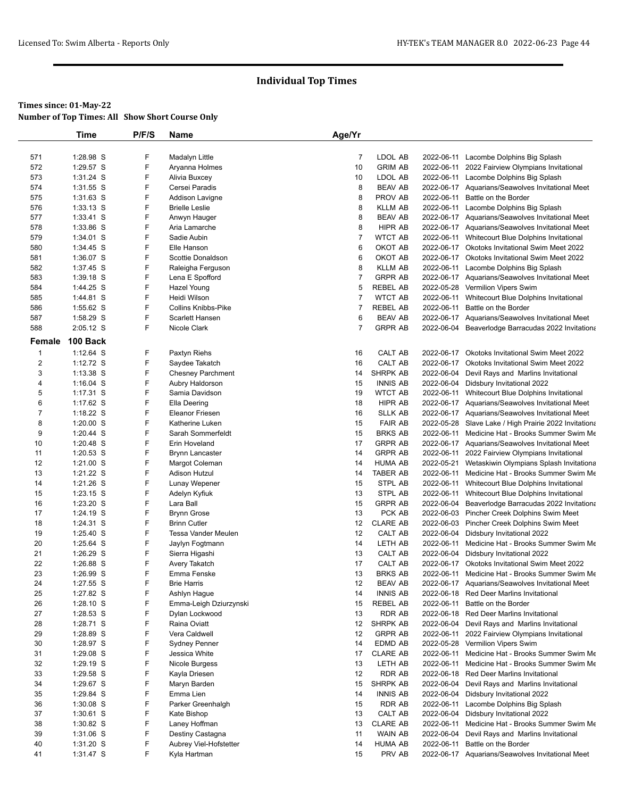|                | <b>Time</b>              | P/F/S       | Name                         | Age/Yr         |                   |                          |                                                                                        |
|----------------|--------------------------|-------------|------------------------------|----------------|-------------------|--------------------------|----------------------------------------------------------------------------------------|
|                |                          |             |                              |                |                   |                          |                                                                                        |
| 571            | 1:28.98 S                | F           | Madalyn Little               | $\overline{7}$ | LDOL AB           |                          | 2022-06-11 Lacombe Dolphins Big Splash                                                 |
| 572            | 1:29.57 S                | F           | Aryanna Holmes               | 10             | <b>GRIM AB</b>    |                          | 2022-06-11 2022 Fairview Olympians Invitational                                        |
| 573            | 1:31.24 S                | F           | Alivia Buxcey                | 10             | LDOL AB           |                          | 2022-06-11 Lacombe Dolphins Big Splash                                                 |
| 574            | 1:31.55 S                | F           | Cersei Paradis               | 8              | <b>BEAV AB</b>    |                          | 2022-06-17 Aquarians/Seawolves Invitational Meet                                       |
| 575            | $1:31.63$ S              | F           | Addison Lavigne              | 8              | PROV AB           |                          | 2022-06-11 Battle on the Border                                                        |
| 576            | 1:33.13 S                | F           | <b>Brielle Leslie</b>        | 8              | <b>KLLM AB</b>    |                          | 2022-06-11 Lacombe Dolphins Big Splash                                                 |
| 577            | $1:33.41$ S              | F           | Anwyn Hauger                 | 8              | <b>BEAV AB</b>    |                          | 2022-06-17 Aquarians/Seawolves Invitational Meet                                       |
| 578            | 1:33.86 S                | F           | Aria Lamarche                | 8              | HIPR AB           |                          | 2022-06-17 Aquarians/Seawolves Invitational Meet                                       |
| 579            | 1:34.01 S                | F           | Sadie Aubin                  | $\overline{7}$ | <b>WTCT AB</b>    |                          | 2022-06-11 Whitecourt Blue Dolphins Invitational                                       |
| 580            | 1:34.45 S                | F           | Elle Hanson                  | 6              | OKOT AB           |                          | 2022-06-17 Okotoks Invitational Swim Meet 2022                                         |
| 581            | 1:36.07 S                | F           | Scottie Donaldson            | 6              | OKOT AB           |                          | 2022-06-17 Okotoks Invitational Swim Meet 2022                                         |
| 582            | 1:37.45 S                | F           | Raleigha Ferguson            | 8              | <b>KLLM AB</b>    |                          | 2022-06-11 Lacombe Dolphins Big Splash                                                 |
| 583            | 1:39.18 S                | F           | Lena E Spofford              | $\overline{7}$ | <b>GRPR AB</b>    |                          | 2022-06-17 Aquarians/Seawolves Invitational Meet                                       |
| 584            | 1:44.25 S                | F           | Hazel Young                  | 5              | <b>REBEL AB</b>   |                          | 2022-05-28 Vermilion Vipers Swim                                                       |
| 585            | 1:44.81 S                | F           | Heidi Wilson                 | $\overline{7}$ | <b>WTCT AB</b>    |                          | 2022-06-11 Whitecourt Blue Dolphins Invitational                                       |
| 586            | 1:55.62 S                | F           | <b>Collins Knibbs-Pike</b>   | $\overline{7}$ | <b>REBEL AB</b>   |                          | 2022-06-11 Battle on the Border                                                        |
| 587            | 1:58.29 S                | F           | Scarlett Hansen              | 6              | <b>BEAV AB</b>    |                          | 2022-06-17 Aquarians/Seawolves Invitational Meet                                       |
| 588            | 2:05.12 S                | F           | Nicole Clark                 | $\overline{7}$ | <b>GRPR AB</b>    |                          | 2022-06-04 Beaverlodge Barracudas 2022 Invitationa                                     |
| Female         | 100 Back                 |             |                              |                |                   |                          |                                                                                        |
| $\mathbf{1}$   | $1:12.64$ S              | F           | Paxtyn Riehs                 | 16             | CALT AB           | 2022-06-17               | Okotoks Invitational Swim Meet 2022                                                    |
| $\overline{c}$ | 1:12.72 S                | F           | Saydee Takatch               | 16             | CALT AB           |                          | 2022-06-17 Okotoks Invitational Swim Meet 2022                                         |
| 3              | 1:13.38 S                | F           | <b>Chesney Parchment</b>     | 14             | SHRPK AB          | 2022-06-04               | Devil Rays and Marlins Invitational                                                    |
| 4              | $1:16.04$ S              | F           | Aubry Haldorson              | 15             | <b>INNIS AB</b>   |                          | 2022-06-04 Didsbury Invitational 2022                                                  |
| 5              | 1:17.31 S                | F           | Samia Davidson               | 19             | <b>WTCT AB</b>    |                          | 2022-06-11 Whitecourt Blue Dolphins Invitational                                       |
| 6              | 1:17.62 S                | F           | Ella Deering                 | 18             | HIPR AB           |                          | 2022-06-17 Aquarians/Seawolves Invitational Meet                                       |
| $\overline{7}$ | 1:18.22 S                | F           | <b>Eleanor Friesen</b>       | 16             | <b>SLLK AB</b>    |                          | 2022-06-17 Aquarians/Seawolves Invitational Meet                                       |
| 8              | $1:20.00$ S              | F           | Katherine Luken              | 15             | <b>FAIR AB</b>    |                          | 2022-05-28 Slave Lake / High Prairie 2022 Invitationa                                  |
| 9              | $1:20.44$ S              | F           | Sarah Sommerfeldt            | 15             | <b>BRKS AB</b>    |                          | 2022-06-11 Medicine Hat - Brooks Summer Swim Me                                        |
| 10             | 1:20.48 S                | F           | Erin Hoveland                | 17             | <b>GRPR AB</b>    |                          | 2022-06-17 Aquarians/Seawolves Invitational Meet                                       |
| 11             | 1:20.53 S                | F           | <b>Brynn Lancaster</b>       | 14             | <b>GRPR AB</b>    |                          | 2022-06-11 2022 Fairview Olympians Invitational                                        |
| 12             | $1:21.00$ S              | F           | Margot Coleman               | 14             | <b>HUMA AB</b>    |                          | 2022-05-21 Wetaskiwin Olympians Splash Invitationa                                     |
| 13             | 1:21.22 S                | F           | Adison Hutzul                | 14             | <b>TABER AB</b>   |                          | 2022-06-11 Medicine Hat - Brooks Summer Swim Me                                        |
| 14             | 1:21.26 S                | F           | Lunay Wepener                | 15             | STPL AB           |                          | 2022-06-11 Whitecourt Blue Dolphins Invitational                                       |
| 15             | 1:23.15 S                | F           | Adelyn Kyfiuk                | 13             | STPL AB           |                          | 2022-06-11 Whitecourt Blue Dolphins Invitational                                       |
| 16             | 1:23.20 S                | F           | Lara Ball                    | 15             | <b>GRPR AB</b>    |                          | 2022-06-04 Beaverlodge Barracudas 2022 Invitationa                                     |
| 17             | 1:24.19 S                | F           | <b>Brynn Grose</b>           | 13             | PCK AB            |                          | 2022-06-03 Pincher Creek Dolphins Swim Meet                                            |
| 18             | 1:24.31 S                | F           | <b>Brinn Cutler</b>          | 12             | <b>CLARE AB</b>   |                          | 2022-06-03 Pincher Creek Dolphins Swim Meet                                            |
| 19             | 1:25.40 S                | F           | Tessa Vander Meulen          | 12             | <b>CALT AB</b>    |                          | 2022-06-04 Didsbury Invitational 2022                                                  |
| 20             | 1:25.64 S                | F           | Jaylyn Fogtmann              | 14             | LETH AB           |                          | 2022-06-11 Medicine Hat - Brooks Summer Swim Me                                        |
| 21             | 1:26.29 S                | F           | Sierra Higashi               | 13             | CALT AB           |                          | 2022-06-04 Didsbury Invitational 2022                                                  |
| 22             | 1:26.88 S                | F           | Avery Takatch                | 17             | CALT AB           | 2022-06-17               | Okotoks Invitational Swim Meet 2022                                                    |
| 23             | 1:26.99 S                | F           | Emma Fenske                  | 13             | <b>BRKS AB</b>    |                          | 2022-06-11 Medicine Hat - Brooks Summer Swim Me                                        |
| 24             | 1:27.55 S                | $\mathsf F$ | <b>Brie Harris</b>           | 12             | <b>BEAV AB</b>    |                          | 2022-06-17 Aquarians/Seawolves Invitational Meet                                       |
| 25             | 1:27.82 S                | F           | Ashlyn Hague                 | 14             | <b>INNIS AB</b>   |                          | 2022-06-18 Red Deer Marlins Invitational                                               |
| 26             | $1:28.10$ S              | F           | Emma-Leigh Dziurzynski       | 15             | <b>REBEL AB</b>   | 2022-06-11               | Battle on the Border                                                                   |
| 27             | 1:28.53 S                | F           | Dylan Lockwood               | 13             | RDR AB            |                          | 2022-06-18 Red Deer Marlins Invitational                                               |
| 28             | 1:28.71 S                | F           | Raina Oviatt                 | 12             | SHRPK AB          |                          | 2022-06-04 Devil Rays and Marlins Invitational                                         |
| 29             | 1:28.89 S                | F<br>F      | Vera Caldwell                | 12             | <b>GRPR AB</b>    |                          | 2022-06-11 2022 Fairview Olympians Invitational                                        |
| 30             | 1:28.97 S                |             | <b>Sydney Penner</b>         | 14             | EDMD AB           |                          | 2022-05-28 Vermilion Vipers Swim                                                       |
| 31             | 1:29.08 S                | F<br>F      | Jessica White                | 17             | <b>CLARE AB</b>   |                          | 2022-06-11 Medicine Hat - Brooks Summer Swim Me                                        |
| 32             | 1:29.19 S<br>1:29.58 S   | F           | Nicole Burgess               | 13             | LETH AB<br>RDR AB |                          | 2022-06-11 Medicine Hat - Brooks Summer Swim Me                                        |
| 33             |                          | F           | Kayla Driesen                | 12             |                   |                          | 2022-06-18 Red Deer Marlins Invitational<br>Devil Rays and Marlins Invitational        |
| 34             | 1:29.67 S                | F           | Maryn Barden                 | 15             | SHRPK AB          | 2022-06-04<br>2022-06-04 | Didsbury Invitational 2022                                                             |
| 35             | 1:29.84 S                | F           | Emma Lien                    | 14             | <b>INNIS AB</b>   |                          |                                                                                        |
| 36<br>37       | $1:30.08$ S<br>1:30.61 S | F           | Parker Greenhalgh            | 15<br>13       | RDR AB<br>CALT AB |                          | 2022-06-11 Lacombe Dolphins Big Splash                                                 |
|                |                          | F           | Kate Bishop<br>Laney Hoffman | 13             | <b>CLARE AB</b>   |                          | 2022-06-04 Didsbury Invitational 2022                                                  |
| 38<br>39       | $1:30.82$ S<br>1:31.06 S | F           | Destiny Castagna             | 11             | WAIN AB           | 2022-06-04               | 2022-06-11 Medicine Hat - Brooks Summer Swim Me<br>Devil Rays and Marlins Invitational |
| 40             | 1:31.20 S                | F           | Aubrey Viel-Hofstetter       | 14             | <b>HUMA AB</b>    | 2022-06-11               | Battle on the Border                                                                   |
| 41             | 1:31.47 S                | F           | Kyla Hartman                 | 15             | PRV AB            |                          | 2022-06-17 Aquarians/Seawolves Invitational Meet                                       |
|                |                          |             |                              |                |                   |                          |                                                                                        |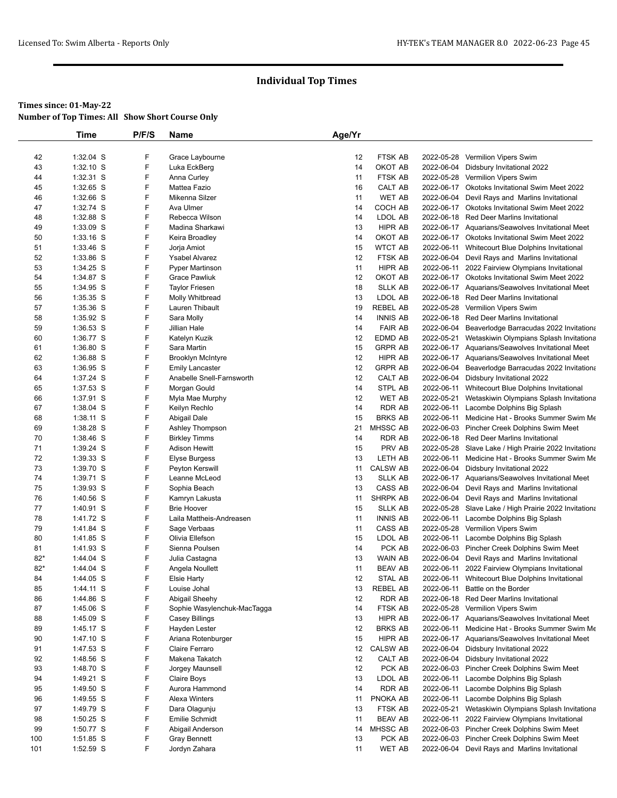|          | <b>Time</b>            | P/F/S  | Name                              | Age/Yr   |                           |            |                                                                                              |
|----------|------------------------|--------|-----------------------------------|----------|---------------------------|------------|----------------------------------------------------------------------------------------------|
|          |                        |        |                                   |          |                           |            |                                                                                              |
| 42       | $1:32.04$ S            | F      | Grace Laybourne                   | 12       | <b>FTSK AB</b>            | 2022-05-28 | <b>Vermilion Vipers Swim</b>                                                                 |
| 43       | $1:32.10$ S            | F      | Luka EckBerg                      | 14       | OKOT AB                   | 2022-06-04 | Didsbury Invitational 2022                                                                   |
| 44       | 1:32.31 S              | F      | Anna Curley                       | 11       | <b>FTSK AB</b>            |            | 2022-05-28 Vermilion Vipers Swim                                                             |
| 45       | 1:32.65 S              | F      | Mattea Fazio                      | 16       | CALT AB                   | 2022-06-17 | Okotoks Invitational Swim Meet 2022                                                          |
| 46       | 1:32.66 S              | F      | Mikenna Silzer                    | 11       | <b>WET AB</b>             | 2022-06-04 | Devil Rays and Marlins Invitational                                                          |
| 47       | 1:32.74 S              | F      | Ava Ulmer                         | 14       | COCH AB                   |            | 2022-06-17 Okotoks Invitational Swim Meet 2022                                               |
| 48       | 1:32.88 S<br>1:33.09 S | F<br>F | Rebecca Wilson<br>Madina Sharkawi | 14<br>13 | LDOL AB<br>HIPR AB        |            | 2022-06-18 Red Deer Marlins Invitational<br>2022-06-17 Aquarians/Seawolves Invitational Meet |
| 49<br>50 | $1:33.16$ S            | F      | Keira Broadley                    | 14       | OKOT AB                   |            | 2022-06-17 Okotoks Invitational Swim Meet 2022                                               |
| 51       | 1:33.46 S              | F      | Jorja Amiot                       | 15       | <b>WTCT AB</b>            |            | 2022-06-11 Whitecourt Blue Dolphins Invitational                                             |
| 52       | 1:33.86 S              | F      | <b>Ysabel Alvarez</b>             | 12       | FTSK AB                   | 2022-06-04 | Devil Rays and Marlins Invitational                                                          |
| 53       | 1:34.25 S              | F      | <b>Pyper Martinson</b>            | 11       | HIPR AB                   |            | 2022-06-11 2022 Fairview Olympians Invitational                                              |
| 54       | 1:34.87 S              | F      | Grace Pawliuk                     | 12       | OKOT AB                   |            | 2022-06-17 Okotoks Invitational Swim Meet 2022                                               |
| 55       | 1:34.95 S              | F      | <b>Taylor Friesen</b>             | 18       | <b>SLLK AB</b>            |            | 2022-06-17 Aquarians/Seawolves Invitational Meet                                             |
| 56       | 1:35.35 S              | F      | Molly Whitbread                   | 13       | LDOL AB                   |            | 2022-06-18 Red Deer Marlins Invitational                                                     |
| 57       | 1:35.36 S              | F      | Lauren Thibault                   | 19       | <b>REBEL AB</b>           |            | 2022-05-28 Vermilion Vipers Swim                                                             |
| 58       | 1:35.92 S              | F      | Sara Molly                        | 14       | <b>INNIS AB</b>           |            | 2022-06-18 Red Deer Marlins Invitational                                                     |
| 59       | 1:36.53 S              | F      | Jillian Hale                      | 14       | <b>FAIR AB</b>            | 2022-06-04 | Beaverlodge Barracudas 2022 Invitationa                                                      |
| 60       | 1:36.77 S              | F      | Katelyn Kuzik                     | 12       | EDMD AB                   | 2022-05-21 | Wetaskiwin Olympians Splash Invitationa                                                      |
| 61       | 1:36.80 S              | F      | Sara Martin                       | 15       | <b>GRPR AB</b>            |            | 2022-06-17 Aquarians/Seawolves Invitational Meet                                             |
| 62       | 1:36.88 S              | F      | <b>Brooklyn McIntyre</b>          | 12       | HIPR AB                   |            | 2022-06-17 Aquarians/Seawolves Invitational Meet                                             |
| 63       | 1:36.95 S              | F      | <b>Emily Lancaster</b>            | 12       | <b>GRPR AB</b>            | 2022-06-04 | Beaverlodge Barracudas 2022 Invitationa                                                      |
| 64       | $1:37.24$ S            | F      | Anabelle Snell-Farnsworth         | 12       | CALT AB                   |            | 2022-06-04 Didsbury Invitational 2022                                                        |
| 65       | 1:37.53 S              | F      | Morgan Gould                      | 14       | STPL AB                   |            | 2022-06-11 Whitecourt Blue Dolphins Invitational                                             |
| 66       | 1:37.91 S              | F      | Myla Mae Murphy                   | 12       | <b>WET AB</b>             |            | 2022-05-21 Wetaskiwin Olympians Splash Invitationa                                           |
| 67       | $1:38.04$ S            | F      | Keilyn Rechlo                     | 14       | <b>RDR AB</b>             |            | 2022-06-11 Lacombe Dolphins Big Splash                                                       |
| 68       | 1:38.11 S              | F      | Abigail Dale                      | 15       | <b>BRKS AB</b>            |            | 2022-06-11 Medicine Hat - Brooks Summer Swim Me                                              |
| 69       | 1:38.28 S              | F      | Ashley Thompson                   | 21       | MHSSC AB                  |            | 2022-06-03 Pincher Creek Dolphins Swim Meet                                                  |
| 70       | 1:38.46 S              | F      | <b>Birkley Timms</b>              | 14       | <b>RDR AB</b>             |            | 2022-06-18 Red Deer Marlins Invitational                                                     |
| 71       | 1:39.24 S              | F      | Adison Hewitt                     | 15       | PRV AB                    |            | 2022-05-28 Slave Lake / High Prairie 2022 Invitationa                                        |
| 72       | 1:39.33 S              | F      | Elyse Burgess                     | 13       | LETH AB                   |            | 2022-06-11 Medicine Hat - Brooks Summer Swim Me                                              |
| 73       | 1:39.70 S              | F      | Peyton Kerswill                   | 11       | <b>CALSW AB</b>           | 2022-06-04 | Didsbury Invitational 2022                                                                   |
| 74       | 1:39.71 S              | F      | Leanne McLeod                     | 13       | <b>SLLK AB</b>            |            | 2022-06-17 Aquarians/Seawolves Invitational Meet                                             |
| 75       | $1:39.93$ S            | F      | Sophia Beach                      | 13       | CASS AB                   |            | 2022-06-04 Devil Rays and Marlins Invitational                                               |
| 76       | 1:40.56 S              | F      | Kamryn Lakusta                    | 11       | SHRPK AB                  |            | 2022-06-04 Devil Rays and Marlins Invitational                                               |
| 77       | 1:40.91 S              | F      | <b>Brie Hoover</b>                | 15       | <b>SLLK AB</b>            |            | 2022-05-28 Slave Lake / High Prairie 2022 Invitationa                                        |
| 78       | 1:41.72 S              | F      | Laila Mattheis-Andreasen          | 11       | <b>INNIS AB</b>           |            | 2022-06-11 Lacombe Dolphins Big Splash                                                       |
| 79       | 1:41.84 S              | F      | Sage Verbaas                      | 11       | CASS AB                   |            | 2022-05-28 Vermilion Vipers Swim                                                             |
| 80       | 1:41.85 S              | F      | Olivia Ellefson                   | 15       | LDOL AB                   |            | 2022-06-11 Lacombe Dolphins Big Splash                                                       |
| 81       | 1:41.93 S              | F      | Sienna Poulsen                    | 14       | PCK AB                    |            | 2022-06-03 Pincher Creek Dolphins Swim Meet                                                  |
| $82*$    | 1:44.04 S              | F      | Julia Castagna                    | 13       | WAIN AB                   |            | 2022-06-04 Devil Rays and Marlins Invitational                                               |
| $82*$    | 1:44.04 S              | F      | Angela Noullett                   | 11       | <b>BEAV AB</b>            |            | 2022-06-11 2022 Fairview Olympians Invitational                                              |
| 84       | 1:44.05 S              | F      | Elsie Harty                       | 12       | STAL AB                   |            | 2022-06-11 Whitecourt Blue Dolphins Invitational                                             |
| 85       | 1:44.11 S              | F      | Louise Johal                      | 13       | <b>REBEL AB</b>           |            | 2022-06-11 Battle on the Border                                                              |
| 86       | 1:44.86 S              | F      | Abigail Sheehy                    | 12       | <b>RDR AB</b>             |            | 2022-06-18 Red Deer Marlins Invitational                                                     |
| 87       | 1:45.06 S              | F      | Sophie Wasylenchuk-MacTagga       | 14       | FTSK AB                   |            | 2022-05-28 Vermilion Vipers Swim                                                             |
| 88       | 1:45.09 S              | F      | Casey Billings                    | 13       | HIPR AB                   |            | 2022-06-17 Aquarians/Seawolves Invitational Meet                                             |
| 89       | 1:45.17 S              | F      | Hayden Lester                     | 12       | <b>BRKS AB</b>            |            | 2022-06-11 Medicine Hat - Brooks Summer Swim Me                                              |
| 90       | 1:47.10 S              | F<br>F | Ariana Rotenburger                | 15       | HIPR AB                   |            | 2022-06-17 Aquarians/Seawolves Invitational Meet                                             |
| 91       | 1:47.53 S              | F      | Claire Ferraro                    | 12       | <b>CALSW AB</b>           | 2022-06-04 | 2022-06-04 Didsbury Invitational 2022                                                        |
| 92       | 1:48.56 S              | F      | Makena Takatch                    | 12       | CALT AB                   |            | Didsbury Invitational 2022                                                                   |
| 93       | 1:48.70 S<br>1:49.21 S | F      | Jorgey Maunsell                   | 12<br>13 | PCK AB                    |            | 2022-06-03 Pincher Creek Dolphins Swim Meet                                                  |
| 94       |                        | F      | Claire Boys                       |          | LDOL AB<br><b>RDR AB</b>  |            | 2022-06-11 Lacombe Dolphins Big Splash                                                       |
| 95       | 1:49.50 S              | F      | Aurora Hammond                    | 14       |                           |            | 2022-06-11 Lacombe Dolphins Big Splash                                                       |
| 96       | 1:49.55 S              | F      | Alexa Winters                     | 11       | PNOKA AB                  |            | 2022-06-11 Lacombe Dolphins Big Splash<br>2022-05-21 Wetaskiwin Olympians Splash Invitationa |
| 97       | 1:49.79 S<br>1:50.25 S | F      | Dara Olagunju                     | 13<br>11 | FTSK AB<br><b>BEAV AB</b> |            |                                                                                              |
| 98       |                        | F      | Emilie Schmidt                    |          |                           |            | 2022-06-11 2022 Fairview Olympians Invitational                                              |
| 99       | 1:50.77 S              | F      | Abigail Anderson                  | 14<br>13 | MHSSC AB<br>PCK AB        |            | 2022-06-03 Pincher Creek Dolphins Swim Meet<br>2022-06-03 Pincher Creek Dolphins Swim Meet   |
| 100      | 1:51.85 S<br>1:52.59 S | F      | <b>Gray Bennett</b>               |          | <b>WET AB</b>             |            |                                                                                              |
| 101      |                        |        | Jordyn Zahara                     | 11       |                           |            | 2022-06-04 Devil Rays and Marlins Invitational                                               |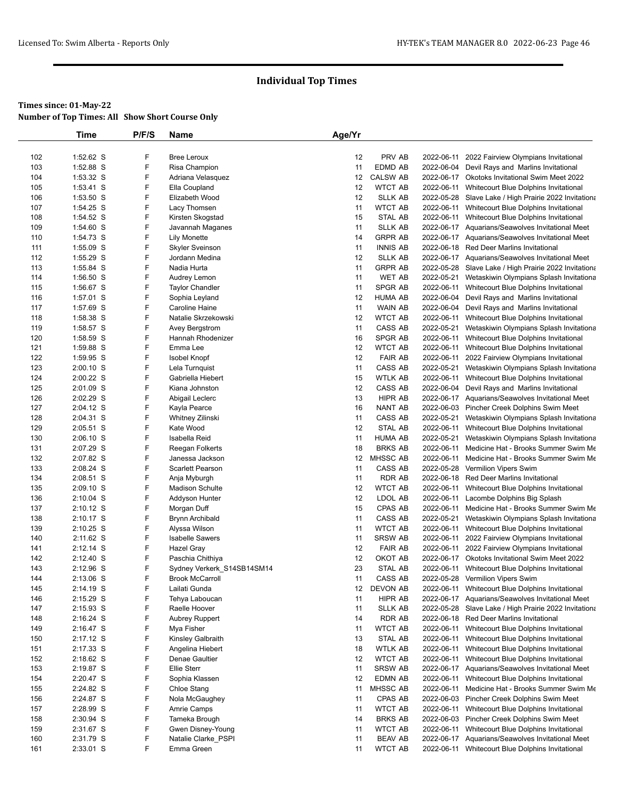# **Times since: 01-May-22**

|     | Time      | P/F/S | <b>Name</b>                             | Age/Yr |                           |            |                                                       |
|-----|-----------|-------|-----------------------------------------|--------|---------------------------|------------|-------------------------------------------------------|
|     |           |       |                                         |        |                           |            |                                                       |
| 102 | 1:52.62 S | F     | <b>Bree Leroux</b>                      | 12     | PRV AB                    |            | 2022-06-11 2022 Fairview Olympians Invitational       |
| 103 | 1:52.88 S | F     | Risa Champion                           | 11     | EDMD AB                   |            | 2022-06-04 Devil Rays and Marlins Invitational        |
| 104 | 1:53.32 S | F     | Adriana Velasquez                       | 12     | <b>CALSW AB</b>           |            | 2022-06-17 Okotoks Invitational Swim Meet 2022        |
| 105 | 1:53.41 S | F     | Ella Coupland                           | 12     | <b>WTCT AB</b>            |            | 2022-06-11 Whitecourt Blue Dolphins Invitational      |
| 106 | 1:53.50 S | F     | Elizabeth Wood                          | 12     | <b>SLLK AB</b>            |            | 2022-05-28 Slave Lake / High Prairie 2022 Invitationa |
| 107 | 1:54.25 S | F     | Lacy Thomsen                            | 11     | <b>WTCT AB</b>            |            | 2022-06-11 Whitecourt Blue Dolphins Invitational      |
| 108 | 1:54.52 S | F     | Kirsten Skogstad                        | 15     | STAL AB                   |            | 2022-06-11 Whitecourt Blue Dolphins Invitational      |
| 109 | 1:54.60 S | F     | Javannah Maganes                        | 11     | <b>SLLK AB</b>            |            | 2022-06-17 Aquarians/Seawolves Invitational Meet      |
| 110 | 1:54.73 S | F     | <b>Lily Monette</b>                     | 14     | <b>GRPR AB</b>            |            | 2022-06-17 Aquarians/Seawolves Invitational Meet      |
| 111 | 1:55.09 S | F     | <b>Skyler Sveinson</b>                  | 11     | <b>INNIS AB</b>           |            | 2022-06-18 Red Deer Marlins Invitational              |
| 112 | 1:55.29 S | F     | Jordann Medina                          | 12     | <b>SLLK AB</b>            |            | 2022-06-17 Aquarians/Seawolves Invitational Meet      |
| 113 | 1:55.84 S | F     | Nadia Hurta                             | 11     | <b>GRPR AB</b>            |            | 2022-05-28 Slave Lake / High Prairie 2022 Invitationa |
| 114 | 1:56.50 S | F     | Audrey Lemon                            | 11     | <b>WET AB</b>             | 2022-05-21 | Wetaskiwin Olympians Splash Invitationa               |
| 115 | 1:56.67 S | F     | <b>Taylor Chandler</b>                  | 11     | SPGR AB                   | 2022-06-11 | Whitecourt Blue Dolphins Invitational                 |
| 116 | 1:57.01 S | F     | Sophia Leyland                          | 12     | <b>HUMA AB</b>            |            | 2022-06-04 Devil Rays and Marlins Invitational        |
| 117 | 1:57.69 S | F     | Caroline Haine                          | 11     | WAIN AB                   | 2022-06-04 | Devil Rays and Marlins Invitational                   |
| 118 | 1:58.38 S | F     | Natalie Skrzekowski                     | 12     | <b>WTCT AB</b>            | 2022-06-11 | Whitecourt Blue Dolphins Invitational                 |
| 119 | 1:58.57 S | F     | Avey Bergstrom                          | 11     | CASS AB                   | 2022-05-21 | Wetaskiwin Olympians Splash Invitationa               |
| 120 | 1:58.59 S | F     | Hannah Rhodenizer                       | 16     | SPGR AB                   |            | 2022-06-11 Whitecourt Blue Dolphins Invitational      |
| 121 | 1:59.88 S | F     | Emma Lee                                | 12     | <b>WTCT AB</b>            | 2022-06-11 | Whitecourt Blue Dolphins Invitational                 |
| 122 | 1:59.95 S | F     | <b>Isobel Knopf</b>                     | 12     | <b>FAIR AB</b>            |            | 2022-06-11 2022 Fairview Olympians Invitational       |
| 123 | 2:00.10 S | F     | Lela Turnquist                          | 11     | CASS AB                   | 2022-05-21 | Wetaskiwin Olympians Splash Invitationa               |
| 124 | 2:00.22 S | F     | Gabriella Hiebert                       | 15     | <b>WTLK AB</b>            | 2022-06-11 | Whitecourt Blue Dolphins Invitational                 |
| 125 | 2:01.09 S | F     | Kiana Johnston                          | 12     | CASS AB                   | 2022-06-04 | Devil Rays and Marlins Invitational                   |
| 126 | 2:02.29 S | F     | Abigail Leclerc                         | 13     | HIPR AB                   |            | 2022-06-17 Aquarians/Seawolves Invitational Meet      |
| 127 | 2:04.12 S | F     | Kayla Pearce                            | 16     | NANT AB                   |            | 2022-06-03 Pincher Creek Dolphins Swim Meet           |
| 128 | 2:04.31 S | F     | Whitney Zilinski                        | 11     | CASS AB                   |            | 2022-05-21 Wetaskiwin Olympians Splash Invitationa    |
| 129 | 2:05.51 S | F     | Kate Wood                               | 12     | STAL AB                   |            | 2022-06-11 Whitecourt Blue Dolphins Invitational      |
| 130 | 2:06.10 S | F     | Isabella Reid                           | 11     | <b>HUMA AB</b>            | 2022-05-21 | Wetaskiwin Olympians Splash Invitationa               |
| 131 | 2:07.29 S | F     | Reegan Folkerts                         | 18     | <b>BRKS AB</b>            |            | 2022-06-11 Medicine Hat - Brooks Summer Swim Me       |
| 132 | 2:07.82 S | F     | Janessa Jackson                         | 12     | MHSSC AB                  |            | 2022-06-11 Medicine Hat - Brooks Summer Swim Me       |
| 133 | 2:08.24 S | F     | <b>Scarlett Pearson</b>                 | 11     | CASS AB                   |            | 2022-05-28 Vermilion Vipers Swim                      |
| 134 | 2:08.51 S | F     | Anja Myburgh                            | 11     | <b>RDR AB</b>             |            | 2022-06-18 Red Deer Marlins Invitational              |
| 135 | 2:09.10 S | F     | <b>Madison Schulte</b>                  | 12     | <b>WTCT AB</b>            | 2022-06-11 | Whitecourt Blue Dolphins Invitational                 |
| 136 | 2:10.04 S | F     | Addyson Hunter                          | 12     | LDOL AB                   |            | 2022-06-11 Lacombe Dolphins Big Splash                |
| 137 | 2:10.12 S | F     | Morgan Duff                             | 15     | CPAS AB                   |            | 2022-06-11 Medicine Hat - Brooks Summer Swim Me       |
| 138 | 2:10.17 S | F     | <b>Brynn Archibald</b>                  | 11     | CASS AB                   | 2022-05-21 |                                                       |
| 139 | 2:10.25 S | F     |                                         | 11     | <b>WTCT AB</b>            |            | Wetaskiwin Olympians Splash Invitationa               |
|     |           | F     | Alyssa Wilson<br><b>Isabelle Sawers</b> | 11     |                           |            | 2022-06-11 Whitecourt Blue Dolphins Invitational      |
| 140 | 2:11.62 S | F     |                                         | 12     | <b>SRSW AB</b>            | 2022-06-11 | 2022 Fairview Olympians Invitational                  |
| 141 | 2:12.14 S |       | Hazel Gray                              |        | <b>FAIR AB</b><br>OKOT AB |            | 2022-06-11 2022 Fairview Olympians Invitational       |
| 142 | 2:12.40 S | F     | Paschia Chithiya                        | 12     |                           |            | 2022-06-17 Okotoks Invitational Swim Meet 2022        |
| 143 | 2:12.96 S | F     | Sydney Verkerk_S14SB14SM14              | 23     | STAL AB                   | 2022-06-11 | Whitecourt Blue Dolphins Invitational                 |
| 144 | 2:13.06 S | F     | <b>Brook McCarroll</b>                  | 11     | CASS AB                   |            | 2022-05-28 Vermilion Vipers Swim                      |
| 145 | 2:14.19 S | F     | Lailati Gunda                           | 12     | DEVON AB                  |            | 2022-06-11 Whitecourt Blue Dolphins Invitational      |
| 146 | 2:15.29 S | F     | Tehya Laboucan                          | 11     | HIPR AB                   |            | 2022-06-17 Aquarians/Seawolves Invitational Meet      |
| 147 | 2:15.93 S | F     | Raelle Hoover                           | 11     | <b>SLLK AB</b>            |            | 2022-05-28 Slave Lake / High Prairie 2022 Invitationa |
| 148 | 2:16.24 S | F     | <b>Aubrey Ruppert</b>                   | 14     | RDR AB                    |            | 2022-06-18 Red Deer Marlins Invitational              |
| 149 | 2:16.47 S | F     | Mya Fisher                              | 11     | WTCT AB                   |            | 2022-06-11 Whitecourt Blue Dolphins Invitational      |
| 150 | 2:17.12 S | F     | Kinsley Galbraith                       | 13     | STAL AB                   |            | 2022-06-11 Whitecourt Blue Dolphins Invitational      |
| 151 | 2:17.33 S | F     | Angelina Hiebert                        | 18     | <b>WTLK AB</b>            |            | 2022-06-11 Whitecourt Blue Dolphins Invitational      |
| 152 | 2:18.62 S | F     | Denae Gaultier                          | 12     | <b>WTCT AB</b>            | 2022-06-11 | Whitecourt Blue Dolphins Invitational                 |
| 153 | 2:19.87 S | F     | Ellie Sterr                             | 11     | <b>SRSW AB</b>            |            | 2022-06-17 Aquarians/Seawolves Invitational Meet      |
| 154 | 2:20.47 S | F     | Sophia Klassen                          | 12     | EDMN AB                   |            | 2022-06-11 Whitecourt Blue Dolphins Invitational      |
| 155 | 2:24.82 S | F     | Chloe Stang                             | 11     | MHSSC AB                  |            | 2022-06-11 Medicine Hat - Brooks Summer Swim Me       |
| 156 | 2:24.87 S | F     | Nola McGaughey                          | 11     | CPAS AB                   |            | 2022-06-03 Pincher Creek Dolphins Swim Meet           |
| 157 | 2:28.99 S | F     | <b>Amrie Camps</b>                      | 11     | <b>WTCT AB</b>            |            | 2022-06-11 Whitecourt Blue Dolphins Invitational      |
| 158 | 2:30.94 S | F     | Tameka Brough                           | 14     | <b>BRKS AB</b>            |            | 2022-06-03 Pincher Creek Dolphins Swim Meet           |
| 159 | 2:31.67 S | F     | Gwen Disney-Young                       | 11     | <b>WTCT AB</b>            | 2022-06-11 | Whitecourt Blue Dolphins Invitational                 |
| 160 | 2:31.79 S | F     | Natalie Clarke_PSPI                     | 11     | <b>BEAV AB</b>            |            | 2022-06-17 Aquarians/Seawolves Invitational Meet      |
| 161 | 2:33.01 S | F     | Emma Green                              | 11     | WTCT AB                   |            | 2022-06-11 Whitecourt Blue Dolphins Invitational      |
|     |           |       |                                         |        |                           |            |                                                       |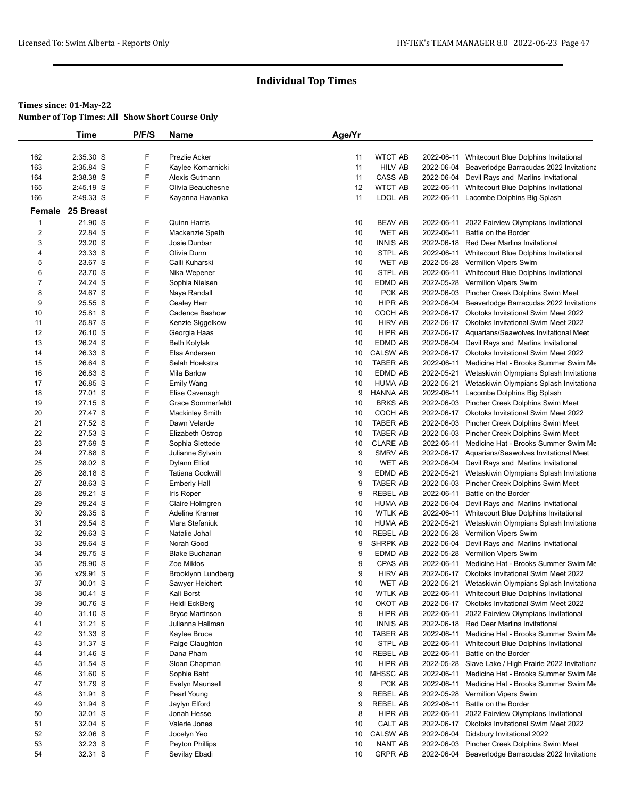#### **Times since: 01-May-22**

**Number of Top Times: All Show Short Course Only**

|                         | <b>Time</b>        | P/F/S  | Name                             | Age/Yr   |                                   |            |                                                                                                    |
|-------------------------|--------------------|--------|----------------------------------|----------|-----------------------------------|------------|----------------------------------------------------------------------------------------------------|
|                         |                    |        |                                  |          |                                   |            |                                                                                                    |
| 162                     | 2:35.30 S          | F      | Prezlie Acker                    | 11       | <b>WTCT AB</b>                    | 2022-06-11 | Whitecourt Blue Dolphins Invitational                                                              |
| 163                     | 2:35.84 S          | F      | Kaylee Komarnicki                | 11       | <b>HILV AB</b>                    | 2022-06-04 | Beaverlodge Barracudas 2022 Invitationa                                                            |
| 164                     | 2:38.38 S          | F      | Alexis Gutmann                   | 11       | CASS AB                           |            | 2022-06-04 Devil Rays and Marlins Invitational                                                     |
| 165                     | 2:45.19 S          | F      | Olivia Beauchesne                | 12       | <b>WTCT AB</b>                    | 2022-06-11 | Whitecourt Blue Dolphins Invitational                                                              |
| 166                     | 2:49.33 S          | F      | Kayanna Havanka                  | 11       | LDOL AB                           |            | 2022-06-11 Lacombe Dolphins Big Splash                                                             |
|                         | Female 25 Breast   |        |                                  |          |                                   |            |                                                                                                    |
| $\overline{\mathbf{1}}$ | 21.90 S            | F      | <b>Quinn Harris</b>              | 10       | <b>BEAV AB</b>                    |            | 2022-06-11 2022 Fairview Olympians Invitational                                                    |
| $\overline{\mathbf{c}}$ | 22.84 S            | F      | Mackenzie Speth                  | 10       | <b>WET AB</b>                     | 2022-06-11 | Battle on the Border                                                                               |
| 3                       | 23.20 S            | F      | Josie Dunbar                     | 10       | <b>INNIS AB</b>                   |            | 2022-06-18 Red Deer Marlins Invitational                                                           |
| 4                       | 23.33 S            | F      | Olivia Dunn                      | 10       | STPL AB                           |            | 2022-06-11 Whitecourt Blue Dolphins Invitational                                                   |
| 5                       | 23.67 S            | F      | Calli Kuharski                   | 10       | <b>WET AB</b>                     |            | 2022-05-28 Vermilion Vipers Swim                                                                   |
| 6                       | 23.70 S            | F      | Nika Wepener                     | 10       | STPL AB                           | 2022-06-11 | Whitecourt Blue Dolphins Invitational                                                              |
| $\overline{7}$          | 24.24 S            | F      | Sophia Nielsen                   | 10       | EDMD AB                           |            | 2022-05-28 Vermilion Vipers Swim                                                                   |
| 8                       | 24.67 S            | F      | Naya Randall                     | 10       | PCK AB                            |            | 2022-06-03 Pincher Creek Dolphins Swim Meet                                                        |
| 9                       | 25.55 S            | F      | Cealey Herr                      | 10       | HIPR AB                           |            | 2022-06-04 Beaverlodge Barracudas 2022 Invitationa                                                 |
| 10                      | 25.81 S            | F<br>F | <b>Cadence Bashow</b>            | 10       | COCH AB                           |            | 2022-06-17 Okotoks Invitational Swim Meet 2022                                                     |
| 11<br>12                | 25.87 S<br>26.10 S | F      | Kenzie Siggelkow<br>Georgia Haas | 10<br>10 | <b>HIRV AB</b><br>HIPR AB         |            | 2022-06-17 Okotoks Invitational Swim Meet 2022<br>2022-06-17 Aquarians/Seawolves Invitational Meet |
| 13                      | 26.24 S            | F      | <b>Beth Kotylak</b>              | 10       | EDMD AB                           |            | 2022-06-04 Devil Rays and Marlins Invitational                                                     |
| 14                      | 26.33 S            | F      | Elsa Andersen                    | 10       | <b>CALSW AB</b>                   |            | 2022-06-17 Okotoks Invitational Swim Meet 2022                                                     |
| 15                      | 26.64 S            | F      | Selah Hoekstra                   | 10       | <b>TABER AB</b>                   | 2022-06-11 | Medicine Hat - Brooks Summer Swim Me                                                               |
| 16                      | 26.83 S            | F      | <b>Mila Barlow</b>               | 10       | EDMD AB                           |            | 2022-05-21 Wetaskiwin Olympians Splash Invitationa                                                 |
| 17                      | 26.85 S            | F      | <b>Emily Wang</b>                | 10       | <b>HUMA AB</b>                    | 2022-05-21 | Wetaskiwin Olympians Splash Invitationa                                                            |
| 18                      | 27.01 S            | F      | Elise Cavenagh                   | 9        | <b>HANNA AB</b>                   |            | 2022-06-11 Lacombe Dolphins Big Splash                                                             |
| 19                      | 27.15 S            | F      | Grace Sommerfeldt                | 10       | <b>BRKS AB</b>                    |            | 2022-06-03 Pincher Creek Dolphins Swim Meet                                                        |
| 20                      | 27.47 S            | F      | Mackinley Smith                  | 10       | COCH AB                           |            | 2022-06-17 Okotoks Invitational Swim Meet 2022                                                     |
| 21                      | 27.52 S            | F      | Dawn Velarde                     | 10       | <b>TABER AB</b>                   |            | 2022-06-03 Pincher Creek Dolphins Swim Meet                                                        |
| 22                      | 27.53 S            | F      | Elizabeth Ostrop                 | 10       | <b>TABER AB</b>                   |            | 2022-06-03 Pincher Creek Dolphins Swim Meet                                                        |
| 23                      | 27.69 S            | F      | Sophia Slettede                  | 10       | <b>CLARE AB</b>                   |            | 2022-06-11 Medicine Hat - Brooks Summer Swim Me                                                    |
| 24                      | 27.88 S            | F      | Julianne Sylvain                 | 9        | <b>SMRV AB</b>                    |            | 2022-06-17 Aquarians/Seawolves Invitational Meet                                                   |
| 25                      | 28.02 S            | F      | Dylann Elliot                    | 10       | <b>WET AB</b>                     |            | 2022-06-04 Devil Rays and Marlins Invitational                                                     |
| 26                      | 28.18 S            | F      | <b>Tatiana Cockwill</b>          | 9        | EDMD AB                           |            | 2022-05-21 Wetaskiwin Olympians Splash Invitationa                                                 |
| 27                      | 28.63 S            | F      | <b>Emberly Hall</b>              | 9        | <b>TABER AB</b>                   |            | 2022-06-03 Pincher Creek Dolphins Swim Meet                                                        |
| 28                      | 29.21 S            | F      | Iris Roper                       | 9        | <b>REBEL AB</b>                   | 2022-06-11 | Battle on the Border                                                                               |
| 29                      | 29.24 S            | F      | Claire Holmgren                  | 10       | <b>HUMA AB</b>                    | 2022-06-04 | Devil Rays and Marlins Invitational                                                                |
| 30                      | 29.35 S            | F      | Adeline Kramer                   | 10       | <b>WTLK AB</b>                    | 2022-06-11 | Whitecourt Blue Dolphins Invitational                                                              |
| 31                      | 29.54 S<br>29.63 S | F<br>F | Mara Stefaniuk                   | 10       | <b>HUMA AB</b><br><b>REBEL AB</b> | 2022-05-21 | Wetaskiwin Olympians Splash Invitationa<br>2022-05-28 Vermilion Vipers Swim                        |
| 32<br>33                | 29.64 S            | F      | Natalie Johal<br>Norah Good      | 10<br>9  | SHRPK AB                          |            | 2022-06-04 Devil Rays and Marlins Invitational                                                     |
| 34                      | 29.75 S            | F      | <b>Blake Buchanan</b>            | 9        | EDMD AB                           |            | 2022-05-28 Vermilion Vipers Swim                                                                   |
| 35                      | 29.90 S            | F      | Zoe Miklos                       | 9        | CPAS AB                           |            | 2022-06-11 Medicine Hat - Brooks Summer Swim Me                                                    |
| 36                      | x29.91 S           | F      | Brooklynn Lundberg               | 9        | <b>HIRV AB</b>                    |            | 2022-06-17 Okotoks Invitational Swim Meet 2022                                                     |
| 37                      | 30.01 S            | F      | Sawyer Heichert                  | 10       | WEI AB                            |            | 2022-05-21 Wetaskiwin Olympians Splash Invitationa                                                 |
| 38                      | 30.41 S            | F      | Kali Borst                       | 10       | <b>WTLK AB</b>                    |            | 2022-06-11 Whitecourt Blue Dolphins Invitational                                                   |
| 39                      | 30.76 S            | F      | Heidi EckBerg                    | 10       | OKOT AB                           |            | 2022-06-17 Okotoks Invitational Swim Meet 2022                                                     |
| 40                      | 31.10 S            | F      | <b>Bryce Martinson</b>           | 9        | HIPR AB                           | 2022-06-11 | 2022 Fairview Olympians Invitational                                                               |
| 41                      | 31.21 S            | F      | Julianna Hallman                 | 10       | <b>INNIS AB</b>                   |            | 2022-06-18 Red Deer Marlins Invitational                                                           |
| 42                      | 31.33 S            | F      | Kaylee Bruce                     | 10       | TABER AB                          |            | 2022-06-11 Medicine Hat - Brooks Summer Swim Me                                                    |
| 43                      | 31.37 S            | F      | Paige Claughton                  | 10       | STPL AB                           | 2022-06-11 | Whitecourt Blue Dolphins Invitational                                                              |
| 44                      | 31.46 S            | F      | Dana Pham                        | 10       | REBEL AB                          | 2022-06-11 | Battle on the Border                                                                               |
| 45                      | 31.54 S            | F      | Sloan Chapman                    | 10       | HIPR AB                           |            | 2022-05-28 Slave Lake / High Prairie 2022 Invitationa                                              |
| 46                      | 31.60 S            | F      | Sophie Baht                      | 10       | MHSSC AB                          |            | 2022-06-11 Medicine Hat - Brooks Summer Swim Me                                                    |
| 47                      | 31.79 S            | F      | Evelyn Maunsell                  | 9        | PCK AB                            |            | 2022-06-11 Medicine Hat - Brooks Summer Swim Me                                                    |
| 48                      | 31.91 S            | F      | Pearl Young                      | 9        | <b>REBEL AB</b>                   |            | 2022-05-28 Vermilion Vipers Swim                                                                   |
| 49                      | 31.94 S            | F      | Jaylyn Elford                    | 9        | <b>REBEL AB</b>                   |            | 2022-06-11 Battle on the Border                                                                    |
| 50                      | 32.01 S            | F      | Jonah Hesse                      | 8        | HIPR AB                           | 2022-06-11 | 2022 Fairview Olympians Invitational                                                               |
| 51                      | 32.04 S            | F      | Valerie Jones                    | 10       | CALT AB                           |            | 2022-06-17 Okotoks Invitational Swim Meet 2022                                                     |
| 52                      | 32.06 S            | F      | Jocelyn Yeo                      | 10       | CALSW AB                          | 2022-06-04 | Didsbury Invitational 2022                                                                         |
| 53                      | 32.23 S            | F      | <b>Peyton Phillips</b>           | 10       | NANT AB                           |            | 2022-06-03 Pincher Creek Dolphins Swim Meet                                                        |
| 54                      | 32.31 S            | F      | Sevilay Ebadi                    | 10       | <b>GRPR AB</b>                    | 2022-06-04 | Beaverlodge Barracudas 2022 Invitationa                                                            |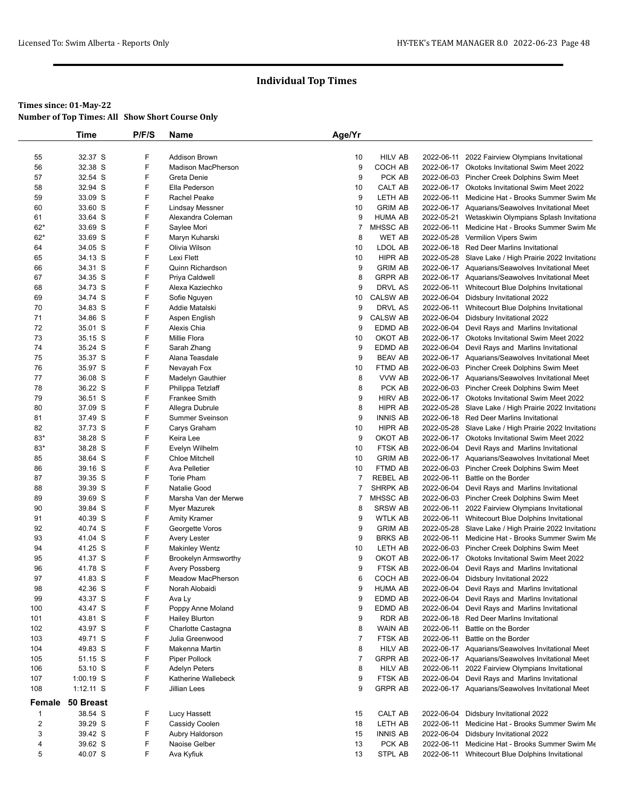|                         | Time        | P/F/S | Name                        | Age/Yr         |                 |            |                                                       |
|-------------------------|-------------|-------|-----------------------------|----------------|-----------------|------------|-------------------------------------------------------|
|                         |             |       |                             |                |                 |            |                                                       |
| 55                      | 32.37 S     | F     | <b>Addison Brown</b>        | 10             | <b>HILV AB</b>  | 2022-06-11 | 2022 Fairview Olympians Invitational                  |
| 56                      | 32.38 S     | F     | <b>Madison MacPherson</b>   | 9              | COCH AB         |            | 2022-06-17 Okotoks Invitational Swim Meet 2022        |
| 57                      | 32.54 S     | F     | Greta Denie                 | 9              | PCK AB          |            | 2022-06-03 Pincher Creek Dolphins Swim Meet           |
| 58                      | 32.94 S     | F     | Ella Pederson               | 10             | CALT AB         |            | 2022-06-17 Okotoks Invitational Swim Meet 2022        |
| 59                      | 33.09 S     | F     | Rachel Peake                | 9              | LETH AB         | 2022-06-11 | Medicine Hat - Brooks Summer Swim Me                  |
| 60                      | 33.60 S     | F     | Lindsay Messner             | 10             | <b>GRIM AB</b>  |            | 2022-06-17 Aquarians/Seawolves Invitational Meet      |
| 61                      | 33.64 S     | F     | Alexandra Coleman           | 9              | <b>HUMA AB</b>  | 2022-05-21 | Wetaskiwin Olympians Splash Invitationa               |
| $62*$                   | 33.69 S     | F     | Saylee Mori                 | $\overline{7}$ | MHSSC AB        | 2022-06-11 | Medicine Hat - Brooks Summer Swim Me                  |
| $62*$                   | 33.69 S     | F     | Maryn Kuharski              | 8              | WET AB          |            | 2022-05-28 Vermilion Vipers Swim                      |
| 64                      | 34.05 S     | F     | Olivia Wilson               | 10             | LDOL AB         |            | 2022-06-18 Red Deer Marlins Invitational              |
| 65                      | 34.13 S     | F     | Lexi Flett                  | 10             | HIPR AB         |            | 2022-05-28 Slave Lake / High Prairie 2022 Invitationa |
| 66                      | 34.31 S     | F     | Quinn Richardson            | 9              | <b>GRIM AB</b>  |            | 2022-06-17 Aquarians/Seawolves Invitational Meet      |
| 67                      | 34.35 S     | F     | Priya Caldwell              | 8              | <b>GRPR AB</b>  |            | 2022-06-17 Aquarians/Seawolves Invitational Meet      |
| 68                      | 34.73 S     | F     | Alexa Kaziechko             | 9              | DRVL AS         |            | 2022-06-11 Whitecourt Blue Dolphins Invitational      |
| 69                      | 34.74 S     | F     | Sofie Nguyen                | 10             | <b>CALSW AB</b> |            | 2022-06-04 Didsbury Invitational 2022                 |
| 70                      | 34.83 S     | F     | Addie Matalski              | 9              | DRVL AS         | 2022-06-11 | Whitecourt Blue Dolphins Invitational                 |
| 71                      | 34.86 S     | F     | Aspen English               | 9              | <b>CALSW AB</b> |            | 2022-06-04 Didsbury Invitational 2022                 |
| 72                      | 35.01 S     | F     | Alexis Chia                 | 9              | EDMD AB         |            | 2022-06-04 Devil Rays and Marlins Invitational        |
| 73                      | 35.15 S     | F     | Millie Flora                | 10             | OKOT AB         |            | 2022-06-17 Okotoks Invitational Swim Meet 2022        |
| 74                      | 35.24 S     | F     | Sarah Zhang                 | 9              | EDMD AB         |            | 2022-06-04 Devil Rays and Marlins Invitational        |
| 75                      | 35.37 S     | F     | Alana Teasdale              | 9              | <b>BEAV AB</b>  |            | 2022-06-17 Aquarians/Seawolves Invitational Meet      |
| 76                      | 35.97 S     | F     | Nevayah Fox                 | 10             | FTMD AB         |            | 2022-06-03 Pincher Creek Dolphins Swim Meet           |
| 77                      | 36.08 S     | F     | Madelyn Gauthier            | 8              | VVW AB          |            | 2022-06-17 Aquarians/Seawolves Invitational Meet      |
| 78                      | 36.22 S     | F     | Philippa Tetzlaff           | 8              | PCK AB          |            | 2022-06-03 Pincher Creek Dolphins Swim Meet           |
| 79                      | 36.51 S     | F     | Frankee Smith               | 9              | <b>HIRV AB</b>  |            | 2022-06-17 Okotoks Invitational Swim Meet 2022        |
| 80                      | 37.09 S     | F     | Allegra Dubrule             | 8              | HIPR AB         |            | 2022-05-28 Slave Lake / High Prairie 2022 Invitationa |
| 81                      | 37.49 S     | F     | <b>Summer Sveinson</b>      | 9              | <b>INNIS AB</b> |            | 2022-06-18 Red Deer Marlins Invitational              |
| 82                      | 37.73 S     | F     | Carys Graham                | 10             | HIPR AB         |            | 2022-05-28 Slave Lake / High Prairie 2022 Invitationa |
| 83*                     | 38.28 S     | F     | Keira Lee                   | 9              | OKOT AB         |            | 2022-06-17 Okotoks Invitational Swim Meet 2022        |
| $83*$                   | 38.28 S     | F     | Evelyn Wilhelm              | 10             | FTSK AB         |            | 2022-06-04 Devil Rays and Marlins Invitational        |
| 85                      | 38.64 S     | F     | <b>Chloe Mitchell</b>       | 10             | <b>GRIM AB</b>  |            | 2022-06-17 Aquarians/Seawolves Invitational Meet      |
| 86                      | 39.16 S     | F     | Ava Pelletier               | 10             | FTMD AB         |            | 2022-06-03 Pincher Creek Dolphins Swim Meet           |
| 87                      | 39.35 S     | F     | <b>Torie Pham</b>           | $\overline{7}$ | <b>REBEL AB</b> | 2022-06-11 | Battle on the Border                                  |
| 88                      | 39.39 S     | F     | Natalie Good                | 7              | <b>SHRPK AB</b> | 2022-06-04 | Devil Rays and Marlins Invitational                   |
| 89                      | 39.69 S     | F     | Marsha Van der Merwe        | 7              | MHSSC AB        |            | 2022-06-03 Pincher Creek Dolphins Swim Meet           |
| 90                      | 39.84 S     | F     | Myer Mazurek                | 8              | <b>SRSW AB</b>  | 2022-06-11 | 2022 Fairview Olympians Invitational                  |
| 91                      | 40.39 S     | F     | <b>Amity Kramer</b>         | 9              | <b>WTLK AB</b>  |            | 2022-06-11 Whitecourt Blue Dolphins Invitational      |
| 92                      | 40.74 S     | F     | Georgette Voros             | 9              | <b>GRIM AB</b>  |            | 2022-05-28 Slave Lake / High Prairie 2022 Invitationa |
| 93                      | 41.04 S     | F     | Avery Lester                | 9              | <b>BRKS AB</b>  | 2022-06-11 | Medicine Hat - Brooks Summer Swim Me                  |
| 94                      | 41.25 S     | F     | <b>Makinley Wentz</b>       | 10             | LETH AB         |            | 2022-06-03 Pincher Creek Dolphins Swim Meet           |
| 95                      | 41.37 S     | F     | <b>Brookelyn Armsworthy</b> | 9              | OKOT AB         |            | 2022-06-17 Okotoks Invitational Swim Meet 2022        |
| 96                      | 41.78 S     | F     | Avery Possberg              | 9              | FTSK AB         |            | 2022-06-04 Devil Rays and Marlins Invitational        |
| 97                      | 41.83 S     | F     | Meadow MacPherson           | 6              | COCH AB         |            | 2022-06-04 Didsbury Invitational 2022                 |
| 98                      | 42.36 S     | F     | Norah Alobaidi              | 9              | <b>HUMA AB</b>  |            | 2022-06-04 Devil Rays and Marlins Invitational        |
| 99                      | 43.37 S     | F     | Ava Ly                      | 9              | EDMD AB         |            | 2022-06-04 Devil Rays and Marlins Invitational        |
| 100                     | 43.47 S     | F     | Poppy Anne Moland           | 9              | EDMD AB         | 2022-06-04 | Devil Rays and Marlins Invitational                   |
| 101                     | 43.81 S     | F     | <b>Hailey Blurton</b>       | 9              | RDR AB          |            | 2022-06-18 Red Deer Marlins Invitational              |
| 102                     | 43.97 S     | F     | Charlotte Castagna          | 8              | WAIN AB         | 2022-06-11 | Battle on the Border                                  |
| 103                     | 49.71 S     | F     | Julia Greenwood             | $\overline{7}$ | FTSK AB         | 2022-06-11 | Battle on the Border                                  |
| 104                     | 49.83 S     | F     | Makenna Martin              | 8              | <b>HILV AB</b>  |            | 2022-06-17 Aquarians/Seawolves Invitational Meet      |
| 105                     | 51.15 S     | F     | Piper Pollock               | $\overline{7}$ | <b>GRPR AB</b>  |            | 2022-06-17 Aquarians/Seawolves Invitational Meet      |
| 106                     | 53.10 S     | F     | <b>Adelyn Peters</b>        | 8              | <b>HILV AB</b>  | 2022-06-11 | 2022 Fairview Olympians Invitational                  |
| 107                     | 1:00.19 S   | F     | Katherine Wallebeck         | 9              | FTSK AB         |            | 2022-06-04 Devil Rays and Marlins Invitational        |
| 108                     | $1:12.11$ S | F     | Jillian Lees                | 9              | <b>GRPR AB</b>  |            | 2022-06-17 Aquarians/Seawolves Invitational Meet      |
| Female                  | 50 Breast   |       |                             |                |                 |            |                                                       |
| $\mathbf{1}$            | 38.54 S     | F     | Lucy Hassett                | 15             | CALT AB         |            | 2022-06-04 Didsbury Invitational 2022                 |
| $\overline{\mathbf{c}}$ | 39.29 S     | F     | Cassidy Coolen              | 18             | LETH AB         | 2022-06-11 | Medicine Hat - Brooks Summer Swim Me                  |
| 3                       | 39.42 S     | F     | Aubry Haldorson             | 15             | <b>INNIS AB</b> |            | 2022-06-04 Didsbury Invitational 2022                 |
| 4                       | 39.62 S     | F     | Naoise Gelber               | 13             | PCK AB          | 2022-06-11 | Medicine Hat - Brooks Summer Swim Me                  |
| 5                       | 40.07 S     | F     | Ava Kyfiuk                  | 13             | STPL AB         | 2022-06-11 | Whitecourt Blue Dolphins Invitational                 |
|                         |             |       |                             |                |                 |            |                                                       |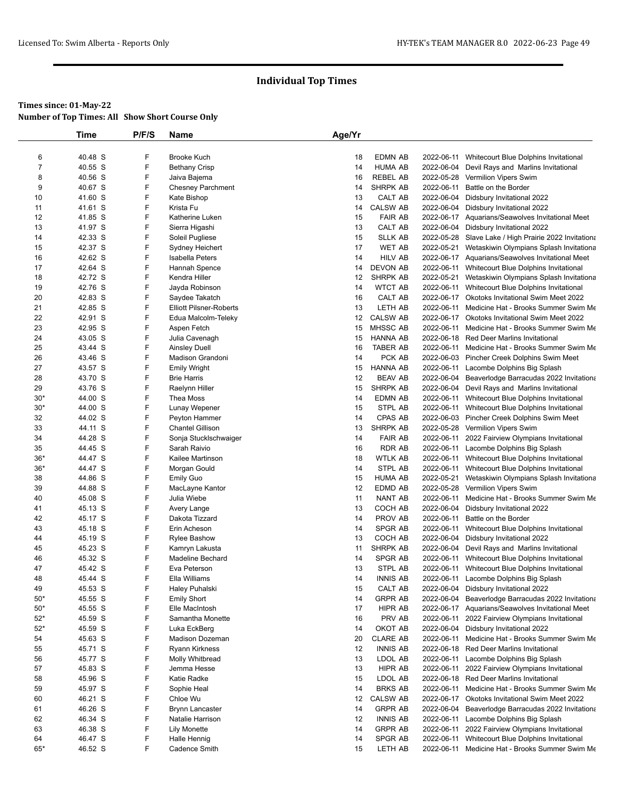|                | Time    | P/F/S | Name                           | Age/Yr   |                 |            |                                                       |
|----------------|---------|-------|--------------------------------|----------|-----------------|------------|-------------------------------------------------------|
|                |         |       |                                |          |                 |            |                                                       |
| 6              | 40.48 S | F     | <b>Brooke Kuch</b>             | 18       | <b>EDMN AB</b>  |            | 2022-06-11 Whitecourt Blue Dolphins Invitational      |
| $\overline{7}$ | 40.55 S | F     | <b>Bethany Crisp</b>           | 14       | <b>HUMA AB</b>  | 2022-06-04 | Devil Rays and Marlins Invitational                   |
| 8              | 40.56 S | F     | Jaiva Bajema                   | 16       | <b>REBEL AB</b> | 2022-05-28 | Vermilion Vipers Swim                                 |
| 9              | 40.67 S | F     | <b>Chesney Parchment</b>       | 14       | SHRPK AB        | 2022-06-11 | Battle on the Border                                  |
| 10             | 41.60 S | F     | Kate Bishop                    | 13       | CALT AB         | 2022-06-04 | Didsbury Invitational 2022                            |
| 11             | 41.61 S | F     | Krista Fu                      | 14       | CALSW AB        | 2022-06-04 | Didsbury Invitational 2022                            |
| 12             | 41.85 S | F     | Katherine Luken                | 15       | <b>FAIR AB</b>  |            | 2022-06-17 Aquarians/Seawolves Invitational Meet      |
| 13             | 41.97 S | F     | Sierra Higashi                 | 13       | CALT AB         |            | 2022-06-04 Didsbury Invitational 2022                 |
| 14             | 42.33 S | F     | Soleil Pugliese                | 15       | <b>SLLK AB</b>  |            | 2022-05-28 Slave Lake / High Prairie 2022 Invitationa |
| 15             | 42.37 S | F     | Sydney Heichert                | 17       | <b>WET AB</b>   |            | 2022-05-21 Wetaskiwin Olympians Splash Invitationa    |
| 16             | 42.62 S | F     | Isabella Peters                | 14       | <b>HILV AB</b>  |            | 2022-06-17 Aquarians/Seawolves Invitational Meet      |
| 17             | 42.64 S | F     | Hannah Spence                  | 14       | <b>DEVON AB</b> |            | 2022-06-11 Whitecourt Blue Dolphins Invitational      |
| 18             | 42.72 S | F     | Kendra Hiller                  | 12       | SHRPK AB        |            | 2022-05-21 Wetaskiwin Olympians Splash Invitationa    |
| 19             | 42.76 S | F     | Jayda Robinson                 | 14       | <b>WTCT AB</b>  |            | 2022-06-11 Whitecourt Blue Dolphins Invitational      |
| 20             | 42.83 S | F     | Saydee Takatch                 | 16       | CALT AB         |            | 2022-06-17 Okotoks Invitational Swim Meet 2022        |
| 21             | 42.85 S | F     | <b>Elliott Pilsner-Roberts</b> | 13       | LETH AB         |            | 2022-06-11 Medicine Hat - Brooks Summer Swim Me       |
| 22             | 42.91 S | F     | Edua Malcolm-Teleky            | 12       | <b>CALSW AB</b> |            | 2022-06-17 Okotoks Invitational Swim Meet 2022        |
| 23             | 42.95 S | F     | Aspen Fetch                    | 15       | MHSSC AB        | 2022-06-11 | Medicine Hat - Brooks Summer Swim Me                  |
| 24             | 43.05 S | F     | Julia Cavenagh                 | 15       | <b>HANNA AB</b> |            | 2022-06-18 Red Deer Marlins Invitational              |
| 25             | 43.44 S | F     | <b>Ainsley Duell</b>           | 16       | TABER AB        | 2022-06-11 | Medicine Hat - Brooks Summer Swim Me                  |
| 26             | 43.46 S | F     | Madison Grandoni               | 14       | PCK AB          |            | 2022-06-03 Pincher Creek Dolphins Swim Meet           |
| 27             | 43.57 S | F     | <b>Emily Wright</b>            | 15       | HANNA AB        |            | 2022-06-11 Lacombe Dolphins Big Splash                |
| 28             | 43.70 S | F     | <b>Brie Harris</b>             | 12       | <b>BEAV AB</b>  |            | 2022-06-04 Beaverlodge Barracudas 2022 Invitationa    |
| 29             | 43.76 S | F     | Raelynn Hiller                 | 15       | SHRPK AB        |            | 2022-06-04 Devil Rays and Marlins Invitational        |
| $30*$          | 44.00 S | F     | Thea Moss                      | 14       | EDMN AB         |            | 2022-06-11 Whitecourt Blue Dolphins Invitational      |
| $30*$          | 44.00 S | F     | Lunay Wepener                  | 15       | STPL AB         |            | 2022-06-11 Whitecourt Blue Dolphins Invitational      |
| 32             | 44.02 S | F     | Peyton Hammer                  | 14       | CPAS AB         |            | 2022-06-03 Pincher Creek Dolphins Swim Meet           |
| 33             | 44.11 S | F     | <b>Chantel Gillison</b>        | 13       | SHRPK AB        |            | 2022-05-28 Vermilion Vipers Swim                      |
| 34             | 44.28 S | F     | Sonja Stucklschwaiger          | 14       | <b>FAIR AB</b>  |            | 2022-06-11 2022 Fairview Olympians Invitational       |
| 35             | 44.45 S | F     | Sarah Raivio                   | 16       | <b>RDR AB</b>   |            | 2022-06-11 Lacombe Dolphins Big Splash                |
| $36*$          | 44.47 S | F     | Kailee Martinson               | 18       | <b>WTLK AB</b>  |            | 2022-06-11 Whitecourt Blue Dolphins Invitational      |
| $36*$          | 44.47 S | F     | Morgan Gould                   | 14       | STPL AB         |            | 2022-06-11 Whitecourt Blue Dolphins Invitational      |
| 38             | 44.86 S | F     | <b>Emily Guo</b>               | 15       | <b>HUMA AB</b>  | 2022-05-21 | Wetaskiwin Olympians Splash Invitationa               |
| 39             | 44.88 S | F     | MacLayne Kantor                | 12       | EDMD AB         |            | 2022-05-28 Vermilion Vipers Swim                      |
| 40             | 45.08 S | F     | Julia Wiebe                    | 11       | NANT AB         | 2022-06-11 | Medicine Hat - Brooks Summer Swim Me                  |
| 41             | 45.13 S | F     | Avery Lange                    | 13       | COCH AB         | 2022-06-04 | Didsbury Invitational 2022                            |
|                |         | F     |                                |          | PROV AB         | 2022-06-11 |                                                       |
| 42             | 45.17 S | F     | Dakota Tizzard                 | 14<br>14 | SPGR AB         |            | Battle on the Border                                  |
| 43             | 45.18 S |       | Erin Acheson                   |          |                 | 2022-06-11 | Whitecourt Blue Dolphins Invitational                 |
| 44             | 45.19 S | F     | <b>Rylee Bashow</b>            | 13       | COCH AB         | 2022-06-04 | Didsbury Invitational 2022                            |
| 45             | 45.23 S | F     | Kamryn Lakusta                 | 11       | SHRPK AB        |            | 2022-06-04 Devil Rays and Marlins Invitational        |
| 46             | 45.32 S | F     | Madeline Bechard               | 14       | SPGR AB         | 2022-06-11 | Whitecourt Blue Dolphins Invitational                 |
| 47             | 45.42 S | F     | Eva Peterson                   | 13       | STPL AB         |            | 2022-06-11 Whitecourt Blue Dolphins Invitational      |
| 48             | 45.44 S | F     | Ella Williams                  | 14       | <b>INNIS AB</b> |            | 2022-06-11 Lacombe Dolphins Big Splash                |
| 49             | 45.53 S | F     | Haley Puhalski                 | 15       | CALT AB         |            | 2022-06-04 Didsbury Invitational 2022                 |
| $50*$          | 45.55 S | F     | <b>Emily Short</b>             | 14       | <b>GRPR AB</b>  | 2022-06-04 | Beaverlodge Barracudas 2022 Invitationa               |
| $50*$          | 45.55 S | F     | Elle MacIntosh                 | 17       | HIPR AB         |            | 2022-06-17 Aquarians/Seawolves Invitational Meet      |
| $52*$          | 45.59 S | F     | Samantha Monette               | 16       | PRV AB          | 2022-06-11 | 2022 Fairview Olympians Invitational                  |
| $52*$          | 45.59 S | F     | Luka EckBerg                   | 14       | OKOT AB         |            | 2022-06-04 Didsbury Invitational 2022                 |
| 54             | 45.63 S | F     | Madison Dozeman                | 20       | <b>CLARE AB</b> | 2022-06-11 | Medicine Hat - Brooks Summer Swim Me                  |
| 55             | 45.71 S | F     | <b>Ryann Kirkness</b>          | 12       | <b>INNIS AB</b> |            | 2022-06-18 Red Deer Marlins Invitational              |
| 56             | 45.77 S | F     | Molly Whitbread                | 13       | LDOL AB         |            | 2022-06-11 Lacombe Dolphins Big Splash                |
| 57             | 45.83 S | F     | Jemma Hesse                    | 13       | HIPR AB         | 2022-06-11 | 2022 Fairview Olympians Invitational                  |
| 58             | 45.96 S | F     | Katie Radke                    | 15       | LDOL AB         |            | 2022-06-18 Red Deer Marlins Invitational              |
| 59             | 45.97 S | F     | Sophie Heal                    | 14       | <b>BRKS AB</b>  |            | 2022-06-11 Medicine Hat - Brooks Summer Swim Me       |
| 60             | 46.21 S | F     | Chloe Wu                       | 12       | <b>CALSW AB</b> |            | 2022-06-17 Okotoks Invitational Swim Meet 2022        |
| 61             | 46.26 S | F     | <b>Brynn Lancaster</b>         | 14       | <b>GRPR AB</b>  | 2022-06-04 | Beaverlodge Barracudas 2022 Invitationa               |
| 62             | 46.34 S | F     | Natalie Harrison               | 12       | <b>INNIS AB</b> |            | 2022-06-11 Lacombe Dolphins Big Splash                |
| 63             | 46.38 S | F     | <b>Lily Monette</b>            | 14       | <b>GRPR AB</b>  |            | 2022-06-11 2022 Fairview Olympians Invitational       |
| 64             | 46.47 S | F     | Halle Hennig                   | 14       | SPGR AB         | 2022-06-11 | Whitecourt Blue Dolphins Invitational                 |
| 65*            | 46.52 S | F     | Cadence Smith                  | 15       | LETH AB         |            | 2022-06-11 Medicine Hat - Brooks Summer Swim Me       |
|                |         |       |                                |          |                 |            |                                                       |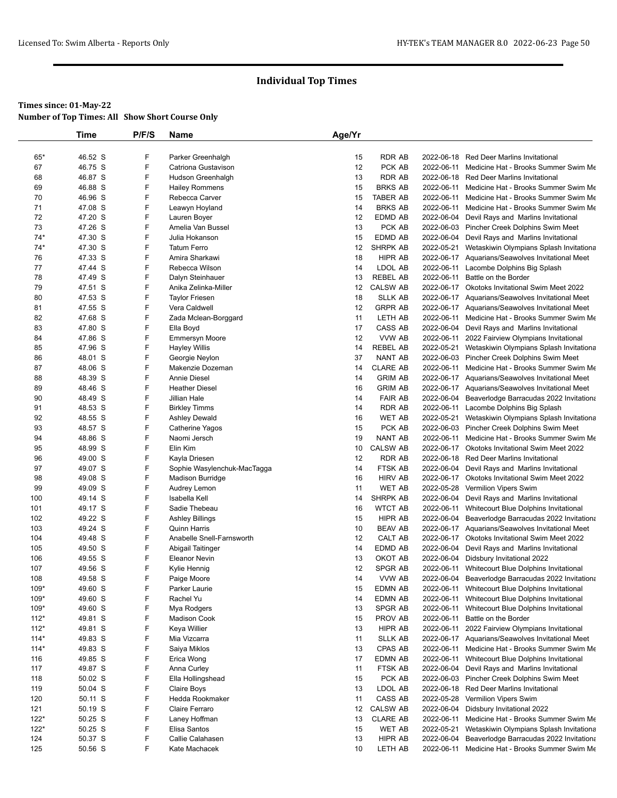|        | Time    | P/F/S | Name                               | Age/Yr |                 |            |                                                                                                |
|--------|---------|-------|------------------------------------|--------|-----------------|------------|------------------------------------------------------------------------------------------------|
|        |         |       |                                    |        |                 |            |                                                                                                |
| 65*    | 46.52 S | F     | Parker Greenhalgh                  | 15     | <b>RDR AB</b>   |            | 2022-06-18 Red Deer Marlins Invitational                                                       |
| 67     | 46.75 S | F     | Catriona Gustavison                | 12     | PCK AB          | 2022-06-11 | Medicine Hat - Brooks Summer Swim Me                                                           |
| 68     | 46.87 S | F     | Hudson Greenhalgh                  | 13     | <b>RDR AB</b>   |            | 2022-06-18 Red Deer Marlins Invitational                                                       |
| 69     | 46.88 S | F     | <b>Hailey Rommens</b>              | 15     | <b>BRKS AB</b>  | 2022-06-11 | Medicine Hat - Brooks Summer Swim Me                                                           |
| 70     | 46.96 S | F     | Rebecca Carver                     | 15     | TABER AB        | 2022-06-11 | Medicine Hat - Brooks Summer Swim Me                                                           |
| 71     | 47.08 S | F     | Leawyn Hoyland                     | 14     | <b>BRKS AB</b>  |            | 2022-06-11 Medicine Hat - Brooks Summer Swim Me                                                |
| 72     | 47.20 S | F     | Lauren Boyer                       | 12     | EDMD AB         |            | 2022-06-04 Devil Rays and Marlins Invitational                                                 |
| 73     | 47.26 S | F     | Amelia Van Bussel                  | 13     | PCK AB          |            | 2022-06-03 Pincher Creek Dolphins Swim Meet                                                    |
| $74*$  | 47.30 S | F     | Julia Hokanson                     | 15     | EDMD AB         |            | 2022-06-04 Devil Rays and Marlins Invitational                                                 |
| $74*$  | 47.30 S | F     | <b>Tatum Ferro</b>                 | 12     | SHRPK AB        |            | 2022-05-21 Wetaskiwin Olympians Splash Invitationa                                             |
| 76     | 47.33 S | F     | Amira Sharkawi                     | 18     | <b>HIPR AB</b>  |            | 2022-06-17 Aquarians/Seawolves Invitational Meet                                               |
| 77     | 47.44 S | F     | Rebecca Wilson                     | 14     | LDOL AB         | 2022-06-11 | Lacombe Dolphins Big Splash                                                                    |
| 78     | 47.49 S | F     | Dalyn Steinhauer                   | 13     | REBEL AB        | 2022-06-11 | Battle on the Border                                                                           |
| 79     | 47.51 S | F     | Anika Zelinka-Miller               | 12     | <b>CALSW AB</b> |            | 2022-06-17 Okotoks Invitational Swim Meet 2022                                                 |
| 80     | 47.53 S | F     | <b>Taylor Friesen</b>              | 18     | <b>SLLK AB</b>  |            | 2022-06-17 Aquarians/Seawolves Invitational Meet                                               |
| 81     | 47.55 S | F     | Vera Caldwell                      | 12     | <b>GRPR AB</b>  |            | 2022-06-17 Aquarians/Seawolves Invitational Meet                                               |
| 82     | 47.68 S | F     | Zada Mclean-Borggard               | 11     | LETH AB         |            | 2022-06-11 Medicine Hat - Brooks Summer Swim Me                                                |
| 83     | 47.80 S | F     | Ella Boyd                          | 17     | CASS AB         |            | 2022-06-04 Devil Rays and Marlins Invitational                                                 |
| 84     | 47.86 S | F     | <b>Emmersyn Moore</b>              | 12     | VVW AB          |            | 2022-06-11 2022 Fairview Olympians Invitational                                                |
| 85     | 47.96 S | F     | <b>Hayley Willis</b>               | 14     | <b>REBEL AB</b> |            | 2022-05-21 Wetaskiwin Olympians Splash Invitationa                                             |
| 86     | 48.01 S | F     |                                    | 37     | NANT AB         |            |                                                                                                |
|        | 48.06 S | F     | Georgie Neylon<br>Makenzie Dozeman |        | <b>CLARE AB</b> |            | 2022-06-03 Pincher Creek Dolphins Swim Meet<br>2022-06-11 Medicine Hat - Brooks Summer Swim Me |
| 87     |         | F     | <b>Annie Diesel</b>                | 14     |                 |            |                                                                                                |
| 88     | 48.39 S |       |                                    | 14     | <b>GRIM AB</b>  |            | 2022-06-17 Aquarians/Seawolves Invitational Meet                                               |
| 89     | 48.46 S | F     | <b>Heather Diesel</b>              | 16     | <b>GRIM AB</b>  |            | 2022-06-17 Aquarians/Seawolves Invitational Meet                                               |
| 90     | 48.49 S | F     | Jillian Hale                       | 14     | <b>FAIR AB</b>  |            | 2022-06-04 Beaverlodge Barracudas 2022 Invitationa                                             |
| 91     | 48.53 S | F     | <b>Birkley Timms</b>               | 14     | RDR AB          |            | 2022-06-11 Lacombe Dolphins Big Splash                                                         |
| 92     | 48.55 S | F     | <b>Ashley Dewald</b>               | 16     | <b>WET AB</b>   |            | 2022-05-21 Wetaskiwin Olympians Splash Invitationa                                             |
| 93     | 48.57 S | F     | Catherine Yagos                    | 15     | PCK AB          |            | 2022-06-03 Pincher Creek Dolphins Swim Meet                                                    |
| 94     | 48.86 S | F     | Naomi Jersch                       | 19     | <b>NANT AB</b>  | 2022-06-11 | Medicine Hat - Brooks Summer Swim Me                                                           |
| 95     | 48.99 S | F     | Elin Kim                           | 10     | <b>CALSW AB</b> |            | 2022-06-17 Okotoks Invitational Swim Meet 2022                                                 |
| 96     | 49.00 S | F     | Kayla Driesen                      | 12     | <b>RDR AB</b>   |            | 2022-06-18 Red Deer Marlins Invitational                                                       |
| 97     | 49.07 S | F     | Sophie Wasylenchuk-MacTagga        | 14     | FTSK AB         |            | 2022-06-04 Devil Rays and Marlins Invitational                                                 |
| 98     | 49.08 S | F     | Madison Burridge                   | 16     | <b>HIRV AB</b>  |            | 2022-06-17 Okotoks Invitational Swim Meet 2022                                                 |
| 99     | 49.09 S | F     | Audrey Lemon                       | 11     | WET AB          | 2022-05-28 | Vermilion Vipers Swim                                                                          |
| 100    | 49.14 S | F     | Isabella Kell                      | 14     | SHRPK AB        | 2022-06-04 | Devil Rays and Marlins Invitational                                                            |
| 101    | 49.17 S | F     | Sadie Thebeau                      | 16     | <b>WTCT AB</b>  | 2022-06-11 | Whitecourt Blue Dolphins Invitational                                                          |
| 102    | 49.22 S | F     | <b>Ashley Billings</b>             | 15     | HIPR AB         | 2022-06-04 | Beaverlodge Barracudas 2022 Invitationa                                                        |
| 103    | 49.24 S | F     | <b>Quinn Harris</b>                | 10     | <b>BEAV AB</b>  |            | 2022-06-17 Aquarians/Seawolves Invitational Meet                                               |
| 104    | 49.48 S | F     | Anabelle Snell-Farnsworth          | 12     | CALT AB         |            | 2022-06-17 Okotoks Invitational Swim Meet 2022                                                 |
| 105    | 49.50 S | F     | Abigail Taitinger                  | 14     | EDMD AB         | 2022-06-04 | Devil Rays and Marlins Invitational                                                            |
| 106    | 49.55 S | F     | <b>Eleanor Nevin</b>               | 13     | OKOT AB         | 2022-06-04 | Didsbury Invitational 2022                                                                     |
| 107    | 49.56 S | F     | Kylie Hennig                       | 12     | SPGR AB         |            | 2022-06-11 Whitecourt Blue Dolphins Invitational                                               |
| 108    | 49.58 S | F     | Paige Moore                        | 14     | VVW AB          |            | 2022-06-04 Beaverlodge Barracudas 2022 Invitationa                                             |
| 109*   | 49.60 S | F     | Parker Laurie                      | 15     | EDMN AB         |            | 2022-06-11 Whitecourt Blue Dolphins Invitational                                               |
| 109*   | 49.60 S | F     | Rachel Yu                          | 14     | EDMN AB         |            | 2022-06-11 Whitecourt Blue Dolphins Invitational                                               |
| $109*$ | 49.60 S | F     | Mya Rodgers                        | 13     | SPGR AB         | 2022-06-11 | Whitecourt Blue Dolphins Invitational                                                          |
| $112*$ | 49.81 S | F     | <b>Madison Cook</b>                | 15     | PROV AB         | 2022-06-11 | Battle on the Border                                                                           |
| $112*$ | 49.81 S | F     | Keya Willier                       | 13     | HIPR AB         |            | 2022-06-11 2022 Fairview Olympians Invitational                                                |
| $114*$ | 49.83 S | F     | Mia Vizcarra                       | 11     | SLLK AB         |            | 2022-06-17 Aquarians/Seawolves Invitational Meet                                               |
| $114*$ | 49.83 S | F     | Saiya Miklos                       | 13     | CPAS AB         | 2022-06-11 | Medicine Hat - Brooks Summer Swim Me                                                           |
|        | 49.85 S | F     |                                    | 17     | EDMN AB         |            |                                                                                                |
| 116    |         | F     | Erica Wong                         |        |                 | 2022-06-04 | 2022-06-11 Whitecourt Blue Dolphins Invitational                                               |
| 117    | 49.87 S |       | Anna Curley                        | 11     | FTSK AB         |            | Devil Rays and Marlins Invitational                                                            |
| 118    | 50.02 S | F     | Ella Hollingshead                  | 15     | PCK AB          |            | 2022-06-03 Pincher Creek Dolphins Swim Meet                                                    |
| 119    | 50.04 S | F     | Claire Boys                        | 13     | LDOL AB         |            | 2022-06-18 Red Deer Marlins Invitational                                                       |
| 120    | 50.11 S | F     | Hedda Rookmaker                    | 11     | CASS AB         |            | 2022-05-28 Vermilion Vipers Swim                                                               |
| 121    | 50.19 S | F     | Claire Ferraro                     | 12     | <b>CALSW AB</b> | 2022-06-04 | Didsbury Invitational 2022                                                                     |
| $122*$ | 50.25 S | F     | Laney Hoffman                      | 13     | <b>CLARE AB</b> | 2022-06-11 | Medicine Hat - Brooks Summer Swim Me                                                           |
| $122*$ | 50.25 S | F     | Elisa Santos                       | 15     | WET AB          | 2022-05-21 | Wetaskiwin Olympians Splash Invitationa                                                        |
| 124    | 50.37 S | F     | Callie Calahasen                   | 13     | HIPR AB         | 2022-06-04 | Beaverlodge Barracudas 2022 Invitationa                                                        |
| 125    | 50.56 S | F     | Kate Machacek                      | 10     | LETH AB         |            | 2022-06-11 Medicine Hat - Brooks Summer Swim Me                                                |
|        |         |       |                                    |        |                 |            |                                                                                                |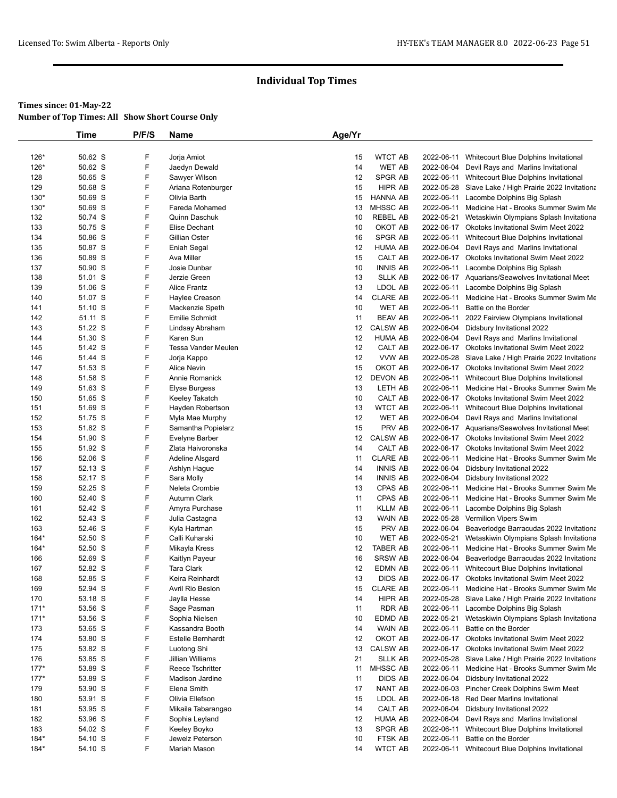|        | Time    | P/F/S | Name                  | Age/Yr |                 |            |                                                       |
|--------|---------|-------|-----------------------|--------|-----------------|------------|-------------------------------------------------------|
|        |         |       |                       |        |                 |            |                                                       |
| 126*   | 50.62 S | F     | Jorja Amiot           | 15     | <b>WTCT AB</b>  | 2022-06-11 | Whitecourt Blue Dolphins Invitational                 |
| 126*   | 50.62 S | F     | Jaedyn Dewald         | 14     | <b>WET AB</b>   | 2022-06-04 | Devil Rays and Marlins Invitational                   |
| 128    | 50.65 S | F     | Sawyer Wilson         | 12     | <b>SPGR AB</b>  |            | 2022-06-11 Whitecourt Blue Dolphins Invitational      |
| 129    | 50.68 S | F     | Ariana Rotenburger    | 15     | HIPR AB         |            | 2022-05-28 Slave Lake / High Prairie 2022 Invitationa |
| $130*$ | 50.69 S | F     | Olivia Barth          | 15     | HANNA AB        | 2022-06-11 | Lacombe Dolphins Big Splash                           |
| 130*   | 50.69 S | F     | Fareda Mohamed        | 13     | MHSSC AB        | 2022-06-11 | Medicine Hat - Brooks Summer Swim Me                  |
| 132    | 50.74 S | F     | Quinn Daschuk         | 10     | <b>REBEL AB</b> | 2022-05-21 | Wetaskiwin Olympians Splash Invitationa               |
| 133    | 50.75 S | F     | Elise Dechant         | 10     | OKOT AB         |            | 2022-06-17 Okotoks Invitational Swim Meet 2022        |
| 134    | 50.86 S | F     | Gillian Oster         | 16     | <b>SPGR AB</b>  | 2022-06-11 | Whitecourt Blue Dolphins Invitational                 |
| 135    | 50.87 S | F     | Eniah Segal           | 12     | <b>HUMA AB</b>  |            | 2022-06-04 Devil Rays and Marlins Invitational        |
| 136    | 50.89 S | F     | Ava Miller            | 15     | CALT AB         |            | 2022-06-17 Okotoks Invitational Swim Meet 2022        |
| 137    | 50.90 S | F     | Josie Dunbar          | 10     | <b>INNIS AB</b> | 2022-06-11 | Lacombe Dolphins Big Splash                           |
| 138    | 51.01 S | F     | Jerzie Green          | 13     | <b>SLLK AB</b>  |            | 2022-06-17 Aquarians/Seawolves Invitational Meet      |
| 139    | 51.06 S | F     | <b>Alice Frantz</b>   | 13     | LDOL AB         | 2022-06-11 | Lacombe Dolphins Big Splash                           |
| 140    | 51.07 S | F     | Haylee Creason        | 14     | <b>CLARE AB</b> | 2022-06-11 | Medicine Hat - Brooks Summer Swim Me                  |
| 141    | 51.10 S | F     | Mackenzie Speth       | 10     | <b>WET AB</b>   | 2022-06-11 | Battle on the Border                                  |
| 142    | 51.11 S | F     | <b>Emilie Schmidt</b> | 11     | <b>BEAV AB</b>  | 2022-06-11 | 2022 Fairview Olympians Invitational                  |
| 143    | 51.22 S | F     | Lindsay Abraham       | 12     | <b>CALSW AB</b> | 2022-06-04 | Didsbury Invitational 2022                            |
| 144    | 51.30 S | F     | Karen Sun             | 12     | <b>HUMA AB</b>  |            | 2022-06-04 Devil Rays and Marlins Invitational        |
| 145    | 51.42 S | F     | Tessa Vander Meulen   | 12     | CALT AB         |            | 2022-06-17 Okotoks Invitational Swim Meet 2022        |
| 146    | 51.44 S | F     | Jorja Kappo           | 12     | VVW AB          |            | 2022-05-28 Slave Lake / High Prairie 2022 Invitationa |
| 147    | 51.53 S | F     | Alice Nevin           | 15     | OKOT AB         |            | 2022-06-17 Okotoks Invitational Swim Meet 2022        |
| 148    | 51.58 S | F     | Annie Romanick        | 12     | DEVON AB        | 2022-06-11 | Whitecourt Blue Dolphins Invitational                 |
| 149    | 51.63 S | F     | Elyse Burgess         | 13     | LETH AB         | 2022-06-11 | Medicine Hat - Brooks Summer Swim Me                  |
| 150    | 51.65 S | F     | Keeley Takatch        | 10     | CALT AB         |            | 2022-06-17 Okotoks Invitational Swim Meet 2022        |
| 151    | 51.69 S | F     | Hayden Robertson      | 13     | <b>WTCT AB</b>  | 2022-06-11 | Whitecourt Blue Dolphins Invitational                 |
| 152    | 51.75 S | F     | Myla Mae Murphy       | 12     | WET AB          |            | 2022-06-04 Devil Rays and Marlins Invitational        |
| 153    | 51.82 S | F     | Samantha Popielarz    | 15     | PRV AB          |            | 2022-06-17 Aquarians/Seawolves Invitational Meet      |
| 154    | 51.90 S | F     | Evelyne Barber        | 12     | <b>CALSW AB</b> |            | 2022-06-17 Okotoks Invitational Swim Meet 2022        |
| 155    | 51.92 S | F     | Zlata Haivoronska     | 14     | CALT AB         | 2022-06-17 | <b>Okotoks Invitational Swim Meet 2022</b>            |
| 156    | 52.06 S | F     | Adeline Alsgard       | 11     | <b>CLARE AB</b> | 2022-06-11 | Medicine Hat - Brooks Summer Swim Me                  |
| 157    | 52.13 S | F     | Ashlyn Hague          | 14     | <b>INNIS AB</b> |            | 2022-06-04 Didsbury Invitational 2022                 |
| 158    | 52.17 S | F     | Sara Molly            | 14     | <b>INNIS AB</b> | 2022-06-04 | Didsbury Invitational 2022                            |
| 159    | 52.25 S | F     | Neleta Crombie        | 13     | CPAS AB         | 2022-06-11 | Medicine Hat - Brooks Summer Swim Me                  |
| 160    | 52.40 S | F     | Autumn Clark          | 11     | CPAS AB         | 2022-06-11 | Medicine Hat - Brooks Summer Swim Me                  |
| 161    | 52.42 S | F     | Amyra Purchase        | 11     | <b>KLLM AB</b>  | 2022-06-11 | Lacombe Dolphins Big Splash                           |
| 162    | 52.43 S | F     | Julia Castagna        | 13     | WAIN AB         | 2022-05-28 | Vermilion Vipers Swim                                 |
| 163    | 52.46 S | F     | Kyla Hartman          | 15     | PRV AB          | 2022-06-04 | Beaverlodge Barracudas 2022 Invitationa               |
| 164*   | 52.50 S | F     | Calli Kuharski        | 10     | <b>WET AB</b>   | 2022-05-21 | Wetaskiwin Olympians Splash Invitationa               |
| $164*$ | 52.50 S | F     | Mikayla Kress         | 12     | TABER AB        | 2022-06-11 | Medicine Hat - Brooks Summer Swim Me                  |
| 166    | 52.69 S | F     | Kaitlyn Payeur        | 16     | <b>SRSW AB</b>  | 2022-06-04 | Beaverlodge Barracudas 2022 Invitationa               |
| 167    | 52.82 S | F     | <b>Tara Clark</b>     | 12     | EDMN AB         | 2022-06-11 | Whitecourt Blue Dolphins Invitational                 |
| 168    | 52.85 S | F     | Keira Reinhardt       | 13     | DIDS AB         |            | 2022-06-17 Okotoks Invitational Swim Meet 2022        |
| 169    | 52.94 S | F     | Avril Rio Beslon      | 15     | <b>CLARE AB</b> |            | 2022-06-11 Medicine Hat - Brooks Summer Swim Me       |
| 170    | 53.18 S | F     | Jaylla Hesse          | 14     | HIPR AB         | 2022-05-28 | Slave Lake / High Prairie 2022 Invitationa            |
| $171*$ | 53.56 S | F     | Sage Pasman           | 11     | RDR AB          | 2022-06-11 | Lacombe Dolphins Big Splash                           |
| $171*$ | 53.56 S | F     | Sophia Nielsen        | 10     | EDMD AB         | 2022-05-21 | Wetaskiwin Olympians Splash Invitationa               |
| 173    | 53.65 S | F     | Kassandra Booth       | 14     | WAIN AB         | 2022-06-11 | Battle on the Border                                  |
| 174    | 53.80 S | F     | Estelle Bernhardt     | 12     | OKOT AB         |            | 2022-06-17 Okotoks Invitational Swim Meet 2022        |
| 175    | 53.82 S | F     | Luotong Shi           | 13     | <b>CALSW AB</b> | 2022-06-17 | <b>Okotoks Invitational Swim Meet 2022</b>            |
| 176    | 53.85 S | F     | Jillian Williams      | 21     | <b>SLLK AB</b>  |            | 2022-05-28 Slave Lake / High Prairie 2022 Invitationa |
| $177*$ | 53.89 S | F     | Reece Tschritter      | 11     | MHSSC AB        | 2022-06-11 | Medicine Hat - Brooks Summer Swim Me                  |
| $177*$ | 53.89 S | F     |                       | 11     | DIDS AB         |            |                                                       |
|        |         | F     | Madison Jardine       |        |                 | 2022-06-04 | Didsbury Invitational 2022                            |
| 179    | 53.90 S |       | Elena Smith           | 17     | NANT AB         |            | 2022-06-03 Pincher Creek Dolphins Swim Meet           |
| 180    | 53.91 S | F     | Olivia Ellefson       | 15     | LDOL AB         |            | 2022-06-18 Red Deer Marlins Invitational              |
| 181    | 53.95 S | F     | Mikaila Tabarangao    | 14     | CALT AB         | 2022-06-04 | Didsbury Invitational 2022                            |
| 182    | 53.96 S | F     | Sophia Leyland        | 12     | <b>HUMA AB</b>  | 2022-06-04 | Devil Rays and Marlins Invitational                   |
| 183    | 54.02 S | F     | Keeley Boyko          | 13     | SPGR AB         | 2022-06-11 | Whitecourt Blue Dolphins Invitational                 |
| 184*   | 54.10 S | F     | Jewelz Peterson       | 10     | FTSK AB         | 2022-06-11 | Battle on the Border                                  |
| $184*$ | 54.10 S | F     | Mariah Mason          | 14     | <b>WTCT AB</b>  |            | 2022-06-11 Whitecourt Blue Dolphins Invitational      |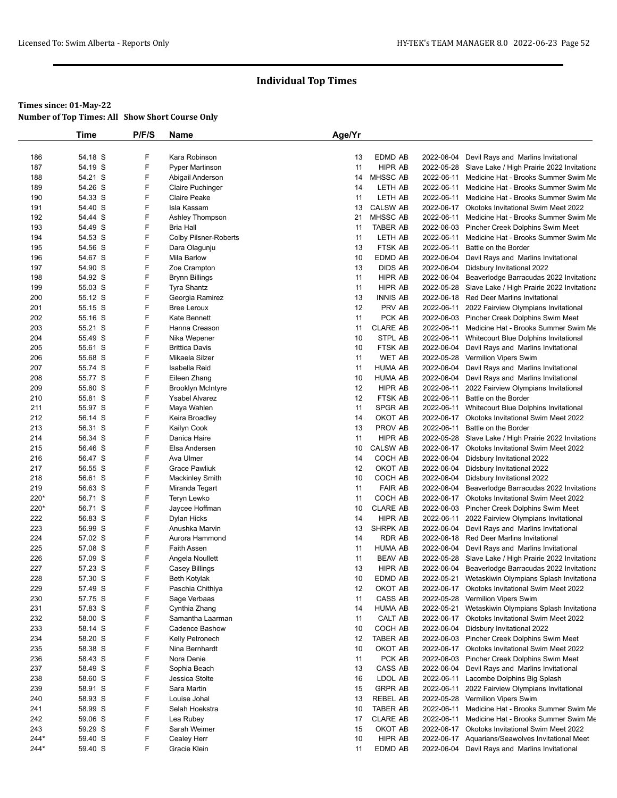|            | Time               | P/F/S  | Name                                  | Age/Yr   |                           |            |                                                                                                             |
|------------|--------------------|--------|---------------------------------------|----------|---------------------------|------------|-------------------------------------------------------------------------------------------------------------|
|            |                    |        |                                       |          |                           |            |                                                                                                             |
| 186        | 54.18 S            | F      | Kara Robinson                         | 13       | <b>EDMD AB</b>            |            | 2022-06-04 Devil Rays and Marlins Invitational                                                              |
| 187        | 54.19 S            | F      | <b>Pyper Martinson</b>                | 11       | HIPR AB                   |            | 2022-05-28 Slave Lake / High Prairie 2022 Invitationa                                                       |
| 188        | 54.21 S            | F      | Abigail Anderson                      | 14       | <b>MHSSC AB</b>           | 2022-06-11 | Medicine Hat - Brooks Summer Swim Me                                                                        |
| 189        | 54.26 S            | F      | Claire Puchinger                      | 14       | LETH AB                   | 2022-06-11 | Medicine Hat - Brooks Summer Swim Me                                                                        |
| 190        | 54.33 S            | F      | <b>Claire Peake</b>                   | 11       | LETH AB                   | 2022-06-11 | Medicine Hat - Brooks Summer Swim Me                                                                        |
| 191        | 54.40 S            | F      | Isla Kassam                           | 13       | <b>CALSW AB</b>           | 2022-06-17 | <b>Okotoks Invitational Swim Meet 2022</b>                                                                  |
| 192        | 54.44 S            | F      | Ashley Thompson                       | 21       | MHSSC AB                  | 2022-06-11 | Medicine Hat - Brooks Summer Swim Me                                                                        |
| 193        | 54.49 S            | F      | <b>Bria Hall</b>                      | 11       | TABER AB                  |            | 2022-06-03 Pincher Creek Dolphins Swim Meet                                                                 |
| 194        | 54.53 S            | F      | <b>Colby Pilsner-Roberts</b>          | 11       | LETH AB                   | 2022-06-11 | Medicine Hat - Brooks Summer Swim Me                                                                        |
| 195        | 54.56 S            | F      | Dara Olagunju                         | 13       | <b>FTSK AB</b>            | 2022-06-11 | Battle on the Border                                                                                        |
| 196        | 54.67 S<br>54.90 S | F<br>F | Mila Barlow                           | 10<br>13 | EDMD AB<br><b>DIDS AB</b> | 2022-06-04 | Devil Rays and Marlins Invitational<br>Didsbury Invitational 2022                                           |
| 197<br>198 | 54.92 S            | F      | Zoe Crampton<br><b>Brynn Billings</b> | 11       | HIPR AB                   | 2022-06-04 | 2022-06-04 Beaverlodge Barracudas 2022 Invitationa                                                          |
| 199        | 55.03 S            | F      | Tyra Shantz                           | 11       | HIPR AB                   |            | 2022-05-28 Slave Lake / High Prairie 2022 Invitationa                                                       |
| 200        | 55.12 S            | F      | Georgia Ramirez                       | 13       | <b>INNIS AB</b>           |            | 2022-06-18 Red Deer Marlins Invitational                                                                    |
| 201        | 55.15 S            | F      | <b>Bree Leroux</b>                    | 12       | PRV AB                    | 2022-06-11 | 2022 Fairview Olympians Invitational                                                                        |
| 202        | 55.16 S            | F      | Kate Bennett                          | 11       | PCK AB                    |            | 2022-06-03 Pincher Creek Dolphins Swim Meet                                                                 |
| 203        | 55.21 S            | F      | Hanna Creason                         | 11       | <b>CLARE AB</b>           | 2022-06-11 | Medicine Hat - Brooks Summer Swim Me                                                                        |
| 204        | 55.49 S            | F      | Nika Wepener                          | 10       | STPL AB                   |            | 2022-06-11 Whitecourt Blue Dolphins Invitational                                                            |
| 205        | 55.61 S            | F      | <b>Brittica Davis</b>                 | 10       | FTSK AB                   |            | 2022-06-04 Devil Rays and Marlins Invitational                                                              |
| 206        | 55.68 S            | F      | Mikaela Silzer                        | 11       | <b>WET AB</b>             |            | 2022-05-28 Vermilion Vipers Swim                                                                            |
| 207        | 55.74 S            | F      | Isabella Reid                         | 11       | HUMA AB                   | 2022-06-04 | Devil Rays and Marlins Invitational                                                                         |
| 208        | 55.77 S            | F      | Eileen Zhang                          | 10       | <b>HUMA AB</b>            |            | 2022-06-04 Devil Rays and Marlins Invitational                                                              |
| 209        | 55.80 S            | F      | <b>Brooklyn McIntyre</b>              | 12       | HIPR AB                   | 2022-06-11 | 2022 Fairview Olympians Invitational                                                                        |
| 210        | 55.81 S            | F      | <b>Ysabel Alvarez</b>                 | 12       | <b>FTSK AB</b>            | 2022-06-11 | Battle on the Border                                                                                        |
| 211        | 55.97 S            | F      | Maya Wahlen                           | 11       | SPGR AB                   | 2022-06-11 | Whitecourt Blue Dolphins Invitational                                                                       |
| 212        | 56.14 S            | F      | Keira Broadley                        | 14       | OKOT AB                   |            | 2022-06-17 Okotoks Invitational Swim Meet 2022                                                              |
| 213        | 56.31 S            | F      | Kailyn Cook                           | 13       | PROV AB                   | 2022-06-11 | Battle on the Border                                                                                        |
| 214        | 56.34 S            | F      | Danica Haire                          | 11       | HIPR AB                   |            | 2022-05-28 Slave Lake / High Prairie 2022 Invitationa                                                       |
| 215        | 56.46 S            | F      | Elsa Andersen                         | 10       | <b>CALSW AB</b>           |            | 2022-06-17 Okotoks Invitational Swim Meet 2022                                                              |
| 216        | 56.47 S            | F      | Ava Ulmer                             | 14       | COCH AB                   | 2022-06-04 | Didsbury Invitational 2022                                                                                  |
| 217        | 56.55 S            | F      | <b>Grace Pawliuk</b>                  | 12       | OKOT AB                   |            | 2022-06-04 Didsbury Invitational 2022                                                                       |
| 218        | 56.61 S            | F      | <b>Mackinley Smith</b>                | 10       | COCH AB                   | 2022-06-04 | Didsbury Invitational 2022                                                                                  |
| 219        | 56.63 S            | F      | Miranda Tegart                        | 11       | <b>FAIR AB</b>            | 2022-06-04 | Beaverlodge Barracudas 2022 Invitationa                                                                     |
| 220*       | 56.71 S            | F      | Teryn Lewko                           | 11       | COCH AB                   |            | 2022-06-17 Okotoks Invitational Swim Meet 2022                                                              |
| 220*       | 56.71 S            | F      | Jaycee Hoffman                        | 10       | <b>CLARE AB</b>           |            | 2022-06-03 Pincher Creek Dolphins Swim Meet                                                                 |
| 222        | 56.83 S            | F      | Dylan Hicks                           | 14       | HIPR AB                   | 2022-06-11 | 2022 Fairview Olympians Invitational                                                                        |
| 223        | 56.99 S            | F      | Anushka Marvin                        | 13       | SHRPK AB                  |            | 2022-06-04 Devil Rays and Marlins Invitational                                                              |
| 224        | 57.02 S            | F<br>F | Aurora Hammond                        | 14       | RDR AB                    |            | 2022-06-18 Red Deer Marlins Invitational                                                                    |
| 225        | 57.08 S            | F      | <b>Faith Assen</b>                    | 11       | HUMA AB<br><b>BEAV AB</b> | 2022-06-04 | Devil Rays and Marlins Invitational                                                                         |
| 226<br>227 | 57.09 S<br>57.23 S | F      | Angela Noullett<br>Casey Billings     | 11<br>13 | HIPR AB                   |            | 2022-05-28 Slave Lake / High Prairie 2022 Invitationa<br>2022-06-04 Beaverlodge Barracudas 2022 Invitationa |
| 228        | 57.30 S            | F      | <b>Beth Kotylak</b>                   | 10       | EDMD AB                   | 2022-05-21 | Wetaskiwin Olympians Splash Invitationa                                                                     |
| 229        | 57.49 S            | F      | Paschia Chithiya                      | 12       | OKOT AB                   |            | 2022-06-17 Okotoks Invitational Swim Meet 2022                                                              |
| 230        | 57.75 S            | F      | Sage Verbaas                          | 11       | CASS AB                   |            | 2022-05-28 Vermilion Vipers Swim                                                                            |
| 231        | 57.83 S            | F      | Cynthia Zhang                         | 14       | <b>HUMA AB</b>            | 2022-05-21 | Wetaskiwin Olympians Splash Invitationa                                                                     |
| 232        | 58.00 S            | F      | Samantha Laarman                      | 11       | CALT AB                   |            | 2022-06-17 Okotoks Invitational Swim Meet 2022                                                              |
| 233        | 58.14 S            | F      | <b>Cadence Bashow</b>                 | 10       | COCH AB                   |            | 2022-06-04 Didsbury Invitational 2022                                                                       |
| 234        | 58.20 S            | F      | Kelly Petronech                       | 12       | TABER AB                  |            | 2022-06-03 Pincher Creek Dolphins Swim Meet                                                                 |
| 235        | 58.38 S            | F      | Nina Bernhardt                        | 10       | OKOT AB                   |            | 2022-06-17 Okotoks Invitational Swim Meet 2022                                                              |
| 236        | 58.43 S            | F      | Nora Denie                            | 11       | PCK AB                    |            | 2022-06-03 Pincher Creek Dolphins Swim Meet                                                                 |
| 237        | 58.49 S            | F      | Sophia Beach                          | 13       | CASS AB                   | 2022-06-04 | Devil Rays and Marlins Invitational                                                                         |
| 238        | 58.60 S            | F      | Jessica Stolte                        | 16       | LDOL AB                   | 2022-06-11 | Lacombe Dolphins Big Splash                                                                                 |
| 239        | 58.91 S            | F      | Sara Martin                           | 15       | <b>GRPR AB</b>            | 2022-06-11 | 2022 Fairview Olympians Invitational                                                                        |
| 240        | 58.93 S            | F      | Louise Johal                          | 13       | REBEL AB                  |            | 2022-05-28 Vermilion Vipers Swim                                                                            |
| 241        | 58.99 S            | F      | Selah Hoekstra                        | 10       | TABER AB                  | 2022-06-11 | Medicine Hat - Brooks Summer Swim Me                                                                        |
| 242        | 59.06 S            | F      | Lea Rubey                             | 17       | <b>CLARE AB</b>           | 2022-06-11 | Medicine Hat - Brooks Summer Swim Me                                                                        |
| 243        | 59.29 S            | F      | Sarah Weimer                          | 15       | OKOT AB                   |            | 2022-06-17 Okotoks Invitational Swim Meet 2022                                                              |
| 244*       | 59.40 S            | F      | Cealey Herr                           | 10       | HIPR AB                   |            | 2022-06-17 Aquarians/Seawolves Invitational Meet                                                            |
| 244*       | 59.40 S            | F      | Gracie Klein                          | 11       | EDMD AB                   |            | 2022-06-04 Devil Rays and Marlins Invitational                                                              |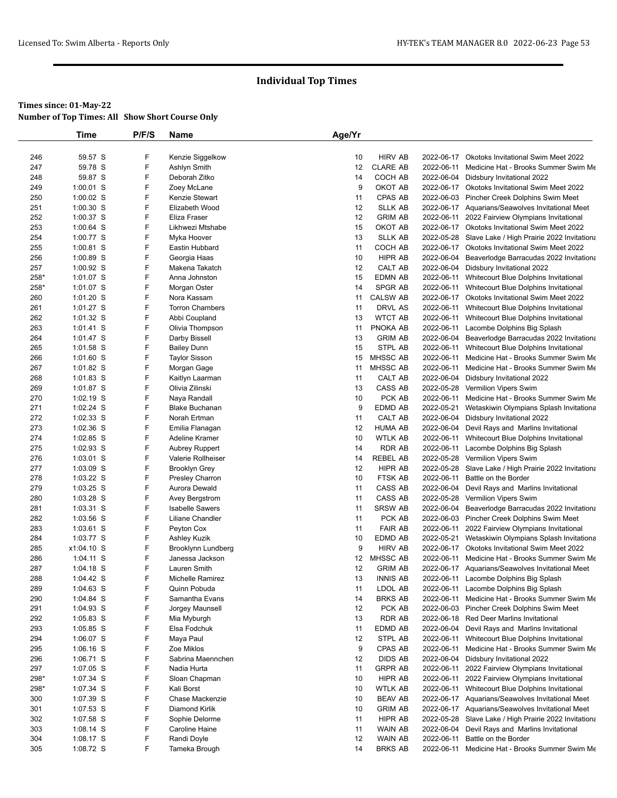|            | Time                     | P/F/S  | Name                                    | Age/Yr   |                           |            |                                                                                                |
|------------|--------------------------|--------|-----------------------------------------|----------|---------------------------|------------|------------------------------------------------------------------------------------------------|
|            |                          |        |                                         |          |                           |            |                                                                                                |
| 246        | 59.57 S                  | F      | Kenzie Siggelkow                        | 10       | <b>HIRV AB</b>            |            | 2022-06-17 Okotoks Invitational Swim Meet 2022                                                 |
| 247        | 59.78 S                  | F      | Ashlyn Smith                            | 12       | <b>CLARE AB</b>           | 2022-06-11 | Medicine Hat - Brooks Summer Swim Me                                                           |
| 248        | 59.87 S                  | F      | Deborah Zitko                           | 14       | COCH AB                   | 2022-06-04 | Didsbury Invitational 2022                                                                     |
| 249        | 1:00.01 S                | F      | Zoey McLane                             | 9        | OKOT AB                   |            | 2022-06-17 Okotoks Invitational Swim Meet 2022                                                 |
| 250        | 1:00.02 S                | F      | Kenzie Stewart                          | 11       | CPAS AB                   |            | 2022-06-03 Pincher Creek Dolphins Swim Meet                                                    |
| 251        | $1:00.30$ S              | F      | Elizabeth Wood                          | 12       | <b>SLLK AB</b>            |            | 2022-06-17 Aquarians/Seawolves Invitational Meet                                               |
| 252        | 1:00.37 S                | F      | Eliza Fraser                            | 12       | <b>GRIM AB</b>            |            | 2022-06-11 2022 Fairview Olympians Invitational                                                |
| 253        | 1:00.64 S                | F      | Likhwezi Mtshabe                        | 15       | OKOT AB                   |            | 2022-06-17 Okotoks Invitational Swim Meet 2022                                                 |
| 254        | 1:00.77 S                | F      | Myka Hoover                             | 13       | <b>SLLK AB</b>            |            | 2022-05-28 Slave Lake / High Prairie 2022 Invitationa                                          |
| 255        | 1:00.81 S                | F      | Eastin Hubbard                          | 11       | COCH AB                   |            | 2022-06-17 Okotoks Invitational Swim Meet 2022                                                 |
| 256        | 1:00.89 S                | F      | Georgia Haas                            | 10       | HIPR AB                   |            | 2022-06-04 Beaverlodge Barracudas 2022 Invitationa                                             |
| 257        | $1:00.92$ S              | F      | Makena Takatch                          | 12       | CALT AB                   | 2022-06-04 | Didsbury Invitational 2022                                                                     |
| 258*       | 1:01.07 S                | F      | Anna Johnston                           | 15       | <b>EDMN AB</b>            |            | 2022-06-11 Whitecourt Blue Dolphins Invitational                                               |
| 258*       | 1:01.07 S                | F      | Morgan Oster                            | 14       | SPGR AB                   | 2022-06-11 | Whitecourt Blue Dolphins Invitational                                                          |
| 260        | $1:01.20$ S              | F<br>F | Nora Kassam                             | 11       | <b>CALSW AB</b>           |            | 2022-06-17 Okotoks Invitational Swim Meet 2022                                                 |
| 261<br>262 | 1:01.27 S<br>$1:01.32$ S | F      | <b>Torron Chambers</b><br>Abbi Coupland | 11<br>13 | DRVL AS<br><b>WTCT AB</b> | 2022-06-11 | 2022-06-11 Whitecourt Blue Dolphins Invitational                                               |
| 263        | 1:01.41 S                | F      | Olivia Thompson                         | 11       | PNOKA AB                  | 2022-06-11 | Whitecourt Blue Dolphins Invitational<br>Lacombe Dolphins Big Splash                           |
| 264        | 1:01.47 S                | F      | Darby Bissell                           | 13       | <b>GRIM AB</b>            |            | 2022-06-04 Beaverlodge Barracudas 2022 Invitationa                                             |
| 265        | $1:01.58$ S              | F      | <b>Bailey Dunn</b>                      | 15       | STPL AB                   | 2022-06-11 | Whitecourt Blue Dolphins Invitational                                                          |
| 266        | 1:01.60 S                | F      | <b>Taylor Sisson</b>                    | 15       | MHSSC AB                  | 2022-06-11 | Medicine Hat - Brooks Summer Swim Me                                                           |
| 267        | 1:01.82 S                | F      | Morgan Gage                             | 11       | MHSSC AB                  | 2022-06-11 | Medicine Hat - Brooks Summer Swim Me                                                           |
| 268        | 1:01.83 S                | F      | Kaitlyn Laarman                         | 11       | CALT AB                   | 2022-06-04 | Didsbury Invitational 2022                                                                     |
| 269        | 1:01.87 S                | F      | Olivia Zilinski                         | 13       | CASS AB                   |            | 2022-05-28 Vermilion Vipers Swim                                                               |
| 270        | $1:02.19$ S              | F      | Naya Randall                            | 10       | PCK AB                    | 2022-06-11 | Medicine Hat - Brooks Summer Swim Me                                                           |
| 271        | 1:02.24 S                | F      | <b>Blake Buchanan</b>                   | 9        | EDMD AB                   | 2022-05-21 | Wetaskiwin Olympians Splash Invitationa                                                        |
| 272        | 1:02.33 S                | F      | Norah Ertman                            | 11       | CALT AB                   |            | 2022-06-04 Didsbury Invitational 2022                                                          |
| 273        | 1:02.36 S                | F      | Emilia Flanagan                         | 12       | <b>HUMA AB</b>            | 2022-06-04 | Devil Rays and Marlins Invitational                                                            |
| 274        | 1:02.85 S                | F      | <b>Adeline Kramer</b>                   | 10       | <b>WTLK AB</b>            | 2022-06-11 | Whitecourt Blue Dolphins Invitational                                                          |
| 275        | 1:02.93 S                | F      | <b>Aubrey Ruppert</b>                   | 14       | RDR AB                    | 2022-06-11 | Lacombe Dolphins Big Splash                                                                    |
| 276        | $1:03.01$ S              | F      | Valerie Rollheiser                      | 14       | REBEL AB                  |            | 2022-05-28 Vermilion Vipers Swim                                                               |
| 277        | 1:03.09 S                | F      | <b>Brooklyn Grey</b>                    | 12       | HIPR AB                   | 2022-05-28 | Slave Lake / High Prairie 2022 Invitationa                                                     |
| 278        | 1:03.22 S                | F      | <b>Presley Charron</b>                  | 10       | FTSK AB                   | 2022-06-11 | Battle on the Border                                                                           |
| 279        | 1:03.25 S                | F      | Aurora Dewald                           | 11       | CASS AB                   | 2022-06-04 | Devil Rays and Marlins Invitational                                                            |
| 280        | 1:03.28 S                | F      | Avey Bergstrom                          | 11       | CASS AB                   | 2022-05-28 | Vermilion Vipers Swim                                                                          |
| 281        | 1:03.31 S                | F      | <b>Isabelle Sawers</b>                  | 11       | <b>SRSW AB</b>            |            | 2022-06-04 Beaverlodge Barracudas 2022 Invitationa                                             |
| 282        | 1:03.56 S                | F      | Liliane Chandler                        | 11       | PCK AB                    |            | 2022-06-03 Pincher Creek Dolphins Swim Meet                                                    |
| 283        | $1:03.61$ S              | F      | Peyton Cox                              | 11       | <b>FAIR AB</b>            | 2022-06-11 | 2022 Fairview Olympians Invitational                                                           |
| 284        | 1:03.77 S                | F      | Ashley Kuzik                            | 10       | EDMD AB                   | 2022-05-21 | Wetaskiwin Olympians Splash Invitationa                                                        |
| 285        | x1:04.10 S               | F      | Brooklynn Lundberg                      | 9        | <b>HIRV AB</b>            | 2022-06-17 | <b>Okotoks Invitational Swim Meet 2022</b>                                                     |
| 286        | 1:04.11 S                | F      | Janessa Jackson                         | 12       | MHSSC AB                  | 2022-06-11 | Medicine Hat - Brooks Summer Swim Me                                                           |
| 287        | $1:04.18$ S              | F<br>F | Lauren Smith                            | 12       | <b>GRIM AB</b>            |            | 2022-06-17 Aquarians/Seawolves Invitational Meet                                               |
| 288        | 1:04.42 S                | F      | Michelle Ramirez                        | 13       | <b>INNIS AB</b>           |            | 2022-06-11 Lacombe Dolphins Big Splash                                                         |
| 289<br>290 | 1:04.63 S                | F      | Quinn Pobuda                            | 11       | LDOL AB<br><b>BRKS AB</b> |            | 2022-06-11 Lacombe Dolphins Big Splash                                                         |
| 291        | 1:04.84 S<br>1:04.93 S   | F      | Samantha Evans<br>Jorgey Maunsell       | 14<br>12 | PCK AB                    |            | 2022-06-11 Medicine Hat - Brooks Summer Swim Me<br>2022-06-03 Pincher Creek Dolphins Swim Meet |
| 292        | $1:05.83$ S              | F      | Mia Myburgh                             | 13       | RDR AB                    |            | 2022-06-18 Red Deer Marlins Invitational                                                       |
| 293        | $1:05.85$ S              | F      | Elsa Fodchuk                            | 11       | EDMD AB                   | 2022-06-04 | Devil Rays and Marlins Invitational                                                            |
| 294        | $1:06.07$ S              | F      | Maya Paul                               | 12       | STPL AB                   | 2022-06-11 | Whitecourt Blue Dolphins Invitational                                                          |
| 295        | $1:06.16$ S              | F      | Zoe Miklos                              | 9        | CPAS AB                   | 2022-06-11 | Medicine Hat - Brooks Summer Swim Me                                                           |
| 296        | $1:06.71$ S              | F      | Sabrina Maennchen                       | 12       | DIDS AB                   | 2022-06-04 | Didsbury Invitational 2022                                                                     |
| 297        | 1:07.05 S                | F      | Nadia Hurta                             | 11       | <b>GRPR AB</b>            | 2022-06-11 | 2022 Fairview Olympians Invitational                                                           |
| 298*       | 1:07.34 S                | F      | Sloan Chapman                           | 10       | HIPR AB                   | 2022-06-11 | 2022 Fairview Olympians Invitational                                                           |
| 298*       | 1:07.34 S                | F      | Kali Borst                              | 10       | <b>WTLK AB</b>            |            | 2022-06-11 Whitecourt Blue Dolphins Invitational                                               |
| 300        | 1:07.39 S                | F      | Chase Mackenzie                         | 10       | BEAV AB                   |            | 2022-06-17 Aquarians/Seawolves Invitational Meet                                               |
| 301        | 1:07.53 S                | F      | Diamond Kirlik                          | 10       | <b>GRIM AB</b>            |            | 2022-06-17 Aquarians/Seawolves Invitational Meet                                               |
| 302        | 1:07.58 S                | F      | Sophie Delorme                          | 11       | HIPR AB                   |            | 2022-05-28 Slave Lake / High Prairie 2022 Invitationa                                          |
| 303        | $1:08.14$ S              | F      | Caroline Haine                          | 11       | WAIN AB                   |            | 2022-06-04 Devil Rays and Marlins Invitational                                                 |
| 304        | 1:08.17 S                | F      | Randi Doyle                             | 12       | WAIN AB                   | 2022-06-11 | Battle on the Border                                                                           |
| 305        | 1:08.72 S                | F      | Tameka Brough                           | 14       | <b>BRKS AB</b>            |            | 2022-06-11 Medicine Hat - Brooks Summer Swim Me                                                |
|            |                          |        |                                         |          |                           |            |                                                                                                |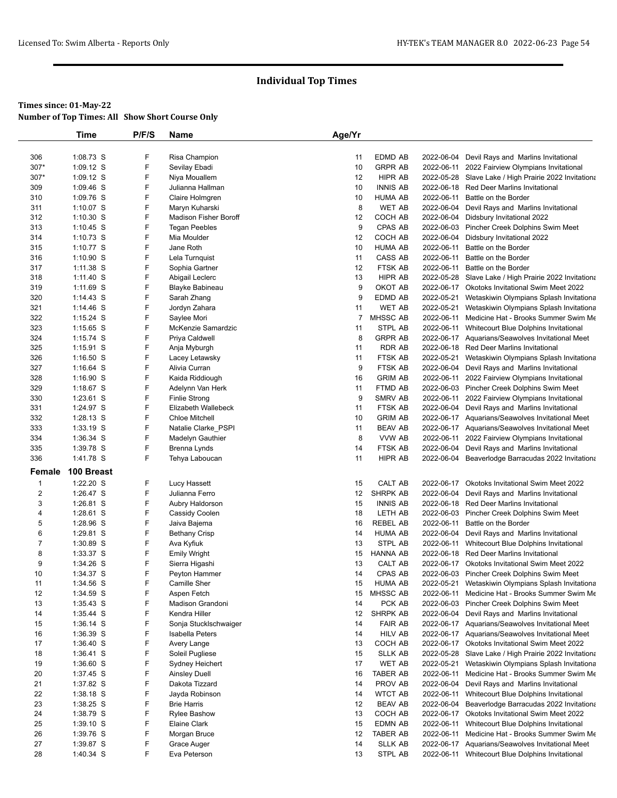|                | Time        | P/F/S  | Name                         | Age/Yr |                           |            |                                                       |
|----------------|-------------|--------|------------------------------|--------|---------------------------|------------|-------------------------------------------------------|
|                |             |        |                              |        |                           |            |                                                       |
| 306            | 1:08.73 S   | F      | Risa Champion                | 11     | <b>EDMD AB</b>            | 2022-06-04 | Devil Rays and Marlins Invitational                   |
| 307*           | 1:09.12 S   | F      | Sevilay Ebadi                | 10     | <b>GRPR AB</b>            | 2022-06-11 | 2022 Fairview Olympians Invitational                  |
| 307*           | 1:09.12 S   | F      | Niya Mouallem                | 12     | HIPR AB                   |            | 2022-05-28 Slave Lake / High Prairie 2022 Invitationa |
| 309            | 1:09.46 S   | F      | Julianna Hallman             | 10     | <b>INNIS AB</b>           |            | 2022-06-18 Red Deer Marlins Invitational              |
| 310            | 1:09.76 S   | F      | Claire Holmgren              | 10     | HUMA AB                   | 2022-06-11 | Battle on the Border                                  |
| 311            | 1:10.07 S   | F      | Maryn Kuharski               | 8      | WET AB                    | 2022-06-04 | Devil Rays and Marlins Invitational                   |
| 312            | $1:10.30$ S | F      | <b>Madison Fisher Boroff</b> | 12     | COCH AB                   |            | 2022-06-04 Didsbury Invitational 2022                 |
| 313            | $1:10.45$ S | F      | <b>Tegan Peebles</b>         | 9      | CPAS AB                   |            | 2022-06-03 Pincher Creek Dolphins Swim Meet           |
| 314            | 1:10.73 S   | F      | Mia Moulder                  | 12     | COCH AB                   | 2022-06-04 | Didsbury Invitational 2022                            |
| 315            | 1:10.77 S   | F      | Jane Roth                    | 10     | <b>HUMA AB</b>            | 2022-06-11 | Battle on the Border                                  |
| 316            | $1:10.90$ S | F      | Lela Turnquist               | 11     | CASS AB                   | 2022-06-11 | Battle on the Border                                  |
| 317            | 1:11.38 S   | F      | Sophia Gartner               | 12     | FTSK AB                   | 2022-06-11 | Battle on the Border                                  |
| 318            | 1:11.40 S   | F      | Abigail Leclerc              | 13     | <b>HIPR AB</b>            |            | 2022-05-28 Slave Lake / High Prairie 2022 Invitationa |
| 319            | $1:11.69$ S | F      | Blayke Babineau              | 9      | OKOT AB                   |            | 2022-06-17 Okotoks Invitational Swim Meet 2022        |
| 320            | 1:14.43 S   | F      | Sarah Zhang                  | 9      | EDMD AB                   | 2022-05-21 | Wetaskiwin Olympians Splash Invitationa               |
| 321            | 1:14.46 S   | F      | Jordyn Zahara                | 11     | WET AB                    | 2022-05-21 | Wetaskiwin Olympians Splash Invitationa               |
| 322            | $1:15.24$ S | F      | Saylee Mori                  | 7      | MHSSC AB                  | 2022-06-11 | Medicine Hat - Brooks Summer Swim Me                  |
| 323            | 1:15.65 S   | F      | McKenzie Samardzic           | 11     | STPL AB                   | 2022-06-11 | Whitecourt Blue Dolphins Invitational                 |
| 324            | 1:15.74 S   | F      | Priya Caldwell               | 8      | <b>GRPR AB</b>            |            | 2022-06-17 Aquarians/Seawolves Invitational Meet      |
| 325            | $1:15.91$ S | F      | Anja Myburgh                 | 11     | RDR AB                    |            | 2022-06-18 Red Deer Marlins Invitational              |
| 326            | $1:16.50$ S | F      | Lacey Letawsky               | 11     | FTSK AB                   | 2022-05-21 | Wetaskiwin Olympians Splash Invitationa               |
| 327            | $1:16.64$ S | F      | Alivia Curran                | 9      | FTSK AB                   |            | 2022-06-04 Devil Rays and Marlins Invitational        |
| 328            | 1:16.90 S   | F      | Kaida Riddiough              | 16     | <b>GRIM AB</b>            | 2022-06-11 | 2022 Fairview Olympians Invitational                  |
| 329            | $1:18.67$ S | F      | Adelynn Van Herk             | 11     | FTMD AB                   |            | 2022-06-03 Pincher Creek Dolphins Swim Meet           |
| 330            | $1:23.61$ S | F      | <b>Finlie Strong</b>         | 9      | SMRV AB                   |            | 2022-06-11 2022 Fairview Olympians Invitational       |
| 331            | 1:24.97 S   | F      | Elizabeth Wallebeck          | 11     | FTSK AB                   |            | 2022-06-04 Devil Rays and Marlins Invitational        |
| 332            | 1:28.13 S   | F      | <b>Chloe Mitchell</b>        | 10     | <b>GRIM AB</b>            |            | 2022-06-17 Aquarians/Seawolves Invitational Meet      |
| 333            | 1:33.19 S   | F      | Natalie Clarke_PSPI          | 11     | <b>BEAV AB</b>            |            | 2022-06-17 Aquarians/Seawolves Invitational Meet      |
| 334            | 1:36.34 S   | F      | Madelyn Gauthier             | 8      | VVW AB                    | 2022-06-11 | 2022 Fairview Olympians Invitational                  |
| 335            | 1:39.78 S   | F      | Brenna Lynds                 | 14     | FTSK AB                   | 2022-06-04 | Devil Rays and Marlins Invitational                   |
| 336            | 1:41.78 S   | F      | Tehya Laboucan               | 11     | HIPR AB                   |            | 2022-06-04 Beaverlodge Barracudas 2022 Invitationa    |
| Female         | 100 Breast  |        |                              |        |                           |            |                                                       |
| $\overline{1}$ | 1:22.20 S   | F      | Lucy Hassett                 | 15     | CALT AB                   |            | 2022-06-17 Okotoks Invitational Swim Meet 2022        |
| $\overline{2}$ | 1:26.47 S   | F      | Julianna Ferro               | 12     | SHRPK AB                  | 2022-06-04 | Devil Rays and Marlins Invitational                   |
| 3              | 1:26.81 S   | F      | Aubry Haldorson              | 15     | <b>INNIS AB</b>           |            | 2022-06-18 Red Deer Marlins Invitational              |
| 4              | 1:28.61 S   | F      | Cassidy Coolen               | 18     | LETH AB                   |            | 2022-06-03 Pincher Creek Dolphins Swim Meet           |
| 5              | 1:28.96 S   | F      | Jaiva Bajema                 | 16     | <b>REBEL AB</b>           | 2022-06-11 | Battle on the Border                                  |
| 6              | 1:29.81 S   | F      | <b>Bethany Crisp</b>         | 14     | <b>HUMA AB</b>            | 2022-06-04 | Devil Rays and Marlins Invitational                   |
| $\overline{7}$ | 1:30.89 S   | F      | Ava Kyfiuk                   | 13     | STPL AB                   | 2022-06-11 | Whitecourt Blue Dolphins Invitational                 |
| 8              | 1:33.37 S   | F      | <b>Emily Wright</b>          | 15     | HANNA AB                  |            | 2022-06-18 Red Deer Marlins Invitational              |
| 9              | 1:34.26 S   | F      | Sierra Higashi               | 13     | CALT AB                   | 2022-06-17 | <b>Okotoks Invitational Swim Meet 2022</b>            |
| 10             | 1:34.37 S   | F      | Peyton Hammer                | 14     | CPAS AB                   |            | 2022-06-03 Pincher Creek Dolphins Swim Meet           |
| 11             | 1:34.56 S   | F      | Camille Sher                 | 15     | HUMA AB                   |            | 2022-05-21 Wetaskiwin Olympians Splash Invitationa    |
| 12             | 1:34.59 S   | F      | Aspen Fetch                  | 15     | MHSSC AB                  |            | 2022-06-11 Medicine Hat - Brooks Summer Swim Me       |
| 13             | $1:35.43$ S | F      | Madison Grandoni             | 14     | PCK AB                    |            | 2022-06-03 Pincher Creek Dolphins Swim Meet           |
| 14             | 1:35.44 S   | F      | Kendra Hiller                | 12     | SHRPK AB                  |            | 2022-06-04 Devil Rays and Marlins Invitational        |
| 15             | 1:36.14 S   | F      | Sonja Stucklschwaiger        | 14     | <b>FAIR AB</b>            |            | 2022-06-17 Aquarians/Seawolves Invitational Meet      |
| 16             | $1:36.39$ S | F      | Isabella Peters              | 14     | <b>HILV AB</b>            |            | 2022-06-17 Aquarians/Seawolves Invitational Meet      |
| 17             | $1:36.40$ S | F      | Avery Lange                  | 13     | COCH AB                   |            | 2022-06-17 Okotoks Invitational Swim Meet 2022        |
| 18             | $1:36.41$ S | F      | Soleil Pugliese              | 15     | SLLK AB                   | 2022-05-28 | Slave Lake / High Prairie 2022 Invitationa            |
| 19             | $1:36.60$ S | F<br>F | Sydney Heichert              | 17     | WET AB                    | 2022-05-21 | Wetaskiwin Olympians Splash Invitationa               |
| 20             | 1:37.45 S   | F      | <b>Ainsley Duell</b>         | 16     | TABER AB                  | 2022-06-11 | Medicine Hat - Brooks Summer Swim Me                  |
| 21             | 1:37.82 S   | F      | Dakota Tizzard               | 14     | PROV AB<br><b>WTCT AB</b> | 2022-06-04 | Devil Rays and Marlins Invitational                   |
| 22             | 1:38.18 S   |        | Jayda Robinson               | 14     |                           | 2022-06-11 | Whitecourt Blue Dolphins Invitational                 |
| 23             | $1:38.25$ S | F      | <b>Brie Harris</b>           | 12     | <b>BEAV AB</b>            |            | 2022-06-04 Beaverlodge Barracudas 2022 Invitationa    |
| 24             | 1:38.79 S   | F      | Rylee Bashow                 | 13     | COCH AB                   |            | 2022-06-17 Okotoks Invitational Swim Meet 2022        |
| 25             | 1:39.10 S   | F      | Elaine Clark                 | 15     | EDMN AB                   | 2022-06-11 | Whitecourt Blue Dolphins Invitational                 |
| 26             | 1:39.76 S   | F      | Morgan Bruce                 | 12     | <b>TABER AB</b>           | 2022-06-11 | Medicine Hat - Brooks Summer Swim Me                  |
| 27             | 1:39.87 S   | F      | Grace Auger                  | 14     | <b>SLLK AB</b>            |            | 2022-06-17 Aquarians/Seawolves Invitational Meet      |
| 28             | 1:40.34 S   | F      | Eva Peterson                 | 13     | STPL AB                   |            | 2022-06-11 Whitecourt Blue Dolphins Invitational      |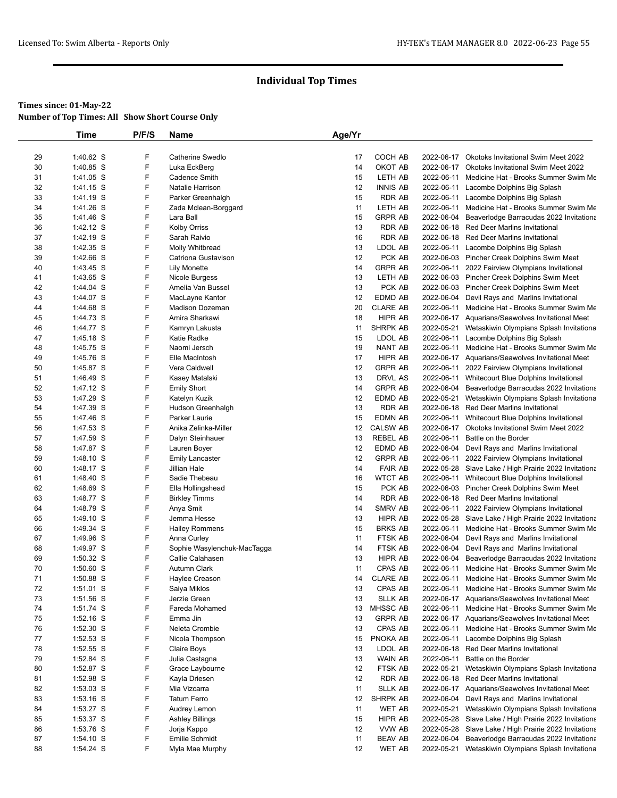|    | Time        | P/F/S | Name                        | Age/Yr |                 |            |                                                       |
|----|-------------|-------|-----------------------------|--------|-----------------|------------|-------------------------------------------------------|
|    |             |       |                             |        |                 |            |                                                       |
| 29 | 1:40.62 S   | F     | Catherine Swedlo            | 17     | COCH AB         |            | 2022-06-17 Okotoks Invitational Swim Meet 2022        |
| 30 | 1:40.85 S   | F     | Luka EckBerg                | 14     | OKOT AB         |            | 2022-06-17 Okotoks Invitational Swim Meet 2022        |
| 31 | 1:41.05 S   | F     | <b>Cadence Smith</b>        | 15     | LETH AB         |            | 2022-06-11 Medicine Hat - Brooks Summer Swim Me       |
| 32 | 1:41.15 S   | F     | Natalie Harrison            | 12     | <b>INNIS AB</b> |            | 2022-06-11 Lacombe Dolphins Big Splash                |
| 33 | 1:41.19 S   | F     | Parker Greenhalgh           | 15     | <b>RDR AB</b>   |            | 2022-06-11 Lacombe Dolphins Big Splash                |
| 34 | 1:41.26 S   | F     | Zada Mclean-Borggard        | 11     | LETH AB         |            | 2022-06-11 Medicine Hat - Brooks Summer Swim Me       |
| 35 | 1:41.46 S   | F     | Lara Ball                   | 15     | <b>GRPR AB</b>  |            | 2022-06-04 Beaverlodge Barracudas 2022 Invitationa    |
| 36 | 1:42.12 S   | F     | <b>Kolby Orriss</b>         | 13     | RDR AB          |            | 2022-06-18 Red Deer Marlins Invitational              |
| 37 | 1:42.19 S   | F     | Sarah Raivio                | 16     | <b>RDR AB</b>   |            | 2022-06-18 Red Deer Marlins Invitational              |
| 38 | 1:42.35 S   | F     | Molly Whitbread             | 13     | LDOL AB         |            | 2022-06-11 Lacombe Dolphins Big Splash                |
| 39 | 1:42.66 S   | F     | Catriona Gustavison         | 12     | PCK AB          |            | 2022-06-03 Pincher Creek Dolphins Swim Meet           |
| 40 | 1:43.45 S   | F     | <b>Lily Monette</b>         | 14     | <b>GRPR AB</b>  |            | 2022-06-11 2022 Fairview Olympians Invitational       |
| 41 | 1:43.65 S   | F     | Nicole Burgess              | 13     | LETH AB         |            | 2022-06-03 Pincher Creek Dolphins Swim Meet           |
| 42 | 1:44.04 S   | F     | Amelia Van Bussel           | 13     | PCK AB          |            | 2022-06-03 Pincher Creek Dolphins Swim Meet           |
| 43 | 1:44.07 S   | F     | MacLayne Kantor             | 12     | EDMD AB         |            | 2022-06-04 Devil Rays and Marlins Invitational        |
| 44 | 1:44.68 S   | F     | Madison Dozeman             | 20     | <b>CLARE AB</b> |            | 2022-06-11 Medicine Hat - Brooks Summer Swim Me       |
| 45 | 1:44.73 S   | F     | Amira Sharkawi              | 18     | HIPR AB         |            | 2022-06-17 Aquarians/Seawolves Invitational Meet      |
| 46 | 1:44.77 S   | F     | Kamryn Lakusta              | 11     | <b>SHRPK AB</b> |            | 2022-05-21 Wetaskiwin Olympians Splash Invitationa    |
| 47 | $1:45.18$ S | F     | Katie Radke                 | 15     | LDOL AB         |            | 2022-06-11 Lacombe Dolphins Big Splash                |
| 48 | 1:45.75 S   | F     | Naomi Jersch                | 19     | NANT AB         |            | 2022-06-11 Medicine Hat - Brooks Summer Swim Me       |
| 49 | 1:45.76 S   | F     | Elle MacIntosh              | 17     | <b>HIPR AB</b>  |            | 2022-06-17 Aquarians/Seawolves Invitational Meet      |
| 50 | 1:45.87 S   | F     | Vera Caldwell               | 12     | <b>GRPR AB</b>  |            | 2022-06-11 2022 Fairview Olympians Invitational       |
| 51 | 1:46.49 S   | F     | Kasey Matalski              | 13     | <b>DRVL AS</b>  |            | 2022-06-11 Whitecourt Blue Dolphins Invitational      |
| 52 | 1:47.12 S   | F     | <b>Emily Short</b>          | 14     | <b>GRPR AB</b>  |            | 2022-06-04 Beaverlodge Barracudas 2022 Invitationa    |
| 53 | 1:47.29 S   | F     | Katelyn Kuzik               | 12     | EDMD AB         |            | 2022-05-21 Wetaskiwin Olympians Splash Invitationa    |
| 54 | 1:47.39 S   | F     | Hudson Greenhalgh           | 13     | <b>RDR AB</b>   |            | 2022-06-18 Red Deer Marlins Invitational              |
| 55 | 1:47.46 S   | F     | Parker Laurie               | 15     | <b>EDMN AB</b>  | 2022-06-11 | Whitecourt Blue Dolphins Invitational                 |
| 56 | 1:47.53 S   | F     | Anika Zelinka-Miller        | 12     | <b>CALSW AB</b> |            | 2022-06-17 Okotoks Invitational Swim Meet 2022        |
| 57 | 1:47.59 S   | F     | Dalyn Steinhauer            | 13     | <b>REBEL AB</b> | 2022-06-11 | Battle on the Border                                  |
| 58 | 1:47.87 S   | F     | Lauren Boyer                | 12     | EDMD AB         |            | 2022-06-04 Devil Rays and Marlins Invitational        |
| 59 | 1:48.10 S   | F     | <b>Emily Lancaster</b>      | 12     | <b>GRPR AB</b>  |            | 2022-06-11 2022 Fairview Olympians Invitational       |
| 60 | 1:48.17 S   | F     | Jillian Hale                | 14     | <b>FAIR AB</b>  |            | 2022-05-28 Slave Lake / High Prairie 2022 Invitationa |
| 61 | 1:48.40 S   | F     | Sadie Thebeau               | 16     | <b>WTCT AB</b>  |            | 2022-06-11 Whitecourt Blue Dolphins Invitational      |
| 62 | 1:48.69 S   | F     | Ella Hollingshead           | 15     | PCK AB          |            | 2022-06-03 Pincher Creek Dolphins Swim Meet           |
| 63 | 1:48.77 S   | F     | <b>Birkley Timms</b>        | 14     | <b>RDR AB</b>   |            | 2022-06-18 Red Deer Marlins Invitational              |
| 64 | 1:48.79 S   | F     | Anya Smit                   | 14     | SMRV AB         | 2022-06-11 | 2022 Fairview Olympians Invitational                  |
| 65 | 1:49.10 S   | F     | Jemma Hesse                 | 13     | HIPR AB         |            | 2022-05-28 Slave Lake / High Prairie 2022 Invitationa |
| 66 | 1:49.34 S   | F     | <b>Hailey Rommens</b>       | 15     | <b>BRKS AB</b>  |            | 2022-06-11 Medicine Hat - Brooks Summer Swim Me       |
| 67 | 1:49.96 S   | F     | Anna Curley                 | 11     | FTSK AB         | 2022-06-04 | Devil Rays and Marlins Invitational                   |
| 68 | 1:49.97 S   | F     | Sophie Wasylenchuk-MacTagga | 14     | FTSK AB         | 2022-06-04 | Devil Rays and Marlins Invitational                   |
| 69 | 1:50.32 S   | F     | Callie Calahasen            | 13     | HIPR AB         | 2022-06-04 | Beaverlodge Barracudas 2022 Invitationa               |
| 70 | 1:50.60 S   | F     | Autumn Clark                | 11     | CPAS AB         |            | 2022-06-11 Medicine Hat - Brooks Summer Swim Me       |
| 71 | 1:50.88 S   | F     | Haylee Creason              | 14     | <b>CLARE AB</b> |            | 2022-06-11 Medicine Hat - Brooks Summer Swim Me       |
| 72 | $1:51.01$ S | F     | Saiya Miklos                | 13     | CPAS AB         |            | 2022-06-11 Medicine Hat - Brooks Summer Swim Me       |
| 73 | 1:51.56 S   | F     | Jerzie Green                | 13     | <b>SLLK AB</b>  |            | 2022-06-17 Aquarians/Seawolves Invitational Meet      |
| 74 | 1:51.74 S   | F     | Fareda Mohamed              | 13     | MHSSC AB        |            | 2022-06-11 Medicine Hat - Brooks Summer Swim Me       |
| 75 | 1:52.16 S   | F     | Emma Jin                    | 13     | <b>GRPR AB</b>  |            | 2022-06-17 Aquarians/Seawolves Invitational Meet      |
| 76 | 1:52.30 S   | F     | Neleta Crombie              | 13     | CPAS AB         |            | 2022-06-11 Medicine Hat - Brooks Summer Swim Me       |
| 77 | $1:52.53$ S | F     | Nicola Thompson             | 15     | PNOKA AB        |            | 2022-06-11 Lacombe Dolphins Big Splash                |
| 78 | 1:52.55 S   | F     | Claire Boys                 | 13     | LDOL AB         |            | 2022-06-18 Red Deer Marlins Invitational              |
| 79 | 1:52.84 S   | F     | Julia Castagna              | 13     | WAIN AB         |            | 2022-06-11 Battle on the Border                       |
| 80 | 1:52.87 S   | F     | Grace Laybourne             | 12     | FTSK AB         | 2022-05-21 | Wetaskiwin Olympians Splash Invitationa               |
| 81 | 1:52.98 S   | F     | Kayla Driesen               | 12     | RDR AB          |            | 2022-06-18 Red Deer Marlins Invitational              |
| 82 | 1:53.03 S   | F     | Mia Vizcarra                | 11     | <b>SLLK AB</b>  |            | 2022-06-17 Aquarians/Seawolves Invitational Meet      |
| 83 | $1:53.16$ S | F     | <b>Tatum Ferro</b>          | 12     | SHRPK AB        | 2022-06-04 | Devil Rays and Marlins Invitational                   |
| 84 | 1:53.27 S   | F     | Audrey Lemon                | 11     | WET AB          |            | 2022-05-21 Wetaskiwin Olympians Splash Invitationa    |
| 85 | 1:53.37 S   | F     | Ashley Billings             | 15     | HIPR AB         |            | 2022-05-28 Slave Lake / High Prairie 2022 Invitationa |
| 86 | 1:53.76 S   | F     | Jorja Kappo                 | 12     | VVW AB          | 2022-05-28 | Slave Lake / High Prairie 2022 Invitationa            |
| 87 | 1:54.10 S   | F     | Emilie Schmidt              | 11     | <b>BEAV AB</b>  | 2022-06-04 | Beaverlodge Barracudas 2022 Invitationa               |
| 88 | 1:54.24 S   | F     | Myla Mae Murphy             | 12     | WET AB          | 2022-05-21 | Wetaskiwin Olympians Splash Invitationa               |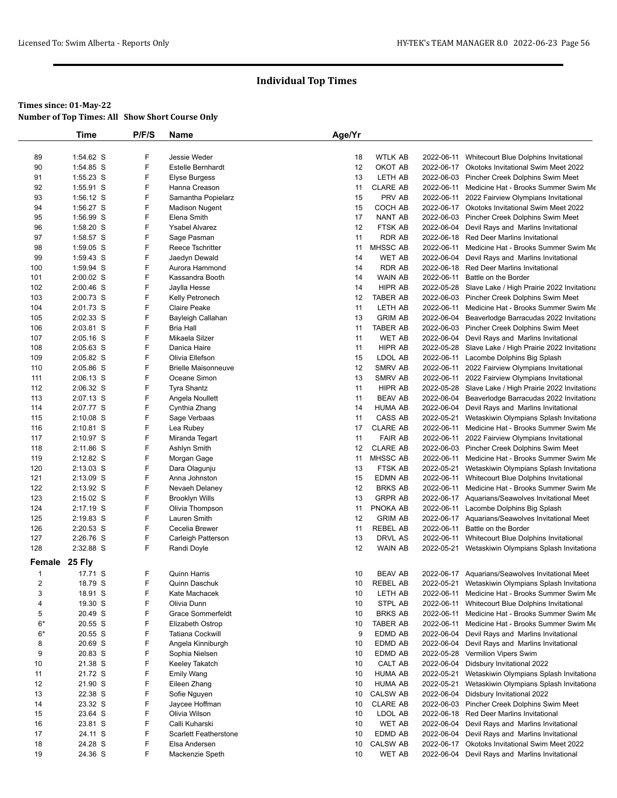|               | <b>Time</b>            | P/F/S  | Name                            | Age/Yr   |                                |            |                                                                                 |
|---------------|------------------------|--------|---------------------------------|----------|--------------------------------|------------|---------------------------------------------------------------------------------|
|               |                        |        |                                 |          |                                |            |                                                                                 |
| 89            | 1:54.62 S              | F      | <b>Jessie Weder</b>             | 18       | <b>WTLK AB</b>                 | 2022-06-11 | Whitecourt Blue Dolphins Invitational                                           |
| 90            | 1:54.85 S              | F      | Estelle Bernhardt               | 12       | OKOT AB                        |            | 2022-06-17 Okotoks Invitational Swim Meet 2022                                  |
| 91            | 1:55.23 S              | F      | <b>Elyse Burgess</b>            | 13       | LETH AB                        |            | 2022-06-03 Pincher Creek Dolphins Swim Meet                                     |
| 92            | 1:55.91 S              | F      | Hanna Creason                   | 11       | <b>CLARE AB</b>                | 2022-06-11 | Medicine Hat - Brooks Summer Swim Me                                            |
| 93            | 1:56.12 S              | F      | Samantha Popielarz              | 15       | PRV AB                         |            | 2022-06-11 2022 Fairview Olympians Invitational                                 |
| 94            | 1:56.27 S              | F      | <b>Madison Nugent</b>           | 15       | COCH AB                        |            | 2022-06-17 Okotoks Invitational Swim Meet 2022                                  |
| 95            | 1:56.99 S              | F      | Elena Smith                     | 17       | <b>NANT AB</b>                 |            | 2022-06-03 Pincher Creek Dolphins Swim Meet                                     |
| 96            | 1:58.20 S              | F      | <b>Ysabel Alvarez</b>           | 12       | FTSK AB                        | 2022-06-04 | Devil Rays and Marlins Invitational                                             |
| 97            | 1:58.57 S              | F<br>F | Sage Pasman                     | 11       | <b>RDR AB</b>                  |            | 2022-06-18 Red Deer Marlins Invitational                                        |
| 98            | 1:59.05 S              |        | Reece Tschritter                | 11       | MHSSC AB                       | 2022-06-11 | Medicine Hat - Brooks Summer Swim Me                                            |
| 99<br>100     | 1:59.43 S<br>1:59.94 S | F<br>F | Jaedyn Dewald<br>Aurora Hammond | 14<br>14 | <b>WET AB</b><br><b>RDR AB</b> | 2022-06-04 | Devil Rays and Marlins Invitational<br>2022-06-18 Red Deer Marlins Invitational |
| 101           | $2:00.02$ S            | F      | Kassandra Booth                 | 14       | <b>WAIN AB</b>                 |            | 2022-06-11 Battle on the Border                                                 |
| 102           | 2:00.46 S              | F      | Jaylla Hesse                    | 14       | HIPR AB                        |            | 2022-05-28 Slave Lake / High Prairie 2022 Invitationa                           |
| 103           | 2:00.73 S              | F      | Kelly Petronech                 | 12       | <b>TABER AB</b>                |            | 2022-06-03 Pincher Creek Dolphins Swim Meet                                     |
| 104           | 2:01.73 S              | F      | <b>Claire Peake</b>             | 11       | LETH AB                        |            | 2022-06-11 Medicine Hat - Brooks Summer Swim Me                                 |
| 105           | 2:02.33 S              | F      | Bayleigh Callahan               | 13       | <b>GRIM AB</b>                 | 2022-06-04 | Beaverlodge Barracudas 2022 Invitationa                                         |
| 106           | 2:03.81 S              | F      | <b>Bria Hall</b>                | 11       | <b>TABER AB</b>                |            | 2022-06-03 Pincher Creek Dolphins Swim Meet                                     |
| 107           | $2:05.16$ S            | F      | Mikaela Silzer                  | 11       | <b>WET AB</b>                  |            | 2022-06-04 Devil Rays and Marlins Invitational                                  |
| 108           | 2:05.63 S              | F      | Danica Haire                    | 11       | HIPR AB                        |            | 2022-05-28 Slave Lake / High Prairie 2022 Invitationa                           |
| 109           | 2:05.82 S              | F      | Olivia Ellefson                 | 15       | LDOL AB                        |            | 2022-06-11 Lacombe Dolphins Big Splash                                          |
| 110           | 2:05.86 S              | F      | <b>Brielle Maisonneuve</b>      | 12       | SMRV AB                        | 2022-06-11 | 2022 Fairview Olympians Invitational                                            |
| 111           | 2:06.13 S              | F      | Oceane Simon                    | 13       | SMRV AB                        |            | 2022-06-11 2022 Fairview Olympians Invitational                                 |
| 112           | 2:06.32 S              | F      | <b>Tyra Shantz</b>              | 11       | <b>HIPR AB</b>                 |            | 2022-05-28 Slave Lake / High Prairie 2022 Invitationa                           |
| 113           | 2:07.13 S              | F      | Angela Noullett                 | 11       | <b>BEAV AB</b>                 | 2022-06-04 | Beaverlodge Barracudas 2022 Invitationa                                         |
| 114           | 2:07.77 S              | F      | Cynthia Zhang                   | 14       | <b>HUMA AB</b>                 | 2022-06-04 | Devil Rays and Marlins Invitational                                             |
| 115           | $2:10.08$ S            | F      | Sage Verbaas                    | 11       | CASS AB                        | 2022-05-21 | Wetaskiwin Olympians Splash Invitationa                                         |
| 116           | 2:10.81 S              | F      | Lea Rubey                       | 17       | <b>CLARE AB</b>                | 2022-06-11 | Medicine Hat - Brooks Summer Swim Me                                            |
| 117           | 2:10.97 S              | F      | Miranda Tegart                  | 11       | <b>FAIR AB</b>                 | 2022-06-11 | 2022 Fairview Olympians Invitational                                            |
| 118           | 2:11.86 S              | F      | Ashlyn Smith                    | 12       | <b>CLARE AB</b>                |            | 2022-06-03 Pincher Creek Dolphins Swim Meet                                     |
| 119           | 2:12.82 S              | F      | Morgan Gage                     | 11       | MHSSC AB                       | 2022-06-11 | Medicine Hat - Brooks Summer Swim Me                                            |
| 120           | 2:13.03 S              | F      | Dara Olagunju                   | 13       | FTSK AB                        | 2022-05-21 | Wetaskiwin Olympians Splash Invitationa                                         |
| 121           | $2:13.09$ S            | F      | Anna Johnston                   | 15       | EDMN AB                        | 2022-06-11 | Whitecourt Blue Dolphins Invitational                                           |
| 122           | 2:13.92 S              | F      | Nevaeh Delaney                  | 12       | <b>BRKS AB</b>                 | 2022-06-11 | Medicine Hat - Brooks Summer Swim Me                                            |
| 123           | $2:15.02$ S            | F      | <b>Brooklyn Wills</b>           | 13       | <b>GRPR AB</b>                 |            | 2022-06-17 Aquarians/Seawolves Invitational Meet                                |
| 124           | 2:17.19 S              | F      | Olivia Thompson                 | 11       | PNOKA AB                       | 2022-06-11 | Lacombe Dolphins Big Splash                                                     |
| 125           | 2:19.83 S              | F      | Lauren Smith                    | 12       | <b>GRIM AB</b>                 |            | 2022-06-17 Aquarians/Seawolves Invitational Meet                                |
| 126           | 2:20.53 S              | F      | Cecelia Brewer                  | 11       | <b>REBEL AB</b>                | 2022-06-11 | Battle on the Border                                                            |
| 127           | 2:26.76 S              | F      | Carleigh Patterson              | 13       | <b>DRVL AS</b>                 | 2022-06-11 | Whitecourt Blue Dolphins Invitational                                           |
| 128           | 2:32.88 S              | F      | Randi Doyle                     | 12       | <b>WAIN AB</b>                 | 2022-05-21 | Wetaskiwin Olympians Splash Invitationa                                         |
| Female 25 Fly |                        |        |                                 |          |                                |            |                                                                                 |
| $\mathbf{1}$  | 17.71 S                | F      | Quinn Harris                    | 10       | <b>BEAV AB</b>                 |            | 2022-06-17 Aquarians/Seawolves Invitational Meet                                |
| 2             | 18.79 S                | F      | Quinn Daschuk                   | 10       | <b>KEREL AR</b>                |            | 2022-05-21 Wetaskiwin Olympians Splash Invitationa                              |
| 3             | 18.91 S                | F      | Kate Machacek                   | 10       | LETH AB                        |            | 2022-06-11 Medicine Hat - Brooks Summer Swim Me                                 |
| 4             | 19.30 S                | F      | Olivia Dunn                     | 10       | STPL AB                        |            | 2022-06-11 Whitecourt Blue Dolphins Invitational                                |
| 5             | 20.49 S                | F      | Grace Sommerfeldt               | 10       | <b>BRKS AB</b>                 | 2022-06-11 | Medicine Hat - Brooks Summer Swim Me                                            |
| $6*$          | 20.55 S                | F      | Elizabeth Ostrop                | 10       | TABER AB                       |            | 2022-06-11 Medicine Hat - Brooks Summer Swim Me                                 |
| $6*$          | 20.55 S                | F      | <b>Tatiana Cockwill</b>         | 9        | EDMD AB                        | 2022-06-04 | Devil Rays and Marlins Invitational                                             |
| 8             | 20.69 S                | F      | Angela Kinniburgh               | 10       | EDMD AB                        | 2022-06-04 | Devil Rays and Marlins Invitational                                             |
| 9             | 20.83 S                | F      | Sophia Nielsen                  | 10       | EDMD AB                        | 2022-05-28 | Vermilion Vipers Swim                                                           |
| 10            | 21.38 S                | F      | Keeley Takatch                  | 10       | CALT AB                        | 2022-06-04 | Didsbury Invitational 2022                                                      |
| 11            | 21.72 S                | F      | <b>Emily Wang</b>               | 10       | <b>HUMA AB</b>                 | 2022-05-21 | Wetaskiwin Olympians Splash Invitationa                                         |
| 12            | 21.90 S                | F      | Eileen Zhang                    | 10       | <b>HUMA AB</b>                 | 2022-05-21 | Wetaskiwin Olympians Splash Invitationa                                         |
| 13            | 22.38 S                | F      | Sofie Nguyen                    | 10       | <b>CALSW AB</b>                | 2022-06-04 | Didsbury Invitational 2022                                                      |
| 14            | 23.32 S                | F      | Jaycee Hoffman                  | 10       | <b>CLARE AB</b>                |            | 2022-06-03 Pincher Creek Dolphins Swim Meet                                     |
| 15            | 23.64 S                | F      | Olivia Wilson                   | 10       | LDOL AB                        |            | 2022-06-18 Red Deer Marlins Invitational                                        |
| 16            | 23.81 S                | F      | Calli Kuharski                  | 10       | <b>WET AB</b>                  | 2022-06-04 | Devil Rays and Marlins Invitational                                             |
| 17            | 24.11 S                | F      | <b>Scarlett Featherstone</b>    | 10       | EDMD AB                        | 2022-06-04 | Devil Rays and Marlins Invitational                                             |
| 18            | 24.28 S                | F      | Elsa Andersen                   | 10       | <b>CALSW AB</b>                | 2022-06-17 | Okotoks Invitational Swim Meet 2022                                             |
| 19            | 24.36 S                | F      | Mackenzie Speth                 | 10       | WET AB                         | 2022-06-04 | Devil Rays and Marlins Invitational                                             |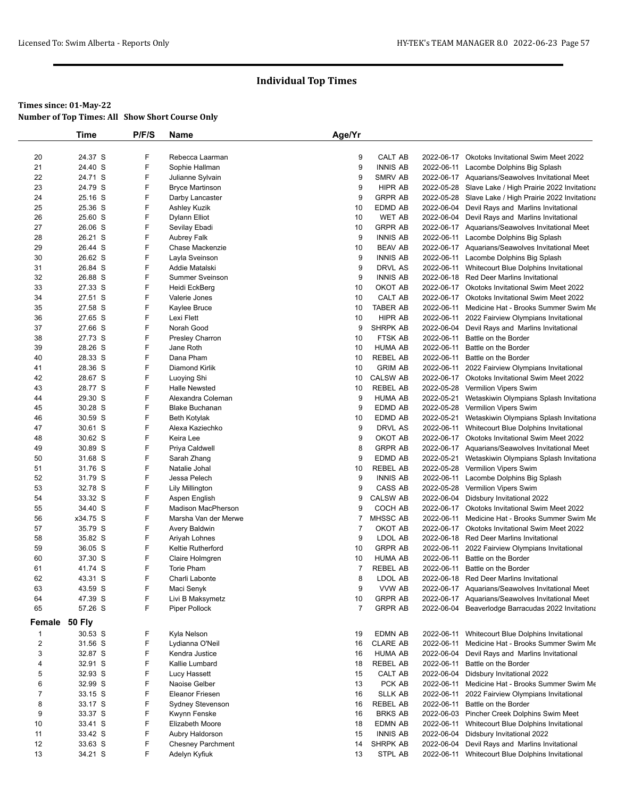|                         | Time     | P/F/S | Name                      | Age/Yr |                 |            |                                                       |
|-------------------------|----------|-------|---------------------------|--------|-----------------|------------|-------------------------------------------------------|
|                         |          |       |                           |        |                 |            |                                                       |
| 20                      | 24.37 S  | F     | Rebecca Laarman           | 9      | <b>CALT AB</b>  |            | 2022-06-17 Okotoks Invitational Swim Meet 2022        |
| 21                      | 24.40 S  | F     | Sophie Hallman            | 9      | <b>INNIS AB</b> |            | 2022-06-11 Lacombe Dolphins Big Splash                |
| 22                      | 24.71 S  | F     | Julianne Sylvain          | 9      | SMRV AB         |            | 2022-06-17 Aquarians/Seawolves Invitational Meet      |
| 23                      | 24.79 S  | F     | <b>Bryce Martinson</b>    | 9      | <b>HIPR AB</b>  |            | 2022-05-28 Slave Lake / High Prairie 2022 Invitationa |
| 24                      | 25.16 S  | F     | Darby Lancaster           | 9      | <b>GRPR AB</b>  |            | 2022-05-28 Slave Lake / High Prairie 2022 Invitationa |
| 25                      | 25.36 S  | F     | Ashley Kuzik              | 10     | <b>EDMD AB</b>  |            | 2022-06-04 Devil Rays and Marlins Invitational        |
| 26                      | 25.60 S  | F     | Dylann Elliot             | 10     | <b>WET AB</b>   |            | 2022-06-04 Devil Rays and Marlins Invitational        |
| 27                      | 26.06 S  | F     | Sevilay Ebadi             | 10     | <b>GRPR AB</b>  |            | 2022-06-17 Aquarians/Seawolves Invitational Meet      |
| 28                      | 26.21 S  | F     | <b>Aubrey Falk</b>        | 9      | <b>INNIS AB</b> |            | 2022-06-11 Lacombe Dolphins Big Splash                |
| 29                      | 26.44 S  | F     | Chase Mackenzie           | 10     | <b>BEAV AB</b>  |            | 2022-06-17 Aquarians/Seawolves Invitational Meet      |
| 30                      | 26.62 S  | F     | Layla Sveinson            | 9      | <b>INNIS AB</b> |            | 2022-06-11 Lacombe Dolphins Big Splash                |
| 31                      | 26.84 S  | F     | Addie Matalski            | 9      | DRVL AS         |            | 2022-06-11 Whitecourt Blue Dolphins Invitational      |
| 32                      | 26.88 S  | F     | <b>Summer Sveinson</b>    | 9      | <b>INNIS AB</b> |            | 2022-06-18 Red Deer Marlins Invitational              |
| 33                      | 27.33 S  | F     | Heidi EckBerg             | 10     | OKOT AB         |            | 2022-06-17 Okotoks Invitational Swim Meet 2022        |
| 34                      | 27.51 S  | F     | Valerie Jones             | 10     | CALT AB         |            | 2022-06-17 Okotoks Invitational Swim Meet 2022        |
| 35                      | 27.58 S  | F     | Kaylee Bruce              | 10     | <b>TABER AB</b> |            | 2022-06-11 Medicine Hat - Brooks Summer Swim Me       |
| 36                      | 27.65 S  | F     | Lexi Flett                | 10     | HIPR AB         |            | 2022-06-11 2022 Fairview Olympians Invitational       |
| 37                      | 27.66 S  | F     | Norah Good                | 9      | <b>SHRPK AB</b> |            | 2022-06-04 Devil Rays and Marlins Invitational        |
| 38                      | 27.73 S  | F     | <b>Presley Charron</b>    | 10     | FTSK AB         |            | 2022-06-11 Battle on the Border                       |
| 39                      | 28.26 S  | F     | Jane Roth                 | 10     | <b>HUMA AB</b>  |            | 2022-06-11 Battle on the Border                       |
| 40                      | 28.33 S  | F     | Dana Pham                 | 10     | <b>REBEL AB</b> | 2022-06-11 | Battle on the Border                                  |
| 41                      | 28.36 S  | F     | <b>Diamond Kirlik</b>     | 10     | <b>GRIM AB</b>  |            | 2022-06-11 2022 Fairview Olympians Invitational       |
| 42                      | 28.67 S  | F     | Luoying Shi               | 10     | <b>CALSW AB</b> |            | 2022-06-17 Okotoks Invitational Swim Meet 2022        |
| 43                      | 28.77 S  | F     | <b>Halle Newsted</b>      | 10     | <b>REBEL AB</b> |            | 2022-05-28 Vermilion Vipers Swim                      |
| 44                      | 29.30 S  | F     | Alexandra Coleman         | 9      | HUMA AB         |            | 2022-05-21 Wetaskiwin Olympians Splash Invitationa    |
| 45                      | 30.28 S  | F     | <b>Blake Buchanan</b>     | 9      | EDMD AB         |            | 2022-05-28 Vermilion Vipers Swim                      |
| 46                      | 30.59 S  | F     | Beth Kotylak              | 10     | EDMD AB         |            | 2022-05-21 Wetaskiwin Olympians Splash Invitationa    |
| 47                      | 30.61 S  | F     | Alexa Kaziechko           | 9      | DRVL AS         |            | 2022-06-11 Whitecourt Blue Dolphins Invitational      |
| 48                      | 30.62 S  | F     | Keira Lee                 | 9      | OKOT AB         |            | 2022-06-17 Okotoks Invitational Swim Meet 2022        |
| 49                      | 30.89 S  | F     | Priya Caldwell            | 8      | <b>GRPR AB</b>  |            | 2022-06-17 Aquarians/Seawolves Invitational Meet      |
| 50                      | 31.68 S  | F     | Sarah Zhang               | 9      | EDMD AB         |            | 2022-05-21 Wetaskiwin Olympians Splash Invitationa    |
| 51                      | 31.76 S  | F     | Natalie Johal             | 10     | <b>REBEL AB</b> |            | 2022-05-28 Vermilion Vipers Swim                      |
| 52                      | 31.79 S  | F     | Jessa Pelech              | 9      | <b>INNIS AB</b> |            | 2022-06-11 Lacombe Dolphins Big Splash                |
| 53                      | 32.78 S  | F     | <b>Lily Millington</b>    | 9      | CASS AB         |            | 2022-05-28 Vermilion Vipers Swim                      |
| 54                      | 33.32 S  | F     | Aspen English             | 9      | <b>CALSW AB</b> |            | 2022-06-04 Didsbury Invitational 2022                 |
| 55                      | 34.40 S  | F     | <b>Madison MacPherson</b> | 9      | COCH AB         |            | 2022-06-17 Okotoks Invitational Swim Meet 2022        |
| 56                      | x34.75 S | F     | Marsha Van der Merwe      | 7      | MHSSC AB        |            | 2022-06-11 Medicine Hat - Brooks Summer Swim Me       |
| 57                      | 35.79 S  | F     | Avery Baldwin             | 7      | OKOT AB         |            | 2022-06-17 Okotoks Invitational Swim Meet 2022        |
| 58                      | 35.82 S  | F     | Ariyah Lohnes             | 9      | LDOL AB         |            | 2022-06-18 Red Deer Marlins Invitational              |
| 59                      | 36.05 S  | F     | Keltie Rutherford         | 10     | <b>GRPR AB</b>  | 2022-06-11 | 2022 Fairview Olympians Invitational                  |
| 60                      | 37.30 S  | F     | Claire Holmgren           | 10     | <b>HUMA AB</b>  | 2022-06-11 | Battle on the Border                                  |
| 61                      | 41.74 S  | F     | <b>Torie Pham</b>         | 7      | <b>REBEL AB</b> |            | 2022-06-11 Battle on the Border                       |
| 62                      | 43.31 S  | F     | Charli Labonte            | 8      | LDOL AB         |            | 2022-06-18 Red Deer Marlins Invitational              |
| 63                      | 43.59 S  | F     | Maci Senyk                | 9      | VVW AB          |            | 2022-06-17 Aquarians/Seawolves Invitational Meet      |
| 64                      | 47.39 S  | F     | Livi B Maksymetz          | $10$   | <b>GRPR AB</b>  |            | 2022-06-17 Aquarians/Seawolves Invitational Meet      |
| 65                      | 57.26 S  | F     | Piper Pollock             | 7      | <b>GRPR AB</b>  |            | 2022-06-04 Beaverlodge Barracudas 2022 Invitationa    |
| Female 50 Fly           |          |       |                           |        |                 |            |                                                       |
|                         |          |       |                           |        |                 |            |                                                       |
| 1                       | 30.53 S  | F     | Kyla Nelson               | 19     | EDMN AB         |            | 2022-06-11 Whitecourt Blue Dolphins Invitational      |
| $\overline{\mathbf{c}}$ | 31.56 S  | F     | Lydianna O'Neil           | 16     | <b>CLARE AB</b> | 2022-06-11 | Medicine Hat - Brooks Summer Swim Me                  |
| 3                       | 32.87 S  | F     | Kendra Justice            | 16     | <b>HUMA AB</b>  | 2022-06-04 | Devil Rays and Marlins Invitational                   |
| 4                       | 32.91 S  | F     | Kallie Lumbard            | 18     | <b>REBEL AB</b> | 2022-06-11 | Battle on the Border                                  |
| 5                       | 32.93 S  | F     | Lucy Hassett              | 15     | CALT AB         | 2022-06-04 | Didsbury Invitational 2022                            |
| 6                       | 32.99 S  | F     | Naoise Gelber             | 13     | PCK AB          |            | 2022-06-11 Medicine Hat - Brooks Summer Swim Me       |
| $\overline{7}$          | 33.15 S  | F     | <b>Eleanor Friesen</b>    | 16     | SLLK AB         | 2022-06-11 | 2022 Fairview Olympians Invitational                  |
| 8                       | 33.17 S  | F     | Sydney Stevenson          | 16     | <b>REBEL AB</b> | 2022-06-11 | Battle on the Border                                  |
| 9                       | 33.37 S  | F     | Kwynn Fenske              | 16     | <b>BRKS AB</b>  |            | 2022-06-03 Pincher Creek Dolphins Swim Meet           |
| 10                      | 33.41 S  | F     | Elizabeth Moore           | 18     | EDMN AB         | 2022-06-11 | Whitecourt Blue Dolphins Invitational                 |
| 11                      | 33.42 S  | F     | Aubry Haldorson           | 15     | <b>INNIS AB</b> | 2022-06-04 | Didsbury Invitational 2022                            |
| 12                      | 33.63 S  | F     | <b>Chesney Parchment</b>  | 14     | SHRPK AB        | 2022-06-04 | Devil Rays and Marlins Invitational                   |
| 13                      | 34.21 S  | F     | Adelyn Kyfiuk             | 13     | STPL AB         |            | 2022-06-11 Whitecourt Blue Dolphins Invitational      |
|                         |          |       |                           |        |                 |            |                                                       |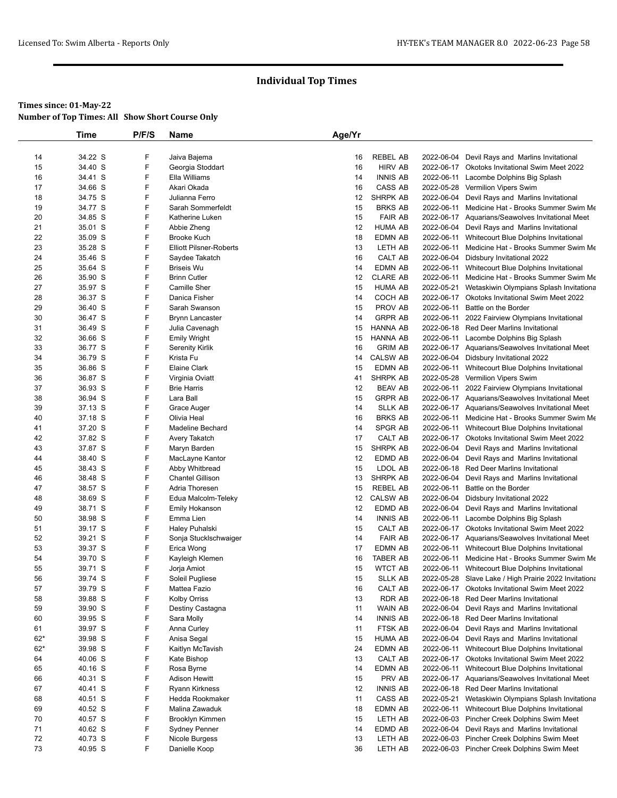|          | Time    | P/F/S | Name                               | Age/Yr   |                 |            |                                                                                           |
|----------|---------|-------|------------------------------------|----------|-----------------|------------|-------------------------------------------------------------------------------------------|
|          |         |       |                                    |          |                 |            |                                                                                           |
| 14       | 34.22 S | F     | Jaiva Bajema                       | 16       | REBEL AB        |            | 2022-06-04 Devil Rays and Marlins Invitational                                            |
| 15       | 34.40 S | F     | Georgia Stoddart                   | 16       | <b>HIRV AB</b>  |            | 2022-06-17 Okotoks Invitational Swim Meet 2022                                            |
| 16       | 34.41 S | F     | Ella Williams                      | 14       | <b>INNIS AB</b> |            | 2022-06-11 Lacombe Dolphins Big Splash                                                    |
| 17       | 34.66 S | F     | Akari Okada                        | 16       | CASS AB         |            | 2022-05-28 Vermilion Vipers Swim                                                          |
| 18       | 34.75 S | F     | Julianna Ferro                     | 12       | SHRPK AB        |            | 2022-06-04 Devil Rays and Marlins Invitational                                            |
| 19       | 34.77 S | F     | Sarah Sommerfeldt                  | 15       | <b>BRKS AB</b>  |            | 2022-06-11 Medicine Hat - Brooks Summer Swim Me                                           |
| 20       | 34.85 S | F     | Katherine Luken                    | 15       | <b>FAIR AB</b>  |            | 2022-06-17 Aquarians/Seawolves Invitational Meet                                          |
| 21       | 35.01 S | F     | Abbie Zheng                        | 12       | <b>HUMA AB</b>  |            | 2022-06-04 Devil Rays and Marlins Invitational                                            |
| 22       | 35.09 S | F     | <b>Brooke Kuch</b>                 | 18       | <b>EDMN AB</b>  |            | 2022-06-11 Whitecourt Blue Dolphins Invitational                                          |
| 23       | 35.28 S | F     | <b>Elliott Pilsner-Roberts</b>     | 13       | LETH AB         |            | 2022-06-11 Medicine Hat - Brooks Summer Swim Me                                           |
| 24       | 35.46 S | F     | Saydee Takatch                     | 16       | CALT AB         |            | 2022-06-04 Didsbury Invitational 2022                                                     |
| 25       | 35.64 S | F     | <b>Briseis Wu</b>                  | 14       | EDMN AB         |            | 2022-06-11 Whitecourt Blue Dolphins Invitational                                          |
| 26       | 35.90 S | F     | <b>Brinn Cutler</b>                | 12       | <b>CLARE AB</b> |            | 2022-06-11 Medicine Hat - Brooks Summer Swim Me                                           |
| 27       | 35.97 S | F     | Camille Sher                       | 15       | <b>HUMA AB</b>  | 2022-05-21 | Wetaskiwin Olympians Splash Invitationa                                                   |
| 28       | 36.37 S | F     | Danica Fisher                      | 14       | COCH AB         |            | 2022-06-17 Okotoks Invitational Swim Meet 2022                                            |
| 29       | 36.40 S | F     | Sarah Swanson                      | 15       | PROV AB         | 2022-06-11 | Battle on the Border                                                                      |
| 30       | 36.47 S | F     | <b>Brynn Lancaster</b>             | 14       | <b>GRPR AB</b>  | 2022-06-11 | 2022 Fairview Olympians Invitational                                                      |
| 31       | 36.49 S | F     | Julia Cavenagh                     | 15       | <b>HANNA AB</b> |            | 2022-06-18 Red Deer Marlins Invitational                                                  |
| 32       | 36.66 S | F     | <b>Emily Wright</b>                | 15       | <b>HANNA AB</b> |            | 2022-06-11 Lacombe Dolphins Big Splash                                                    |
| 33       | 36.77 S | F     | <b>Serenity Kirlik</b>             | 16       | <b>GRIM AB</b>  |            | 2022-06-17 Aquarians/Seawolves Invitational Meet                                          |
| 34       | 36.79 S | F     | Krista Fu                          | 14       | <b>CALSW AB</b> |            | 2022-06-04 Didsbury Invitational 2022                                                     |
| 35       | 36.86 S | F     | Elaine Clark                       | 15       | EDMN AB         |            | 2022-06-11 Whitecourt Blue Dolphins Invitational                                          |
| 36       | 36.87 S | F     | Virginia Oviatt                    | 41       | SHRPK AB        |            | 2022-05-28 Vermilion Vipers Swim                                                          |
| 37       | 36.93 S | F     | <b>Brie Harris</b>                 | 12       | <b>BEAV AB</b>  |            | 2022-06-11 2022 Fairview Olympians Invitational                                           |
| 38       | 36.94 S | F     | Lara Ball                          | 15       | <b>GRPR AB</b>  |            | 2022-06-17 Aquarians/Seawolves Invitational Meet                                          |
| 39       | 37.13 S | F     | Grace Auger                        | 14       | <b>SLLK AB</b>  |            | 2022-06-17 Aquarians/Seawolves Invitational Meet                                          |
| 40       | 37.18 S | F     | Olivia Heal                        | 16       | <b>BRKS AB</b>  |            | 2022-06-11 Medicine Hat - Brooks Summer Swim Me                                           |
| 41       | 37.20 S | F     | <b>Madeline Bechard</b>            | 14       | SPGR AB         |            | 2022-06-11 Whitecourt Blue Dolphins Invitational                                          |
| 42       | 37.82 S | F     | Avery Takatch                      | 17       | CALT AB         |            | 2022-06-17 Okotoks Invitational Swim Meet 2022                                            |
| 43       | 37.87 S | F     | Maryn Barden                       | 15       | SHRPK AB        |            | 2022-06-04 Devil Rays and Marlins Invitational                                            |
| 44       | 38.40 S | F     | MacLayne Kantor                    | 12       | EDMD AB         | 2022-06-04 | Devil Rays and Marlins Invitational                                                       |
| 45       | 38.43 S | F     | Abby Whitbread                     | 15       | LDOL AB         |            | 2022-06-18 Red Deer Marlins Invitational                                                  |
| 46       | 38.48 S | F     | <b>Chantel Gillison</b>            | 13       | SHRPK AB        |            | 2022-06-04 Devil Rays and Marlins Invitational                                            |
| 47       | 38.57 S | F     | Adria Thoresen                     | 15       | REBEL AB        | 2022-06-11 | Battle on the Border                                                                      |
| 48       | 38.69 S | F     | Edua Malcolm-Teleky                | 12       | <b>CALSW AB</b> | 2022-06-04 | Didsbury Invitational 2022                                                                |
| 49       | 38.71 S | F     | <b>Emily Hokanson</b>              | 12       | EDMD AB         |            | 2022-06-04 Devil Rays and Marlins Invitational                                            |
| 50       | 38.98 S | F     | Emma Lien                          | 14       | <b>INNIS AB</b> |            | 2022-06-11 Lacombe Dolphins Big Splash                                                    |
| 51       | 39.17 S | F     | Haley Puhalski                     | 15       | CALT AB         |            | 2022-06-17 Okotoks Invitational Swim Meet 2022                                            |
| 52       | 39.21 S | F     | Sonja Stucklschwaiger              | 14       | <b>FAIR AB</b>  |            | 2022-06-17 Aquarians/Seawolves Invitational Meet                                          |
| 53       | 39.37 S | F     | Erica Wong                         | 17       | <b>EDMN AB</b>  |            | 2022-06-11 Whitecourt Blue Dolphins Invitational                                          |
| 54       | 39.70 S | F     | Kayleigh Klemen                    | 16       | <b>TABER AB</b> |            | 2022-06-11 Medicine Hat - Brooks Summer Swim Me                                           |
| 55       | 39.71 S | F     | Jorja Amiot                        | 15       | <b>WTCT AB</b>  |            | 2022-06-11 Whitecourt Blue Dolphins Invitational                                          |
| 56       | 39.74 S | F     | Soleil Pugliese                    | 15       | <b>SLLK AB</b>  |            | 2022-05-28 Slave Lake / High Prairie 2022 Invitationa                                     |
| 57       | 39.79 S | F     | Mattea Fazio                       | 16       | CALT AB         |            | 2022-06-17 Okotoks Invitational Swim Meet 2022                                            |
| 58       | 39.88 S | F     | Kolby Orriss                       | 13       | RDR AB          |            | 2022-06-18 Red Deer Marlins Invitational                                                  |
| 59       | 39.90 S | F     | Destiny Castagna                   | 11       | WAIN AB         | 2022-06-04 | Devil Rays and Marlins Invitational                                                       |
| 60       | 39.95 S | F     | Sara Molly                         | 14       | <b>INNIS AB</b> |            | 2022-06-18 Red Deer Marlins Invitational                                                  |
| 61       | 39.97 S | F     | Anna Curley                        | 11       | FTSK AB         | 2022-06-04 | Devil Rays and Marlins Invitational                                                       |
| $62*$    | 39.98 S | F     | Anisa Segal                        | 15       | <b>HUMA AB</b>  |            | 2022-06-04 Devil Rays and Marlins Invitational                                            |
| $62*$    | 39.98 S | F     | Kaitlyn McTavish                   | 24       | EDMN AB         | 2022-06-11 | Whitecourt Blue Dolphins Invitational                                                     |
| 64       | 40.06 S | F     | Kate Bishop                        | 13       | CALT AB         |            | 2022-06-17 Okotoks Invitational Swim Meet 2022                                            |
|          | 40.16 S | F     |                                    |          | EDMN AB         | 2022-06-11 |                                                                                           |
| 65<br>66 | 40.31 S | F     | Rosa Byrne<br><b>Adison Hewitt</b> | 14<br>15 | PRV AB          |            | Whitecourt Blue Dolphins Invitational<br>2022-06-17 Aquarians/Seawolves Invitational Meet |
|          |         |       |                                    |          |                 |            |                                                                                           |
| 67       | 40.41 S | F     | Ryann Kirkness                     | 12       | <b>INNIS AB</b> |            | 2022-06-18 Red Deer Marlins Invitational                                                  |
| 68       | 40.51 S | F     | Hedda Rookmaker                    | 11       | CASS AB         | 2022-05-21 | Wetaskiwin Olympians Splash Invitationa                                                   |
| 69       | 40.52 S | F     | Malina Zawaduk                     | 18       | EDMN AB         | 2022-06-11 | Whitecourt Blue Dolphins Invitational                                                     |
| 70       | 40.57 S | F     | Brooklyn Kimmen                    | 15       | LETH AB         |            | 2022-06-03 Pincher Creek Dolphins Swim Meet                                               |
| 71       | 40.62 S | F     | <b>Sydney Penner</b>               | 14       | EDMD AB         |            | 2022-06-04 Devil Rays and Marlins Invitational                                            |
| 72       | 40.73 S | F     | Nicole Burgess                     | 13       | LETH AB         |            | 2022-06-03 Pincher Creek Dolphins Swim Meet                                               |
| 73       | 40.95 S | F     | Danielle Koop                      | 36       | LETH AB         |            | 2022-06-03 Pincher Creek Dolphins Swim Meet                                               |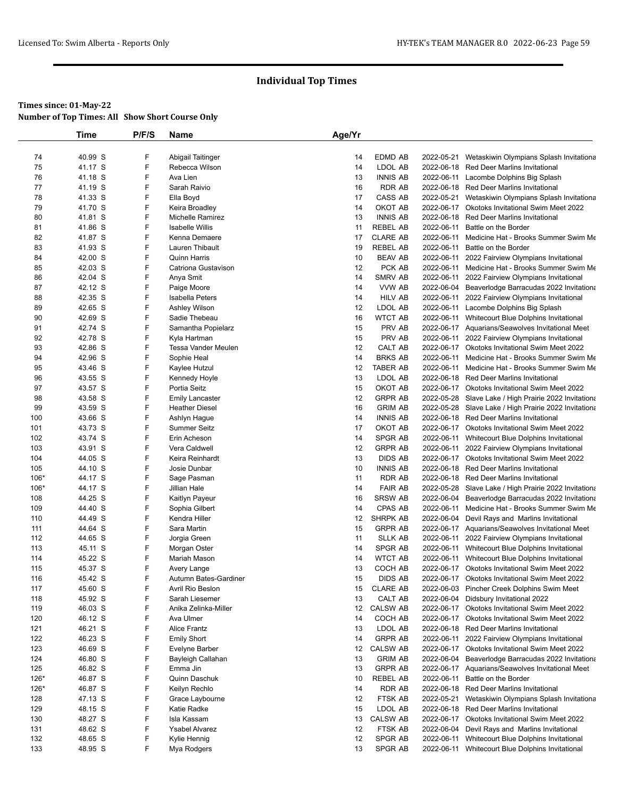|            | <b>Time</b>        | P/F/S  | Name                               | Age/Yr   |                            |            |                                                                                                      |
|------------|--------------------|--------|------------------------------------|----------|----------------------------|------------|------------------------------------------------------------------------------------------------------|
|            |                    |        |                                    |          |                            |            |                                                                                                      |
| 74         | 40.99 S            | F      | Abigail Taitinger                  | 14       | <b>EDMD AB</b>             | 2022-05-21 | Wetaskiwin Olympians Splash Invitationa                                                              |
| 75         | 41.17 S            | F      | Rebecca Wilson                     | 14       | LDOL AB                    |            | 2022-06-18 Red Deer Marlins Invitational                                                             |
| 76         | 41.18 S            | F      | Ava Lien                           | 13       | <b>INNIS AB</b>            |            | 2022-06-11 Lacombe Dolphins Big Splash                                                               |
| 77         | 41.19 S            | F      | Sarah Raivio                       | 16       | <b>RDR AB</b>              |            | 2022-06-18 Red Deer Marlins Invitational                                                             |
| 78         | 41.33 S            | F      | Ella Boyd                          | 17       | CASS AB                    | 2022-05-21 | Wetaskiwin Olympians Splash Invitationa                                                              |
| 79         | 41.70 S            | F      | Keira Broadley                     | 14       | OKOT AB                    | 2022-06-17 | Okotoks Invitational Swim Meet 2022                                                                  |
| 80         | 41.81 S            | F      | Michelle Ramirez                   | 13       | <b>INNIS AB</b>            |            | 2022-06-18 Red Deer Marlins Invitational                                                             |
| 81         | 41.86 S            | F      | <b>Isabelle Willis</b>             | 11       | <b>REBEL AB</b>            | 2022-06-11 | Battle on the Border                                                                                 |
| 82         | 41.87 S            | F      | Kenna Demaere                      | 17       | <b>CLARE AB</b>            | 2022-06-11 | Medicine Hat - Brooks Summer Swim Me                                                                 |
| 83         | 41.93 S            | F      | Lauren Thibault                    | 19       | <b>REBEL AB</b>            | 2022-06-11 | Battle on the Border                                                                                 |
| 84         | 42.00 S            | F      | <b>Quinn Harris</b>                | 10       | <b>BEAV AB</b>             |            | 2022-06-11 2022 Fairview Olympians Invitational                                                      |
| 85         | 42.03 S            | F      | Catriona Gustavison                | 12       | PCK AB                     |            | 2022-06-11 Medicine Hat - Brooks Summer Swim Me                                                      |
| 86         | 42.04 S            | F      | Anya Smit                          | 14       | SMRV AB                    |            | 2022-06-11 2022 Fairview Olympians Invitational                                                      |
| 87         | 42.12 S            | F      | Paige Moore                        | 14       | VVW AB                     |            | 2022-06-04 Beaverlodge Barracudas 2022 Invitationa                                                   |
| 88         | 42.35 S            | F      | <b>Isabella Peters</b>             | 14       | <b>HILV AB</b>             | 2022-06-11 | 2022 Fairview Olympians Invitational                                                                 |
| 89         | 42.65 S<br>42.69 S | F<br>F | Ashley Wilson                      | 12<br>16 | LDOL AB<br><b>WTCT AB</b>  |            | 2022-06-11 Lacombe Dolphins Big Splash                                                               |
| 90<br>91   | 42.74 S            | F      | Sadie Thebeau                      | 15       | PRV AB                     |            | 2022-06-11 Whitecourt Blue Dolphins Invitational<br>2022-06-17 Aquarians/Seawolves Invitational Meet |
| 92         | 42.78 S            | F      | Samantha Popielarz<br>Kyla Hartman | 15       | PRV AB                     |            | 2022-06-11 2022 Fairview Olympians Invitational                                                      |
| 93         | 42.86 S            | F      | Tessa Vander Meulen                | 12       | CALT AB                    |            | 2022-06-17 Okotoks Invitational Swim Meet 2022                                                       |
| 94         | 42.96 S            | F      | Sophie Heal                        | 14       | <b>BRKS AB</b>             | 2022-06-11 | Medicine Hat - Brooks Summer Swim Me                                                                 |
| 95         | 43.46 S            | F      | Kaylee Hutzul                      | 12       | <b>TABER AB</b>            | 2022-06-11 | Medicine Hat - Brooks Summer Swim Me                                                                 |
| 96         | 43.55 S            | F      | Kennedy Hoyle                      | 13       | LDOL AB                    |            | 2022-06-18 Red Deer Marlins Invitational                                                             |
| 97         | 43.57 S            | F      | Portia Seitz                       | 15       | OKOT AB                    |            | 2022-06-17 Okotoks Invitational Swim Meet 2022                                                       |
| 98         | 43.58 S            | F      | <b>Emily Lancaster</b>             | 12       | <b>GRPR AB</b>             |            | 2022-05-28 Slave Lake / High Prairie 2022 Invitationa                                                |
| 99         | 43.59 S            | F      | <b>Heather Diesel</b>              | 16       | <b>GRIM AB</b>             |            | 2022-05-28 Slave Lake / High Prairie 2022 Invitationa                                                |
| 100        | 43.66 S            | F      | Ashlyn Hague                       | 14       | <b>INNIS AB</b>            |            | 2022-06-18 Red Deer Marlins Invitational                                                             |
| 101        | 43.73 S            | F      | <b>Summer Seitz</b>                | 17       | OKOT AB                    |            | 2022-06-17 Okotoks Invitational Swim Meet 2022                                                       |
| 102        | 43.74 S            | F      | Erin Acheson                       | 14       | <b>SPGR AB</b>             | 2022-06-11 | Whitecourt Blue Dolphins Invitational                                                                |
| 103        | 43.91 S            | F      | Vera Caldwell                      | 12       | <b>GRPR AB</b>             | 2022-06-11 | 2022 Fairview Olympians Invitational                                                                 |
| 104        | 44.05 S            | F      | Keira Reinhardt                    | 13       | <b>DIDS AB</b>             |            | 2022-06-17 Okotoks Invitational Swim Meet 2022                                                       |
| 105        | 44.10 S            | F      | Josie Dunbar                       | 10       | <b>INNIS AB</b>            |            | 2022-06-18 Red Deer Marlins Invitational                                                             |
| 106*       | 44.17 S            | F      | Sage Pasman                        | 11       | <b>RDR AB</b>              |            | 2022-06-18 Red Deer Marlins Invitational                                                             |
| $106*$     | 44.17 S            | F      | Jillian Hale                       | 14       | <b>FAIR AB</b>             | 2022-05-28 | Slave Lake / High Prairie 2022 Invitationa                                                           |
| 108        | 44.25 S            | F      | Kaitlyn Payeur                     | 16       | <b>SRSW AB</b>             | 2022-06-04 | Beaverlodge Barracudas 2022 Invitationa                                                              |
| 109        | 44.40 S            | F      | Sophia Gilbert                     | 14       | <b>CPAS AB</b>             |            | 2022-06-11 Medicine Hat - Brooks Summer Swim Me                                                      |
| 110        | 44.49 S            | F      | Kendra Hiller                      | 12       | <b>SHRPK AB</b>            | 2022-06-04 | Devil Rays and Marlins Invitational                                                                  |
| 111        | 44.64 S            | F      | Sara Martin                        | 15       | <b>GRPR AB</b>             |            | 2022-06-17 Aquarians/Seawolves Invitational Meet                                                     |
| 112        | 44.65 S            | F      | Jorgia Green                       | 11       | <b>SLLK AB</b>             |            | 2022-06-11 2022 Fairview Olympians Invitational                                                      |
| 113        | 45.11 S            | F      | Morgan Oster                       | 14       | <b>SPGR AB</b>             |            | 2022-06-11 Whitecourt Blue Dolphins Invitational                                                     |
| 114        | 45.22 S            | F      | Mariah Mason                       | 14       | <b>WTCT AB</b>             | 2022-06-11 | Whitecourt Blue Dolphins Invitational                                                                |
| 115        | 45.37 S            | F<br>F | Avery Lange                        | 13       | COCH AB                    |            | 2022-06-17 Okotoks Invitational Swim Meet 2022                                                       |
| 116        | 45.42 S            |        | Autumn Bates-Gardiner              | 15       | <b>DIDS AB</b>             |            | 2022-06-17 Okotoks Invitational Swim Meet 2022                                                       |
| 117<br>118 | 45.60 S<br>45.92 S | F<br>F | Avril Rio Beslon                   | 15<br>13 | <b>CLARE AB</b><br>CALT AB |            | 2022-06-03 Pincher Creek Dolphins Swim Meet                                                          |
|            |                    | F      | Sarah Liesemer                     | 12       | CALSW AB                   | 2022-06-17 | 2022-06-04 Didsbury Invitational 2022                                                                |
| 119<br>120 | 46.03 S<br>46.12 S | F      | Anika Zelinka-Miller<br>Ava Ulmer  | 14       | COCH AB                    |            | Okotoks Invitational Swim Meet 2022<br>2022-06-17 Okotoks Invitational Swim Meet 2022                |
| 121        | 46.21 S            | F      | Alice Frantz                       | 13       | LDOL AB                    |            | 2022-06-18 Red Deer Marlins Invitational                                                             |
| 122        | 46.23 S            | F      | <b>Emily Short</b>                 | 14       | <b>GRPR AB</b>             | 2022-06-11 | 2022 Fairview Olympians Invitational                                                                 |
| 123        | 46.69 S            | F      | Evelyne Barber                     | 12       | <b>CALSW AB</b>            |            | 2022-06-17 Okotoks Invitational Swim Meet 2022                                                       |
| 124        | 46.80 S            | F      | Bayleigh Callahan                  | 13       | <b>GRIM AB</b>             | 2022-06-04 | Beaverlodge Barracudas 2022 Invitationa                                                              |
| 125        | 46.82 S            | F      | Emma Jin                           | 13       | <b>GRPR AB</b>             |            | 2022-06-17 Aquarians/Seawolves Invitational Meet                                                     |
| $126*$     | 46.87 S            | F      | Quinn Daschuk                      | 10       | REBEL AB                   | 2022-06-11 | Battle on the Border                                                                                 |
| $126*$     | 46.87 S            | F      | Keilyn Rechlo                      | 14       | <b>RDR AB</b>              |            | 2022-06-18 Red Deer Marlins Invitational                                                             |
| 128        | 47.13 S            | F      | Grace Laybourne                    | 12       | FTSK AB                    | 2022-05-21 | Wetaskiwin Olympians Splash Invitationa                                                              |
| 129        | 48.15 S            | F      | Katie Radke                        | 15       | LDOL AB                    |            | 2022-06-18 Red Deer Marlins Invitational                                                             |
| 130        | 48.27 S            | F      | Isla Kassam                        | 13       | <b>CALSW AB</b>            |            | 2022-06-17 Okotoks Invitational Swim Meet 2022                                                       |
| 131        | 48.62 S            | F      | <b>Ysabel Alvarez</b>              | 12       | FTSK AB                    |            | 2022-06-04 Devil Rays and Marlins Invitational                                                       |
| 132        | 48.65 S            | F      | Kylie Hennig                       | 12       | SPGR AB                    | 2022-06-11 | Whitecourt Blue Dolphins Invitational                                                                |
| 133        | 48.95 S            | F      | Mya Rodgers                        | 13       | SPGR AB                    |            | 2022-06-11 Whitecourt Blue Dolphins Invitational                                                     |
|            |                    |        |                                    |          |                            |            |                                                                                                      |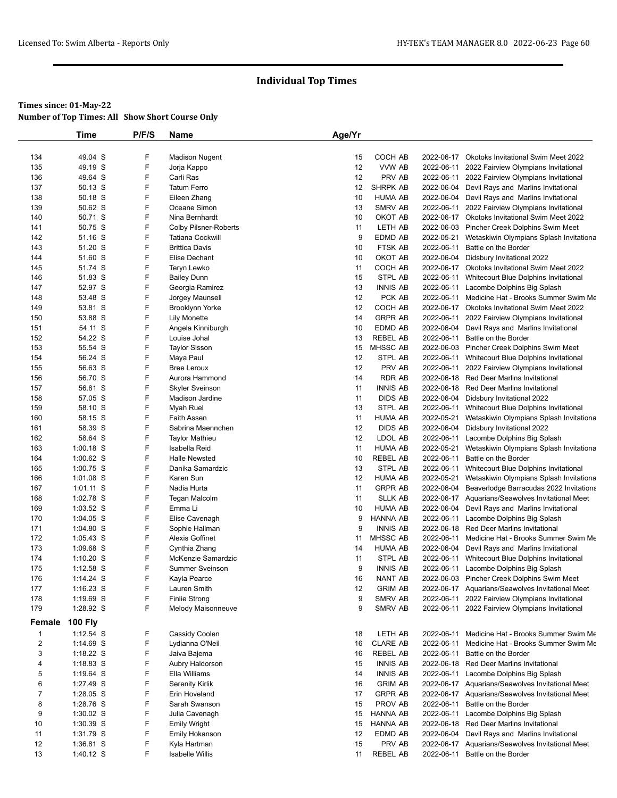|                | <b>Time</b>            | P/F/S | Name                         | Age/Yr |                             |                          |                                                  |
|----------------|------------------------|-------|------------------------------|--------|-----------------------------|--------------------------|--------------------------------------------------|
|                |                        |       |                              |        |                             |                          |                                                  |
| 134            | 49.04 S                | F     | <b>Madison Nugent</b>        | 15     | COCH AB                     |                          | 2022-06-17 Okotoks Invitational Swim Meet 2022   |
| 135            | 49.19 S                | F     | Jorja Kappo                  | 12     | VVW AB                      | 2022-06-11               | 2022 Fairview Olympians Invitational             |
| 136            | 49.64 S                | F     | Carli Ras                    | 12     | PRV AB                      |                          | 2022-06-11 2022 Fairview Olympians Invitational  |
| 137            | 50.13 S                | F     | <b>Tatum Ferro</b>           | 12     | SHRPK AB                    |                          | 2022-06-04 Devil Rays and Marlins Invitational   |
| 138            | 50.18 S                | F     | Eileen Zhang                 | 10     | HUMA AB                     |                          | 2022-06-04 Devil Rays and Marlins Invitational   |
| 139            | 50.62 S                | F     | Oceane Simon                 | 13     | SMRV AB                     |                          | 2022-06-11 2022 Fairview Olympians Invitational  |
| 140            | 50.71 S                | F     | Nina Bernhardt               | 10     | OKOT AB                     |                          | 2022-06-17 Okotoks Invitational Swim Meet 2022   |
| 141            | 50.75 S                | F     | <b>Colby Pilsner-Roberts</b> | 11     | LETH AB                     |                          | 2022-06-03 Pincher Creek Dolphins Swim Meet      |
| 142            | 51.16 S                | F     | <b>Tatiana Cockwill</b>      | 9      | EDMD AB                     | 2022-05-21               | Wetaskiwin Olympians Splash Invitationa          |
| 143            | 51.20 S                | F     | <b>Brittica Davis</b>        | 10     | FTSK AB                     | 2022-06-11               | Battle on the Border                             |
| 144            | 51.60 S                | F     | Elise Dechant                | 10     | OKOT AB                     |                          | 2022-06-04 Didsbury Invitational 2022            |
| 145            | 51.74 S                | F     | Teryn Lewko                  | 11     | COCH AB                     | 2022-06-17               | Okotoks Invitational Swim Meet 2022              |
| 146            | 51.83 S                | F     | <b>Bailey Dunn</b>           | 15     | STPL AB                     |                          | 2022-06-11 Whitecourt Blue Dolphins Invitational |
| 147            | 52.97 S                | F     | Georgia Ramirez              | 13     | <b>INNIS AB</b>             |                          | 2022-06-11 Lacombe Dolphins Big Splash           |
| 148            | 53.48 S                | F     | Jorgey Maunsell              | 12     | PCK AB                      |                          | 2022-06-11 Medicine Hat - Brooks Summer Swim Me  |
| 149            | 53.81 S                | F     | Brooklynn Yorke              | 12     | COCH AB                     |                          | 2022-06-17 Okotoks Invitational Swim Meet 2022   |
| 150            | 53.88 S                | F     | <b>Lily Monette</b>          | 14     | <b>GRPR AB</b>              | 2022-06-11               | 2022 Fairview Olympians Invitational             |
| 151            | 54.11 S                | F     | Angela Kinniburgh            | 10     | EDMD AB                     | 2022-06-04               | Devil Rays and Marlins Invitational              |
| 152            | 54.22 S                | F     | Louise Johal                 | 13     | <b>REBEL AB</b>             | 2022-06-11               | Battle on the Border                             |
| 153            | 55.54 S                | F     | <b>Taylor Sisson</b>         | 15     | MHSSC AB                    |                          | 2022-06-03 Pincher Creek Dolphins Swim Meet      |
| 154            | 56.24 S                | F     | Maya Paul                    | 12     | STPL AB                     |                          | 2022-06-11 Whitecourt Blue Dolphins Invitational |
| 155            | 56.63 S                | F     | <b>Bree Leroux</b>           | 12     | PRV AB                      |                          | 2022-06-11 2022 Fairview Olympians Invitational  |
| 156            | 56.70 S                | F     | Aurora Hammond               | 14     | RDR AB                      |                          | 2022-06-18 Red Deer Marlins Invitational         |
| 157            | 56.81 S                | F     | <b>Skyler Sveinson</b>       | 11     | <b>INNIS AB</b>             |                          | 2022-06-18 Red Deer Marlins Invitational         |
| 158            | 57.05 S                | F     | Madison Jardine              | 11     | <b>DIDS AB</b>              |                          | 2022-06-04 Didsbury Invitational 2022            |
| 159            | 58.10 S                | F     | Myah Ruel                    | 13     | STPL AB                     |                          | 2022-06-11 Whitecourt Blue Dolphins Invitational |
| 160            | 58.15 S                | F     | Faith Assen                  | 11     | <b>HUMA AB</b>              | 2022-05-21               | Wetaskiwin Olympians Splash Invitationa          |
| 161            | 58.39 S                | F     | Sabrina Maennchen            | 12     | <b>DIDS AB</b>              |                          | 2022-06-04 Didsbury Invitational 2022            |
| 162            | 58.64 S                | F     | <b>Taylor Mathieu</b>        | 12     | LDOL AB                     |                          | 2022-06-11 Lacombe Dolphins Big Splash           |
| 163            | $1:00.18$ S            | F     | Isabella Reid                | 11     | <b>HUMA AB</b>              | 2022-05-21               | Wetaskiwin Olympians Splash Invitationa          |
| 164            | 1:00.62 S              | F     | <b>Halle Newsted</b>         | 10     | REBEL AB                    | 2022-06-11               | Battle on the Border                             |
| 165            | 1:00.75 S              | F     | Danika Samardzic             | 13     | STPL AB                     |                          | 2022-06-11 Whitecourt Blue Dolphins Invitational |
| 166            | $1:01.08$ S            | F     | Karen Sun                    | 12     | <b>HUMA AB</b>              | 2022-05-21               | Wetaskiwin Olympians Splash Invitationa          |
| 167            | $1:01.11$ S            | F     | Nadia Hurta                  | 11     | <b>GRPR AB</b>              | 2022-06-04               | Beaverlodge Barracudas 2022 Invitationa          |
| 168            | 1:02.78 S              | F     | Tegan Malcolm                | 11     | <b>SLLK AB</b>              |                          | 2022-06-17 Aquarians/Seawolves Invitational Meet |
| 169            | $1:03.52$ S            | F     | Emma Li                      | 10     | <b>HUMA AB</b>              |                          | 2022-06-04 Devil Rays and Marlins Invitational   |
| 170            | $1:04.05$ S            | F     | Elise Cavenagh               | 9      | HANNA AB                    | 2022-06-11               | Lacombe Dolphins Big Splash                      |
| 171            | 1:04.80 S              | F     | Sophie Hallman               | 9      | <b>INNIS AB</b>             |                          | 2022-06-18 Red Deer Marlins Invitational         |
| 172            | $1:05.43$ S            | F     | Alexis Goffinet              | 11     | <b>MHSSC AB</b>             | 2022-06-11               | Medicine Hat - Brooks Summer Swim Me             |
| 173            | 1:09.68 S              | F     | Cynthia Zhang                | 14     | <b>HUMA AB</b>              | 2022-06-04               | Devil Rays and Marlins Invitational              |
| 174            | $1:10.20$ S            | F     | McKenzie Samardzic           | 11     | STPL AB                     | 2022-06-11               | Whitecourt Blue Dolphins Invitational            |
| 175            | 1:12.58 S              | F     | <b>Summer Sveinson</b>       | 9      | <b>INNIS AB</b>             |                          | 2022-06-11 Lacombe Dolphins Big Splash           |
| 176            | 1:14.24 S              | F     | Kayla Pearce                 | 16     | <b>NANT AB</b>              |                          | 2022-06-03 Pincher Creek Dolphins Swim Meet      |
| 177            | 1:16.23 S              | F     | Lauren Smith                 | 12     | <b>GRIM AB</b>              |                          | 2022-06-17 Aquarians/Seawolves Invitational Meet |
| 178            | 1:19.69 S              | F     | <b>Finlie Strong</b>         | 9      | SMRV AB                     |                          | 2022-06-11 2022 Fairview Olympians Invitational  |
| 179            | 1:28.92 S              | F     | Melody Maisonneuve           | 9      | SMRV AB                     |                          | 2022-06-11 2022 Fairview Olympians Invitational  |
| Female         | <b>100 Fly</b>         |       |                              |        |                             |                          |                                                  |
|                | $1:12.54$ S            | F     | Cassidy Coolen               |        | LETH AB                     |                          | 2022-06-11 Medicine Hat - Brooks Summer Swim Me  |
| $\mathbf{1}$   |                        | F     |                              | 18     |                             |                          | Medicine Hat - Brooks Summer Swim Me             |
| $\overline{2}$ | 1:14.69 S<br>1:18.22 S | F     | Lydianna O'Neil              | 16     | <b>CLARE AB</b><br>REBEL AB | 2022-06-11<br>2022-06-11 | Battle on the Border                             |
| 3              |                        | F     | Jaiva Bajema                 | 16     |                             |                          |                                                  |
| 4              | 1:18.83 S              | F     | Aubry Haldorson              | 15     | <b>INNIS AB</b>             |                          | 2022-06-18 Red Deer Marlins Invitational         |
| 5              | 1:19.64 S              |       | Ella Williams                | 14     | <b>INNIS AB</b>             |                          | 2022-06-11 Lacombe Dolphins Big Splash           |
| 6              | 1:27.49 S              | F     | <b>Serenity Kirlik</b>       | 16     | <b>GRIM AB</b>              |                          | 2022-06-17 Aquarians/Seawolves Invitational Meet |
| $\overline{7}$ | 1:28.05 S              | F     | Erin Hoveland                | 17     | <b>GRPR AB</b>              |                          | 2022-06-17 Aquarians/Seawolves Invitational Meet |
| 8              | 1:28.76 S              | F     | Sarah Swanson                | 15     | PROV AB                     | 2022-06-11               | Battle on the Border                             |
| 9              | $1:30.02$ S            | F     | Julia Cavenagh               | 15     | HANNA AB                    |                          | 2022-06-11 Lacombe Dolphins Big Splash           |
| 10             | 1:30.39 S              | F     | <b>Emily Wright</b>          | 15     | HANNA AB                    |                          | 2022-06-18 Red Deer Marlins Invitational         |
| 11             | 1:31.79 S              | F     | <b>Emily Hokanson</b>        | 12     | EDMD AB                     | 2022-06-04               | Devil Rays and Marlins Invitational              |
| 12             | 1:36.81 S              | F     | Kyla Hartman                 | 15     | PRV AB                      |                          | 2022-06-17 Aquarians/Seawolves Invitational Meet |
| 13             | 1:40.12 S              | F     | <b>Isabelle Willis</b>       | 11     | REBEL AB                    |                          | 2022-06-11 Battle on the Border                  |
|                |                        |       |                              |        |                             |                          |                                                  |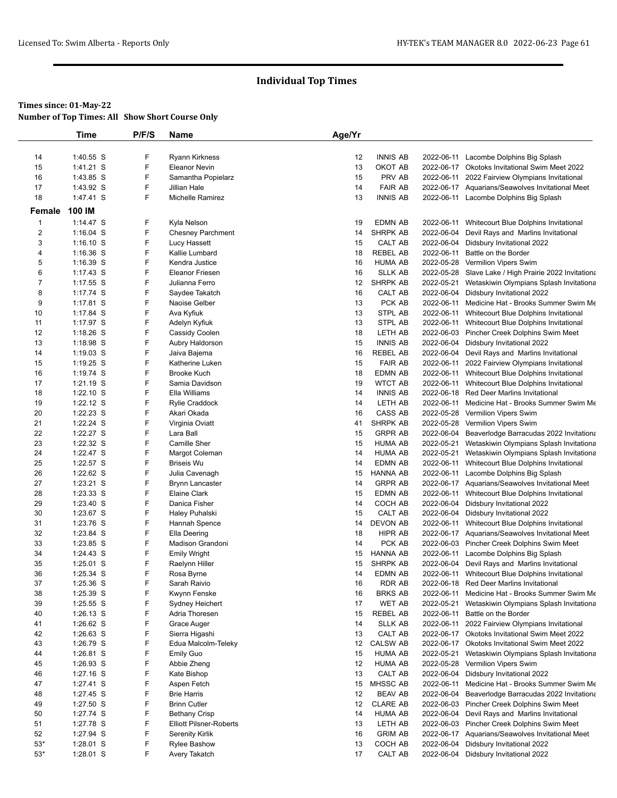#### **Times since: 01-May-22**

**Number of Top Times: All Show Short Course Only**

|                         | <b>Time</b>            | P/F/S  | Name                           | Age/Yr   |                           |                          |                                                                                                     |
|-------------------------|------------------------|--------|--------------------------------|----------|---------------------------|--------------------------|-----------------------------------------------------------------------------------------------------|
|                         |                        |        |                                |          |                           |                          |                                                                                                     |
| 14                      | 1:40.55 S              | F      | <b>Ryann Kirkness</b>          | 12       | <b>INNIS AB</b>           | 2022-06-11               | Lacombe Dolphins Big Splash                                                                         |
| 15                      | 1:41.21 S              | F      | <b>Eleanor Nevin</b>           | 13       | OKOT AB                   |                          | 2022-06-17 Okotoks Invitational Swim Meet 2022                                                      |
| 16                      | 1:43.85 S              | F      | Samantha Popielarz             | 15       | PRV AB                    | 2022-06-11               | 2022 Fairview Olympians Invitational                                                                |
| 17                      | 1:43.92 S              | F      | Jillian Hale                   | 14       | <b>FAIR AB</b>            |                          | 2022-06-17 Aquarians/Seawolves Invitational Meet                                                    |
| 18                      | 1:47.41 S              | F      | Michelle Ramirez               | 13       | <b>INNIS AB</b>           |                          | 2022-06-11 Lacombe Dolphins Big Splash                                                              |
| Female                  | 100 IM                 |        |                                |          |                           |                          |                                                                                                     |
| 1                       | $1:14.47$ S            | F      | Kyla Nelson                    | 19       | <b>EDMN AB</b>            |                          | 2022-06-11 Whitecourt Blue Dolphins Invitational                                                    |
| $\overline{\mathbf{c}}$ | $1:16.04$ S            | F      | <b>Chesney Parchment</b>       | 14       | <b>SHRPK AB</b>           | 2022-06-04               | Devil Rays and Marlins Invitational                                                                 |
| 3                       | $1:16.10$ S            | F      | Lucy Hassett                   | 15       | CALT AB                   | 2022-06-04               | Didsbury Invitational 2022                                                                          |
| 4                       | $1:16.36$ S            | F      | Kallie Lumbard                 | 18       | <b>REBEL AB</b>           | 2022-06-11               | Battle on the Border                                                                                |
| 5                       | 1:16.39 S              | F      | Kendra Justice                 | 16       | <b>HUMA AB</b>            |                          | 2022-05-28 Vermilion Vipers Swim                                                                    |
| 6<br>$\overline{7}$     | $1:17.43$ S            | F      | <b>Eleanor Friesen</b>         | 16       | <b>SLLK AB</b>            |                          | 2022-05-28 Slave Lake / High Prairie 2022 Invitationa                                               |
|                         | $1:17.55$ S            | F<br>F | Julianna Ferro                 | 12       | SHRPK AB                  | 2022-05-21               | Wetaskiwin Olympians Splash Invitationa                                                             |
| 8                       | 1:17.74 S<br>1:17.81 S | F      | Saydee Takatch                 | 16<br>13 | CALT AB<br>PCK AB         | 2022-06-04               | Didsbury Invitational 2022                                                                          |
| 9<br>10                 | 1:17.84 S              | F      | Naoise Gelber<br>Ava Kyfiuk    | 13       | STPL AB                   |                          | 2022-06-11 Medicine Hat - Brooks Summer Swim Me<br>2022-06-11 Whitecourt Blue Dolphins Invitational |
| 11                      | 1:17.97 S              | F      | Adelyn Kyfiuk                  | 13       | STPL AB                   | 2022-06-11               | Whitecourt Blue Dolphins Invitational                                                               |
| 12                      | $1:18.26$ S            | F      | Cassidy Coolen                 | 18       | LETH AB                   | 2022-06-03               | Pincher Creek Dolphins Swim Meet                                                                    |
| 13                      | 1:18.98 S              | F      | Aubry Haldorson                | 15       | <b>INNIS AB</b>           | 2022-06-04               | Didsbury Invitational 2022                                                                          |
| 14                      | $1:19.03$ S            | F      | Jaiva Bajema                   | 16       | <b>REBEL AB</b>           | 2022-06-04               | Devil Rays and Marlins Invitational                                                                 |
| 15                      | $1:19.25$ S            | F      | Katherine Luken                | 15       | <b>FAIR AB</b>            | 2022-06-11               | 2022 Fairview Olympians Invitational                                                                |
| 16                      | 1:19.74 S              | F      | <b>Brooke Kuch</b>             | 18       | <b>EDMN AB</b>            |                          | 2022-06-11 Whitecourt Blue Dolphins Invitational                                                    |
| 17                      | 1:21.19 S              | F      | Samia Davidson                 | 19       | <b>WTCT AB</b>            | 2022-06-11               | Whitecourt Blue Dolphins Invitational                                                               |
| 18                      | $1:22.10$ S            | F      | Ella Williams                  | 14       | <b>INNIS AB</b>           | 2022-06-18               | <b>Red Deer Marlins Invitational</b>                                                                |
| 19                      | $1:22.12$ S            | F      | <b>Rylie Craddock</b>          | 14       | LETH AB                   | 2022-06-11               | Medicine Hat - Brooks Summer Swim Me                                                                |
| 20                      | 1:22.23 S              | F      | Akari Okada                    | 16       | CASS AB                   |                          | 2022-05-28 Vermilion Vipers Swim                                                                    |
| 21                      | 1:22.24 S              | F      | Virginia Oviatt                | 41       | SHRPK AB                  | 2022-05-28               | Vermilion Vipers Swim                                                                               |
| 22                      | 1:22.27 S              | F      | Lara Ball                      | 15       | <b>GRPR AB</b>            | 2022-06-04               | Beaverlodge Barracudas 2022 Invitationa                                                             |
| 23                      | 1:22.32 S              | F      | Camille Sher                   | 15       | <b>HUMA AB</b>            | 2022-05-21               | Wetaskiwin Olympians Splash Invitationa                                                             |
| 24                      | 1:22.47 S              | F      | Margot Coleman                 | 14       | <b>HUMA AB</b>            | 2022-05-21               | Wetaskiwin Olympians Splash Invitationa                                                             |
| 25                      | 1:22.57 S              | F      | <b>Briseis Wu</b>              | 14       | <b>EDMN AB</b>            | 2022-06-11               | Whitecourt Blue Dolphins Invitational                                                               |
| 26                      | 1:22.62 S              | F      | Julia Cavenagh                 | 15       | <b>HANNA AB</b>           | 2022-06-11               | Lacombe Dolphins Big Splash                                                                         |
| 27                      | 1:23.21 S              | F      | <b>Brynn Lancaster</b>         | 14       | <b>GRPR AB</b>            |                          | 2022-06-17 Aquarians/Seawolves Invitational Meet                                                    |
| 28<br>29                | 1:23.33 S<br>1:23.40 S | F<br>F | Elaine Clark<br>Danica Fisher  | 15<br>14 | <b>EDMN AB</b><br>COCH AB | 2022-06-11<br>2022-06-04 | Whitecourt Blue Dolphins Invitational                                                               |
| 30                      | 1:23.67 S              | F      | Haley Puhalski                 | 15       | CALT AB                   | 2022-06-04               | Didsbury Invitational 2022<br>Didsbury Invitational 2022                                            |
| 31                      | 1:23.76 S              | F      | Hannah Spence                  | 14       | DEVON AB                  | 2022-06-11               | Whitecourt Blue Dolphins Invitational                                                               |
| 32                      | 1:23.84 S              | F      | Ella Deering                   | 18       | HIPR AB                   |                          | 2022-06-17 Aquarians/Seawolves Invitational Meet                                                    |
| 33                      | 1:23.85 S              | F      | Madison Grandoni               | 14       | PCK AB                    |                          | 2022-06-03 Pincher Creek Dolphins Swim Meet                                                         |
| 34                      | 1:24.43 S              | F      | <b>Emily Wright</b>            | 15       | <b>HANNA AB</b>           | 2022-06-11               | Lacombe Dolphins Big Splash                                                                         |
| 35                      | $1:25.01$ S            | F      | Raelynn Hiller                 | 15       | <b>SHRPK AB</b>           | 2022-06-04               | Devil Rays and Marlins Invitational                                                                 |
| 36                      | 1:25.34 S              | F      | Rosa Byrne                     | 14       | <b>EDMN AB</b>            |                          | 2022-06-11 Whitecourt Blue Dolphins Invitational                                                    |
| 37                      | 1:25.36 S              | F      | Sarah Raivio                   | 16       | RDR AB                    |                          | 2022-06-18 Red Deer Marlins Invitational                                                            |
| 38                      | 1:25.39 S              | F      | Kwynn Fenske                   | 16       | <b>BRKS AB</b>            | 2022-06-11               | Medicine Hat - Brooks Summer Swim Me                                                                |
| 39                      | 1:25.55 S              | F      | Sydney Heichert                | 17       | <b>WET AB</b>             | 2022-05-21               | Wetaskiwin Olympians Splash Invitationa                                                             |
| 40                      | $1:26.13$ S            | F      | Adria Thoresen                 | 15       | REBEL AB                  | 2022-06-11               | Battle on the Border                                                                                |
| 41                      | 1:26.62 S              | F      | Grace Auger                    | 14       | <b>SLLK AB</b>            |                          | 2022-06-11 2022 Fairview Olympians Invitational                                                     |
| 42                      | 1:26.63 S              | F      | Sierra Higashi                 | 13       | CALT AB                   |                          | 2022-06-17 Okotoks Invitational Swim Meet 2022                                                      |
| 43                      | $1:26.79$ S            | F      | Edua Malcolm-Teleky            | 12       | <b>CALSW AB</b>           |                          | 2022-06-17 Okotoks Invitational Swim Meet 2022                                                      |
| 44                      | 1:26.81 S              | F      | <b>Emily Guo</b>               | 15       | <b>HUMA AB</b>            | 2022-05-21               | Wetaskiwin Olympians Splash Invitationa                                                             |
| 45                      | 1:26.93 S              | F      | Abbie Zheng                    | 12       | <b>HUMA AB</b>            | 2022-05-28               | Vermilion Vipers Swim                                                                               |
| 46                      | $1:27.16$ S            | F      | Kate Bishop                    | 13       | CALT AB                   | 2022-06-04               | Didsbury Invitational 2022                                                                          |
| 47                      | 1:27.41 S              | F      | Aspen Fetch                    | 15       | MHSSC AB                  | 2022-06-11               | Medicine Hat - Brooks Summer Swim Me                                                                |
| 48                      | $1:27.45$ S            | F      | <b>Brie Harris</b>             | 12       | <b>BEAV AB</b>            | 2022-06-04               | Beaverlodge Barracudas 2022 Invitationa                                                             |
| 49                      | $1:27.50$ S            | F      | <b>Brinn Cutler</b>            | 12       | <b>CLARE AB</b>           | 2022-06-03               | Pincher Creek Dolphins Swim Meet                                                                    |
| 50                      | 1:27.74 S              | F      | <b>Bethany Crisp</b>           | 14       | <b>HUMA AB</b>            | 2022-06-04               | Devil Rays and Marlins Invitational                                                                 |
| 51                      | 1:27.78 S              | F      | <b>Elliott Pilsner-Roberts</b> | 13       | LETH AB                   |                          | 2022-06-03 Pincher Creek Dolphins Swim Meet                                                         |
| 52                      | 1:27.94 S              | F      | Serenity Kirlik                | 16       | <b>GRIM AB</b>            |                          | 2022-06-17 Aquarians/Seawolves Invitational Meet                                                    |
| $53*$                   | 1:28.01 S              | F      | <b>Rylee Bashow</b>            | 13       | COCH AB                   | 2022-06-04               | Didsbury Invitational 2022                                                                          |
| $53*$                   | $1:28.01$ S            | F      | Avery Takatch                  | 17       | CALT AB                   | 2022-06-04               | Didsbury Invitational 2022                                                                          |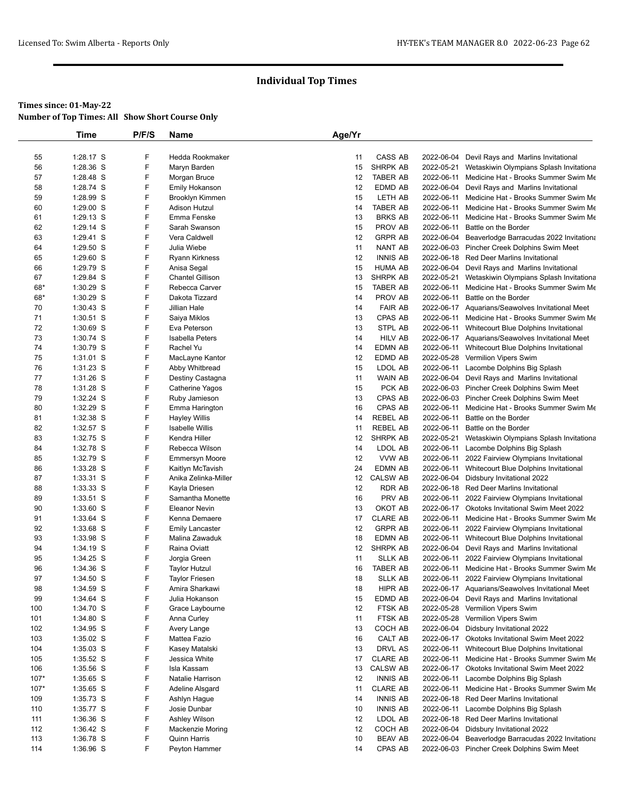|          | Time                     | P/F/S  | Name                         | Age/Yr   |                           |                          |                                                              |
|----------|--------------------------|--------|------------------------------|----------|---------------------------|--------------------------|--------------------------------------------------------------|
|          |                          |        |                              |          |                           |                          |                                                              |
| 55       | 1:28.17 S                | F      | Hedda Rookmaker              | 11       | CASS AB                   | 2022-06-04               | Devil Rays and Marlins Invitational                          |
| 56       | 1:28.36 S                | F      | Maryn Barden                 | 15       | <b>SHRPK AB</b>           | 2022-05-21               | Wetaskiwin Olympians Splash Invitationa                      |
| 57       | 1:28.48 S                | F      | Morgan Bruce                 | 12       | <b>TABER AB</b>           |                          | 2022-06-11 Medicine Hat - Brooks Summer Swim Me              |
| 58       | 1:28.74 S                | F      | Emily Hokanson               | 12       | EDMD AB                   |                          | 2022-06-04 Devil Rays and Marlins Invitational               |
| 59       | 1:28.99 S                | F      | Brooklyn Kimmen              | 15       | LETH AB                   |                          | 2022-06-11 Medicine Hat - Brooks Summer Swim Me              |
| 60       | 1:29.00 S                | F      | Adison Hutzul                | 14       | TABER AB                  | 2022-06-11               | Medicine Hat - Brooks Summer Swim Me                         |
| 61<br>62 | $1:29.13$ S<br>1:29.14 S | F<br>F | Emma Fenske<br>Sarah Swanson | 13<br>15 | <b>BRKS AB</b><br>PROV AB | 2022-06-11<br>2022-06-11 | Medicine Hat - Brooks Summer Swim Me<br>Battle on the Border |
| 63       | $1:29.41$ S              | F      | Vera Caldwell                | 12       | <b>GRPR AB</b>            |                          | 2022-06-04 Beaverlodge Barracudas 2022 Invitationa           |
| 64       | 1:29.50 S                | F      | Julia Wiebe                  | 11       | NANT AB                   |                          | 2022-06-03 Pincher Creek Dolphins Swim Meet                  |
| 65       | 1:29.60 S                | F      | Ryann Kirkness               | 12       | <b>INNIS AB</b>           |                          | 2022-06-18 Red Deer Marlins Invitational                     |
| 66       | 1:29.79 S                | F      | Anisa Segal                  | 15       | <b>HUMA AB</b>            | 2022-06-04               | Devil Rays and Marlins Invitational                          |
| 67       | 1:29.84 S                | F      | <b>Chantel Gillison</b>      | 13       | SHRPK AB                  | 2022-05-21               | Wetaskiwin Olympians Splash Invitationa                      |
| 68*      | 1:30.29 S                | F      | Rebecca Carver               | 15       | TABER AB                  |                          | 2022-06-11 Medicine Hat - Brooks Summer Swim Me              |
| 68*      | 1:30.29 S                | F      | Dakota Tizzard               | 14       | PROV AB                   | 2022-06-11               | Battle on the Border                                         |
| 70       | $1:30.43$ S              | F      | Jillian Hale                 | 14       | <b>FAIR AB</b>            |                          | 2022-06-17 Aquarians/Seawolves Invitational Meet             |
| 71       | $1:30.51$ S              | F      | Saiya Miklos                 | 13       | CPAS AB                   |                          | 2022-06-11 Medicine Hat - Brooks Summer Swim Me              |
| 72       | 1:30.69 S                | F      | Eva Peterson                 | 13       | STPL AB                   |                          | 2022-06-11 Whitecourt Blue Dolphins Invitational             |
| 73       | 1:30.74 S                | F      | Isabella Peters              | 14       | <b>HILV AB</b>            |                          | 2022-06-17 Aquarians/Seawolves Invitational Meet             |
| 74       | 1:30.79 S                | F      | Rachel Yu                    | 14       | EDMN AB                   |                          | 2022-06-11 Whitecourt Blue Dolphins Invitational             |
| 75       | 1:31.01 S                | F      | MacLayne Kantor              | 12       | EDMD AB                   |                          | 2022-05-28 Vermilion Vipers Swim                             |
| 76       | 1:31.23 S                | F      | Abby Whitbread               | 15       | LDOL AB                   |                          | 2022-06-11 Lacombe Dolphins Big Splash                       |
| 77       | 1:31.26 S                | F      | Destiny Castagna             | 11       | WAIN AB                   |                          | 2022-06-04 Devil Rays and Marlins Invitational               |
| 78       | 1:31.28 S                | F      | Catherine Yagos              | 15       | PCK AB                    |                          | 2022-06-03 Pincher Creek Dolphins Swim Meet                  |
| 79       | 1:32.24 S                | F      | Ruby Jamieson                | 13       | CPAS AB                   |                          | 2022-06-03 Pincher Creek Dolphins Swim Meet                  |
| 80       | 1:32.29 S                | F      | Emma Harington               | 16       | CPAS AB                   | 2022-06-11               | Medicine Hat - Brooks Summer Swim Me                         |
| 81       | 1:32.38 S                | F      | <b>Hayley Willis</b>         | 14       | <b>REBEL AB</b>           | 2022-06-11               | Battle on the Border                                         |
| 82       | 1:32.57 S                | F      | <b>Isabelle Willis</b>       | 11       | REBEL AB                  | 2022-06-11               | Battle on the Border                                         |
| 83       | 1:32.75 S                | F      | Kendra Hiller                | 12       | SHRPK AB                  | 2022-05-21               | Wetaskiwin Olympians Splash Invitationa                      |
| 84       | 1:32.78 S                | F      | Rebecca Wilson               | 14       | LDOL AB                   |                          | 2022-06-11 Lacombe Dolphins Big Splash                       |
| 85       | 1:32.79 S                | F      | <b>Emmersyn Moore</b>        | 12       | VVW AB                    |                          | 2022-06-11 2022 Fairview Olympians Invitational              |
| 86       | 1:33.28 S                | F      | Kaitlyn McTavish             | 24       | EDMN AB                   |                          | 2022-06-11 Whitecourt Blue Dolphins Invitational             |
| 87       | 1:33.31 S                | F      | Anika Zelinka-Miller         | 12       | <b>CALSW AB</b>           |                          | 2022-06-04 Didsbury Invitational 2022                        |
| 88       | 1:33.33 S                | F      | Kayla Driesen                | 12       | RDR AB                    |                          | 2022-06-18 Red Deer Marlins Invitational                     |
| 89       | 1:33.51 S                | F      | Samantha Monette             | 16       | PRV AB                    | 2022-06-11               | 2022 Fairview Olympians Invitational                         |
| 90       | 1:33.60 S                | F      | <b>Eleanor Nevin</b>         | 13       | OKOT AB                   |                          | 2022-06-17 Okotoks Invitational Swim Meet 2022               |
| 91       | 1:33.64 S                | F      | Kenna Demaere                | 17       | <b>CLARE AB</b>           |                          | 2022-06-11 Medicine Hat - Brooks Summer Swim Me              |
| 92       | 1:33.68 S                | F      | <b>Emily Lancaster</b>       | 12       | <b>GRPR AB</b>            |                          | 2022-06-11 2022 Fairview Olympians Invitational              |
| 93       | 1:33.98 S                | F      | Malina Zawaduk               | 18       | EDMN AB                   | 2022-06-11               | Whitecourt Blue Dolphins Invitational                        |
| 94       | 1:34.19 S                | F      | Raina Oviatt                 | 12       | SHRPK AB                  |                          | 2022-06-04 Devil Rays and Marlins Invitational               |
| 95       | 1:34.25 S                | F      | Jorgia Green                 | 11       | <b>SLLK AB</b>            | 2022-06-11               | 2022 Fairview Olympians Invitational                         |
| 96       | 1:34.36 S                | F      | Taylor Hutzul                | 16       | <b>TABER AB</b>           |                          | 2022-06-11 Medicine Hat - Brooks Summer Swim Me              |
| 97       | 1:34.50 S                | F      | <b>Taylor Friesen</b>        | 18       | <b>SLLK AB</b>            |                          | 2022-06-11 2022 Fairview Olympians Invitational              |
| 98       | 1:34.59 S                | F      | Amira Sharkawi               | 18       | HIPR AB                   |                          | 2022-06-17 Aquarians/Seawolves Invitational Meet             |
| 99       | 1:34.64 S                | F      | Julia Hokanson               | 15       | EDMD AB                   |                          | 2022-06-04 Devil Rays and Marlins Invitational               |
| 100      | 1:34.70 S                | F      | Grace Laybourne              | 12       | FTSK AB                   |                          | 2022-05-28 Vermilion Vipers Swim                             |
| 101      | 1:34.80 S                | F      | Anna Curley                  | 11       | FTSK AB                   |                          | 2022-05-28 Vermilion Vipers Swim                             |
| 102      | 1:34.95 S                | F      | Avery Lange                  | 13       | COCH AB                   |                          | 2022-06-04 Didsbury Invitational 2022                        |
| 103      | 1:35.02 S                | F      | Mattea Fazio                 | 16       | CALT AB                   |                          | 2022-06-17 Okotoks Invitational Swim Meet 2022               |
| 104      | $1:35.03$ S              | F      | Kasey Matalski               | 13       | DRVL AS                   |                          | 2022-06-11 Whitecourt Blue Dolphins Invitational             |
| 105      | 1:35.52 S                | F      | Jessica White                | 17       | <b>CLARE AB</b>           |                          | 2022-06-11 Medicine Hat - Brooks Summer Swim Me              |
| 106      | 1:35.56 S                | F      | Isla Kassam                  | 13       | <b>CALSW AB</b>           |                          | 2022-06-17 Okotoks Invitational Swim Meet 2022               |
| $107*$   | 1:35.65 S                | F      | Natalie Harrison             | 12       | <b>INNIS AB</b>           |                          | 2022-06-11 Lacombe Dolphins Big Splash                       |
| $107*$   | 1:35.65 S                | F      | Adeline Alsgard              | 11       | <b>CLARE AB</b>           |                          | 2022-06-11 Medicine Hat - Brooks Summer Swim Me              |
| 109      | 1:35.73 S                | F      | Ashlyn Hague                 | 14       | <b>INNIS AB</b>           |                          | 2022-06-18 Red Deer Marlins Invitational                     |
| 110      | 1:35.77 S                | F      | Josie Dunbar                 | 10       | <b>INNIS AB</b>           |                          | 2022-06-11 Lacombe Dolphins Big Splash                       |
| 111      | 1:36.36 S                | F      | Ashley Wilson                | 12       | LDOL AB                   |                          | 2022-06-18 Red Deer Marlins Invitational                     |
| 112      | 1:36.42 S                | F      | Mackenzie Moring             | 12       | COCH AB                   | 2022-06-04               | Didsbury Invitational 2022                                   |
| 113      | 1:36.78 S                | F      | Quinn Harris                 | 10       | <b>BEAV AB</b>            | 2022-06-04               | Beaverlodge Barracudas 2022 Invitationa                      |
| 114      | 1:36.96 S                | F      | Peyton Hammer                | 14       | CPAS AB                   |                          | 2022-06-03 Pincher Creek Dolphins Swim Meet                  |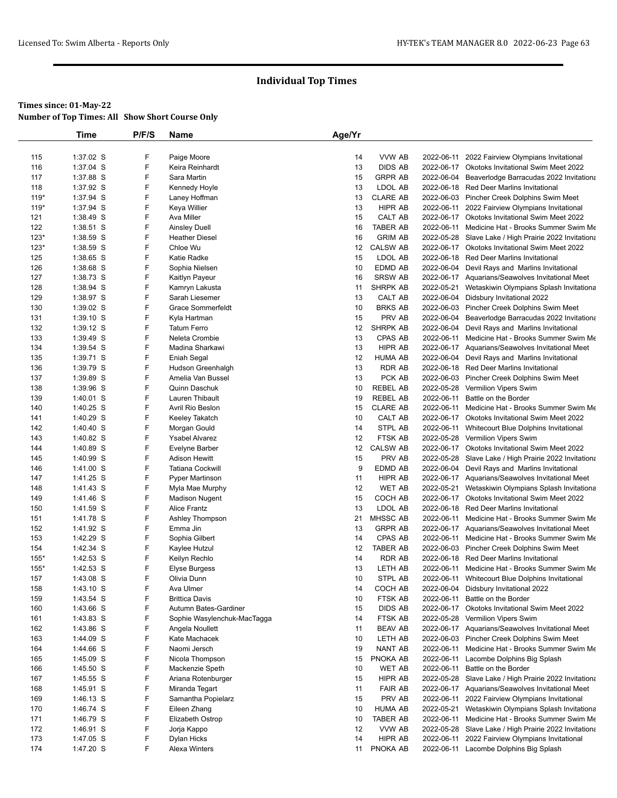|            | Time                   | P/F/S  | Name                          | Age/Yr   |                            |            |                                                                                            |
|------------|------------------------|--------|-------------------------------|----------|----------------------------|------------|--------------------------------------------------------------------------------------------|
|            |                        |        |                               |          |                            |            |                                                                                            |
| 115        | 1:37.02 S              | F      | Paige Moore                   | 14       | VVW AB                     | 2022-06-11 | 2022 Fairview Olympians Invitational                                                       |
| 116        | 1:37.04 S              | F      | Keira Reinhardt               | 13       | <b>DIDS AB</b>             |            | 2022-06-17 Okotoks Invitational Swim Meet 2022                                             |
| 117        | 1:37.88 S              | F      | Sara Martin                   | 15       | <b>GRPR AB</b>             | 2022-06-04 | Beaverlodge Barracudas 2022 Invitationa                                                    |
| 118        | 1:37.92 S              | F      | Kennedy Hoyle                 | 13       | LDOL AB                    |            | 2022-06-18 Red Deer Marlins Invitational                                                   |
| $119*$     | 1:37.94 S              | F      | Laney Hoffman                 | 13       | <b>CLARE AB</b>            |            | 2022-06-03 Pincher Creek Dolphins Swim Meet                                                |
| $119*$     | 1:37.94 S              | F      | Keya Willier                  | 13       | HIPR AB                    |            | 2022-06-11 2022 Fairview Olympians Invitational                                            |
| 121        | 1:38.49 S              | F      | Ava Miller                    | 15       | CALT AB                    |            | 2022-06-17 Okotoks Invitational Swim Meet 2022                                             |
| 122        | 1:38.51 S              | F      | Ainsley Duell                 | 16       | <b>TABER AB</b>            | 2022-06-11 | Medicine Hat - Brooks Summer Swim Me                                                       |
| $123*$     | 1:38.59 S              | F<br>F | <b>Heather Diesel</b>         | 16       | <b>GRIM AB</b>             | 2022-05-28 | Slave Lake / High Prairie 2022 Invitationa                                                 |
| $123*$     | 1:38.59 S              | F      | Chloe Wu                      | 12<br>15 | <b>CALSW AB</b><br>LDOL AB |            | 2022-06-17 Okotoks Invitational Swim Meet 2022<br>2022-06-18 Red Deer Marlins Invitational |
| 125<br>126 | 1:38.65 S<br>1:38.68 S | F      | Katie Radke<br>Sophia Nielsen | 10       | EDMD AB                    |            | 2022-06-04 Devil Rays and Marlins Invitational                                             |
| 127        | 1:38.73 S              | F      | Kaitlyn Payeur                | 16       | <b>SRSW AB</b>             |            | 2022-06-17 Aquarians/Seawolves Invitational Meet                                           |
| 128        | 1:38.94 S              | F      | Kamryn Lakusta                | 11       | SHRPK AB                   | 2022-05-21 | Wetaskiwin Olympians Splash Invitationa                                                    |
| 129        | 1:38.97 S              | F      | Sarah Liesemer                | 13       | CALT AB                    |            | 2022-06-04 Didsbury Invitational 2022                                                      |
| 130        | 1:39.02 S              | F      | <b>Grace Sommerfeldt</b>      | 10       | <b>BRKS AB</b>             |            | 2022-06-03 Pincher Creek Dolphins Swim Meet                                                |
| 131        | 1:39.10 S              | F      | Kyla Hartman                  | 15       | PRV AB                     |            | 2022-06-04 Beaverlodge Barracudas 2022 Invitationa                                         |
| 132        | 1:39.12 S              | F      | <b>Tatum Ferro</b>            | 12       | SHRPK AB                   | 2022-06-04 | Devil Rays and Marlins Invitational                                                        |
| 133        | 1:39.49 S              | F      | Neleta Crombie                | 13       | <b>CPAS AB</b>             | 2022-06-11 | Medicine Hat - Brooks Summer Swim Me                                                       |
| 134        | 1:39.54 S              | F      | Madina Sharkawi               | 13       | HIPR AB                    |            | 2022-06-17 Aquarians/Seawolves Invitational Meet                                           |
| 135        | 1:39.71 S              | F      | Eniah Segal                   | 12       | <b>HUMA AB</b>             |            | 2022-06-04 Devil Rays and Marlins Invitational                                             |
| 136        | 1:39.79 S              | F      | Hudson Greenhalgh             | 13       | <b>RDR AB</b>              |            | 2022-06-18 Red Deer Marlins Invitational                                                   |
| 137        | 1:39.89 S              | F      | Amelia Van Bussel             | 13       | PCK AB                     |            | 2022-06-03 Pincher Creek Dolphins Swim Meet                                                |
| 138        | 1:39.96 S              | F      | Quinn Daschuk                 | 10       | <b>REBEL AB</b>            |            | 2022-05-28 Vermilion Vipers Swim                                                           |
| 139        | 1:40.01 S              | F      | Lauren Thibault               | 19       | <b>REBEL AB</b>            | 2022-06-11 | Battle on the Border                                                                       |
| 140        | 1:40.25 S              | F      | Avril Rio Beslon              | 15       | <b>CLARE AB</b>            | 2022-06-11 | Medicine Hat - Brooks Summer Swim Me                                                       |
| 141        | 1:40.29 S              | F      | Keeley Takatch                | 10       | CALT AB                    |            | 2022-06-17 Okotoks Invitational Swim Meet 2022                                             |
| 142        | 1:40.40 S              | F      | Morgan Gould                  | 14       | STPL AB                    |            | 2022-06-11 Whitecourt Blue Dolphins Invitational                                           |
| 143        | 1:40.82 S              | F      | Ysabel Alvarez                | 12       | FTSK AB                    |            | 2022-05-28 Vermilion Vipers Swim                                                           |
| 144        | 1:40.89 S              | F      | Evelyne Barber                | 12       | <b>CALSW AB</b>            |            | 2022-06-17 Okotoks Invitational Swim Meet 2022                                             |
| 145        | 1:40.99 S              | F      | Adison Hewitt                 | 15       | PRV AB                     | 2022-05-28 | Slave Lake / High Prairie 2022 Invitationa                                                 |
| 146        | 1:41.00 S              | F      | Tatiana Cockwill              | 9        | EDMD AB                    | 2022-06-04 | Devil Rays and Marlins Invitational                                                        |
| 147        | 1:41.25 S              | F      | Pyper Martinson               | 11       | <b>HIPR AB</b>             |            | 2022-06-17 Aquarians/Seawolves Invitational Meet                                           |
| 148        | 1:41.43 S              | F      | Myla Mae Murphy               | 12       | WET AB                     | 2022-05-21 | Wetaskiwin Olympians Splash Invitationa                                                    |
| 149        | 1:41.46 S              | F<br>F | Madison Nugent                | 15       | COCH AB                    |            | 2022-06-17 Okotoks Invitational Swim Meet 2022                                             |
| 150        | 1:41.59 S              | F      | <b>Alice Frantz</b>           | 13<br>21 | LDOL AB                    |            | 2022-06-18 Red Deer Marlins Invitational                                                   |
| 151<br>152 | 1:41.78 S<br>1:41.92 S | F      | Ashley Thompson<br>Emma Jin   | 13       | MHSSC AB<br><b>GRPR AB</b> | 2022-06-11 | Medicine Hat - Brooks Summer Swim Me<br>2022-06-17 Aquarians/Seawolves Invitational Meet   |
| 153        | 1:42.29 S              | F      | Sophia Gilbert                | 14       | CPAS AB                    | 2022-06-11 | Medicine Hat - Brooks Summer Swim Me                                                       |
| 154        | 1:42.34 S              | F      | Kaylee Hutzul                 | 12       | <b>TABER AB</b>            |            | 2022-06-03 Pincher Creek Dolphins Swim Meet                                                |
| 155*       | 1:42.53 S              | F      | Keilyn Rechlo                 | 14       | <b>RDR AB</b>              |            | 2022-06-18 Red Deer Marlins Invitational                                                   |
| $155*$     | 1:42.53 S              | F      | Elyse Burgess                 | 13       | LETH AB                    | 2022-06-11 | Medicine Hat - Brooks Summer Swim Me                                                       |
| 157        | 1:43.08 S              | F      | Olivia Dunn                   | 10       | STPL AB                    | 2022-06-11 | Whitecourt Blue Dolphins Invitational                                                      |
| 158        | 1:43.10 S              | F      | Ava Ulmer                     | 14       | COCH AB                    |            | 2022-06-04 Didsbury Invitational 2022                                                      |
| 159        | 1:43.54 S              | F      | <b>Brittica Davis</b>         | 10       | FTSK AB                    | 2022-06-11 | Battle on the Border                                                                       |
| 160        | 1:43.66 S              | F      | Autumn Bates-Gardiner         | 15       | <b>DIDS AB</b>             |            | 2022-06-17 Okotoks Invitational Swim Meet 2022                                             |
| 161        | 1:43.83 S              | F      | Sophie Wasylenchuk-MacTagga   | 14       | FTSK AB                    |            | 2022-05-28 Vermilion Vipers Swim                                                           |
| 162        | 1:43.86 S              | F      | Angela Noullett               | 11       | <b>BEAV AB</b>             |            | 2022-06-17 Aquarians/Seawolves Invitational Meet                                           |
| 163        | 1:44.09 S              | F      | Kate Machacek                 | 10       | LETH AB                    |            | 2022-06-03 Pincher Creek Dolphins Swim Meet                                                |
| 164        | 1:44.66 S              | F      | Naomi Jersch                  | 19       | NANT AB                    |            | 2022-06-11 Medicine Hat - Brooks Summer Swim Me                                            |
| 165        | 1:45.09 S              | F      | Nicola Thompson               | 15       | PNOKA AB                   |            | 2022-06-11 Lacombe Dolphins Big Splash                                                     |
| 166        | 1:45.50 S              | F      | Mackenzie Speth               | 10       | <b>WET AB</b>              | 2022-06-11 | Battle on the Border                                                                       |
| 167        | 1:45.55 S              | F      | Ariana Rotenburger            | 15       | HIPR AB                    |            | 2022-05-28 Slave Lake / High Prairie 2022 Invitationa                                      |
| 168        | 1:45.91 S              | F      | Miranda Tegart                | 11       | <b>FAIR AB</b>             |            | 2022-06-17 Aquarians/Seawolves Invitational Meet                                           |
| 169        | 1:46.13 S              | F      | Samantha Popielarz            | 15       | PRV AB                     | 2022-06-11 | 2022 Fairview Olympians Invitational                                                       |
| 170        | 1:46.74 S              | F      | Eileen Zhang                  | 10       | <b>HUMA AB</b>             | 2022-05-21 | Wetaskiwin Olympians Splash Invitationa                                                    |
| 171        | 1:46.79 S              | F      | Elizabeth Ostrop              | 10       | <b>TABER AB</b>            | 2022-06-11 | Medicine Hat - Brooks Summer Swim Me                                                       |
| 172        | 1:46.91 S              | F      | Jorja Kappo                   | 12       | VVW AB                     |            | 2022-05-28 Slave Lake / High Prairie 2022 Invitationa                                      |
| 173        | 1:47.05 S              | F      | Dylan Hicks                   | 14       | HIPR AB                    | 2022-06-11 | 2022 Fairview Olympians Invitational                                                       |
| 174        | 1:47.20 S              | F      | Alexa Winters                 |          | 11 PNOKA AB                |            | 2022-06-11 Lacombe Dolphins Big Splash                                                     |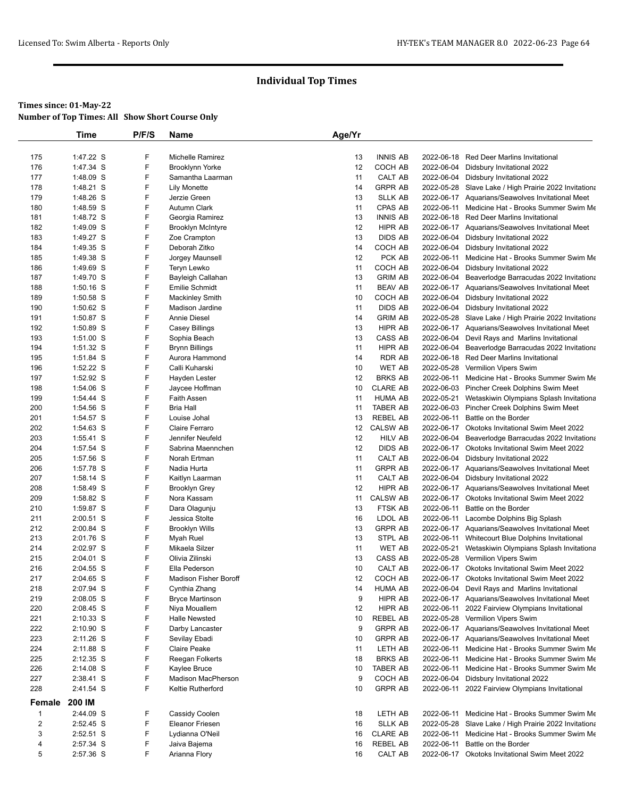## **Times since: 01-May-22**

| <b>Number of Top Times: All Show Short Course Only</b> |  |
|--------------------------------------------------------|--|
|--------------------------------------------------------|--|

|                | Time        | P/F/S | Name                         | Age/Yr            |                 |            |                                                       |
|----------------|-------------|-------|------------------------------|-------------------|-----------------|------------|-------------------------------------------------------|
|                |             |       |                              |                   |                 |            |                                                       |
| 175            | 1:47.22 S   | F     | <b>Michelle Ramirez</b>      | 13                | <b>INNIS AB</b> |            | 2022-06-18 Red Deer Marlins Invitational              |
| 176            | 1:47.34 S   | F     | <b>Brooklynn Yorke</b>       | 12                | COCH AB         | 2022-06-04 | Didsbury Invitational 2022                            |
| 177            | 1:48.09 S   | F     | Samantha Laarman             | 11                | CALT AB         |            | 2022-06-04 Didsbury Invitational 2022                 |
| 178            | 1:48.21 S   | F     | Lily Monette                 | 14                | <b>GRPR AB</b>  |            | 2022-05-28 Slave Lake / High Prairie 2022 Invitationa |
| 179            | 1:48.26 S   | F     | Jerzie Green                 | 13                | <b>SLLK AB</b>  |            | 2022-06-17 Aquarians/Seawolves Invitational Meet      |
| 180            | 1:48.59 S   | F     | Autumn Clark                 | 11                | CPAS AB         | 2022-06-11 | Medicine Hat - Brooks Summer Swim Me                  |
| 181            | 1:48.72 S   | F     | Georgia Ramirez              | 13                | <b>INNIS AB</b> |            | 2022-06-18 Red Deer Marlins Invitational              |
| 182            | 1:49.09 S   | F     | <b>Brooklyn McIntyre</b>     | 12                | <b>HIPR AB</b>  |            | 2022-06-17 Aquarians/Seawolves Invitational Meet      |
| 183            | 1:49.27 S   | F     | Zoe Crampton                 | 13                | <b>DIDS AB</b>  | 2022-06-04 | Didsbury Invitational 2022                            |
| 184            | 1:49.35 S   | F     | Deborah Zitko                | 14                | COCH AB         | 2022-06-04 | Didsbury Invitational 2022                            |
| 185            | 1:49.38 S   | F     | Jorgey Maunsell              | 12                | PCK AB          |            | 2022-06-11 Medicine Hat - Brooks Summer Swim Me       |
| 186            | 1:49.69 S   | F     | Teryn Lewko                  | 11                | COCH AB         | 2022-06-04 | Didsbury Invitational 2022                            |
| 187            | 1:49.70 S   | F     | Bayleigh Callahan            | 13                | <b>GRIM AB</b>  | 2022-06-04 | Beaverlodge Barracudas 2022 Invitationa               |
| 188            | $1:50.16$ S | F     | Emilie Schmidt               | 11                | <b>BEAV AB</b>  |            | 2022-06-17 Aquarians/Seawolves Invitational Meet      |
| 189            | 1:50.58 S   | F     | <b>Mackinley Smith</b>       | 10                | COCH AB         | 2022-06-04 | Didsbury Invitational 2022                            |
| 190            | 1:50.62 S   | F     | Madison Jardine              | 11                | <b>DIDS AB</b>  | 2022-06-04 | Didsbury Invitational 2022                            |
| 191            | 1:50.87 S   | F     | <b>Annie Diesel</b>          | 14                | <b>GRIM AB</b>  |            | 2022-05-28 Slave Lake / High Prairie 2022 Invitationa |
| 192            | 1:50.89 S   | F     | Casey Billings               | 13                | <b>HIPR AB</b>  |            | 2022-06-17 Aquarians/Seawolves Invitational Meet      |
| 193            | 1:51.00 S   | F     | Sophia Beach                 | 13                | CASS AB         | 2022-06-04 | Devil Rays and Marlins Invitational                   |
| 194            | 1:51.32 S   | F     | <b>Brynn Billings</b>        | 11                | <b>HIPR AB</b>  | 2022-06-04 | Beaverlodge Barracudas 2022 Invitationa               |
| 195            | 1:51.84 S   | F     | Aurora Hammond               | 14                | <b>RDR AB</b>   |            | 2022-06-18 Red Deer Marlins Invitational              |
| 196            | 1:52.22 S   | F     | Calli Kuharski               | 10                | <b>WET AB</b>   | 2022-05-28 | Vermilion Vipers Swim                                 |
| 197            | 1:52.92 S   | F     |                              | 12                | <b>BRKS AB</b>  |            | 2022-06-11 Medicine Hat - Brooks Summer Swim Me       |
|                |             |       | Hayden Lester                |                   |                 |            |                                                       |
| 198            | 1:54.06 S   | F     | Jaycee Hoffman               | 10                | <b>CLARE AB</b> |            | 2022-06-03 Pincher Creek Dolphins Swim Meet           |
| 199            | 1:54.44 S   | F     | Faith Assen                  | 11                | HUMA AB         | 2022-05-21 | Wetaskiwin Olympians Splash Invitationa               |
| 200            | 1:54.56 S   | F     | <b>Bria Hall</b>             | 11                | <b>TABER AB</b> |            | 2022-06-03 Pincher Creek Dolphins Swim Meet           |
| 201            | 1:54.57 S   | F     | Louise Johal                 | 13                | <b>REBEL AB</b> |            | 2022-06-11 Battle on the Border                       |
| 202            | 1:54.63 S   | F     | Claire Ferraro               | $12 \overline{ }$ | <b>CALSW AB</b> |            | 2022-06-17 Okotoks Invitational Swim Meet 2022        |
| 203            | 1:55.41 S   | F     | Jennifer Neufeld             | 12                | <b>HILV AB</b>  | 2022-06-04 | Beaverlodge Barracudas 2022 Invitationa               |
| 204            | 1:57.54 S   | F     | Sabrina Maennchen            | 12                | <b>DIDS AB</b>  |            | 2022-06-17 Okotoks Invitational Swim Meet 2022        |
| 205            | 1:57.56 S   | F     | Norah Ertman                 | 11                | CALT AB         | 2022-06-04 | Didsbury Invitational 2022                            |
| 206            | 1:57.78 S   | F     | Nadia Hurta                  | 11                | <b>GRPR AB</b>  |            | 2022-06-17 Aquarians/Seawolves Invitational Meet      |
| 207            | 1:58.14 S   | F     | Kaitlyn Laarman              | 11                | CALT AB         |            | 2022-06-04 Didsbury Invitational 2022                 |
| 208            | 1:58.49 S   | F     | <b>Brooklyn Grey</b>         | 12                | HIPR AB         |            | 2022-06-17 Aquarians/Seawolves Invitational Meet      |
| 209            | 1:58.82 S   | F     | Nora Kassam                  | 11                | <b>CALSW AB</b> | 2022-06-17 | Okotoks Invitational Swim Meet 2022                   |
| 210            | 1:59.87 S   | F     | Dara Olagunju                | 13                | FTSK AB         | 2022-06-11 | Battle on the Border                                  |
| 211            | 2:00.51 S   | F     | Jessica Stolte               | 16                | LDOL AB         | 2022-06-11 | Lacombe Dolphins Big Splash                           |
| 212            | 2:00.84 S   | F     | <b>Brooklyn Wills</b>        | 13                | <b>GRPR AB</b>  |            | 2022-06-17 Aquarians/Seawolves Invitational Meet      |
| 213            | 2:01.76 S   | F     | <b>Myah Ruel</b>             | 13                | STPL AB         |            | 2022-06-11 Whitecourt Blue Dolphins Invitational      |
| 214            | 2:02.97 S   | F     | Mikaela Silzer               | 11                | <b>WET AB</b>   | 2022-05-21 | Wetaskiwin Olympians Splash Invitationa               |
| 215            | 2:04.01 S   | F     | Olivia Zilinski              | 13                | CASS AB         |            | 2022-05-28 Vermilion Vipers Swim                      |
| 216            | 2:04.55 S   | F     | Ella Pederson                | 10                | CALT AB         |            | 2022-06-17 Okotoks Invitational Swim Meet 2022        |
| 217            | 2:04.65 S   | F     | <b>Madison Fisher Boroff</b> | 12                | COCH AB         |            | 2022-06-17 Okotoks Invitational Swim Meet 2022        |
| 218            | 2:07.94 S   | F     | Cynthia Zhang                | 14                | <b>HUMA AB</b>  |            | 2022-06-04 Devil Rays and Marlins Invitational        |
| 219            | 2:08.05 S   | F     |                              | 9                 | HIPR AB         |            | 2022-06-17 Aquarians/Seawolves Invitational Meet      |
|                |             | F     | <b>Bryce Martinson</b>       |                   |                 |            |                                                       |
| 220            | 2:08.45 S   |       | Niya Mouallem                | 12                | HIPR AB         |            | 2022-06-11 2022 Fairview Olympians Invitational       |
| 221            | $2:10.33$ S | F     | <b>Halle Newsted</b>         | 10                | REBEL AB        |            | 2022-05-28 Vermilion Vipers Swim                      |
| 222            | $2:10.90$ S | F     | Darby Lancaster              | 9                 | <b>GRPR AB</b>  |            | 2022-06-17 Aquarians/Seawolves Invitational Meet      |
| 223            | 2:11.26 S   | F     | Sevilay Ebadi                | 10                | <b>GRPR AB</b>  |            | 2022-06-17 Aquarians/Seawolves Invitational Meet      |
| 224            | 2:11.88 S   | F     | <b>Claire Peake</b>          | 11                | LETH AB         |            | 2022-06-11 Medicine Hat - Brooks Summer Swim Me       |
| 225            | 2:12.35 S   | F     | Reegan Folkerts              | 18                | <b>BRKS AB</b>  |            | 2022-06-11 Medicine Hat - Brooks Summer Swim Me       |
| 226            | 2:14.08 S   | F     | Kaylee Bruce                 | 10                | <b>TABER AB</b> |            | 2022-06-11 Medicine Hat - Brooks Summer Swim Me       |
| 227            | 2:38.41 S   | F     | <b>Madison MacPherson</b>    | 9                 | COCH AB         | 2022-06-04 | Didsbury Invitational 2022                            |
| 228            | 2:41.54 S   | F     | Keltie Rutherford            | 10                | <b>GRPR AB</b>  |            | 2022-06-11 2022 Fairview Olympians Invitational       |
| Female         | 200 IM      |       |                              |                   |                 |            |                                                       |
| 1              | 2:44.09 S   | F     | Cassidy Coolen               | 18                | LETH AB         |            | 2022-06-11 Medicine Hat - Brooks Summer Swim Me       |
| $\overline{2}$ | 2:52.45 S   | F     | Eleanor Friesen              | 16                | <b>SLLK AB</b>  | 2022-05-28 | Slave Lake / High Prairie 2022 Invitationa            |
| 3              | 2:52.51 S   | F     | Lydianna O'Neil              | 16                | <b>CLARE AB</b> | 2022-06-11 | Medicine Hat - Brooks Summer Swim Me                  |
|                |             |       |                              |                   |                 |            |                                                       |
| 4              | 2:57.34 S   | F     | Jaiva Bajema                 | 16                | <b>REBEL AB</b> | 2022-06-11 | Battle on the Border                                  |
| 5              | 2:57.36 S   | F     | Arianna Flory                | 16                | CALT AB         |            | 2022-06-17 Okotoks Invitational Swim Meet 2022        |
|                |             |       |                              |                   |                 |            |                                                       |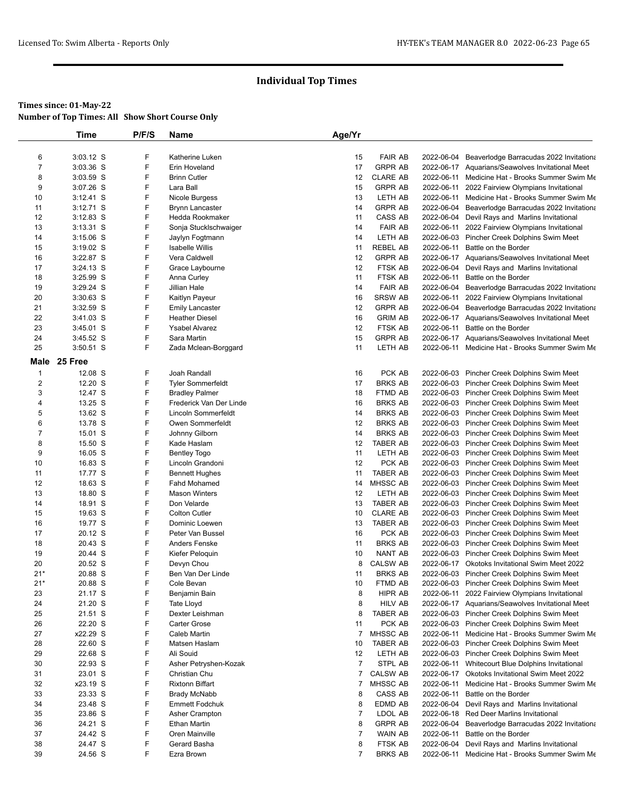|                | <b>Time</b> | P/F/S | <b>Name</b>              | Age/Yr         |                 |            |                                                  |
|----------------|-------------|-------|--------------------------|----------------|-----------------|------------|--------------------------------------------------|
|                |             |       |                          |                |                 |            |                                                  |
| 6              | 3:03.12 S   | F     | Katherine Luken          | 15             | <b>FAIR AB</b>  | 2022-06-04 | Beaverlodge Barracudas 2022 Invitationa          |
| $\overline{7}$ | 3:03.36 S   | F     | Erin Hoveland            | 17             | <b>GRPR AB</b>  |            | 2022-06-17 Aquarians/Seawolves Invitational Meet |
| 8              | 3:03.59 S   | F     | <b>Brinn Cutler</b>      | 12             | <b>CLARE AB</b> | 2022-06-11 | Medicine Hat - Brooks Summer Swim Me             |
| 9              | 3:07.26 S   | F     | Lara Ball                | 15             | <b>GRPR AB</b>  | 2022-06-11 | 2022 Fairview Olympians Invitational             |
| 10             | $3:12.41$ S | F     | Nicole Burgess           | 13             | LETH AB         | 2022-06-11 | Medicine Hat - Brooks Summer Swim Me             |
| 11             | 3:12.71 S   | F     | <b>Brynn Lancaster</b>   | 14             | <b>GRPR AB</b>  | 2022-06-04 | Beaverlodge Barracudas 2022 Invitationa          |
| 12             | $3:12.83$ S | F     | Hedda Rookmaker          | 11             | CASS AB         | 2022-06-04 | Devil Rays and Marlins Invitational              |
| 13             | $3:13.31$ S | F     | Sonja Stucklschwaiger    | 14             | <b>FAIR AB</b>  | 2022-06-11 | 2022 Fairview Olympians Invitational             |
| 14             | $3:15.06$ S | F     | Jaylyn Fogtmann          | 14             | LETH AB         | 2022-06-03 | Pincher Creek Dolphins Swim Meet                 |
| 15             | $3:19.02$ S | F     | <b>Isabelle Willis</b>   | 11             | <b>REBEL AB</b> | 2022-06-11 | Battle on the Border                             |
| 16             | 3:22.87 S   | F     | Vera Caldwell            | 12             | <b>GRPR AB</b>  | 2022-06-17 | Aquarians/Seawolves Invitational Meet            |
| 17             | 3:24.13 S   | F     | Grace Laybourne          | 12             | FTSK AB         | 2022-06-04 | Devil Rays and Marlins Invitational              |
| 18             | 3:25.99 S   | F     | Anna Curley              | 11             | FTSK AB         | 2022-06-11 | Battle on the Border                             |
| 19             | 3:29.24 S   | F     | Jillian Hale             | 14             | <b>FAIR AB</b>  | 2022-06-04 | Beaverlodge Barracudas 2022 Invitationa          |
| 20             | 3:30.63 S   | F     | Kaitlyn Payeur           | 16             | <b>SRSW AB</b>  | 2022-06-11 | 2022 Fairview Olympians Invitational             |
| 21             | 3:32.59 S   | F     | <b>Emily Lancaster</b>   | 12             | <b>GRPR AB</b>  | 2022-06-04 | Beaverlodge Barracudas 2022 Invitationa          |
| 22             | $3:41.03$ S | F     | <b>Heather Diesel</b>    | 16             | <b>GRIM AB</b>  |            | 2022-06-17 Aquarians/Seawolves Invitational Meet |
| 23             | 3:45.01 S   | F     | <b>Ysabel Alvarez</b>    | 12             | FTSK AB         | 2022-06-11 | Battle on the Border                             |
| 24             | 3:45.52 S   | F     | Sara Martin              | 15             | <b>GRPR AB</b>  |            | 2022-06-17 Aquarians/Seawolves Invitational Meet |
| 25             | $3:50.51$ S | F     | Zada Mclean-Borggard     | 11             | LETH AB         | 2022-06-11 | Medicine Hat - Brooks Summer Swim Me             |
| Male           | 25 Free     |       |                          |                |                 |            |                                                  |
| 1              | 12.08 S     | F     | Joah Randall             | 16             | PCK AB          |            | 2022-06-03 Pincher Creek Dolphins Swim Meet      |
| 2              | 12.20 S     | F     | <b>Tyler Sommerfeldt</b> | 17             | <b>BRKS AB</b>  |            | 2022-06-03 Pincher Creek Dolphins Swim Meet      |
| 3              | 12.47 S     | F     | <b>Bradley Palmer</b>    | 18             | FTMD AB         | 2022-06-03 | Pincher Creek Dolphins Swim Meet                 |
| 4              | 13.25 S     | F     | Frederick Van Der Linde  | 16             | <b>BRKS AB</b>  |            | 2022-06-03 Pincher Creek Dolphins Swim Meet      |
| 5              | 13.62 S     | F     | Lincoln Sommerfeldt      | 14             | <b>BRKS AB</b>  |            | 2022-06-03 Pincher Creek Dolphins Swim Meet      |
| 6              | 13.78 S     | F     | Owen Sommerfeldt         | 12             | <b>BRKS AB</b>  |            | 2022-06-03 Pincher Creek Dolphins Swim Meet      |
| $\overline{7}$ | 15.01 S     | F     | Johnny Gilborn           | 14             | <b>BRKS AB</b>  |            | 2022-06-03 Pincher Creek Dolphins Swim Meet      |
| 8              | 15.50 S     | F     | Kade Haslam              | 12             | <b>TABER AB</b> |            | 2022-06-03 Pincher Creek Dolphins Swim Meet      |
| 9              | 16.05 S     | F     | <b>Bentley Togo</b>      | 11             | LETH AB         | 2022-06-03 | Pincher Creek Dolphins Swim Meet                 |
| 10             | 16.83 S     | F     | Lincoln Grandoni         | 12             | PCK AB          |            | 2022-06-03 Pincher Creek Dolphins Swim Meet      |
| 11             | 17.77 S     | F     | <b>Bennett Hughes</b>    | 11             | <b>TABER AB</b> |            | 2022-06-03 Pincher Creek Dolphins Swim Meet      |
| 12             | 18.63 S     | F     | <b>Fahd Mohamed</b>      | 14             | MHSSC AB        | 2022-06-03 | Pincher Creek Dolphins Swim Meet                 |
| 13             | 18.80 S     | F     | <b>Mason Winters</b>     | 12             | LETH AB         | 2022-06-03 | Pincher Creek Dolphins Swim Meet                 |
| 14             | 18.91 S     | F     | Don Velarde              | 13             | <b>TABER AB</b> |            | 2022-06-03 Pincher Creek Dolphins Swim Meet      |
| 15             | 19.63 S     | F     | <b>Colton Cutler</b>     | 10             | <b>CLARE AB</b> | 2022-06-03 | Pincher Creek Dolphins Swim Meet                 |
| 16             | 19.77 S     | F     | Dominic Loewen           | 13             | TABER AB        |            | 2022-06-03 Pincher Creek Dolphins Swim Meet      |
| 17             | 20.12 S     | F     | Peter Van Bussel         | 16             | PCK AB          |            | 2022-06-03 Pincher Creek Dolphins Swim Meet      |
| 18             | 20.43 S     | F     | Anders Fenske            | 11             | <b>BRKS AB</b>  |            | 2022-06-03 Pincher Creek Dolphins Swim Meet      |
| 19             | 20.44 S     | F     | Kiefer Peloquin          | 10             | NANT AB         | 2022-06-03 | Pincher Creek Dolphins Swim Meet                 |
| 20             | 20.52 S     | F     | Devyn Chou               | 8              | <b>CALSW AB</b> | 2022-06-17 | <b>Okotoks Invitational Swim Meet 2022</b>       |
| $21*$          | 20.88 S     | F     | Ben Van Der Linde        | 11             | <b>BRKS AB</b>  |            | 2022-06-03 Pincher Creek Dolphins Swim Meet      |
| $21*$          | 20.88 S     | F     | Cole Bevan               | 10             | FTMD AB         |            | 2022-06-03 Pincher Creek Dolphins Swim Meet      |
| 23             | 21.17 S     | F     | Benjamin Bain            | 8              | HIPR AB         |            | 2022-06-11 2022 Fairview Olympians Invitational  |
| 24             | 21.20 S     | F     | Tate Lloyd               | 8              | <b>HILV AB</b>  |            | 2022-06-17 Aquarians/Seawolves Invitational Meet |
| 25             | 21.51 S     | F     | Dexter Leishman          | 8              | TABER AB        |            | 2022-06-03 Pincher Creek Dolphins Swim Meet      |
| 26             | 22.20 S     | F     | <b>Carter Grose</b>      | 11             | PCK AB          |            | 2022-06-03 Pincher Creek Dolphins Swim Meet      |
| 27             | x22.29 S    | F     | Caleb Martin             | 7              | <b>MHSSC AB</b> |            | 2022-06-11 Medicine Hat - Brooks Summer Swim Me  |
| 28             | 22.60 S     | F     | Matsen Haslam            | 10             | TABER AB        |            | 2022-06-03 Pincher Creek Dolphins Swim Meet      |
| 29             | 22.68 S     | F     | Ali Souid                | 12             | LETH AB         |            | 2022-06-03 Pincher Creek Dolphins Swim Meet      |
| 30             | 22.93 S     | F     | Asher Petryshen-Kozak    | $\overline{7}$ | STPL AB         |            | 2022-06-11 Whitecourt Blue Dolphins Invitational |
| 31             | 23.01 S     | F     | Christian Chu            | 7              | <b>CALSW AB</b> |            | 2022-06-17 Okotoks Invitational Swim Meet 2022   |
| 32             | x23.19 S    | F     | <b>Rixtonn Biffart</b>   | 7              | MHSSC AB        | 2022-06-11 | Medicine Hat - Brooks Summer Swim Me             |
| 33             | 23.33 S     | F     | <b>Brady McNabb</b>      | 8              | CASS AB         | 2022-06-11 | Battle on the Border                             |
| 34             | 23.48 S     | F     | <b>Emmett Fodchuk</b>    | 8              | EDMD AB         | 2022-06-04 | Devil Rays and Marlins Invitational              |
| 35             | 23.86 S     | F     | Asher Crampton           | $\overline{7}$ | LDOL AB         | 2022-06-18 | Red Deer Marlins Invitational                    |
| 36             | 24.21 S     | F     | Ethan Martin             | 8              | <b>GRPR AB</b>  | 2022-06-04 | Beaverlodge Barracudas 2022 Invitationa          |
| 37             | 24.42 S     | F     | Oren Mainville           | 7              | WAIN AB         | 2022-06-11 | Battle on the Border                             |
| 38             | 24.47 S     | F     | Gerard Basha             | 8              | FTSK AB         | 2022-06-04 | Devil Rays and Marlins Invitational              |
| 39             | 24.56 S     | F     | Ezra Brown               | 7              | <b>BRKS AB</b>  |            | 2022-06-11 Medicine Hat - Brooks Summer Swim Me  |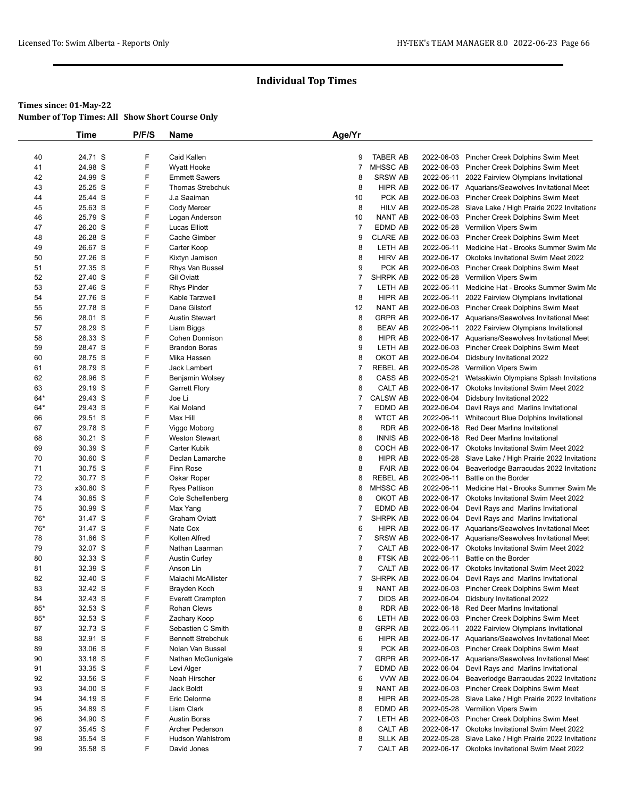|       | Time     | P/F/S | Name                     | Age/Yr         |                 |            |                                                       |
|-------|----------|-------|--------------------------|----------------|-----------------|------------|-------------------------------------------------------|
|       |          |       |                          |                |                 |            |                                                       |
| 40    | 24.71 S  | F     | Caid Kallen              | 9              | <b>TABER AB</b> |            | 2022-06-03 Pincher Creek Dolphins Swim Meet           |
| 41    | 24.98 S  | F     | Wyatt Hooke              | 7              | MHSSC AB        |            | 2022-06-03 Pincher Creek Dolphins Swim Meet           |
| 42    | 24.99 S  | F     | <b>Emmett Sawers</b>     | 8              | <b>SRSW AB</b>  |            | 2022-06-11 2022 Fairview Olympians Invitational       |
| 43    | 25.25 S  | F     | <b>Thomas Strebchuk</b>  | 8              | HIPR AB         |            | 2022-06-17 Aquarians/Seawolves Invitational Meet      |
| 44    | 25.44 S  | F     | J.a Saaiman              | 10             | PCK AB          |            | 2022-06-03 Pincher Creek Dolphins Swim Meet           |
| 45    | 25.63 S  | F     | Cody Mercer              | 8              | <b>HILV AB</b>  |            | 2022-05-28 Slave Lake / High Prairie 2022 Invitationa |
| 46    | 25.79 S  | F     | Logan Anderson           | 10             | <b>NANT AB</b>  |            | 2022-06-03 Pincher Creek Dolphins Swim Meet           |
| 47    | 26.20 S  | F     | Lucas Elliott            | $\overline{7}$ | EDMD AB         |            | 2022-05-28 Vermilion Vipers Swim                      |
| 48    | 26.28 S  | F     | Cache Gimber             | 9              | <b>CLARE AB</b> |            | 2022-06-03 Pincher Creek Dolphins Swim Meet           |
| 49    | 26.67 S  | F     | Carter Koop              | 8              | LETH AB         |            | 2022-06-11 Medicine Hat - Brooks Summer Swim Me       |
| 50    | 27.26 S  | F     | Kixtyn Jamison           | 8              | <b>HIRV AB</b>  |            | 2022-06-17 Okotoks Invitational Swim Meet 2022        |
| 51    | 27.35 S  | F     | Rhys Van Bussel          | 9              | PCK AB          |            | 2022-06-03 Pincher Creek Dolphins Swim Meet           |
| 52    | 27.40 S  | F     | <b>Gil Oviatt</b>        | 7              | <b>SHRPK AB</b> |            | 2022-05-28 Vermilion Vipers Swim                      |
| 53    | 27.46 S  | F     | <b>Rhys Pinder</b>       | $\overline{7}$ | LETH AB         |            | 2022-06-11 Medicine Hat - Brooks Summer Swim Me       |
| 54    | 27.76 S  | F     | Kable Tarzwell           | 8              | HIPR AB         |            | 2022-06-11 2022 Fairview Olympians Invitational       |
| 55    | 27.78 S  | F     | Dane Gilstorf            | 12             | NANT AB         |            | 2022-06-03 Pincher Creek Dolphins Swim Meet           |
| 56    | 28.01 S  | F     | <b>Austin Stewart</b>    | 8              | <b>GRPR AB</b>  |            | 2022-06-17 Aquarians/Seawolves Invitational Meet      |
| 57    | 28.29 S  | F     | Liam Biggs               | 8              | <b>BEAV AB</b>  |            | 2022-06-11 2022 Fairview Olympians Invitational       |
| 58    | 28.33 S  | F     | Cohen Donnison           | 8              | HIPR AB         |            | 2022-06-17 Aquarians/Seawolves Invitational Meet      |
| 59    | 28.47 S  | F     | <b>Brandon Boras</b>     | 9              | LETH AB         |            | 2022-06-03 Pincher Creek Dolphins Swim Meet           |
| 60    | 28.75 S  | F     | Mika Hassen              | 8              | OKOT AB         |            | 2022-06-04 Didsbury Invitational 2022                 |
| 61    | 28.79 S  | F     | <b>Jack Lambert</b>      | $\overline{7}$ | <b>REBEL AB</b> |            | 2022-05-28 Vermilion Vipers Swim                      |
| 62    | 28.96 S  | F     | Benjamin Wolsey          | 8              | CASS AB         |            | 2022-05-21 Wetaskiwin Olympians Splash Invitationa    |
| 63    | 29.19 S  | F     | <b>Garrett Flory</b>     | 8              | CALT AB         |            | 2022-06-17 Okotoks Invitational Swim Meet 2022        |
| $64*$ | 29.43 S  | F     | Joe Li                   | 7              | <b>CALSW AB</b> |            | 2022-06-04 Didsbury Invitational 2022                 |
| $64*$ | 29.43 S  | F     | Kai Moland               | 7              | EDMD AB         |            | 2022-06-04 Devil Rays and Marlins Invitational        |
| 66    | 29.51 S  | F     | Max Hill                 | 8              | <b>WTCT AB</b>  |            | 2022-06-11 Whitecourt Blue Dolphins Invitational      |
| 67    | 29.78 S  | F     | Viggo Moborg             | 8              | <b>RDR AB</b>   |            | 2022-06-18 Red Deer Marlins Invitational              |
| 68    | 30.21 S  | F     | <b>Weston Stewart</b>    | 8              | <b>INNIS AB</b> |            | 2022-06-18 Red Deer Marlins Invitational              |
| 69    | 30.39 S  | F     | Carter Kubik             | 8              | COCH AB         |            | 2022-06-17 Okotoks Invitational Swim Meet 2022        |
| 70    | 30.60 S  | F     | Declan Lamarche          | 8              | HIPR AB         |            | 2022-05-28 Slave Lake / High Prairie 2022 Invitationa |
| 71    | 30.75 S  | F     | Finn Rose                | 8              | <b>FAIR AB</b>  |            | 2022-06-04 Beaverlodge Barracudas 2022 Invitationa    |
| 72    | 30.77 S  | F     | Oskar Roper              | 8              | <b>REBEL AB</b> | 2022-06-11 | Battle on the Border                                  |
| 73    | x30.80 S | F     | <b>Ryes Pattison</b>     | 8              | <b>MHSSC AB</b> | 2022-06-11 | Medicine Hat - Brooks Summer Swim Me                  |
| 74    | 30.85 S  | F     | Cole Schellenberg        | 8              | OKOT AB         |            | 2022-06-17 Okotoks Invitational Swim Meet 2022        |
| 75    | 30.99 S  | F     | Max Yang                 | 7              | EDMD AB         |            | 2022-06-04 Devil Rays and Marlins Invitational        |
| 76*   | 31.47 S  | F     | Graham Oviatt            | 7              | <b>SHRPK AB</b> |            | 2022-06-04 Devil Rays and Marlins Invitational        |
| 76*   | 31.47 S  | F     | Nate Cox                 | 6              | HIPR AB         |            | 2022-06-17 Aquarians/Seawolves Invitational Meet      |
| 78    | 31.86 S  | F     | Kolten Alfred            | 7              | <b>SRSW AB</b>  |            | 2022-06-17 Aquarians/Seawolves Invitational Meet      |
| 79    | 32.07 S  | F     | Nathan Laarman           | 7              | CALT AB         |            | 2022-06-17 Okotoks Invitational Swim Meet 2022        |
| 80    | 32.33 S  | F     | <b>Austin Curley</b>     | 8              | FTSK AB         | 2022-06-11 | Battle on the Border                                  |
| 81    | 32.39 S  | F     | Anson Lin                | 7              | CALT AB         |            | 2022-06-17 Okotoks Invitational Swim Meet 2022        |
| 82    | 32.40 S  | F     | Malachi McAllister       | $\overline{7}$ | <b>SHRPK AB</b> |            | 2022-06-04 Devil Rays and Marlins Invitational        |
| 83    | 32.42 S  | F     | Brayden Koch             | 9              | NANT AB         |            | 2022-06-03 Pincher Creek Dolphins Swim Meet           |
| 84    | 32.43 S  | F     | <b>Everett Crampton</b>  | $\overline{7}$ | <b>DIDS AB</b>  |            | 2022-06-04 Didsbury Invitational 2022                 |
| $85*$ | 32.53 S  | F     | <b>Rohan Clews</b>       | 8              | RDR AB          |            | 2022-06-18 Red Deer Marlins Invitational              |
| $85*$ | 32.53 S  | F     | Zachary Koop             | 6              | LETH AB         |            | 2022-06-03 Pincher Creek Dolphins Swim Meet           |
| 87    | 32.73 S  | F     | Sebastien C Smith        | 8              | <b>GRPR AB</b>  | 2022-06-11 | 2022 Fairview Olympians Invitational                  |
| 88    | 32.91 S  | F     | <b>Bennett Strebchuk</b> | 6              | HIPR AB         |            | 2022-06-17 Aquarians/Seawolves Invitational Meet      |
| 89    | 33.06 S  | F     | Nolan Van Bussel         | 9              | PCK AB          |            | 2022-06-03 Pincher Creek Dolphins Swim Meet           |
| 90    | 33.18 S  | F     | Nathan McGunigale        | 7              | <b>GRPR AB</b>  |            | 2022-06-17 Aquarians/Seawolves Invitational Meet      |
| 91    | 33.35 S  | F     | Levi Alger               | $\overline{7}$ | EDMD AB         | 2022-06-04 | Devil Rays and Marlins Invitational                   |
| 92    | 33.56 S  | F     | Noah Hirscher            | 6              | VVW AB          | 2022-06-04 | Beaverlodge Barracudas 2022 Invitationa               |
| 93    | 34.00 S  | F     | Jack Boldt               | 9              | NANT AB         |            | 2022-06-03 Pincher Creek Dolphins Swim Meet           |
| 94    | 34.19 S  | F     | Eric Delorme             | 8              | HIPR AB         |            | 2022-05-28 Slave Lake / High Prairie 2022 Invitationa |
| 95    | 34.89 S  | F     | Liam Clark               | 8              | EDMD AB         |            | 2022-05-28 Vermilion Vipers Swim                      |
| 96    | 34.90 S  | F     | <b>Austin Boras</b>      | $\overline{7}$ | LETH AB         |            | 2022-06-03 Pincher Creek Dolphins Swim Meet           |
| 97    | 35.45 S  | F     | Archer Pederson          | 8              | CALT AB         |            | 2022-06-17 Okotoks Invitational Swim Meet 2022        |
| 98    | 35.54 S  | F     | <b>Hudson Wahlstrom</b>  | 8              | <b>SLLK AB</b>  |            | 2022-05-28 Slave Lake / High Prairie 2022 Invitationa |
| 99    | 35.58 S  | F     | David Jones              | $\overline{7}$ | CALT AB         |            | 2022-06-17 Okotoks Invitational Swim Meet 2022        |
|       |          |       |                          |                |                 |            |                                                       |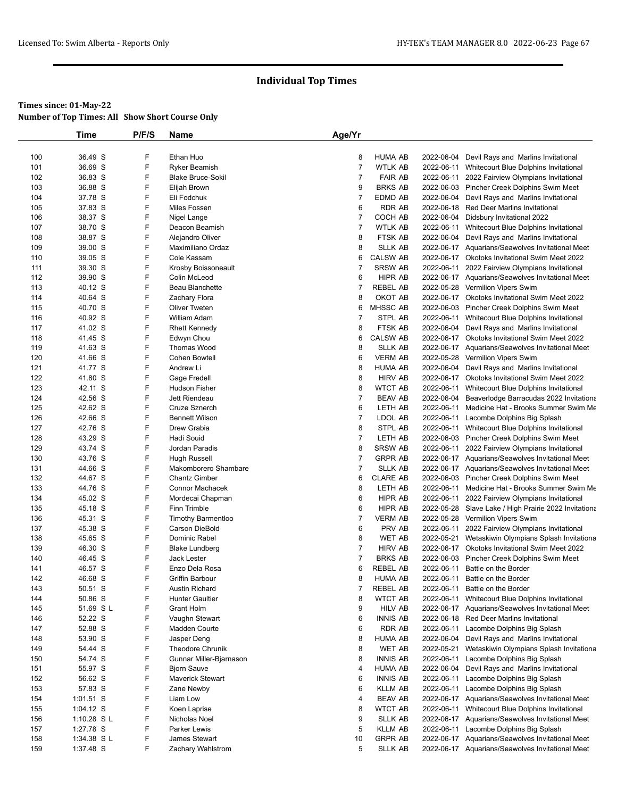|            | Time               | P/F/S  | Name                                | Age/Yr         |                                   |            |                                                                                    |
|------------|--------------------|--------|-------------------------------------|----------------|-----------------------------------|------------|------------------------------------------------------------------------------------|
|            |                    |        |                                     |                |                                   |            |                                                                                    |
| 100        | 36.49 S            | F      | Ethan Huo                           | 8              | <b>HUMA AB</b>                    | 2022-06-04 | Devil Rays and Marlins Invitational                                                |
| 101        | 36.69 S            | F      | <b>Ryker Beamish</b>                | $\overline{7}$ | <b>WTLK AB</b>                    |            | 2022-06-11 Whitecourt Blue Dolphins Invitational                                   |
| 102        | 36.83 S            | F      | <b>Blake Bruce-Sokil</b>            | $\overline{7}$ | <b>FAIR AB</b>                    |            | 2022-06-11 2022 Fairview Olympians Invitational                                    |
| 103        | 36.88 S            | F      | Elijah Brown                        | 9              | <b>BRKS AB</b>                    |            | 2022-06-03 Pincher Creek Dolphins Swim Meet                                        |
| 104        | 37.78 S            | F      | Eli Fodchuk                         | $\overline{7}$ | EDMD AB                           |            | 2022-06-04 Devil Rays and Marlins Invitational                                     |
| 105        | 37.83 S            | F      | Miles Fossen                        | 6              | <b>RDR AB</b>                     |            | 2022-06-18 Red Deer Marlins Invitational                                           |
| 106        | 38.37 S            | F      | Nigel Lange                         | 7              | COCH AB                           |            | 2022-06-04 Didsbury Invitational 2022                                              |
| 107        | 38.70 S            | F      | Deacon Beamish                      | $\overline{7}$ | WTLK AB                           |            | 2022-06-11 Whitecourt Blue Dolphins Invitational                                   |
| 108        | 38.87 S            | F<br>F | Alejandro Oliver                    | 8              | FTSK AB                           |            | 2022-06-04 Devil Rays and Marlins Invitational                                     |
| 109        | 39.00 S            |        | Maximiliano Ordaz                   | 8              | <b>SLLK AB</b>                    |            | 2022-06-17 Aquarians/Seawolves Invitational Meet                                   |
| 110<br>111 | 39.05 S<br>39.30 S | F<br>F | Cole Kassam                         | 6<br>7         | <b>CALSW AB</b><br><b>SRSW AB</b> |            | 2022-06-17 Okotoks Invitational Swim Meet 2022                                     |
| 112        | 39.90 S            | F      | Krosby Boissoneault<br>Colin McLeod | 6              | HIPR AB                           |            | 2022-06-11 2022 Fairview Olympians Invitational                                    |
|            |                    | F      | Beau Blanchette                     | 7              | <b>REBEL AB</b>                   |            | 2022-06-17 Aquarians/Seawolves Invitational Meet                                   |
| 113<br>114 | 40.12 S<br>40.64 S | F      | Zachary Flora                       | 8              | OKOT AB                           |            | 2022-05-28 Vermilion Vipers Swim<br>2022-06-17 Okotoks Invitational Swim Meet 2022 |
| 115        | 40.70 S            | F      | Oliver Tweten                       | 6              | <b>MHSSC AB</b>                   |            | 2022-06-03 Pincher Creek Dolphins Swim Meet                                        |
| 116        | 40.92 S            | F      | William Adam                        | $\overline{7}$ | STPL AB                           |            | 2022-06-11 Whitecourt Blue Dolphins Invitational                                   |
| 117        | 41.02 S            | F      | <b>Rhett Kennedy</b>                | 8              | FTSK AB                           |            | 2022-06-04 Devil Rays and Marlins Invitational                                     |
| 118        | 41.45 S            | F      | Edwyn Chou                          | 6              | <b>CALSW AB</b>                   |            | 2022-06-17 Okotoks Invitational Swim Meet 2022                                     |
| 119        | 41.63 S            | F      | <b>Thomas Wood</b>                  | 8              | <b>SLLK AB</b>                    |            | 2022-06-17 Aquarians/Seawolves Invitational Meet                                   |
| 120        | 41.66 S            | F      | Cohen Bowtell                       | 6              | <b>VERM AB</b>                    |            | 2022-05-28 Vermilion Vipers Swim                                                   |
| 121        | 41.77 S            | F      | Andrew Li                           | 8              | <b>HUMA AB</b>                    |            | 2022-06-04 Devil Rays and Marlins Invitational                                     |
| 122        | 41.80 S            | F      | Gage Fredell                        | 8              | <b>HIRV AB</b>                    |            | 2022-06-17 Okotoks Invitational Swim Meet 2022                                     |
| 123        | 42.11 S            | F      | <b>Hudson Fisher</b>                | 8              | <b>WTCT AB</b>                    | 2022-06-11 | Whitecourt Blue Dolphins Invitational                                              |
| 124        | 42.56 S            | F      | Jett Riendeau                       | $\overline{7}$ | <b>BEAV AB</b>                    | 2022-06-04 | Beaverlodge Barracudas 2022 Invitationa                                            |
| 125        | 42.62 S            | F      | Cruze Sznerch                       | 6              | LETH AB                           | 2022-06-11 | Medicine Hat - Brooks Summer Swim Me                                               |
| 126        | 42.66 S            | F      | <b>Bennett Wilson</b>               | $\overline{7}$ | LDOL AB                           | 2022-06-11 | Lacombe Dolphins Big Splash                                                        |
| 127        | 42.76 S            | F      | Drew Grabia                         | 8              | STPL AB                           |            | 2022-06-11 Whitecourt Blue Dolphins Invitational                                   |
| 128        | 43.29 S            | F      | Hadi Souid                          | $\overline{7}$ | LETH AB                           |            | 2022-06-03 Pincher Creek Dolphins Swim Meet                                        |
| 129        | 43.74 S            | F      | Jordan Paradis                      | 8              | <b>SRSW AB</b>                    | 2022-06-11 | 2022 Fairview Olympians Invitational                                               |
| 130        | 43.76 S            | F      | <b>Hugh Russell</b>                 | $\overline{7}$ | <b>GRPR AB</b>                    |            | 2022-06-17 Aquarians/Seawolves Invitational Meet                                   |
| 131        | 44.66 S            | F      | Makomborero Shambare                | 7              | <b>SLLK AB</b>                    |            | 2022-06-17 Aquarians/Seawolves Invitational Meet                                   |
| 132        | 44.67 S            | F      | <b>Chantz Gimber</b>                | 6              | <b>CLARE AB</b>                   |            | 2022-06-03 Pincher Creek Dolphins Swim Meet                                        |
| 133        | 44.76 S            | F      | Connor Machacek                     | 8              | LETH AB                           |            | 2022-06-11 Medicine Hat - Brooks Summer Swim Me                                    |
| 134        | 45.02 S            | F      | Mordecai Chapman                    | 6              | HIPR AB                           |            | 2022-06-11 2022 Fairview Olympians Invitational                                    |
| 135        | 45.18 S            | F      | Finn Trimble                        | 6              | HIPR AB                           |            | 2022-05-28 Slave Lake / High Prairie 2022 Invitationa                              |
| 136        | 45.31 S            | F      | Timothy Barmentloo                  | $\overline{7}$ | <b>VERM AB</b>                    |            | 2022-05-28 Vermilion Vipers Swim                                                   |
| 137        | 45.38 S            | F      | Carson DieBold                      | 6              | PRV AB                            |            | 2022-06-11 2022 Fairview Olympians Invitational                                    |
| 138        | 45.65 S            | F      | Dominic Rabel                       | 8              | <b>WET AB</b>                     | 2022-05-21 | Wetaskiwin Olympians Splash Invitationa                                            |
| 139        | 46.30 S            | F      | <b>Blake Lundberg</b>               | $\overline{7}$ | <b>HIRV AB</b>                    |            | 2022-06-17 Okotoks Invitational Swim Meet 2022                                     |
| 140        | 46.45 S            | F      | <b>Jack Lester</b>                  | $\overline{7}$ | <b>BRKS AB</b>                    |            | 2022-06-03 Pincher Creek Dolphins Swim Meet                                        |
| 141        | 46.57 S            | F      | Enzo Dela Rosa                      | 6              | <b>REBEL AB</b>                   | 2022-06-11 | Battle on the Border                                                               |
| 142        | 46.68 S            | F      | Griffin Barbour                     | 8              | HUMA AB                           | 2022-06-11 | Battle on the Border                                                               |
| 143        | 50.51 S            | F      | <b>Austin Richard</b>               | 7              | <b>REBEL AB</b>                   |            | 2022-06-11 Battle on the Border                                                    |
| 144        | 50.86 S            | F      | <b>Hunter Gaultier</b>              | 8              | <b>WTCT AB</b>                    | 2022-06-11 | Whitecourt Blue Dolphins Invitational                                              |
| 145        | 51.69 S L          | F      | Grant Holm                          | 9              | <b>HILV AB</b>                    |            | 2022-06-17 Aquarians/Seawolves Invitational Meet                                   |
| 146        | 52.22 S            | F      | Vaughn Stewart                      | 6              | <b>INNIS AB</b>                   |            | 2022-06-18 Red Deer Marlins Invitational                                           |
| 147        | 52.88 S            | F      | Madden Courte                       | 6              | <b>RDR AB</b>                     |            | 2022-06-11 Lacombe Dolphins Big Splash                                             |
| 148        | 53.90 S            | F      | Jasper Deng                         | 8              | HUMA AB                           | 2022-06-04 | Devil Rays and Marlins Invitational                                                |
| 149        | 54.44 S            | F      | Theodore Chrunik                    | 8              | WET AB                            | 2022-05-21 | Wetaskiwin Olympians Splash Invitationa                                            |
| 150        | 54.74 S            | F      | Gunnar Miller-Bjarnason             | 8              | <b>INNIS AB</b>                   | 2022-06-11 | Lacombe Dolphins Big Splash                                                        |
| 151        | 55.97 S            | F      | <b>Bjorn Sauve</b>                  | 4              | HUMA AB                           | 2022-06-04 | Devil Rays and Marlins Invitational                                                |
| 152        | 56.62 S            | F      | Maverick Stewart                    | 6              | <b>INNIS AB</b>                   | 2022-06-11 | Lacombe Dolphins Big Splash                                                        |
| 153        | 57.83 S            | F      | Zane Newby                          | 6              | <b>KLLM AB</b>                    |            | 2022-06-11 Lacombe Dolphins Big Splash                                             |
| 154        | $1:01.51$ S        | F      | Liam Low                            | 4              | <b>BEAV AB</b>                    |            | 2022-06-17 Aquarians/Seawolves Invitational Meet                                   |
| 155        | 1:04.12 S          | F      | Koen Laprise                        | 8              | <b>WTCT AB</b>                    |            | 2022-06-11 Whitecourt Blue Dolphins Invitational                                   |
| 156        | 1:10.28 S L        | F      | Nicholas Noel                       | 9              | <b>SLLK AB</b>                    |            | 2022-06-17 Aquarians/Seawolves Invitational Meet                                   |
| 157        | 1:27.78 S          | F      | Parker Lewis                        | 5              | <b>KLLM AB</b>                    | 2022-06-11 | Lacombe Dolphins Big Splash                                                        |
| 158        | 1:34.38 S L        | F      | James Stewart                       | 10             | <b>GRPR AB</b>                    |            | 2022-06-17 Aquarians/Seawolves Invitational Meet                                   |
| 159        | 1:37.48 S          | F      | Zachary Wahlstrom                   | 5              | <b>SLLK AB</b>                    |            | 2022-06-17 Aquarians/Seawolves Invitational Meet                                   |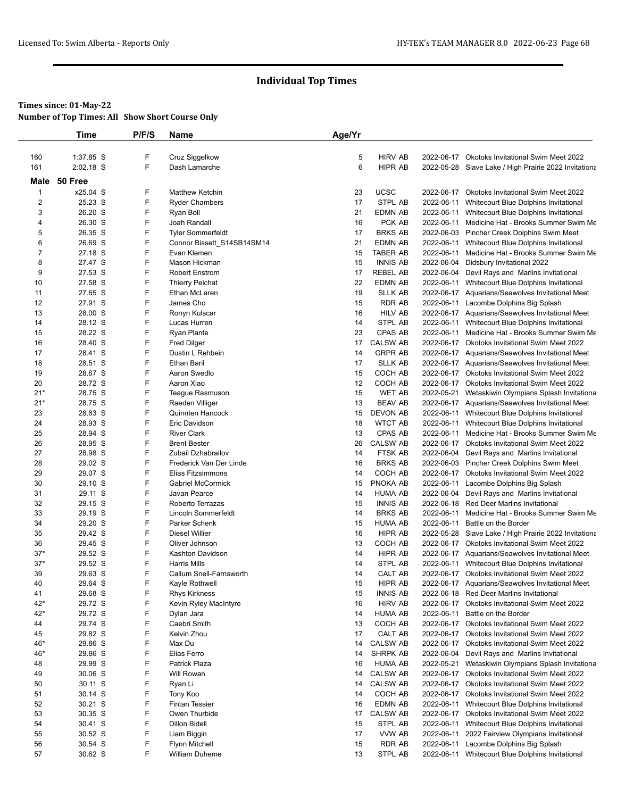### **Times since: 01-May-22**

**Number of Top Times: All Show Short Course Only**

|                  | Time               | P/F/S  | Name                                   | Age/Yr   |                           |            |                                                                                                     |
|------------------|--------------------|--------|----------------------------------------|----------|---------------------------|------------|-----------------------------------------------------------------------------------------------------|
|                  |                    |        |                                        |          |                           |            |                                                                                                     |
| 160              | 1:37.85 S          | F      | Cruz Siggelkow                         | 5        | <b>HIRV AB</b>            |            | 2022-06-17 Okotoks Invitational Swim Meet 2022                                                      |
| 161              | 2:02.18 S          | F      | Dash Lamarche                          | 6        | HIPR AB                   |            | 2022-05-28 Slave Lake / High Prairie 2022 Invitationa                                               |
| Male             | 50 Free            |        |                                        |          |                           |            |                                                                                                     |
| $\mathbf{1}$     | x25.04 S           | F      | <b>Matthew Ketchin</b>                 | 23       | <b>UCSC</b>               |            | 2022-06-17 Okotoks Invitational Swim Meet 2022                                                      |
| $\boldsymbol{2}$ | 25.23 S            | F      | <b>Ryder Chambers</b>                  | 17       | STPL AB                   |            | 2022-06-11 Whitecourt Blue Dolphins Invitational                                                    |
| 3                | 26.20 S            | F      | Ryan Boll                              | 21       | EDMN AB                   |            | 2022-06-11 Whitecourt Blue Dolphins Invitational                                                    |
| 4                | 26.30 S            | F      | Joah Randall                           | 16       | PCK AB                    |            | 2022-06-11 Medicine Hat - Brooks Summer Swim Me                                                     |
| 5                | 26.35 S            | F      | <b>Tyler Sommerfeldt</b>               | 17       | <b>BRKS AB</b>            |            | 2022-06-03 Pincher Creek Dolphins Swim Meet                                                         |
| 6                | 26.69 S            | F      | Connor Bissett_S14SB14SM14             | 21       | <b>EDMN AB</b>            |            | 2022-06-11 Whitecourt Blue Dolphins Invitational                                                    |
| 7                | 27.18 S            | F      | Evan Klemen                            | 15       | <b>TABER AB</b>           |            | 2022-06-11 Medicine Hat - Brooks Summer Swim Me                                                     |
| 8                | 27.47 S            | F      | Mason Hickman                          | 15       | <b>INNIS AB</b>           |            | 2022-06-04 Didsbury Invitational 2022                                                               |
| 9                | 27.53 S            | F      | <b>Robert Enstrom</b>                  | 17       | <b>REBEL AB</b>           |            | 2022-06-04 Devil Rays and Marlins Invitational                                                      |
| 10               | 27.58 S            | F      | <b>Thierry Pelchat</b>                 | 22       | EDMN AB                   |            | 2022-06-11 Whitecourt Blue Dolphins Invitational                                                    |
| 11               | 27.65 S            | F      | Ethan McLaren                          | 19       | <b>SLLK AB</b>            |            | 2022-06-17 Aquarians/Seawolves Invitational Meet                                                    |
| 12               | 27.91 S            | F      | James Cho                              | 15       | <b>RDR AB</b>             |            | 2022-06-11 Lacombe Dolphins Big Splash                                                              |
| 13               | 28.00 S            | F<br>F | Ronyn Kulscar                          | 16       | HILV AB                   |            | 2022-06-17 Aquarians/Seawolves Invitational Meet                                                    |
| 14               | 28.12 S<br>28.22 S | F      | Lucas Hurren                           | 14<br>23 | STPL AB<br><b>CPAS AB</b> |            | 2022-06-11 Whitecourt Blue Dolphins Invitational<br>2022-06-11 Medicine Hat - Brooks Summer Swim Me |
| 15               | 28.40 S            | F      | <b>Ryan Plante</b>                     | 17       | <b>CALSW AB</b>           |            | 2022-06-17 Okotoks Invitational Swim Meet 2022                                                      |
| 16<br>17         | 28.41 S            | F      | <b>Fred Dilger</b><br>Dustin L Rehbein | 14       | <b>GRPR AB</b>            |            | 2022-06-17 Aquarians/Seawolves Invitational Meet                                                    |
| 18               | 28.51 S            | F      | <b>Ethan Baril</b>                     | 17       | <b>SLLK AB</b>            |            | 2022-06-17 Aquarians/Seawolves Invitational Meet                                                    |
| 19               | 28.67 S            | F      | Aaron Swedlo                           | 15       | COCH AB                   |            | 2022-06-17 Okotoks Invitational Swim Meet 2022                                                      |
| 20               | 28.72 S            | F      | Aaron Xiao                             | 12       | COCH AB                   |            | 2022-06-17 Okotoks Invitational Swim Meet 2022                                                      |
| $21*$            | 28.75 S            | F      | Teague Rasmuson                        | 15       | <b>WET AB</b>             |            | 2022-05-21 Wetaskiwin Olympians Splash Invitationa                                                  |
| $21*$            | 28.75 S            | F      | Raeden Villiger                        | 13       | <b>BEAV AB</b>            |            | 2022-06-17 Aquarians/Seawolves Invitational Meet                                                    |
| 23               | 28.83 S            | F      | Quinnten Hancock                       | 15       | <b>DEVON AB</b>           |            | 2022-06-11 Whitecourt Blue Dolphins Invitational                                                    |
| 24               | 28.93 S            | F      | Eric Davidson                          | 18       | <b>WTCT AB</b>            |            | 2022-06-11 Whitecourt Blue Dolphins Invitational                                                    |
| 25               | 28.94 S            | F      | <b>River Clark</b>                     | 13       | CPAS AB                   |            | 2022-06-11 Medicine Hat - Brooks Summer Swim Me                                                     |
| 26               | 28.95 S            | F      | <b>Brent Bester</b>                    | 26       | <b>CALSW AB</b>           |            | 2022-06-17 Okotoks Invitational Swim Meet 2022                                                      |
| 27               | 28.98 S            | F      | Zubail Dzhabrailov                     | 14       | FTSK AB                   |            | 2022-06-04 Devil Rays and Marlins Invitational                                                      |
| 28               | 29.02 S            | F      | Frederick Van Der Linde                | 16       | <b>BRKS AB</b>            |            | 2022-06-03 Pincher Creek Dolphins Swim Meet                                                         |
| 29               | 29.07 S            | F      | Elias Fitzsimmons                      | 14       | COCH AB                   |            | 2022-06-17 Okotoks Invitational Swim Meet 2022                                                      |
| 30               | 29.10 S            | F      | <b>Gabriel McCormick</b>               | 15       | PNOKA AB                  |            | 2022-06-11 Lacombe Dolphins Big Splash                                                              |
| 31               | 29.11 S            | F      | Javan Pearce                           | 14       | <b>HUMA AB</b>            |            | 2022-06-04 Devil Rays and Marlins Invitational                                                      |
| 32               | 29.15 S            | F      | Roberto Terrazas                       | 15       | <b>INNIS AB</b>           |            | 2022-06-18 Red Deer Marlins Invitational                                                            |
| 33               | 29.19 S            | F      | Lincoln Sommerfeldt                    | 14       | <b>BRKS AB</b>            |            | 2022-06-11 Medicine Hat - Brooks Summer Swim Me                                                     |
| 34               | 29.20 S            | F      | Parker Schenk                          | 15       | <b>HUMA AB</b>            |            | 2022-06-11 Battle on the Border                                                                     |
| 35               | 29.42 S            | F      | <b>Diesel Willier</b>                  | 16       | <b>HIPR AB</b>            |            | 2022-05-28 Slave Lake / High Prairie 2022 Invitationa                                               |
| 36               | 29.45 S            | F      | Oliver Johnson                         | 13       | COCH AB                   |            | 2022-06-17 Okotoks Invitational Swim Meet 2022                                                      |
| $37*$            | 29.52 S            | F      | Kashton Davidson                       | 14       | HIPR AB                   |            | 2022-06-17 Aquarians/Seawolves Invitational Meet                                                    |
| $37*$            | 29.52 S            | F      | <b>Harris Mills</b>                    | 14       | STPL AB                   |            | 2022-06-11 Whitecourt Blue Dolphins Invitational                                                    |
| 39               | 29.63 S            | F      | Callum Snell-Farnsworth                | 14       | CALT AB                   |            | 2022-06-17 Okotoks Invitational Swim Meet 2022                                                      |
| 40               | 29.64 S            | F      | Kayle Rothwell                         | 15       | HIPR AB                   |            | 2022-06-17 Aquarians/Seawolves Invitational Meet                                                    |
| 41               | 29.68 S            | F<br>F | <b>Rhys Kirkness</b>                   | 15       | <b>INNIS AB</b>           |            | 2022-06-18 Red Deer Marlins Invitational                                                            |
| 42*<br>42*       | 29.72 S<br>29.72 S | F      | Kevin Ryley MacIntyre<br>Dylan Jara    | 16<br>14 | <b>HIRV AB</b><br>HUMA AB | 2022-06-11 | 2022-06-17 Okotoks Invitational Swim Meet 2022<br>Battle on the Border                              |
| 44               | 29.74 S            | F      | Caebri Smith                           | 13       | COCH AB                   |            | 2022-06-17 Okotoks Invitational Swim Meet 2022                                                      |
| 45               | 29.82 S            | F      | Kelvin Zhou                            | 17       | CALT AB                   |            | 2022-06-17 Okotoks Invitational Swim Meet 2022                                                      |
| 46*              | 29.86 S            | F      | Max Du                                 | 14       | <b>CALSW AB</b>           |            | 2022-06-17 Okotoks Invitational Swim Meet 2022                                                      |
| 46*              | 29.86 S            | F      | Elias Ferro                            | 14       | <b>SHRPK AB</b>           | 2022-06-04 | Devil Rays and Marlins Invitational                                                                 |
| 48               | 29.99 S            | F      | <b>Patrick Plaza</b>                   | 16       | HUMA AB                   | 2022-05-21 | Wetaskiwin Olympians Splash Invitationa                                                             |
| 49               | 30.06 S            | F      | Will Rowan                             | 14       | <b>CALSW AB</b>           |            | 2022-06-17 Okotoks Invitational Swim Meet 2022                                                      |
| 50               | 30.11 S            | F      | Ryan Li                                | 14       | <b>CALSW AB</b>           |            | 2022-06-17 Okotoks Invitational Swim Meet 2022                                                      |
| 51               | $30.14$ S          | F      | Tony Koo                               | 14       | COCH AB                   |            | 2022-06-17 Okotoks Invitational Swim Meet 2022                                                      |
| 52               | 30.21 S            | F      | <b>Fintan Tessier</b>                  | 16       | <b>EDMN AB</b>            | 2022-06-11 | Whitecourt Blue Dolphins Invitational                                                               |
| 53               | 30.35 S            | F      | Owen Thurbide                          | 17       | <b>CALSW AB</b>           |            | 2022-06-17 Okotoks Invitational Swim Meet 2022                                                      |
| 54               | 30.41 S            | F      | Dillon Bidell                          | 15       | STPL AB                   | 2022-06-11 | Whitecourt Blue Dolphins Invitational                                                               |
| 55               | 30.52 S            | F      | Liam Biggin                            | 17       | VVW AB                    |            | 2022-06-11 2022 Fairview Olympians Invitational                                                     |
| 56               | 30.54 S            | F      | <b>Flynn Mitchell</b>                  | 15       | <b>RDR AB</b>             |            | 2022-06-11 Lacombe Dolphins Big Splash                                                              |
| 57               | 30.62 S            | F      | William Duheme                         | 13       | STPL AB                   |            | 2022-06-11 Whitecourt Blue Dolphins Invitational                                                    |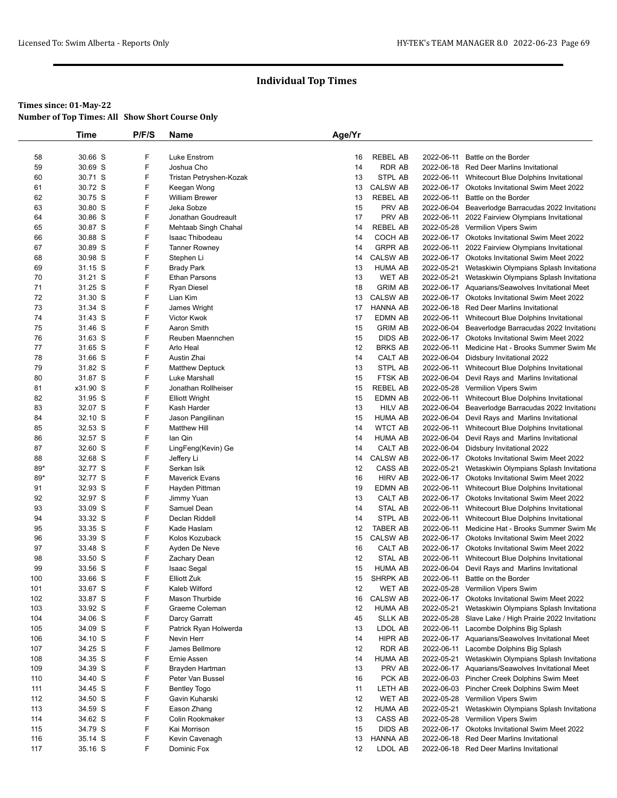|          | Time               | P/F/S  | Name                        | Age/Yr   |                                 |            |                                                                                                    |
|----------|--------------------|--------|-----------------------------|----------|---------------------------------|------------|----------------------------------------------------------------------------------------------------|
|          |                    |        |                             |          |                                 |            |                                                                                                    |
| 58       | 30.66 S            | F      | Luke Enstrom                | 16       | <b>REBEL AB</b>                 | 2022-06-11 | Battle on the Border                                                                               |
| 59       | 30.69 S            | F      | Joshua Cho                  | 14       | <b>RDR AB</b>                   |            | 2022-06-18 Red Deer Marlins Invitational                                                           |
| 60       | 30.71 S            | F      | Tristan Petryshen-Kozak     | 13       | STPL AB                         |            | 2022-06-11 Whitecourt Blue Dolphins Invitational                                                   |
| 61       | 30.72 S            | F      | Keegan Wong                 | 13       | <b>CALSW AB</b>                 |            | 2022-06-17 Okotoks Invitational Swim Meet 2022                                                     |
| 62       | 30.75 S            | F      | William Brewer              | 13       | <b>REBEL AB</b>                 | 2022-06-11 | Battle on the Border                                                                               |
| 63       | 30.80 S            | F      | Jeka Sobze                  | 15       | PRV AB                          | 2022-06-04 | Beaverlodge Barracudas 2022 Invitationa                                                            |
| 64       | 30.86 S            | F      | Jonathan Goudreault         | 17       | PRV AB                          | 2022-06-11 | 2022 Fairview Olympians Invitational                                                               |
| 65       | 30.87 S            | F      | Mehtaab Singh Chahal        | 14       | <b>REBEL AB</b>                 |            | 2022-05-28 Vermilion Vipers Swim                                                                   |
| 66       | 30.88 S            | F      | Isaac Thibodeau             | 14       | COCH AB                         |            | 2022-06-17 Okotoks Invitational Swim Meet 2022                                                     |
| 67       | 30.89 S            | F      | <b>Tanner Rowney</b>        | 14       | <b>GRPR AB</b>                  | 2022-06-11 | 2022 Fairview Olympians Invitational                                                               |
| 68       | 30.98 S            | F<br>F | Stephen Li                  | 14       | <b>CALSW AB</b>                 |            | 2022-06-17 Okotoks Invitational Swim Meet 2022                                                     |
| 69       | 31.15 S            | F      | <b>Brady Park</b>           | 13       | <b>HUMA AB</b>                  | 2022-05-21 | Wetaskiwin Olympians Splash Invitationa                                                            |
| 70<br>71 | 31.21 S            | F      | Ethan Parsons               | 13<br>18 | <b>WET AB</b><br><b>GRIM AB</b> | 2022-05-21 | Wetaskiwin Olympians Splash Invitationa                                                            |
| 72       | 31.25 S<br>31.30 S | F      | Ryan Diesel<br>Lian Kim     | 13       | <b>CALSW AB</b>                 |            | 2022-06-17 Aquarians/Seawolves Invitational Meet<br>2022-06-17 Okotoks Invitational Swim Meet 2022 |
| 73       | 31.34 S            | F      | James Wright                | 17       | <b>HANNA AB</b>                 |            | 2022-06-18 Red Deer Marlins Invitational                                                           |
| 74       | 31.43 S            | F      | Victor Kwok                 | 17       | <b>EDMN AB</b>                  | 2022-06-11 | Whitecourt Blue Dolphins Invitational                                                              |
| 75       | 31.46 S            | F      | Aaron Smith                 | 15       | <b>GRIM AB</b>                  |            | 2022-06-04 Beaverlodge Barracudas 2022 Invitationa                                                 |
| 76       | 31.63 S            | F      | Reuben Maennchen            | 15       | <b>DIDS AB</b>                  |            | 2022-06-17 Okotoks Invitational Swim Meet 2022                                                     |
| 77       | 31.65 S            | F      | Arlo Heal                   | 12       | <b>BRKS AB</b>                  | 2022-06-11 | Medicine Hat - Brooks Summer Swim Me                                                               |
| 78       | 31.66 S            | F      | Austin Zhai                 | 14       | CALT AB                         |            | 2022-06-04 Didsbury Invitational 2022                                                              |
| 79       | 31.82 S            | F      | <b>Matthew Deptuck</b>      | 13       | STPL AB                         |            | 2022-06-11 Whitecourt Blue Dolphins Invitational                                                   |
| 80       | 31.87 S            | F      | <b>Luke Marshall</b>        | 15       | <b>FTSK AB</b>                  |            | 2022-06-04 Devil Rays and Marlins Invitational                                                     |
| 81       | x31.90 S           | F      | Jonathan Rollheiser         | 15       | <b>REBEL AB</b>                 |            | 2022-05-28 Vermilion Vipers Swim                                                                   |
| 82       | 31.95 S            | F      | <b>Elliott Wright</b>       | 15       | <b>EDMN AB</b>                  |            | 2022-06-11 Whitecourt Blue Dolphins Invitational                                                   |
| 83       | 32.07 S            | F      | Kash Harder                 | 13       | <b>HILV AB</b>                  |            | 2022-06-04 Beaverlodge Barracudas 2022 Invitationa                                                 |
| 84       | 32.10 S            | F      | Jason Pangilinan            | 15       | <b>HUMA AB</b>                  |            | 2022-06-04 Devil Rays and Marlins Invitational                                                     |
| 85       | 32.53 S            | F      | <b>Matthew Hill</b>         | 14       | <b>WTCT AB</b>                  |            | 2022-06-11 Whitecourt Blue Dolphins Invitational                                                   |
| 86       | 32.57 S            | F      | lan Qin                     | 14       | <b>HUMA AB</b>                  |            | 2022-06-04 Devil Rays and Marlins Invitational                                                     |
| 87       | 32.60 S            | F      | LingFeng(Kevin) Ge          | 14       | CALT AB                         |            | 2022-06-04 Didsbury Invitational 2022                                                              |
| 88       | 32.68 S            | F      | Jeffery Li                  | 14       | <b>CALSW AB</b>                 |            | 2022-06-17 Okotoks Invitational Swim Meet 2022                                                     |
| 89*      | 32.77 S            | F      | Serkan Isik                 | 12       | CASS AB                         | 2022-05-21 | Wetaskiwin Olympians Splash Invitationa                                                            |
| 89*      | 32.77 S            | F      | <b>Maverick Evans</b>       | 16       | <b>HIRV AB</b>                  |            | 2022-06-17 Okotoks Invitational Swim Meet 2022                                                     |
| 91       | 32.93 S            | F      | Hayden Pittman              | 19       | EDMN AB                         |            | 2022-06-11 Whitecourt Blue Dolphins Invitational                                                   |
| 92       | 32.97 S            | F      | Jimmy Yuan                  | 13       | CALT AB                         |            | 2022-06-17 Okotoks Invitational Swim Meet 2022                                                     |
| 93       | 33.09 S            | F      | Samuel Dean                 | 14       | STAL AB                         | 2022-06-11 | Whitecourt Blue Dolphins Invitational                                                              |
| 94       | 33.32 S            | F      | Declan Riddell              | 14       | STPL AB                         | 2022-06-11 | Whitecourt Blue Dolphins Invitational                                                              |
| 95       | 33.35 S            | F      | Kade Haslam                 | 12       | <b>TABER AB</b>                 | 2022-06-11 | Medicine Hat - Brooks Summer Swim Me                                                               |
| 96       | 33.39 S            | F<br>F | Kolos Kozuback              | 15       | <b>CALSW AB</b>                 |            | 2022-06-17 Okotoks Invitational Swim Meet 2022                                                     |
| 97<br>98 | 33.48 S<br>33.50 S | F      | Ayden De Neve               | 16<br>12 | CALT AB<br>STAL AB              | 2022-06-11 | 2022-06-17 Okotoks Invitational Swim Meet 2022<br>Whitecourt Blue Dolphins Invitational            |
| 99       | 33.56 S            | F      | Zachary Dean<br>Isaac Segal | 15       | <b>HUMA AB</b>                  |            | 2022-06-04 Devil Rays and Marlins Invitational                                                     |
| 100      | 33.66 S            | F      | <b>Elliott Zuk</b>          | 15       | <b>SHRPK AB</b>                 |            | 2022-06-11 Battle on the Border                                                                    |
| 101      | 33.67 S            | F      | Kaleb Wilford               | 12       | WET AB                          |            | 2022-05-28 Vermilion Vipers Swim                                                                   |
| 102      | 33.87 S            | F      | Mason Thurbide              | 16       | <b>CALSW AB</b>                 |            | 2022-06-17 Okotoks Invitational Swim Meet 2022                                                     |
| 103      | 33.92 S            | F      | Graeme Coleman              | 12       | <b>HUMA AB</b>                  | 2022-05-21 | Wetaskiwin Olympians Splash Invitationa                                                            |
| 104      | 34.06 S            | F      | Darcy Garratt               | 45       | <b>SLLK AB</b>                  |            | 2022-05-28 Slave Lake / High Prairie 2022 Invitationa                                              |
| 105      | 34.09 S            | F      | Patrick Ryan Holwerda       | 13       | LDOL AB                         | 2022-06-11 | Lacombe Dolphins Big Splash                                                                        |
| 106      | 34.10 S            | F      | Nevin Herr                  | 14       | HIPR AB                         |            | 2022-06-17 Aquarians/Seawolves Invitational Meet                                                   |
| 107      | 34.25 S            | F      | James Bellmore              | 12       | RDR AB                          |            | 2022-06-11 Lacombe Dolphins Big Splash                                                             |
| 108      | 34.35 S            | F      | Ernie Assen                 | 14       | <b>HUMA AB</b>                  |            | 2022-05-21 Wetaskiwin Olympians Splash Invitationa                                                 |
| 109      | 34.39 S            | F      | Brayden Hartman             | 13       | PRV AB                          |            | 2022-06-17 Aquarians/Seawolves Invitational Meet                                                   |
| 110      | 34.40 S            | F      | Peter Van Bussel            | 16       | PCK AB                          |            | 2022-06-03 Pincher Creek Dolphins Swim Meet                                                        |
| 111      | 34.45 S            | F      | <b>Bentley Togo</b>         | 11       | LETH AB                         |            | 2022-06-03 Pincher Creek Dolphins Swim Meet                                                        |
| 112      | 34.50 S            | F      | Gavin Kuharski              | 12       | <b>WET AB</b>                   |            | 2022-05-28 Vermilion Vipers Swim                                                                   |
| 113      | 34.59 S            | F      | Eason Zhang                 | 12       | <b>HUMA AB</b>                  | 2022-05-21 | Wetaskiwin Olympians Splash Invitationa                                                            |
| 114      | 34.62 S            | F      | Colin Rookmaker             | 13       | CASS AB                         |            | 2022-05-28 Vermilion Vipers Swim                                                                   |
| 115      | 34.79 S            | F      | Kai Morrison                | 15       | <b>DIDS AB</b>                  |            | 2022-06-17 Okotoks Invitational Swim Meet 2022                                                     |
| 116      | 35.14 S            | F      | Kevin Cavenagh              | 13       | HANNA AB                        |            | 2022-06-18 Red Deer Marlins Invitational                                                           |
| 117      | 35.16 S            | F      | Dominic Fox                 | 12       | LDOL AB                         |            | 2022-06-18 Red Deer Marlins Invitational                                                           |
|          |                    |        |                             |          |                                 |            |                                                                                                    |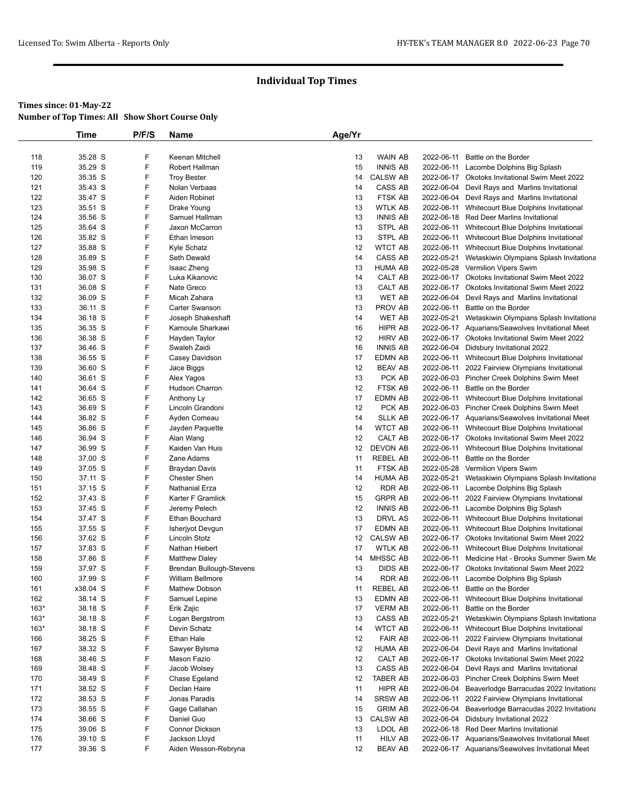|            | Time               | P/F/S  | Name                                       | Age/Yr   |                                   |            |                                                                                        |
|------------|--------------------|--------|--------------------------------------------|----------|-----------------------------------|------------|----------------------------------------------------------------------------------------|
|            |                    |        |                                            |          |                                   |            |                                                                                        |
| 118        | 35.28 S            | F      | Keenan Mitchell                            | 13       | <b>WAIN AB</b>                    | 2022-06-11 | Battle on the Border                                                                   |
| 119        | 35.29 S            | F      | Robert Hallman                             | 15       | <b>INNIS AB</b>                   | 2022-06-11 | Lacombe Dolphins Big Splash                                                            |
| 120        | 35.35 S            | F      | <b>Troy Bester</b>                         | 14       | <b>CALSW AB</b>                   |            | 2022-06-17 Okotoks Invitational Swim Meet 2022                                         |
| 121        | 35.43 S            | F      | Nolan Verbaas                              | 14       | <b>CASS AB</b>                    |            | 2022-06-04 Devil Rays and Marlins Invitational                                         |
| 122        | 35.47 S            | F      | Aiden Robinet                              | 13       | FTSK AB                           |            | 2022-06-04 Devil Rays and Marlins Invitational                                         |
| 123        | 35.51 S            | F      | Drake Young                                | 13       | <b>WTLK AB</b>                    |            | 2022-06-11 Whitecourt Blue Dolphins Invitational                                       |
| 124        | 35.56 S            | F      | Samuel Hallman                             | 13       | <b>INNIS AB</b>                   |            | 2022-06-18 Red Deer Marlins Invitational                                               |
| 125        | 35.64 S            | F      | Jaxon McCarron                             | 13       | STPL AB                           |            | 2022-06-11 Whitecourt Blue Dolphins Invitational                                       |
| 126        | 35.82 S            | F      | Ethan Imeson                               | 13       | STPL AB                           |            | 2022-06-11 Whitecourt Blue Dolphins Invitational                                       |
| 127        | 35.88 S            | F      | Kyle Schatz                                | 12       | <b>WTCT AB</b>                    |            | 2022-06-11 Whitecourt Blue Dolphins Invitational                                       |
| 128        | 35.89 S            | F      | Seth Dewald                                | 14       | CASS AB                           | 2022-05-21 | Wetaskiwin Olympians Splash Invitationa                                                |
| 129        | 35.98 S            | F      | Isaac Zheng                                | 13       | <b>HUMA AB</b>                    |            | 2022-05-28 Vermilion Vipers Swim                                                       |
| 130        | 36.07 S            | F      | Luka Kikanovic                             | 14       | CALT AB                           |            | 2022-06-17 Okotoks Invitational Swim Meet 2022                                         |
| 131        | 36.08 S            | F<br>F | Nate Greco                                 | 13<br>13 | CALT AB                           | 2022-06-04 | 2022-06-17 Okotoks Invitational Swim Meet 2022                                         |
| 132        | 36.09 S            | F      | Micah Zahara                               |          | WET AB<br>PROV AB                 | 2022-06-11 | Devil Rays and Marlins Invitational                                                    |
| 133<br>134 | 36.11 S<br>36.18 S | F      | <b>Carter Swanson</b><br>Joseph Shakeshaft | 13<br>14 | <b>WET AB</b>                     | 2022-05-21 | Battle on the Border<br>Wetaskiwin Olympians Splash Invitationa                        |
| 135        | 36.35 S            | F      | Kamoule Sharkawi                           | 16       | HIPR AB                           |            | 2022-06-17 Aquarians/Seawolves Invitational Meet                                       |
| 136        | 36.38 S            | F      | Hayden Taylor                              | 12       | <b>HIRV AB</b>                    |            | 2022-06-17 Okotoks Invitational Swim Meet 2022                                         |
| 137        | 36.46 S            | F      | Swaleh Zaidi                               | 16       | <b>INNIS AB</b>                   |            | 2022-06-04 Didsbury Invitational 2022                                                  |
| 138        | 36.55 S            | F      | Casey Davidson                             | 17       | EDMN AB                           |            | 2022-06-11 Whitecourt Blue Dolphins Invitational                                       |
| 139        | 36.60 S            | F      | Jace Biggs                                 | 12       | <b>BEAV AB</b>                    |            | 2022-06-11 2022 Fairview Olympians Invitational                                        |
| 140        | 36.61 S            | F      | Alex Yagos                                 | 13       | PCK AB                            |            | 2022-06-03 Pincher Creek Dolphins Swim Meet                                            |
| 141        | 36.64 S            | F      | Hudson Charron                             | 12       | FTSK AB                           | 2022-06-11 | Battle on the Border                                                                   |
| 142        | 36.65 S            | F      | Anthony Ly                                 | 17       | <b>EDMN AB</b>                    |            | 2022-06-11 Whitecourt Blue Dolphins Invitational                                       |
| 143        | 36.69 S            | F      | Lincoln Grandoni                           | 12       | PCK AB                            |            | 2022-06-03 Pincher Creek Dolphins Swim Meet                                            |
| 144        | 36.82 S            | F      | Ayden Comeau                               | 14       | <b>SLLK AB</b>                    |            | 2022-06-17 Aquarians/Seawolves Invitational Meet                                       |
| 145        | 36.86 S            | F      | Jayden Paquette                            | 14       | <b>WTCT AB</b>                    |            | 2022-06-11 Whitecourt Blue Dolphins Invitational                                       |
| 146        | 36.94 S            | F      | Alan Wang                                  | 12       | CALT AB                           |            | 2022-06-17 Okotoks Invitational Swim Meet 2022                                         |
| 147        | 36.99 S            | F      | Kaiden Van Huis                            | 12       | <b>DEVON AB</b>                   | 2022-06-11 | Whitecourt Blue Dolphins Invitational                                                  |
| 148        | 37.00 S            | F      | Zane Adams                                 | 11       | <b>REBEL AB</b>                   | 2022-06-11 | Battle on the Border                                                                   |
| 149        | 37.05 S            | F      | Braydan Davis                              | 11       | FTSK AB                           |            | 2022-05-28 Vermilion Vipers Swim                                                       |
| 150        | 37.11 S            | F      | <b>Chester Shen</b>                        | 14       | <b>HUMA AB</b>                    | 2022-05-21 | Wetaskiwin Olympians Splash Invitationa                                                |
| 151        | 37.15 S            | F      | Nathanial Erza                             | 12       | <b>RDR AB</b>                     |            | 2022-06-11 Lacombe Dolphins Big Splash                                                 |
| 152        | 37.43 S            | F      | Karter F Gramlick                          | 15       | <b>GRPR AB</b>                    |            | 2022-06-11 2022 Fairview Olympians Invitational                                        |
| 153        | 37.45 S            | F      | Jeremy Pelech                              | 12       | <b>INNIS AB</b>                   | 2022-06-11 | Lacombe Dolphins Big Splash                                                            |
| 154        | 37.47 S            | F      | Ethan Bouchard                             | 13       | DRVL AS                           |            | 2022-06-11 Whitecourt Blue Dolphins Invitational                                       |
| 155        | 37.55 S            | F      | Isherjyot Devgun                           | 17       | <b>EDMN AB</b>                    |            | 2022-06-11 Whitecourt Blue Dolphins Invitational                                       |
| 156        | 37.62 S            | F      | <b>Lincoln Stotz</b>                       | 12       | <b>CALSW AB</b>                   |            | 2022-06-17 Okotoks Invitational Swim Meet 2022                                         |
| 157        | 37.83 S            | F      | Nathan Hiebert                             | 17       | WTLK AB                           |            | 2022-06-11 Whitecourt Blue Dolphins Invitational                                       |
| 158        | 37.86 S            | F<br>F | <b>Matthew Daley</b>                       | 14       | <b>MHSSC AB</b><br><b>DIDS AB</b> | 2022-06-11 | Medicine Hat - Brooks Summer Swim Me<br>2022-06-17 Okotoks Invitational Swim Meet 2022 |
| 159<br>160 | 37.97 S<br>37.99 S | F      | Brendan Bullough-Stevens                   | 13<br>14 | <b>RDR AB</b>                     |            |                                                                                        |
| 161        | x38.04 S           | F      | William Bellmore<br>Mathew Dobson          | 11       | <b>REBEL AB</b>                   | 2022-06-11 | 2022-06-11 Lacombe Dolphins Big Splash<br>Battle on the Border                         |
| 162        | 38.14 S            | F      | Samuel Lepine                              | 13       | EDMN AB                           | 2022-06-11 | Whitecourt Blue Dolphins Invitational                                                  |
| $163*$     | 38.18 S            | F      | Erik Zajic                                 | 17       | <b>VERM AB</b>                    | 2022-06-11 | Battle on the Border                                                                   |
| $163*$     | 38.18 S            | F      | Logan Bergstrom                            | 13       | CASS AB                           | 2022-05-21 | Wetaskiwin Olympians Splash Invitationa                                                |
| $163*$     | 38.18 S            | F      | Devin Schatz                               | 14       | <b>WTCT AB</b>                    | 2022-06-11 | Whitecourt Blue Dolphins Invitational                                                  |
| 166        | 38.25 S            | F      | Ethan Hale                                 | 12       | <b>FAIR AB</b>                    | 2022-06-11 | 2022 Fairview Olympians Invitational                                                   |
| 167        | 38.32 S            | F      | Sawyer Bylsma                              | 12       | <b>HUMA AB</b>                    | 2022-06-04 | Devil Rays and Marlins Invitational                                                    |
| 168        | 38.46 S            | F      | Mason Fazio                                | 12       | CALT AB                           |            | 2022-06-17 Okotoks Invitational Swim Meet 2022                                         |
| 169        | 38.48 S            | F      | Jacob Wolsey                               | 13       | CASS AB                           | 2022-06-04 | Devil Rays and Marlins Invitational                                                    |
| 170        | 38.49 S            | F      | Chase Egeland                              | 12       | <b>TABER AB</b>                   | 2022-06-03 | Pincher Creek Dolphins Swim Meet                                                       |
| 171        | 38.52 S            | F      | Declan Haire                               | 11       | HIPR AB                           | 2022-06-04 | Beaverlodge Barracudas 2022 Invitationa                                                |
| 172        | 38.53 S            | F      | Jonas Paradis                              | 14       | <b>SRSW AB</b>                    | 2022-06-11 | 2022 Fairview Olympians Invitational                                                   |
| 173        | 38.55 S            | F      | Gage Callahan                              | 15       | <b>GRIM AB</b>                    | 2022-06-04 | Beaverlodge Barracudas 2022 Invitationa                                                |
| 174        | 38.66 S            | F      | Daniel Guo                                 | 13       | <b>CALSW AB</b>                   | 2022-06-04 | Didsbury Invitational 2022                                                             |
| 175        | 39.06 S            | F      | Connor Dickson                             | 13       | LDOL AB                           |            | 2022-06-18 Red Deer Marlins Invitational                                               |
| 176        | 39.10 S            | F      | Jackson Lloyd                              | 11       | <b>HILV AB</b>                    |            | 2022-06-17 Aquarians/Seawolves Invitational Meet                                       |
| 177        | 39.36 S            | F      | Aiden Wesson-Rebryna                       | 12       | <b>BEAV AB</b>                    |            | 2022-06-17 Aquarians/Seawolves Invitational Meet                                       |
|            |                    |        |                                            |          |                                   |            |                                                                                        |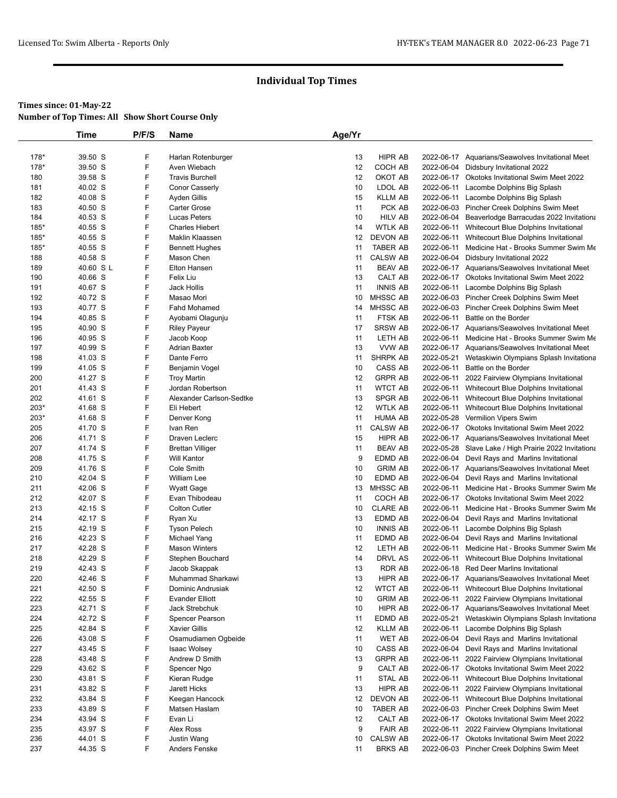|        | Time      | P/F/S | Name                     | Age/Yr |                 |            |                                                       |
|--------|-----------|-------|--------------------------|--------|-----------------|------------|-------------------------------------------------------|
|        |           |       |                          |        |                 |            |                                                       |
| 178*   | 39.50 S   | F     | Harlan Rotenburger       | 13     | <b>HIPR AB</b>  |            | 2022-06-17 Aquarians/Seawolves Invitational Meet      |
| 178*   | 39.50 S   | F     | Aven Wiebach             | 12     | COCH AB         |            | 2022-06-04 Didsbury Invitational 2022                 |
| 180    | 39.58 S   | F     | <b>Travis Burchell</b>   | 12     | OKOT AB         |            | 2022-06-17 Okotoks Invitational Swim Meet 2022        |
| 181    | 40.02 S   | F     | Conor Casserly           | 10     | LDOL AB         | 2022-06-11 | Lacombe Dolphins Big Splash                           |
| 182    | 40.08 S   | F     | Ayden Gillis             | 15     | <b>KLLM AB</b>  | 2022-06-11 | Lacombe Dolphins Big Splash                           |
| 183    | 40.50 S   | F     | Carter Grose             | 11     | PCK AB          |            | 2022-06-03 Pincher Creek Dolphins Swim Meet           |
| 184    | 40.53 S   | F     | Lucas Peters             | 10     | <b>HILV AB</b>  |            | 2022-06-04 Beaverlodge Barracudas 2022 Invitationa    |
| 185*   | 40.55 S   | F     | <b>Charles Hiebert</b>   | 14     | <b>WTLK AB</b>  | 2022-06-11 | Whitecourt Blue Dolphins Invitational                 |
| 185*   | 40.55 S   | F     | Maklin Klaassen          | 12     | <b>DEVON AB</b> | 2022-06-11 | Whitecourt Blue Dolphins Invitational                 |
| $185*$ | 40.55 S   | F     | <b>Bennett Hughes</b>    | 11     | TABER AB        | 2022-06-11 | Medicine Hat - Brooks Summer Swim Me                  |
| 188    | 40.58 S   | F     | Mason Chen               | 11     | <b>CALSW AB</b> |            | 2022-06-04 Didsbury Invitational 2022                 |
| 189    | 40.60 S L | F     | Elton Hansen             | 11     | <b>BEAV AB</b>  |            | 2022-06-17 Aquarians/Seawolves Invitational Meet      |
| 190    | 40.66 S   | F     | Felix Liu                | 13     | CALT AB         |            | 2022-06-17 Okotoks Invitational Swim Meet 2022        |
| 191    | 40.67 S   | F     | Jack Hollis              | 11     | <b>INNIS AB</b> | 2022-06-11 | Lacombe Dolphins Big Splash                           |
| 192    | 40.72 S   | F     | Masao Mori               | 10     | <b>MHSSC AB</b> |            | 2022-06-03 Pincher Creek Dolphins Swim Meet           |
| 193    | 40.77 S   | F     | Fahd Mohamed             | 14     | MHSSC AB        |            | 2022-06-03 Pincher Creek Dolphins Swim Meet           |
| 194    | 40.85 S   | F     | Ayobami Olagunju         | 11     | FTSK AB         | 2022-06-11 | Battle on the Border                                  |
| 195    | 40.90 S   | F     | <b>Riley Payeur</b>      | 17     | <b>SRSW AB</b>  |            | 2022-06-17 Aquarians/Seawolves Invitational Meet      |
| 196    | 40.95 S   | F     | Jacob Koop               | 11     | LETH AB         | 2022-06-11 | Medicine Hat - Brooks Summer Swim Me                  |
| 197    | 40.99 S   | F     | <b>Adrian Baxter</b>     | 13     | VVW AB          |            | 2022-06-17 Aquarians/Seawolves Invitational Meet      |
| 198    | 41.03 S   | F     | Dante Ferro              | 11     | SHRPK AB        | 2022-05-21 | Wetaskiwin Olympians Splash Invitationa               |
| 199    | 41.05 S   | F     | Benjamin Vogel           | 10     | CASS AB         | 2022-06-11 | Battle on the Border                                  |
| 200    | 41.27 S   | F     | <b>Troy Martin</b>       | 12     | <b>GRPR AB</b>  | 2022-06-11 | 2022 Fairview Olympians Invitational                  |
| 201    | 41.43 S   | F     | Jordan Robertson         | 11     | <b>WTCT AB</b>  | 2022-06-11 | Whitecourt Blue Dolphins Invitational                 |
| 202    | 41.61 S   | F     | Alexander Carlson-Sedtke | 13     | SPGR AB         | 2022-06-11 | Whitecourt Blue Dolphins Invitational                 |
| $203*$ | 41.68 S   | F     | Eli Hebert               | 12     | <b>WTLK AB</b>  | 2022-06-11 | Whitecourt Blue Dolphins Invitational                 |
| 203*   | 41.68 S   | F     | Denver Kong              | 11     | <b>HUMA AB</b>  |            | 2022-05-28 Vermilion Vipers Swim                      |
| 205    | 41.70 S   | F     | Ivan Ren                 | 11     | <b>CALSW AB</b> |            | 2022-06-17 Okotoks Invitational Swim Meet 2022        |
| 206    | 41.71 S   | F     | Draven Leclerc           | 15     | HIPR AB         |            | 2022-06-17 Aquarians/Seawolves Invitational Meet      |
| 207    | 41.74 S   | F     | <b>Brettan Villiger</b>  | 11     | <b>BEAV AB</b>  |            | 2022-05-28 Slave Lake / High Prairie 2022 Invitationa |
| 208    | 41.75 S   | F     | <b>Will Kantor</b>       | 9      | EDMD AB         | 2022-06-04 | Devil Rays and Marlins Invitational                   |
| 209    | 41.76 S   | F     | Cole Smith               | 10     | <b>GRIM AB</b>  |            | 2022-06-17 Aquarians/Seawolves Invitational Meet      |
| 210    | 42.04 S   | F     | <b>William Lee</b>       | 10     | EDMD AB         |            | 2022-06-04 Devil Rays and Marlins Invitational        |
| 211    | 42.06 S   | F     | <b>Wyatt Gage</b>        | 13     | MHSSC AB        | 2022-06-11 | Medicine Hat - Brooks Summer Swim Me                  |
| 212    | 42.07 S   | F     | Evan Thibodeau           | 11     | COCH AB         |            | 2022-06-17 Okotoks Invitational Swim Meet 2022        |
| 213    | 42.15 S   | F     | <b>Colton Cutler</b>     | 10     | <b>CLARE AB</b> | 2022-06-11 | Medicine Hat - Brooks Summer Swim Me                  |
| 214    | 42.17 S   | F     | Ryan Xu                  | 13     | EDMD AB         | 2022-06-04 | Devil Rays and Marlins Invitational                   |
| 215    | 42.19 S   | F     | <b>Tyson Pelech</b>      | 10     | <b>INNIS AB</b> | 2022-06-11 | Lacombe Dolphins Big Splash                           |
| 216    | 42.23 S   | F     | Michael Yang             | 11     | EDMD AB         |            | 2022-06-04 Devil Rays and Marlins Invitational        |
| 217    | 42.28 S   | F     | <b>Mason Winters</b>     | 12     | LETH AB         | 2022-06-11 | Medicine Hat - Brooks Summer Swim Me                  |
| 218    | 42.29 S   | F     | Stephen Bouchard         | 14     | DRVL AS         | 2022-06-11 | Whitecourt Blue Dolphins Invitational                 |
| 219    | 42.43 S   | F     | Jacob Skappak            | 13     | RDR AB          |            | 2022-06-18 Red Deer Marlins Invitational              |
| 220    | 42.46 S   | F     | Muhammad Sharkawi        | 13     | <b>HIPR AB</b>  |            | 2022-06-17 Aguarians/Seawolves Invitational Meet      |
| 221    | 42.50 S   | F     | Dominic Andrusiak        | 12     | <b>WTCT AB</b>  |            | 2022-06-11 Whitecourt Blue Dolphins Invitational      |
| 222    | 42.55 S   | F     | Evander Elliott          | 10     | <b>GRIM AB</b>  | 2022-06-11 | 2022 Fairview Olympians Invitational                  |
| 223    | 42.71 S   | F     | Jack Strebchuk           | 10     | HIPR AB         |            | 2022-06-17 Aquarians/Seawolves Invitational Meet      |
| 224    | 42.72 S   | F     | Spencer Pearson          | 11     | EDMD AB         | 2022-05-21 | Wetaskiwin Olympians Splash Invitationa               |
| 225    | 42.84 S   | F     | <b>Xavier Gillis</b>     | 12     | KLLM AB         | 2022-06-11 | Lacombe Dolphins Big Splash                           |
| 226    | 43.08 S   | F     | Osamudiamen Ogbeide      | 11     | WET AB          | 2022-06-04 | Devil Rays and Marlins Invitational                   |
| 227    | 43.45 S   | F     | Isaac Wolsey             | 10     | CASS AB         | 2022-06-04 | Devil Rays and Marlins Invitational                   |
| 228    | 43.48 S   | F     | Andrew D Smith           | 13     | <b>GRPR AB</b>  | 2022-06-11 | 2022 Fairview Olympians Invitational                  |
| 229    | 43.62 S   | F     | Spencer Ngo              | 9      | CALT AB         |            | 2022-06-17 Okotoks Invitational Swim Meet 2022        |
| 230    | 43.81 S   | F     | Kieran Rudge             | 11     | STAL AB         | 2022-06-11 | Whitecourt Blue Dolphins Invitational                 |
| 231    | 43.82 S   | F     | Jarett Hicks             | 13     | HIPR AB         | 2022-06-11 | 2022 Fairview Olympians Invitational                  |
| 232    | 43.84 S   | F     | Keegan Hancock           | 12     | DEVON AB        | 2022-06-11 | Whitecourt Blue Dolphins Invitational                 |
| 233    | 43.89 S   | F     | Matsen Haslam            | 10     | TABER AB        |            | 2022-06-03 Pincher Creek Dolphins Swim Meet           |
| 234    | 43.94 S   | F     | Evan Li                  | 12     | CALT AB         |            | 2022-06-17 Okotoks Invitational Swim Meet 2022        |
| 235    | 43.97 S   | F     | Alex Ross                | 9      | <b>FAIR AB</b>  | 2022-06-11 | 2022 Fairview Olympians Invitational                  |
| 236    | 44.01 S   | F     | <b>Justin Wang</b>       | 10     | <b>CALSW AB</b> |            | 2022-06-17 Okotoks Invitational Swim Meet 2022        |
| 237    | 44.35 S   | F     | Anders Fenske            | 11     | <b>BRKS AB</b>  |            | 2022-06-03 Pincher Creek Dolphins Swim Meet           |
|        |           |       |                          |        |                 |            |                                                       |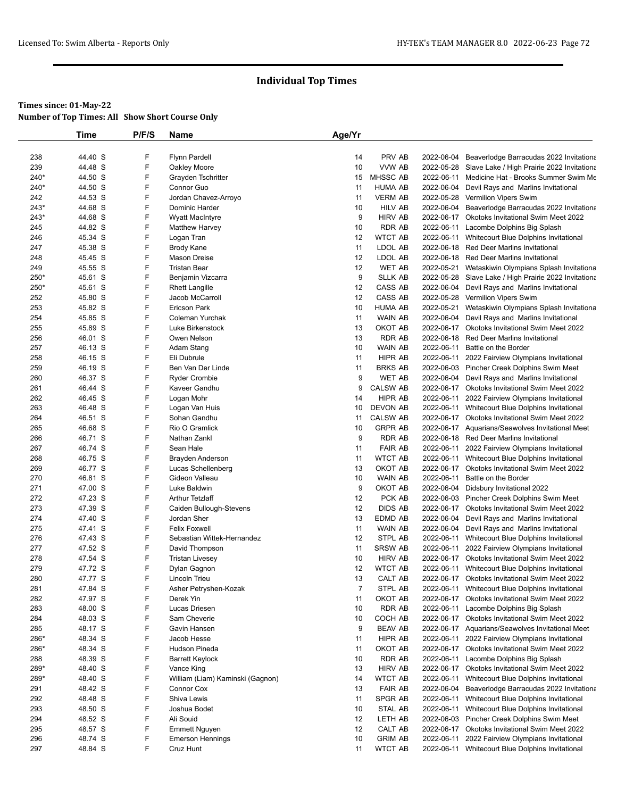|      | Time    | P/F/S | Name                             | Age/Yr         |                 |            |                                                       |
|------|---------|-------|----------------------------------|----------------|-----------------|------------|-------------------------------------------------------|
|      |         |       |                                  |                |                 |            |                                                       |
| 238  | 44.40 S | F     | <b>Flynn Pardell</b>             | 14             | PRV AB          | 2022-06-04 | Beaverlodge Barracudas 2022 Invitationa               |
| 239  | 44.48 S | F     | Oakley Moore                     | 10             | VVW AB          | 2022-05-28 | Slave Lake / High Prairie 2022 Invitationa            |
| 240* | 44.50 S | F     | Grayden Tschritter               | 15             | MHSSC AB        | 2022-06-11 | Medicine Hat - Brooks Summer Swim Me                  |
| 240* | 44.50 S | F     | Connor Guo                       | 11             | <b>HUMA AB</b>  |            | 2022-06-04 Devil Rays and Marlins Invitational        |
| 242  | 44.53 S | F     | Jordan Chavez-Arroyo             | 11             | <b>VERM AB</b>  | 2022-05-28 | Vermilion Vipers Swim                                 |
| 243* | 44.68 S | F     | Dominic Harder                   | 10             | <b>HILV AB</b>  | 2022-06-04 | Beaverlodge Barracudas 2022 Invitationa               |
| 243* | 44.68 S | F     | <b>Wyatt MacIntyre</b>           | 9              | <b>HIRV AB</b>  |            | 2022-06-17 Okotoks Invitational Swim Meet 2022        |
| 245  | 44.82 S | F     | <b>Matthew Harvey</b>            | 10             | <b>RDR AB</b>   | 2022-06-11 | Lacombe Dolphins Big Splash                           |
| 246  | 45.34 S | F     | Logan Tran                       | 12             | <b>WTCT AB</b>  |            | 2022-06-11 Whitecourt Blue Dolphins Invitational      |
| 247  | 45.38 S | F     | <b>Brody Kane</b>                | 11             | LDOL AB         |            | 2022-06-18 Red Deer Marlins Invitational              |
| 248  | 45.45 S | F     | Mason Dreise                     | 12             | LDOL AB         |            | 2022-06-18 Red Deer Marlins Invitational              |
| 249  | 45.55 S | F     | <b>Tristan Bear</b>              | 12             | <b>WET AB</b>   | 2022-05-21 | Wetaskiwin Olympians Splash Invitationa               |
| 250* | 45.61 S | F     | Benjamin Vizcarra                | 9              | <b>SLLK AB</b>  |            | 2022-05-28 Slave Lake / High Prairie 2022 Invitationa |
| 250* | 45.61 S | F     | <b>Rhett Langille</b>            | 12             | CASS AB         | 2022-06-04 | Devil Rays and Marlins Invitational                   |
| 252  | 45.80 S | F     | Jacob McCarroll                  | 12             | CASS AB         |            | 2022-05-28 Vermilion Vipers Swim                      |
| 253  | 45.82 S | F     | <b>Ericson Park</b>              | 10             | <b>HUMA AB</b>  | 2022-05-21 | Wetaskiwin Olympians Splash Invitationa               |
| 254  | 45.85 S | F     | Coleman Yurchak                  | 11             | WAIN AB         |            | 2022-06-04 Devil Rays and Marlins Invitational        |
| 255  | 45.89 S | F     | Luke Birkenstock                 | 13             | OKOT AB         |            | 2022-06-17 Okotoks Invitational Swim Meet 2022        |
| 256  | 46.01 S | F     | Owen Nelson                      | 13             | <b>RDR AB</b>   |            | 2022-06-18 Red Deer Marlins Invitational              |
| 257  | 46.13 S | F     | Adam Stang                       | 10             | <b>WAIN AB</b>  | 2022-06-11 | Battle on the Border                                  |
| 258  | 46.15 S | F     | Eli Dubrule                      | 11             | HIPR AB         |            | 2022-06-11 2022 Fairview Olympians Invitational       |
| 259  | 46.19 S | F     | Ben Van Der Linde                | 11             | <b>BRKS AB</b>  |            | 2022-06-03 Pincher Creek Dolphins Swim Meet           |
| 260  | 46.37 S | F     | <b>Ryder Crombie</b>             | 9              | <b>WET AB</b>   |            | 2022-06-04 Devil Rays and Marlins Invitational        |
| 261  | 46.44 S | F     | Kaveer Gandhu                    | 9              | <b>CALSW AB</b> |            | 2022-06-17 Okotoks Invitational Swim Meet 2022        |
| 262  | 46.45 S | F     | Logan Mohr                       | 14             | HIPR AB         |            | 2022-06-11 2022 Fairview Olympians Invitational       |
| 263  | 46.48 S | F     | Logan Van Huis                   | 10             | <b>DEVON AB</b> |            | 2022-06-11 Whitecourt Blue Dolphins Invitational      |
| 264  | 46.51 S | F     | Sohan Gandhu                     | 11             | <b>CALSW AB</b> |            | 2022-06-17 Okotoks Invitational Swim Meet 2022        |
| 265  | 46.68 S | F     | Rio O Gramlick                   | 10             | <b>GRPR AB</b>  |            | 2022-06-17 Aquarians/Seawolves Invitational Meet      |
| 266  | 46.71 S | F     | Nathan Zankl                     | 9              | <b>RDR AB</b>   |            | 2022-06-18 Red Deer Marlins Invitational              |
| 267  | 46.74 S | F     | Sean Hale                        | 11             | <b>FAIR AB</b>  | 2022-06-11 | 2022 Fairview Olympians Invitational                  |
| 268  | 46.75 S | F     | Brayden Anderson                 | 11             | <b>WTCT AB</b>  |            | 2022-06-11 Whitecourt Blue Dolphins Invitational      |
| 269  | 46.77 S | F     | Lucas Schellenberg               | 13             | OKOT AB         |            | 2022-06-17 Okotoks Invitational Swim Meet 2022        |
| 270  | 46.81 S | F     | Gideon Valleau                   | 10             | <b>WAIN AB</b>  | 2022-06-11 | Battle on the Border                                  |
| 271  | 47.00 S | F     | Luke Baldwin                     | 9              | OKOT AB         | 2022-06-04 | Didsbury Invitational 2022                            |
| 272  | 47.23 S | F     | <b>Arthur Tetzlaff</b>           | 12             | PCK AB          |            | 2022-06-03 Pincher Creek Dolphins Swim Meet           |
| 273  | 47.39 S | F     | Caiden Bullough-Stevens          | 12             | <b>DIDS AB</b>  |            | 2022-06-17 Okotoks Invitational Swim Meet 2022        |
| 274  | 47.40 S | F     | Jordan Sher                      | 13             | EDMD AB         | 2022-06-04 | Devil Rays and Marlins Invitational                   |
| 275  | 47.41 S | F     | <b>Felix Foxwell</b>             | 11             | <b>WAIN AB</b>  |            | 2022-06-04 Devil Rays and Marlins Invitational        |
| 276  | 47.43 S | F     | Sebastian Wittek-Hernandez       | 12             | STPL AB         |            | 2022-06-11 Whitecourt Blue Dolphins Invitational      |
| 277  | 47.52 S | F     | David Thompson                   | 11             | <b>SRSW AB</b>  |            | 2022-06-11 2022 Fairview Olympians Invitational       |
| 278  | 47.54 S | F     | <b>Tristan Livesey</b>           | 10             | <b>HIRV AB</b>  |            | 2022-06-17 Okotoks Invitational Swim Meet 2022        |
| 279  | 47.72 S | F     | Dylan Gagnon                     | 12             | <b>WTCT AB</b>  |            | 2022-06-11 Whitecourt Blue Dolphins Invitational      |
| 280  | 47.77 S | F     | Lincoln Trieu                    | 13             | CALT AB         |            | 2022-06-17 Okotoks Invitational Swim Meet 2022        |
| 281  | 47.84 S | F     | Asher Petryshen-Kozak            | $\overline{7}$ | STPL AB         |            | 2022-06-11 Whitecourt Blue Dolphins Invitational      |
| 282  | 47.97 S | F     | Derek Yin                        | 11             | OKOT AB         |            | 2022-06-17 Okotoks Invitational Swim Meet 2022        |
| 283  | 48.00 S | F     | Lucas Driesen                    | 10             | <b>RDR AB</b>   | 2022-06-11 | Lacombe Dolphins Big Splash                           |
| 284  | 48.03 S | F     | Sam Cheverie                     | 10             | COCH AB         |            | 2022-06-17 Okotoks Invitational Swim Meet 2022        |
| 285  | 48.17 S | F     | Gavin Hansen                     | 9              | <b>BEAV AB</b>  |            | 2022-06-17 Aquarians/Seawolves Invitational Meet      |
| 286* | 48.34 S | F     | Jacob Hesse                      | 11             | HIPR AB         | 2022-06-11 | 2022 Fairview Olympians Invitational                  |
| 286* | 48.34 S | F     | <b>Hudson Pineda</b>             | 11             | OKOT AB         |            | 2022-06-17 Okotoks Invitational Swim Meet 2022        |
| 288  | 48.39 S | F     | <b>Barrett Keylock</b>           | 10             | <b>RDR AB</b>   | 2022-06-11 | Lacombe Dolphins Big Splash                           |
| 289* | 48.40 S | F     | Vance King                       | 13             | <b>HIRV AB</b>  |            | 2022-06-17 Okotoks Invitational Swim Meet 2022        |
| 289* | 48.40 S | F     | William (Liam) Kaminski (Gagnon) | 14             | <b>WTCT AB</b>  | 2022-06-11 | Whitecourt Blue Dolphins Invitational                 |
| 291  | 48.42 S | F     | Connor Cox                       | 13             | <b>FAIR AB</b>  | 2022-06-04 | Beaverlodge Barracudas 2022 Invitationa               |
| 292  | 48.48 S | F     | Shiva Lewis                      | 11             | SPGR AB         |            | 2022-06-11 Whitecourt Blue Dolphins Invitational      |
| 293  | 48.50 S | F     | Joshua Bodet                     | 10             | STAL AB         | 2022-06-11 | Whitecourt Blue Dolphins Invitational                 |
| 294  | 48.52 S | F     | Ali Souid                        | 12             | LETH AB         |            | 2022-06-03 Pincher Creek Dolphins Swim Meet           |
| 295  | 48.57 S | F     | <b>Emmett Nguyen</b>             | 12             | CALT AB         |            | 2022-06-17 Okotoks Invitational Swim Meet 2022        |
| 296  | 48.74 S | F     | <b>Emerson Hennings</b>          | 10             | <b>GRIM AB</b>  | 2022-06-11 | 2022 Fairview Olympians Invitational                  |
| 297  | 48.84 S | F     | Cruz Hunt                        | 11             | <b>WTCT AB</b>  |            | 2022-06-11 Whitecourt Blue Dolphins Invitational      |
|      |         |       |                                  |                |                 |            |                                                       |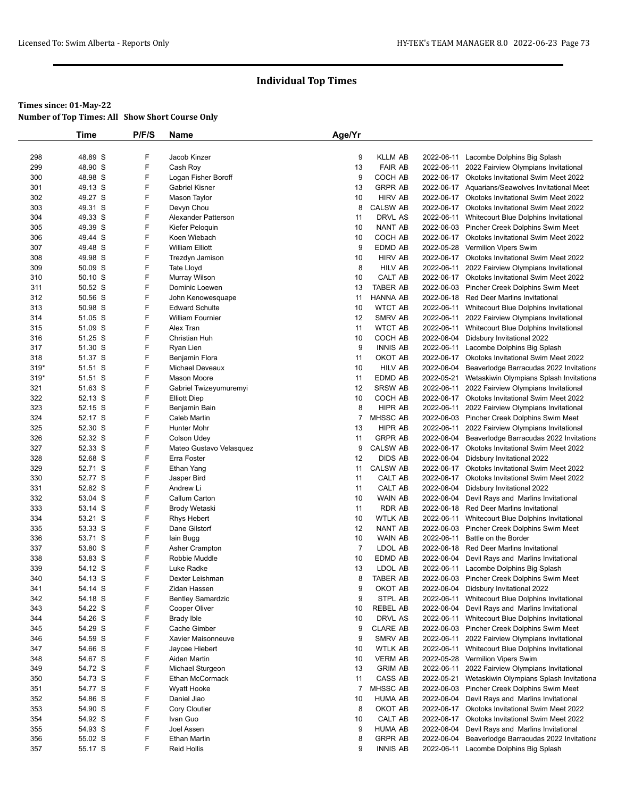|        | Time    | P/F/S | Name                    | Age/Yr         |                 |            |                                                    |
|--------|---------|-------|-------------------------|----------------|-----------------|------------|----------------------------------------------------|
|        |         |       |                         |                |                 |            |                                                    |
| 298    | 48.89 S | F     | Jacob Kinzer            | 9              | <b>KLLM AB</b>  |            | 2022-06-11 Lacombe Dolphins Big Splash             |
| 299    | 48.90 S | F     | Cash Roy                | 13             | <b>FAIR AB</b>  |            | 2022-06-11 2022 Fairview Olympians Invitational    |
| 300    | 48.98 S | F     | Logan Fisher Boroff     | 9              | COCH AB         |            | 2022-06-17 Okotoks Invitational Swim Meet 2022     |
| 301    | 49.13 S | F     | <b>Gabriel Kisner</b>   | 13             | <b>GRPR AB</b>  |            | 2022-06-17 Aquarians/Seawolves Invitational Meet   |
| 302    | 49.27 S | F     | Mason Taylor            | 10             | <b>HIRV AB</b>  |            | 2022-06-17 Okotoks Invitational Swim Meet 2022     |
| 303    | 49.31 S | F     | Devyn Chou              | 8              | <b>CALSW AB</b> |            | 2022-06-17 Okotoks Invitational Swim Meet 2022     |
| 304    | 49.33 S | F     | Alexander Patterson     | 11             | DRVL AS         |            | 2022-06-11 Whitecourt Blue Dolphins Invitational   |
| 305    | 49.39 S | F     | Kiefer Peloquin         | 10             | NANT AB         |            | 2022-06-03 Pincher Creek Dolphins Swim Meet        |
| 306    | 49.44 S | F     | Koen Wiebach            | 10             | COCH AB         |            | 2022-06-17 Okotoks Invitational Swim Meet 2022     |
| 307    | 49.48 S | F     | <b>William Elliott</b>  | 9              | EDMD AB         |            | 2022-05-28 Vermilion Vipers Swim                   |
| 308    | 49.98 S | F     | Trezdyn Jamison         | 10             | <b>HIRV AB</b>  |            | 2022-06-17 Okotoks Invitational Swim Meet 2022     |
| 309    | 50.09 S | F     | Tate Lloyd              | 8              | <b>HILV AB</b>  |            | 2022-06-11 2022 Fairview Olympians Invitational    |
| 310    | 50.10 S | F     | Murray Wilson           | 10             | CALT AB         |            | 2022-06-17 Okotoks Invitational Swim Meet 2022     |
| 311    | 50.52 S | F     | Dominic Loewen          | 13             | <b>TABER AB</b> |            | 2022-06-03 Pincher Creek Dolphins Swim Meet        |
| 312    | 50.56 S | F     | John Kenowesquape       | 11             | HANNA AB        |            | 2022-06-18 Red Deer Marlins Invitational           |
| 313    | 50.98 S | F     | Edward Schulte          | 10             | <b>WTCT AB</b>  |            | 2022-06-11 Whitecourt Blue Dolphins Invitational   |
| 314    | 51.05 S | F     | <b>William Fournier</b> | 12             | SMRV AB         | 2022-06-11 | 2022 Fairview Olympians Invitational               |
| 315    | 51.09 S | F     | Alex Tran               | 11             | <b>WTCT AB</b>  |            | 2022-06-11 Whitecourt Blue Dolphins Invitational   |
| 316    | 51.25 S | F     | Christian Huh           | 10             | COCH AB         |            | 2022-06-04 Didsbury Invitational 2022              |
| 317    | 51.30 S | F     | Ryan Lien               | 9              | <b>INNIS AB</b> |            | 2022-06-11 Lacombe Dolphins Big Splash             |
| 318    | 51.37 S | F     | Benjamin Flora          | 11             | OKOT AB         |            | 2022-06-17 Okotoks Invitational Swim Meet 2022     |
| 319*   | 51.51 S | F     | Michael Deveaux         | 10             | <b>HILV AB</b>  |            | 2022-06-04 Beaverlodge Barracudas 2022 Invitationa |
| $319*$ | 51.51 S | F     | Mason Moore             | 11             | EDMD AB         |            | 2022-05-21 Wetaskiwin Olympians Splash Invitationa |
| 321    | 51.63 S | F     | Gabriel Twizeyumuremyi  | 12             | <b>SRSW AB</b>  |            | 2022-06-11 2022 Fairview Olympians Invitational    |
| 322    | 52.13 S | F     | <b>Elliott Diep</b>     | 10             | COCH AB         |            | 2022-06-17 Okotoks Invitational Swim Meet 2022     |
| 323    | 52.15 S | F     | Benjamin Bain           | 8              | HIPR AB         |            | 2022-06-11 2022 Fairview Olympians Invitational    |
| 324    | 52.17 S | F     | Caleb Martin            | 7              | <b>MHSSC AB</b> |            | 2022-06-03 Pincher Creek Dolphins Swim Meet        |
| 325    | 52.30 S | F     | Hunter Mohr             | 13             | HIPR AB         | 2022-06-11 | 2022 Fairview Olympians Invitational               |
| 326    | 52.32 S | F     | Colson Udey             | 11             | <b>GRPR AB</b>  |            | 2022-06-04 Beaverlodge Barracudas 2022 Invitationa |
| 327    | 52.33 S | F     | Mateo Gustavo Velasquez | 9              | <b>CALSW AB</b> |            | 2022-06-17 Okotoks Invitational Swim Meet 2022     |
| 328    | 52.68 S | F     | Erra Foster             | 12             | <b>DIDS AB</b>  |            | 2022-06-04 Didsbury Invitational 2022              |
| 329    | 52.71 S | F     | Ethan Yang              | 11             | <b>CALSW AB</b> |            | 2022-06-17 Okotoks Invitational Swim Meet 2022     |
| 330    | 52.77 S | F     | Jasper Bird             | 11             | CALT AB         |            | 2022-06-17 Okotoks Invitational Swim Meet 2022     |
| 331    | 52.82 S | F     | Andrew Li               | 11             | CALT AB         |            | 2022-06-04 Didsbury Invitational 2022              |
| 332    | 53.04 S | F     | Callum Carton           | 10             | WAIN AB         |            | 2022-06-04 Devil Rays and Marlins Invitational     |
| 333    | 53.14 S | F     | Brody Wetaski           | 11             | <b>RDR AB</b>   |            | 2022-06-18 Red Deer Marlins Invitational           |
| 334    | 53.21 S | F     | <b>Rhys Hebert</b>      | 10             | WTLK AB         |            | 2022-06-11 Whitecourt Blue Dolphins Invitational   |
| 335    | 53.33 S | F     | Dane Gilstorf           | 12             | NANT AB         |            | 2022-06-03 Pincher Creek Dolphins Swim Meet        |
| 336    | 53.71 S | F     | lain Bugg               | 10             | <b>WAIN AB</b>  | 2022-06-11 | Battle on the Border                               |
| 337    | 53.80 S | F     | Asher Crampton          | $\overline{7}$ | LDOL AB         |            | 2022-06-18 Red Deer Marlins Invitational           |
| 338    | 53.83 S | F     | Robbie Muddle           | 10             | EDMD AB         |            | 2022-06-04 Devil Rays and Marlins Invitational     |
| 339    | 54.12 S | F     | Luke Radke              | 13             | LDOL AB         |            | 2022-06-11 Lacombe Dolphins Big Splash             |
| 340    | 54.13 S | F     | Dexter Leishman         | 8              | <b>TABER AB</b> |            | 2022-06-03 Pincher Creek Dolphins Swim Meet        |
| 341    | 54.14 S | F     | Zidan Hassen            | 9              | OKOT AB         |            | 2022-06-04 Didsbury Invitational 2022              |
| 342    | 54.18 S | F     | Bentley Samardzic       | 9              | STPL AB         | 2022-06-11 | Whitecourt Blue Dolphins Invitational              |
| 343    | 54.22 S | F     | Cooper Oliver           | 10             | <b>REBEL AB</b> | 2022-06-04 | Devil Rays and Marlins Invitational                |
| 344    | 54.26 S | F     | <b>Brady Ible</b>       | 10             | DRVL AS         | 2022-06-11 | Whitecourt Blue Dolphins Invitational              |
| 345    | 54.29 S | F     | Cache Gimber            | 9              | <b>CLARE AB</b> |            | 2022-06-03 Pincher Creek Dolphins Swim Meet        |
| 346    | 54.59 S | F     | Xavier Maisonneuve      | 9              | SMRV AB         | 2022-06-11 | 2022 Fairview Olympians Invitational               |
| 347    | 54.66 S | F     | Jaycee Hiebert          | 10             | <b>WTLK AB</b>  | 2022-06-11 | Whitecourt Blue Dolphins Invitational              |
| 348    | 54.67 S | F     | Aiden Martin            | 10             | <b>VERM AB</b>  |            | 2022-05-28 Vermilion Vipers Swim                   |
| 349    | 54.72 S | F     | Michael Sturgeon        | 13             | <b>GRIM AB</b>  | 2022-06-11 | 2022 Fairview Olympians Invitational               |
| 350    | 54.73 S | F     | Ethan McCormack         | 11             | CASS AB         | 2022-05-21 | Wetaskiwin Olympians Splash Invitationa            |
| 351    | 54.77 S | F     | <b>Wyatt Hooke</b>      | 7              | MHSSC AB        |            | 2022-06-03 Pincher Creek Dolphins Swim Meet        |
| 352    | 54.86 S | F     | Daniel Jiao             | 10             | HUMA AB         |            | 2022-06-04 Devil Rays and Marlins Invitational     |
| 353    | 54.90 S | F     | Cory Cloutier           | 8              | OKOT AB         |            | 2022-06-17 Okotoks Invitational Swim Meet 2022     |
| 354    | 54.92 S | F     | Ivan Guo                | 10             | CALT AB         |            | 2022-06-17 Okotoks Invitational Swim Meet 2022     |
| 355    | 54.93 S | F     | Joel Assen              | 9              | <b>HUMA AB</b>  |            | 2022-06-04 Devil Rays and Marlins Invitational     |
| 356    | 55.02 S | F     | <b>Ethan Martin</b>     | 8              | <b>GRPR AB</b>  | 2022-06-04 | Beaverlodge Barracudas 2022 Invitationa            |
| 357    | 55.17 S | F     | <b>Reid Hollis</b>      | 9              | <b>INNIS AB</b> |            | 2022-06-11 Lacombe Dolphins Big Splash             |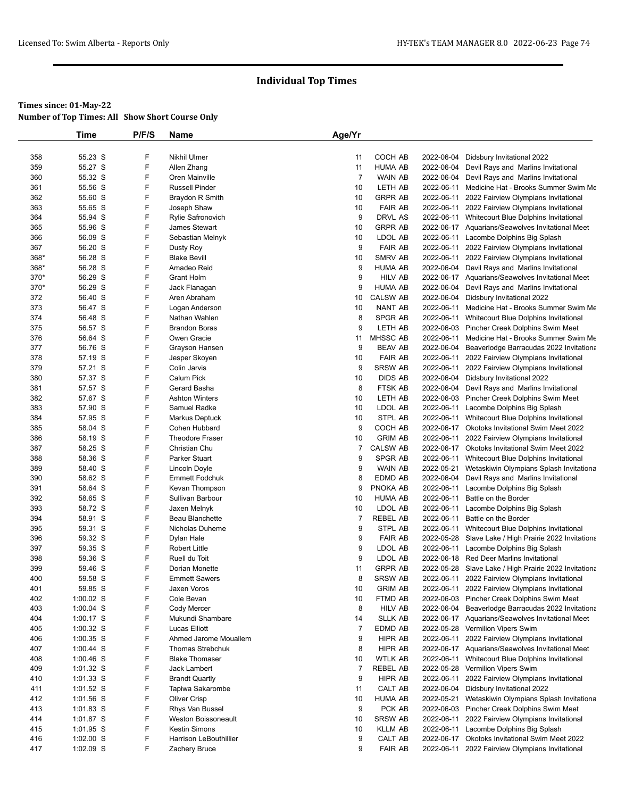|      | Time        | P/F/S | Name                   | Age/Yr         |                 |            |                                                       |
|------|-------------|-------|------------------------|----------------|-----------------|------------|-------------------------------------------------------|
|      |             |       |                        |                |                 |            |                                                       |
| 358  | 55.23 S     | F     | <b>Nikhil Ulmer</b>    | 11             | COCH AB         |            | 2022-06-04 Didsbury Invitational 2022                 |
| 359  | 55.27 S     | F     | Allen Zhang            | 11             | <b>HUMA AB</b>  | 2022-06-04 | Devil Rays and Marlins Invitational                   |
| 360  | 55.32 S     | F     | Oren Mainville         | $\overline{7}$ | <b>WAIN AB</b>  | 2022-06-04 | Devil Rays and Marlins Invitational                   |
| 361  | 55.56 S     | F     | <b>Russell Pinder</b>  | 10             | LETH AB         | 2022-06-11 | Medicine Hat - Brooks Summer Swim Me                  |
| 362  | 55.60 S     | F     | Braydon R Smith        | 10             | <b>GRPR AB</b>  | 2022-06-11 | 2022 Fairview Olympians Invitational                  |
| 363  | 55.65 S     | F     | Joseph Shaw            | 10             | <b>FAIR AB</b>  |            | 2022-06-11 2022 Fairview Olympians Invitational       |
| 364  | 55.94 S     | F     | Rylie Safronovich      | 9              | DRVL AS         |            | 2022-06-11 Whitecourt Blue Dolphins Invitational      |
| 365  | 55.96 S     | F     | <b>James Stewart</b>   | 10             | <b>GRPR AB</b>  |            | 2022-06-17 Aquarians/Seawolves Invitational Meet      |
| 366  | 56.09 S     | F     | Sebastian Melnyk       | 10             | LDOL AB         | 2022-06-11 | Lacombe Dolphins Big Splash                           |
| 367  | 56.20 S     | F     | Dusty Roy              | 9              | <b>FAIR AB</b>  |            | 2022-06-11 2022 Fairview Olympians Invitational       |
| 368* | 56.28 S     | F     | <b>Blake Bevill</b>    | 10             | <b>SMRV AB</b>  | 2022-06-11 | 2022 Fairview Olympians Invitational                  |
| 368* | 56.28 S     | F     | Amadeo Reid            | 9              | <b>HUMA AB</b>  |            | 2022-06-04 Devil Rays and Marlins Invitational        |
| 370* | 56.29 S     | F     | <b>Grant Holm</b>      | 9              | <b>HILV AB</b>  |            | 2022-06-17 Aquarians/Seawolves Invitational Meet      |
| 370* | 56.29 S     | F     | Jack Flanagan          | 9              | <b>HUMA AB</b>  |            | 2022-06-04 Devil Rays and Marlins Invitational        |
| 372  | 56.40 S     | F     | Aren Abraham           | 10             | <b>CALSW AB</b> | 2022-06-04 | Didsbury Invitational 2022                            |
| 373  | 56.47 S     | F     | Logan Anderson         | 10             | NANT AB         | 2022-06-11 | Medicine Hat - Brooks Summer Swim Me                  |
| 374  | 56.48 S     | F     | Nathan Wahlen          | 8              | SPGR AB         | 2022-06-11 | Whitecourt Blue Dolphins Invitational                 |
| 375  | 56.57 S     | F     | <b>Brandon Boras</b>   | 9              | LETH AB         | 2022-06-03 | Pincher Creek Dolphins Swim Meet                      |
| 376  | 56.64 S     | F     | Owen Gracie            | 11             | <b>MHSSC AB</b> | 2022-06-11 | Medicine Hat - Brooks Summer Swim Me                  |
| 377  | 56.76 S     | F     | Grayson Hansen         | 9              | <b>BEAV AB</b>  |            | 2022-06-04 Beaverlodge Barracudas 2022 Invitationa    |
| 378  | 57.19 S     | F     | Jesper Skoyen          | 10             | <b>FAIR AB</b>  | 2022-06-11 | 2022 Fairview Olympians Invitational                  |
| 379  | 57.21 S     | F     | Colin Jarvis           | 9              | <b>SRSW AB</b>  | 2022-06-11 | 2022 Fairview Olympians Invitational                  |
| 380  | 57.37 S     | F     | <b>Calum Pick</b>      | 10             | <b>DIDS AB</b>  |            | 2022-06-04 Didsbury Invitational 2022                 |
| 381  | 57.57 S     | F     | Gerard Basha           | 8              | FTSK AB         |            | 2022-06-04 Devil Rays and Marlins Invitational        |
| 382  | 57.67 S     | F     | <b>Ashton Winters</b>  | 10             | LETH AB         |            | 2022-06-03 Pincher Creek Dolphins Swim Meet           |
| 383  | 57.90 S     | F     | Samuel Radke           | 10             | LDOL AB         | 2022-06-11 | Lacombe Dolphins Big Splash                           |
| 384  | 57.95 S     | F     | <b>Markus Deptuck</b>  | 10             | STPL AB         |            | 2022-06-11 Whitecourt Blue Dolphins Invitational      |
| 385  | 58.04 S     | F     | Cohen Hubbard          | 9              | COCH AB         |            | 2022-06-17 Okotoks Invitational Swim Meet 2022        |
| 386  | 58.19 S     | F     | <b>Theodore Fraser</b> | 10             | <b>GRIM AB</b>  | 2022-06-11 | 2022 Fairview Olympians Invitational                  |
| 387  | 58.25 S     | F     | Christian Chu          | 7              | <b>CALSW AB</b> |            | 2022-06-17 Okotoks Invitational Swim Meet 2022        |
| 388  | 58.36 S     | F     | Parker Stuart          | 9              | SPGR AB         | 2022-06-11 | Whitecourt Blue Dolphins Invitational                 |
| 389  | 58.40 S     | F     | Lincoln Doyle          | 9              | WAIN AB         | 2022-05-21 | Wetaskiwin Olympians Splash Invitationa               |
| 390  | 58.62 S     | F     | <b>Emmett Fodchuk</b>  | 8              | EDMD AB         | 2022-06-04 | Devil Rays and Marlins Invitational                   |
| 391  | 58.64 S     | F     | Kevan Thompson         | 9              | PNOKA AB        | 2022-06-11 | Lacombe Dolphins Big Splash                           |
| 392  | 58.65 S     | F     | Sullivan Barbour       | 10             | <b>HUMA AB</b>  | 2022-06-11 | Battle on the Border                                  |
| 393  | 58.72 S     | F     | Jaxen Melnyk           | 10             | LDOL AB         | 2022-06-11 | Lacombe Dolphins Big Splash                           |
| 394  | 58.91 S     | F     | Beau Blanchette        | $\overline{7}$ | <b>REBEL AB</b> | 2022-06-11 | Battle on the Border                                  |
| 395  | 59.31 S     | F     | Nicholas Duheme        | 9              | STPL AB         | 2022-06-11 | Whitecourt Blue Dolphins Invitational                 |
| 396  | 59.32 S     | F     | Dylan Hale             | 9              | <b>FAIR AB</b>  |            | 2022-05-28 Slave Lake / High Prairie 2022 Invitationa |
| 397  | 59.35 S     | F     | Robert Little          | 9              | LDOL AB         | 2022-06-11 | Lacombe Dolphins Big Splash                           |
| 398  | 59.36 S     | F     | Ruell du Toit          | 9              | LDOL AB         |            | 2022-06-18 Red Deer Marlins Invitational              |
| 399  | 59.46 S     | F     | Dorian Monette         | 11             | <b>GRPR AB</b>  |            | 2022-05-28 Slave Lake / High Prairie 2022 Invitationa |
| 400  | 59.58 S     | F     | <b>Emmett Sawers</b>   | 8              | <b>SRSW AB</b>  | 2022-06-11 | 2022 Fairview Olympians Invitational                  |
| 401  | 59.85 S     | F     | Jaxen Voros            | 10             | <b>GRIM AB</b>  |            | 2022-06-11 2022 Fairview Olympians Invitational       |
| 402  | $1:00.02$ S | F     | Cole Bevan             | 10             | FTMD AB         |            | 2022-06-03 Pincher Creek Dolphins Swim Meet           |
| 403  | 1:00.04 S   | F     | Cody Mercer            | 8              | <b>HILV AB</b>  | 2022-06-04 | Beaverlodge Barracudas 2022 Invitationa               |
| 404  | $1:00.17$ S | F     | Mukundi Shambare       | 14             | <b>SLLK AB</b>  |            | 2022-06-17 Aquarians/Seawolves Invitational Meet      |
| 405  | $1:00.32$ S | F     | Lucas Elliott          | $\overline{7}$ | EDMD AB         |            | 2022-05-28 Vermilion Vipers Swim                      |
| 406  | 1:00.35 S   | F     | Ahmed Jarome Mouallem  | 9              | HIPR AB         | 2022-06-11 | 2022 Fairview Olympians Invitational                  |
| 407  | $1:00.44$ S | F     | Thomas Strebchuk       | 8              | HIPR AB         |            | 2022-06-17 Aquarians/Seawolves Invitational Meet      |
| 408  | 1:00.46 S   | F     | <b>Blake Thomaser</b>  | 10             | <b>WTLK AB</b>  |            | 2022-06-11 Whitecourt Blue Dolphins Invitational      |
| 409  | 1:01.32 S   | F     | Jack Lambert           | $\overline{7}$ | <b>REBEL AB</b> |            | 2022-05-28 Vermilion Vipers Swim                      |
| 410  | $1:01.33$ S | F     | <b>Brandt Quartly</b>  | 9              | HIPR AB         | 2022-06-11 | 2022 Fairview Olympians Invitational                  |
| 411  | 1:01.52 S   | F     | Tapiwa Sakarombe       | 11             | CALT AB         |            | 2022-06-04 Didsbury Invitational 2022                 |
| 412  | $1:01.56$ S | F     | Oliver Crisp           | 10             | <b>HUMA AB</b>  | 2022-05-21 | Wetaskiwin Olympians Splash Invitationa               |
| 413  | $1:01.83$ S | F     | Rhys Van Bussel        | 9              | PCK AB          |            | 2022-06-03 Pincher Creek Dolphins Swim Meet           |
| 414  | $1:01.87$ S | F     | Weston Boissoneault    | 10             | <b>SRSW AB</b>  |            | 2022-06-11 2022 Fairview Olympians Invitational       |
| 415  | $1:01.95$ S | F     | Kestin Simons          | 10             | <b>KLLM AB</b>  | 2022-06-11 | Lacombe Dolphins Big Splash                           |
| 416  | $1:02.00$ S | F     | Harrison LeBouthillier | 9              | CALT AB         |            | 2022-06-17 Okotoks Invitational Swim Meet 2022        |
| 417  | 1:02.09 S   | F     | Zachery Bruce          | 9              | <b>FAIR AB</b>  |            | 2022-06-11 2022 Fairview Olympians Invitational       |
|      |             |       |                        |                |                 |            |                                                       |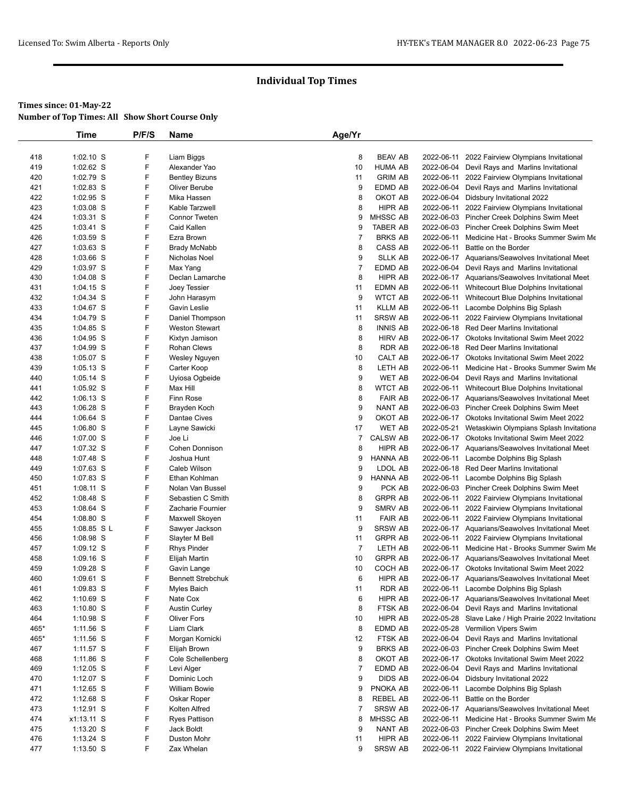|            | Time                   | P/F/S  | Name                              | Age/Yr         |                                  |            |                                                                                            |
|------------|------------------------|--------|-----------------------------------|----------------|----------------------------------|------------|--------------------------------------------------------------------------------------------|
|            |                        |        |                                   |                |                                  |            |                                                                                            |
| 418        | 1:02.10 S              | F      | Liam Biggs                        | 8              | <b>BEAV AB</b>                   | 2022-06-11 | 2022 Fairview Olympians Invitational                                                       |
| 419        | 1:02.62 S              | F      | Alexander Yao                     | 10             | <b>HUMA AB</b>                   | 2022-06-04 | Devil Rays and Marlins Invitational                                                        |
| 420        | 1:02.79 S              | F      | <b>Bentley Bizuns</b>             | 11             | <b>GRIM AB</b>                   |            | 2022-06-11 2022 Fairview Olympians Invitational                                            |
| 421        | 1:02.83 S              | F      | Oliver Berube                     | 9              | EDMD AB                          |            | 2022-06-04 Devil Rays and Marlins Invitational                                             |
| 422        | 1:02.95 S              | F      | Mika Hassen                       | 8              | OKOT AB                          |            | 2022-06-04 Didsbury Invitational 2022                                                      |
| 423        | 1:03.08 S              | F      | Kable Tarzwell                    | 8              | <b>HIPR AB</b>                   |            | 2022-06-11 2022 Fairview Olympians Invitational                                            |
| 424        | 1:03.31 S              | F      | <b>Connor Tweten</b>              | 9              | <b>MHSSC AB</b>                  |            | 2022-06-03 Pincher Creek Dolphins Swim Meet                                                |
| 425        | $1:03.41$ S            | F      | Caid Kallen                       | 9              | <b>TABER AB</b>                  |            | 2022-06-03 Pincher Creek Dolphins Swim Meet                                                |
| 426        | 1:03.59 S              | F      | Ezra Brown                        | $\overline{7}$ | <b>BRKS AB</b>                   | 2022-06-11 | Medicine Hat - Brooks Summer Swim Me                                                       |
| 427        | 1:03.63 S              | F      | <b>Brady McNabb</b>               | 8              | <b>CASS AB</b>                   | 2022-06-11 | Battle on the Border                                                                       |
| 428        | 1:03.66 S              | F      | Nicholas Noel                     | 9              | <b>SLLK AB</b>                   |            | 2022-06-17 Aquarians/Seawolves Invitational Meet                                           |
| 429        | 1:03.97 S              | F      | Max Yang                          | $\overline{7}$ | EDMD AB                          |            | 2022-06-04 Devil Rays and Marlins Invitational                                             |
| 430        | 1:04.08 S              | F      | Declan Lamarche                   | 8              | HIPR AB                          |            | 2022-06-17 Aquarians/Seawolves Invitational Meet                                           |
| 431        | $1:04.15$ S            | F      | Joey Tessier                      | 11             | EDMN AB                          |            | 2022-06-11 Whitecourt Blue Dolphins Invitational                                           |
| 432        | 1:04.34 S              | F<br>F | John Harasym                      | 9              | <b>WTCT AB</b>                   |            | 2022-06-11 Whitecourt Blue Dolphins Invitational                                           |
| 433<br>434 | 1:04.67 S              | F      | Gavin Leslie                      | 11             | <b>KLLM AB</b><br><b>SRSW AB</b> | 2022-06-11 | Lacombe Dolphins Big Splash                                                                |
| 435        | 1:04.79 S<br>1:04.85 S | F      | Daniel Thompson<br>Weston Stewart | 11<br>8        | <b>INNIS AB</b>                  | 2022-06-11 | 2022 Fairview Olympians Invitational<br>2022-06-18 Red Deer Marlins Invitational           |
| 436        | 1:04.95 S              | F      | Kixtyn Jamison                    | 8              | <b>HIRV AB</b>                   |            | 2022-06-17 Okotoks Invitational Swim Meet 2022                                             |
| 437        | 1:04.99 S              | F      | <b>Rohan Clews</b>                | 8              | <b>RDR AB</b>                    |            | 2022-06-18 Red Deer Marlins Invitational                                                   |
| 438        | 1:05.07 S              | F      | Wesley Nguyen                     | 10             | <b>CALT AB</b>                   |            | 2022-06-17 Okotoks Invitational Swim Meet 2022                                             |
| 439        | $1:05.13$ S            | F      | Carter Koop                       | 8              | LETH AB                          | 2022-06-11 | Medicine Hat - Brooks Summer Swim Me                                                       |
| 440        | 1:05.14 S              | F      | Uyiosa Ogbeide                    | 9              | <b>WET AB</b>                    |            | 2022-06-04 Devil Rays and Marlins Invitational                                             |
| 441        | 1:05.92 S              | F      | Max Hill                          | 8              | <b>WTCT AB</b>                   |            | 2022-06-11 Whitecourt Blue Dolphins Invitational                                           |
| 442        | 1:06.13 S              | F      | Finn Rose                         | 8              | <b>FAIR AB</b>                   |            | 2022-06-17 Aquarians/Seawolves Invitational Meet                                           |
| 443        | 1:06.28 S              | F      | Brayden Koch                      | 9              | <b>NANT AB</b>                   |            | 2022-06-03 Pincher Creek Dolphins Swim Meet                                                |
| 444        | 1:06.64 S              | F      | Dantae Cives                      | 9              | OKOT AB                          |            | 2022-06-17 Okotoks Invitational Swim Meet 2022                                             |
| 445        | 1:06.80 S              | F      | Layne Sawicki                     | 17             | <b>WET AB</b>                    | 2022-05-21 | Wetaskiwin Olympians Splash Invitationa                                                    |
| 446        | 1:07.00 S              | F      | Joe Li                            | 7              | <b>CALSW AB</b>                  |            | 2022-06-17 Okotoks Invitational Swim Meet 2022                                             |
| 447        | 1:07.32 S              | F      | Cohen Donnison                    | 8              | HIPR AB                          |            | 2022-06-17 Aquarians/Seawolves Invitational Meet                                           |
| 448        | 1:07.48 S              | F      | Joshua Hunt                       | 9              | <b>HANNA AB</b>                  |            | 2022-06-11 Lacombe Dolphins Big Splash                                                     |
| 449        | 1:07.63 S              | F      | Caleb Wilson                      | 9              | LDOL AB                          |            | 2022-06-18 Red Deer Marlins Invitational                                                   |
| 450        | 1:07.83 S              | F      | Ethan Kohlman                     | 9              | <b>HANNA AB</b>                  | 2022-06-11 | Lacombe Dolphins Big Splash                                                                |
| 451        | 1:08.11 S              | F      | Nolan Van Bussel                  | 9              | PCK AB                           |            | 2022-06-03 Pincher Creek Dolphins Swim Meet                                                |
| 452        | 1:08.48 S              | F      | Sebastien C Smith                 | 8              | <b>GRPR AB</b>                   |            | 2022-06-11 2022 Fairview Olympians Invitational                                            |
| 453        | 1:08.64 S              | F      | Zacharie Fournier                 | 9              | SMRV AB                          | 2022-06-11 | 2022 Fairview Olympians Invitational                                                       |
| 454        | 1:08.80 S              | F      | Maxwell Skoyen                    | 11             | <b>FAIR AB</b>                   | 2022-06-11 | 2022 Fairview Olympians Invitational                                                       |
| 455        | 1:08.85 SL             | F      | Sawyer Jackson                    | 9              | <b>SRSW AB</b>                   |            | 2022-06-17 Aquarians/Seawolves Invitational Meet                                           |
| 456        | 1:08.98 S              | F      | Slayter M Bell                    | 11             | <b>GRPR AB</b>                   | 2022-06-11 | 2022 Fairview Olympians Invitational                                                       |
| 457        | $1:09.12$ S            | F      | <b>Rhys Pinder</b>                | $\overline{7}$ | LETH AB                          | 2022-06-11 | Medicine Hat - Brooks Summer Swim Me                                                       |
| 458        | 1:09.16 S              | F      | Elijah Martin                     | 10             | <b>GRPR AB</b>                   |            | 2022-06-17 Aquarians/Seawolves Invitational Meet                                           |
| 459        | 1:09.28 S              | F<br>F | Gavin Lange                       | 10<br>6        | COCH AB                          |            | 2022-06-17 Okotoks Invitational Swim Meet 2022                                             |
| 460        | 1:09.61 S<br>1:09.83 S | F      | <b>Bennett Strebchuk</b>          |                | HIPR AB                          |            | 2022-06-17 Aquarians/Seawolves Invitational Meet<br>2022-06-11 Lacombe Dolphins Big Splash |
| 461<br>462 | 1:10.69 S              | F      | Myles Baich<br>Nate Cox           | 11<br>6        | <b>RDR AB</b><br>HIPR AB         |            | 2022-06-17 Aquarians/Seawolves Invitational Meet                                           |
| 463        | $1:10.80$ S            | F      | <b>Austin Curley</b>              | 8              | FTSK AB                          |            | 2022-06-04 Devil Rays and Marlins Invitational                                             |
| 464        | 1:10.98 S              | F      | <b>Oliver Fors</b>                | 10             | HIPR AB                          |            | 2022-05-28 Slave Lake / High Prairie 2022 Invitationa                                      |
| 465*       | $1:11.56$ S            | F      | Liam Clark                        | 8              | EDMD AB                          |            | 2022-05-28 Vermilion Vipers Swim                                                           |
| 465*       | $1:11.56$ S            | F      | Morgan Kornicki                   | 12             | FTSK AB                          |            | 2022-06-04 Devil Rays and Marlins Invitational                                             |
| 467        | 1:11.57 S              | F      | Elijah Brown                      | 9              | <b>BRKS AB</b>                   |            | 2022-06-03 Pincher Creek Dolphins Swim Meet                                                |
| 468        | $1:11.86$ S            | F      | Cole Schellenberg                 | 8              | OKOT AB                          |            | 2022-06-17 Okotoks Invitational Swim Meet 2022                                             |
| 469        | $1:12.05$ S            | F      | Levi Alger                        | $\overline{7}$ | EDMD AB                          | 2022-06-04 | Devil Rays and Marlins Invitational                                                        |
| 470        | 1:12.07 S              | F      | Dominic Loch                      | 9              | <b>DIDS AB</b>                   | 2022-06-04 | Didsbury Invitational 2022                                                                 |
| 471        | $1:12.65$ S            | F      | <b>William Bowie</b>              | 9              | PNOKA AB                         | 2022-06-11 | Lacombe Dolphins Big Splash                                                                |
| 472        | $1:12.68$ S            | F      | Oskar Roper                       | 8              | <b>REBEL AB</b>                  | 2022-06-11 | Battle on the Border                                                                       |
| 473        | $1:12.91$ S            | F      | Kolten Alfred                     | 7              | <b>SRSW AB</b>                   |            | 2022-06-17 Aquarians/Seawolves Invitational Meet                                           |
| 474        | x1:13.11 S             | F      | <b>Ryes Pattison</b>              | 8              | MHSSC AB                         | 2022-06-11 | Medicine Hat - Brooks Summer Swim Me                                                       |
| 475        | $1:13.20$ S            | F      | Jack Boldt                        | 9              | NANT AB                          |            | 2022-06-03 Pincher Creek Dolphins Swim Meet                                                |
| 476        | $1:13.24$ S            | F      | Duston Mohr                       | 11             | HIPR AB                          | 2022-06-11 | 2022 Fairview Olympians Invitational                                                       |
| 477        | $1:13.50$ S            | F      | Zax Whelan                        | 9              | <b>SRSW AB</b>                   |            | 2022-06-11 2022 Fairview Olympians Invitational                                            |
|            |                        |        |                                   |                |                                  |            |                                                                                            |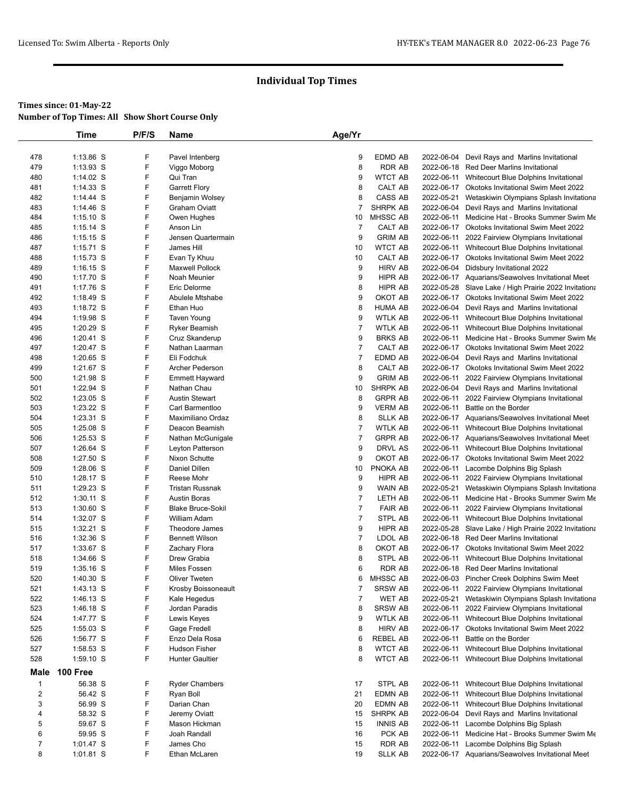|                  | Time        | P/F/S | Name                     | Age/Yr         |                 |            |                                                       |
|------------------|-------------|-------|--------------------------|----------------|-----------------|------------|-------------------------------------------------------|
|                  |             |       |                          |                |                 |            |                                                       |
| 478              | 1:13.86 S   | F     | Pavel Intenberg          | 9              | EDMD AB         |            | 2022-06-04 Devil Rays and Marlins Invitational        |
| 479              | 1:13.93 S   | F     | Viggo Moborg             | 8              | <b>RDR AB</b>   |            | 2022-06-18 Red Deer Marlins Invitational              |
| 480              | $1:14.02$ S | F     | Qui Tran                 | 9              | <b>WTCT AB</b>  | 2022-06-11 | Whitecourt Blue Dolphins Invitational                 |
| 481              | $1:14.33$ S | F     | <b>Garrett Flory</b>     | 8              | CALT AB         |            | 2022-06-17 Okotoks Invitational Swim Meet 2022        |
| 482              | 1:14.44 S   | F     | Benjamin Wolsey          | 8              | CASS AB         | 2022-05-21 | Wetaskiwin Olympians Splash Invitationa               |
| 483              | 1:14.46 S   | F     | <b>Graham Oviatt</b>     | $\overline{7}$ | <b>SHRPK AB</b> | 2022-06-04 | Devil Rays and Marlins Invitational                   |
| 484              | $1:15.10$ S | F     | Owen Hughes              | 10             | MHSSC AB        |            | 2022-06-11 Medicine Hat - Brooks Summer Swim Me       |
| 485              | $1:15.14$ S | F     | Anson Lin                | $\overline{7}$ | CALT AB         |            | 2022-06-17 Okotoks Invitational Swim Meet 2022        |
| 486              | $1:15.15$ S | F     | Jensen Quartermain       | 9              | <b>GRIM AB</b>  | 2022-06-11 | 2022 Fairview Olympians Invitational                  |
| 487              | $1:15.71$ S | F     | James Hill               | 10             | <b>WTCT AB</b>  |            | 2022-06-11 Whitecourt Blue Dolphins Invitational      |
| 488              | $1:15.73$ S | F     | Evan Ty Khuu             | 10             | CALT AB         |            | 2022-06-17 Okotoks Invitational Swim Meet 2022        |
| 489              | $1:16.15$ S | F     | <b>Maxwell Pollock</b>   | 9              | <b>HIRV AB</b>  | 2022-06-04 | Didsbury Invitational 2022                            |
| 490              | 1:17.70 S   | F     | Noah Meunier             | 9              | <b>HIPR AB</b>  |            | 2022-06-17 Aquarians/Seawolves Invitational Meet      |
| 491              | 1:17.76 S   | F     | Eric Delorme             | 8              | HIPR AB         |            | 2022-05-28 Slave Lake / High Prairie 2022 Invitationa |
| 492              | 1:18.49 S   | F     | Abulele Mtshabe          | 9              | OKOT AB         |            | 2022-06-17 Okotoks Invitational Swim Meet 2022        |
| 493              | 1:18.72 S   | F     | Ethan Huo                | 8              | <b>HUMA AB</b>  | 2022-06-04 | Devil Rays and Marlins Invitational                   |
| 494              | 1:19.98 S   | F     | Taven Young              | 9              | <b>WTLK AB</b>  |            | 2022-06-11 Whitecourt Blue Dolphins Invitational      |
| 495              | 1:20.29 S   | F     | <b>Ryker Beamish</b>     | $\overline{7}$ | <b>WTLK AB</b>  |            | 2022-06-11 Whitecourt Blue Dolphins Invitational      |
| 496              | 1:20.41 S   | F     | Cruz Skanderup           | 9              | <b>BRKS AB</b>  |            | 2022-06-11 Medicine Hat - Brooks Summer Swim Me       |
| 497              | 1:20.47 S   | F     | Nathan Laarman           | $\overline{7}$ | CALT AB         |            | 2022-06-17 Okotoks Invitational Swim Meet 2022        |
| 498              | $1:20.65$ S | F     | Eli Fodchuk              | $\overline{7}$ | EDMD AB         | 2022-06-04 | Devil Rays and Marlins Invitational                   |
| 499              | 1:21.67 S   | F     | Archer Pederson          | 8              | CALT AB         |            | 2022-06-17 Okotoks Invitational Swim Meet 2022        |
| 500              | 1:21.98 S   | F     | <b>Emmett Hayward</b>    | 9              | <b>GRIM AB</b>  |            | 2022-06-11 2022 Fairview Olympians Invitational       |
| 501              | 1:22.94 S   | F     | Nathan Chau              | 10             | <b>SHRPK AB</b> |            | 2022-06-04 Devil Rays and Marlins Invitational        |
| 502              | $1:23.05$ S | F     | <b>Austin Stewart</b>    | 8              | <b>GRPR AB</b>  |            | 2022-06-11 2022 Fairview Olympians Invitational       |
| 503              | 1:23.22 S   | F     | Carl Barmentloo          | 9              | <b>VERM AB</b>  | 2022-06-11 | Battle on the Border                                  |
| 504              | 1:23.31 S   | F     | Maximiliano Ordaz        | 8              | <b>SLLK AB</b>  |            | 2022-06-17 Aquarians/Seawolves Invitational Meet      |
| 505              | $1:25.08$ S | F     | Deacon Beamish           | $\overline{7}$ | <b>WTLK AB</b>  |            | 2022-06-11 Whitecourt Blue Dolphins Invitational      |
| 506              | 1:25.53 S   | F     | Nathan McGunigale        | $\overline{7}$ | <b>GRPR AB</b>  |            | 2022-06-17 Aquarians/Seawolves Invitational Meet      |
| 507              | 1:26.64 S   | F     | Leyton Patterson         | 9              | DRVL AS         |            | 2022-06-11 Whitecourt Blue Dolphins Invitational      |
| 508              | 1:27.50 S   | F     | Nixon Schutte            | 9              | OKOT AB         |            | 2022-06-17 Okotoks Invitational Swim Meet 2022        |
| 509              | 1:28.06 S   | F     | Daniel Dillen            | 10             | PNOKA AB        |            | 2022-06-11 Lacombe Dolphins Big Splash                |
| 510              | 1:28.17 S   | F     | Reese Mohr               | 9              | HIPR AB         |            | 2022-06-11 2022 Fairview Olympians Invitational       |
| 511              | 1:29.23 S   | F     | <b>Tristan Russnak</b>   | 9              | WAIN AB         | 2022-05-21 | Wetaskiwin Olympians Splash Invitationa               |
| 512              | 1:30.11 S   | F     | <b>Austin Boras</b>      | $\overline{7}$ | LETH AB         |            | 2022-06-11 Medicine Hat - Brooks Summer Swim Me       |
| 513              | 1:30.60 S   | F     | <b>Blake Bruce-Sokil</b> | $\overline{7}$ | <b>FAIR AB</b>  |            | 2022-06-11 2022 Fairview Olympians Invitational       |
| 514              | 1:32.07 S   | F     | William Adam             | $\overline{7}$ | STPL AB         |            | 2022-06-11 Whitecourt Blue Dolphins Invitational      |
| 515              | 1:32.21 S   | F     | Theodore James           | 9              | <b>HIPR AB</b>  |            | 2022-05-28 Slave Lake / High Prairie 2022 Invitationa |
| 516              | 1:32.36 S   | F     | <b>Bennett Wilson</b>    | $\overline{7}$ | LDOL AB         |            | 2022-06-18 Red Deer Marlins Invitational              |
| 517              | 1:33.67 S   | F     | Zachary Flora            | 8              | OKOT AB         |            | 2022-06-17 Okotoks Invitational Swim Meet 2022        |
| 518              | 1:34.66 S   | F     | Drew Grabia              | 8              | STPL AB         | 2022-06-11 | Whitecourt Blue Dolphins Invitational                 |
| 519              | $1:35.16$ S | F     | Miles Fossen             | 6              | <b>RDR AB</b>   |            | 2022-06-18 Red Deer Marlins Invitational              |
| 520              | 1:40.30 S   | F     | <b>Oliver Tweten</b>     | 6              | <b>MHSSC AB</b> |            | 2022-06-03 Pincher Creek Dolphins Swim Meet           |
| 521              | 1:43.13 S   | F     | Krosby Boissoneault      | $\overline{7}$ | <b>SRSW AB</b>  |            | 2022-06-11 2022 Fairview Olympians Invitational       |
| 522              | 1:46.13 S   | F     | Kale Hegedus             | $\overline{7}$ | <b>WET AB</b>   |            | 2022-05-21 Wetaskiwin Olympians Splash Invitationa    |
| 523              | 1:46.18 S   | F     | Jordan Paradis           | 8              | <b>SRSW AB</b>  |            | 2022-06-11 2022 Fairview Olympians Invitational       |
| 524              |             | F     |                          | 9              | <b>WTLK AB</b>  |            | 2022-06-11 Whitecourt Blue Dolphins Invitational      |
|                  | 1:47.77 S   | F     | Lewis Keyes              |                |                 |            |                                                       |
| 525              | 1:55.03 S   | F     | Gage Fredell             | 8              | <b>HIRV AB</b>  |            | 2022-06-17 Okotoks Invitational Swim Meet 2022        |
| 526              | 1:56.77 S   |       | Enzo Dela Rosa           | 6              | <b>REBEL AB</b> |            | 2022-06-11 Battle on the Border                       |
| 527              | 1:58.53 S   | F     | <b>Hudson Fisher</b>     | 8              | <b>WTCT AB</b>  | 2022-06-11 | Whitecourt Blue Dolphins Invitational                 |
| 528              | 1:59.10 S   | F     | <b>Hunter Gaultier</b>   | 8              | <b>WTCT AB</b>  |            | 2022-06-11 Whitecourt Blue Dolphins Invitational      |
| Male             | 100 Free    |       |                          |                |                 |            |                                                       |
| $\mathbf{1}$     | 56.38 S     | F     | <b>Ryder Chambers</b>    | 17             | STPL AB         |            | 2022-06-11 Whitecourt Blue Dolphins Invitational      |
| $\boldsymbol{2}$ | 56.42 S     | F     | Ryan Boll                | 21             | EDMN AB         |            | 2022-06-11 Whitecourt Blue Dolphins Invitational      |
| 3                | 56.99 S     | F     | Darian Chan              | 20             | <b>EDMN AB</b>  |            | 2022-06-11 Whitecourt Blue Dolphins Invitational      |
| 4                | 58.32 S     | F     | Jeremy Oviatt            | 15             | SHRPK AB        |            | 2022-06-04 Devil Rays and Marlins Invitational        |
| 5                | 59.67 S     | F     | Mason Hickman            | 15             | <b>INNIS AB</b> |            | 2022-06-11 Lacombe Dolphins Big Splash                |
| 6                | 59.95 S     | F     | Joah Randall             | 16             | PCK AB          |            | 2022-06-11 Medicine Hat - Brooks Summer Swim Me       |
| 7                | 1:01.47 S   | F     | James Cho                | 15             | <b>RDR AB</b>   |            | 2022-06-11 Lacombe Dolphins Big Splash                |
| 8                | $1:01.81$ S | F.    | Ethan McLaren            | 19             | <b>SLLK AB</b>  |            | 2022-06-17 Aquarians/Seawolves Invitational Meet      |
|                  |             |       |                          |                |                 |            |                                                       |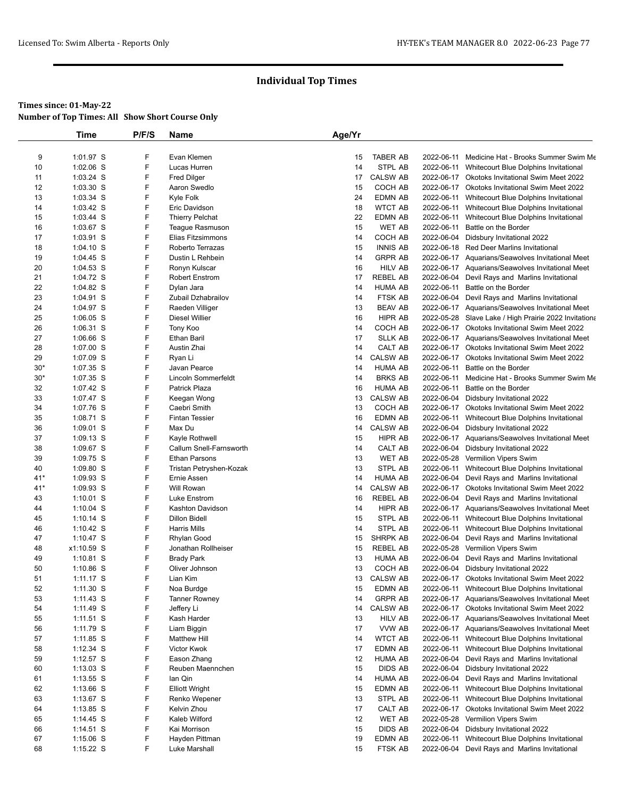|          | Time                   | P/F/S  | Name                                        | Age/Yr   |                            |            |                                                                        |
|----------|------------------------|--------|---------------------------------------------|----------|----------------------------|------------|------------------------------------------------------------------------|
|          |                        |        |                                             |          |                            |            |                                                                        |
| 9        | 1:01.97 S              | F      | Evan Klemen                                 | 15       | <b>TABER AB</b>            |            | 2022-06-11 Medicine Hat - Brooks Summer Swim Me                        |
| 10       | $1:02.06$ S            | F      | Lucas Hurren                                | 14       | STPL AB                    |            | 2022-06-11 Whitecourt Blue Dolphins Invitational                       |
| 11       | 1:03.24 S              | F      | <b>Fred Dilger</b>                          | 17       | <b>CALSW AB</b>            |            | 2022-06-17 Okotoks Invitational Swim Meet 2022                         |
| 12       | 1:03.30 S              | F      | Aaron Swedlo                                | 15       | COCH AB                    |            | 2022-06-17 Okotoks Invitational Swim Meet 2022                         |
| 13       | 1:03.34 S              | F      | Kyle Folk                                   | 24       | <b>EDMN AB</b>             |            | 2022-06-11 Whitecourt Blue Dolphins Invitational                       |
| 14       | $1:03.42$ S            | F      | Eric Davidson                               | 18       | <b>WTCT AB</b>             |            | 2022-06-11 Whitecourt Blue Dolphins Invitational                       |
| 15       | 1:03.44 S              | F<br>F | <b>Thierry Pelchat</b>                      | 22       | <b>EDMN AB</b>             | 2022-06-11 | Whitecourt Blue Dolphins Invitational                                  |
| 16       | 1:03.67 S<br>1:03.91 S | F      | Teague Rasmuson<br><b>Elias Fitzsimmons</b> | 15       | <b>WET AB</b>              | 2022-06-11 | Battle on the Border                                                   |
| 17<br>18 | $1:04.10$ S            | F      | Roberto Terrazas                            | 14<br>15 | COCH AB<br><b>INNIS AB</b> | 2022-06-04 | Didsbury Invitational 2022<br>2022-06-18 Red Deer Marlins Invitational |
| 19       | $1:04.45$ S            | F      | Dustin L Rehbein                            | 14       | <b>GRPR AB</b>             |            | 2022-06-17 Aquarians/Seawolves Invitational Meet                       |
| 20       | $1:04.53$ S            | F      | Ronyn Kulscar                               | 16       | <b>HILV AB</b>             |            | 2022-06-17 Aquarians/Seawolves Invitational Meet                       |
| 21       | 1:04.72 S              | F      | <b>Robert Enstrom</b>                       | 17       | <b>REBEL AB</b>            | 2022-06-04 | Devil Rays and Marlins Invitational                                    |
| 22       | 1:04.82 S              | F      | Dylan Jara                                  | 14       | <b>HUMA AB</b>             | 2022-06-11 | Battle on the Border                                                   |
| 23       | 1:04.91 S              | F      | Zubail Dzhabrailov                          | 14       | <b>FTSK AB</b>             |            | 2022-06-04 Devil Rays and Marlins Invitational                         |
| 24       | 1:04.97 S              | F      | Raeden Villiger                             | 13       | <b>BEAV AB</b>             |            | 2022-06-17 Aquarians/Seawolves Invitational Meet                       |
| 25       | $1:06.05$ S            | F      | Diesel Willier                              | 16       | <b>HIPR AB</b>             |            | 2022-05-28 Slave Lake / High Prairie 2022 Invitationa                  |
| 26       | 1:06.31 S              | F      | Tony Koo                                    | 14       | COCH AB                    |            | 2022-06-17 Okotoks Invitational Swim Meet 2022                         |
| 27       | 1:06.66 S              | F      | <b>Ethan Baril</b>                          | 17       | <b>SLLK AB</b>             |            | 2022-06-17 Aquarians/Seawolves Invitational Meet                       |
| 28       | 1:07.00 S              | F      | Austin Zhai                                 | 14       | CALT AB                    |            | 2022-06-17 Okotoks Invitational Swim Meet 2022                         |
| 29       | 1:07.09 S              | F      | Ryan Li                                     | 14       | <b>CALSW AB</b>            |            | 2022-06-17 Okotoks Invitational Swim Meet 2022                         |
| $30*$    | 1:07.35 S              | F      | Javan Pearce                                | 14       | <b>HUMA AB</b>             | 2022-06-11 | Battle on the Border                                                   |
| $30*$    | 1:07.35 S              | F      | <b>Lincoln Sommerfeldt</b>                  | 14       | <b>BRKS AB</b>             | 2022-06-11 | Medicine Hat - Brooks Summer Swim Me                                   |
| 32       | 1:07.42 S              | F      | Patrick Plaza                               | 16       | <b>HUMA AB</b>             | 2022-06-11 | Battle on the Border                                                   |
| 33       | 1:07.47 S              | F      | Keegan Wong                                 | 13       | <b>CALSW AB</b>            | 2022-06-04 | Didsbury Invitational 2022                                             |
| 34       | 1:07.76 S              | F      | Caebri Smith                                | 13       | COCH AB                    |            | 2022-06-17 Okotoks Invitational Swim Meet 2022                         |
| 35       | 1:08.71 S              | F      | <b>Fintan Tessier</b>                       | 16       | <b>EDMN AB</b>             |            | 2022-06-11 Whitecourt Blue Dolphins Invitational                       |
| 36       | 1:09.01 S              | F      | Max Du                                      | 14       | <b>CALSW AB</b>            | 2022-06-04 | Didsbury Invitational 2022                                             |
| 37       | 1:09.13 S              | F      | Kayle Rothwell                              | 15       | <b>HIPR AB</b>             |            | 2022-06-17 Aquarians/Seawolves Invitational Meet                       |
| 38       | 1:09.67 S              | F      | Callum Snell-Farnsworth                     | 14       | CALT AB                    | 2022-06-04 | Didsbury Invitational 2022                                             |
| 39       | 1:09.75 S              | F      | <b>Ethan Parsons</b>                        | 13       | <b>WET AB</b>              |            | 2022-05-28 Vermilion Vipers Swim                                       |
| 40       | 1:09.80 S              | F      | Tristan Petryshen-Kozak                     | 13       | STPL AB                    | 2022-06-11 | Whitecourt Blue Dolphins Invitational                                  |
| $41*$    | 1:09.93 S              | F      | Ernie Assen                                 | 14       | <b>HUMA AB</b>             | 2022-06-04 | Devil Rays and Marlins Invitational                                    |
| 41*      | 1:09.93 S              | F      | Will Rowan                                  | 14       | <b>CALSW AB</b>            |            | 2022-06-17 Okotoks Invitational Swim Meet 2022                         |
| 43       | $1:10.01$ S            | F      | Luke Enstrom                                | 16       | <b>REBEL AB</b>            | 2022-06-04 | Devil Rays and Marlins Invitational                                    |
| 44       | $1:10.04$ S            | F      | Kashton Davidson                            | 14       | <b>HIPR AB</b>             |            | 2022-06-17 Aquarians/Seawolves Invitational Meet                       |
| 45       | $1:10.14$ S            | F      | <b>Dillon Bidell</b>                        | 15       | STPL AB                    |            | 2022-06-11 Whitecourt Blue Dolphins Invitational                       |
| 46       | $1:10.42$ S            | F      | <b>Harris Mills</b>                         | 14       | STPL AB                    | 2022-06-11 | Whitecourt Blue Dolphins Invitational                                  |
| 47       | $1:10.47$ S            | F      | Rhylan Good                                 | 15       | <b>SHRPK AB</b>            | 2022-06-04 | Devil Rays and Marlins Invitational                                    |
| 48       | x1:10.59 S             | F      | Jonathan Rollheiser                         | 15       | <b>REBEL AB</b>            |            | 2022-05-28 Vermilion Vipers Swim                                       |
| 49       | $1:10.81$ S            | F      | <b>Brady Park</b>                           | 13       | <b>HUMA AB</b>             | 2022-06-04 | Devil Rays and Marlins Invitational                                    |
| 50       | $1:10.86$ S            | F      | Oliver Johnson                              | 13       | COCH AB                    | 2022-06-04 | Didsbury Invitational 2022                                             |
| 51       | $1:11.17$ S            | F      | Lian Kim                                    | 13       | <b>CALSW AB</b>            |            | 2022-06-17 Okotoks Invitational Swim Meet 2022                         |
| 52       | 1:11.30 S              | F      | Noa Burdge                                  | 15       | <b>EDMN AB</b>             |            | 2022-06-11 Whitecourt Blue Dolphins Invitational                       |
| 53       | 1:11.43 S              | F      | <b>Tanner Rowney</b>                        | 14       | <b>GRPR AB</b>             |            | 2022-06-17 Aquarians/Seawolves Invitational Meet                       |
| 54       | 1:11.49 S              | F      | Jeffery Li                                  | 14       | <b>CALSW AB</b>            |            | 2022-06-17 Okotoks Invitational Swim Meet 2022                         |
| 55       | 1:11.51 S              | F      | Kash Harder                                 | 13       | <b>HILV AB</b>             |            | 2022-06-17 Aquarians/Seawolves Invitational Meet                       |
| 56       | 1:11.79 S              | F      | Liam Biggin                                 | 17       | VVW AB                     |            | 2022-06-17 Aquarians/Seawolves Invitational Meet                       |
| 57       | 1:11.85 S              | F      | <b>Matthew Hill</b>                         | 14       | <b>WTCT AB</b>             | 2022-06-11 | Whitecourt Blue Dolphins Invitational                                  |
| 58       | 1:12.34 S              | F      | Victor Kwok                                 | 17       | <b>EDMN AB</b>             | 2022-06-11 | Whitecourt Blue Dolphins Invitational                                  |
| 59       | $1:12.57$ S            | F      | Eason Zhang                                 | 12       | HUMA AB                    | 2022-06-04 | Devil Rays and Marlins Invitational                                    |
| 60       | $1:13.03$ S            | F      | Reuben Maennchen                            | 15       | <b>DIDS AB</b>             | 2022-06-04 | Didsbury Invitational 2022                                             |
| 61       | $1:13.55$ S            | F      | lan Qin                                     | 14       | <b>HUMA AB</b>             |            | 2022-06-04 Devil Rays and Marlins Invitational                         |
| 62       | $1:13.66$ S            | F      | <b>Elliott Wright</b>                       | 15       | EDMN AB                    | 2022-06-11 | Whitecourt Blue Dolphins Invitational                                  |
| 63       | 1:13.67 S              | F      | Renko Wepener                               | 13       | STPL AB                    |            | 2022-06-11 Whitecourt Blue Dolphins Invitational                       |
| 64       | 1:13.85 S              | F      | Kelvin Zhou                                 | 17       | CALT AB                    |            | 2022-06-17 Okotoks Invitational Swim Meet 2022                         |
| 65       | $1:14.45$ S            | F      | Kaleb Wilford                               | 12       | WET AB                     | 2022-05-28 | Vermilion Vipers Swim                                                  |
| 66       | 1:14.51 S              | F      | Kai Morrison                                | 15       | <b>DIDS AB</b>             | 2022-06-04 | Didsbury Invitational 2022                                             |
| 67       | 1:15.06 S              | F      | Hayden Pittman                              | 19       | EDMN AB                    | 2022-06-11 | Whitecourt Blue Dolphins Invitational                                  |
| 68       | 1:15.22 S              | F      | Luke Marshall                               | 15       | FTSK AB                    |            | 2022-06-04 Devil Rays and Marlins Invitational                         |
|          |                        |        |                                             |          |                            |            |                                                                        |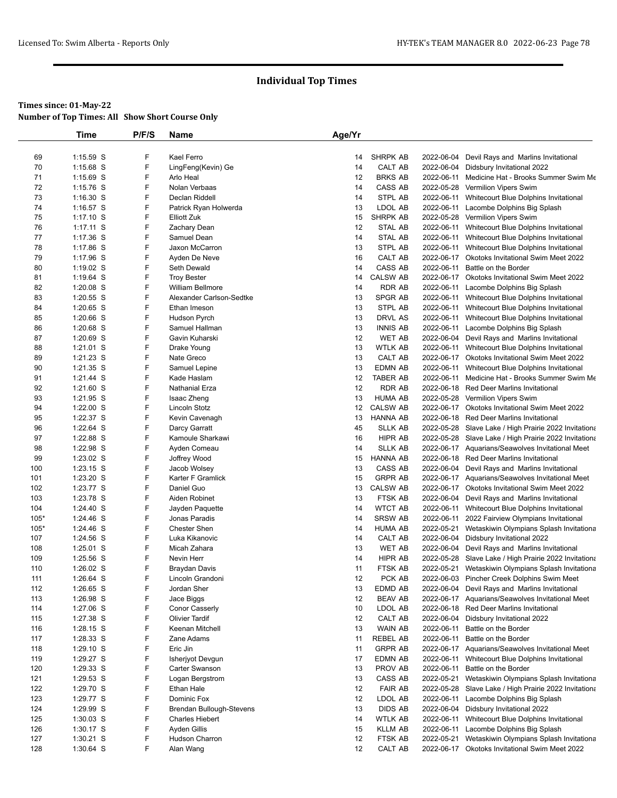|        | Time        | P/F/S | Name                     | Age/Yr |                 |            |                                                       |
|--------|-------------|-------|--------------------------|--------|-----------------|------------|-------------------------------------------------------|
|        |             |       |                          |        |                 |            |                                                       |
| 69     | 1:15.59 S   | F     | Kael Ferro               | 14     | <b>SHRPK AB</b> | 2022-06-04 | Devil Rays and Marlins Invitational                   |
| 70     | 1:15.68 S   | F     | LingFeng(Kevin) Ge       | 14     | CALT AB         | 2022-06-04 | Didsbury Invitational 2022                            |
| 71     | 1:15.69 S   | F     | Arlo Heal                | 12     | <b>BRKS AB</b>  | 2022-06-11 | Medicine Hat - Brooks Summer Swim Me                  |
| 72     | $1:15.76$ S | F     | Nolan Verbaas            | 14     | CASS AB         |            | 2022-05-28 Vermilion Vipers Swim                      |
| 73     | $1:16.30$ S | F     | Declan Riddell           | 14     | STPL AB         | 2022-06-11 | Whitecourt Blue Dolphins Invitational                 |
| 74     | 1:16.57 S   | F     | Patrick Ryan Holwerda    | 13     | LDOL AB         |            | 2022-06-11 Lacombe Dolphins Big Splash                |
| 75     | $1:17.10$ S | F     | <b>Elliott Zuk</b>       | 15     | SHRPK AB        |            | 2022-05-28 Vermilion Vipers Swim                      |
| 76     | $1:17.11$ S | F     | Zachary Dean             | 12     | STAL AB         |            | 2022-06-11 Whitecourt Blue Dolphins Invitational      |
| 77     | 1:17.36 S   | F     | Samuel Dean              | 14     | STAL AB         |            | 2022-06-11 Whitecourt Blue Dolphins Invitational      |
| 78     | 1:17.86 S   | F     | Jaxon McCarron           | 13     | STPL AB         | 2022-06-11 | Whitecourt Blue Dolphins Invitational                 |
| 79     | $1:17.96$ S | F     | Ayden De Neve            | 16     | CALT AB         |            | 2022-06-17 Okotoks Invitational Swim Meet 2022        |
| 80     | 1:19.02 S   | F     | Seth Dewald              | 14     | CASS AB         | 2022-06-11 | Battle on the Border                                  |
| 81     | 1:19.64 S   | F     | <b>Troy Bester</b>       | 14     | <b>CALSW AB</b> |            | 2022-06-17 Okotoks Invitational Swim Meet 2022        |
| 82     | $1:20.08$ S | F     | <b>William Bellmore</b>  | 14     | RDR AB          | 2022-06-11 | Lacombe Dolphins Big Splash                           |
| 83     | 1:20.55 S   | F     | Alexander Carlson-Sedtke | 13     | SPGR AB         | 2022-06-11 | Whitecourt Blue Dolphins Invitational                 |
| 84     | 1:20.65 S   | F     | Ethan Imeson             | 13     | STPL AB         | 2022-06-11 | Whitecourt Blue Dolphins Invitational                 |
| 85     | $1:20.66$ S | F     | Hudson Pyrch             | 13     | DRVL AS         |            | 2022-06-11 Whitecourt Blue Dolphins Invitational      |
| 86     | 1:20.68 S   | F     | Samuel Hallman           | 13     | <b>INNIS AB</b> |            | 2022-06-11 Lacombe Dolphins Big Splash                |
| 87     | $1:20.69$ S | F     | Gavin Kuharski           | 12     | WET AB          |            | 2022-06-04 Devil Rays and Marlins Invitational        |
| 88     | $1:21.01$ S | F     | Drake Young              | 13     | <b>WTLK AB</b>  |            | 2022-06-11 Whitecourt Blue Dolphins Invitational      |
| 89     | 1:21.23 S   | F     | Nate Greco               | 13     | CALT AB         |            | 2022-06-17 Okotoks Invitational Swim Meet 2022        |
| 90     | $1:21.35$ S | F     | Samuel Lepine            | 13     | EDMN AB         |            | 2022-06-11 Whitecourt Blue Dolphins Invitational      |
| 91     | $1:21.44$ S | F     | Kade Haslam              | 12     | TABER AB        | 2022-06-11 | Medicine Hat - Brooks Summer Swim Me                  |
| 92     | 1:21.60 S   | F     | <b>Nathanial Erza</b>    | 12     | RDR AB          |            | 2022-06-18 Red Deer Marlins Invitational              |
| 93     | 1:21.95 S   | F     | Isaac Zheng              | 13     | <b>HUMA AB</b>  |            | 2022-05-28 Vermilion Vipers Swim                      |
| 94     | 1:22.00 S   | F     | Lincoln Stotz            | 12     | <b>CALSW AB</b> |            | 2022-06-17 Okotoks Invitational Swim Meet 2022        |
| 95     | 1:22.37 S   | F     | Kevin Cavenagh           | 13     | HANNA AB        |            | 2022-06-18 Red Deer Marlins Invitational              |
| 96     | 1:22.64 S   | F     | Darcy Garratt            | 45     | <b>SLLK AB</b>  |            | 2022-05-28 Slave Lake / High Prairie 2022 Invitationa |
| 97     | 1:22.88 S   | F     | Kamoule Sharkawi         | 16     | HIPR AB         |            | 2022-05-28 Slave Lake / High Prairie 2022 Invitationa |
| 98     | 1:22.98 S   | F     | Ayden Comeau             | 14     | <b>SLLK AB</b>  |            | 2022-06-17 Aquarians/Seawolves Invitational Meet      |
| 99     | 1:23.02 S   | F     | Joffrey Wood             | 15     | HANNA AB        |            | 2022-06-18 Red Deer Marlins Invitational              |
| 100    | 1:23.15 S   | F     | Jacob Wolsey             | 13     | CASS AB         |            | 2022-06-04 Devil Rays and Marlins Invitational        |
| 101    | $1:23.20$ S | F     | Karter F Gramlick        | 15     | <b>GRPR AB</b>  |            | 2022-06-17 Aquarians/Seawolves Invitational Meet      |
| 102    | 1:23.77 S   | F     | Daniel Guo               | 13     | <b>CALSW AB</b> |            | 2022-06-17 Okotoks Invitational Swim Meet 2022        |
| 103    | 1:23.78 S   | F     | Aiden Robinet            | 13     | FTSK AB         |            | 2022-06-04 Devil Rays and Marlins Invitational        |
| 104    | 1:24.40 S   | F     | Jayden Paquette          | 14     | <b>WTCT AB</b>  |            | 2022-06-11 Whitecourt Blue Dolphins Invitational      |
| $105*$ | 1:24.46 S   | F     | Jonas Paradis            | 14     | <b>SRSW AB</b>  |            | 2022-06-11 2022 Fairview Olympians Invitational       |
| $105*$ | 1:24.46 S   | F     | <b>Chester Shen</b>      | 14     | <b>HUMA AB</b>  | 2022-05-21 | Wetaskiwin Olympians Splash Invitationa               |
| 107    | 1:24.56 S   | F     | Luka Kikanovic           | 14     | CALT AB         |            | 2022-06-04 Didsbury Invitational 2022                 |
| 108    | $1:25.01$ S | F     | Micah Zahara             | 13     | WET AB          |            | 2022-06-04 Devil Rays and Marlins Invitational        |
| 109    | 1:25.56 S   | F     | Nevin Herr               | 14     | HIPR AB         |            | 2022-05-28 Slave Lake / High Prairie 2022 Invitationa |
| 110    | $1:26.02$ S | F     | Braydan Davis            | 11     | FTSK AB         | 2022-05-21 | Wetaskiwin Olympians Splash Invitationa               |
| 111    | 1:26.64 S   | F     | Lincoln Grandoni         | 12     | PCK AB          |            | 2022-06-03 Pincher Creek Dolphins Swim Meet           |
| 112    | 1:26.65 S   | F     | Jordan Sher              | 13     | EDMD AB         |            | 2022-06-04 Devil Rays and Marlins Invitational        |
| 113    | 1:26.98 S   | F     | Jace Biggs               | 12     | <b>BEAV AB</b>  |            | 2022-06-17 Aquarians/Seawolves Invitational Meet      |
| 114    | 1:27.06 S   | F     | Conor Casserly           | 10     | LDOL AB         |            | 2022-06-18 Red Deer Marlins Invitational              |
| 115    | 1:27.38 S   | F     | <b>Olivier Tardif</b>    | 12     | CALT AB         |            | 2022-06-04 Didsbury Invitational 2022                 |
| 116    | $1:28.15$ S | F     | Keenan Mitchell          | 13     | WAIN AB         | 2022-06-11 | Battle on the Border                                  |
| 117    | $1:28.33$ S | F     | Zane Adams               | 11     | REBEL AB        | 2022-06-11 | Battle on the Border                                  |
| 118    | $1:29.10$ S | F     | Eric Jin                 |        | <b>GRPR AB</b>  |            | 2022-06-17 Aquarians/Seawolves Invitational Meet      |
|        |             | F     |                          | 11     |                 |            |                                                       |
| 119    | 1:29.27 S   |       | Isherjyot Devgun         | 17     | EDMN AB         | 2022-06-11 | Whitecourt Blue Dolphins Invitational                 |
| 120    | 1:29.33 S   | F     | Carter Swanson           | 13     | PROV AB         | 2022-06-11 | Battle on the Border                                  |
| 121    | 1:29.53 S   | F     | Logan Bergstrom          | 13     | CASS AB         | 2022-05-21 | Wetaskiwin Olympians Splash Invitationa               |
| 122    | $1:29.70$ S | F     | Ethan Hale               | 12     | <b>FAIR AB</b>  |            | 2022-05-28 Slave Lake / High Prairie 2022 Invitationa |
| 123    | 1:29.77 S   | F     | Dominic Fox              | 12     | LDOL AB         | 2022-06-11 | Lacombe Dolphins Big Splash                           |
| 124    | 1:29.99 S   | F     | Brendan Bullough-Stevens | 13     | DIDS AB         | 2022-06-04 | Didsbury Invitational 2022                            |
| 125    | $1:30.03$ S | F     | <b>Charles Hiebert</b>   | 14     | <b>WTLK AB</b>  | 2022-06-11 | Whitecourt Blue Dolphins Invitational                 |
| 126    | 1:30.17 S   | F     | Ayden Gillis             | 15     | KLLM AB         | 2022-06-11 | Lacombe Dolphins Big Splash                           |
| 127    | 1:30.21 S   | F     | Hudson Charron           | 12     | FTSK AB         | 2022-05-21 | Wetaskiwin Olympians Splash Invitationa               |
| 128    | 1:30.64 S   | F     | Alan Wang                | 12     | CALT AB         |            | 2022-06-17 Okotoks Invitational Swim Meet 2022        |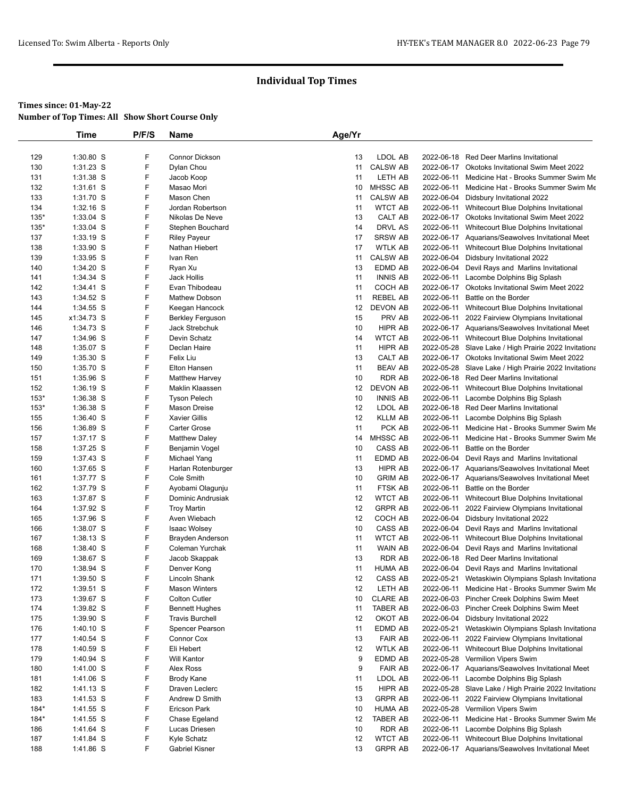|            | <b>Time</b>               | P/F/S  | <b>Name</b>                                      | Age/Yr   |                           |            |                                                                                                     |
|------------|---------------------------|--------|--------------------------------------------------|----------|---------------------------|------------|-----------------------------------------------------------------------------------------------------|
|            |                           |        |                                                  |          |                           |            |                                                                                                     |
| 129        | 1:30.80 S                 | F      | Connor Dickson                                   | 13       | LDOL AB                   |            | 2022-06-18 Red Deer Marlins Invitational                                                            |
| 130        | $1:31.23$ S               | F      | Dylan Chou                                       | 11       | <b>CALSW AB</b>           |            | 2022-06-17 Okotoks Invitational Swim Meet 2022                                                      |
| 131        | 1:31.38 S                 | F      | Jacob Koop                                       | 11       | LETH AB                   |            | 2022-06-11 Medicine Hat - Brooks Summer Swim Me                                                     |
| 132        | 1:31.61 S                 | F      | Masao Mori                                       | 10       | <b>MHSSC AB</b>           |            | 2022-06-11 Medicine Hat - Brooks Summer Swim Me                                                     |
| 133        | 1:31.70 S                 | F      | Mason Chen                                       | 11       | <b>CALSW AB</b>           |            | 2022-06-04 Didsbury Invitational 2022                                                               |
| 134        | 1:32.16 S                 | F      | Jordan Robertson                                 | 11       | <b>WTCT AB</b>            |            | 2022-06-11 Whitecourt Blue Dolphins Invitational                                                    |
| $135*$     | 1:33.04 S                 | F      | Nikolas De Neve                                  | 13       | CALT AB                   |            | 2022-06-17 Okotoks Invitational Swim Meet 2022                                                      |
| $135*$     | $1:33.04$ S               | F      | Stephen Bouchard                                 | 14       | DRVL AS                   |            | 2022-06-11 Whitecourt Blue Dolphins Invitational                                                    |
| 137        | 1:33.19 S                 | F      | <b>Riley Payeur</b>                              | 17       | <b>SRSW AB</b>            |            | 2022-06-17 Aquarians/Seawolves Invitational Meet                                                    |
| 138        | $1:33.90$ S               | F      | Nathan Hiebert                                   | 17       | <b>WTLK AB</b>            |            | 2022-06-11 Whitecourt Blue Dolphins Invitational                                                    |
| 139        | 1:33.95 S                 | F      | Ivan Ren                                         | 11       | <b>CALSW AB</b>           |            | 2022-06-04 Didsbury Invitational 2022                                                               |
| 140        | 1:34.20 S                 | F      | Ryan Xu                                          | 13       | EDMD AB                   |            | 2022-06-04 Devil Rays and Marlins Invitational                                                      |
| 141        | 1:34.34 S                 | F      | Jack Hollis                                      | 11       | <b>INNIS AB</b>           |            | 2022-06-11 Lacombe Dolphins Big Splash                                                              |
| 142        | 1:34.41 S                 | F<br>F | Evan Thibodeau                                   | 11       | COCH AB                   |            | 2022-06-17 Okotoks Invitational Swim Meet 2022                                                      |
| 143        | 1:34.52 S                 | F      | Mathew Dobson                                    | 11       | <b>REBEL AB</b>           | 2022-06-11 | Battle on the Border                                                                                |
| 144<br>145 | $1:34.55$ S<br>x1:34.73 S | F      | Keegan Hancock                                   | 12<br>15 | <b>DEVON AB</b><br>PRV AB |            | 2022-06-11 Whitecourt Blue Dolphins Invitational                                                    |
| 146        | 1:34.73 S                 | F      | <b>Berkley Ferguson</b><br><b>Jack Strebchuk</b> | 10       | HIPR AB                   |            | 2022-06-11 2022 Fairview Olympians Invitational<br>2022-06-17 Aquarians/Seawolves Invitational Meet |
| 147        | 1:34.96 S                 | F      | Devin Schatz                                     | 14       | <b>WTCT AB</b>            |            | 2022-06-11 Whitecourt Blue Dolphins Invitational                                                    |
| 148        | 1:35.07 S                 | F      | Declan Haire                                     | 11       | <b>HIPR AB</b>            |            | 2022-05-28 Slave Lake / High Prairie 2022 Invitationa                                               |
| 149        | $1:35.30$ S               | F      | Felix Liu                                        | 13       | CALT AB                   |            | 2022-06-17 Okotoks Invitational Swim Meet 2022                                                      |
| 150        | 1:35.70 S                 | F      | Elton Hansen                                     | 11       | <b>BEAV AB</b>            |            | 2022-05-28 Slave Lake / High Prairie 2022 Invitationa                                               |
| 151        | 1:35.96 S                 | F      | <b>Matthew Harvey</b>                            | 10       | <b>RDR AB</b>             |            | 2022-06-18 Red Deer Marlins Invitational                                                            |
| 152        | 1:36.19 S                 | F      | Maklin Klaassen                                  | 12       | <b>DEVON AB</b>           |            | 2022-06-11 Whitecourt Blue Dolphins Invitational                                                    |
| $153*$     | 1:36.38 S                 | F      | <b>Tyson Pelech</b>                              | 10       | <b>INNIS AB</b>           |            | 2022-06-11 Lacombe Dolphins Big Splash                                                              |
| $153*$     | 1:36.38 S                 | F      | Mason Dreise                                     | 12       | LDOL AB                   |            | 2022-06-18 Red Deer Marlins Invitational                                                            |
| 155        | 1:36.40 S                 | F      | <b>Xavier Gillis</b>                             | 12       | <b>KLLM AB</b>            |            | 2022-06-11 Lacombe Dolphins Big Splash                                                              |
| 156        | 1:36.89 S                 | F      | <b>Carter Grose</b>                              | 11       | PCK AB                    |            | 2022-06-11 Medicine Hat - Brooks Summer Swim Me                                                     |
| 157        | 1:37.17 S                 | F      | <b>Matthew Daley</b>                             | 14       | <b>MHSSC AB</b>           |            | 2022-06-11 Medicine Hat - Brooks Summer Swim Me                                                     |
| 158        | 1:37.25 S                 | F      | Benjamin Vogel                                   | 10       | CASS AB                   | 2022-06-11 | Battle on the Border                                                                                |
| 159        | 1:37.43 S                 | F      | Michael Yang                                     | 11       | EDMD AB                   | 2022-06-04 | Devil Rays and Marlins Invitational                                                                 |
| 160        | 1:37.65 S                 | F      | Harlan Rotenburger                               | 13       | HIPR AB                   |            | 2022-06-17 Aquarians/Seawolves Invitational Meet                                                    |
| 161        | 1:37.77 S                 | F      | Cole Smith                                       | 10       | <b>GRIM AB</b>            |            | 2022-06-17 Aquarians/Seawolves Invitational Meet                                                    |
| 162        | 1:37.79 S                 | F      | Ayobami Olagunju                                 | 11       | FTSK AB                   |            | 2022-06-11 Battle on the Border                                                                     |
| 163        | 1:37.87 S                 | F      | Dominic Andrusiak                                | 12       | <b>WTCT AB</b>            |            | 2022-06-11 Whitecourt Blue Dolphins Invitational                                                    |
| 164        | 1:37.92 S                 | F      | <b>Troy Martin</b>                               | 12       | <b>GRPR AB</b>            | 2022-06-11 | 2022 Fairview Olympians Invitational                                                                |
| 165        | 1:37.96 S                 | F      | Aven Wiebach                                     | 12       | COCH AB                   | 2022-06-04 | Didsbury Invitational 2022                                                                          |
| 166        | 1:38.07 S                 | F      | Isaac Wolsey                                     | 10       | CASS AB                   |            | 2022-06-04 Devil Rays and Marlins Invitational                                                      |
| 167        | $1:38.13$ S               | F      | <b>Brayden Anderson</b>                          | 11       | <b>WTCT AB</b>            | 2022-06-11 | Whitecourt Blue Dolphins Invitational                                                               |
| 168        | 1:38.40 S                 | F      | Coleman Yurchak                                  | 11       | WAIN AB                   | 2022-06-04 | Devil Rays and Marlins Invitational                                                                 |
| 169        | 1:38.67 S                 | F      | Jacob Skappak                                    | 13       | <b>RDR AB</b>             |            | 2022-06-18 Red Deer Marlins Invitational                                                            |
| 170        | 1:38.94 S                 | F      | Denver Kong                                      | 11       | <b>HUMA AB</b>            |            | 2022-06-04 Devil Rays and Marlins Invitational                                                      |
| 171        | 1:39.50 S                 | F      | Lincoln Shank                                    | 12       | CASS AB                   |            | 2022-05-21 Wetaskiwin Olympians Splash Invitationa                                                  |
| 172        | 1:39.51 S                 | F      | <b>Mason Winters</b>                             | 12       | LETH AB                   |            | 2022-06-11 Medicine Hat - Brooks Summer Swim Me                                                     |
| 173        | 1:39.67 S                 | F      | <b>Colton Cutler</b>                             | 10       | <b>CLARE AB</b>           |            | 2022-06-03 Pincher Creek Dolphins Swim Meet                                                         |
| 174        | 1:39.82 S                 | F      | <b>Bennett Hughes</b>                            | 11       | TABER AB                  |            | 2022-06-03 Pincher Creek Dolphins Swim Meet                                                         |
| 175        | 1:39.90 S                 | F      | <b>Travis Burchell</b>                           | 12       | OKOT AB                   | 2022-06-04 | Didsbury Invitational 2022                                                                          |
| 176        | $1:40.10$ S               | F      | Spencer Pearson                                  | 11       | EDMD AB                   | 2022-05-21 | Wetaskiwin Olympians Splash Invitationa                                                             |
| 177        | 1:40.54 S                 | F      | Connor Cox                                       | 13       | <b>FAIR AB</b>            | 2022-06-11 | 2022 Fairview Olympians Invitational                                                                |
| 178        | 1:40.59 S                 | F      | Eli Hebert                                       | 12       | <b>WTLK AB</b>            |            | 2022-06-11 Whitecourt Blue Dolphins Invitational                                                    |
| 179        | 1:40.94 S                 | F      | <b>Will Kantor</b>                               | 9        | EDMD AB                   |            | 2022-05-28 Vermilion Vipers Swim                                                                    |
| 180        | 1:41.00 S                 | F      | Alex Ross                                        | 9        | <b>FAIR AB</b>            |            | 2022-06-17 Aquarians/Seawolves Invitational Meet                                                    |
| 181        | 1:41.06 S                 | F      | <b>Brody Kane</b>                                | 11       | LDOL AB                   |            | 2022-06-11 Lacombe Dolphins Big Splash                                                              |
| 182        | $1:41.13$ S               | F      | Draven Leclerc                                   | 15       | HIPR AB                   |            | 2022-05-28 Slave Lake / High Prairie 2022 Invitationa                                               |
| 183        | 1:41.53 S                 | F      | Andrew D Smith                                   | 13       | <b>GRPR AB</b>            |            | 2022-06-11 2022 Fairview Olympians Invitational                                                     |
| 184*       | 1:41.55 S                 | F      | <b>Ericson Park</b>                              | 10       | <b>HUMA AB</b>            |            | 2022-05-28 Vermilion Vipers Swim                                                                    |
| 184*       | 1:41.55 S                 | F      | Chase Egeland                                    | 12       | TABER AB                  |            | 2022-06-11 Medicine Hat - Brooks Summer Swim Me                                                     |
| 186        | 1:41.64 S                 | F      | Lucas Driesen                                    | 10       | RDR AB                    |            | 2022-06-11 Lacombe Dolphins Big Splash                                                              |
| 187        | 1:41.84 S                 | F      | Kyle Schatz                                      | 12       | <b>WTCT AB</b>            |            | 2022-06-11 Whitecourt Blue Dolphins Invitational                                                    |
| 188        | 1:41.86 S                 | F      | Gabriel Kisner                                   | 13       | <b>GRPR AB</b>            |            | 2022-06-17 Aquarians/Seawolves Invitational Meet                                                    |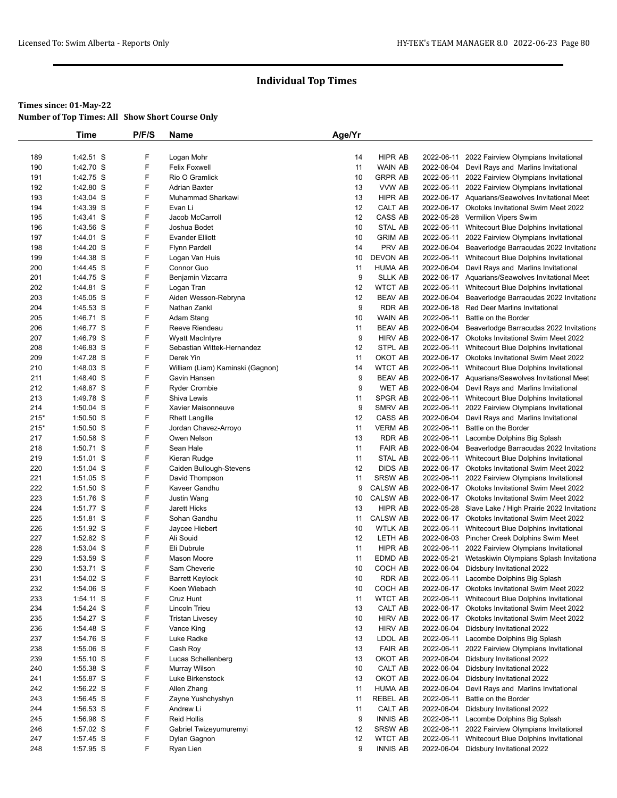|            | Time        | P/F/S | Name                             | Age/Yr |                           |            |                                                       |
|------------|-------------|-------|----------------------------------|--------|---------------------------|------------|-------------------------------------------------------|
|            |             |       |                                  |        |                           |            |                                                       |
| 189        | $1:42.51$ S | F     | Logan Mohr                       | 14     | HIPR AB                   | 2022-06-11 | 2022 Fairview Olympians Invitational                  |
| 190        | 1:42.70 S   | F     | <b>Felix Foxwell</b>             | 11     | WAIN AB                   |            | 2022-06-04 Devil Rays and Marlins Invitational        |
| 191        | 1:42.75 S   | F     | Rio O Gramlick                   | 10     | GRPR AB                   |            | 2022-06-11 2022 Fairview Olympians Invitational       |
| 192        | 1:42.80 S   | F     | <b>Adrian Baxter</b>             | 13     | VVW AB                    |            | 2022-06-11 2022 Fairview Olympians Invitational       |
| 193        | 1:43.04 S   | F     | Muhammad Sharkawi                | 13     | HIPR AB                   |            | 2022-06-17 Aquarians/Seawolves Invitational Meet      |
| 194        | 1:43.39 S   | F     | Evan Li                          | 12     | CALT AB                   |            | 2022-06-17 Okotoks Invitational Swim Meet 2022        |
| 195        | 1:43.41 S   | F     | Jacob McCarroll                  | 12     | CASS AB                   |            | 2022-05-28 Vermilion Vipers Swim                      |
| 196        | 1:43.56 S   | F     | Joshua Bodet                     | 10     | STAL AB                   |            | 2022-06-11 Whitecourt Blue Dolphins Invitational      |
| 197        | 1:44.01 S   | F     | <b>Evander Elliott</b>           | 10     | <b>GRIM AB</b>            | 2022-06-11 | 2022 Fairview Olympians Invitational                  |
| 198        | 1:44.20 S   | F     | <b>Flynn Pardell</b>             | 14     | PRV AB                    |            | 2022-06-04 Beaverlodge Barracudas 2022 Invitationa    |
| 199        | 1:44.38 S   | F     | Logan Van Huis                   | 10     | DEVON AB                  |            | 2022-06-11 Whitecourt Blue Dolphins Invitational      |
| 200        | 1:44.45 S   | F     | Connor Guo                       | 11     | <b>HUMA AB</b>            |            | 2022-06-04 Devil Rays and Marlins Invitational        |
| 201        | 1:44.75 S   | F     | Benjamin Vizcarra                | 9      | <b>SLLK AB</b>            |            | 2022-06-17 Aquarians/Seawolves Invitational Meet      |
|            |             | F     |                                  | 12     |                           |            |                                                       |
| 202<br>203 | 1:44.81 S   | F     | Logan Tran                       | 12     | WTCT AB<br><b>BEAV AB</b> |            | 2022-06-11 Whitecourt Blue Dolphins Invitational      |
|            | 1:45.05 S   |       | Aiden Wesson-Rebryna             |        |                           |            | 2022-06-04 Beaverlodge Barracudas 2022 Invitationa    |
| 204        | 1:45.53 S   | F     | Nathan Zankl                     | 9      | <b>RDR AB</b>             |            | 2022-06-18 Red Deer Marlins Invitational              |
| 205        | 1:46.71 S   | F     | Adam Stang                       | 10     | WAIN AB                   | 2022-06-11 | Battle on the Border                                  |
| 206        | 1:46.77 S   | F     | Reeve Riendeau                   | 11     | <b>BEAV AB</b>            |            | 2022-06-04 Beaverlodge Barracudas 2022 Invitationa    |
| 207        | 1:46.79 S   | F     | <b>Wyatt MacIntyre</b>           | 9      | <b>HIRV AB</b>            |            | 2022-06-17 Okotoks Invitational Swim Meet 2022        |
| 208        | 1:46.83 S   | F     | Sebastian Wittek-Hernandez       | 12     | STPL AB                   |            | 2022-06-11 Whitecourt Blue Dolphins Invitational      |
| 209        | 1:47.28 S   | F     | Derek Yin                        | 11     | OKOT AB                   |            | 2022-06-17 Okotoks Invitational Swim Meet 2022        |
| 210        | 1:48.03 S   | F     | William (Liam) Kaminski (Gagnon) | 14     | <b>WTCT AB</b>            |            | 2022-06-11 Whitecourt Blue Dolphins Invitational      |
| 211        | 1:48.40 S   | F     | Gavin Hansen                     | 9      | <b>BEAV AB</b>            |            | 2022-06-17 Aquarians/Seawolves Invitational Meet      |
| 212        | 1:48.87 S   | F     | <b>Ryder Crombie</b>             | 9      | <b>WET AB</b>             |            | 2022-06-04 Devil Rays and Marlins Invitational        |
| 213        | 1:49.78 S   | F     | Shiva Lewis                      | 11     | SPGR AB                   |            | 2022-06-11 Whitecourt Blue Dolphins Invitational      |
| 214        | $1:50.04$ S | F     | Xavier Maisonneuve               | 9      | SMRV AB                   |            | 2022-06-11 2022 Fairview Olympians Invitational       |
| $215*$     | $1:50.50$ S | F     | <b>Rhett Langille</b>            | 12     | CASS AB                   |            | 2022-06-04 Devil Rays and Marlins Invitational        |
| $215*$     | $1:50.50$ S | F     | Jordan Chavez-Arroyo             | 11     | <b>VERM AB</b>            | 2022-06-11 | Battle on the Border                                  |
| 217        | $1:50.58$ S | F     | Owen Nelson                      | 13     | <b>RDR AB</b>             |            | 2022-06-11 Lacombe Dolphins Big Splash                |
| 218        | 1:50.71 S   | F     | Sean Hale                        | 11     | <b>FAIR AB</b>            |            | 2022-06-04 Beaverlodge Barracudas 2022 Invitationa    |
| 219        | $1:51.01$ S | F     | Kieran Rudge                     | 11     | <b>STAL AB</b>            |            | 2022-06-11 Whitecourt Blue Dolphins Invitational      |
| 220        | $1:51.04$ S | F     | Caiden Bullough-Stevens          | 12     | <b>DIDS AB</b>            |            | 2022-06-17 Okotoks Invitational Swim Meet 2022        |
| 221        | $1:51.05$ S | F     | David Thompson                   | 11     | <b>SRSW AB</b>            | 2022-06-11 | 2022 Fairview Olympians Invitational                  |
| 222        | $1:51.50$ S | F     | Kaveer Gandhu                    | 9      | <b>CALSW AB</b>           |            | 2022-06-17 Okotoks Invitational Swim Meet 2022        |
| 223        | 1:51.76 S   | F     | Justin Wang                      | 10     | <b>CALSW AB</b>           |            | 2022-06-17 Okotoks Invitational Swim Meet 2022        |
| 224        | 1:51.77 S   | F     | Jarett Hicks                     | 13     | HIPR AB                   |            | 2022-05-28 Slave Lake / High Prairie 2022 Invitationa |
| 225        | $1:51.81$ S | F     | Sohan Gandhu                     | 11     | <b>CALSW AB</b>           |            | 2022-06-17 Okotoks Invitational Swim Meet 2022        |
| 226        | 1:51.92 S   | F     | Jaycee Hiebert                   | 10     | WTLK AB                   |            | 2022-06-11 Whitecourt Blue Dolphins Invitational      |
| 227        | 1:52.82 S   | F     | Ali Souid                        | 12     | LETH AB                   |            | 2022-06-03 Pincher Creek Dolphins Swim Meet           |
| 228        | $1:53.04$ S | F     | Eli Dubrule                      | 11     | HIPR AB                   |            | 2022-06-11 2022 Fairview Olympians Invitational       |
| 229        | 1:53.59 S   | F     | <b>Mason Moore</b>               | 11     | EDMD AB                   | 2022-05-21 | Wetaskiwin Olympians Splash Invitationa               |
| 230        | 1:53.71 S   | F     | Sam Cheverie                     | 10     | COCH AB                   |            | 2022-06-04 Didsbury Invitational 2022                 |
| 231        | 1:54.02 S   | F     | <b>Barrett Keylock</b>           | 10     | <b>RDR AB</b>             |            | 2022-06-11 Lacombe Dolphins Big Splash                |
| 232        | 1:54.06 S   | F     | Koen Wiebach                     | 10     | COCH AB                   |            | 2022-06-17 Okotoks Invitational Swim Meet 2022        |
| 233        | 1:54.11 S   | F     | Cruz Hunt                        | 11     | <b>WTCT AB</b>            |            | 2022-06-11 Whitecourt Blue Dolphins Invitational      |
| 234        | 1:54.24 S   | F     | Lincoln Trieu                    | 13     | CALT AB                   |            | 2022-06-17 Okotoks Invitational Swim Meet 2022        |
| 235        | 1:54.27 S   | F     | <b>Tristan Livesey</b>           | 10     | <b>HIRV AB</b>            |            | 2022-06-17 Okotoks Invitational Swim Meet 2022        |
| 236        | 1:54.48 S   | F     | Vance King                       | 13     | <b>HIRV AB</b>            |            | 2022-06-04 Didsbury Invitational 2022                 |
| 237        | 1:54.76 S   | F     | Luke Radke                       | 13     | LDOL AB                   |            | 2022-06-11 Lacombe Dolphins Big Splash                |
| 238        | 1:55.06 S   | F     | Cash Roy                         | 13     | <b>FAIR AB</b>            | 2022-06-11 | 2022 Fairview Olympians Invitational                  |
| 239        | $1:55.10$ S | F     | Lucas Schellenberg               | 13     | OKOT AB                   |            | 2022-06-04 Didsbury Invitational 2022                 |
| 240        | 1:55.38 S   | F     | Murray Wilson                    | 10     | CALT AB                   |            | 2022-06-04 Didsbury Invitational 2022                 |
| 241        | 1:55.87 S   | F     | Luke Birkenstock                 | 13     | OKOT AB                   |            | 2022-06-04 Didsbury Invitational 2022                 |
| 242        | $1:56.22$ S | F     | Allen Zhang                      | 11     | <b>HUMA AB</b>            |            | 2022-06-04 Devil Rays and Marlins Invitational        |
| 243        | 1:56.45 S   | F     | Zayne Yushchyshyn                | 11     | REBEL AB                  | 2022-06-11 | Battle on the Border                                  |
| 244        | 1:56.53 S   | F     | Andrew Li                        | 11     | CALT AB                   |            | 2022-06-04 Didsbury Invitational 2022                 |
|            |             | F     |                                  |        | <b>INNIS AB</b>           |            |                                                       |
| 245        | 1:56.98 S   |       | <b>Reid Hollis</b>               | 9      |                           |            | 2022-06-11 Lacombe Dolphins Big Splash                |
| 246        | 1:57.02 S   | F     | Gabriel Twizeyumuremyi           | 12     | <b>SRSW AB</b>            |            | 2022-06-11 2022 Fairview Olympians Invitational       |
| 247        | 1:57.45 S   | F     | Dylan Gagnon                     | 12     | <b>WTCT AB</b>            |            | 2022-06-11 Whitecourt Blue Dolphins Invitational      |
| 248        | 1:57.95 S   | F     | Ryan Lien                        | 9      | <b>INNIS AB</b>           |            | 2022-06-04 Didsbury Invitational 2022                 |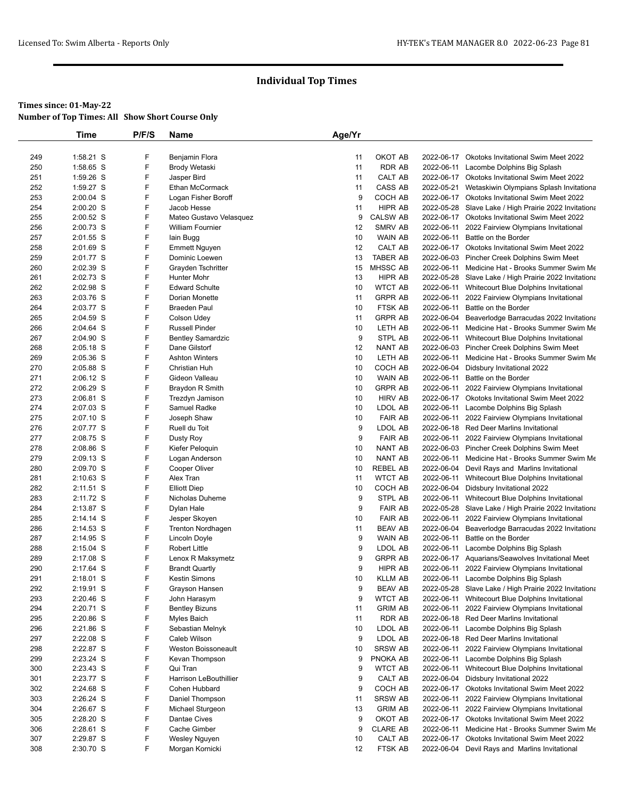|     | Time        | P/F/S | Name                     | Age/Yr |                 |            |                                                       |
|-----|-------------|-------|--------------------------|--------|-----------------|------------|-------------------------------------------------------|
|     |             |       |                          |        |                 |            |                                                       |
| 249 | 1:58.21 S   | F     | Benjamin Flora           | 11     | OKOT AB         |            | 2022-06-17 Okotoks Invitational Swim Meet 2022        |
| 250 | 1:58.65 S   | F     | <b>Brody Wetaski</b>     | 11     | <b>RDR AB</b>   | 2022-06-11 | Lacombe Dolphins Big Splash                           |
| 251 | 1:59.26 S   | F     | Jasper Bird              | 11     | CALT AB         |            | 2022-06-17 Okotoks Invitational Swim Meet 2022        |
| 252 | 1:59.27 S   | F     | Ethan McCormack          | 11     | CASS AB         | 2022-05-21 | Wetaskiwin Olympians Splash Invitationa               |
| 253 | 2:00.04 S   | F     | Logan Fisher Boroff      | 9      | COCH AB         |            | 2022-06-17 Okotoks Invitational Swim Meet 2022        |
| 254 | 2:00.20 S   | F     | Jacob Hesse              | 11     | <b>HIPR AB</b>  |            | 2022-05-28 Slave Lake / High Prairie 2022 Invitationa |
| 255 | 2:00.52 S   | F     | Mateo Gustavo Velasquez  | 9      | <b>CALSW AB</b> |            | 2022-06-17 Okotoks Invitational Swim Meet 2022        |
| 256 | 2:00.73 S   | F     | William Fournier         | 12     | SMRV AB         | 2022-06-11 | 2022 Fairview Olympians Invitational                  |
| 257 | 2:01.55 S   | F     | lain Bugg                | 10     | <b>WAIN AB</b>  | 2022-06-11 | Battle on the Border                                  |
| 258 | 2:01.69 S   | F     | <b>Emmett Nguyen</b>     | 12     | CALT AB         |            | 2022-06-17 Okotoks Invitational Swim Meet 2022        |
| 259 | 2:01.77 S   | F     | Dominic Loewen           | 13     | <b>TABER AB</b> |            | 2022-06-03 Pincher Creek Dolphins Swim Meet           |
| 260 | 2:02.39 S   | F     | Grayden Tschritter       | 15     | <b>MHSSC AB</b> |            | 2022-06-11 Medicine Hat - Brooks Summer Swim Me       |
| 261 | 2:02.73 S   | F     | Hunter Mohr              | 13     | HIPR AB         |            | 2022-05-28 Slave Lake / High Prairie 2022 Invitationa |
| 262 | 2:02.98 S   | F     | <b>Edward Schulte</b>    | 10     | <b>WTCT AB</b>  |            | 2022-06-11 Whitecourt Blue Dolphins Invitational      |
| 263 | 2:03.76 S   | F     | Dorian Monette           | 11     | <b>GRPR AB</b>  |            | 2022-06-11 2022 Fairview Olympians Invitational       |
| 264 | 2:03.77 S   | F     | <b>Braeden Paul</b>      | 10     | FTSK AB         | 2022-06-11 | Battle on the Border                                  |
| 265 | 2:04.59 S   | F     | Colson Udey              | 11     | <b>GRPR AB</b>  | 2022-06-04 | Beaverlodge Barracudas 2022 Invitationa               |
| 266 | 2:04.64 S   | F     | <b>Russell Pinder</b>    | 10     | LETH AB         | 2022-06-11 | Medicine Hat - Brooks Summer Swim Me                  |
| 267 | 2:04.90 S   | F     | <b>Bentley Samardzic</b> | 9      | <b>STPL AB</b>  |            | 2022-06-11 Whitecourt Blue Dolphins Invitational      |
| 268 | 2:05.18 S   | F     | Dane Gilstorf            | 12     | NANT AB         |            | 2022-06-03 Pincher Creek Dolphins Swim Meet           |
| 269 | 2:05.36 S   | F     | <b>Ashton Winters</b>    | 10     | LETH AB         |            | 2022-06-11 Medicine Hat - Brooks Summer Swim Me       |
| 270 | 2:05.88 S   | F     | Christian Huh            | 10     | COCH AB         |            | 2022-06-04 Didsbury Invitational 2022                 |
| 271 | 2:06.12 S   | F     | Gideon Valleau           | 10     | <b>WAIN AB</b>  | 2022-06-11 | Battle on the Border                                  |
| 272 | 2:06.29 S   | F     | Braydon R Smith          | 10     | <b>GRPR AB</b>  |            | 2022-06-11 2022 Fairview Olympians Invitational       |
| 273 | 2:06.81 S   | F     | Trezdyn Jamison          | 10     | <b>HIRV AB</b>  |            | 2022-06-17 Okotoks Invitational Swim Meet 2022        |
| 274 | 2:07.03 S   | F     | Samuel Radke             | 10     | LDOL AB         |            | 2022-06-11 Lacombe Dolphins Big Splash                |
| 275 | 2:07.10 S   | F     | Joseph Shaw              | 10     | <b>FAIR AB</b>  |            | 2022-06-11 2022 Fairview Olympians Invitational       |
| 276 | 2:07.77 S   | F     | Ruell du Toit            | 9      | LDOL AB         |            | 2022-06-18 Red Deer Marlins Invitational              |
| 277 | 2:08.75 S   | F     | Dusty Roy                | 9      | <b>FAIR AB</b>  | 2022-06-11 | 2022 Fairview Olympians Invitational                  |
| 278 | 2:08.86 S   | F     | Kiefer Peloquin          | 10     | NANT AB         |            | 2022-06-03 Pincher Creek Dolphins Swim Meet           |
| 279 | 2:09.13 S   | F     | Logan Anderson           | 10     | <b>NANT AB</b>  | 2022-06-11 | Medicine Hat - Brooks Summer Swim Me                  |
| 280 | 2:09.70 S   | F     | Cooper Oliver            | 10     | <b>REBEL AB</b> |            | 2022-06-04 Devil Rays and Marlins Invitational        |
| 281 | $2:10.63$ S | F     | Alex Tran                | 11     | <b>WTCT AB</b>  |            | 2022-06-11 Whitecourt Blue Dolphins Invitational      |
| 282 | 2:11.51 S   | F     | <b>Elliott Diep</b>      | 10     | COCH AB         |            | 2022-06-04 Didsbury Invitational 2022                 |
| 283 | 2:11.72 S   | F     | Nicholas Duheme          | 9      | STPL AB         |            | 2022-06-11 Whitecourt Blue Dolphins Invitational      |
| 284 | 2:13.87 S   | F     | Dylan Hale               | 9      | <b>FAIR AB</b>  |            | 2022-05-28 Slave Lake / High Prairie 2022 Invitationa |
| 285 | 2:14.14 S   | F     | Jesper Skoyen            | 10     | <b>FAIR AB</b>  | 2022-06-11 | 2022 Fairview Olympians Invitational                  |
| 286 | $2:14.53$ S | F     | Trenton Nordhagen        | 11     | <b>BEAV AB</b>  |            | 2022-06-04 Beaverlodge Barracudas 2022 Invitationa    |
| 287 | 2:14.95 S   | F     | Lincoln Doyle            | 9      | <b>WAIN AB</b>  | 2022-06-11 | Battle on the Border                                  |
| 288 | 2:15.04 S   | F     | <b>Robert Little</b>     | 9      | LDOL AB         | 2022-06-11 | Lacombe Dolphins Big Splash                           |
| 289 | 2:17.08 S   | F     | Lenox R Maksymetz        | 9      | <b>GRPR AB</b>  |            | 2022-06-17 Aquarians/Seawolves Invitational Meet      |
| 290 | 2:17.64 S   | F     | <b>Brandt Quartly</b>    | 9      | HIPR AB         | 2022-06-11 | 2022 Fairview Olympians Invitational                  |
| 291 | 2:18.01 S   | F     | Kestin Simons            | 10     | <b>KLLM AB</b>  |            | 2022-06-11 Lacombe Dolphins Big Splash                |
| 292 | 2:19.91 S   | F     | Grayson Hansen           | 9      | <b>BEAV AB</b>  |            | 2022-05-28 Slave Lake / High Prairie 2022 Invitationa |
| 293 | 2:20.46 S   | F     | John Harasym             | 9      | <b>WTCT AB</b>  | 2022-06-11 | Whitecourt Blue Dolphins Invitational                 |
| 294 | 2:20.71 S   | F     | <b>Bentley Bizuns</b>    | 11     | <b>GRIM AB</b>  | 2022-06-11 | 2022 Fairview Olympians Invitational                  |
| 295 | 2:20.86 S   | F     | Myles Baich              | 11     | RDR AB          |            | 2022-06-18 Red Deer Marlins Invitational              |
| 296 | 2:21.86 S   | F     | Sebastian Melnyk         | 10     | LDOL AB         | 2022-06-11 | Lacombe Dolphins Big Splash                           |
| 297 | 2:22.08 S   | F     | Caleb Wilson             | 9      | LDOL AB         |            | 2022-06-18 Red Deer Marlins Invitational              |
| 298 | 2:22.87 S   | F     | Weston Boissoneault      | 10     | <b>SRSW AB</b>  | 2022-06-11 | 2022 Fairview Olympians Invitational                  |
| 299 | 2:23.24 S   | F     | Kevan Thompson           | 9      | PNOKA AB        | 2022-06-11 | Lacombe Dolphins Big Splash                           |
| 300 | 2:23.43 S   | F     | Qui Tran                 | 9      | <b>WTCT AB</b>  | 2022-06-11 | Whitecourt Blue Dolphins Invitational                 |
| 301 | 2:23.77 S   | F     | Harrison LeBouthillier   | 9      | CALT AB         |            | 2022-06-04 Didsbury Invitational 2022                 |
| 302 | 2:24.68 S   | F     | Cohen Hubbard            | 9      | COCH AB         |            | 2022-06-17 Okotoks Invitational Swim Meet 2022        |
| 303 | 2:26.24 S   | F     | Daniel Thompson          | 11     | <b>SRSW AB</b>  | 2022-06-11 | 2022 Fairview Olympians Invitational                  |
| 304 | 2:26.67 S   | F     | Michael Sturgeon         | 13     | <b>GRIM AB</b>  |            | 2022-06-11 2022 Fairview Olympians Invitational       |
| 305 | 2:28.20 S   | F     | Dantae Cives             | 9      | OKOT AB         |            | 2022-06-17 Okotoks Invitational Swim Meet 2022        |
| 306 | 2:28.61 S   | F     | Cache Gimber             | 9      | <b>CLARE AB</b> | 2022-06-11 | Medicine Hat - Brooks Summer Swim Me                  |
| 307 | 2:29.87 S   | F     | Wesley Nguyen            | 10     | CALT AB         |            | 2022-06-17 Okotoks Invitational Swim Meet 2022        |
| 308 | 2:30.70 S   | F     | Morgan Kornicki          | 12     | FTSK AB         |            | 2022-06-04 Devil Rays and Marlins Invitational        |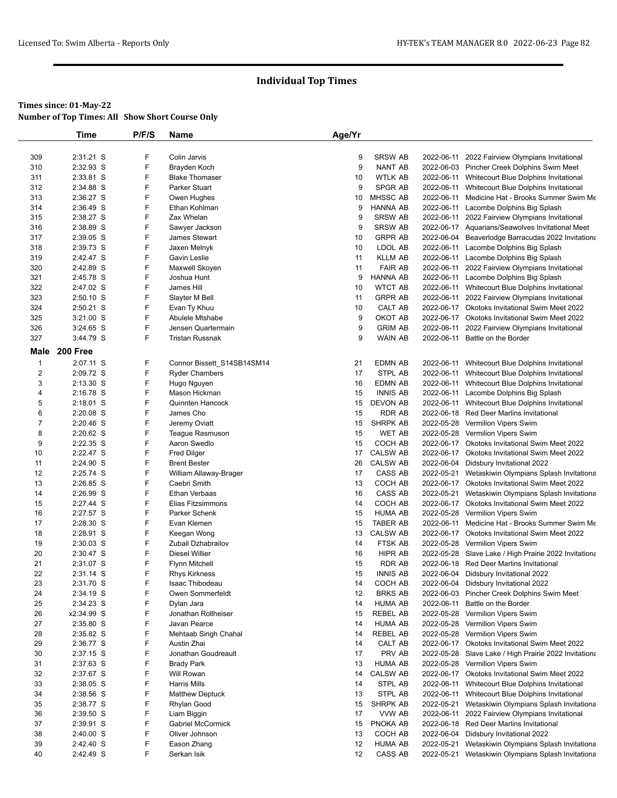|                | <b>Time</b> | P/F/S | Name                       | Age/Yr |                 |            |                                                       |
|----------------|-------------|-------|----------------------------|--------|-----------------|------------|-------------------------------------------------------|
|                |             |       |                            |        |                 |            |                                                       |
| 309            | 2:31.21 S   | F     | Colin Jarvis               | 9      | <b>SRSW AB</b>  | 2022-06-11 | 2022 Fairview Olympians Invitational                  |
| 310            | 2:32.93 S   | F     | Brayden Koch               | 9      | <b>NANT AB</b>  |            | 2022-06-03 Pincher Creek Dolphins Swim Meet           |
| 311            | 2:33.81 S   | F     | <b>Blake Thomaser</b>      | 10     | <b>WTLK AB</b>  |            | 2022-06-11 Whitecourt Blue Dolphins Invitational      |
| 312            | 2:34.88 S   | F     | Parker Stuart              | 9      | SPGR AB         |            | 2022-06-11 Whitecourt Blue Dolphins Invitational      |
| 313            | 2:36.27 S   | F     | Owen Hughes                | 10     | MHSSC AB        |            | 2022-06-11 Medicine Hat - Brooks Summer Swim Me       |
| 314            | 2:36.49 S   | F     | Ethan Kohlman              | 9      | <b>HANNA AB</b> |            | 2022-06-11 Lacombe Dolphins Big Splash                |
| 315            | 2:38.27 S   | F     | Zax Whelan                 | 9      | <b>SRSW AB</b>  |            | 2022-06-11 2022 Fairview Olympians Invitational       |
| 316            | 2:38.89 S   | F     | Sawyer Jackson             | 9      | <b>SRSW AB</b>  |            | 2022-06-17 Aquarians/Seawolves Invitational Meet      |
| 317            | 2:39.05 S   | F     | James Stewart              | 10     | <b>GRPR AB</b>  |            | 2022-06-04 Beaverlodge Barracudas 2022 Invitationa    |
| 318            | 2:39.73 S   | F     | Jaxen Melnyk               | 10     | LDOL AB         |            | 2022-06-11 Lacombe Dolphins Big Splash                |
| 319            | 2:42.47 S   | F     | Gavin Leslie               | 11     | <b>KLLM AB</b>  |            | 2022-06-11 Lacombe Dolphins Big Splash                |
| 320            | 2:42.89 S   | F     | Maxwell Skoyen             | 11     | <b>FAIR AB</b>  |            | 2022-06-11 2022 Fairview Olympians Invitational       |
| 321            | 2:45.78 S   | F     | Joshua Hunt                | 9      | <b>HANNA AB</b> |            | 2022-06-11 Lacombe Dolphins Big Splash                |
| 322            | 2:47.02 S   | F     | James Hill                 | 10     | <b>WTCT AB</b>  |            | 2022-06-11 Whitecourt Blue Dolphins Invitational      |
| 323            | 2:50.10 S   | F     | Slayter M Bell             | 11     | <b>GRPR AB</b>  |            | 2022-06-11 2022 Fairview Olympians Invitational       |
| 324            | 2:50.21 S   | F     | Evan Ty Khuu               | 10     | CALT AB         |            | 2022-06-17 Okotoks Invitational Swim Meet 2022        |
| 325            | 3:21.00 S   | F     | Abulele Mtshabe            | 9      | OKOT AB         |            | 2022-06-17 Okotoks Invitational Swim Meet 2022        |
| 326            | $3:24.65$ S | F     | Jensen Quartermain         | 9      | <b>GRIM AB</b>  | 2022-06-11 | 2022 Fairview Olympians Invitational                  |
| 327            | 3:44.79 S   | F     | <b>Tristan Russnak</b>     | 9      | <b>WAIN AB</b>  | 2022-06-11 | Battle on the Border                                  |
| Male           | 200 Free    |       |                            |        |                 |            |                                                       |
| $\mathbf{1}$   | 2:07.11 S   | F     | Connor Bissett_S14SB14SM14 | 21     | <b>EDMN AB</b>  |            | 2022-06-11 Whitecourt Blue Dolphins Invitational      |
| $\overline{2}$ | 2:09.72 S   | F     | <b>Ryder Chambers</b>      | 17     | STPL AB         |            | 2022-06-11 Whitecourt Blue Dolphins Invitational      |
| 3              | 2:13.30 S   | F     | Hugo Nguyen                | 16     | EDMN AB         |            | 2022-06-11 Whitecourt Blue Dolphins Invitational      |
| $\overline{4}$ | 2:16.78 S   | F     | Mason Hickman              | 15     | <b>INNIS AB</b> |            | 2022-06-11 Lacombe Dolphins Big Splash                |
| 5              | 2:18.01 S   | F     | Quinnten Hancock           | 15     | <b>DEVON AB</b> |            | 2022-06-11 Whitecourt Blue Dolphins Invitational      |
| 6              | 2:20.08 S   | F     | James Cho                  | 15     | <b>RDR AB</b>   |            | 2022-06-18 Red Deer Marlins Invitational              |
| $\overline{7}$ | 2:20.46 S   | F     | Jeremy Oviatt              | 15     | <b>SHRPK AB</b> |            | 2022-05-28 Vermilion Vipers Swim                      |
| 8              | 2:20.62 S   | F     | Teague Rasmuson            | 15     | <b>WET AB</b>   |            | 2022-05-28 Vermilion Vipers Swim                      |
| 9              | 2:22.35 S   | F     | Aaron Swedlo               | 15     | COCH AB         |            | 2022-06-17 Okotoks Invitational Swim Meet 2022        |
| 10             | 2:22.47 S   | F     | <b>Fred Dilger</b>         | 17     | <b>CALSW AB</b> | 2022-06-17 | Okotoks Invitational Swim Meet 2022                   |
| 11             | 2:24.90 S   | F     | <b>Brent Bester</b>        | 26     | CALSW AB        |            | 2022-06-04 Didsbury Invitational 2022                 |
| 12             | 2:25.74 S   | F     | William Allaway-Brager     | 17     | CASS AB         | 2022-05-21 | Wetaskiwin Olympians Splash Invitationa               |
| 13             | 2:26.85 S   | F     | Caebri Smith               | 13     | COCH AB         |            | 2022-06-17 Okotoks Invitational Swim Meet 2022        |
| 14             | 2:26.99 S   | F     | Ethan Verbaas              | 16     | CASS AB         |            | 2022-05-21 Wetaskiwin Olympians Splash Invitationa    |
| 15             | 2:27.44 S   | F     | Elias Fitzsimmons          | 14     | COCH AB         |            | 2022-06-17 Okotoks Invitational Swim Meet 2022        |
| 16             | 2:27.57 S   | F     | Parker Schenk              | 15     | <b>HUMA AB</b>  |            | 2022-05-28 Vermilion Vipers Swim                      |
| 17             | 2:28.30 S   | F     | Evan Klemen                | 15     | TABER AB        |            | 2022-06-11 Medicine Hat - Brooks Summer Swim Me       |
| 18             | 2:28.91 S   | F     | Keegan Wong                | 13     | <b>CALSW AB</b> |            | 2022-06-17 Okotoks Invitational Swim Meet 2022        |
| 19             | 2:30.03 S   | F     | Zubail Dzhabrailov         | 14     | FTSK AB         |            | 2022-05-28 Vermilion Vipers Swim                      |
| 20             | 2:30.47 S   | F     | <b>Diesel Willier</b>      | 16     | HIPR AB         |            | 2022-05-28 Slave Lake / High Prairie 2022 Invitationa |
| 21             | 2:31.07 S   | F     | <b>Flynn Mitchell</b>      | 15     | <b>RDR AB</b>   | 2022-06-18 | Red Deer Marlins Invitational                         |
| 22             | 2:31.14 S   | F     | <b>Rhys Kirkness</b>       | 15     | <b>INNIS AB</b> |            | 2022-06-04 Didsbury Invitational 2022                 |
| 23             | 2:31.70 S   | F     | Isaac Thibodeau            | 14     | COCH AB         |            | 2022-06-04 Didsbury Invitational 2022                 |
| 24             | 2:34.19 S   | F     | Owen Sommerfeldt           | 12     | <b>BRKS AB</b>  |            | 2022-06-03 Pincher Creek Dolphins Swim Meet           |
| 25             | 2:34.23 S   | F     | Dylan Jara                 | 14     | <b>HUMA AB</b>  | 2022-06-11 | Battle on the Border                                  |
| 26             | x2:34.99 S  | F     | Jonathan Rollheiser        | 15     | REBEL AB        | 2022-05-28 | Vermilion Vipers Swim                                 |
| 27             | 2:35.80 S   | F     | Javan Pearce               | 14     | <b>HUMA AB</b>  |            | 2022-05-28 Vermilion Vipers Swim                      |
| 28             | 2:35.82 S   | F     | Mehtaab Singh Chahal       | 14     | REBEL AB        |            | 2022-05-28 Vermilion Vipers Swim                      |
| 29             | 2:36.77 S   | F     | Austin Zhai                | 14     | CALT AB         |            | 2022-06-17 Okotoks Invitational Swim Meet 2022        |
| 30             | 2:37.15 S   | F     | Jonathan Goudreault        | 17     | PRV AB          |            | 2022-05-28 Slave Lake / High Prairie 2022 Invitationa |
| 31             | 2:37.63 S   | F     | <b>Brady Park</b>          | 13     | <b>HUMA AB</b>  |            | 2022-05-28 Vermilion Vipers Swim                      |
| 32             | 2:37.67 S   | F     | Will Rowan                 | 14     | CALSW AB        |            | 2022-06-17 Okotoks Invitational Swim Meet 2022        |
| 33             | 2:38.05 S   | F     | <b>Harris Mills</b>        | 14     | STPL AB         | 2022-06-11 | Whitecourt Blue Dolphins Invitational                 |
| 34             | 2:38.56 S   | F     | <b>Matthew Deptuck</b>     | 13     | STPL AB         |            | 2022-06-11 Whitecourt Blue Dolphins Invitational      |
| 35             | 2:38.77 S   | F     | Rhylan Good                | 15     | SHRPK AB        | 2022-05-21 | Wetaskiwin Olympians Splash Invitationa               |
| 36             | 2:39.50 S   | F     | Liam Biggin                | 17     | VVW AB          | 2022-06-11 | 2022 Fairview Olympians Invitational                  |
| 37             | 2:39.91 S   | F     | <b>Gabriel McCormick</b>   | 15     | PNOKA AB        |            | 2022-06-18 Red Deer Marlins Invitational              |
| 38             | 2:40.00 S   | F     | Oliver Johnson             | 13     | COCH AB         | 2022-06-04 | Didsbury Invitational 2022                            |
| 39             | 2:42.40 S   | F     | Eason Zhang                | 12     | <b>HUMA AB</b>  | 2022-05-21 | Wetaskiwin Olympians Splash Invitationa               |
| 40             | 2:42.49 S   | F     | Serkan Isik                | 12     | CASS AB         |            | 2022-05-21 Wetaskiwin Olympians Splash Invitationa    |
|                |             |       |                            |        |                 |            |                                                       |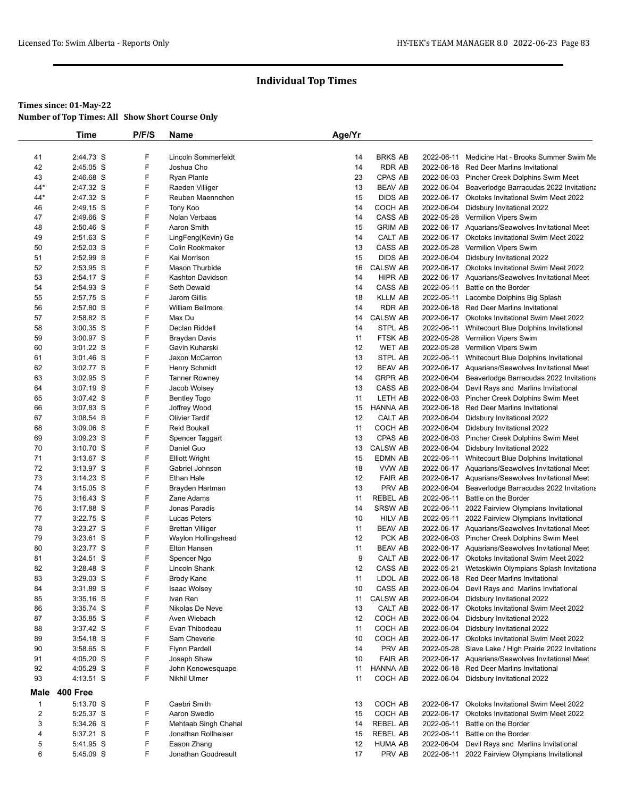|                | Time        | P/F/S  | <b>Name</b>                           | Age/Yr |                 |            |                                                       |
|----------------|-------------|--------|---------------------------------------|--------|-----------------|------------|-------------------------------------------------------|
|                |             |        |                                       |        |                 |            |                                                       |
| 41             | 2:44.73 S   | F      | Lincoln Sommerfeldt                   | 14     | <b>BRKS AB</b>  |            | 2022-06-11 Medicine Hat - Brooks Summer Swim Me       |
| 42             | 2:45.05 S   | F      | Joshua Cho                            | 14     | <b>RDR AB</b>   |            | 2022-06-18 Red Deer Marlins Invitational              |
| 43             | 2:46.68 S   | F      | <b>Ryan Plante</b>                    | 23     | CPAS AB         |            | 2022-06-03 Pincher Creek Dolphins Swim Meet           |
| $44*$          | 2:47.32 S   | F      | Raeden Villiger                       | 13     | <b>BEAV AB</b>  |            | 2022-06-04 Beaverlodge Barracudas 2022 Invitationa    |
| $44*$          | 2:47.32 S   | F      | Reuben Maennchen                      | 15     | <b>DIDS AB</b>  |            | 2022-06-17 Okotoks Invitational Swim Meet 2022        |
| 46             | 2:49.15 S   | F      | Tony Koo                              | 14     | COCH AB         |            | 2022-06-04 Didsbury Invitational 2022                 |
| 47             | 2:49.66 S   | F      | Nolan Verbaas                         | 14     | CASS AB         |            | 2022-05-28 Vermilion Vipers Swim                      |
| 48             | 2:50.46 S   | F      | Aaron Smith                           | 15     | <b>GRIM AB</b>  |            | 2022-06-17 Aquarians/Seawolves Invitational Meet      |
| 49             | 2:51.63 S   | F      | LingFeng(Kevin) Ge                    | 14     | CALT AB         |            | 2022-06-17 Okotoks Invitational Swim Meet 2022        |
| 50             | 2:52.03 S   | F      | Colin Rookmaker                       | 13     | CASS AB         |            | 2022-05-28 Vermilion Vipers Swim                      |
| 51             | 2:52.99 S   | F<br>F | Kai Morrison<br><b>Mason Thurbide</b> | 15     | <b>DIDS AB</b>  |            | 2022-06-04 Didsbury Invitational 2022                 |
| 52             | 2:53.95 S   |        |                                       | 16     | <b>CALSW AB</b> |            | 2022-06-17 Okotoks Invitational Swim Meet 2022        |
| 53             | 2:54.17 S   | F      | Kashton Davidson                      | 14     | HIPR AB         |            | 2022-06-17 Aquarians/Seawolves Invitational Meet      |
| 54             | 2:54.93 S   | F      | Seth Dewald                           | 14     | CASS AB         |            | 2022-06-11 Battle on the Border                       |
| 55             | 2:57.75 S   | F      | Jarom Gillis                          | 18     | <b>KLLM AB</b>  |            | 2022-06-11 Lacombe Dolphins Big Splash                |
| 56             | 2:57.80 S   | F      | <b>William Bellmore</b>               | 14     | <b>RDR AB</b>   |            | 2022-06-18 Red Deer Marlins Invitational              |
| 57             | 2:58.82 S   | F      | Max Du                                | 14     | <b>CALSW AB</b> |            | 2022-06-17 Okotoks Invitational Swim Meet 2022        |
| 58             | $3:00.35$ S | F      | Declan Riddell                        | 14     | STPL AB         |            | 2022-06-11 Whitecourt Blue Dolphins Invitational      |
| 59             | 3:00.97 S   | F      | Braydan Davis                         | 11     | <b>FTSK AB</b>  |            | 2022-05-28 Vermilion Vipers Swim                      |
| 60             | 3:01.22 S   | F      | Gavin Kuharski                        | 12     | WET AB          |            | 2022-05-28 Vermilion Vipers Swim                      |
| 61             | $3:01.46$ S | F      | Jaxon McCarron                        | 13     | STPL AB         |            | 2022-06-11 Whitecourt Blue Dolphins Invitational      |
| 62             | 3:02.77 S   | F      | Henry Schmidt                         | 12     | <b>BEAV AB</b>  |            | 2022-06-17 Aquarians/Seawolves Invitational Meet      |
| 63             | $3:02.95$ S | F      | <b>Tanner Rowney</b>                  | 14     | <b>GRPR AB</b>  |            | 2022-06-04 Beaverlodge Barracudas 2022 Invitationa    |
| 64             | 3:07.19 S   | F      | Jacob Wolsey                          | 13     | CASS AB         |            | 2022-06-04 Devil Rays and Marlins Invitational        |
| 65             | 3:07.42 S   | F      | <b>Bentley Togo</b>                   | 11     | LETH AB         |            | 2022-06-03 Pincher Creek Dolphins Swim Meet           |
| 66             | 3:07.83 S   | F      | Joffrey Wood                          | 15     | HANNA AB        |            | 2022-06-18 Red Deer Marlins Invitational              |
| 67             | 3:08.54 S   | F      | <b>Olivier Tardif</b>                 | 12     | CALT AB         |            | 2022-06-04 Didsbury Invitational 2022                 |
| 68             | 3:09.06 S   | F      | <b>Reid Boukall</b>                   | 11     | COCH AB         |            | 2022-06-04 Didsbury Invitational 2022                 |
| 69             | $3:09.23$ S | F      | Spencer Taggart                       | 13     | CPAS AB         |            | 2022-06-03 Pincher Creek Dolphins Swim Meet           |
| 70             | 3:10.70 S   | F      | Daniel Guo                            | 13     | <b>CALSW AB</b> |            | 2022-06-04 Didsbury Invitational 2022                 |
| 71             | 3:13.67 S   | F      | <b>Elliott Wright</b>                 | 15     | EDMN AB         |            | 2022-06-11 Whitecourt Blue Dolphins Invitational      |
| 72             | $3:13.97$ S | F      | Gabriel Johnson                       | 18     | VVW AB          |            | 2022-06-17 Aquarians/Seawolves Invitational Meet      |
| 73             | $3:14.23$ S | F      | <b>Ethan Hale</b>                     | 12     | <b>FAIR AB</b>  |            | 2022-06-17 Aquarians/Seawolves Invitational Meet      |
| 74             | $3:15.05$ S | F      | Brayden Hartman                       | 13     | PRV AB          |            | 2022-06-04 Beaverlodge Barracudas 2022 Invitationa    |
| 75             | $3:16.43$ S | F      | Zane Adams                            | 11     | <b>REBEL AB</b> |            | 2022-06-11 Battle on the Border                       |
| 76             | 3:17.88 S   | F      | Jonas Paradis                         | 14     | <b>SRSW AB</b>  |            | 2022-06-11 2022 Fairview Olympians Invitational       |
| 77             | 3:22.75 S   | F      | Lucas Peters                          | 10     | HILV AB         |            | 2022-06-11 2022 Fairview Olympians Invitational       |
| 78             | 3:23.27 S   | F      | <b>Brettan Villiger</b>               | 11     | <b>BEAV AB</b>  |            | 2022-06-17 Aquarians/Seawolves Invitational Meet      |
| 79             | 3:23.61 S   | F      | Waylon Hollingshead                   | 12     | PCK AB          |            | 2022-06-03 Pincher Creek Dolphins Swim Meet           |
| 80             | 3:23.77 S   | F      | Elton Hansen                          | 11     | <b>BEAV AB</b>  |            | 2022-06-17 Aquarians/Seawolves Invitational Meet      |
| 81             | 3:24.51 S   | F      | Spencer Ngo                           | 9      | CALT AB         |            | 2022-06-17 Okotoks Invitational Swim Meet 2022        |
| 82             | 3:28.48 S   | F      | Lincoln Shank                         | 12     | CASS AB         |            | 2022-05-21 Wetaskiwin Olympians Splash Invitationa    |
| 83             | $3:29.03$ S | F      | Brody Kane                            | 11     | LDOL AB         |            | 2022-06-18 Red Deer Marlins Invitational              |
| 84             | 3:31.89 S   | F      | <b>Isaac Wolsey</b>                   | 10     | CASS AB         |            | 2022-06-04 Devil Rays and Marlins Invitational        |
| 85             | $3:35.16$ S | F      | Ivan Ren                              | 11     | <b>CALSW AB</b> |            | 2022-06-04 Didsbury Invitational 2022                 |
| 86             | 3:35.74 S   | F      | Nikolas De Neve                       | 13     | CALT AB         |            | 2022-06-17 Okotoks Invitational Swim Meet 2022        |
| 87             | 3:35.85 S   | F      | Aven Wiebach                          | 12     | COCH AB         |            | 2022-06-04 Didsbury Invitational 2022                 |
| 88             | $3:37.42$ S | F      | Evan Thibodeau                        | 11     | COCH AB         |            | 2022-06-04 Didsbury Invitational 2022                 |
| 89             | 3:54.18 S   | F      | Sam Cheverie                          | 10     | COCH AB         |            | 2022-06-17 Okotoks Invitational Swim Meet 2022        |
| 90             | 3:58.65 S   | F      | <b>Flynn Pardell</b>                  | 14     | PRV AB          |            | 2022-05-28 Slave Lake / High Prairie 2022 Invitationa |
| 91             | 4:05.20 S   | F      | Joseph Shaw                           | 10     | <b>FAIR AB</b>  |            | 2022-06-17 Aquarians/Seawolves Invitational Meet      |
| 92             | 4:05.29 S   | F      | John Kenowesquape                     | 11     | <b>HANNA AB</b> |            | 2022-06-18 Red Deer Marlins Invitational              |
| 93             | 4:13.51 S   | F      | Nikhil Ulmer                          | 11     | COCH AB         |            | 2022-06-04 Didsbury Invitational 2022                 |
| Male           | 400 Free    |        |                                       |        |                 |            |                                                       |
| $\mathbf{1}$   | 5:13.70 S   | F      | Caebri Smith                          | 13     | COCH AB         |            | 2022-06-17 Okotoks Invitational Swim Meet 2022        |
| $\overline{2}$ | 5:25.37 S   | F      | Aaron Swedlo                          | 15     | COCH AB         |            | 2022-06-17 Okotoks Invitational Swim Meet 2022        |
| 3              | 5:34.26 S   | F      | Mehtaab Singh Chahal                  | 14     | <b>REBEL AB</b> |            | 2022-06-11 Battle on the Border                       |
| 4              | 5:37.21 S   | F      | Jonathan Rollheiser                   | 15     | <b>REBEL AB</b> | 2022-06-11 | Battle on the Border                                  |
| 5              | 5:41.95 S   | F      | Eason Zhang                           | 12     | <b>HUMA AB</b>  |            | 2022-06-04 Devil Rays and Marlins Invitational        |
| 6              | 5:45.09 S   | F      | Jonathan Goudreault                   | 17     | PRV AB          |            | 2022-06-11 2022 Fairview Olympians Invitational       |
|                |             |        |                                       |        |                 |            |                                                       |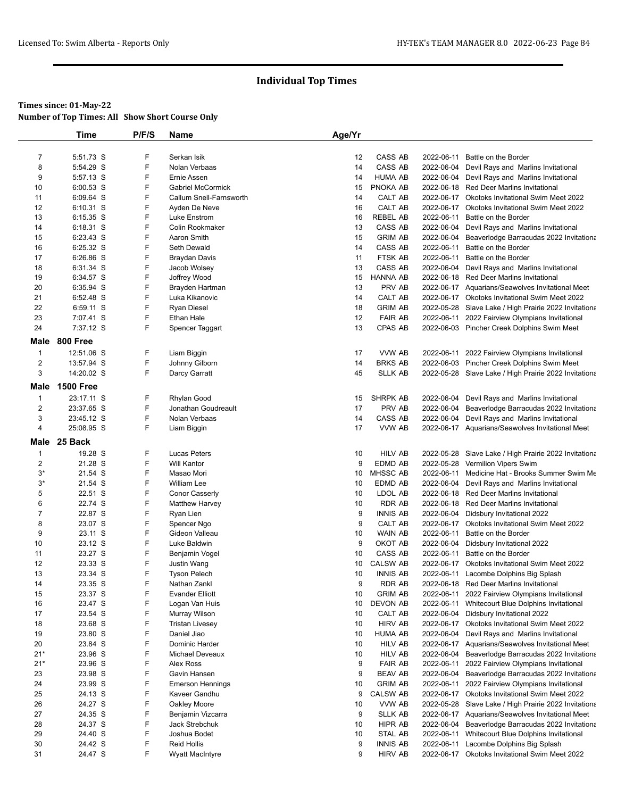|                | <b>Time</b>            | P/F/S  | Name                                   | Age/Yr   |                            |            |                                                                                    |
|----------------|------------------------|--------|----------------------------------------|----------|----------------------------|------------|------------------------------------------------------------------------------------|
|                |                        |        |                                        |          |                            |            |                                                                                    |
| $\overline{7}$ | 5:51.73 S              | F      | Serkan Isik                            | 12       | CASS AB                    | 2022-06-11 | Battle on the Border                                                               |
| 8              | 5:54.29 S              | F      | Nolan Verbaas                          | 14       | CASS AB                    |            | 2022-06-04 Devil Rays and Marlins Invitational                                     |
| 9              | 5:57.13 S              | F      | Ernie Assen                            | 14       | <b>HUMA AB</b>             |            | 2022-06-04 Devil Rays and Marlins Invitational                                     |
| 10             | 6:00.53 S              | F      | Gabriel McCormick                      | 15       | PNOKA AB                   |            | 2022-06-18 Red Deer Marlins Invitational                                           |
| 11             | 6:09.64 S              | F      | Callum Snell-Farnsworth                | 14       | CALT AB                    |            | 2022-06-17 Okotoks Invitational Swim Meet 2022                                     |
| 12             | 6:10.31 S              | F      | Ayden De Neve                          | 16       | CALT AB                    |            | 2022-06-17 Okotoks Invitational Swim Meet 2022                                     |
| 13             | 6:15.35 S<br>6:18.31 S | F<br>F | Luke Enstrom<br>Colin Rookmaker        | 16<br>13 | <b>REBEL AB</b><br>CASS AB | 2022-06-11 | Battle on the Border<br>2022-06-04 Devil Rays and Marlins Invitational             |
| 14<br>15       | 6:23.43 S              | F      | Aaron Smith                            | 15       | <b>GRIM AB</b>             | 2022-06-04 | Beaverlodge Barracudas 2022 Invitationa                                            |
| 16             | 6:25.32 S              | F      | Seth Dewald                            | 14       | CASS AB                    | 2022-06-11 | Battle on the Border                                                               |
| 17             | 6:26.86 S              | F      | Braydan Davis                          | 11       | <b>FTSK AB</b>             | 2022-06-11 | Battle on the Border                                                               |
| 18             | 6:31.34 S              | F      | Jacob Wolsey                           | 13       | CASS AB                    |            | 2022-06-04 Devil Rays and Marlins Invitational                                     |
| 19             | 6:34.57 S              | F      | Joffrey Wood                           | 15       | <b>HANNA AB</b>            |            | 2022-06-18 Red Deer Marlins Invitational                                           |
| 20             | 6:35.94 S              | F      | Brayden Hartman                        | 13       | PRV AB                     |            | 2022-06-17 Aquarians/Seawolves Invitational Meet                                   |
| 21             | 6:52.48 S              | F      | Luka Kikanovic                         | 14       | CALT AB                    |            | 2022-06-17 Okotoks Invitational Swim Meet 2022                                     |
| 22             | 6:59.11 S              | F      | <b>Ryan Diesel</b>                     | 18       | <b>GRIM AB</b>             |            | 2022-05-28 Slave Lake / High Prairie 2022 Invitationa                              |
| 23             | 7:07.41 S              | F      | Ethan Hale                             | 12       | <b>FAIR AB</b>             |            | 2022-06-11 2022 Fairview Olympians Invitational                                    |
| 24             | 7:37.12 S              | F      | Spencer Taggart                        | 13       | <b>CPAS AB</b>             |            | 2022-06-03 Pincher Creek Dolphins Swim Meet                                        |
| Male           | <b>800 Free</b>        |        |                                        |          |                            |            |                                                                                    |
| $\mathbf{1}$   | 12:51.06 S             | F      | Liam Biggin                            | 17       | VVW AB                     |            | 2022-06-11 2022 Fairview Olympians Invitational                                    |
| 2              | 13:57.94 S             | F      | Johnny Gilborn                         | 14       | <b>BRKS AB</b>             |            | 2022-06-03 Pincher Creek Dolphins Swim Meet                                        |
| 3              | 14:20.02 S             | F      | Darcy Garratt                          | 45       | <b>SLLK AB</b>             |            | 2022-05-28 Slave Lake / High Prairie 2022 Invitationa                              |
| Male           | <b>1500 Free</b>       |        |                                        |          |                            |            |                                                                                    |
| $\mathbf{1}$   | 23:17.11 S             | F      | Rhylan Good                            | 15       | SHRPK AB                   |            | 2022-06-04 Devil Rays and Marlins Invitational                                     |
| 2              | 23:37.65 S             | F      | Jonathan Goudreault                    | 17       | PRV AB                     | 2022-06-04 | Beaverlodge Barracudas 2022 Invitationa                                            |
| 3              | 23:45.12 S             | F      | Nolan Verbaas                          | 14       | CASS AB                    |            | 2022-06-04 Devil Rays and Marlins Invitational                                     |
| 4              | 25:08.95 S             | F      | Liam Biggin                            | 17       | VVW AB                     |            | 2022-06-17 Aquarians/Seawolves Invitational Meet                                   |
| Male           | 25 Back                |        |                                        |          |                            |            |                                                                                    |
| $\mathbf 1$    | 19.28 S                | F      | <b>Lucas Peters</b>                    | 10       | <b>HILV AB</b>             |            | 2022-05-28 Slave Lake / High Prairie 2022 Invitationa                              |
| 2              | 21.28 S                | F      | <b>Will Kantor</b>                     | 9        | EDMD AB                    |            | 2022-05-28 Vermilion Vipers Swim                                                   |
| $3^*$          | 21.54 S                | F      | Masao Mori                             | 10       | MHSSC AB                   | 2022-06-11 | Medicine Hat - Brooks Summer Swim Me                                               |
| $3^*$          | 21.54 S                | F      | <b>William Lee</b>                     | 10       | EDMD AB                    | 2022-06-04 | Devil Rays and Marlins Invitational                                                |
| 5              | 22.51 S                | F      | Conor Casserly                         | 10       | LDOL AB                    |            | 2022-06-18 Red Deer Marlins Invitational                                           |
| 6              | 22.74 S                | F      | <b>Matthew Harvey</b>                  | 10       | <b>RDR AB</b>              |            | 2022-06-18 Red Deer Marlins Invitational                                           |
| $\overline{7}$ | 22.87 S                | F      | Ryan Lien                              | 9        | <b>INNIS AB</b>            |            | 2022-06-04 Didsbury Invitational 2022                                              |
| 8              | 23.07 S                | F      | Spencer Ngo                            | 9        | CALT AB                    |            | 2022-06-17 Okotoks Invitational Swim Meet 2022                                     |
| 9              | 23.11 S                | F      | Gideon Valleau                         | 10       | <b>WAIN AB</b>             | 2022-06-11 | Battle on the Border                                                               |
| 10             | 23.12 S                | F      | Luke Baldwin                           | 9        | OKOT AB                    | 2022-06-04 | Didsbury Invitational 2022                                                         |
| 11             | 23.27 S                | F      | Benjamin Vogel                         | 10       | CASS AB                    | 2022-06-11 | Battle on the Border                                                               |
| 12             | 23.33 S                | F<br>F | Justin Wang                            | 10       | <b>CALSW AB</b>            | 2022-06-17 | <b>Okotoks Invitational Swim Meet 2022</b>                                         |
| 13             | 23.34 S<br>23.35 S     | F      | <b>Tyson Pelech</b>                    | 10<br>9  | <b>INNIS AB</b><br>RDR AB  |            | 2022-06-11 Lacombe Dolphins Big Splash<br>2022-06-18 Red Deer Marlins Invitational |
| 14<br>15       | 23.37 S                | F      | Nathan Zankl<br><b>Evander Elliott</b> | 10       | <b>GRIM AB</b>             | 2022-06-11 | 2022 Fairview Olympians Invitational                                               |
| 16             | 23.47 S                | F      | Logan Van Huis                         | 10       | DEVON AB                   | 2022-06-11 | Whitecourt Blue Dolphins Invitational                                              |
| 17             | 23.54 S                | F      | Murray Wilson                          | 10       | CALT AB                    |            | 2022-06-04 Didsbury Invitational 2022                                              |
| 18             | 23.68 S                | F      | <b>Tristan Livesey</b>                 | 10       | <b>HIRV AB</b>             |            | 2022-06-17 Okotoks Invitational Swim Meet 2022                                     |
| 19             | 23.80 S                | F      | Daniel Jiao                            | 10       | <b>HUMA AB</b>             | 2022-06-04 | Devil Rays and Marlins Invitational                                                |
| 20             | 23.84 S                | F      | Dominic Harder                         | 10       | <b>HILV AB</b>             |            | 2022-06-17 Aquarians/Seawolves Invitational Meet                                   |
| $21*$          | 23.96 S                | F      | Michael Deveaux                        | 10       | <b>HILV AB</b>             | 2022-06-04 | Beaverlodge Barracudas 2022 Invitationa                                            |
| $21*$          | 23.96 S                | F      | Alex Ross                              | 9        | <b>FAIR AB</b>             | 2022-06-11 | 2022 Fairview Olympians Invitational                                               |
| 23             | 23.98 S                | F      | Gavin Hansen                           | 9        | <b>BEAV AB</b>             | 2022-06-04 | Beaverlodge Barracudas 2022 Invitationa                                            |
| 24             | 23.99 S                | F      | <b>Emerson Hennings</b>                | 10       | <b>GRIM AB</b>             | 2022-06-11 | 2022 Fairview Olympians Invitational                                               |
| 25             | 24.13 S                | F      | Kaveer Gandhu                          | 9        | <b>CALSW AB</b>            |            | 2022-06-17 Okotoks Invitational Swim Meet 2022                                     |
| 26             | 24.27 S                | F      | Oakley Moore                           | 10       | VVW AB                     | 2022-05-28 | Slave Lake / High Prairie 2022 Invitationa                                         |
| 27             | 24.35 S                | F      | Benjamin Vizcarra                      | 9        | <b>SLLK AB</b>             |            | 2022-06-17 Aquarians/Seawolves Invitational Meet                                   |
| 28             | 24.37 S                | F      | <b>Jack Strebchuk</b>                  | 10       | HIPR AB                    | 2022-06-04 | Beaverlodge Barracudas 2022 Invitationa                                            |
| 29             | 24.40 S                | F      | Joshua Bodet                           | 10       | STAL AB                    | 2022-06-11 | Whitecourt Blue Dolphins Invitational                                              |
| 30             | 24.42 S                | F      | <b>Reid Hollis</b>                     | 9        | <b>INNIS AB</b>            | 2022-06-11 | Lacombe Dolphins Big Splash                                                        |
| 31             | 24.47 S                | F      | Wyatt MacIntyre                        | 9        | <b>HIRV AB</b>             |            | 2022-06-17 Okotoks Invitational Swim Meet 2022                                     |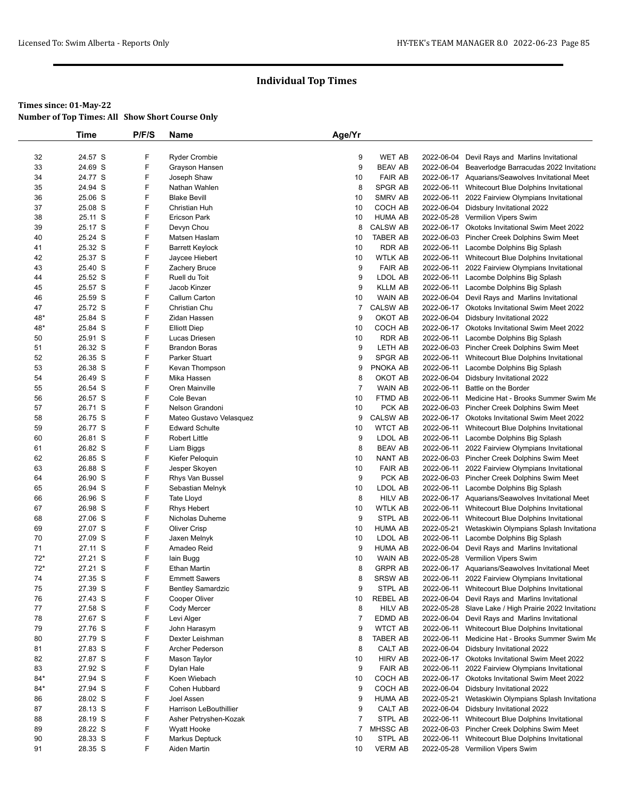|       | Time    | P/F/S | <b>Name</b>              | Age/Yr         |                 |            |                                                       |
|-------|---------|-------|--------------------------|----------------|-----------------|------------|-------------------------------------------------------|
|       |         |       |                          |                |                 |            |                                                       |
| 32    | 24.57 S | F     | <b>Ryder Crombie</b>     | 9              | WET AB          | 2022-06-04 | Devil Rays and Marlins Invitational                   |
| 33    | 24.69 S | F     | Grayson Hansen           | 9              | <b>BEAV AB</b>  | 2022-06-04 | Beaverlodge Barracudas 2022 Invitationa               |
| 34    | 24.77 S | F     | Joseph Shaw              | 10             | <b>FAIR AB</b>  |            | 2022-06-17 Aquarians/Seawolves Invitational Meet      |
| 35    | 24.94 S | F     | Nathan Wahlen            | 8              | <b>SPGR AB</b>  |            | 2022-06-11 Whitecourt Blue Dolphins Invitational      |
| 36    | 25.06 S | F     | <b>Blake Bevill</b>      | 10             | SMRV AB         |            | 2022-06-11 2022 Fairview Olympians Invitational       |
| 37    | 25.08 S | F     | Christian Huh            | 10             | COCH AB         |            | 2022-06-04 Didsbury Invitational 2022                 |
| 38    | 25.11 S | F     | <b>Ericson Park</b>      | 10             | <b>HUMA AB</b>  |            | 2022-05-28 Vermilion Vipers Swim                      |
| 39    | 25.17 S | F     | Devyn Chou               | 8              | <b>CALSW AB</b> |            | 2022-06-17 Okotoks Invitational Swim Meet 2022        |
| 40    | 25.24 S | F     | Matsen Haslam            | 10             | <b>TABER AB</b> |            | 2022-06-03 Pincher Creek Dolphins Swim Meet           |
| 41    | 25.32 S | F     | <b>Barrett Keylock</b>   | 10             | RDR AB          |            | 2022-06-11 Lacombe Dolphins Big Splash                |
| 42    | 25.37 S | F     | Jaycee Hiebert           | 10             | <b>WTLK AB</b>  |            | 2022-06-11 Whitecourt Blue Dolphins Invitational      |
| 43    | 25.40 S | F     | Zachery Bruce            | 9              | <b>FAIR AB</b>  |            | 2022-06-11 2022 Fairview Olympians Invitational       |
| 44    | 25.52 S | F     | Ruell du Toit            | 9              | LDOL AB         |            | 2022-06-11 Lacombe Dolphins Big Splash                |
| 45    | 25.57 S | F     | Jacob Kinzer             | 9              | <b>KLLM AB</b>  |            | 2022-06-11 Lacombe Dolphins Big Splash                |
| 46    | 25.59 S | F     | Callum Carton            | 10             | <b>WAIN AB</b>  |            | 2022-06-04 Devil Rays and Marlins Invitational        |
| 47    | 25.72 S | F     | Christian Chu            | 7              | <b>CALSW AB</b> |            | 2022-06-17 Okotoks Invitational Swim Meet 2022        |
| 48*   | 25.84 S | F     | Zidan Hassen             | 9              | OKOT AB         | 2022-06-04 | Didsbury Invitational 2022                            |
| 48*   | 25.84 S | F     | <b>Elliott Diep</b>      | 10             | COCH AB         |            | 2022-06-17 Okotoks Invitational Swim Meet 2022        |
| 50    | 25.91 S | F     | Lucas Driesen            | 10             | RDR AB          |            | 2022-06-11 Lacombe Dolphins Big Splash                |
| 51    | 26.32 S | F     | <b>Brandon Boras</b>     | 9              | LETH AB         |            | 2022-06-03 Pincher Creek Dolphins Swim Meet           |
| 52    | 26.35 S | F     | Parker Stuart            | 9              | <b>SPGR AB</b>  |            | 2022-06-11 Whitecourt Blue Dolphins Invitational      |
| 53    | 26.38 S | F     | Kevan Thompson           | 9              | PNOKA AB        | 2022-06-11 | Lacombe Dolphins Big Splash                           |
| 54    | 26.49 S | F     | Mika Hassen              | 8              | OKOT AB         |            | 2022-06-04 Didsbury Invitational 2022                 |
| 55    | 26.54 S | F     | Oren Mainville           | $\overline{7}$ | <b>WAIN AB</b>  |            | 2022-06-11 Battle on the Border                       |
| 56    | 26.57 S | F     | Cole Bevan               | 10             | FTMD AB         |            | 2022-06-11 Medicine Hat - Brooks Summer Swim Me       |
| 57    | 26.71 S | F     | Nelson Grandoni          | 10             | PCK AB          |            | 2022-06-03 Pincher Creek Dolphins Swim Meet           |
| 58    | 26.75 S | F     | Mateo Gustavo Velasquez  | 9              | <b>CALSW AB</b> |            | 2022-06-17 Okotoks Invitational Swim Meet 2022        |
| 59    | 26.77 S | F     | <b>Edward Schulte</b>    | 10             | <b>WTCT AB</b>  |            | 2022-06-11 Whitecourt Blue Dolphins Invitational      |
| 60    | 26.81 S | F     | <b>Robert Little</b>     | 9              | LDOL AB         |            | 2022-06-11 Lacombe Dolphins Big Splash                |
| 61    | 26.82 S | F     | Liam Biggs               | 8              | <b>BEAV AB</b>  |            | 2022-06-11 2022 Fairview Olympians Invitational       |
| 62    | 26.85 S | F     | Kiefer Peloquin          | 10             | <b>NANT AB</b>  |            | 2022-06-03 Pincher Creek Dolphins Swim Meet           |
| 63    | 26.88 S | F     | Jesper Skoyen            | 10             | <b>FAIR AB</b>  | 2022-06-11 | 2022 Fairview Olympians Invitational                  |
| 64    | 26.90 S | F     | Rhys Van Bussel          | 9              | PCK AB          |            | 2022-06-03 Pincher Creek Dolphins Swim Meet           |
| 65    | 26.94 S | F     | Sebastian Melnyk         | 10             | LDOL AB         |            | 2022-06-11 Lacombe Dolphins Big Splash                |
| 66    | 26.96 S | F     | Tate Lloyd               | 8              | <b>HILV AB</b>  |            | 2022-06-17 Aquarians/Seawolves Invitational Meet      |
| 67    | 26.98 S | F     | <b>Rhys Hebert</b>       | 10             | <b>WTLK AB</b>  |            | 2022-06-11 Whitecourt Blue Dolphins Invitational      |
| 68    | 27.06 S | F     | Nicholas Duheme          | 9              | STPL AB         |            | 2022-06-11 Whitecourt Blue Dolphins Invitational      |
| 69    | 27.07 S | F     | <b>Oliver Crisp</b>      | 10             | <b>HUMA AB</b>  |            | 2022-05-21 Wetaskiwin Olympians Splash Invitationa    |
| 70    | 27.09 S | F     | Jaxen Melnyk             | 10             | LDOL AB         |            | 2022-06-11 Lacombe Dolphins Big Splash                |
| 71    | 27.11 S | F     | Amadeo Reid              | 9              | <b>HUMA AB</b>  |            | 2022-06-04 Devil Rays and Marlins Invitational        |
| $72*$ | 27.21 S | F     | lain Bugg                | 10             | <b>WAIN AB</b>  |            | 2022-05-28 Vermilion Vipers Swim                      |
| $72*$ | 27.21 S | F     | Ethan Martin             | 8              | <b>GRPR AB</b>  |            | 2022-06-17 Aquarians/Seawolves Invitational Meet      |
| 74    | 27.35 S | F     | <b>Emmett Sawers</b>     | 8              | <b>SRSW AB</b>  |            | 2022-06-11 2022 Fairview Olympians Invitational       |
| 75    | 27.39 S | F     | <b>Bentley Samardzic</b> | 9              | STPL AB         |            | 2022-06-11 Whitecourt Blue Dolphins Invitational      |
| 76    | 27.43 S | F     | Cooper Oliver            | 10             | <b>REBEL AB</b> | 2022-06-04 | Devil Rays and Marlins Invitational                   |
| 77    | 27.58 S | F     | Cody Mercer              | 8              | <b>HILV AB</b>  |            | 2022-05-28 Slave Lake / High Prairie 2022 Invitationa |
| 78    | 27.67 S | F     | Levi Alger               | $\overline{7}$ | EDMD AB         |            | 2022-06-04 Devil Rays and Marlins Invitational        |
| 79    | 27.76 S | F     | John Harasym             | 9              | <b>WTCT AB</b>  |            | 2022-06-11 Whitecourt Blue Dolphins Invitational      |
| 80    | 27.79 S | F     | Dexter Leishman          | 8              | <b>TABER AB</b> |            | 2022-06-11 Medicine Hat - Brooks Summer Swim Me       |
| 81    | 27.83 S | F     | Archer Pederson          | 8              | CALT AB         |            | 2022-06-04 Didsbury Invitational 2022                 |
| 82    | 27.87 S | F     | Mason Taylor             | 10             | <b>HIRV AB</b>  |            | 2022-06-17 Okotoks Invitational Swim Meet 2022        |
| 83    | 27.92 S | F     | Dylan Hale               | 9              | <b>FAIR AB</b>  | 2022-06-11 | 2022 Fairview Olympians Invitational                  |
| $84*$ | 27.94 S | F     | Koen Wiebach             | 10             | COCH AB         |            | 2022-06-17 Okotoks Invitational Swim Meet 2022        |
| 84*   | 27.94 S | F     | Cohen Hubbard            | 9              | COCH AB         | 2022-06-04 | Didsbury Invitational 2022                            |
| 86    | 28.02 S | F     | Joel Assen               | 9              | <b>HUMA AB</b>  | 2022-05-21 | Wetaskiwin Olympians Splash Invitationa               |
| 87    | 28.13 S | F     | Harrison LeBouthillier   | 9              | CALT AB         |            | 2022-06-04 Didsbury Invitational 2022                 |
| 88    | 28.19 S | F     | Asher Petryshen-Kozak    | 7              | STPL AB         | 2022-06-11 | Whitecourt Blue Dolphins Invitational                 |
| 89    | 28.22 S | F     | Wyatt Hooke              | 7              | MHSSC AB        |            | 2022-06-03 Pincher Creek Dolphins Swim Meet           |
| 90    | 28.33 S | F     | Markus Deptuck           | 10             | STPL AB         |            | 2022-06-11 Whitecourt Blue Dolphins Invitational      |
|       |         | F     |                          |                | <b>VERM AB</b>  |            |                                                       |
| 91    | 28.35 S |       | Aiden Martin             | 10             |                 |            | 2022-05-28 Vermilion Vipers Swim                      |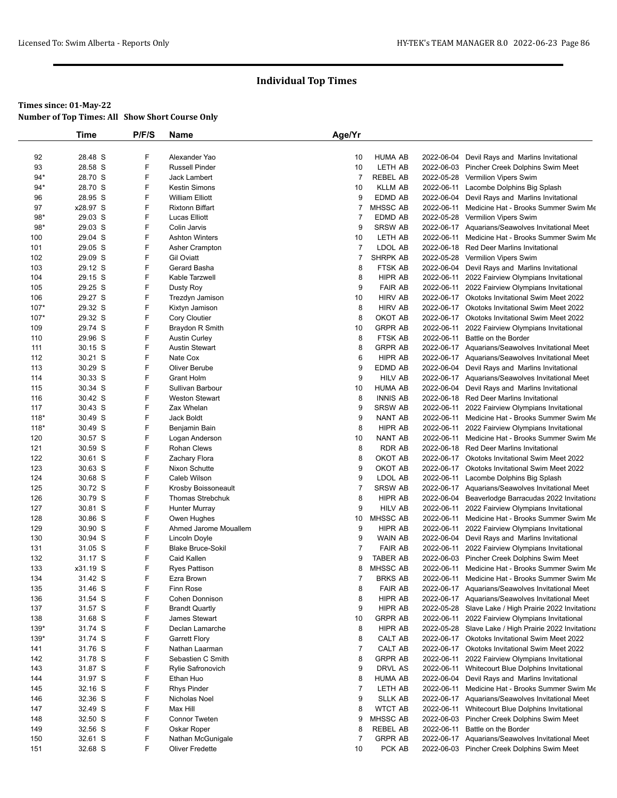|            | Time               | P/F/S  | Name                              | Age/Yr              |                     |            |                                                                                        |
|------------|--------------------|--------|-----------------------------------|---------------------|---------------------|------------|----------------------------------------------------------------------------------------|
|            |                    |        |                                   |                     |                     |            |                                                                                        |
| 92         | 28.48 S            | F      | Alexander Yao                     | 10                  | <b>HUMA AB</b>      |            | 2022-06-04 Devil Rays and Marlins Invitational                                         |
| 93         | 28.58 S            | F      | <b>Russell Pinder</b>             | 10                  | LETH AB             |            | 2022-06-03 Pincher Creek Dolphins Swim Meet                                            |
| $94*$      | 28.70 S            | F      | Jack Lambert                      | $\overline{7}$      | <b>REBEL AB</b>     |            | 2022-05-28 Vermilion Vipers Swim                                                       |
| 94*        | 28.70 S            | F      | <b>Kestin Simons</b>              | 10                  | <b>KLLM AB</b>      |            | 2022-06-11 Lacombe Dolphins Big Splash                                                 |
| 96         | 28.95 S            | F      | <b>William Elliott</b>            | 9                   | EDMD AB             |            | 2022-06-04 Devil Rays and Marlins Invitational                                         |
| 97         | x28.97 S           | F      | <b>Rixtonn Biffart</b>            | $\overline{7}$      | <b>MHSSC AB</b>     |            | 2022-06-11 Medicine Hat - Brooks Summer Swim Me                                        |
| $98*$      | 29.03 S            | F      | Lucas Elliott                     | $\overline{7}$      | EDMD AB             |            | 2022-05-28 Vermilion Vipers Swim                                                       |
| $98*$      | 29.03 S            | F      | Colin Jarvis                      | 9                   | <b>SRSW AB</b>      |            | 2022-06-17 Aquarians/Seawolves Invitational Meet                                       |
| 100        | 29.04 S            | F      | <b>Ashton Winters</b>             | 10                  | LETH AB             | 2022-06-11 | Medicine Hat - Brooks Summer Swim Me                                                   |
| 101        | 29.05 S            | F      | Asher Crampton                    | $\overline{7}$      | LDOL AB             |            | 2022-06-18 Red Deer Marlins Invitational                                               |
| 102<br>103 | 29.09 S<br>29.12 S | F<br>F | <b>Gil Oviatt</b><br>Gerard Basha | $\overline{7}$<br>8 | SHRPK AB<br>FTSK AB | 2022-06-04 | 2022-05-28 Vermilion Vipers Swim                                                       |
| 104        | 29.15 S            | F      | Kable Tarzwell                    | 8                   | HIPR AB             |            | Devil Rays and Marlins Invitational<br>2022-06-11 2022 Fairview Olympians Invitational |
| 105        | 29.25 S            | F      | Dusty Roy                         | 9                   | <b>FAIR AB</b>      | 2022-06-11 | 2022 Fairview Olympians Invitational                                                   |
| 106        | 29.27 S            | F      | Trezdyn Jamison                   | 10                  | <b>HIRV AB</b>      |            | 2022-06-17 Okotoks Invitational Swim Meet 2022                                         |
| $107*$     | 29.32 S            | F      | Kixtyn Jamison                    | 8                   | <b>HIRV AB</b>      |            | 2022-06-17 Okotoks Invitational Swim Meet 2022                                         |
| $107*$     | 29.32 S            | F      | <b>Cory Cloutier</b>              | 8                   | OKOT AB             |            | 2022-06-17 Okotoks Invitational Swim Meet 2022                                         |
| 109        | 29.74 S            | F      | Braydon R Smith                   | 10                  | <b>GRPR AB</b>      | 2022-06-11 | 2022 Fairview Olympians Invitational                                                   |
| 110        | 29.96 S            | F      | <b>Austin Curley</b>              | 8                   | FTSK AB             | 2022-06-11 | Battle on the Border                                                                   |
| 111        | 30.15 S            | F      | <b>Austin Stewart</b>             | 8                   | <b>GRPR AB</b>      |            | 2022-06-17 Aquarians/Seawolves Invitational Meet                                       |
| 112        | 30.21 S            | F      | Nate Cox                          | 6                   | HIPR AB             |            | 2022-06-17 Aquarians/Seawolves Invitational Meet                                       |
| 113        | 30.29 S            | F      | Oliver Berube                     | 9                   | EDMD AB             |            | 2022-06-04 Devil Rays and Marlins Invitational                                         |
| 114        | 30.33 S            | F      | <b>Grant Holm</b>                 | 9                   | <b>HILV AB</b>      |            | 2022-06-17 Aquarians/Seawolves Invitational Meet                                       |
| 115        | 30.34 S            | F      | Sullivan Barbour                  | 10                  | <b>HUMA AB</b>      |            | 2022-06-04 Devil Rays and Marlins Invitational                                         |
| 116        | 30.42 S            | F      | <b>Weston Stewart</b>             | 8                   | <b>INNIS AB</b>     |            | 2022-06-18 Red Deer Marlins Invitational                                               |
| 117        | 30.43 S            | F      | Zax Whelan                        | 9                   | <b>SRSW AB</b>      | 2022-06-11 | 2022 Fairview Olympians Invitational                                                   |
| $118*$     | 30.49 S            | F      | Jack Boldt                        | 9                   | NANT AB             | 2022-06-11 | Medicine Hat - Brooks Summer Swim Me                                                   |
| $118*$     | 30.49 S            | F      | Benjamin Bain                     | 8                   | HIPR AB             | 2022-06-11 | 2022 Fairview Olympians Invitational                                                   |
| 120        | 30.57 S            | F      | Logan Anderson                    | 10                  | NANT AB             | 2022-06-11 | Medicine Hat - Brooks Summer Swim Me                                                   |
| 121        | 30.59 S            | F      | <b>Rohan Clews</b>                | 8                   | <b>RDR AB</b>       |            | 2022-06-18 Red Deer Marlins Invitational                                               |
| 122        | 30.61 S            | F      | Zachary Flora                     | 8                   | OKOT AB             |            | 2022-06-17 Okotoks Invitational Swim Meet 2022                                         |
| 123        | 30.63 S            | F      | Nixon Schutte                     | 9                   | OKOT AB             |            | 2022-06-17 Okotoks Invitational Swim Meet 2022                                         |
| 124        | 30.68 S            | F      | Caleb Wilson                      | 9                   | LDOL AB             | 2022-06-11 | Lacombe Dolphins Big Splash                                                            |
| 125        | 30.72 S            | F      | Krosby Boissoneault               | $\overline{7}$      | SRSW AB             |            | 2022-06-17 Aquarians/Seawolves Invitational Meet                                       |
| 126        | 30.79 S            | F      | Thomas Strebchuk                  | 8                   | <b>HIPR AB</b>      |            | 2022-06-04 Beaverlodge Barracudas 2022 Invitationa                                     |
| 127        | 30.81 S            | F      | Hunter Murray                     | 9                   | <b>HILV AB</b>      | 2022-06-11 | 2022 Fairview Olympians Invitational                                                   |
| 128        | 30.86 S            | F      | Owen Hughes                       | 10                  | MHSSC AB            | 2022-06-11 | Medicine Hat - Brooks Summer Swim Me                                                   |
| 129        | 30.90 S            | F      | Ahmed Jarome Mouallem             | 9                   | HIPR AB             | 2022-06-11 | 2022 Fairview Olympians Invitational                                                   |
| 130        | 30.94 S            | F      | Lincoln Doyle                     | 9                   | WAIN AB             |            | 2022-06-04 Devil Rays and Marlins Invitational                                         |
| 131        | 31.05 S            | F      | <b>Blake Bruce-Sokil</b>          | $\overline{7}$      | <b>FAIR AB</b>      | 2022-06-11 | 2022 Fairview Olympians Invitational                                                   |
| 132        | 31.17 S            | F      | Caid Kallen                       | 9                   | <b>TABER AB</b>     |            | 2022-06-03 Pincher Creek Dolphins Swim Meet                                            |
| 133        | x31.19 S           | F      | Ryes Pattison                     | 8                   | MHSSC AB            | 2022-06-11 | Medicine Hat - Brooks Summer Swim Me                                                   |
| 134        | 31.42 S            | F      | Ezra Brown                        | $\overline{7}$      | BRKS AB             | 2022-06-11 | Medicine Hat - Brooks Summer Swim Me                                                   |
| 135        | 31.46 S            | F      | Finn Rose                         | 8                   | <b>FAIR AB</b>      |            | 2022-06-17 Aquarians/Seawolves Invitational Meet                                       |
| 136        | 31.54 S            | F      | Cohen Donnison                    | 8                   | HIPR AB             |            | 2022-06-17 Aquarians/Seawolves Invitational Meet                                       |
| 137        | 31.57 S            | F      | <b>Brandt Quartly</b>             | 9                   | HIPR AB             |            | 2022-05-28 Slave Lake / High Prairie 2022 Invitationa                                  |
| 138        | 31.68 S            | F      | James Stewart                     | 10                  | <b>GRPR AB</b>      | 2022-06-11 | 2022 Fairview Olympians Invitational                                                   |
| 139*       | 31.74 S            | F      | Declan Lamarche                   | 8                   | HIPR AB             |            | 2022-05-28 Slave Lake / High Prairie 2022 Invitationa                                  |
| $139*$     | 31.74 S            | F      | <b>Garrett Flory</b>              | 8                   | CALT AB             |            | 2022-06-17 Okotoks Invitational Swim Meet 2022                                         |
| 141        | 31.76 S            | F      | Nathan Laarman                    | $\overline{7}$      | CALT AB             |            | 2022-06-17 Okotoks Invitational Swim Meet 2022                                         |
| 142        | 31.78 S            | F      | Sebastien C Smith                 | 8                   | <b>GRPR AB</b>      |            | 2022-06-11 2022 Fairview Olympians Invitational                                        |
| 143        | 31.87 S            | F      | Rylie Safronovich                 | 9                   | DRVL AS             | 2022-06-11 | Whitecourt Blue Dolphins Invitational                                                  |
| 144        | 31.97 S            | F      | Ethan Huo                         | 8                   | <b>HUMA AB</b>      | 2022-06-04 | Devil Rays and Marlins Invitational                                                    |
| 145        | 32.16 S            | F      | Rhys Pinder                       | $\overline{7}$      | LETH AB             | 2022-06-11 | Medicine Hat - Brooks Summer Swim Me                                                   |
| 146        | 32.36 S            | F      | Nicholas Noel                     | 9                   | <b>SLLK AB</b>      |            | 2022-06-17 Aquarians/Seawolves Invitational Meet                                       |
| 147        | 32.49 S            | F      | Max Hill                          | 8                   | <b>WTCT AB</b>      | 2022-06-11 | Whitecourt Blue Dolphins Invitational                                                  |
| 148        | 32.50 S            | F      | <b>Connor Tweten</b>              | 9                   | MHSSC AB            |            | 2022-06-03 Pincher Creek Dolphins Swim Meet                                            |
| 149        | 32.56 S            | F      | Oskar Roper                       | 8                   | <b>REBEL AB</b>     | 2022-06-11 | Battle on the Border                                                                   |
| 150        | 32.61 S            | F      | Nathan McGunigale                 | $\overline{7}$      | <b>GRPR AB</b>      |            | 2022-06-17 Aquarians/Seawolves Invitational Meet                                       |
| 151        | 32.68 S            | F      | Oliver Fredette                   | 10                  | PCK AB              |            | 2022-06-03 Pincher Creek Dolphins Swim Meet                                            |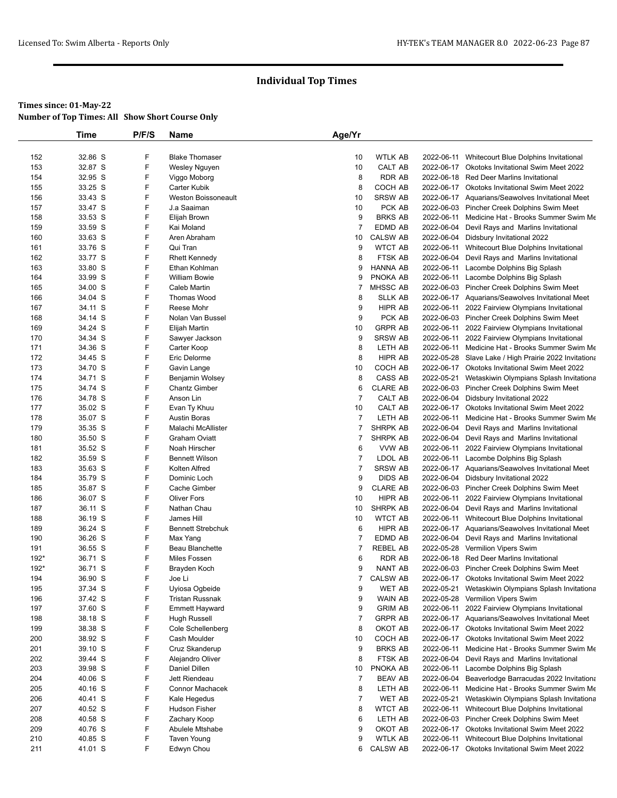|              | Time               | P/F/S  | Name                            | Age/Yr         |                            |            |                                                                                                      |
|--------------|--------------------|--------|---------------------------------|----------------|----------------------------|------------|------------------------------------------------------------------------------------------------------|
|              |                    |        |                                 |                |                            |            |                                                                                                      |
| 152          | 32.86 S            | F      | <b>Blake Thomaser</b>           | 10             | <b>WTLK AB</b>             | 2022-06-11 | Whitecourt Blue Dolphins Invitational                                                                |
| 153          | 32.87 S            | F      | Wesley Nguyen                   | 10             | CALT AB                    |            | 2022-06-17 Okotoks Invitational Swim Meet 2022                                                       |
| 154          | 32.95 S            | F      | Viggo Moborg                    | 8              | <b>RDR AB</b>              |            | 2022-06-18 Red Deer Marlins Invitational                                                             |
| 155          | 33.25 S            | F      | Carter Kubik                    | 8              | COCH AB                    |            | 2022-06-17 Okotoks Invitational Swim Meet 2022                                                       |
| 156          | 33.43 S            | F      | <b>Weston Boissoneault</b>      | 10             | SRSW AB                    |            | 2022-06-17 Aquarians/Seawolves Invitational Meet                                                     |
| 157          | 33.47 S            | F      | J.a Saaiman                     | 10             | PCK AB                     |            | 2022-06-03 Pincher Creek Dolphins Swim Meet                                                          |
| 158          | 33.53 S            | F      | Elijah Brown                    | 9              | <b>BRKS AB</b>             | 2022-06-11 | Medicine Hat - Brooks Summer Swim Me                                                                 |
| 159          | 33.59 S            | F      | Kai Moland                      | $\overline{7}$ | EDMD AB                    | 2022-06-04 | Devil Rays and Marlins Invitational                                                                  |
| 160          | 33.63 S            | F      | Aren Abraham                    | 10             | <b>CALSW AB</b>            |            | 2022-06-04 Didsbury Invitational 2022                                                                |
| 161          | 33.76 S            | F      | Qui Tran                        | 9              | <b>WTCT AB</b>             |            | 2022-06-11 Whitecourt Blue Dolphins Invitational                                                     |
| 162          | 33.77 S            | F      | <b>Rhett Kennedy</b>            | 8              | FTSK AB                    | 2022-06-04 | Devil Rays and Marlins Invitational                                                                  |
| 163          | 33.80 S            | F      | Ethan Kohlman                   | 9              | <b>HANNA AB</b>            | 2022-06-11 | Lacombe Dolphins Big Splash                                                                          |
| 164          | 33.99 S            | F      | <b>William Bowie</b>            | 9              | PNOKA AB                   |            | 2022-06-11 Lacombe Dolphins Big Splash                                                               |
| 165          | 34.00 S            | F      | Caleb Martin                    | 7              | MHSSC AB                   |            | 2022-06-03 Pincher Creek Dolphins Swim Meet                                                          |
| 166          | 34.04 S            | F      | Thomas Wood                     | 8              | <b>SLLK AB</b>             |            | 2022-06-17 Aquarians/Seawolves Invitational Meet                                                     |
| 167          | 34.11 S            | F<br>F | Reese Mohr                      | 9              | HIPR AB                    |            | 2022-06-11 2022 Fairview Olympians Invitational                                                      |
| 168          | 34.14 S            | F      | Nolan Van Bussel                | 9              | PCK AB<br><b>GRPR AB</b>   | 2022-06-11 | 2022-06-03 Pincher Creek Dolphins Swim Meet                                                          |
| 169<br>170   | 34.24 S<br>34.34 S | F      | Elijah Martin<br>Sawyer Jackson | 10<br>9        | <b>SRSW AB</b>             |            | 2022 Fairview Olympians Invitational<br>2022-06-11 2022 Fairview Olympians Invitational              |
| 171          | 34.36 S            | F      | Carter Koop                     | 8              | LETH AB                    | 2022-06-11 | Medicine Hat - Brooks Summer Swim Me                                                                 |
| 172          | 34.45 S            | F      | Eric Delorme                    | 8              | HIPR AB                    |            | 2022-05-28 Slave Lake / High Prairie 2022 Invitationa                                                |
| 173          | 34.70 S            | F      | Gavin Lange                     | 10             | COCH AB                    |            | 2022-06-17 Okotoks Invitational Swim Meet 2022                                                       |
| 174          | 34.71 S            | F      | Benjamin Wolsey                 | 8              | CASS AB                    | 2022-05-21 | Wetaskiwin Olympians Splash Invitationa                                                              |
| 175          | 34.74 S            | F      | <b>Chantz Gimber</b>            | 6              | <b>CLARE AB</b>            |            | 2022-06-03 Pincher Creek Dolphins Swim Meet                                                          |
| 176          | 34.78 S            | F      | Anson Lin                       | $\overline{7}$ | CALT AB                    |            | 2022-06-04 Didsbury Invitational 2022                                                                |
| 177          | 35.02 S            | F      | Evan Ty Khuu                    | 10             | CALT AB                    |            | 2022-06-17 Okotoks Invitational Swim Meet 2022                                                       |
| 178          | 35.07 S            | F      | <b>Austin Boras</b>             | $\overline{7}$ | LETH AB                    | 2022-06-11 | Medicine Hat - Brooks Summer Swim Me                                                                 |
| 179          | 35.35 S            | F      | Malachi McAllister              | 7              | SHRPK AB                   | 2022-06-04 | Devil Rays and Marlins Invitational                                                                  |
| 180          | 35.50 S            | F      | <b>Graham Oviatt</b>            | 7              | <b>SHRPK AB</b>            |            | 2022-06-04 Devil Rays and Marlins Invitational                                                       |
| 181          | 35.52 S            | F      | Noah Hirscher                   | 6              | VVW AB                     | 2022-06-11 | 2022 Fairview Olympians Invitational                                                                 |
| 182          | 35.59 S            | F      | <b>Bennett Wilson</b>           | $\overline{7}$ | LDOL AB                    | 2022-06-11 | Lacombe Dolphins Big Splash                                                                          |
| 183          | 35.63 S            | F      | Kolten Alfred                   | $\overline{7}$ | <b>SRSW AB</b>             |            | 2022-06-17 Aquarians/Seawolves Invitational Meet                                                     |
| 184          | 35.79 S            | F      | Dominic Loch                    | 9              | DIDS AB                    |            | 2022-06-04 Didsbury Invitational 2022                                                                |
| 185          | 35.87 S            | F      | Cache Gimber                    | 9              | <b>CLARE AB</b>            |            | 2022-06-03 Pincher Creek Dolphins Swim Meet                                                          |
| 186          | 36.07 S            | F      | <b>Oliver Fors</b>              | 10             | HIPR AB                    | 2022-06-11 | 2022 Fairview Olympians Invitational                                                                 |
| 187          | 36.11 S            | F      | Nathan Chau                     | 10             | SHRPK AB                   |            | 2022-06-04 Devil Rays and Marlins Invitational                                                       |
| 188          | 36.19 S            | F      | James Hill                      | 10             | <b>WTCT AB</b>             | 2022-06-11 | Whitecourt Blue Dolphins Invitational                                                                |
| 189          | 36.24 S            | F      | <b>Bennett Strebchuk</b>        | 6              | HIPR AB                    |            | 2022-06-17 Aquarians/Seawolves Invitational Meet                                                     |
| 190          | 36.26 S            | F      | Max Yang                        | 7              | EDMD AB                    |            | 2022-06-04 Devil Rays and Marlins Invitational                                                       |
| 191          | 36.55 S            | F      | Beau Blanchette                 | 7              | REBEL AB                   |            | 2022-05-28 Vermilion Vipers Swim                                                                     |
| 192*<br>192* | 36.71 S            | F<br>F | Miles Fossen                    | 6<br>9         | RDR AB                     |            | 2022-06-18 Red Deer Marlins Invitational                                                             |
| 194          | 36.71 S<br>36.90 S | F      | Brayden Koch                    | $\overline{7}$ | NANT AB<br><b>CALSW AB</b> |            | 2022-06-03 Pincher Creek Dolphins Swim Meet                                                          |
| 195          | 37.34 S            | F      | Joe Li<br>Uyiosa Ogbeide        | 9              | WET AB                     |            | 2022-06-17 Okotoks Invitational Swim Meet 2022<br>2022-05-21 Wetaskiwin Olympians Splash Invitationa |
| 196          | 37.42 S            | F      | <b>Tristan Russnak</b>          | 9              | WAIN AB                    |            | 2022-05-28 Vermilion Vipers Swim                                                                     |
| 197          | 37.60 S            | F      | Emmett Hayward                  | 9              | <b>GRIM AB</b>             | 2022-06-11 | 2022 Fairview Olympians Invitational                                                                 |
| 198          | 38.18 S            | F      | Hugh Russell                    | $\overline{7}$ | <b>GRPR AB</b>             |            | 2022-06-17 Aquarians/Seawolves Invitational Meet                                                     |
| 199          | 38.38 S            | F      | Cole Schellenberg               | 8              | OKOT AB                    |            | 2022-06-17 Okotoks Invitational Swim Meet 2022                                                       |
| 200          | 38.92 S            | F      | Cash Moulder                    | 10             | COCH AB                    |            | 2022-06-17 Okotoks Invitational Swim Meet 2022                                                       |
| 201          | 39.10 S            | F      | Cruz Skanderup                  | 9              | <b>BRKS AB</b>             | 2022-06-11 | Medicine Hat - Brooks Summer Swim Me                                                                 |
| 202          | 39.44 S            | F      | Alejandro Oliver                | 8              | FTSK AB                    |            | 2022-06-04 Devil Rays and Marlins Invitational                                                       |
| 203          | 39.98 S            | F      | Daniel Dillen                   | 10             | PNOKA AB                   | 2022-06-11 | Lacombe Dolphins Big Splash                                                                          |
| 204          | 40.06 S            | F      | Jett Riendeau                   | $\overline{7}$ | <b>BEAV AB</b>             | 2022-06-04 | Beaverlodge Barracudas 2022 Invitationa                                                              |
| 205          | 40.16 S            | F      | Connor Machacek                 | 8              | LETH AB                    | 2022-06-11 | Medicine Hat - Brooks Summer Swim Me                                                                 |
| 206          | 40.41 S            | F      | Kale Hegedus                    | $\overline{7}$ | <b>WET AB</b>              | 2022-05-21 | Wetaskiwin Olympians Splash Invitationa                                                              |
| 207          | 40.52 S            | F      | <b>Hudson Fisher</b>            | 8              | <b>WTCT AB</b>             | 2022-06-11 | Whitecourt Blue Dolphins Invitational                                                                |
| 208          | 40.58 S            | F      | Zachary Koop                    | 6              | LETH AB                    |            | 2022-06-03 Pincher Creek Dolphins Swim Meet                                                          |
| 209          | 40.76 S            | F      | Abulele Mtshabe                 | 9              | OKOT AB                    |            | 2022-06-17 Okotoks Invitational Swim Meet 2022                                                       |
| 210          | 40.85 S            | F      | <b>Taven Young</b>              | 9              | <b>WTLK AB</b>             | 2022-06-11 | Whitecourt Blue Dolphins Invitational                                                                |
| 211          | 41.01 S            | F      | Edwyn Chou                      | 6              | <b>CALSW AB</b>            |            | 2022-06-17 Okotoks Invitational Swim Meet 2022                                                       |
|              |                    |        |                                 |                |                            |            |                                                                                                      |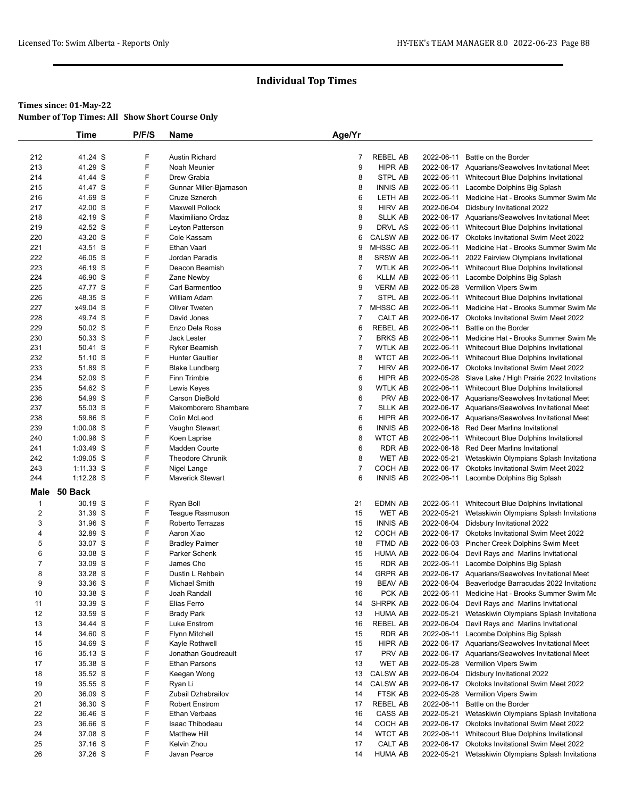|         | <b>Time</b>        | P/F/S | Name                    | Age/Yr         |                            |                                                       |
|---------|--------------------|-------|-------------------------|----------------|----------------------------|-------------------------------------------------------|
|         |                    |       |                         |                |                            |                                                       |
| 212     | 41.24 S            | F     | <b>Austin Richard</b>   | 7              | <b>REBEL AB</b>            | 2022-06-11 Battle on the Border                       |
| 213     | 41.29 S            | F     | Noah Meunier            | 9              | HIPR AB                    | 2022-06-17 Aquarians/Seawolves Invitational Meet      |
| 214     | 41.44 S            | F     | Drew Grabia             | 8              | STPL AB                    | 2022-06-11 Whitecourt Blue Dolphins Invitational      |
| 215     | 41.47 S            | F     | Gunnar Miller-Bjarnason | 8              | <b>INNIS AB</b>            | 2022-06-11 Lacombe Dolphins Big Splash                |
| 216     | 41.69 S            | F     | Cruze Sznerch           | 6              | <b>LETH AB</b>             | 2022-06-11 Medicine Hat - Brooks Summer Swim Me       |
| 217     | 42.00 S            | F     | <b>Maxwell Pollock</b>  | 9              | <b>HIRV AB</b>             | 2022-06-04 Didsbury Invitational 2022                 |
| 218     | 42.19 S            | F     | Maximiliano Ordaz       | 8              | <b>SLLK AB</b>             | 2022-06-17 Aquarians/Seawolves Invitational Meet      |
| 219     | 42.52 S            | F     | Leyton Patterson        | 9              | DRVL AS                    | 2022-06-11 Whitecourt Blue Dolphins Invitational      |
| 220     | 43.20 S            | F     | Cole Kassam             | 6              | <b>CALSW AB</b>            | 2022-06-17 Okotoks Invitational Swim Meet 2022        |
| 221     | 43.51 S            | F     | Ethan Vaari             | 9              | MHSSC AB                   | 2022-06-11 Medicine Hat - Brooks Summer Swim Me       |
| 222     | 46.05 S            | F     | Jordan Paradis          | 8              | SRSW AB                    | 2022-06-11 2022 Fairview Olympians Invitational       |
| 223     | 46.19 S            | F     | Deacon Beamish          | $\overline{7}$ | <b>WTLK AB</b>             | 2022-06-11 Whitecourt Blue Dolphins Invitational      |
| 224     | 46.90 S            | F     | Zane Newby              | 6              | <b>KLLM AB</b>             | 2022-06-11 Lacombe Dolphins Big Splash                |
| 225     | 47.77 S            | F     | Carl Barmentloo         | 9              | <b>VERM AB</b>             | 2022-05-28 Vermilion Vipers Swim                      |
| 226     | 48.35 S            | F     | William Adam            | 7              | STPL AB                    | 2022-06-11 Whitecourt Blue Dolphins Invitational      |
| 227     | x49.04 S           | F     | Oliver Tweten           | 7              | <b>MHSSC AB</b>            | 2022-06-11 Medicine Hat - Brooks Summer Swim Me       |
| 228     | 49.74 S            | F     | David Jones             | $\overline{7}$ | CALT AB                    | 2022-06-17 Okotoks Invitational Swim Meet 2022        |
| 229     | 50.02 S            | F     | Enzo Dela Rosa          | 6              | <b>REBEL AB</b>            | 2022-06-11 Battle on the Border                       |
| 230     | 50.33 S            | F     | <b>Jack Lester</b>      | $\overline{7}$ | <b>BRKS AB</b>             | 2022-06-11 Medicine Hat - Brooks Summer Swim Me       |
| 231     | 50.41 S            | F     | <b>Ryker Beamish</b>    | $\overline{7}$ | <b>WTLK AB</b>             | 2022-06-11 Whitecourt Blue Dolphins Invitational      |
| 232     | 51.10 S            | F     | <b>Hunter Gaultier</b>  | 8              | <b>WTCT AB</b>             | 2022-06-11 Whitecourt Blue Dolphins Invitational      |
| 233     | 51.89 S            | F     | <b>Blake Lundberg</b>   | $\overline{7}$ | <b>HIRV AB</b>             | 2022-06-17 Okotoks Invitational Swim Meet 2022        |
| 234     | 52.09 S            | F     | Finn Trimble            | 6              | <b>HIPR AB</b>             | 2022-05-28 Slave Lake / High Prairie 2022 Invitationa |
| 235     | 54.62 S            | F     | Lewis Keyes             | 9              | <b>WTLK AB</b>             | 2022-06-11 Whitecourt Blue Dolphins Invitational      |
| 236     | 54.99 S            | F     | Carson DieBold          | 6              | PRV AB                     | 2022-06-17 Aquarians/Seawolves Invitational Meet      |
| 237     | 55.03 S            | F     | Makomborero Shambare    | $\overline{7}$ | <b>SLLK AB</b>             | 2022-06-17 Aquarians/Seawolves Invitational Meet      |
| 238     | 59.86 S            | F     | Colin McLeod            | 6              | HIPR AB                    | 2022-06-17 Aquarians/Seawolves Invitational Meet      |
| 239     | $1:00.08$ S        | F     | Vaughn Stewart          | 6              | <b>INNIS AB</b>            | 2022-06-18 Red Deer Marlins Invitational              |
| 240     | 1:00.98 S          | F     | Koen Laprise            | 8              | <b>WTCT AB</b>             | 2022-06-11 Whitecourt Blue Dolphins Invitational      |
| 241     | $1:03.49$ S        | F     | Madden Courte           | 6              | RDR AB                     | 2022-06-18 Red Deer Marlins Invitational              |
| 242     | 1:09.05 S          | F     | <b>Theodore Chrunik</b> | 8              | WET AB                     | 2022-05-21 Wetaskiwin Olympians Splash Invitationa    |
| 243     | $1:11.33$ S        | F     | Nigel Lange             | $\overline{7}$ | COCH AB                    | 2022-06-17 Okotoks Invitational Swim Meet 2022        |
| 244     | $1:12.28$ S        | F     | <b>Maverick Stewart</b> | 6              | <b>INNIS AB</b>            | 2022-06-11 Lacombe Dolphins Big Splash                |
| Male    | 50 Back            |       |                         |                |                            |                                                       |
| 1       | 30.19 S            | F     | Ryan Boll               | 21             | <b>EDMN AB</b>             | 2022-06-11 Whitecourt Blue Dolphins Invitational      |
| 2       | 31.39 S            | F     | Teague Rasmuson         | 15             | <b>WET AB</b>              | 2022-05-21 Wetaskiwin Olympians Splash Invitationa    |
| 3       | 31.96 S            | F     | Roberto Terrazas        | 15             | <b>INNIS AB</b>            | 2022-06-04 Didsbury Invitational 2022                 |
| 4       | 32.89 S            | F     | Aaron Xiao              | 12             | COCH AB                    | 2022-06-17 Okotoks Invitational Swim Meet 2022        |
| 5       | 33.07 S            | F     | <b>Bradley Palmer</b>   | 18             | FTMD AB                    | 2022-06-03 Pincher Creek Dolphins Swim Meet           |
| 6       | 33.08 S            | F     | Parker Schenk           | 15             | <b>HUMA AB</b>             | 2022-06-04 Devil Rays and Marlins Invitational        |
| 7       | 33.09 S            | F     | James Cho               | 15             | <b>RDR AB</b>              | 2022-06-11 Lacombe Dolphins Big Splash                |
| 8       | 33.28 S            | F     | Dustin L Rehbein        | 14             | <b>GRPR AB</b>             | 2022-06-17 Aquarians/Seawolves Invitational Meet      |
|         |                    | F     |                         |                |                            | 2022-06-04 Beaverlodge Barracudas 2022 Invitationa    |
| 9<br>10 | 33.36 S<br>33.38 S | F     | Michael Smith           | 19<br>16       | BEAV AB<br>PCK AB          |                                                       |
|         |                    | F     | Joah Randall            |                |                            | 2022-06-11 Medicine Hat - Brooks Summer Swim Me       |
| 11      | 33.39 S            | F     | Elias Ferro             | 14             | SHRPK AB<br><b>HUMA AB</b> | 2022-06-04 Devil Rays and Marlins Invitational        |
| 12      | 33.59 S            |       | <b>Brady Park</b>       | 13             |                            | 2022-05-21 Wetaskiwin Olympians Splash Invitationa    |
| 13      | 34.44 S            | F     | Luke Enstrom            | 16             | REBEL AB                   | 2022-06-04 Devil Rays and Marlins Invitational        |
| 14      | 34.60 S            | F     | Flynn Mitchell          | 15             | RDR AB                     | 2022-06-11 Lacombe Dolphins Big Splash                |
| 15      | 34.69 S            | F     | Kayle Rothwell          | 15             | HIPR AB                    | 2022-06-17 Aquarians/Seawolves Invitational Meet      |
| 16      | 35.13 S            | F     | Jonathan Goudreault     | 17             | PRV AB                     | 2022-06-17 Aquarians/Seawolves Invitational Meet      |
| 17      | 35.38 S            | F     | Ethan Parsons           | 13             | WET AB                     | 2022-05-28 Vermilion Vipers Swim                      |
| 18      | 35.52 S            | F     | Keegan Wong             | 13             | <b>CALSW AB</b>            | 2022-06-04 Didsbury Invitational 2022                 |
| 19      | 35.55 S            | F     | Ryan Li                 | 14             | <b>CALSW AB</b>            | 2022-06-17 Okotoks Invitational Swim Meet 2022        |
| 20      | 36.09 S            | F     | Zubail Dzhabrailov      | 14             | FTSK AB                    | 2022-05-28 Vermilion Vipers Swim                      |
| 21      | 36.30 S            | F     | <b>Robert Enstrom</b>   | 17             | REBEL AB                   | 2022-06-11 Battle on the Border                       |
| 22      | 36.46 S            | F     | Ethan Verbaas           | 16             | CASS AB                    | 2022-05-21 Wetaskiwin Olympians Splash Invitationa    |
| 23      | 36.66 S            | F     | Isaac Thibodeau         | 14             | COCH AB                    | 2022-06-17 Okotoks Invitational Swim Meet 2022        |
| 24      | 37.08 S            | F     | <b>Matthew Hill</b>     | 14             | <b>WTCT AB</b>             | 2022-06-11 Whitecourt Blue Dolphins Invitational      |
| 25      | 37.16 S            | F     | Kelvin Zhou             | 17             | CALT AB                    | 2022-06-17 Okotoks Invitational Swim Meet 2022        |
| 26      | 37.26 S            | F     | Javan Pearce            | 14             | <b>HUMA AB</b>             | 2022-05-21 Wetaskiwin Olympians Splash Invitationa    |
|         |                    |       |                         |                |                            |                                                       |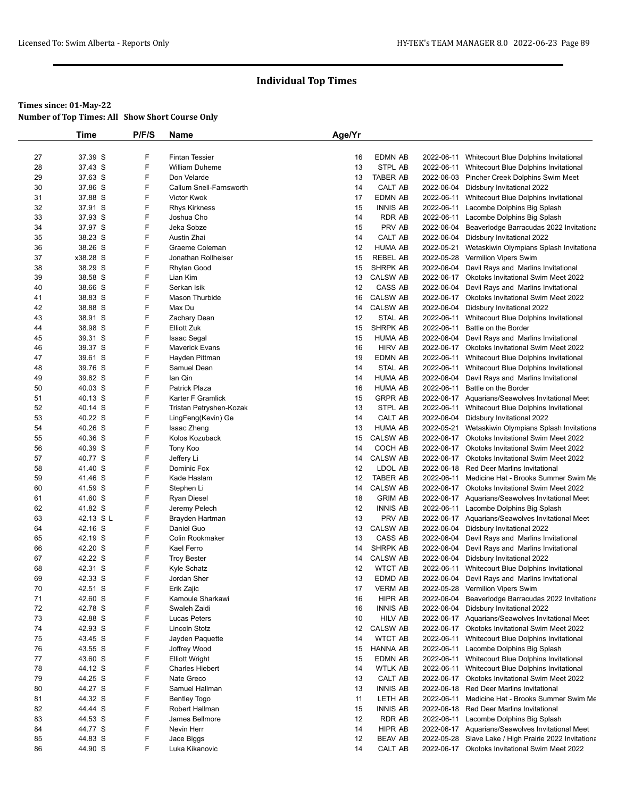|          | Time               | P/F/S  | Name                     | Age/Yr   |                  |            |                                                                                   |
|----------|--------------------|--------|--------------------------|----------|------------------|------------|-----------------------------------------------------------------------------------|
|          |                    |        |                          |          |                  |            |                                                                                   |
| 27       | 37.39 S            | F      | <b>Fintan Tessier</b>    | 16       | <b>EDMN AB</b>   | 2022-06-11 | Whitecourt Blue Dolphins Invitational                                             |
| 28       | 37.43 S            | F      | <b>William Duheme</b>    | 13       | STPL AB          |            | 2022-06-11 Whitecourt Blue Dolphins Invitational                                  |
| 29       | 37.63 S            | F      | Don Velarde              | 13       | <b>TABER AB</b>  |            | 2022-06-03 Pincher Creek Dolphins Swim Meet                                       |
| 30       | 37.86 S            | F      | Callum Snell-Farnsworth  | 14       | CALT AB          |            | 2022-06-04 Didsbury Invitational 2022                                             |
| 31       | 37.88 S            | F      | Victor Kwok              | 17       | EDMN AB          |            | 2022-06-11 Whitecourt Blue Dolphins Invitational                                  |
| 32       | 37.91 S            | F      | <b>Rhys Kirkness</b>     | 15       | <b>INNIS AB</b>  | 2022-06-11 | Lacombe Dolphins Big Splash                                                       |
| 33       | 37.93 S<br>37.97 S | F<br>F | Joshua Cho<br>Jeka Sobze | 14<br>15 | RDR AB<br>PRV AB | 2022-06-11 | Lacombe Dolphins Big Splash<br>2022-06-04 Beaverlodge Barracudas 2022 Invitationa |
| 34<br>35 | 38.23 S            | F      | Austin Zhai              | 14       | CALT AB          |            | 2022-06-04 Didsbury Invitational 2022                                             |
| 36       | 38.26 S            | F      | Graeme Coleman           | 12       | <b>HUMA AB</b>   | 2022-05-21 | Wetaskiwin Olympians Splash Invitationa                                           |
| 37       | x38.28 S           | F      | Jonathan Rollheiser      | 15       | <b>REBEL AB</b>  |            | 2022-05-28 Vermilion Vipers Swim                                                  |
| 38       | 38.29 S            | F      | Rhylan Good              | 15       | <b>SHRPK AB</b>  |            | 2022-06-04 Devil Rays and Marlins Invitational                                    |
| 39       | 38.58 S            | F      | Lian Kim                 | 13       | <b>CALSW AB</b>  |            | 2022-06-17 Okotoks Invitational Swim Meet 2022                                    |
| 40       | 38.66 S            | F      | Serkan Isik              | 12       | CASS AB          |            | 2022-06-04 Devil Rays and Marlins Invitational                                    |
| 41       | 38.83 S            | F      | Mason Thurbide           | 16       | <b>CALSW AB</b>  |            | 2022-06-17 Okotoks Invitational Swim Meet 2022                                    |
| 42       | 38.88 S            | F      | Max Du                   | 14       | <b>CALSW AB</b>  |            | 2022-06-04 Didsbury Invitational 2022                                             |
| 43       | 38.91 S            | F      | Zachary Dean             | 12       | STAL AB          | 2022-06-11 | Whitecourt Blue Dolphins Invitational                                             |
| 44       | 38.98 S            | F      | <b>Elliott Zuk</b>       | 15       | SHRPK AB         | 2022-06-11 | Battle on the Border                                                              |
| 45       | 39.31 S            | F      | <b>Isaac Segal</b>       | 15       | <b>HUMA AB</b>   |            | 2022-06-04 Devil Rays and Marlins Invitational                                    |
| 46       | 39.37 S            | F      | <b>Maverick Evans</b>    | 16       | <b>HIRV AB</b>   |            | 2022-06-17 Okotoks Invitational Swim Meet 2022                                    |
| 47       | 39.61 S            | F      | Hayden Pittman           | 19       | EDMN AB          |            | 2022-06-11 Whitecourt Blue Dolphins Invitational                                  |
| 48       | 39.76 S            | F      | Samuel Dean              | 14       | STAL AB          |            | 2022-06-11 Whitecourt Blue Dolphins Invitational                                  |
| 49       | 39.82 S            | F      | lan Qin                  | 14       | <b>HUMA AB</b>   |            | 2022-06-04 Devil Rays and Marlins Invitational                                    |
| 50       | 40.03 S            | F      | Patrick Plaza            | 16       | <b>HUMA AB</b>   | 2022-06-11 | Battle on the Border                                                              |
| 51       | 40.13 S            | F      | Karter F Gramlick        | 15       | <b>GRPR AB</b>   |            | 2022-06-17 Aquarians/Seawolves Invitational Meet                                  |
| 52       | 40.14 S            | F      | Tristan Petryshen-Kozak  | 13       | STPL AB          |            | 2022-06-11 Whitecourt Blue Dolphins Invitational                                  |
| 53       | 40.22 S            | F      | LingFeng(Kevin) Ge       | 14       | CALT AB          |            | 2022-06-04 Didsbury Invitational 2022                                             |
| 54       | 40.26 S            | F      | Isaac Zheng              | 13       | <b>HUMA AB</b>   | 2022-05-21 | Wetaskiwin Olympians Splash Invitationa                                           |
| 55       | 40.36 S            | F      | Kolos Kozuback           | 15       | <b>CALSW AB</b>  |            | 2022-06-17 Okotoks Invitational Swim Meet 2022                                    |
| 56       | 40.39 S            | F      | Tony Koo                 | 14       | COCH AB          |            | 2022-06-17 Okotoks Invitational Swim Meet 2022                                    |
| 57       | 40.77 S            | F      | Jeffery Li               | 14       | <b>CALSW AB</b>  |            | 2022-06-17 Okotoks Invitational Swim Meet 2022                                    |
| 58       | 41.40 S            | F      | Dominic Fox              | 12       | LDOL AB          |            | 2022-06-18 Red Deer Marlins Invitational                                          |
| 59       | 41.46 S            | F      | Kade Haslam              | 12       | TABER AB         |            | 2022-06-11 Medicine Hat - Brooks Summer Swim Me                                   |
| 60       | 41.59 S            | F      | Stephen Li               | 14       | <b>CALSW AB</b>  |            | 2022-06-17 Okotoks Invitational Swim Meet 2022                                    |
| 61       | 41.60 S            | F      | Ryan Diesel              | 18       | <b>GRIM AB</b>   |            | 2022-06-17 Aquarians/Seawolves Invitational Meet                                  |
| 62       | 41.82 S            | F      | Jeremy Pelech            | 12       | <b>INNIS AB</b>  |            | 2022-06-11 Lacombe Dolphins Big Splash                                            |
| 63       | 42.13 SL           | F      | Brayden Hartman          | 13       | PRV AB           |            | 2022-06-17 Aquarians/Seawolves Invitational Meet                                  |
| 64       | 42.16 S            | F      | Daniel Guo               | 13       | <b>CALSW AB</b>  |            | 2022-06-04 Didsbury Invitational 2022                                             |
| 65       | 42.19 S            | F      | Colin Rookmaker          | 13       | CASS AB          |            | 2022-06-04 Devil Rays and Marlins Invitational                                    |
| 66       | 42.20 S            | F      | Kael Ferro               | 14       | SHRPK AB         |            | 2022-06-04 Devil Rays and Marlins Invitational                                    |
| 67       | 42.22 S            | F      | <b>Troy Bester</b>       | 14       | <b>CALSW AB</b>  |            | 2022-06-04 Didsbury Invitational 2022                                             |
| 68       | 42.31 S            | F      | Kyle Schatz              | 12       | <b>WTCT AB</b>   |            | 2022-06-11 Whitecourt Blue Dolphins Invitational                                  |
| 69       | 42.33 S            | F      | Jordan Sher              | 13       | EDMD AB          |            | 2022-06-04 Devil Rays and Marlins Invitational                                    |
| 70       | 42.51 S            | F      | Erik Zajic               | 17       | <b>VERM AB</b>   |            | 2022-05-28 Vermilion Vipers Swim                                                  |
| 71       | 42.60 S            | F      | Kamoule Sharkawi         | 16       | HIPR AB          | 2022-06-04 | Beaverlodge Barracudas 2022 Invitationa                                           |
| 72       | 42.78 S            | F      | Swaleh Zaidi             | 16       | <b>INNIS AB</b>  |            | 2022-06-04 Didsbury Invitational 2022                                             |
| 73       | 42.88 S            | F      | Lucas Peters             | 10       | <b>HILV AB</b>   |            | 2022-06-17 Aquarians/Seawolves Invitational Meet                                  |
| 74       | 42.93 S            | F      | Lincoln Stotz            | 12       | <b>CALSW AB</b>  |            | 2022-06-17 Okotoks Invitational Swim Meet 2022                                    |
| 75       | 43.45 S            | F      | Jayden Paquette          | 14       | <b>WTCT AB</b>   | 2022-06-11 | Whitecourt Blue Dolphins Invitational                                             |
| 76       | 43.55 S            | F      | Joffrey Wood             | 15       | HANNA AB         | 2022-06-11 | Lacombe Dolphins Big Splash                                                       |
| 77       | 43.60 S            | F      | <b>Elliott Wright</b>    | 15       | EDMN AB          | 2022-06-11 | Whitecourt Blue Dolphins Invitational                                             |
| 78       | 44.12 S            | F      | <b>Charles Hiebert</b>   | 14       | <b>WTLK AB</b>   | 2022-06-11 | Whitecourt Blue Dolphins Invitational                                             |
| 79       | 44.25 S            | F      | Nate Greco               | 13       | CALT AB          |            | 2022-06-17 Okotoks Invitational Swim Meet 2022                                    |
| 80       | 44.27 S            | F      | Samuel Hallman           | 13       | <b>INNIS AB</b>  |            | 2022-06-18 Red Deer Marlins Invitational                                          |
| 81       | 44.32 S            | F      | <b>Bentley Togo</b>      | 11       | LETH AB          | 2022-06-11 | Medicine Hat - Brooks Summer Swim Me                                              |
| 82       | 44.44 S            | F      | Robert Hallman           | 15       | <b>INNIS AB</b>  |            | 2022-06-18 Red Deer Marlins Invitational                                          |
| 83       | 44.53 S            | F      | James Bellmore           | 12       | RDR AB           | 2022-06-11 | Lacombe Dolphins Big Splash                                                       |
| 84       | 44.77 S            | F      | Nevin Herr               | 14       | HIPR AB          |            | 2022-06-17 Aquarians/Seawolves Invitational Meet                                  |
| 85       | 44.83 S            | F      | Jace Biggs               | 12       | <b>BEAV AB</b>   |            | 2022-05-28 Slave Lake / High Prairie 2022 Invitationa                             |
| 86       | 44.90 S            | F      | Luka Kikanovic           | 14       | CALT AB          |            | 2022-06-17 Okotoks Invitational Swim Meet 2022                                    |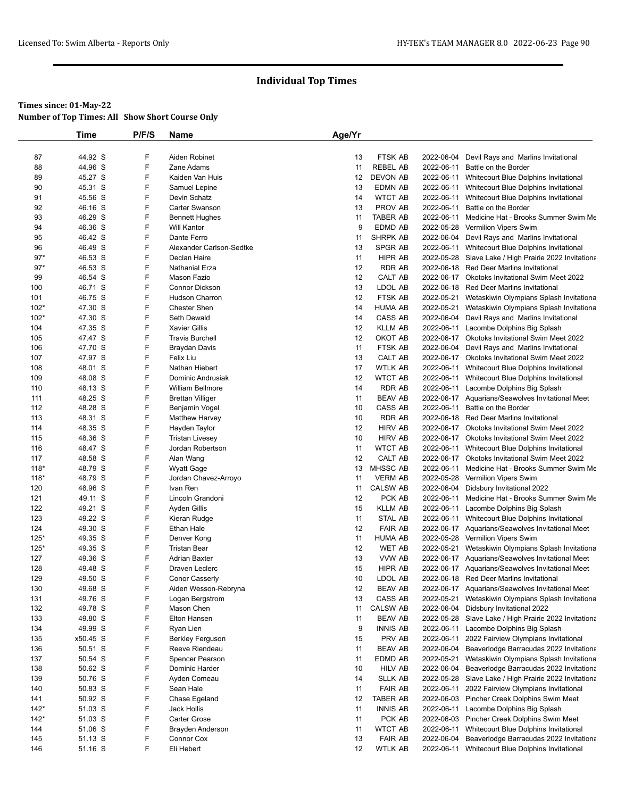|                | <b>Time</b>        | P/F/S  | Name                                  | Age/Yr   |                          |            |                                                                                                   |
|----------------|--------------------|--------|---------------------------------------|----------|--------------------------|------------|---------------------------------------------------------------------------------------------------|
|                |                    |        |                                       |          |                          |            |                                                                                                   |
| 87             | 44.92 S            | F      | Aiden Robinet                         | 13       | FTSK AB                  | 2022-06-04 | Devil Rays and Marlins Invitational                                                               |
| 88             | 44.96 S            | F      | Zane Adams                            | 11       | <b>REBEL AB</b>          | 2022-06-11 | Battle on the Border                                                                              |
| 89             | 45.27 S            | F      | Kaiden Van Huis                       | 12       | <b>DEVON AB</b>          |            | 2022-06-11 Whitecourt Blue Dolphins Invitational                                                  |
| 90             | 45.31 S            | F      | Samuel Lepine                         | 13       | EDMN AB                  | 2022-06-11 | Whitecourt Blue Dolphins Invitational                                                             |
| 91             | 45.56 S            | F      | Devin Schatz                          | 14       | <b>WTCT AB</b>           | 2022-06-11 | Whitecourt Blue Dolphins Invitational                                                             |
| 92             | 46.16 S            | F      | Carter Swanson                        | 13       | PROV AB                  | 2022-06-11 | Battle on the Border                                                                              |
| 93             | 46.29 S            | F      | <b>Bennett Hughes</b>                 | 11       | TABER AB                 | 2022-06-11 | Medicine Hat - Brooks Summer Swim Me                                                              |
| 94             | 46.36 S            | F      | <b>Will Kantor</b>                    | 9        | EDMD AB                  | 2022-05-28 | Vermilion Vipers Swim                                                                             |
| 95             | 46.42 S            | F<br>F | Dante Ferro                           | 11       | SHRPK AB                 |            | 2022-06-04 Devil Rays and Marlins Invitational                                                    |
| 96             | 46.49 S            | F      | Alexander Carlson-Sedtke              | 13       | SPGR AB                  |            | 2022-06-11 Whitecourt Blue Dolphins Invitational                                                  |
| $97*$<br>$97*$ | 46.53 S<br>46.53 S | F      | Declan Haire<br><b>Nathanial Erza</b> | 11<br>12 | HIPR AB<br><b>RDR AB</b> |            | 2022-05-28 Slave Lake / High Prairie 2022 Invitationa<br>2022-06-18 Red Deer Marlins Invitational |
| 99             | 46.54 S            | F      | Mason Fazio                           | 12       | CALT AB                  |            | 2022-06-17 Okotoks Invitational Swim Meet 2022                                                    |
|                |                    | F      | Connor Dickson                        | 13       | LDOL AB                  |            | 2022-06-18 Red Deer Marlins Invitational                                                          |
| 100<br>101     | 46.71 S<br>46.75 S | F      | Hudson Charron                        | 12       | FTSK AB                  |            | 2022-05-21 Wetaskiwin Olympians Splash Invitationa                                                |
| $102*$         | 47.30 S            | F      | <b>Chester Shen</b>                   | 14       | <b>HUMA AB</b>           |            | 2022-05-21 Wetaskiwin Olympians Splash Invitationa                                                |
| $102*$         | 47.30 S            | F      | Seth Dewald                           | 14       | CASS AB                  | 2022-06-04 | Devil Rays and Marlins Invitational                                                               |
| 104            | 47.35 S            | F      | <b>Xavier Gillis</b>                  | 12       | <b>KLLM AB</b>           |            | 2022-06-11 Lacombe Dolphins Big Splash                                                            |
| 105            | 47.47 S            | F      | <b>Travis Burchell</b>                | 12       | OKOT AB                  |            | 2022-06-17 Okotoks Invitational Swim Meet 2022                                                    |
| 106            | 47.70 S            | F      | Braydan Davis                         | 11       | FTSK AB                  |            | 2022-06-04 Devil Rays and Marlins Invitational                                                    |
| 107            | 47.97 S            | F      | Felix Liu                             | 13       | CALT AB                  |            | 2022-06-17 Okotoks Invitational Swim Meet 2022                                                    |
| 108            | 48.01 S            | F      | Nathan Hiebert                        | 17       | <b>WTLK AB</b>           |            | 2022-06-11 Whitecourt Blue Dolphins Invitational                                                  |
| 109            | 48.08 S            | F      | Dominic Andrusiak                     | 12       | <b>WTCT AB</b>           |            | 2022-06-11 Whitecourt Blue Dolphins Invitational                                                  |
| 110            | 48.13 S            | F      | <b>William Bellmore</b>               | 14       | <b>RDR AB</b>            |            | 2022-06-11 Lacombe Dolphins Big Splash                                                            |
| 111            | 48.25 S            | F      | <b>Brettan Villiger</b>               | 11       | <b>BEAV AB</b>           |            | 2022-06-17 Aquarians/Seawolves Invitational Meet                                                  |
| 112            | 48.28 S            | F      | Benjamin Vogel                        | 10       | CASS AB                  | 2022-06-11 | Battle on the Border                                                                              |
| 113            | 48.31 S            | F      | <b>Matthew Harvey</b>                 | 10       | RDR AB                   |            | 2022-06-18 Red Deer Marlins Invitational                                                          |
| 114            | 48.35 S            | F      | Hayden Taylor                         | 12       | <b>HIRV AB</b>           |            | 2022-06-17 Okotoks Invitational Swim Meet 2022                                                    |
| 115            | 48.36 S            | F      | <b>Tristan Livesey</b>                | 10       | <b>HIRV AB</b>           |            | 2022-06-17 Okotoks Invitational Swim Meet 2022                                                    |
| 116            | 48.47 S            | F      | Jordan Robertson                      | 11       | <b>WTCT AB</b>           | 2022-06-11 | Whitecourt Blue Dolphins Invitational                                                             |
| 117            | 48.58 S            | F      | Alan Wang                             | 12       | CALT AB                  |            | 2022-06-17 Okotoks Invitational Swim Meet 2022                                                    |
| $118*$         | 48.79 S            | F      | <b>Wyatt Gage</b>                     | 13       | MHSSC AB                 |            | 2022-06-11 Medicine Hat - Brooks Summer Swim Me                                                   |
| $118*$         | 48.79 S            | F      | Jordan Chavez-Arroyo                  | 11       | <b>VERM AB</b>           |            | 2022-05-28 Vermilion Vipers Swim                                                                  |
| 120            | 48.96 S            | F      | Ivan Ren                              | 11       | <b>CALSW AB</b>          |            | 2022-06-04 Didsbury Invitational 2022                                                             |
| 121            | 49.11 S            | F      | Lincoln Grandoni                      | 12       | PCK AB                   |            | 2022-06-11 Medicine Hat - Brooks Summer Swim Me                                                   |
| 122            | 49.21 S            | F      | Ayden Gillis                          | 15       | <b>KLLM AB</b>           |            | 2022-06-11 Lacombe Dolphins Big Splash                                                            |
| 123            | 49.22 S            | F      | Kieran Rudge                          | 11       | STAL AB                  |            | 2022-06-11 Whitecourt Blue Dolphins Invitational                                                  |
| 124            | 49.30 S            | F      | Ethan Hale                            | 12       | <b>FAIR AB</b>           |            | 2022-06-17 Aquarians/Seawolves Invitational Meet                                                  |
| $125*$         | 49.35 S            | F      | Denver Kong                           | 11       | <b>HUMA AB</b>           |            | 2022-05-28 Vermilion Vipers Swim                                                                  |
| $125*$         | 49.35 S            | F      | <b>Tristan Bear</b>                   | 12       | WET AB                   | 2022-05-21 | Wetaskiwin Olympians Splash Invitationa                                                           |
| 127            | 49.36 S            | F      | <b>Adrian Baxter</b>                  | 13       | VVW AB                   |            | 2022-06-17 Aquarians/Seawolves Invitational Meet                                                  |
| 128            | 49.48 S            | F      | Draven Leclerc                        | 15       | <b>HIPR AB</b>           |            | 2022-06-17 Aquarians/Seawolves Invitational Meet                                                  |
| 129            | 49.50 S            | F      | <b>Conor Casserly</b>                 | 10       | LDOL AB                  |            | 2022-06-18 Red Deer Marlins Invitational                                                          |
| 130            | 49.68 S            | F      | Aiden Wesson-Rebryna                  | 12       | <b>BEAV AB</b>           |            | 2022-06-17 Aquarians/Seawolves Invitational Meet                                                  |
| 131            | 49.76 S            | F      | Logan Bergstrom                       | 13       | CASS AB                  | 2022-05-21 | Wetaskiwin Olympians Splash Invitationa                                                           |
| 132            | 49.78 S            | F      | Mason Chen                            | 11       | <b>CALSW AB</b>          | 2022-06-04 | Didsbury Invitational 2022                                                                        |
| 133            | 49.80 S            | F      | Elton Hansen                          | 11       | <b>BEAV AB</b>           |            | 2022-05-28 Slave Lake / High Prairie 2022 Invitationa                                             |
| 134            | 49.99 S            | F      | Ryan Lien                             | 9        | <b>INNIS AB</b>          | 2022-06-11 | Lacombe Dolphins Big Splash                                                                       |
| 135            | x50.45 S           | F      | <b>Berkley Ferguson</b>               | 15       | PRV AB                   | 2022-06-11 | 2022 Fairview Olympians Invitational                                                              |
| 136            | 50.51 S            | F      | Reeve Riendeau                        | 11       | <b>BEAV AB</b>           | 2022-06-04 | Beaverlodge Barracudas 2022 Invitationa                                                           |
| 137            | 50.54 S            | F      | Spencer Pearson                       | 11       | EDMD AB                  | 2022-05-21 | Wetaskiwin Olympians Splash Invitationa                                                           |
| 138            | 50.62 S            | F      | Dominic Harder                        | 10       | HILV AB                  | 2022-06-04 | Beaverlodge Barracudas 2022 Invitationa                                                           |
| 139            | 50.76 S            | F      | Ayden Comeau                          | 14       | <b>SLLK AB</b>           |            | 2022-05-28 Slave Lake / High Prairie 2022 Invitationa                                             |
| 140            | 50.83 S            | F      | Sean Hale                             | 11       | <b>FAIR AB</b>           |            | 2022-06-11 2022 Fairview Olympians Invitational                                                   |
| 141            | 50.92 S            | F      | Chase Egeland                         | 12       | TABER AB                 |            | 2022-06-03 Pincher Creek Dolphins Swim Meet                                                       |
| $142*$         | 51.03 S            | F      | Jack Hollis                           | 11       | <b>INNIS AB</b>          |            | 2022-06-11 Lacombe Dolphins Big Splash                                                            |
| $142*$         | 51.03 S            | F      | Carter Grose                          | 11       | PCK AB                   |            | 2022-06-03 Pincher Creek Dolphins Swim Meet                                                       |
| 144            | 51.06 S            | F      | Brayden Anderson                      | 11       | <b>WTCT AB</b>           | 2022-06-11 | Whitecourt Blue Dolphins Invitational                                                             |
| 145            | 51.13 S            | F      |                                       | 13       | <b>FAIR AB</b>           | 2022-06-04 | Beaverlodge Barracudas 2022 Invitationa                                                           |
| 146            | 51.16 S            | F      | Connor Cox<br>Eli Hebert              | 12       | <b>WTLK AB</b>           |            | 2022-06-11 Whitecourt Blue Dolphins Invitational                                                  |
|                |                    |        |                                       |          |                          |            |                                                                                                   |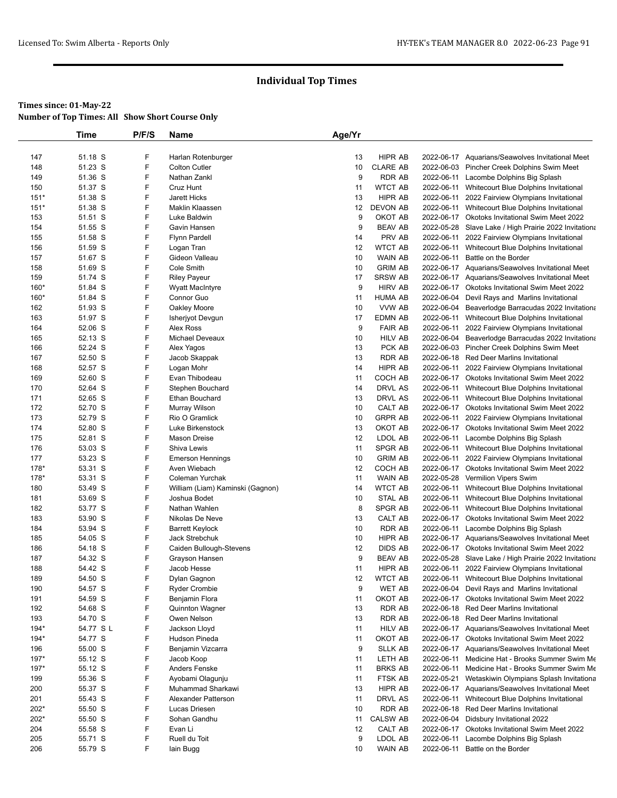|            | <b>Time</b>        | P/F/S  | Name                                 | Age/Yr   |                                  |            |                                                                                                    |
|------------|--------------------|--------|--------------------------------------|----------|----------------------------------|------------|----------------------------------------------------------------------------------------------------|
|            |                    |        |                                      |          |                                  |            |                                                                                                    |
| 147        | 51.18 S            | F      | Harlan Rotenburger                   | 13       | <b>HIPR AB</b>                   |            | 2022-06-17 Aquarians/Seawolves Invitational Meet                                                   |
| 148        | 51.23 S            | F      | <b>Colton Cutler</b>                 | 10       | <b>CLARE AB</b>                  |            | 2022-06-03 Pincher Creek Dolphins Swim Meet                                                        |
| 149        | 51.36 S            | F      | Nathan Zankl                         | 9        | <b>RDR AB</b>                    |            | 2022-06-11 Lacombe Dolphins Big Splash                                                             |
| 150        | 51.37 S            | F      | Cruz Hunt                            | 11       | <b>WTCT AB</b>                   |            | 2022-06-11 Whitecourt Blue Dolphins Invitational                                                   |
| $151*$     | 51.38 S            | F      | <b>Jarett Hicks</b>                  | 13       | <b>HIPR AB</b>                   |            | 2022-06-11 2022 Fairview Olympians Invitational                                                    |
| $151*$     | 51.38 S            | F      | Maklin Klaassen                      | 12       | DEVON AB                         |            | 2022-06-11 Whitecourt Blue Dolphins Invitational                                                   |
| 153        | 51.51 S            | F      | Luke Baldwin                         | 9        | OKOT AB                          |            | 2022-06-17 Okotoks Invitational Swim Meet 2022                                                     |
| 154        | 51.55 S            | F<br>F | Gavin Hansen                         | 9        | <b>BEAV AB</b>                   |            | 2022-05-28 Slave Lake / High Prairie 2022 Invitationa                                              |
| 155        | 51.58 S            |        | <b>Flynn Pardell</b>                 | 14       | PRV AB                           |            | 2022-06-11 2022 Fairview Olympians Invitational                                                    |
| 156        | 51.59 S            | F<br>F | Logan Tran<br>Gideon Valleau         | 12       | <b>WTCT AB</b>                   |            | 2022-06-11 Whitecourt Blue Dolphins Invitational                                                   |
| 157<br>158 | 51.67 S<br>51.69 S | F      | Cole Smith                           | 10<br>10 | <b>WAIN AB</b><br><b>GRIM AB</b> | 2022-06-11 | Battle on the Border<br>2022-06-17 Aquarians/Seawolves Invitational Meet                           |
| 159        | 51.74 S            | F      |                                      | 17       | <b>SRSW AB</b>                   |            |                                                                                                    |
| 160*       | 51.84 S            | F      | <b>Riley Payeur</b>                  | 9        | <b>HIRV AB</b>                   |            | 2022-06-17 Aquarians/Seawolves Invitational Meet<br>2022-06-17 Okotoks Invitational Swim Meet 2022 |
| $160*$     | 51.84 S            | F      | <b>Wyatt MacIntyre</b><br>Connor Guo | 11       | HUMA AB                          |            | 2022-06-04 Devil Rays and Marlins Invitational                                                     |
| 162        | 51.93 S            | F      | Oakley Moore                         | 10       | VVW AB                           |            | 2022-06-04 Beaverlodge Barracudas 2022 Invitationa                                                 |
| 163        | 51.97 S            | F      | Isherjyot Devgun                     | 17       | EDMN AB                          |            | 2022-06-11 Whitecourt Blue Dolphins Invitational                                                   |
| 164        | 52.06 S            | F      | Alex Ross                            | 9        | <b>FAIR AB</b>                   |            | 2022-06-11 2022 Fairview Olympians Invitational                                                    |
| 165        | 52.13 S            | F      | <b>Michael Deveaux</b>               | 10       | <b>HILV AB</b>                   |            | 2022-06-04 Beaverlodge Barracudas 2022 Invitationa                                                 |
| 166        | 52.24 S            | F      |                                      | 13       | PCK AB                           |            | 2022-06-03 Pincher Creek Dolphins Swim Meet                                                        |
| 167        | 52.50 S            | F      | Alex Yagos<br>Jacob Skappak          | 13       | <b>RDR AB</b>                    |            | 2022-06-18 Red Deer Marlins Invitational                                                           |
| 168        | 52.57 S            | F      | Logan Mohr                           | 14       | HIPR AB                          |            | 2022-06-11 2022 Fairview Olympians Invitational                                                    |
| 169        | 52.60 S            | F      | Evan Thibodeau                       | 11       | COCH AB                          |            | 2022-06-17 Okotoks Invitational Swim Meet 2022                                                     |
| 170        | 52.64 S            | F      | Stephen Bouchard                     | 14       | DRVL AS                          |            | 2022-06-11 Whitecourt Blue Dolphins Invitational                                                   |
| 171        | 52.65 S            | F      | <b>Ethan Bouchard</b>                | 13       | DRVL AS                          |            | 2022-06-11 Whitecourt Blue Dolphins Invitational                                                   |
| 172        | 52.70 S            | F      | Murray Wilson                        | 10       | CALT AB                          |            | 2022-06-17 Okotoks Invitational Swim Meet 2022                                                     |
| 173        | 52.79 S            | F      | Rio O Gramlick                       | 10       | <b>GRPR AB</b>                   |            | 2022-06-11 2022 Fairview Olympians Invitational                                                    |
| 174        | 52.80 S            | F      | Luke Birkenstock                     | 13       | OKOT AB                          |            | 2022-06-17 Okotoks Invitational Swim Meet 2022                                                     |
| 175        | 52.81 S            | F      | <b>Mason Dreise</b>                  | 12       | LDOL AB                          | 2022-06-11 | Lacombe Dolphins Big Splash                                                                        |
| 176        | 53.03 S            | F      | Shiva Lewis                          | 11       | SPGR AB                          |            | 2022-06-11 Whitecourt Blue Dolphins Invitational                                                   |
| 177        | 53.23 S            | F      | <b>Emerson Hennings</b>              | 10       | <b>GRIM AB</b>                   |            | 2022-06-11 2022 Fairview Olympians Invitational                                                    |
| 178*       | 53.31 S            | F      | Aven Wiebach                         | 12       | COCH AB                          |            | 2022-06-17 Okotoks Invitational Swim Meet 2022                                                     |
| 178*       | 53.31 S            | F      | Coleman Yurchak                      | 11       | <b>WAIN AB</b>                   |            | 2022-05-28 Vermilion Vipers Swim                                                                   |
| 180        | 53.49 S            | F      | William (Liam) Kaminski (Gagnon)     | 14       | <b>WTCT AB</b>                   |            | 2022-06-11 Whitecourt Blue Dolphins Invitational                                                   |
| 181        | 53.69 S            | F      | Joshua Bodet                         | 10       | STAL AB                          |            | 2022-06-11 Whitecourt Blue Dolphins Invitational                                                   |
| 182        | 53.77 S            | F      | Nathan Wahlen                        | 8        | <b>SPGR AB</b>                   | 2022-06-11 | Whitecourt Blue Dolphins Invitational                                                              |
| 183        | 53.90 S            | F      | Nikolas De Neve                      | 13       | CALT AB                          |            | 2022-06-17 Okotoks Invitational Swim Meet 2022                                                     |
| 184        | 53.94 S            | F      | Barrett Keylock                      | 10       | RDR AB                           |            | 2022-06-11 Lacombe Dolphins Big Splash                                                             |
| 185        | 54.05 S            | F      | Jack Strebchuk                       | 10       | <b>HIPR AB</b>                   |            | 2022-06-17 Aquarians/Seawolves Invitational Meet                                                   |
| 186        | 54.18 S            | F      | Caiden Bullough-Stevens              | 12       | <b>DIDS AB</b>                   |            | 2022-06-17 Okotoks Invitational Swim Meet 2022                                                     |
| 187        | 54.32 S            | F      | Grayson Hansen                       | 9        | <b>BEAV AB</b>                   |            | 2022-05-28 Slave Lake / High Prairie 2022 Invitationa                                              |
| 188        | 54.42 S            | F      | Jacob Hesse                          | 11       | HIPR AB                          |            | 2022-06-11 2022 Fairview Olympians Invitational                                                    |
| 189        | 54.50 S            | F      | Dylan Gagnon                         | 12       | <b>WTCT AB</b>                   |            | 2022-06-11 Whitecourt Blue Dolphins Invitational                                                   |
| 190        | 54.57 S            | F      | <b>Ryder Crombie</b>                 | 9        | WET AB                           |            | 2022-06-04 Devil Rays and Marlins Invitational                                                     |
| 191        | 54.59 S            | F      | Benjamin Flora                       | 11       | OKOT AB                          |            | 2022-06-17 Okotoks Invitational Swim Meet 2022                                                     |
| 192        | 54.68 S            | F      | Quinnton Wagner                      | 13       | RDR AB                           |            | 2022-06-18 Red Deer Marlins Invitational                                                           |
| 193        | 54.70 S            | F      | Owen Nelson                          | 13       | RDR AB                           |            | 2022-06-18 Red Deer Marlins Invitational                                                           |
| $194*$     | 54.77 S L          | F      | Jackson Lloyd                        | 11       | <b>HILV AB</b>                   |            | 2022-06-17 Aquarians/Seawolves Invitational Meet                                                   |
| $194*$     | 54.77 S            | F      | Hudson Pineda                        | 11       | OKOT AB                          |            | 2022-06-17 Okotoks Invitational Swim Meet 2022                                                     |
| 196        | 55.00 S            | F      | Benjamin Vizcarra                    | 9        | <b>SLLK AB</b>                   |            | 2022-06-17 Aquarians/Seawolves Invitational Meet                                                   |
| $197*$     | 55.12 S            | F      | Jacob Koop                           | 11       | LETH AB                          | 2022-06-11 | Medicine Hat - Brooks Summer Swim Me                                                               |
| 197*       | 55.12 S            | F      | Anders Fenske                        | 11       | <b>BRKS AB</b>                   |            | 2022-06-11 Medicine Hat - Brooks Summer Swim Me                                                    |
| 199        | 55.36 S            | F      | Ayobami Olagunju                     | 11       | FTSK AB                          | 2022-05-21 | Wetaskiwin Olympians Splash Invitationa                                                            |
| 200        | 55.37 S            | F      | Muhammad Sharkawi                    | 13       | HIPR AB                          |            | 2022-06-17 Aquarians/Seawolves Invitational Meet                                                   |
| 201        | 55.43 S            | F      | <b>Alexander Patterson</b>           | 11       | DRVL AS                          |            | 2022-06-11 Whitecourt Blue Dolphins Invitational                                                   |
| $202*$     | 55.50 S            | F      | Lucas Driesen                        | 10       | RDR AB                           |            | 2022-06-18 Red Deer Marlins Invitational                                                           |
| 202*       | 55.50 S            | F      | Sohan Gandhu                         | 11       | <b>CALSW AB</b>                  |            | 2022-06-04 Didsbury Invitational 2022                                                              |
| 204        | 55.58 S            | F      | Evan Li                              | 12       | CALT AB                          |            | 2022-06-17 Okotoks Invitational Swim Meet 2022                                                     |
| 205        | 55.71 S            | F      | Ruell du Toit                        | 9        | LDOL AB                          | 2022-06-11 | Lacombe Dolphins Big Splash                                                                        |
| 206        | 55.79 S            | F      | lain Bugg                            | 10       | WAIN AB                          |            | 2022-06-11 Battle on the Border                                                                    |
|            |                    |        |                                      |          |                                  |            |                                                                                                    |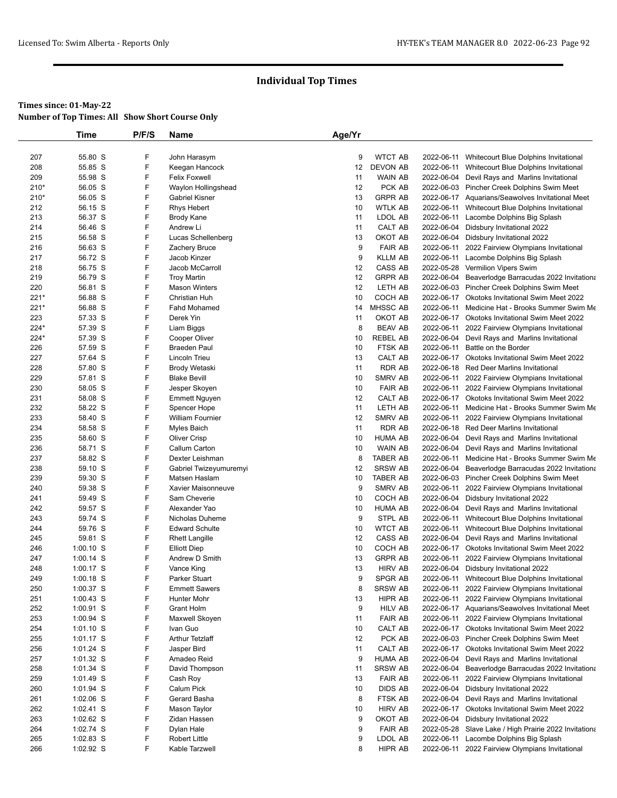|            | Time               | P/F/S  | Name                               | Age/Yr  |                           |            |                                                                              |
|------------|--------------------|--------|------------------------------------|---------|---------------------------|------------|------------------------------------------------------------------------------|
|            |                    |        |                                    |         |                           |            |                                                                              |
| 207        | 55.80 S            | F      | John Harasym                       | 9       | <b>WTCT AB</b>            | 2022-06-11 | Whitecourt Blue Dolphins Invitational                                        |
| 208        | 55.85 S            | F      | Keegan Hancock                     | 12      | DEVON AB                  | 2022-06-11 | Whitecourt Blue Dolphins Invitational                                        |
| 209        | 55.98 S            | F      | <b>Felix Foxwell</b>               | 11      | <b>WAIN AB</b>            |            | 2022-06-04 Devil Rays and Marlins Invitational                               |
| $210*$     | 56.05 S            | F      | Waylon Hollingshead                | 12      | PCK AB                    |            | 2022-06-03 Pincher Creek Dolphins Swim Meet                                  |
| 210*       | 56.05 S            | F      | Gabriel Kisner                     | 13      | <b>GRPR AB</b>            |            | 2022-06-17 Aquarians/Seawolves Invitational Meet                             |
| 212        | 56.15 S            | F      | <b>Rhys Hebert</b>                 | 10      | <b>WTLK AB</b>            |            | 2022-06-11 Whitecourt Blue Dolphins Invitational                             |
| 213        | 56.37 S            | F      | <b>Brody Kane</b>                  | 11      | LDOL AB                   | 2022-06-11 | Lacombe Dolphins Big Splash                                                  |
| 214        | 56.46 S            | F      | Andrew Li                          | 11      | CALT AB                   | 2022-06-04 | Didsbury Invitational 2022                                                   |
| 215        | 56.58 S            | F      | Lucas Schellenberg                 | 13      | OKOT AB                   |            | 2022-06-04 Didsbury Invitational 2022                                        |
| 216        | 56.63 S            | F<br>F | Zachery Bruce                      | 9<br>9  | <b>FAIR AB</b>            | 2022-06-11 | 2022 Fairview Olympians Invitational<br>Lacombe Dolphins Big Splash          |
| 217<br>218 | 56.72 S<br>56.75 S | F      | Jacob Kinzer<br>Jacob McCarroll    | 12      | <b>KLLM AB</b><br>CASS AB | 2022-06-11 | 2022-05-28 Vermilion Vipers Swim                                             |
| 219        | 56.79 S            | F      | <b>Troy Martin</b>                 | 12      | <b>GRPR AB</b>            |            | 2022-06-04 Beaverlodge Barracudas 2022 Invitationa                           |
| 220        | 56.81 S            | F      | <b>Mason Winters</b>               | 12      | LETH AB                   |            | 2022-06-03 Pincher Creek Dolphins Swim Meet                                  |
| 221*       | 56.88 S            | F      | Christian Huh                      | 10      | COCH AB                   |            | 2022-06-17 Okotoks Invitational Swim Meet 2022                               |
| $221*$     | 56.88 S            | F      | Fahd Mohamed                       | 14      | <b>MHSSC AB</b>           | 2022-06-11 | Medicine Hat - Brooks Summer Swim Me                                         |
| 223        | 57.33 S            | F      | Derek Yin                          | 11      | OKOT AB                   |            | 2022-06-17 Okotoks Invitational Swim Meet 2022                               |
| 224*       | 57.39 S            | F      | Liam Biggs                         | 8       | <b>BEAV AB</b>            |            | 2022-06-11 2022 Fairview Olympians Invitational                              |
| 224*       | 57.39 S            | F      | Cooper Oliver                      | 10      | <b>REBEL AB</b>           |            | 2022-06-04 Devil Rays and Marlins Invitational                               |
| 226        | 57.59 S            | F      | <b>Braeden Paul</b>                | 10      | FTSK AB                   | 2022-06-11 | Battle on the Border                                                         |
| 227        | 57.64 S            | F      | Lincoln Trieu                      | 13      | CALT AB                   |            | 2022-06-17 Okotoks Invitational Swim Meet 2022                               |
| 228        | 57.80 S            | F      | Brody Wetaski                      | 11      | <b>RDR AB</b>             |            | 2022-06-18 Red Deer Marlins Invitational                                     |
| 229        | 57.81 S            | F      | <b>Blake Bevill</b>                | 10      | <b>SMRV AB</b>            |            | 2022-06-11 2022 Fairview Olympians Invitational                              |
| 230        | 58.05 S            | F      | Jesper Skoyen                      | 10      | <b>FAIR AB</b>            |            | 2022-06-11 2022 Fairview Olympians Invitational                              |
| 231        | 58.08 S            | F      | <b>Emmett Nguyen</b>               | 12      | CALT AB                   |            | 2022-06-17 Okotoks Invitational Swim Meet 2022                               |
| 232        | 58.22 S            | F      | Spencer Hope                       | 11      | LETH AB                   | 2022-06-11 | Medicine Hat - Brooks Summer Swim Me                                         |
| 233        | 58.40 S            | F      | <b>William Fournier</b>            | 12      | SMRV AB                   | 2022-06-11 | 2022 Fairview Olympians Invitational                                         |
| 234        | 58.58 S            | F      | Myles Baich                        | 11      | <b>RDR AB</b>             |            | 2022-06-18 Red Deer Marlins Invitational                                     |
| 235        | 58.60 S            | F      | <b>Oliver Crisp</b>                | 10      | <b>HUMA AB</b>            |            | 2022-06-04 Devil Rays and Marlins Invitational                               |
| 236        | 58.71 S            | F      | Callum Carton                      | 10      | WAIN AB                   | 2022-06-04 | Devil Rays and Marlins Invitational                                          |
| 237        | 58.82 S            | F      | Dexter Leishman                    | 8       | <b>TABER AB</b>           | 2022-06-11 | Medicine Hat - Brooks Summer Swim Me                                         |
| 238        | 59.10 S            | F      | Gabriel Twizeyumuremyi             | 12      | <b>SRSW AB</b>            |            | 2022-06-04 Beaverlodge Barracudas 2022 Invitationa                           |
| 239        | 59.30 S            | F      | Matsen Haslam                      | 10      | <b>TABER AB</b>           |            | 2022-06-03 Pincher Creek Dolphins Swim Meet                                  |
| 240        | 59.38 S            | F<br>F | Xavier Maisonneuve<br>Sam Cheverie | 9<br>10 | <b>SMRV AB</b><br>COCH AB | 2022-06-11 | 2022 Fairview Olympians Invitational                                         |
| 241<br>242 | 59.49 S<br>59.57 S | F      | Alexander Yao                      | 10      | <b>HUMA AB</b>            | 2022-06-04 | 2022-06-04 Didsbury Invitational 2022<br>Devil Rays and Marlins Invitational |
| 243        | 59.74 S            | F      | Nicholas Duheme                    | 9       | STPL AB                   |            | 2022-06-11 Whitecourt Blue Dolphins Invitational                             |
| 244        | 59.76 S            | F      | <b>Edward Schulte</b>              | 10      | <b>WTCT AB</b>            |            | 2022-06-11 Whitecourt Blue Dolphins Invitational                             |
| 245        | 59.81 S            | F      | <b>Rhett Langille</b>              | 12      | CASS AB                   |            | 2022-06-04 Devil Rays and Marlins Invitational                               |
| 246        | $1:00.10$ S        | F      | <b>Elliott Diep</b>                | 10      | COCH AB                   |            | 2022-06-17 Okotoks Invitational Swim Meet 2022                               |
| 247        | 1:00.14 S          | F      | Andrew D Smith                     | 13      | <b>GRPR AB</b>            | 2022-06-11 | 2022 Fairview Olympians Invitational                                         |
| 248        | 1:00.17 S          | F      | Vance King                         | 13      | <b>HIRV AB</b>            |            | 2022-06-04 Didsbury Invitational 2022                                        |
| 249        | 1:00.18 S          | F      | Parker Stuart                      | 9       | SPGR AB                   |            | 2022-06-11 Whitecourt Blue Dolphins Invitational                             |
| 250        | 1:00.37 S          | F      | <b>Emmett Sawers</b>               | 8       | <b>SRSW AB</b>            |            | 2022-06-11 2022 Fairview Olympians Invitational                              |
| 251        | $1:00.43$ S        | F      | <b>Hunter Mohr</b>                 | 13      | HIPR AB                   | 2022-06-11 | 2022 Fairview Olympians Invitational                                         |
| 252        | $1:00.91$ S        | F      | <b>Grant Holm</b>                  | 9       | <b>HILV AB</b>            |            | 2022-06-17 Aquarians/Seawolves Invitational Meet                             |
| 253        | 1:00.94 S          | F      | Maxwell Skoyen                     | 11      | <b>FAIR AB</b>            |            | 2022-06-11 2022 Fairview Olympians Invitational                              |
| 254        | $1:01.10$ S        | F      | Ivan Guo                           | 10      | CALT AB                   |            | 2022-06-17 Okotoks Invitational Swim Meet 2022                               |
| 255        | $1:01.17$ S        | F      | Arthur Tetzlaff                    | 12      | PCK AB                    |            | 2022-06-03 Pincher Creek Dolphins Swim Meet                                  |
| 256        | 1:01.24 S          | F      | Jasper Bird                        | 11      | CALT AB                   |            | 2022-06-17 Okotoks Invitational Swim Meet 2022                               |
| 257        | $1:01.32$ S        | F      | Amadeo Reid                        | 9       | <b>HUMA AB</b>            |            | 2022-06-04 Devil Rays and Marlins Invitational                               |
| 258        | 1:01.34 S          | F      | David Thompson                     | 11      | <b>SRSW AB</b>            | 2022-06-04 | Beaverlodge Barracudas 2022 Invitationa                                      |
| 259        | 1:01.49 S          | F      | Cash Roy                           | 13      | <b>FAIR AB</b>            | 2022-06-11 | 2022 Fairview Olympians Invitational                                         |
| 260        | 1:01.94 S          | F      | Calum Pick                         | 10      | <b>DIDS AB</b>            |            | 2022-06-04 Didsbury Invitational 2022                                        |
| 261        | $1:02.06$ S        | F      | Gerard Basha                       | 8       | FTSK AB                   | 2022-06-04 | Devil Rays and Marlins Invitational                                          |
| 262        | $1:02.41$ S        | F      | Mason Taylor                       | 10      | <b>HIRV AB</b>            | 2022-06-17 | Okotoks Invitational Swim Meet 2022                                          |
| 263        | 1:02.62 S          | F      | Zidan Hassen                       | 9       | OKOT AB                   |            | 2022-06-04 Didsbury Invitational 2022                                        |
| 264        | 1:02.74 S          | F      | Dylan Hale                         | 9       | <b>FAIR AB</b>            | 2022-05-28 | Slave Lake / High Prairie 2022 Invitationa                                   |
| 265        | 1:02.83 S          | F      | Robert Little                      | 9       | LDOL AB                   | 2022-06-11 | Lacombe Dolphins Big Splash                                                  |
| 266        | 1:02.92 S          | F      | Kable Tarzwell                     | 8       | HIPR AB                   |            | 2022-06-11 2022 Fairview Olympians Invitational                              |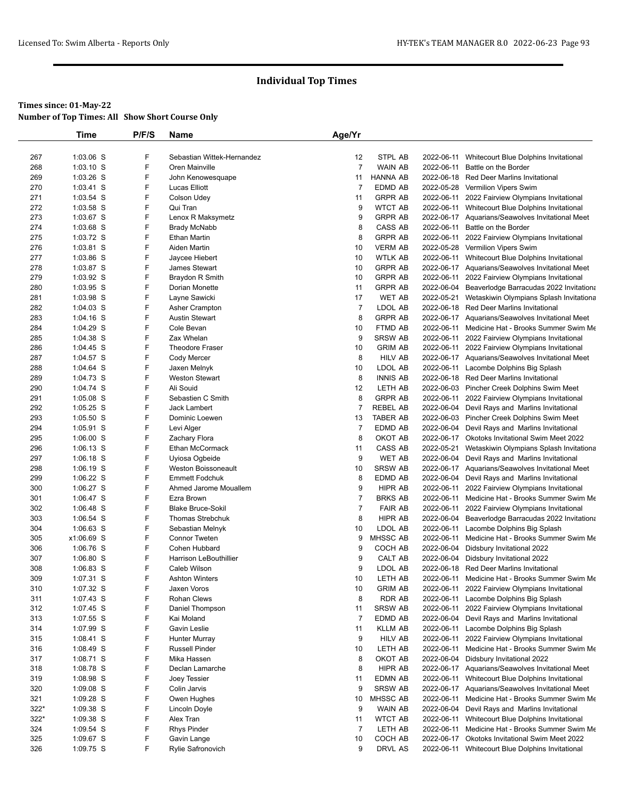## **Times since: 01-May-22**

**Number of Top Times: All Show Short Course Only**

|      | Time        | P/F/S | <b>Name</b>                   | Age/Yr         |                 |            |                                                    |
|------|-------------|-------|-------------------------------|----------------|-----------------|------------|----------------------------------------------------|
|      |             |       |                               |                |                 |            |                                                    |
| 267  | 1:03.06 S   | F     | Sebastian Wittek-Hernandez    | 12             | STPL AB         | 2022-06-11 | Whitecourt Blue Dolphins Invitational              |
| 268  | $1:03.10$ S | F     | Oren Mainville                | $\overline{7}$ | <b>WAIN AB</b>  | 2022-06-11 | Battle on the Border                               |
| 269  | $1:03.26$ S | F     | John Kenowesquape             | 11             | <b>HANNA AB</b> |            | 2022-06-18 Red Deer Marlins Invitational           |
| 270  | 1:03.41 S   | F     | Lucas Elliott                 | $\overline{7}$ | EDMD AB         | 2022-05-28 | Vermilion Vipers Swim                              |
| 271  | 1:03.54 S   | F     | <b>Colson Udey</b>            | 11             | <b>GRPR AB</b>  |            | 2022-06-11 2022 Fairview Olympians Invitational    |
| 272  | $1:03.58$ S | F     | Qui Tran                      | 9              | <b>WTCT AB</b>  |            | 2022-06-11 Whitecourt Blue Dolphins Invitational   |
| 273  | 1:03.67 S   | F     | Lenox R Maksymetz             | 9              | <b>GRPR AB</b>  |            | 2022-06-17 Aquarians/Seawolves Invitational Meet   |
| 274  | 1:03.68 S   | F     | <b>Brady McNabb</b>           | 8              | CASS AB         | 2022-06-11 | Battle on the Border                               |
| 275  | 1:03.72 S   | F     | <b>Ethan Martin</b>           | 8              | <b>GRPR AB</b>  |            | 2022-06-11 2022 Fairview Olympians Invitational    |
| 276  | 1:03.81 S   | F     | Aiden Martin                  | 10             | <b>VERM AB</b>  |            | 2022-05-28 Vermilion Vipers Swim                   |
| 277  | 1:03.86 S   | F     | Jaycee Hiebert                | 10             | <b>WTLK AB</b>  |            | 2022-06-11 Whitecourt Blue Dolphins Invitational   |
| 278  | 1:03.87 S   | F     | James Stewart                 | 10             | <b>GRPR AB</b>  |            | 2022-06-17 Aquarians/Seawolves Invitational Meet   |
| 279  | 1:03.92 S   | F     | Braydon R Smith               | 10             | <b>GRPR AB</b>  | 2022-06-11 | 2022 Fairview Olympians Invitational               |
| 280  | 1:03.95 S   | F     | Dorian Monette                | 11             | <b>GRPR AB</b>  | 2022-06-04 | Beaverlodge Barracudas 2022 Invitationa            |
| 281  | 1:03.98 S   | F     | Layne Sawicki                 | 17             | <b>WET AB</b>   |            | 2022-05-21 Wetaskiwin Olympians Splash Invitationa |
| 282  | 1:04.03 S   | F     | Asher Crampton                | $\overline{7}$ | LDOL AB         |            | 2022-06-18 Red Deer Marlins Invitational           |
| 283  | $1:04.16$ S | F     | <b>Austin Stewart</b>         | 8              | <b>GRPR AB</b>  |            | 2022-06-17 Aquarians/Seawolves Invitational Meet   |
| 284  | 1:04.29 S   | F     | Cole Bevan                    | 10             | FTMD AB         |            | 2022-06-11 Medicine Hat - Brooks Summer Swim Me    |
| 285  | 1:04.38 S   | F     | Zax Whelan                    | 9              | <b>SRSW AB</b>  |            | 2022-06-11 2022 Fairview Olympians Invitational    |
| 286  | 1:04.45 S   | F     | <b>Theodore Fraser</b>        | 10             | <b>GRIM AB</b>  |            | 2022-06-11 2022 Fairview Olympians Invitational    |
| 287  | 1:04.57 S   | F     | Cody Mercer                   | 8              | <b>HILV AB</b>  |            | 2022-06-17 Aquarians/Seawolves Invitational Meet   |
| 288  | 1:04.64 S   | F     | Jaxen Melnyk                  | 10             | LDOL AB         |            | 2022-06-11 Lacombe Dolphins Big Splash             |
| 289  | 1:04.73 S   | F     | <b>Weston Stewart</b>         | 8              | <b>INNIS AB</b> |            | 2022-06-18 Red Deer Marlins Invitational           |
| 290  | 1:04.74 S   | F     | Ali Souid                     | 12             | LETH AB         |            | 2022-06-03 Pincher Creek Dolphins Swim Meet        |
| 291  | 1:05.08 S   | F     | Sebastien C Smith             | 8              | <b>GRPR AB</b>  |            | 2022-06-11 2022 Fairview Olympians Invitational    |
| 292  | 1:05.25 S   | F     | Jack Lambert                  | $\overline{7}$ | <b>REBEL AB</b> | 2022-06-04 | Devil Rays and Marlins Invitational                |
| 293  | 1:05.50 S   | F     | Dominic Loewen                | 13             | <b>TABER AB</b> |            | 2022-06-03 Pincher Creek Dolphins Swim Meet        |
| 294  | 1:05.91 S   | F     | Levi Alger                    | $\overline{7}$ | EDMD AB         |            | 2022-06-04 Devil Rays and Marlins Invitational     |
| 295  | 1:06.00 S   | F     | Zachary Flora                 | 8              | OKOT AB         |            | 2022-06-17 Okotoks Invitational Swim Meet 2022     |
| 296  | 1:06.13 S   | F     | Ethan McCormack               | 11             | CASS AB         |            | 2022-05-21 Wetaskiwin Olympians Splash Invitationa |
| 297  | 1:06.18 S   | F     | Uyiosa Ogbeide                | 9              | <b>WET AB</b>   |            | 2022-06-04 Devil Rays and Marlins Invitational     |
| 298  | 1:06.19 S   | F     | Weston Boissoneault           | 10             | <b>SRSW AB</b>  |            | 2022-06-17 Aquarians/Seawolves Invitational Meet   |
| 299  | 1:06.22 S   | F     | <b>Emmett Fodchuk</b>         | 8              | <b>EDMD AB</b>  | 2022-06-04 | Devil Rays and Marlins Invitational                |
| 300  | 1:06.27 S   | F     | Ahmed Jarome Mouallem         | 9              | HIPR AB         | 2022-06-11 | 2022 Fairview Olympians Invitational               |
| 301  | 1:06.47 S   | F     | Ezra Brown                    | $\overline{7}$ | <b>BRKS AB</b>  |            | 2022-06-11 Medicine Hat - Brooks Summer Swim Me    |
| 302  | 1:06.48 S   | F     | <b>Blake Bruce-Sokil</b>      | $\overline{7}$ | <b>FAIR AB</b>  | 2022-06-11 | 2022 Fairview Olympians Invitational               |
| 303  | 1:06.54 S   | F     | Thomas Strebchuk              | 8              | HIPR AB         | 2022-06-04 | Beaverlodge Barracudas 2022 Invitationa            |
| 304  | $1:06.63$ S | F     | Sebastian Melnyk              | 10             | LDOL AB         |            | 2022-06-11 Lacombe Dolphins Big Splash             |
| 305  | x1:06.69 S  | F     | <b>Connor Tweten</b>          | 9              | MHSSC AB        |            | 2022-06-11 Medicine Hat - Brooks Summer Swim Me    |
| 306  | 1:06.76 S   | F     | Cohen Hubbard                 | 9              | COCH AB         | 2022-06-04 | Didsbury Invitational 2022                         |
| 307  | 1:06.80 S   | F     | <b>Harrison LeBouthillier</b> | 9              | CALT AB         | 2022-06-04 | Didsbury Invitational 2022                         |
| 308  | $1:06.83$ S | F     | Caleb Wilson                  | 9              | LDOL AB         | 2022-06-18 | <b>Red Deer Marlins Invitational</b>               |
| 309  | 1:07.31 S   | F     | <b>Ashton Winters</b>         | 10             | LETH AB         |            | 2022-06-11 Medicine Hat - Brooks Summer Swim Me    |
| 310  | 1:07.32 S   | F     | Jaxen Voros                   | 10             | <b>GRIM AB</b>  |            | 2022-06-11 2022 Fairview Olympians Invitational    |
| 311  | 1:07.43 S   | F     | Rohan Clews                   | 8              | RDR AB          |            | 2022-06-11 Lacombe Dolphins Big Splash             |
| 312  | 1:07.45 S   | F     | Daniel Thompson               | 11             | <b>SRSW AB</b>  |            | 2022-06-11 2022 Fairview Olympians Invitational    |
| 313  | 1:07.55 S   | F     | Kai Moland                    | $\overline{7}$ | EDMD AB         |            | 2022-06-04 Devil Rays and Marlins Invitational     |
| 314  | 1:07.99 S   | F     | Gavin Leslie                  | 11             | <b>KLLM AB</b>  |            | 2022-06-11 Lacombe Dolphins Big Splash             |
| 315  | 1:08.41 S   | F     | Hunter Murray                 | 9              | <b>HILV AB</b>  |            | 2022-06-11 2022 Fairview Olympians Invitational    |
| 316  | 1:08.49 S   | F     | <b>Russell Pinder</b>         | 10             | LETH AB         |            | 2022-06-11 Medicine Hat - Brooks Summer Swim Me    |
| 317  | 1:08.71 S   | F     | Mika Hassen                   | 8              | OKOT AB         | 2022-06-04 | Didsbury Invitational 2022                         |
| 318  | 1:08.78 S   | F     | Declan Lamarche               | 8              | HIPR AB         |            | 2022-06-17 Aquarians/Seawolves Invitational Meet   |
| 319  | 1:08.98 S   | F     | Joey Tessier                  | 11             | EDMN AB         |            | 2022-06-11 Whitecourt Blue Dolphins Invitational   |
| 320  | $1:09.08$ S | F     | Colin Jarvis                  | 9              | <b>SRSW AB</b>  |            | 2022-06-17 Aquarians/Seawolves Invitational Meet   |
| 321  | 1:09.28 S   | F     | Owen Hughes                   | 10             | MHSSC AB        |            | 2022-06-11 Medicine Hat - Brooks Summer Swim Me    |
| 322* | 1:09.38 S   | F     | Lincoln Doyle                 | 9              | WAIN AB         |            | 2022-06-04 Devil Rays and Marlins Invitational     |
| 322* | 1:09.38 S   | F     | Alex Tran                     | 11             | <b>WTCT AB</b>  |            | 2022-06-11 Whitecourt Blue Dolphins Invitational   |
| 324  | 1:09.54 S   | F     | <b>Rhys Pinder</b>            | $\overline{7}$ | LETH AB         |            | 2022-06-11 Medicine Hat - Brooks Summer Swim Me    |
| 325  | 1:09.67 S   | F     | Gavin Lange                   | 10             | COCH AB         |            | 2022-06-17 Okotoks Invitational Swim Meet 2022     |
| 326  | 1:09.75 S   | F     | Rylie Safronovich             | 9              | DRVL AS         |            | 2022-06-11 Whitecourt Blue Dolphins Invitational   |
|      |             |       |                               |                |                 |            |                                                    |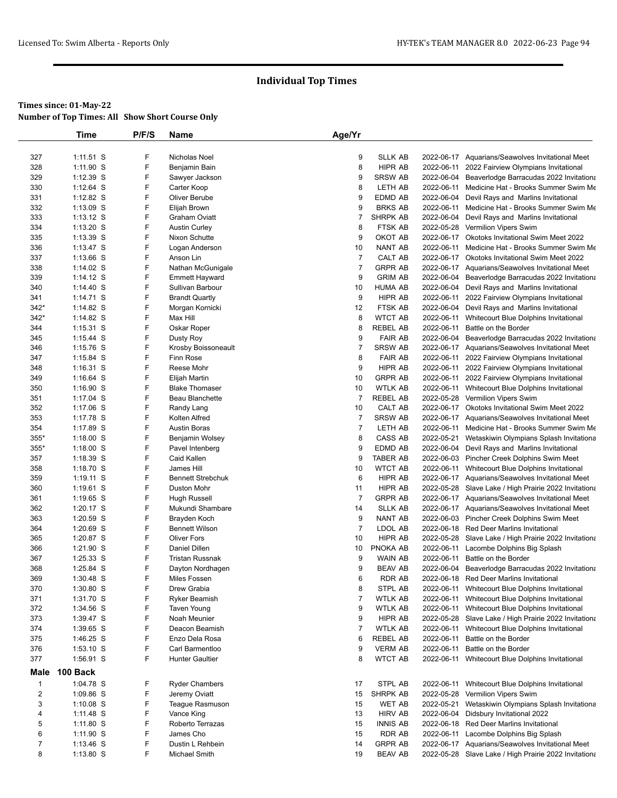|                | <b>Time</b> | P/F/S | Name                     | Age/Yr         |                 |            |                                                       |
|----------------|-------------|-------|--------------------------|----------------|-----------------|------------|-------------------------------------------------------|
|                |             |       |                          |                |                 |            |                                                       |
| 327            | $1:11.51$ S | F     | Nicholas Noel            | 9              | <b>SLLK AB</b>  |            | 2022-06-17 Aquarians/Seawolves Invitational Meet      |
| 328            | 1:11.90 S   | F     | Benjamin Bain            | 8              | HIPR AB         | 2022-06-11 | 2022 Fairview Olympians Invitational                  |
| 329            | 1:12.39 S   | F     | Sawyer Jackson           | 9              | <b>SRSW AB</b>  |            | 2022-06-04 Beaverlodge Barracudas 2022 Invitationa    |
| 330            | 1:12.64 S   | F     | Carter Koop              | 8              | LETH AB         |            | 2022-06-11 Medicine Hat - Brooks Summer Swim Me       |
| 331            | $1:12.82$ S | F     | Oliver Berube            | 9              | EDMD AB         | 2022-06-04 | Devil Rays and Marlins Invitational                   |
| 332            | 1:13.09 S   | F     | Elijah Brown             | 9              | <b>BRKS AB</b>  |            | 2022-06-11 Medicine Hat - Brooks Summer Swim Me       |
| 333            | $1:13.12$ S | F     | <b>Graham Oviatt</b>     | 7              | <b>SHRPK AB</b> |            | 2022-06-04 Devil Rays and Marlins Invitational        |
| 334            | $1:13.20$ S | F     | <b>Austin Curley</b>     | 8              | FTSK AB         |            | 2022-05-28 Vermilion Vipers Swim                      |
| 335            | $1:13.39$ S | F     | Nixon Schutte            | 9              | OKOT AB         |            | 2022-06-17 Okotoks Invitational Swim Meet 2022        |
| 336            | $1:13.47$ S | F     | Logan Anderson           | 10             | NANT AB         |            | 2022-06-11 Medicine Hat - Brooks Summer Swim Me       |
| 337            | 1:13.66 S   | F     | Anson Lin                | $\overline{7}$ | CALT AB         |            | 2022-06-17 Okotoks Invitational Swim Meet 2022        |
| 338            | $1:14.02$ S | F     | Nathan McGunigale        | $\overline{7}$ | <b>GRPR AB</b>  |            | 2022-06-17 Aquarians/Seawolves Invitational Meet      |
| 339            | $1:14.12$ S | F     | <b>Emmett Hayward</b>    | 9              | <b>GRIM AB</b>  |            | 2022-06-04 Beaverlodge Barracudas 2022 Invitationa    |
| 340            | $1:14.40$ S | F     | Sullivan Barbour         | 10             | <b>HUMA AB</b>  | 2022-06-04 | Devil Rays and Marlins Invitational                   |
| 341            | 1:14.71 S   | F     | <b>Brandt Quartly</b>    | 9              | <b>HIPR AB</b>  | 2022-06-11 | 2022 Fairview Olympians Invitational                  |
| $342*$         | $1:14.82$ S | F     | Morgan Kornicki          | 12             | FTSK AB         |            | 2022-06-04 Devil Rays and Marlins Invitational        |
| 342*           | 1:14.82 S   | F     | Max Hill                 | 8              | <b>WTCT AB</b>  |            | 2022-06-11 Whitecourt Blue Dolphins Invitational      |
| 344            | $1:15.31$ S | F     | Oskar Roper              | 8              | <b>REBEL AB</b> | 2022-06-11 | Battle on the Border                                  |
| 345            | $1:15.44$ S | F     | Dusty Roy                | 9              | <b>FAIR AB</b>  | 2022-06-04 | Beaverlodge Barracudas 2022 Invitationa               |
| 346            | 1:15.76 S   | F     | Krosby Boissoneault      | $\overline{7}$ | <b>SRSW AB</b>  |            | 2022-06-17 Aquarians/Seawolves Invitational Meet      |
| 347            | 1:15.84 S   | F     | Finn Rose                | 8              | <b>FAIR AB</b>  | 2022-06-11 | 2022 Fairview Olympians Invitational                  |
| 348            | $1:16.31$ S | F     | Reese Mohr               | 9              | HIPR AB         |            | 2022-06-11 2022 Fairview Olympians Invitational       |
| 349            | $1:16.64$ S | F     | Elijah Martin            | 10             | <b>GRPR AB</b>  |            | 2022-06-11 2022 Fairview Olympians Invitational       |
| 350            | $1:16.90$ S | F     | <b>Blake Thomaser</b>    | 10             | <b>WTLK AB</b>  |            | 2022-06-11 Whitecourt Blue Dolphins Invitational      |
| 351            | 1:17.04 S   | F     | Beau Blanchette          | $\overline{7}$ | <b>REBEL AB</b> |            | 2022-05-28 Vermilion Vipers Swim                      |
| 352            | 1:17.06 S   | F     | Randy Lang               | 10             | <b>CALT AB</b>  |            | 2022-06-17 Okotoks Invitational Swim Meet 2022        |
| 353            | 1:17.78 S   | F     | Kolten Alfred            | $\overline{7}$ | <b>SRSW AB</b>  |            | 2022-06-17 Aquarians/Seawolves Invitational Meet      |
| 354            | 1:17.89 S   | F     | Austin Boras             | $\overline{7}$ | LETH AB         |            | 2022-06-11 Medicine Hat - Brooks Summer Swim Me       |
| 355*           | $1:18.00$ S | F     | Benjamin Wolsey          | 8              | CASS AB         |            | 2022-05-21 Wetaskiwin Olympians Splash Invitationa    |
| $355*$         | $1:18.00$ S | F     | Pavel Intenberg          | 9              | EDMD AB         | 2022-06-04 | Devil Rays and Marlins Invitational                   |
| 357            | 1:18.39 S   | F     | Caid Kallen              | 9              | <b>TABER AB</b> |            | 2022-06-03 Pincher Creek Dolphins Swim Meet           |
| 358            | 1:18.70 S   | F     | James Hill               | 10             | <b>WTCT AB</b>  |            | 2022-06-11 Whitecourt Blue Dolphins Invitational      |
| 359            | $1:19.11$ S | F     | <b>Bennett Strebchuk</b> | 6              | HIPR AB         |            | 2022-06-17 Aquarians/Seawolves Invitational Meet      |
| 360            | $1:19.61$ S | F     | Duston Mohr              | 11             | HIPR AB         |            | 2022-05-28 Slave Lake / High Prairie 2022 Invitationa |
| 361            | 1:19.65 S   | F     | Hugh Russell             | $\overline{7}$ | GRPR AB         |            | 2022-06-17 Aquarians/Seawolves Invitational Meet      |
| 362            | 1:20.17 S   | F     | Mukundi Shambare         | 14             | <b>SLLK AB</b>  |            | 2022-06-17 Aquarians/Seawolves Invitational Meet      |
| 363            | 1:20.59 S   | F     | Brayden Koch             | 9              | NANT AB         |            | 2022-06-03 Pincher Creek Dolphins Swim Meet           |
| 364            | 1:20.69 S   | F     | <b>Bennett Wilson</b>    | $\overline{7}$ | LDOL AB         |            | 2022-06-18 Red Deer Marlins Invitational              |
| 365            | 1:20.87 S   | F     | <b>Oliver Fors</b>       | 10             | <b>HIPR AB</b>  |            | 2022-05-28 Slave Lake / High Prairie 2022 Invitationa |
| 366            | 1:21.90 S   | F     | <b>Daniel Dillen</b>     | 10             | PNOKA AB        |            | 2022-06-11 Lacombe Dolphins Big Splash                |
| 367            | 1:25.33 S   | F     | <b>Tristan Russnak</b>   | 9              | WAIN AB         |            | 2022-06-11 Battle on the Border                       |
| 368            | 1:25.84 S   | F     | Dayton Nordhagen         | 9              | <b>BEAV AB</b>  |            | 2022-06-04 Beaverlodge Barracudas 2022 Invitationa    |
| 369            | $1:30.48$ S | F     | Miles Fossen             | 6              | RDR AB          |            | 2022-06-18 Red Deer Marlins Invitational              |
| 370            | 1:30.80 S   | F     | Drew Grabia              | 8              | STPL AB         |            | 2022-06-11 Whitecourt Blue Dolphins Invitational      |
| 371            | 1:31.70 S   | F     | Ryker Beamish            | $\overline{7}$ | <b>WTLK AB</b>  |            | 2022-06-11 Whitecourt Blue Dolphins Invitational      |
| 372            | 1:34.56 S   | F     | <b>Taven Young</b>       | 9              | <b>WTLK AB</b>  |            | 2022-06-11 Whitecourt Blue Dolphins Invitational      |
| 373            | 1:39.47 S   | F     | Noah Meunier             | 9              | HIPR AB         |            | 2022-05-28 Slave Lake / High Prairie 2022 Invitationa |
| 374            | 1:39.65 S   | F     | Deacon Beamish           | $\overline{7}$ | <b>WTLK AB</b>  |            | 2022-06-11 Whitecourt Blue Dolphins Invitational      |
| 375            | 1:46.25 S   | F     | Enzo Dela Rosa           | 6              | REBEL AB        | 2022-06-11 | Battle on the Border                                  |
| 376            | $1:53.10$ S | F     | Carl Barmentloo          | 9              | <b>VERM AB</b>  | 2022-06-11 | Battle on the Border                                  |
| 377            | 1:56.91 S   | F     | <b>Hunter Gaultier</b>   | 8              | <b>WTCT AB</b>  |            | 2022-06-11 Whitecourt Blue Dolphins Invitational      |
| Male           | 100 Back    |       |                          |                |                 |            |                                                       |
| $\mathbf{1}$   | 1:04.78 S   | F     | <b>Ryder Chambers</b>    | 17             | STPL AB         | 2022-06-11 | Whitecourt Blue Dolphins Invitational                 |
| $\overline{2}$ | 1:09.86 S   | F     | Jeremy Oviatt            | 15             | SHRPK AB        | 2022-05-28 | Vermilion Vipers Swim                                 |
| 3              | $1:10.08$ S | F     | Teague Rasmuson          | 15             | WET AB          | 2022-05-21 | Wetaskiwin Olympians Splash Invitationa               |
| 4              | 1:11.48 S   | F     | Vance King               | 13             | <b>HIRV AB</b>  | 2022-06-04 | Didsbury Invitational 2022                            |
| 5              | 1:11.80 S   | F     | Roberto Terrazas         | 15             | <b>INNIS AB</b> |            | 2022-06-18 Red Deer Marlins Invitational              |
| 6              | 1:11.90 S   | F     | James Cho                | 15             | <b>RDR AB</b>   |            | 2022-06-11 Lacombe Dolphins Big Splash                |
| 7              | $1:13.46$ S | F     | Dustin L Rehbein         | 14             | <b>GRPR AB</b>  |            | 2022-06-17 Aquarians/Seawolves Invitational Meet      |
| 8              | 1:13.80 S   | F     | Michael Smith            | 19             | <b>BEAV AB</b>  |            | 2022-05-28 Slave Lake / High Prairie 2022 Invitationa |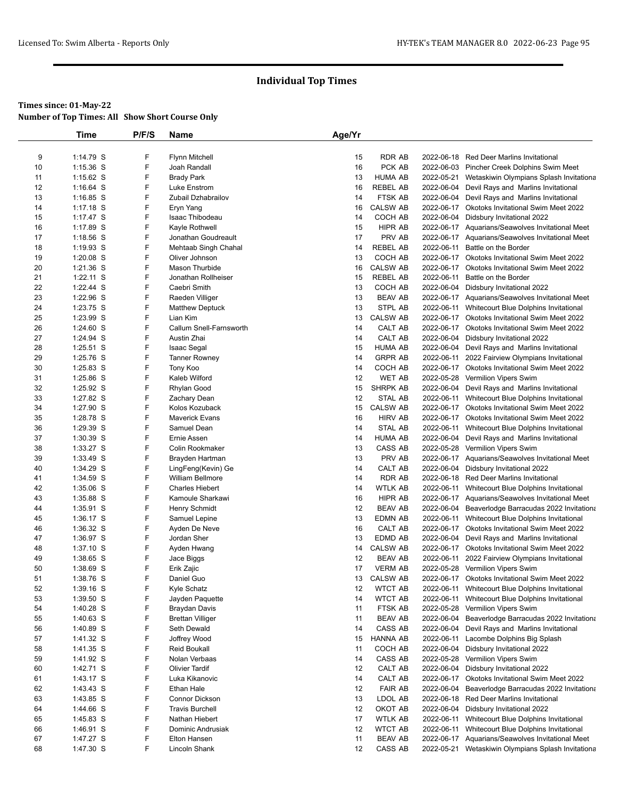|    | Time        | P/F/S | Name                    | Age/Yr |                 |            |                                                    |
|----|-------------|-------|-------------------------|--------|-----------------|------------|----------------------------------------------------|
|    |             |       |                         |        |                 |            |                                                    |
| 9  | $1:14.79$ S | F     | <b>Flynn Mitchell</b>   | 15     | <b>RDR AB</b>   |            | 2022-06-18 Red Deer Marlins Invitational           |
| 10 | $1:15.36$ S | F     | Joah Randall            | 16     | PCK AB          |            | 2022-06-03 Pincher Creek Dolphins Swim Meet        |
| 11 | $1:15.62$ S | F     | <b>Brady Park</b>       | 13     | <b>HUMA AB</b>  |            | 2022-05-21 Wetaskiwin Olympians Splash Invitationa |
| 12 | $1:16.64$ S | F     | Luke Enstrom            | 16     | <b>REBEL AB</b> |            | 2022-06-04 Devil Rays and Marlins Invitational     |
| 13 | $1:16.85$ S | F     | Zubail Dzhabrailov      | 14     | FTSK AB         |            | 2022-06-04 Devil Rays and Marlins Invitational     |
| 14 | $1:17.18$ S | F     | Eryn Yang               | 16     | <b>CALSW AB</b> |            | 2022-06-17 Okotoks Invitational Swim Meet 2022     |
| 15 | $1:17.47$ S | F     | Isaac Thibodeau         | 14     | COCH AB         |            | 2022-06-04 Didsbury Invitational 2022              |
| 16 | $1:17.89$ S | F     | Kayle Rothwell          | 15     | HIPR AB         |            | 2022-06-17 Aquarians/Seawolves Invitational Meet   |
| 17 | $1:18.56$ S | F     | Jonathan Goudreault     | 17     | PRV AB          |            | 2022-06-17 Aquarians/Seawolves Invitational Meet   |
| 18 | $1:19.93$ S | F     | Mehtaab Singh Chahal    | 14     | <b>REBEL AB</b> |            | 2022-06-11 Battle on the Border                    |
| 19 | $1:20.08$ S | F     | Oliver Johnson          | 13     | COCH AB         |            | 2022-06-17 Okotoks Invitational Swim Meet 2022     |
| 20 | $1:21.36$ S | F     | Mason Thurbide          | 16     | <b>CALSW AB</b> | 2022-06-17 | Okotoks Invitational Swim Meet 2022                |
| 21 | $1:22.11$ S | F     | Jonathan Rollheiser     | 15     | <b>REBEL AB</b> | 2022-06-11 | Battle on the Border                               |
| 22 | $1:22.44$ S | F     | Caebri Smith            | 13     | COCH AB         |            | 2022-06-04 Didsbury Invitational 2022              |
| 23 | 1:22.96 S   | F     | Raeden Villiger         | 13     | <b>BEAV AB</b>  |            | 2022-06-17 Aquarians/Seawolves Invitational Meet   |
| 24 | 1:23.75 S   | F     | <b>Matthew Deptuck</b>  | 13     | STPL AB         |            | 2022-06-11 Whitecourt Blue Dolphins Invitational   |
| 25 | 1:23.99 S   | F     | Lian Kim                | 13     | <b>CALSW AB</b> |            | 2022-06-17 Okotoks Invitational Swim Meet 2022     |
| 26 | $1:24.60$ S | F     | Callum Snell-Farnsworth | 14     | CALT AB         |            | 2022-06-17 Okotoks Invitational Swim Meet 2022     |
| 27 | 1:24.94 S   | F     | Austin Zhai             | 14     | CALT AB         |            | 2022-06-04 Didsbury Invitational 2022              |
| 28 | $1:25.51$ S | F     | Isaac Segal             | 15     | <b>HUMA AB</b>  |            | 2022-06-04 Devil Rays and Marlins Invitational     |
| 29 | 1:25.76 S   | F     | Tanner Rowney           | 14     | <b>GRPR AB</b>  | 2022-06-11 | 2022 Fairview Olympians Invitational               |
| 30 | $1:25.83$ S | F     | Tony Koo                | 14     | COCH AB         |            | 2022-06-17 Okotoks Invitational Swim Meet 2022     |
| 31 | $1:25.86$ S | F     | Kaleb Wilford           | 12     | WET AB          |            | 2022-05-28 Vermilion Vipers Swim                   |
| 32 | $1:25.92$ S | F     | Rhylan Good             | 15     | SHRPK AB        |            | 2022-06-04 Devil Rays and Marlins Invitational     |
| 33 | 1:27.82 S   | F     | Zachary Dean            | 12     | STAL AB         |            | 2022-06-11 Whitecourt Blue Dolphins Invitational   |
| 34 | 1:27.90 S   | F     | Kolos Kozuback          | 15     | <b>CALSW AB</b> |            | 2022-06-17 Okotoks Invitational Swim Meet 2022     |
| 35 | 1:28.78 S   | F     | <b>Maverick Evans</b>   | 16     | <b>HIRV AB</b>  |            | 2022-06-17 Okotoks Invitational Swim Meet 2022     |
|    |             | F     | Samuel Dean             | 14     | STAL AB         | 2022-06-11 |                                                    |
| 36 | 1:29.39 S   | F     |                         |        | <b>HUMA AB</b>  |            | Whitecourt Blue Dolphins Invitational              |
| 37 | $1:30.39$ S |       | Ernie Assen             | 14     |                 |            | 2022-06-04 Devil Rays and Marlins Invitational     |
| 38 | 1:33.27 S   | F     | Colin Rookmaker         | 13     | CASS AB         |            | 2022-05-28 Vermilion Vipers Swim                   |
| 39 | 1:33.49 S   | F     | Brayden Hartman         | 13     | PRV AB          |            | 2022-06-17 Aquarians/Seawolves Invitational Meet   |
| 40 | 1:34.29 S   | F     | LingFeng(Kevin) Ge      | 14     | CALT AB         |            | 2022-06-04 Didsbury Invitational 2022              |
| 41 | 1:34.59 S   | F     | <b>William Bellmore</b> | 14     | <b>RDR AB</b>   |            | 2022-06-18 Red Deer Marlins Invitational           |
| 42 | $1:35.06$ S | F     | <b>Charles Hiebert</b>  | 14     | WTLK AB         | 2022-06-11 | Whitecourt Blue Dolphins Invitational              |
| 43 | 1:35.88 S   | F     | Kamoule Sharkawi        | 16     | HIPR AB         |            | 2022-06-17 Aquarians/Seawolves Invitational Meet   |
| 44 | $1:35.91$ S | F     | Henry Schmidt           | 12     | <b>BEAV AB</b>  |            | 2022-06-04 Beaverlodge Barracudas 2022 Invitationa |
| 45 | $1:36.17$ S | F     | Samuel Lepine           | 13     | EDMN AB         |            | 2022-06-11 Whitecourt Blue Dolphins Invitational   |
| 46 | 1:36.32 S   | F     | Ayden De Neve           | 16     | CALT AB         |            | 2022-06-17 Okotoks Invitational Swim Meet 2022     |
| 47 | 1:36.97 S   | F     | Jordan Sher             | 13     | EDMD AB         |            | 2022-06-04 Devil Rays and Marlins Invitational     |
| 48 | $1:37.10$ S | F     | Ayden Hwang             | 14     | CALSW AB        |            | 2022-06-17 Okotoks Invitational Swim Meet 2022     |
| 49 | 1:38.65 S   | F     | Jace Biggs              | 12     | <b>BEAV AB</b>  | 2022-06-11 | 2022 Fairview Olympians Invitational               |
| 50 | 1:38.69 S   | F     | Erik Zajic              | 17     | <b>VERM AB</b>  |            | 2022-05-28 Vermilion Vipers Swim                   |
| 51 | 1:38.76 S   | F     | Daniel Guo              | 13     | <b>CALSW AB</b> |            | 2022-06-17 Okotoks Invitational Swim Meet 2022     |
| 52 | 1:39.16 S   | F     | Kyle Schatz             | 12     | <b>WTCT AB</b>  |            | 2022-06-11 Whitecourt Blue Dolphins Invitational   |
| 53 | $1:39.50$ S | F     | Jayden Paquette         | 14     | <b>WTCT AB</b>  | 2022-06-11 | Whitecourt Blue Dolphins Invitational              |
| 54 | $1:40.28$ S | F     | <b>Braydan Davis</b>    | 11     | FTSK AB         |            | 2022-05-28 Vermilion Vipers Swim                   |
| 55 | 1:40.63 S   | F     | <b>Brettan Villiger</b> | 11     | <b>BEAV AB</b>  |            | 2022-06-04 Beaverlodge Barracudas 2022 Invitationa |
| 56 | 1:40.89 S   | F     | Seth Dewald             | 14     | CASS AB         |            | 2022-06-04 Devil Rays and Marlins Invitational     |
| 57 | 1:41.32 S   | F     | Joffrey Wood            | 15     | HANNA AB        | 2022-06-11 | Lacombe Dolphins Big Splash                        |
| 58 | 1:41.35 S   | F     | Reid Boukall            | 11     | COCH AB         |            | 2022-06-04 Didsbury Invitational 2022              |
| 59 | 1:41.92 S   | F     | Nolan Verbaas           | 14     | CASS AB         |            | 2022-05-28 Vermilion Vipers Swim                   |
| 60 | 1:42.71 S   | F     | <b>Olivier Tardif</b>   | 12     | CALT AB         |            | 2022-06-04 Didsbury Invitational 2022              |
| 61 | 1:43.17 S   | F     | Luka Kikanovic          | 14     | CALT AB         |            | 2022-06-17 Okotoks Invitational Swim Meet 2022     |
| 62 | $1:43.43$ S | F     | Ethan Hale              | 12     | <b>FAIR AB</b>  |            | 2022-06-04 Beaverlodge Barracudas 2022 Invitationa |
| 63 | 1:43.85 S   | F     | Connor Dickson          | 13     | LDOL AB         |            | 2022-06-18 Red Deer Marlins Invitational           |
| 64 | 1:44.66 S   | F     | <b>Travis Burchell</b>  | 12     | OKOT AB         |            | 2022-06-04 Didsbury Invitational 2022              |
| 65 | 1:45.83 S   | F     | Nathan Hiebert          | 17     | <b>WTLK AB</b>  |            | 2022-06-11 Whitecourt Blue Dolphins Invitational   |
| 66 | 1:46.91 S   | F     | Dominic Andrusiak       | 12     | <b>WTCT AB</b>  | 2022-06-11 | Whitecourt Blue Dolphins Invitational              |
| 67 | 1:47.27 S   | F     | Elton Hansen            | 11     | <b>BEAV AB</b>  |            | 2022-06-17 Aquarians/Seawolves Invitational Meet   |
| 68 | 1:47.30 S   | F     | Lincoln Shank           | 12     | CASS AB         |            | 2022-05-21 Wetaskiwin Olympians Splash Invitationa |
|    |             |       |                         |        |                 |            |                                                    |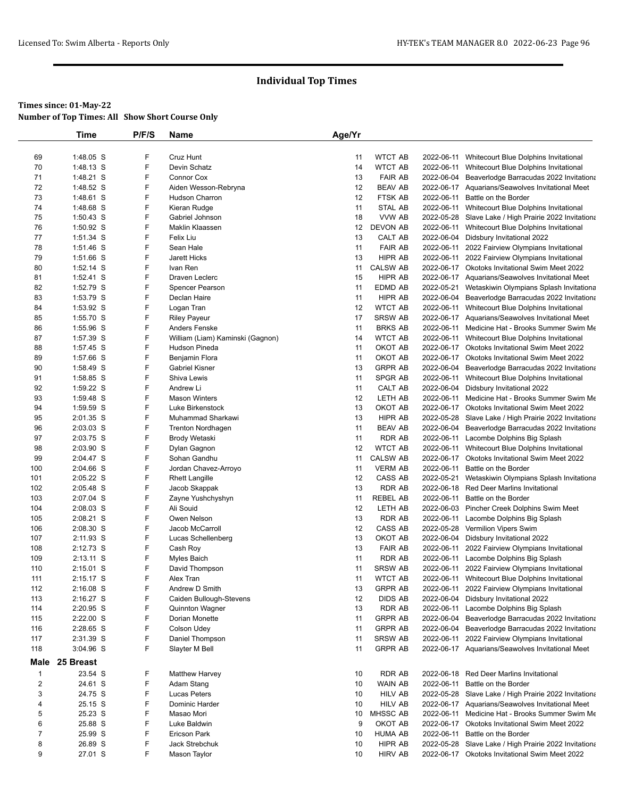|                | Time        | P/F/S | Name                             | Age/Yr |                 |            |                                                       |
|----------------|-------------|-------|----------------------------------|--------|-----------------|------------|-------------------------------------------------------|
|                |             |       |                                  |        |                 |            |                                                       |
| 69             | 1:48.05 S   | F     | Cruz Hunt                        | 11     | <b>WTCT AB</b>  | 2022-06-11 | Whitecourt Blue Dolphins Invitational                 |
| 70             | 1:48.13 S   | F     | Devin Schatz                     | 14     | <b>WTCT AB</b>  |            | 2022-06-11 Whitecourt Blue Dolphins Invitational      |
| 71             | 1:48.21 S   | F     | Connor Cox                       | 13     | <b>FAIR AB</b>  |            | 2022-06-04 Beaverlodge Barracudas 2022 Invitationa    |
| 72             | 1:48.52 S   | F     | Aiden Wesson-Rebryna             | 12     | <b>BEAV AB</b>  |            | 2022-06-17 Aquarians/Seawolves Invitational Meet      |
| 73             | 1:48.61 S   | F     | Hudson Charron                   | 12     | <b>FTSK AB</b>  | 2022-06-11 | Battle on the Border                                  |
| 74             | 1:48.68 S   | F     | Kieran Rudge                     | 11     | STAL AB         | 2022-06-11 | Whitecourt Blue Dolphins Invitational                 |
| 75             | 1:50.43 S   | F     | Gabriel Johnson                  | 18     | VVW AB          |            | 2022-05-28 Slave Lake / High Prairie 2022 Invitationa |
| 76             | 1:50.92 S   | F     | Maklin Klaassen                  | 12     | <b>DEVON AB</b> | 2022-06-11 | Whitecourt Blue Dolphins Invitational                 |
| 77             | 1:51.34 S   | F     | Felix Liu                        | 13     | CALT AB         |            | 2022-06-04 Didsbury Invitational 2022                 |
| 78             | 1:51.46 S   | F     | Sean Hale                        | 11     | <b>FAIR AB</b>  | 2022-06-11 | 2022 Fairview Olympians Invitational                  |
| 79             | 1:51.66 S   | F     | <b>Jarett Hicks</b>              | 13     | HIPR AB         |            | 2022-06-11 2022 Fairview Olympians Invitational       |
| 80             | 1:52.14 S   | F     | Ivan Ren                         | 11     | <b>CALSW AB</b> |            | 2022-06-17 Okotoks Invitational Swim Meet 2022        |
| 81             | 1:52.41 S   | F     | Draven Leclerc                   | 15     | HIPR AB         |            | 2022-06-17 Aquarians/Seawolves Invitational Meet      |
| 82             | 1:52.79 S   | F     | Spencer Pearson                  | 11     | EDMD AB         | 2022-05-21 | Wetaskiwin Olympians Splash Invitationa               |
| 83             | 1:53.79 S   | F     | Declan Haire                     | 11     | HIPR AB         |            | 2022-06-04 Beaverlodge Barracudas 2022 Invitationa    |
| 84             | 1:53.92 S   | F     | Logan Tran                       | 12     | <b>WTCT AB</b>  |            | 2022-06-11 Whitecourt Blue Dolphins Invitational      |
| 85             | 1:55.70 S   | F     | <b>Riley Payeur</b>              | 17     | <b>SRSW AB</b>  |            | 2022-06-17 Aquarians/Seawolves Invitational Meet      |
| 86             | 1:55.96 S   | F     | Anders Fenske                    | 11     | <b>BRKS AB</b>  | 2022-06-11 | Medicine Hat - Brooks Summer Swim Me                  |
| 87             | 1:57.39 S   | F     | William (Liam) Kaminski (Gagnon) | 14     | <b>WTCT AB</b>  |            | 2022-06-11 Whitecourt Blue Dolphins Invitational      |
| 88             | 1:57.45 S   | F     | Hudson Pineda                    | 11     | OKOT AB         |            | 2022-06-17 Okotoks Invitational Swim Meet 2022        |
| 89             | 1:57.66 S   | F     | Benjamin Flora                   | 11     | OKOT AB         |            | 2022-06-17 Okotoks Invitational Swim Meet 2022        |
| 90             | 1:58.49 S   | F     | <b>Gabriel Kisner</b>            | 13     | <b>GRPR AB</b>  |            | 2022-06-04 Beaverlodge Barracudas 2022 Invitationa    |
| 91             | 1:58.85 S   | F     | Shiva Lewis                      | 11     | SPGR AB         | 2022-06-11 | Whitecourt Blue Dolphins Invitational                 |
| 92             | 1:59.22 S   | F     | Andrew Li                        | 11     | CALT AB         |            | 2022-06-04 Didsbury Invitational 2022                 |
| 93             | 1:59.48 S   | F     | <b>Mason Winters</b>             | 12     | LETH AB         | 2022-06-11 | Medicine Hat - Brooks Summer Swim Me                  |
| 94             | 1:59.59 S   | F     | Luke Birkenstock                 | 13     | OKOT AB         |            | 2022-06-17 Okotoks Invitational Swim Meet 2022        |
| 95             | 2:01.35 S   | F     | Muhammad Sharkawi                | 13     | HIPR AB         |            | 2022-05-28 Slave Lake / High Prairie 2022 Invitationa |
| 96             | 2:03.03 S   | F     | <b>Trenton Nordhagen</b>         | 11     | <b>BEAV AB</b>  |            | 2022-06-04 Beaverlodge Barracudas 2022 Invitationa    |
| 97             | 2:03.75 S   | F     | Brody Wetaski                    | 11     | RDR AB          | 2022-06-11 | Lacombe Dolphins Big Splash                           |
| 98             | 2:03.90 S   | F     | Dylan Gagnon                     | 12     | <b>WTCT AB</b>  | 2022-06-11 | Whitecourt Blue Dolphins Invitational                 |
| 99             | 2:04.47 S   | F     | Sohan Gandhu                     | 11     | <b>CALSW AB</b> |            | 2022-06-17 Okotoks Invitational Swim Meet 2022        |
| 100            | 2:04.66 S   | F     | Jordan Chavez-Arroyo             | 11     | <b>VERM AB</b>  | 2022-06-11 | Battle on the Border                                  |
| 101            | 2:05.22 S   | F     | <b>Rhett Langille</b>            | 12     | CASS AB         | 2022-05-21 | Wetaskiwin Olympians Splash Invitationa               |
| 102            | 2:05.48 S   | F     | Jacob Skappak                    | 13     | RDR AB          |            | 2022-06-18 Red Deer Marlins Invitational              |
| 103            | 2:07.04 S   | F     | Zayne Yushchyshyn                | 11     | <b>REBEL AB</b> | 2022-06-11 | Battle on the Border                                  |
| 104            | 2:08.03 S   | F     | Ali Souid                        | 12     | LETH AB         |            | 2022-06-03 Pincher Creek Dolphins Swim Meet           |
| 105            | 2:08.21 S   | F     | Owen Nelson                      | 13     | RDR AB          | 2022-06-11 | Lacombe Dolphins Big Splash                           |
| 106            | 2:08.30 S   | F     | Jacob McCarroll                  | 12     | CASS AB         |            | 2022-05-28 Vermilion Vipers Swim                      |
| 107            | 2:11.93 S   | F     | Lucas Schellenberg               | 13     | OKOT AB         |            | 2022-06-04 Didsbury Invitational 2022                 |
| 108            | 2:12.73 S   | F     | Cash Roy                         | 13     | <b>FAIR AB</b>  |            | 2022-06-11 2022 Fairview Olympians Invitational       |
| 109            | 2:13.11 S   | F     | Myles Baich                      | 11     | RDR AB          | 2022-06-11 | Lacombe Dolphins Big Splash                           |
| 110            | 2:15.01 S   | F     | David Thompson                   | 11     | <b>SRSW AB</b>  |            | 2022-06-11 2022 Fairview Olympians Invitational       |
| 111            | 2:15.17 S   | F     | Alex Tran                        | 11     | <b>WTCT AB</b>  |            | 2022-06-11 Whitecourt Blue Dolphins Invitational      |
| 112            | $2:16.08$ S | F     | Andrew D Smith                   | 13     | <b>GRPR AB</b>  |            | 2022-06-11 2022 Fairview Olympians Invitational       |
| 113            | 2:16.27 S   | F     | Caiden Bullough-Stevens          | 12     | DIDS AB         |            | 2022-06-04 Didsbury Invitational 2022                 |
| 114            | 2:20.95 S   | F     | <b>Quinnton Wagner</b>           | 13     | RDR AB          | 2022-06-11 | Lacombe Dolphins Big Splash                           |
| 115            | 2:22.00 S   | F     | Dorian Monette                   | 11     | <b>GRPR AB</b>  |            | 2022-06-04 Beaverlodge Barracudas 2022 Invitationa    |
| 116            | 2:28.65 S   | F     | Colson Udey                      | 11     | <b>GRPR AB</b>  | 2022-06-04 | Beaverlodge Barracudas 2022 Invitationa               |
| 117            | 2:31.39 S   | F     | Daniel Thompson                  | 11     | <b>SRSW AB</b>  | 2022-06-11 | 2022 Fairview Olympians Invitational                  |
| 118            | 3:04.96 S   | F     | Slayter M Bell                   | 11     | <b>GRPR AB</b>  |            | 2022-06-17 Aquarians/Seawolves Invitational Meet      |
| Male           | 25 Breast   |       |                                  |        |                 |            |                                                       |
| $\mathbf{1}$   | 23.54 S     | F     | <b>Matthew Harvey</b>            | 10     | RDR AB          |            | 2022-06-18 Red Deer Marlins Invitational              |
| $\overline{c}$ | 24.61 S     | F     | Adam Stang                       | 10     | WAIN AB         | 2022-06-11 | Battle on the Border                                  |
| 3              | 24.75 S     | F     | Lucas Peters                     | 10     | <b>HILV AB</b>  |            | 2022-05-28 Slave Lake / High Prairie 2022 Invitationa |
| 4              | 25.15 S     | F     | Dominic Harder                   | 10     | <b>HILV AB</b>  |            | 2022-06-17 Aquarians/Seawolves Invitational Meet      |
| 5              | 25.23 S     | F     | Masao Mori                       | 10     | MHSSC AB        |            | 2022-06-11 Medicine Hat - Brooks Summer Swim Me       |
| 6              | 25.88 S     | F     | Luke Baldwin                     | 9      | OKOT AB         |            | 2022-06-17 Okotoks Invitational Swim Meet 2022        |
| $\overline{7}$ | 25.99 S     | F     | <b>Ericson Park</b>              | 10     | <b>HUMA AB</b>  | 2022-06-11 | Battle on the Border                                  |
| 8              | 26.89 S     | F     | Jack Strebchuk                   | 10     | HIPR AB         |            | 2022-05-28 Slave Lake / High Prairie 2022 Invitationa |
| 9              | 27.01 S     | F     | Mason Taylor                     | 10     | <b>HIRV AB</b>  |            | 2022-06-17 Okotoks Invitational Swim Meet 2022        |
|                |             |       |                                  |        |                 |            |                                                       |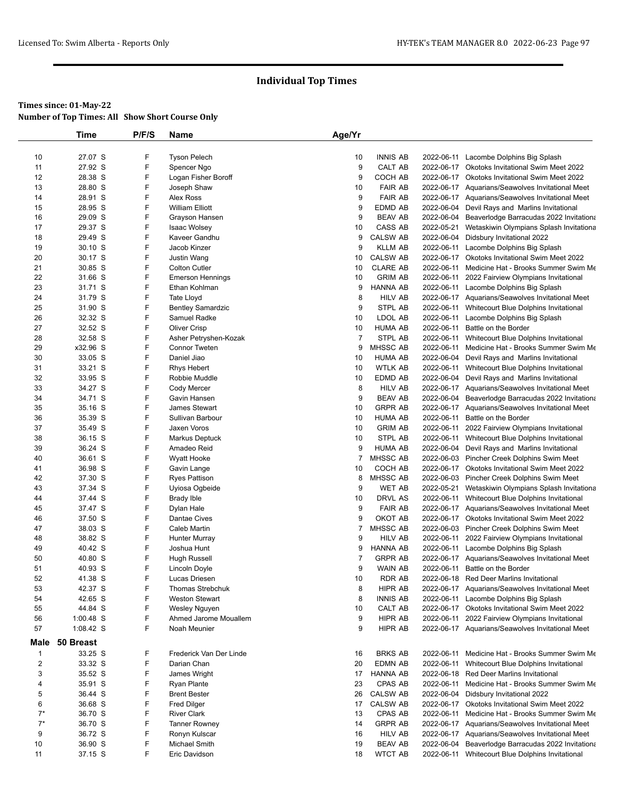|                                | Time      | P/F/S | Name                     | Age/Yr         |                 |                          |                                                    |
|--------------------------------|-----------|-------|--------------------------|----------------|-----------------|--------------------------|----------------------------------------------------|
|                                |           |       |                          |                |                 |                          |                                                    |
| 10                             | 27.07 S   | F     | <b>Tyson Pelech</b>      | 10             | <b>INNIS AB</b> | 2022-06-11               | Lacombe Dolphins Big Splash                        |
| 11                             | 27.92 S   | F     | Spencer Ngo              | 9              | CALT AB         |                          | 2022-06-17 Okotoks Invitational Swim Meet 2022     |
| 12                             | 28.38 S   | F     | Logan Fisher Boroff      | 9              | COCH AB         |                          | 2022-06-17 Okotoks Invitational Swim Meet 2022     |
| 13                             | 28.80 S   | F     | Joseph Shaw              | 10             | <b>FAIR AB</b>  |                          | 2022-06-17 Aquarians/Seawolves Invitational Meet   |
| 14                             | 28.91 S   | F     | Alex Ross                | 9              | <b>FAIR AB</b>  |                          | 2022-06-17 Aquarians/Seawolves Invitational Meet   |
| 15                             | 28.95 S   | F     | <b>William Elliott</b>   | 9              | EDMD AB         |                          | 2022-06-04 Devil Rays and Marlins Invitational     |
| 16                             | 29.09 S   | F     | Grayson Hansen           | 9              | <b>BEAV AB</b>  |                          | 2022-06-04 Beaverlodge Barracudas 2022 Invitationa |
| 17                             | 29.37 S   | F     | <b>Isaac Wolsey</b>      | 10             | CASS AB         | 2022-05-21               | Wetaskiwin Olympians Splash Invitationa            |
| 18                             | 29.49 S   | F     | Kaveer Gandhu            | 9              | <b>CALSW AB</b> |                          | 2022-06-04 Didsbury Invitational 2022              |
| 19                             | 30.10 S   | F     | Jacob Kinzer             | 9              | <b>KLLM AB</b>  | 2022-06-11               | Lacombe Dolphins Big Splash                        |
| 20                             | 30.17 S   | F     | Justin Wang              | 10             | <b>CALSW AB</b> |                          | 2022-06-17 Okotoks Invitational Swim Meet 2022     |
| 21                             | 30.85 S   | F     | <b>Colton Cutler</b>     | 10             | <b>CLARE AB</b> | 2022-06-11               | Medicine Hat - Brooks Summer Swim Me               |
| 22                             | 31.66 S   | F     | <b>Emerson Hennings</b>  | 10             | <b>GRIM AB</b>  |                          | 2022-06-11 2022 Fairview Olympians Invitational    |
| 23                             | 31.71 S   | F     | Ethan Kohlman            | 9              | <b>HANNA AB</b> | 2022-06-11               | Lacombe Dolphins Big Splash                        |
| 24                             | 31.79 S   | F     | <b>Tate Lloyd</b>        | 8              | <b>HILV AB</b>  |                          | 2022-06-17 Aquarians/Seawolves Invitational Meet   |
| 25                             | 31.90 S   | F     | <b>Bentley Samardzic</b> | 9              | STPL AB         |                          | 2022-06-11 Whitecourt Blue Dolphins Invitational   |
| 26                             | 32.32 S   | F     | Samuel Radke             | 10             | LDOL AB         | 2022-06-11               | Lacombe Dolphins Big Splash                        |
| 27                             | 32.52 S   | F     | <b>Oliver Crisp</b>      | 10             | <b>HUMA AB</b>  | 2022-06-11               | Battle on the Border                               |
| 28                             | 32.58 S   | F     | Asher Petryshen-Kozak    | $\overline{7}$ | STPL AB         |                          | 2022-06-11 Whitecourt Blue Dolphins Invitational   |
| 29                             | x32.96 S  | F     | <b>Connor Tweten</b>     | 9              | MHSSC AB        | 2022-06-11               | Medicine Hat - Brooks Summer Swim Me               |
| 30                             | 33.05 S   | F     | Daniel Jiao              | 10             | <b>HUMA AB</b>  |                          | 2022-06-04 Devil Rays and Marlins Invitational     |
| 31                             | 33.21 S   | F     | <b>Rhys Hebert</b>       | 10             | <b>WTLK AB</b>  |                          | 2022-06-11 Whitecourt Blue Dolphins Invitational   |
| 32                             | 33.95 S   | F     | Robbie Muddle            | 10             | EDMD AB         |                          | 2022-06-04 Devil Rays and Marlins Invitational     |
| 33                             | 34.27 S   | F     | Cody Mercer              | 8              | <b>HILV AB</b>  |                          | 2022-06-17 Aquarians/Seawolves Invitational Meet   |
| 34                             | 34.71 S   | F     | Gavin Hansen             | 9              | <b>BEAV AB</b>  |                          | 2022-06-04 Beaverlodge Barracudas 2022 Invitationa |
| 35                             | 35.16 S   | F     | James Stewart            | 10             | <b>GRPR AB</b>  |                          | 2022-06-17 Aquarians/Seawolves Invitational Meet   |
| 36                             | 35.39 S   | F     | Sullivan Barbour         | 10             | HUMA AB         | 2022-06-11               | Battle on the Border                               |
| 37                             | 35.49 S   | F     | Jaxen Voros              | 10             | <b>GRIM AB</b>  | 2022-06-11               | 2022 Fairview Olympians Invitational               |
| 38                             | 36.15 S   | F     | Markus Deptuck           | 10             | STPL AB         | 2022-06-11               | Whitecourt Blue Dolphins Invitational              |
| 39                             | 36.24 S   | F     | Amadeo Reid              | 9              | <b>HUMA AB</b>  |                          | 2022-06-04 Devil Rays and Marlins Invitational     |
| 40                             | 36.61 S   | F     | Wyatt Hooke              | 7              | MHSSC AB        |                          | 2022-06-03 Pincher Creek Dolphins Swim Meet        |
| 41                             | 36.98 S   | F     | Gavin Lange              | 10             | COCH AB         |                          | 2022-06-17 Okotoks Invitational Swim Meet 2022     |
| 42                             | 37.30 S   | F     | <b>Ryes Pattison</b>     | 8              | MHSSC AB        |                          | 2022-06-03 Pincher Creek Dolphins Swim Meet        |
| 43                             | 37.34 S   | F     | Uyiosa Ogbeide           | 9              | <b>WET AB</b>   | 2022-05-21               | Wetaskiwin Olympians Splash Invitationa            |
| 44                             | 37.44 S   | F     | <b>Brady Ible</b>        | 10             | DRVL AS         |                          | 2022-06-11 Whitecourt Blue Dolphins Invitational   |
| 45                             | 37.47 S   | F     | Dylan Hale               | 9              | <b>FAIR AB</b>  |                          | 2022-06-17 Aquarians/Seawolves Invitational Meet   |
| 46                             | 37.50 S   | F     | Dantae Cives             | 9              | OKOT AB         |                          | 2022-06-17 Okotoks Invitational Swim Meet 2022     |
| 47                             | 38.03 S   | F     | <b>Caleb Martin</b>      | 7              | MHSSC AB        |                          | 2022-06-03 Pincher Creek Dolphins Swim Meet        |
| 48                             | 38.82 S   | F     | Hunter Murray            | 9              | <b>HILV AB</b>  | 2022-06-11               | 2022 Fairview Olympians Invitational               |
| 49                             | 40.42 S   | F     | Joshua Hunt              | 9              | HANNA AB        | 2022-06-11               | Lacombe Dolphins Big Splash                        |
| 50                             | 40.80 S   | F     | <b>Hugh Russell</b>      | $\overline{7}$ | <b>GRPR AB</b>  |                          | 2022-06-17 Aquarians/Seawolves Invitational Meet   |
| 51                             | 40.93 S   | F     | Lincoln Doyle            | 9              | WAIN AB         | 2022-06-11               | Battle on the Border                               |
| 52                             | 41.38 S   | F     | Lucas Driesen            | 10             | RDR AB          |                          | 2022-06-18 Red Deer Marlins Invitational           |
| 53                             | 42.37 S   | F     | Thomas Strebchuk         | 8              | HIPR AB         |                          | 2022-06-17 Aquarians/Seawolves Invitational Meet   |
| 54                             | 42.65 S   | F     | <b>Weston Stewart</b>    | 8              | <b>INNIS AB</b> |                          | 2022-06-11 Lacombe Dolphins Big Splash             |
| 55                             | 44.84 S   | F     | Wesley Nguyen            | 10             | CALT AB         |                          | 2022-06-17 Okotoks Invitational Swim Meet 2022     |
| 56                             | 1:00.48 S | F     | Ahmed Jarome Mouallem    | 9              | HIPR AB         |                          | 2022-06-11 2022 Fairview Olympians Invitational    |
| 57                             | 1:08.42 S | F     | Noah Meunier             | 9              | HIPR AB         |                          | 2022-06-17 Aquarians/Seawolves Invitational Meet   |
| Male                           | 50 Breast |       |                          |                |                 |                          |                                                    |
|                                | 33.25 S   | F     | Frederick Van Der Linde  |                | <b>BRKS AB</b>  |                          |                                                    |
| $\mathbf{1}$<br>$\overline{2}$ |           | F     | Darian Chan              | 16             |                 | 2022-06-11<br>2022-06-11 | Medicine Hat - Brooks Summer Swim Me               |
|                                | 33.32 S   | F     |                          | 20<br>17       | EDMN AB         |                          | Whitecourt Blue Dolphins Invitational              |
| 3                              | 35.52 S   |       | James Wright             |                | HANNA AB        |                          | 2022-06-18 Red Deer Marlins Invitational           |
| 4                              | 35.91 S   | F     | <b>Ryan Plante</b>       | 23             | CPAS AB         | 2022-06-11               | Medicine Hat - Brooks Summer Swim Me               |
| 5                              | 36.44 S   | F     | <b>Brent Bester</b>      | 26             | <b>CALSW AB</b> | 2022-06-04               | Didsbury Invitational 2022                         |
| 6                              | 36.68 S   | F     | <b>Fred Dilger</b>       | 17             | <b>CALSW AB</b> |                          | 2022-06-17 Okotoks Invitational Swim Meet 2022     |
| $7^*$                          | 36.70 S   | F     | <b>River Clark</b>       | 13             | CPAS AB         | 2022-06-11               | Medicine Hat - Brooks Summer Swim Me               |
| $7^*$                          | 36.70 S   | F     | <b>Tanner Rowney</b>     | 14             | <b>GRPR AB</b>  |                          | 2022-06-17 Aquarians/Seawolves Invitational Meet   |
| 9                              | 36.72 S   | F     | Ronyn Kulscar            | 16             | <b>HILV AB</b>  | 2022-06-17               | Aquarians/Seawolves Invitational Meet              |
| 10                             | 36.90 S   | F     | Michael Smith            | 19             | <b>BEAV AB</b>  | 2022-06-04               | Beaverlodge Barracudas 2022 Invitationa            |
| 11                             | 37.15 S   | F     | Eric Davidson            | 18             | <b>WTCT AB</b>  | 2022-06-11               | Whitecourt Blue Dolphins Invitational              |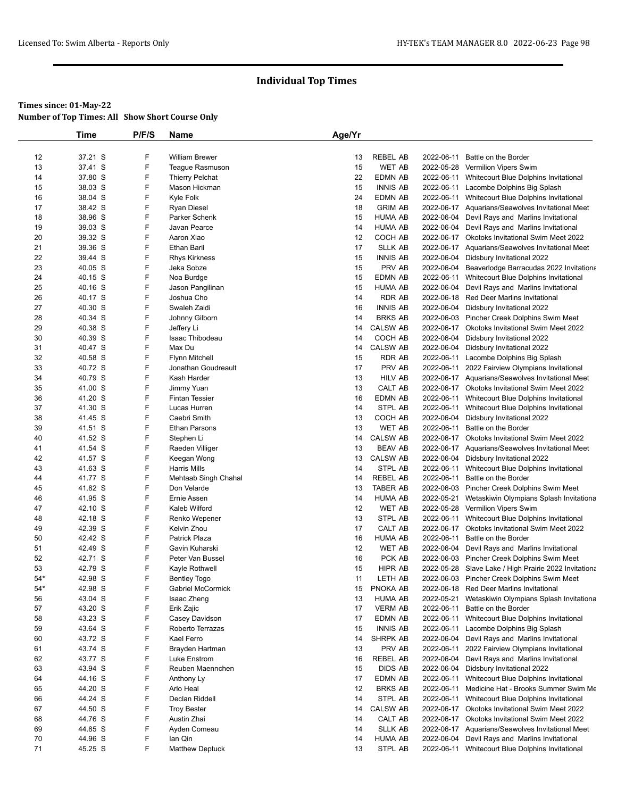|       | <b>Time</b>        | P/F/S  | Name                     | Age/Yr |                            |            |                                                       |
|-------|--------------------|--------|--------------------------|--------|----------------------------|------------|-------------------------------------------------------|
|       |                    |        |                          |        |                            |            |                                                       |
| 12    | 37.21 S            | F      | <b>William Brewer</b>    | 13     | <b>REBEL AB</b>            | 2022-06-11 | Battle on the Border                                  |
| 13    | 37.41 S            | F      | Teaque Rasmuson          | 15     | <b>WET AB</b>              |            | 2022-05-28 Vermilion Vipers Swim                      |
| 14    | 37.80 S            | F      | <b>Thierry Pelchat</b>   | 22     | <b>EDMN AB</b>             |            | 2022-06-11 Whitecourt Blue Dolphins Invitational      |
| 15    | 38.03 S            | F      | Mason Hickman            | 15     | <b>INNIS AB</b>            |            | 2022-06-11 Lacombe Dolphins Big Splash                |
| 16    | 38.04 S            | F      | Kyle Folk                | 24     | EDMN AB                    |            | 2022-06-11 Whitecourt Blue Dolphins Invitational      |
| 17    | 38.42 S            | F      | Ryan Diesel              | 18     | <b>GRIM AB</b>             |            | 2022-06-17 Aquarians/Seawolves Invitational Meet      |
| 18    | 38.96 S            | F      | Parker Schenk            | 15     | <b>HUMA AB</b>             |            | 2022-06-04 Devil Rays and Marlins Invitational        |
| 19    | 39.03 S            | F      | Javan Pearce             | 14     | <b>HUMA AB</b>             |            | 2022-06-04 Devil Rays and Marlins Invitational        |
| 20    | 39.32 S            | F      | Aaron Xiao               | 12     | COCH AB                    |            | 2022-06-17 Okotoks Invitational Swim Meet 2022        |
| 21    | 39.36 S            | F      | Ethan Baril              | 17     | <b>SLLK AB</b>             |            | 2022-06-17 Aquarians/Seawolves Invitational Meet      |
| 22    | 39.44 S            | F      | <b>Rhys Kirkness</b>     | 15     | <b>INNIS AB</b>            |            | 2022-06-04 Didsbury Invitational 2022                 |
| 23    | 40.05 S            | F      | Jeka Sobze               | 15     | PRV AB                     |            | 2022-06-04 Beaverlodge Barracudas 2022 Invitationa    |
| 24    | 40.15 S            | F      | Noa Burdge               | 15     | <b>EDMN AB</b>             |            | 2022-06-11 Whitecourt Blue Dolphins Invitational      |
| 25    | 40.16 S            | F      | Jason Pangilinan         | 15     | <b>HUMA AB</b>             | 2022-06-04 | Devil Rays and Marlins Invitational                   |
| 26    | 40.17 S            | F      | Joshua Cho               | 14     | <b>RDR AB</b>              |            | 2022-06-18 Red Deer Marlins Invitational              |
| 27    | 40.30 S            | F      | Swaleh Zaidi             | 16     | <b>INNIS AB</b>            |            | 2022-06-04 Didsbury Invitational 2022                 |
| 28    | 40.34 S            | F      | Johnny Gilborn           | 14     | <b>BRKS AB</b>             |            | 2022-06-03 Pincher Creek Dolphins Swim Meet           |
| 29    | 40.38 S            | F      | Jeffery Li               | 14     | <b>CALSW AB</b>            |            | 2022-06-17 Okotoks Invitational Swim Meet 2022        |
| 30    | 40.39 S            | F      | Isaac Thibodeau          | 14     | COCH AB                    |            | 2022-06-04 Didsbury Invitational 2022                 |
| 31    | 40.47 S            | F      | Max Du                   | 14     | <b>CALSW AB</b>            | 2022-06-04 | Didsbury Invitational 2022                            |
| 32    | 40.58 S            | F      | <b>Flynn Mitchell</b>    | 15     | <b>RDR AB</b>              | 2022-06-11 | Lacombe Dolphins Big Splash                           |
| 33    | 40.72 S            | F      | Jonathan Goudreault      | 17     | PRV AB                     |            | 2022-06-11 2022 Fairview Olympians Invitational       |
| 34    | 40.79 S            | F      | Kash Harder              | 13     | <b>HILV AB</b>             |            | 2022-06-17 Aquarians/Seawolves Invitational Meet      |
| 35    | 41.00 S            | F      | Jimmy Yuan               | 13     | CALT AB                    |            | 2022-06-17 Okotoks Invitational Swim Meet 2022        |
| 36    | 41.20 S            | F      | <b>Fintan Tessier</b>    | 16     | <b>EDMN AB</b>             |            | 2022-06-11 Whitecourt Blue Dolphins Invitational      |
| 37    | 41.30 S            | F      | Lucas Hurren             | 14     | STPL AB                    |            | 2022-06-11 Whitecourt Blue Dolphins Invitational      |
| 38    | 41.45 S            | F      | Caebri Smith             | 13     | COCH AB                    |            | 2022-06-04 Didsbury Invitational 2022                 |
| 39    | 41.51 S            | F      | <b>Ethan Parsons</b>     | 13     | <b>WET AB</b>              | 2022-06-11 | Battle on the Border                                  |
| 40    | 41.52 S            | F      | Stephen Li               | 14     | <b>CALSW AB</b>            |            | 2022-06-17 Okotoks Invitational Swim Meet 2022        |
| 41    | 41.54 S            | F      | Raeden Villiger          | 13     | <b>BEAV AB</b>             |            | 2022-06-17 Aquarians/Seawolves Invitational Meet      |
| 42    | 41.57 S            | F      | Keegan Wong              | 13     | <b>CALSW AB</b>            |            | 2022-06-04 Didsbury Invitational 2022                 |
| 43    | 41.63 S            | F      | <b>Harris Mills</b>      | 14     | STPL AB                    |            | 2022-06-11 Whitecourt Blue Dolphins Invitational      |
| 44    | 41.77 S            | F      | Mehtaab Singh Chahal     | 14     | <b>REBEL AB</b>            | 2022-06-11 | Battle on the Border                                  |
| 45    | 41.82 S            | F      | Don Velarde              | 13     | <b>TABER AB</b>            |            | 2022-06-03 Pincher Creek Dolphins Swim Meet           |
| 46    | 41.95 S            | F      | Ernie Assen              | 14     | <b>HUMA AB</b>             | 2022-05-21 | Wetaskiwin Olympians Splash Invitationa               |
| 47    | 42.10 S            | F      | Kaleb Wilford            | 12     | <b>WET AB</b>              |            | 2022-05-28 Vermilion Vipers Swim                      |
| 48    | 42.18 S            | F      | Renko Wepener            | 13     | STPL AB                    |            | 2022-06-11 Whitecourt Blue Dolphins Invitational      |
| 49    | 42.39 S            | F      | Kelvin Zhou              | 17     | CALT AB                    |            | 2022-06-17 Okotoks Invitational Swim Meet 2022        |
| 50    | 42.42 S            | F      | <b>Patrick Plaza</b>     | 16     | <b>HUMA AB</b>             | 2022-06-11 | Battle on the Border                                  |
| 51    | 42.49 S            | F      | Gavin Kuharski           | 12     | WET AB                     | 2022-06-04 | Devil Rays and Marlins Invitational                   |
| 52    | 42.71 S            | F      | Peter Van Bussel         | 16     | PCK AB                     |            | 2022-06-03 Pincher Creek Dolphins Swim Meet           |
| 53    | 42.79 S            | F      | Kayle Rothwell           | 15     | HIPR AB                    |            | 2022-05-28 Slave Lake / High Prairie 2022 Invitationa |
| $54*$ | 42.98 S            | F      | <b>Bentley Togo</b>      | 11     | LETH AB                    |            | 2022-06-03 Pincher Creek Dolphins Swim Meet           |
| $54*$ |                    | F      |                          |        |                            |            |                                                       |
| 56    | 42.98 S<br>43.04 S | F      | <b>Gabriel McCormick</b> | 15     | PNOKA AB<br><b>HUMA AB</b> |            | 2022-06-18 Red Deer Marlins Invitational              |
|       |                    |        | Isaac Zheng              | 13     |                            | 2022-05-21 | Wetaskiwin Olympians Splash Invitationa               |
| 57    | 43.20 S            | F<br>F | Erik Zajic               | 17     | <b>VERM AB</b>             | 2022-06-11 | Battle on the Border                                  |
| 58    | 43.23 S            | F      | Casey Davidson           | 17     | EDMN AB                    | 2022-06-11 | Whitecourt Blue Dolphins Invitational                 |
| 59    | 43.64 S            |        | Roberto Terrazas         | 15     | <b>INNIS AB</b>            | 2022-06-11 | Lacombe Dolphins Big Splash                           |
| 60    | 43.72 S            | F      | Kael Ferro               | 14     | SHRPK AB                   | 2022-06-04 | Devil Rays and Marlins Invitational                   |
| 61    | 43.74 S            | F      | Brayden Hartman          | 13     | PRV AB                     | 2022-06-11 | 2022 Fairview Olympians Invitational                  |
| 62    | 43.77 S            | F      | Luke Enstrom             | 16     | REBEL AB                   |            | 2022-06-04 Devil Rays and Marlins Invitational        |
| 63    | 43.94 S            | F      | Reuben Maennchen         | 15     | DIDS AB                    | 2022-06-04 | Didsbury Invitational 2022                            |
| 64    | 44.16 S            | F      | Anthony Ly               | 17     | EDMN AB                    | 2022-06-11 | Whitecourt Blue Dolphins Invitational                 |
| 65    | 44.20 S            | F      | Arlo Heal                | 12     | <b>BRKS AB</b>             | 2022-06-11 | Medicine Hat - Brooks Summer Swim Me                  |
| 66    | 44.24 S            | F      | Declan Riddell           | 14     | STPL AB                    |            | 2022-06-11 Whitecourt Blue Dolphins Invitational      |
| 67    | 44.50 S            | F      | <b>Troy Bester</b>       | 14     | <b>CALSW AB</b>            |            | 2022-06-17 Okotoks Invitational Swim Meet 2022        |
| 68    | 44.76 S            | F      | Austin Zhai              | 14     | CALT AB                    |            | 2022-06-17 Okotoks Invitational Swim Meet 2022        |
| 69    | 44.85 S            | F      | Ayden Comeau             | 14     | <b>SLLK AB</b>             |            | 2022-06-17 Aquarians/Seawolves Invitational Meet      |
| 70    | 44.96 S            | F      | lan Qin                  | 14     | <b>HUMA AB</b>             | 2022-06-04 | Devil Rays and Marlins Invitational                   |
| 71    | 45.25 S            | F      | <b>Matthew Deptuck</b>   | 13     | STPL AB                    |            | 2022-06-11 Whitecourt Blue Dolphins Invitational      |
|       |                    |        |                          |        |                            |            |                                                       |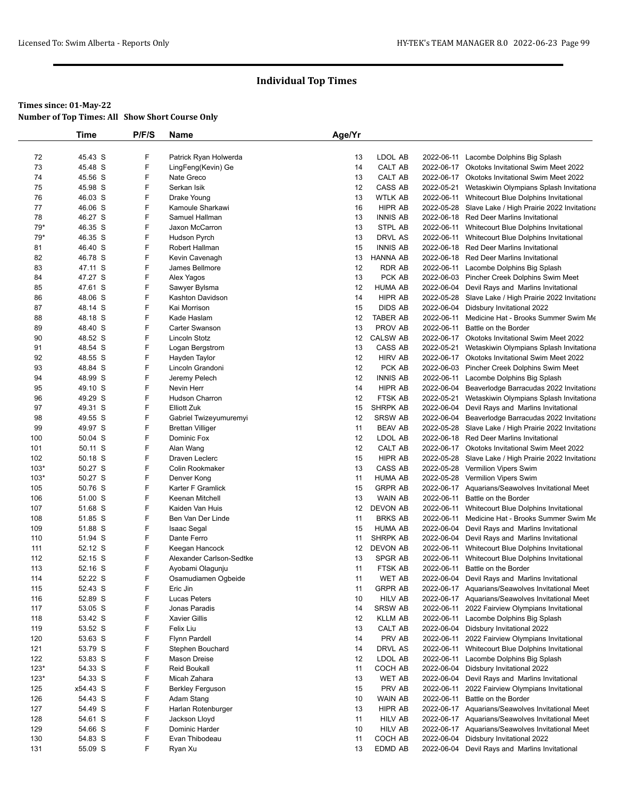|            | Time               | P/F/S  | Name                                         | Age/Yr   |                          |            |                                                                                                |
|------------|--------------------|--------|----------------------------------------------|----------|--------------------------|------------|------------------------------------------------------------------------------------------------|
|            |                    |        |                                              |          |                          |            |                                                                                                |
| 72         | 45.43 S            | F      | Patrick Ryan Holwerda                        | 13       | LDOL AB                  | 2022-06-11 | Lacombe Dolphins Big Splash                                                                    |
| 73         | 45.48 S            | F      | LingFeng(Kevin) Ge                           | 14       | CALT AB                  |            | 2022-06-17 Okotoks Invitational Swim Meet 2022                                                 |
| 74         | 45.56 S            | F      | Nate Greco                                   | 13       | CALT AB                  |            | 2022-06-17 Okotoks Invitational Swim Meet 2022                                                 |
| 75         | 45.98 S            | F      | Serkan Isik                                  | 12       | CASS AB                  | 2022-05-21 | Wetaskiwin Olympians Splash Invitationa                                                        |
| 76         | 46.03 S            | F      | Drake Young                                  | 13       | WTLK AB                  |            | 2022-06-11 Whitecourt Blue Dolphins Invitational                                               |
| 77         | 46.06 S            | F      | Kamoule Sharkawi                             | 16       | HIPR AB                  |            | 2022-05-28 Slave Lake / High Prairie 2022 Invitationa                                          |
| 78         | 46.27 S            | F      | Samuel Hallman                               | 13       | <b>INNIS AB</b>          |            | 2022-06-18 Red Deer Marlins Invitational                                                       |
| $79*$      | 46.35 S            | F      | Jaxon McCarron                               | 13       | STPL AB                  | 2022-06-11 | Whitecourt Blue Dolphins Invitational                                                          |
| $79*$      | 46.35 S            | F      | Hudson Pyrch                                 | 13       | DRVL AS                  | 2022-06-11 | Whitecourt Blue Dolphins Invitational                                                          |
| 81         | 46.40 S            | F      | Robert Hallman                               | 15       | <b>INNIS AB</b>          |            | 2022-06-18 Red Deer Marlins Invitational                                                       |
| 82         | 46.78 S            | F<br>F | Kevin Cavenagh                               | 13       | HANNA AB                 |            | 2022-06-18 Red Deer Marlins Invitational                                                       |
| 83         | 47.11 S            | F      | James Bellmore                               | 12       | RDR AB                   | 2022-06-11 | Lacombe Dolphins Big Splash                                                                    |
| 84         | 47.27 S            | F      | Alex Yagos                                   | 13       | PCK AB<br><b>HUMA AB</b> |            | 2022-06-03 Pincher Creek Dolphins Swim Meet                                                    |
| 85<br>86   | 47.61 S<br>48.06 S | F      | Sawyer Bylsma<br>Kashton Davidson            | 12<br>14 | HIPR AB                  |            | 2022-06-04 Devil Rays and Marlins Invitational                                                 |
| 87         | 48.14 S            | F      | Kai Morrison                                 | 15       | <b>DIDS AB</b>           |            | 2022-05-28 Slave Lake / High Prairie 2022 Invitationa<br>2022-06-04 Didsbury Invitational 2022 |
| 88         | 48.18 S            | F      | Kade Haslam                                  | 12       | TABER AB                 | 2022-06-11 | Medicine Hat - Brooks Summer Swim Me                                                           |
| 89         | 48.40 S            | F      | Carter Swanson                               | 13       | PROV AB                  | 2022-06-11 | Battle on the Border                                                                           |
| 90         | 48.52 S            | F      | Lincoln Stotz                                | 12       | <b>CALSW AB</b>          |            | 2022-06-17 Okotoks Invitational Swim Meet 2022                                                 |
| 91         | 48.54 S            | F      | Logan Bergstrom                              | 13       | CASS AB                  | 2022-05-21 | Wetaskiwin Olympians Splash Invitationa                                                        |
| 92         | 48.55 S            | F      | Hayden Taylor                                | 12       | <b>HIRV AB</b>           |            | 2022-06-17 Okotoks Invitational Swim Meet 2022                                                 |
| 93         | 48.84 S            | F      | Lincoln Grandoni                             | 12       | PCK AB                   |            | 2022-06-03 Pincher Creek Dolphins Swim Meet                                                    |
| 94         | 48.99 S            | F      | Jeremy Pelech                                | 12       | <b>INNIS AB</b>          | 2022-06-11 | Lacombe Dolphins Big Splash                                                                    |
| 95         | 49.10 S            | F      | Nevin Herr                                   | 14       | HIPR AB                  |            | 2022-06-04 Beaverlodge Barracudas 2022 Invitationa                                             |
| 96         | 49.29 S            | F      | Hudson Charron                               | 12       | FTSK AB                  | 2022-05-21 | Wetaskiwin Olympians Splash Invitationa                                                        |
| 97         | 49.31 S            | F      | <b>Elliott Zuk</b>                           | 15       | SHRPK AB                 |            | 2022-06-04 Devil Rays and Marlins Invitational                                                 |
| 98         | 49.55 S            | F      | Gabriel Twizeyumuremyi                       | 12       | SRSW AB                  |            | 2022-06-04 Beaverlodge Barracudas 2022 Invitationa                                             |
| 99         | 49.97 S            | F      | <b>Brettan Villiger</b>                      | 11       | <b>BEAV AB</b>           |            | 2022-05-28 Slave Lake / High Prairie 2022 Invitationa                                          |
| 100        | 50.04 S            | F      | Dominic Fox                                  | 12       | LDOL AB                  |            | 2022-06-18 Red Deer Marlins Invitational                                                       |
| 101        | 50.11 S            | F      | Alan Wang                                    | 12       | CALT AB                  |            | 2022-06-17 Okotoks Invitational Swim Meet 2022                                                 |
| 102        | 50.18 S            | F      | Draven Leclerc                               | 15       | HIPR AB                  |            | 2022-05-28 Slave Lake / High Prairie 2022 Invitationa                                          |
| $103*$     | 50.27 S            | F      | Colin Rookmaker                              | 13       | CASS AB                  |            | 2022-05-28 Vermilion Vipers Swim                                                               |
| $103*$     | 50.27 S            | F      | Denver Kong                                  | 11       | <b>HUMA AB</b>           |            | 2022-05-28 Vermilion Vipers Swim                                                               |
| 105        | 50.76 S            | F      | Karter F Gramlick                            | 15       | <b>GRPR AB</b>           |            | 2022-06-17 Aquarians/Seawolves Invitational Meet                                               |
| 106        | 51.00 S            | F      | Keenan Mitchell                              | 13       | WAIN AB                  | 2022-06-11 | Battle on the Border                                                                           |
| 107        | 51.68 S            | F      | Kaiden Van Huis                              | 12       | <b>DEVON AB</b>          | 2022-06-11 | Whitecourt Blue Dolphins Invitational                                                          |
| 108        | 51.85 S            | F      | Ben Van Der Linde                            | 11       | <b>BRKS AB</b>           | 2022-06-11 | Medicine Hat - Brooks Summer Swim Me                                                           |
| 109        | 51.88 S            | F      | <b>Isaac Segal</b>                           | 15       | <b>HUMA AB</b>           |            | 2022-06-04 Devil Rays and Marlins Invitational                                                 |
| 110        | 51.94 S            | F      | Dante Ferro                                  | 11       | SHRPK AB                 |            | 2022-06-04 Devil Rays and Marlins Invitational                                                 |
| 111        | 52.12 S            | F<br>F | Keegan Hancock                               | 12       | DEVON AB                 | 2022-06-11 | 2022-06-11 Whitecourt Blue Dolphins Invitational                                               |
| 112<br>113 | 52.15 S<br>52.16 S | F      | Alexander Carlson-Sedtke<br>Ayobami Olagunju | 13<br>11 | SPGR AB<br>FTSK AB       | 2022-06-11 | Whitecourt Blue Dolphins Invitational<br>Battle on the Border                                  |
| 114        | 52.22 S            | F      | Osamudiamen Ogbeide                          | 11       | <b>WET AB</b>            |            | 2022-06-04 Devil Rays and Marlins Invitational                                                 |
| 115        | 52.43 S            | F      | Eric Jin                                     | 11       | <b>GRPR AB</b>           |            | 2022-06-17 Aquarians/Seawolves Invitational Meet                                               |
| 116        | 52.89 S            | F      | Lucas Peters                                 | 10       | <b>HILV AB</b>           |            | 2022-06-17 Aquarians/Seawolves Invitational Meet                                               |
| 117        | 53.05 S            | F      | Jonas Paradis                                | 14       | <b>SRSW AB</b>           | 2022-06-11 | 2022 Fairview Olympians Invitational                                                           |
| 118        | 53.42 S            | F      | <b>Xavier Gillis</b>                         | 12       | <b>KLLM AB</b>           | 2022-06-11 | Lacombe Dolphins Big Splash                                                                    |
| 119        | 53.52 S            | F      | Felix Liu                                    | 13       | CALT AB                  |            | 2022-06-04 Didsbury Invitational 2022                                                          |
| 120        | 53.63 S            | F      | <b>Flynn Pardell</b>                         | 14       | PRV AB                   | 2022-06-11 | 2022 Fairview Olympians Invitational                                                           |
| 121        | 53.79 S            | F      | Stephen Bouchard                             | 14       | DRVL AS                  | 2022-06-11 | Whitecourt Blue Dolphins Invitational                                                          |
| 122        | 53.83 S            | F      | Mason Dreise                                 | 12       | LDOL AB                  | 2022-06-11 | Lacombe Dolphins Big Splash                                                                    |
| $123*$     | 54.33 S            | F      | <b>Reid Boukall</b>                          | 11       | COCH AB                  |            | 2022-06-04 Didsbury Invitational 2022                                                          |
| $123*$     | 54.33 S            | F      | Micah Zahara                                 | 13       | WET AB                   |            | 2022-06-04 Devil Rays and Marlins Invitational                                                 |
| 125        | x54.43 S           | F      | <b>Berkley Ferguson</b>                      | 15       | PRV AB                   | 2022-06-11 | 2022 Fairview Olympians Invitational                                                           |
| 126        | 54.43 S            | F      | Adam Stang                                   | 10       | WAIN AB                  | 2022-06-11 | Battle on the Border                                                                           |
| 127        | 54.49 S            | F      | Harlan Rotenburger                           | 13       | HIPR AB                  |            | 2022-06-17 Aquarians/Seawolves Invitational Meet                                               |
| 128        | 54.61 S            | F      | Jackson Lloyd                                | 11       | HILV AB                  |            | 2022-06-17 Aquarians/Seawolves Invitational Meet                                               |
| 129        | 54.66 S            | F      | Dominic Harder                               | 10       | <b>HILV AB</b>           |            | 2022-06-17 Aquarians/Seawolves Invitational Meet                                               |
| 130        | 54.83 S            | F      | Evan Thibodeau                               | 11       | COCH AB                  | 2022-06-04 | Didsbury Invitational 2022                                                                     |
| 131        | 55.09 S            | F      | Ryan Xu                                      | 13       | EDMD AB                  |            | 2022-06-04 Devil Rays and Marlins Invitational                                                 |
|            |                    |        |                                              |          |                          |            |                                                                                                |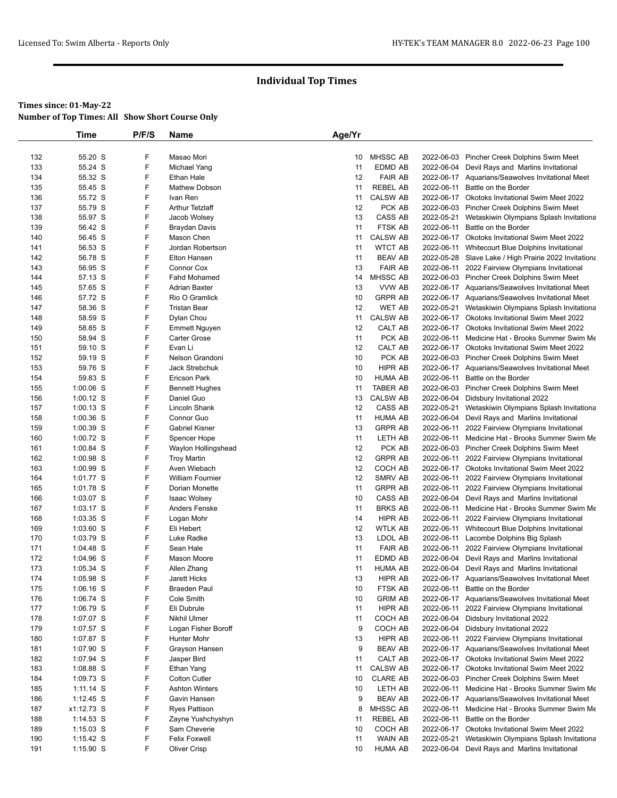|            | Time                   | P/F/S  | Name                                  | Age/Yr   |                                  |            |                                                                                                    |
|------------|------------------------|--------|---------------------------------------|----------|----------------------------------|------------|----------------------------------------------------------------------------------------------------|
|            |                        |        |                                       |          |                                  |            |                                                                                                    |
| 132        | 55.20 S                | F      | Masao Mori                            | 10       | MHSSC AB                         |            | 2022-06-03 Pincher Creek Dolphins Swim Meet                                                        |
| 133        | 55.24 S                | F      | Michael Yang                          | 11       | EDMD AB                          | 2022-06-04 | Devil Rays and Marlins Invitational                                                                |
| 134        | 55.32 S                | F      | Ethan Hale                            | 12       | <b>FAIR AB</b>                   |            | 2022-06-17 Aquarians/Seawolves Invitational Meet                                                   |
| 135        | 55.45 S                | F      | <b>Mathew Dobson</b>                  | 11       | REBEL AB                         | 2022-06-11 | Battle on the Border                                                                               |
| 136        | 55.72 S                | F      | Ivan Ren                              | 11       | <b>CALSW AB</b>                  |            | 2022-06-17 Okotoks Invitational Swim Meet 2022                                                     |
| 137        | 55.79 S                | F      | <b>Arthur Tetzlaff</b>                | 12       | PCK AB                           |            | 2022-06-03 Pincher Creek Dolphins Swim Meet                                                        |
| 138        | 55.97 S                | F      | Jacob Wolsey                          | 13       | CASS AB                          | 2022-05-21 | Wetaskiwin Olympians Splash Invitationa                                                            |
| 139        | 56.42 S                | F      | <b>Braydan Davis</b>                  | 11       | FTSK AB                          | 2022-06-11 | Battle on the Border                                                                               |
| 140        | 56.45 S                | F      | Mason Chen                            | 11       | <b>CALSW AB</b>                  |            | 2022-06-17 Okotoks Invitational Swim Meet 2022                                                     |
| 141        | 56.53 S                | F      | Jordan Robertson                      | 11       | <b>WTCT AB</b>                   |            | 2022-06-11 Whitecourt Blue Dolphins Invitational                                                   |
| 142        | 56.78 S                | F      | <b>Elton Hansen</b>                   | 11       | BEAV AB                          |            | 2022-05-28 Slave Lake / High Prairie 2022 Invitationa                                              |
| 143        | 56.95 S                | F      | <b>Connor Cox</b>                     | 13       | <b>FAIR AB</b>                   | 2022-06-11 | 2022 Fairview Olympians Invitational                                                               |
| 144        | 57.13 S                | F      | <b>Fahd Mohamed</b>                   | 14       | <b>MHSSC AB</b>                  |            | 2022-06-03 Pincher Creek Dolphins Swim Meet                                                        |
| 145        | 57.65 S                | F<br>F | <b>Adrian Baxter</b>                  | 13<br>10 | VVW AB                           |            | 2022-06-17 Aquarians/Seawolves Invitational Meet                                                   |
| 146        | 57.72 S<br>58.36 S     | F      | Rio O Gramlick<br><b>Tristan Bear</b> | 12       | <b>GRPR AB</b><br>WET AB         | 2022-05-21 | 2022-06-17 Aquarians/Seawolves Invitational Meet                                                   |
| 147<br>148 | 58.59 S                | F      | Dylan Chou                            | 11       | <b>CALSW AB</b>                  |            | Wetaskiwin Olympians Splash Invitationa<br>2022-06-17 Okotoks Invitational Swim Meet 2022          |
| 149        | 58.85 S                | F      | <b>Emmett Nguyen</b>                  | 12       | CALT AB                          |            | 2022-06-17 Okotoks Invitational Swim Meet 2022                                                     |
| 150        | 58.94 S                | F      | <b>Carter Grose</b>                   | 11       | PCK AB                           | 2022-06-11 | Medicine Hat - Brooks Summer Swim Me                                                               |
| 151        | 59.10 S                | F      | Evan Li                               | 12       | CALT AB                          |            | 2022-06-17 Okotoks Invitational Swim Meet 2022                                                     |
| 152        | 59.19 S                | F      | Nelson Grandoni                       | 10       | PCK AB                           |            | 2022-06-03 Pincher Creek Dolphins Swim Meet                                                        |
| 153        | 59.76 S                | F      | Jack Strebchuk                        | 10       | HIPR AB                          |            | 2022-06-17 Aquarians/Seawolves Invitational Meet                                                   |
| 154        | 59.83 S                | F      | Ericson Park                          | 10       | <b>HUMA AB</b>                   | 2022-06-11 | Battle on the Border                                                                               |
| 155        | 1:00.06 S              | F      | <b>Bennett Hughes</b>                 | 11       | TABER AB                         |            | 2022-06-03 Pincher Creek Dolphins Swim Meet                                                        |
| 156        | 1:00.12 S              | F      | Daniel Guo                            | 13       | <b>CALSW AB</b>                  | 2022-06-04 | Didsbury Invitational 2022                                                                         |
| 157        | $1:00.13$ S            | F      | Lincoln Shank                         | 12       | CASS AB                          | 2022-05-21 | Wetaskiwin Olympians Splash Invitationa                                                            |
| 158        | $1:00.36$ S            | F      | Connor Guo                            | 11       | <b>HUMA AB</b>                   |            | 2022-06-04 Devil Rays and Marlins Invitational                                                     |
| 159        | 1:00.39 S              | F      | <b>Gabriel Kisner</b>                 | 13       | <b>GRPR AB</b>                   | 2022-06-11 | 2022 Fairview Olympians Invitational                                                               |
| 160        | 1:00.72 S              | F      | Spencer Hope                          | 11       | LETH AB                          | 2022-06-11 | Medicine Hat - Brooks Summer Swim Me                                                               |
| 161        | $1:00.84$ S            | F      | Waylon Hollingshead                   | 12       | PCK AB                           |            | 2022-06-03 Pincher Creek Dolphins Swim Meet                                                        |
| 162        | 1:00.98 S              | F      | <b>Troy Martin</b>                    | 12       | <b>GRPR AB</b>                   | 2022-06-11 | 2022 Fairview Olympians Invitational                                                               |
| 163        | $1:00.99$ S            | F      | Aven Wiebach                          | 12       | COCH AB                          |            | 2022-06-17 Okotoks Invitational Swim Meet 2022                                                     |
| 164        | 1:01.77 S              | F      | <b>William Fournier</b>               | 12       | SMRV AB                          | 2022-06-11 | 2022 Fairview Olympians Invitational                                                               |
| 165        | 1:01.78 S              | F      | Dorian Monette                        | 11       | <b>GRPR AB</b>                   | 2022-06-11 | 2022 Fairview Olympians Invitational                                                               |
| 166        | 1:03.07 S              | F      | <b>Isaac Wolsey</b>                   | 10       | CASS AB                          |            | 2022-06-04 Devil Rays and Marlins Invitational                                                     |
| 167        | $1:03.17$ S            | F      | Anders Fenske                         | 11       | <b>BRKS AB</b>                   | 2022-06-11 | Medicine Hat - Brooks Summer Swim Me                                                               |
| 168        | $1:03.35$ S            | F      | Logan Mohr                            | 14       | HIPR AB                          | 2022-06-11 | 2022 Fairview Olympians Invitational                                                               |
| 169        | $1:03.60$ S            | F      | Eli Hebert                            | 12       | <b>WTLK AB</b>                   | 2022-06-11 | Whitecourt Blue Dolphins Invitational                                                              |
| 170        | 1:03.79 S              | F<br>F | Luke Radke                            | 13       | LDOL AB                          | 2022-06-11 | Lacombe Dolphins Big Splash                                                                        |
| 171        | 1:04.48 S              | F      | Sean Hale                             | 11       | <b>FAIR AB</b><br><b>EDMD AB</b> | 2022-06-11 | 2022 Fairview Olympians Invitational                                                               |
| 172<br>173 | 1:04.96 S<br>1:05.34 S | F      | Mason Moore<br>Allen Zhang            | 11<br>11 | <b>HUMA AB</b>                   |            | 2022-06-04 Devil Rays and Marlins Invitational                                                     |
| 174        | $1:05.98$ S            | F      | Jarett Hicks                          | 13       | HIPR AB                          |            | 2022-06-04 Devil Rays and Marlins Invitational<br>2022-06-17 Aquarians/Seawolves Invitational Meet |
| 175        | $1:06.16$ S            | F      | <b>Braeden Paul</b>                   | 10       | FTSK AB                          | 2022-06-11 | Battle on the Border                                                                               |
| 176        | 1:06.74 S              | F      | Cole Smith                            | 10       | <b>GRIM AB</b>                   |            | 2022-06-17 Aquarians/Seawolves Invitational Meet                                                   |
| 177        | 1:06.79 S              | F      | Eli Dubrule                           | 11       | HIPR AB                          | 2022-06-11 | 2022 Fairview Olympians Invitational                                                               |
| 178        | 1:07.07 S              | F      | Nikhil Ulmer                          | 11       | COCH AB                          | 2022-06-04 | Didsbury Invitational 2022                                                                         |
| 179        | 1:07.57 S              | F      | Logan Fisher Boroff                   | 9        | COCH AB                          |            | 2022-06-04 Didsbury Invitational 2022                                                              |
| 180        | 1:07.87 S              | F      | Hunter Mohr                           | 13       | HIPR AB                          | 2022-06-11 | 2022 Fairview Olympians Invitational                                                               |
| 181        | 1:07.90 S              | F      | Grayson Hansen                        | 9        | <b>BEAV AB</b>                   |            | 2022-06-17 Aquarians/Seawolves Invitational Meet                                                   |
| 182        | 1:07.94 S              | F      | Jasper Bird                           | 11       | CALT AB                          |            | 2022-06-17 Okotoks Invitational Swim Meet 2022                                                     |
| 183        | 1:08.88 S              | F      | Ethan Yang                            | 11       | <b>CALSW AB</b>                  |            | 2022-06-17 Okotoks Invitational Swim Meet 2022                                                     |
| 184        | 1:09.73 S              | F      | <b>Colton Cutler</b>                  | 10       | <b>CLARE AB</b>                  | 2022-06-03 | Pincher Creek Dolphins Swim Meet                                                                   |
| 185        | $1:11.14$ S            | F      | <b>Ashton Winters</b>                 | 10       | LETH AB                          | 2022-06-11 | Medicine Hat - Brooks Summer Swim Me                                                               |
| 186        | $1:12.45$ S            | F      | Gavin Hansen                          | 9        | <b>BEAV AB</b>                   |            | 2022-06-17 Aquarians/Seawolves Invitational Meet                                                   |
| 187        | x1:12.73 S             | F      | <b>Ryes Pattison</b>                  | 8        | MHSSC AB                         | 2022-06-11 | Medicine Hat - Brooks Summer Swim Me                                                               |
| 188        | $1:14.53$ S            | F      | Zayne Yushchyshyn                     | 11       | REBEL AB                         | 2022-06-11 | Battle on the Border                                                                               |
| 189        | $1:15.03$ S            | F      | Sam Cheverie                          | 10       | COCH AB                          | 2022-06-17 | Okotoks Invitational Swim Meet 2022                                                                |
| 190        | $1:15.42$ S            | F      | <b>Felix Foxwell</b>                  | 11       | WAIN AB                          | 2022-05-21 | Wetaskiwin Olympians Splash Invitationa                                                            |
| 191        | 1:15.90 S              | F      | Oliver Crisp                          | 10       | <b>HUMA AB</b>                   |            | 2022-06-04 Devil Rays and Marlins Invitational                                                     |
|            |                        |        |                                       |          |                                  |            |                                                                                                    |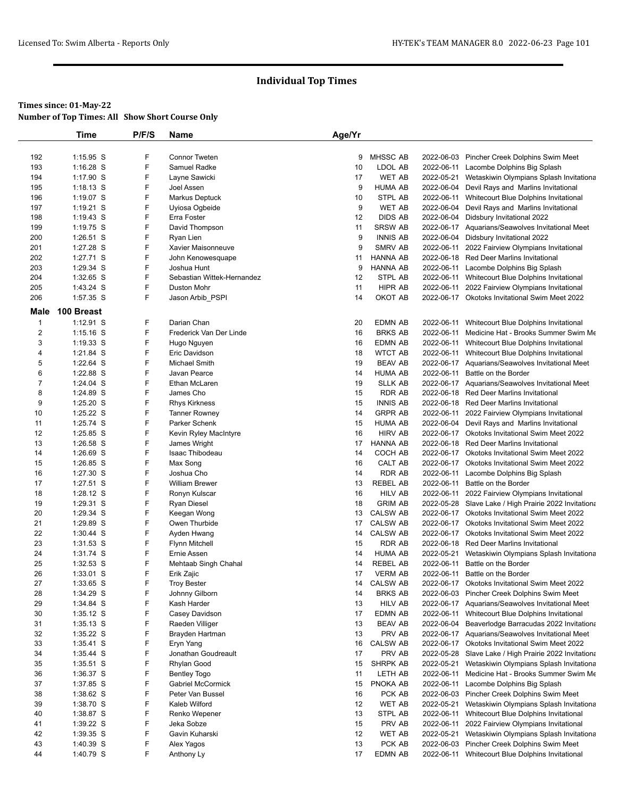|                | Time                     | P/F/S  | Name                          | Age/Yr   |                                   |                          |                                                                                            |
|----------------|--------------------------|--------|-------------------------------|----------|-----------------------------------|--------------------------|--------------------------------------------------------------------------------------------|
|                |                          |        |                               |          |                                   |                          |                                                                                            |
| 192            | $1:15.95$ S              | F      | <b>Connor Tweten</b>          | 9        | <b>MHSSC AB</b>                   |                          | 2022-06-03 Pincher Creek Dolphins Swim Meet                                                |
| 193            | $1:16.28$ S              | F      | Samuel Radke                  | 10       | LDOL AB                           |                          | 2022-06-11 Lacombe Dolphins Big Splash                                                     |
| 194            | 1:17.90 S                | F      | Layne Sawicki                 | 17       | <b>WET AB</b>                     |                          | 2022-05-21 Wetaskiwin Olympians Splash Invitationa                                         |
| 195            | $1:18.13$ S              | F      | Joel Assen                    | 9        | <b>HUMA AB</b>                    |                          | 2022-06-04 Devil Rays and Marlins Invitational                                             |
| 196            | 1:19.07 S                | F      | Markus Deptuck                | 10       | <b>STPL AB</b>                    |                          | 2022-06-11 Whitecourt Blue Dolphins Invitational                                           |
| 197            | 1:19.21 S                | F      | Uyiosa Ogbeide                | 9        | <b>WET AB</b>                     |                          | 2022-06-04 Devil Rays and Marlins Invitational                                             |
| 198            | $1:19.43$ S              | F      | Erra Foster                   | 12       | <b>DIDS AB</b>                    |                          | 2022-06-04 Didsbury Invitational 2022                                                      |
| 199            | $1:19.75$ S              | F      | David Thompson                | 11       | <b>SRSW AB</b>                    |                          | 2022-06-17 Aquarians/Seawolves Invitational Meet                                           |
| 200            | 1:26.51 S                | F      | Ryan Lien                     | 9        | <b>INNIS AB</b>                   |                          | 2022-06-04 Didsbury Invitational 2022                                                      |
| 201            | 1:27.28 S                | F      | Xavier Maisonneuve            | 9        | SMRV AB                           | 2022-06-11               | 2022 Fairview Olympians Invitational                                                       |
| 202            | 1:27.71 S                | F      | John Kenowesquape             | 11       | <b>HANNA AB</b>                   |                          | 2022-06-18 Red Deer Marlins Invitational                                                   |
| 203            | 1:29.34 S                | F      | Joshua Hunt                   | 9        | <b>HANNA AB</b>                   |                          | 2022-06-11 Lacombe Dolphins Big Splash                                                     |
| 204            | 1:32.65 S                | F      | Sebastian Wittek-Hernandez    | 12       | STPL AB                           |                          | 2022-06-11 Whitecourt Blue Dolphins Invitational                                           |
| 205            | 1:43.24 S                | F      | <b>Duston Mohr</b>            | 11       | <b>HIPR AB</b>                    |                          | 2022-06-11 2022 Fairview Olympians Invitational                                            |
| 206            | 1:57.35 S                | F      | Jason Arbib_PSPI              | 14       | OKOT AB                           |                          | 2022-06-17 Okotoks Invitational Swim Meet 2022                                             |
| Male           | 100 Breast               |        |                               |          |                                   |                          |                                                                                            |
| $\mathbf{1}$   | 1:12.91 S                | F      | Darian Chan                   | 20       | <b>EDMN AB</b>                    | 2022-06-11               | Whitecourt Blue Dolphins Invitational                                                      |
| $\overline{c}$ | $1:15.16$ S              | F      | Frederick Van Der Linde       | 16       | <b>BRKS AB</b>                    |                          | 2022-06-11 Medicine Hat - Brooks Summer Swim Me                                            |
| 3              | $1:19.33$ S              | F      | Hugo Nguyen                   | 16       | <b>EDMN AB</b>                    |                          | 2022-06-11 Whitecourt Blue Dolphins Invitational                                           |
| 4              | 1:21.84 S                | F      | Eric Davidson                 | 18       | <b>WTCT AB</b>                    |                          | 2022-06-11 Whitecourt Blue Dolphins Invitational                                           |
| 5              | 1:22.64 S                | F      | Michael Smith                 | 19       | <b>BEAV AB</b>                    |                          | 2022-06-17 Aquarians/Seawolves Invitational Meet                                           |
| 6              | 1:22.88 S                | F      | Javan Pearce                  | 14       | <b>HUMA AB</b>                    |                          | 2022-06-11 Battle on the Border                                                            |
| $\overline{7}$ | 1:24.04 S                | F      | Ethan McLaren                 | 19       | <b>SLLK AB</b>                    |                          | 2022-06-17 Aquarians/Seawolves Invitational Meet                                           |
| 8              | 1:24.89 S                | F      | James Cho                     | 15       | <b>RDR AB</b>                     |                          | 2022-06-18 Red Deer Marlins Invitational                                                   |
| 9              | 1:25.20 S                | F      | <b>Rhys Kirkness</b>          | 15       | <b>INNIS AB</b>                   |                          | 2022-06-18 Red Deer Marlins Invitational                                                   |
| 10             | 1:25.22 S                | F      | <b>Tanner Rowney</b>          | 14       | <b>GRPR AB</b>                    | 2022-06-11               | 2022 Fairview Olympians Invitational                                                       |
| 11             | 1:25.74 S                | F      | Parker Schenk                 | 15       | <b>HUMA AB</b>                    |                          | 2022-06-04 Devil Rays and Marlins Invitational                                             |
| 12             | 1:25.85 S                | F      | Kevin Ryley MacIntyre         | 16       | <b>HIRV AB</b>                    |                          | 2022-06-17 Okotoks Invitational Swim Meet 2022                                             |
| 13             | 1:26.58 S                | F      | James Wright                  | 17       | <b>HANNA AB</b>                   |                          | 2022-06-18 Red Deer Marlins Invitational                                                   |
| 14             | 1:26.69 S                | F      | Isaac Thibodeau               | 14       | COCH AB                           |                          | 2022-06-17 Okotoks Invitational Swim Meet 2022                                             |
| 15             | 1:26.85 S                | F      | Max Song                      | 16       | CALT AB                           |                          | 2022-06-17 Okotoks Invitational Swim Meet 2022                                             |
| 16             | 1:27.30 S                | F      | Joshua Cho                    | 14       | <b>RDR AB</b>                     |                          | 2022-06-11 Lacombe Dolphins Big Splash                                                     |
| 17             | 1:27.51 S                | F      | <b>William Brewer</b>         | 13       | <b>REBEL AB</b>                   |                          | 2022-06-11 Battle on the Border                                                            |
| 18             | 1:28.12 S                | F      | Ronyn Kulscar                 | 16       | <b>HILV AB</b>                    |                          | 2022-06-11 2022 Fairview Olympians Invitational                                            |
| 19             | 1:29.31 S                | F      | Ryan Diesel                   | 18       | <b>GRIM AB</b>                    |                          | 2022-05-28 Slave Lake / High Prairie 2022 Invitationa                                      |
| 20             | 1:29.34 S                | F<br>F | Keegan Wong                   | 13       | <b>CALSW AB</b>                   |                          | 2022-06-17 Okotoks Invitational Swim Meet 2022                                             |
| 21             | 1:29.89 S                |        | Owen Thurbide                 | 17       | <b>CALSW AB</b>                   |                          | 2022-06-17 Okotoks Invitational Swim Meet 2022                                             |
| 22             | 1:30.44 S<br>$1:31.53$ S | F      | Ayden Hwang                   | 14       | <b>CALSW AB</b><br><b>RDR AB</b>  |                          | 2022-06-17 Okotoks Invitational Swim Meet 2022<br>2022-06-18 Red Deer Marlins Invitational |
| 23             |                          | F      | <b>Flynn Mitchell</b>         | 15       |                                   |                          |                                                                                            |
| 24<br>25       | 1:31.74 S<br>1:32.53 S   | F<br>F | Ernie Assen                   | 14<br>14 | <b>HUMA AB</b><br><b>REBEL AB</b> | 2022-05-21<br>2022-06-11 | Wetaskiwin Olympians Splash Invitationa<br>Battle on the Border                            |
| 26             | $1:33.01$ S              | F      | Mehtaab Singh Chahal          | 17       | <b>VERM AB</b>                    |                          | 2022-06-11 Battle on the Border                                                            |
|                |                          |        | Erik Zajic                    |          |                                   |                          | 2022-06-17 Okotoks Invitational Swim Meet 2022                                             |
| 27<br>28       | 1:33.65 S<br>1:34.29 S   | F<br>F | Troy Bester                   | 14<br>14 | CALSW AB<br><b>BRKS AB</b>        |                          | 2022-06-03 Pincher Creek Dolphins Swim Meet                                                |
| 29             | 1:34.84 S                | F      | Johnny Gilborn<br>Kash Harder | 13       | <b>HILV AB</b>                    |                          | 2022-06-17 Aquarians/Seawolves Invitational Meet                                           |
| 30             | $1:35.12$ S              | F      | Casey Davidson                | 17       | EDMN AB                           |                          | 2022-06-11 Whitecourt Blue Dolphins Invitational                                           |
| 31             | $1:35.13$ S              | F      | Raeden Villiger               | 13       | <b>BEAV AB</b>                    |                          | 2022-06-04 Beaverlodge Barracudas 2022 Invitationa                                         |
| 32             | 1:35.22 S                | F      | Brayden Hartman               | 13       | PRV AB                            |                          | 2022-06-17 Aquarians/Seawolves Invitational Meet                                           |
| 33             | $1:35.41$ S              | F      | Eryn Yang                     | 16       | <b>CALSW AB</b>                   |                          | 2022-06-17 Okotoks Invitational Swim Meet 2022                                             |
| 34             | 1:35.44 S                | F      | Jonathan Goudreault           | 17       | PRV AB                            |                          | 2022-05-28 Slave Lake / High Prairie 2022 Invitationa                                      |
| 35             | $1:35.51$ S              | F      | Rhylan Good                   | 15       | SHRPK AB                          |                          | 2022-05-21 Wetaskiwin Olympians Splash Invitationa                                         |
| 36             | 1:36.37 S                | F      | <b>Bentley Togo</b>           | 11       | LETH AB                           |                          | 2022-06-11 Medicine Hat - Brooks Summer Swim Me                                            |
| 37             | 1:37.85 S                | F      | Gabriel McCormick             | 15       | PNOKA AB                          |                          | 2022-06-11 Lacombe Dolphins Big Splash                                                     |
| 38             | 1:38.62 S                | F      | Peter Van Bussel              | 16       | PCK AB                            |                          | 2022-06-03 Pincher Creek Dolphins Swim Meet                                                |
| 39             | 1:38.70 S                | F      | Kaleb Wilford                 | 12       | WET AB                            | 2022-05-21               | Wetaskiwin Olympians Splash Invitationa                                                    |
| 40             | 1:38.87 S                | F      | Renko Wepener                 | 13       | STPL AB                           | 2022-06-11               | Whitecourt Blue Dolphins Invitational                                                      |
| 41             | 1:39.22 S                | F      | Jeka Sobze                    | 15       | PRV AB                            |                          | 2022-06-11 2022 Fairview Olympians Invitational                                            |
| 42             | 1:39.35 S                | F      | Gavin Kuharski                | 12       | WET AB                            | 2022-05-21               | Wetaskiwin Olympians Splash Invitationa                                                    |
| 43             | 1:40.39 S                | F      | Alex Yagos                    | 13       | PCK AB                            |                          | 2022-06-03 Pincher Creek Dolphins Swim Meet                                                |
| 44             | 1:40.79 S                | F      | Anthony Ly                    | 17       | EDMN AB                           |                          | 2022-06-11 Whitecourt Blue Dolphins Invitational                                           |
|                |                          |        |                               |          |                                   |                          |                                                                                            |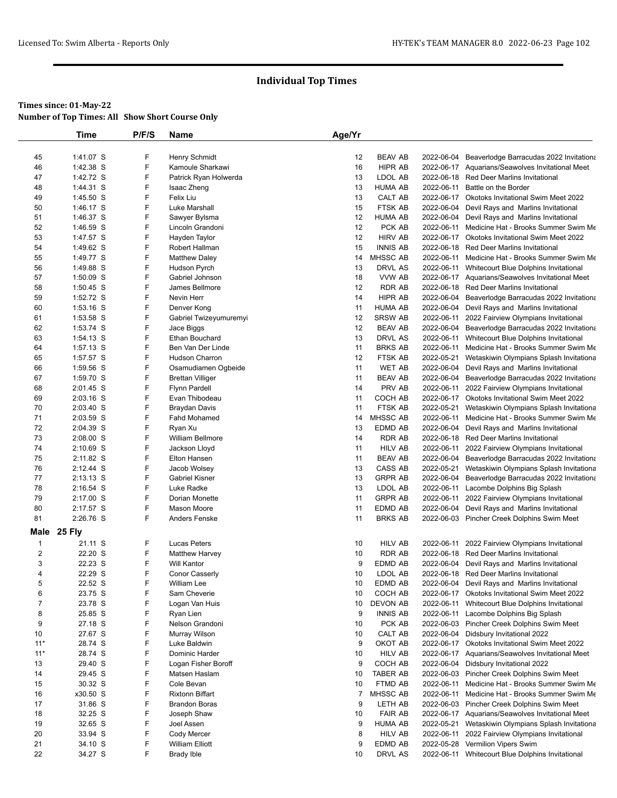|                | <b>Time</b>            | P/F/S  | Name                              | Age/Yr         |                    |            |                                                                                                   |
|----------------|------------------------|--------|-----------------------------------|----------------|--------------------|------------|---------------------------------------------------------------------------------------------------|
|                |                        |        |                                   |                |                    |            |                                                                                                   |
| 45             | 1:41.07 S              | F      | Henry Schmidt                     | 12             | <b>BEAV AB</b>     | 2022-06-04 | Beaverlodge Barracudas 2022 Invitationa                                                           |
| 46             | 1:42.38 S              | F      | Kamoule Sharkawi                  | 16             | <b>HIPR AB</b>     |            | 2022-06-17 Aquarians/Seawolves Invitational Meet                                                  |
| 47             | 1:42.72 S              | F      | Patrick Ryan Holwerda             | 13             | LDOL AB            |            | 2022-06-18 Red Deer Marlins Invitational                                                          |
| 48             | 1:44.31 S              | F      | Isaac Zheng                       | 13             | HUMA AB            | 2022-06-11 | Battle on the Border                                                                              |
| 49             | 1:45.50 S              | F<br>F | Felix Liu                         | 13             | CALT AB<br>FTSK AB |            | 2022-06-17 Okotoks Invitational Swim Meet 2022                                                    |
| 50             | 1:46.17 S              | F      | Luke Marshall                     | 15             | <b>HUMA AB</b>     | 2022-06-04 | Devil Rays and Marlins Invitational                                                               |
| 51<br>52       | 1:46.37 S<br>1:46.59 S | F      | Sawyer Bylsma<br>Lincoln Grandoni | 12<br>12       | PCK AB             |            | 2022-06-04 Devil Rays and Marlins Invitational<br>2022-06-11 Medicine Hat - Brooks Summer Swim Me |
| 53             | 1:47.57 S              | F      | Hayden Taylor                     | 12             | <b>HIRV AB</b>     |            | 2022-06-17 Okotoks Invitational Swim Meet 2022                                                    |
| 54             | 1:49.62 S              | F      | Robert Hallman                    | 15             | <b>INNIS AB</b>    |            | 2022-06-18 Red Deer Marlins Invitational                                                          |
| 55             | 1:49.77 S              | F      | <b>Matthew Daley</b>              | 14             | MHSSC AB           |            | 2022-06-11 Medicine Hat - Brooks Summer Swim Me                                                   |
| 56             | 1:49.88 S              | F      | Hudson Pyrch                      | 13             | DRVL AS            |            | 2022-06-11 Whitecourt Blue Dolphins Invitational                                                  |
| 57             | 1:50.09 S              | F      | Gabriel Johnson                   | 18             | VVW AB             |            | 2022-06-17 Aquarians/Seawolves Invitational Meet                                                  |
| 58             | $1:50.45$ S            | F      | James Bellmore                    | 12             | <b>RDR AB</b>      |            | 2022-06-18 Red Deer Marlins Invitational                                                          |
| 59             | 1:52.72 S              | F      | Nevin Herr                        | 14             | HIPR AB            | 2022-06-04 | Beaverlodge Barracudas 2022 Invitationa                                                           |
| 60             | $1:53.16$ S            | F      | Denver Kong                       | 11             | <b>HUMA AB</b>     |            | 2022-06-04 Devil Rays and Marlins Invitational                                                    |
| 61             | 1:53.58 S              | F      | Gabriel Twizeyumuremyi            | 12             | SRSW AB            | 2022-06-11 | 2022 Fairview Olympians Invitational                                                              |
| 62             | 1:53.74 S              | F      | Jace Biggs                        | 12             | <b>BEAV AB</b>     |            | 2022-06-04 Beaverlodge Barracudas 2022 Invitationa                                                |
| 63             | 1:54.13 S              | F      | Ethan Bouchard                    | 13             | DRVL AS            |            | 2022-06-11 Whitecourt Blue Dolphins Invitational                                                  |
| 64             | $1:57.13$ S            | F      | Ben Van Der Linde                 | 11             | <b>BRKS AB</b>     | 2022-06-11 | Medicine Hat - Brooks Summer Swim Me                                                              |
| 65             | 1:57.57 S              | F      | <b>Hudson Charron</b>             | 12             | FTSK AB            | 2022-05-21 | Wetaskiwin Olympians Splash Invitationa                                                           |
| 66             | 1:59.56 S              | F      | Osamudiamen Ogbeide               | 11             | <b>WET AB</b>      |            | 2022-06-04 Devil Rays and Marlins Invitational                                                    |
| 67             | 1:59.70 S              | F      | <b>Brettan Villiger</b>           | 11             | <b>BEAV AB</b>     | 2022-06-04 | Beaverlodge Barracudas 2022 Invitationa                                                           |
| 68             | 2:01.45 S              | F      | <b>Flynn Pardell</b>              | 14             | PRV AB             |            | 2022-06-11 2022 Fairview Olympians Invitational                                                   |
| 69             | $2:03.16$ S            | F      | Evan Thibodeau                    | 11             | COCH AB            |            | 2022-06-17 Okotoks Invitational Swim Meet 2022                                                    |
| 70             | 2:03.40 S              | F      | Braydan Davis                     | 11             | FTSK AB            | 2022-05-21 | Wetaskiwin Olympians Splash Invitationa                                                           |
| 71             | 2:03.59 S              | F      | Fahd Mohamed                      | 14             | MHSSC AB           |            | 2022-06-11 Medicine Hat - Brooks Summer Swim Me                                                   |
| 72             | 2:04.39 S              | F      | Ryan Xu                           | 13             | EDMD AB            |            | 2022-06-04 Devil Rays and Marlins Invitational                                                    |
| 73             | 2:08.00 S              | F      | <b>William Bellmore</b>           | 14             | RDR AB             |            | 2022-06-18 Red Deer Marlins Invitational                                                          |
| 74             | 2:10.69 S              | F      | Jackson Lloyd                     | 11             | <b>HILV AB</b>     |            | 2022-06-11 2022 Fairview Olympians Invitational                                                   |
| 75             | 2:11.82 S              | F      | Elton Hansen                      | 11             | <b>BEAV AB</b>     |            | 2022-06-04 Beaverlodge Barracudas 2022 Invitationa                                                |
| 76             | $2:12.44$ S            | F      | Jacob Wolsey                      | 13             | CASS AB            | 2022-05-21 | Wetaskiwin Olympians Splash Invitationa                                                           |
| 77             | $2:13.13$ S            | F      | <b>Gabriel Kisner</b>             | 13             | <b>GRPR AB</b>     |            | 2022-06-04 Beaverlodge Barracudas 2022 Invitationa                                                |
| 78             | 2:16.54 S              | F      | Luke Radke                        | 13             | LDOL AB            |            | 2022-06-11 Lacombe Dolphins Big Splash                                                            |
| 79             | 2:17.00 S              | F      | Dorian Monette                    | 11             | <b>GRPR AB</b>     | 2022-06-11 | 2022 Fairview Olympians Invitational                                                              |
| 80             | 2:17.57 S              | F      | Mason Moore                       | 11             | EDMD AB            | 2022-06-04 | Devil Rays and Marlins Invitational                                                               |
| 81             | 2:26.76 S              | F      | <b>Anders Fenske</b>              | 11             | <b>BRKS AB</b>     |            | 2022-06-03 Pincher Creek Dolphins Swim Meet                                                       |
| Male           | 25 Fly                 |        |                                   |                |                    |            |                                                                                                   |
| $\mathbf{1}$   | 21.11 S                | F      | Lucas Peters                      | 10             | <b>HILV AB</b>     | 2022-06-11 | 2022 Fairview Olympians Invitational                                                              |
| $\overline{c}$ | 22.20 S                | F      | <b>Matthew Harvey</b>             | 10             | RDR AB             | 2022-06-18 | <b>Red Deer Marlins Invitational</b>                                                              |
| 3              | 22.23 S                | F      | <b>Will Kantor</b>                | 9              | EDMD AB            | 2022-06-04 | Devil Rays and Marlins Invitational                                                               |
| $\overline{4}$ | 22.29 S                | F      | <b>Conor Casserly</b>             | 10             | LDOL AB            |            | 2022-06-18 Red Deer Marlins Invitational                                                          |
| 5              | 22.52 S                | F      | William Lee                       | 10             | EDMD AB            |            | 2022-06-04 Devil Rays and Marlins Invitational                                                    |
| 6              | 23.75 S                | F      | Sam Cheverie                      | 10             | COCH AB            |            | 2022-06-17 Okotoks Invitational Swim Meet 2022                                                    |
| $\overline{7}$ | 23.78 S                | F      | Logan Van Huis                    | 10             | DEVON AB           | 2022-06-11 | Whitecourt Blue Dolphins Invitational                                                             |
| 8              | 25.85 S                | F      | Ryan Lien                         | 9              | <b>INNIS AB</b>    | 2022-06-11 | Lacombe Dolphins Big Splash                                                                       |
| 9              | 27.18 S                | F      | Nelson Grandoni                   | 10             | PCK AB             |            | 2022-06-03 Pincher Creek Dolphins Swim Meet                                                       |
| 10             | 27.67 S                | F      | Murray Wilson                     | 10             | CALT AB            |            | 2022-06-04 Didsbury Invitational 2022                                                             |
| $11*$          | 28.74 S                | F      | Luke Baldwin                      | 9              | OKOT AB            |            | 2022-06-17 Okotoks Invitational Swim Meet 2022                                                    |
| $11*$          | 28.74 S                | F      | Dominic Harder                    | 10             | <b>HILV AB</b>     |            | 2022-06-17 Aquarians/Seawolves Invitational Meet                                                  |
| 13             | 29.40 S                | F      | Logan Fisher Boroff               | 9              | COCH AB            |            | 2022-06-04 Didsbury Invitational 2022                                                             |
| 14             | 29.45 S                | F      | Matsen Haslam                     | 10             | TABER AB           |            | 2022-06-03 Pincher Creek Dolphins Swim Meet                                                       |
| 15             | 30.32 S                | F      | Cole Bevan                        | 10             | FTMD AB            | 2022-06-11 | Medicine Hat - Brooks Summer Swim Me                                                              |
| 16             | x30.50 S               | F      | <b>Rixtonn Biffart</b>            | $\overline{7}$ | MHSSC AB           |            | 2022-06-11 Medicine Hat - Brooks Summer Swim Me                                                   |
| 17             | 31.86 S                | F      | <b>Brandon Boras</b>              | 9              | LETH AB            |            | 2022-06-03 Pincher Creek Dolphins Swim Meet                                                       |
| 18             | 32.25 S                | F      | Joseph Shaw                       | 10             | <b>FAIR AB</b>     |            | 2022-06-17 Aquarians/Seawolves Invitational Meet                                                  |
| 19             | 32.65 S                | F      | Joel Assen                        | 9              | <b>HUMA AB</b>     |            | 2022-05-21 Wetaskiwin Olympians Splash Invitationa                                                |
| 20             | 33.94 S                | F      | Cody Mercer                       | 8              | <b>HILV AB</b>     | 2022-06-11 | 2022 Fairview Olympians Invitational                                                              |
| 21             | 34.10 S                | F      | <b>William Elliott</b>            | 9              | EDMD AB            |            | 2022-05-28 Vermilion Vipers Swim                                                                  |
| 22             | 34.27 S                | F      | <b>Brady Ible</b>                 | 10             | DRVL AS            |            | 2022-06-11 Whitecourt Blue Dolphins Invitational                                                  |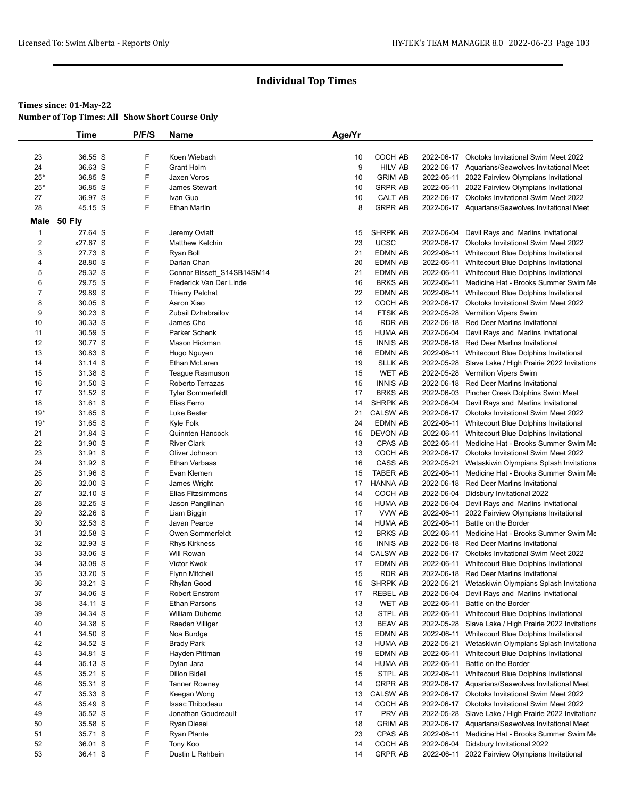# **Times since: 01-May-22**

| <b>Number of Top Times: All Show Short Course Only</b> |  |
|--------------------------------------------------------|--|
|--------------------------------------------------------|--|

|                | Time          | P/F/S | Name                                   | Age/Yr |                    |            |                                                                        |
|----------------|---------------|-------|----------------------------------------|--------|--------------------|------------|------------------------------------------------------------------------|
|                |               |       |                                        |        |                    |            |                                                                        |
| 23             | 36.55 S       | F     | Koen Wiebach                           | 10     | COCH AB            |            | 2022-06-17 Okotoks Invitational Swim Meet 2022                         |
| 24             | 36.63 S       | F     | Grant Holm                             | 9      | HILV AB            |            | 2022-06-17 Aquarians/Seawolves Invitational Meet                       |
| $25*$          | 36.85 S       | F     | Jaxen Voros                            | 10     | <b>GRIM AB</b>     |            | 2022-06-11 2022 Fairview Olympians Invitational                        |
| $25*$          | 36.85 S       | F     | James Stewart                          | 10     | <b>GRPR AB</b>     |            | 2022-06-11 2022 Fairview Olympians Invitational                        |
| 27             | 36.97 S       | F     | Ivan Guo                               | 10     | CALT AB            |            | 2022-06-17 Okotoks Invitational Swim Meet 2022                         |
| 28             | 45.15 S       | F     | <b>Ethan Martin</b>                    | 8      | <b>GRPR AB</b>     |            | 2022-06-17 Aquarians/Seawolves Invitational Meet                       |
| Male           | <b>50 Fly</b> |       |                                        |        |                    |            |                                                                        |
| $\mathbf{1}$   | 27.64 S       | F     | Jeremy Oviatt                          | 15     | SHRPK AB           |            | 2022-06-04 Devil Rays and Marlins Invitational                         |
| $\overline{2}$ | x27.67 S      | F     | <b>Matthew Ketchin</b>                 | 23     | <b>UCSC</b>        |            | 2022-06-17 Okotoks Invitational Swim Meet 2022                         |
| 3              | 27.73 S       | F     | Ryan Boll                              | 21     | <b>EDMN AB</b>     |            | 2022-06-11 Whitecourt Blue Dolphins Invitational                       |
| 4              | 28.80 S       | F     | Darian Chan                            | 20     | EDMN AB            |            | 2022-06-11 Whitecourt Blue Dolphins Invitational                       |
| 5              | 29.32 S       | F     | Connor Bissett_S14SB14SM14             | 21     | <b>EDMN AB</b>     |            | 2022-06-11 Whitecourt Blue Dolphins Invitational                       |
| 6              | 29.75 S       | F     | Frederick Van Der Linde                | 16     | <b>BRKS AB</b>     |            | 2022-06-11 Medicine Hat - Brooks Summer Swim Me                        |
| $\overline{7}$ | 29.89 S       | F     | <b>Thierry Pelchat</b>                 | 22     | <b>EDMN AB</b>     |            | 2022-06-11 Whitecourt Blue Dolphins Invitational                       |
| 8              | 30.05 S       | F     | Aaron Xiao                             | 12     | COCH AB            |            | 2022-06-17 Okotoks Invitational Swim Meet 2022                         |
| 9              | 30.23 S       | F     | Zubail Dzhabrailov                     | 14     | FTSK AB            |            | 2022-05-28 Vermilion Vipers Swim                                       |
| 10             | 30.33 S       | F     | James Cho                              | 15     | <b>RDR AB</b>      |            | 2022-06-18 Red Deer Marlins Invitational                               |
| 11             | 30.59 S       | F     | Parker Schenk                          | 15     | <b>HUMA AB</b>     |            | 2022-06-04 Devil Rays and Marlins Invitational                         |
| 12             | 30.77 S       | F     | Mason Hickman                          | 15     | <b>INNIS AB</b>    |            | 2022-06-18 Red Deer Marlins Invitational                               |
| 13             | 30.83 S       | F     | Hugo Nguyen                            | 16     | <b>EDMN AB</b>     |            | 2022-06-11 Whitecourt Blue Dolphins Invitational                       |
| 14             | 31.14 S       | F     | Ethan McLaren                          | 19     | <b>SLLK AB</b>     |            | 2022-05-28 Slave Lake / High Prairie 2022 Invitationa                  |
| 15             | 31.38 S       | F     | Teague Rasmuson                        | 15     | <b>WET AB</b>      |            | 2022-05-28 Vermilion Vipers Swim                                       |
| 16             | 31.50 S       | F     | Roberto Terrazas                       | 15     | <b>INNIS AB</b>    |            | 2022-06-18 Red Deer Marlins Invitational                               |
| 17             | 31.52 S       | F     | <b>Tyler Sommerfeldt</b>               | 17     | <b>BRKS AB</b>     |            | 2022-06-03 Pincher Creek Dolphins Swim Meet                            |
| 18             | 31.61 S       | F     | Elias Ferro                            | 14     | SHRPK AB           |            | 2022-06-04 Devil Rays and Marlins Invitational                         |
| $19*$          | 31.65 S       | F     | Luke Bester                            | 21     | <b>CALSW AB</b>    |            | 2022-06-17 Okotoks Invitational Swim Meet 2022                         |
| 19*            | 31.65 S       | F     | Kyle Folk                              | 24     | <b>EDMN AB</b>     |            | 2022-06-11 Whitecourt Blue Dolphins Invitational                       |
| 21             | 31.84 S       | F     | Quinnten Hancock                       | 15     | <b>DEVON AB</b>    |            | 2022-06-11 Whitecourt Blue Dolphins Invitational                       |
| 22             | 31.90 S       | F     | <b>River Clark</b>                     | 13     | CPAS AB            |            | 2022-06-11 Medicine Hat - Brooks Summer Swim Me                        |
| 23             | 31.91 S       | F     | Oliver Johnson                         | 13     | COCH AB            |            | 2022-06-17 Okotoks Invitational Swim Meet 2022                         |
| 24             | 31.92 S       | F     | <b>Ethan Verbaas</b>                   | 16     | CASS AB            |            | 2022-05-21 Wetaskiwin Olympians Splash Invitationa                     |
| 25             | 31.96 S       | F     | Evan Klemen                            | 15     | <b>TABER AB</b>    |            | 2022-06-11 Medicine Hat - Brooks Summer Swim Me                        |
| 26             | 32.00 S       | F     | James Wright                           | 17     | <b>HANNA AB</b>    |            | 2022-06-18 Red Deer Marlins Invitational                               |
| 27             | 32.10 S       | F     | Elias Fitzsimmons                      | 14     | COCH AB            |            | 2022-06-04 Didsbury Invitational 2022                                  |
| 28             | 32.25 S       | F     | Jason Pangilinan                       | 15     | HUMA AB            |            | 2022-06-04 Devil Rays and Marlins Invitational                         |
| 29             | 32.26 S       | F     | Liam Biggin                            | 17     | VVW AB             |            | 2022-06-11 2022 Fairview Olympians Invitational                        |
| 30             | 32.53 S       | F     | Javan Pearce                           | 14     | <b>HUMA AB</b>     |            | 2022-06-11 Battle on the Border                                        |
| 31             | 32.58 S       | F     | Owen Sommerfeldt                       | 12     | <b>BRKS AB</b>     |            | 2022-06-11 Medicine Hat - Brooks Summer Swim Me                        |
| 32             | 32.93 S       | F     | <b>Rhys Kirkness</b>                   | 15     | <b>INNIS AB</b>    |            | 2022-06-18 Red Deer Marlins Invitational                               |
| 33             | 33.06 S       | F     | Will Rowan                             | 14     | <b>CALSW AB</b>    |            | 2022-06-17 Okotoks Invitational Swim Meet 2022                         |
| 34             | 33.09 S       | F     | <b>Victor Kwok</b>                     | 17     | <b>EDMN AB</b>     | 2022-06-11 | Whitecourt Blue Dolphins Invitational                                  |
| 35             | 33.20 S       | F     | <b>Flynn Mitchell</b>                  | 15     | <b>RDR AB</b>      |            | 2022-06-18 Red Deer Marlins Invitational                               |
| 36             | 33.21 S       | F     | Rhylan Good                            | 15     | SHRPK AB           |            | 2022-05-21 Wetaskiwin Olympians Splash Invitationa                     |
| 37             | 34.06 S       | F     |                                        | 17     |                    |            |                                                                        |
| 38             |               | F     | Robert Enstrom<br><b>Ethan Parsons</b> | 13     | REBEL AB<br>WET AB | 2022-06-11 | 2022-06-04 Devil Rays and Marlins Invitational<br>Battle on the Border |
|                | 34.11 S       | F     |                                        |        |                    |            |                                                                        |
| 39             | 34.34 S       | F     | William Duheme                         | 13     | STPL AB            |            | 2022-06-11 Whitecourt Blue Dolphins Invitational                       |
| 40             | 34.38 S       | F     | Raeden Villiger                        | 13     | <b>BEAV AB</b>     |            | 2022-05-28 Slave Lake / High Prairie 2022 Invitationa                  |
| 41             | 34.50 S       |       | Noa Burdge                             | 15     | EDMN AB            |            | 2022-06-11 Whitecourt Blue Dolphins Invitational                       |
| 42             | 34.52 S       | F     | <b>Brady Park</b>                      | 13     | HUMA AB            |            | 2022-05-21 Wetaskiwin Olympians Splash Invitationa                     |
| 43             | 34.81 S       | F     | Hayden Pittman                         | 19     | EDMN AB            |            | 2022-06-11 Whitecourt Blue Dolphins Invitational                       |
| 44             | 35.13 S       | F     | Dylan Jara                             | 14     | HUMA AB            |            | 2022-06-11 Battle on the Border                                        |
| 45             | 35.21 S       | F     | <b>Dillon Bidell</b>                   | 15     | STPL AB            |            | 2022-06-11 Whitecourt Blue Dolphins Invitational                       |
| 46             | 35.31 S       | F     | <b>Tanner Rowney</b>                   | 14     | <b>GRPR AB</b>     |            | 2022-06-17 Aquarians/Seawolves Invitational Meet                       |
| 47             | 35.33 S       | F     | Keegan Wong                            | 13     | CALSW AB           |            | 2022-06-17 Okotoks Invitational Swim Meet 2022                         |
| 48             | 35.49 S       | F     | Isaac Thibodeau                        | 14     | COCH AB            |            | 2022-06-17 Okotoks Invitational Swim Meet 2022                         |
| 49             | 35.52 S       | F     | Jonathan Goudreault                    | 17     | PRV AB             |            | 2022-05-28 Slave Lake / High Prairie 2022 Invitationa                  |
| 50             | 35.58 S       | F     | Ryan Diesel                            | 18     | <b>GRIM AB</b>     |            | 2022-06-17 Aquarians/Seawolves Invitational Meet                       |
| 51             | 35.71 S       | F     | Ryan Plante                            | 23     | CPAS AB            |            | 2022-06-11 Medicine Hat - Brooks Summer Swim Me                        |
| 52             | 36.01 S       | F     | Tony Koo                               | 14     | COCH AB            |            | 2022-06-04 Didsbury Invitational 2022                                  |
| 53             | 36.41 S       | F     | Dustin L Rehbein                       | 14     | <b>GRPR AB</b>     |            | 2022-06-11 2022 Fairview Olympians Invitational                        |
|                |               |       |                                        |        |                    |            |                                                                        |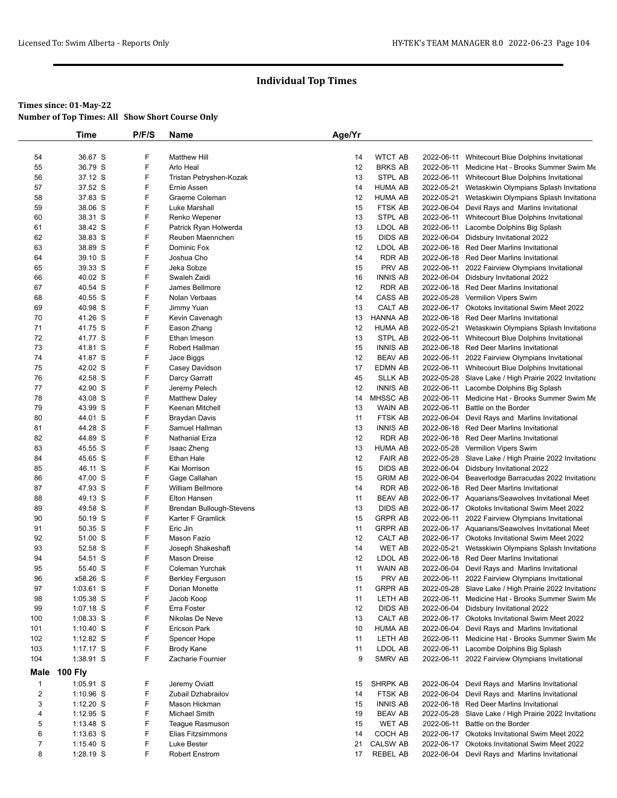|                | <b>Time</b>              | P/F/S  | Name                                      | Age/Yr   |                    |                          |                                                                                 |
|----------------|--------------------------|--------|-------------------------------------------|----------|--------------------|--------------------------|---------------------------------------------------------------------------------|
|                |                          |        |                                           |          |                    |                          |                                                                                 |
| 54             | 36.67 S                  | F      | <b>Matthew Hill</b>                       | 14       | <b>WTCT AB</b>     | 2022-06-11               | Whitecourt Blue Dolphins Invitational                                           |
| 55             | 36.79 S                  | F      | Arlo Heal                                 | 12       | <b>BRKS AB</b>     | 2022-06-11               | Medicine Hat - Brooks Summer Swim Me                                            |
| 56             | 37.12 S                  | F      | Tristan Petryshen-Kozak                   | 13       | STPL AB            |                          | 2022-06-11 Whitecourt Blue Dolphins Invitational                                |
| 57             | 37.52 S                  | F      | Ernie Assen                               | 14       | HUMA AB            | 2022-05-21               | Wetaskiwin Olympians Splash Invitationa                                         |
| 58             | 37.83 S                  | F<br>F | Graeme Coleman                            | 12       | <b>HUMA AB</b>     |                          | 2022-05-21 Wetaskiwin Olympians Splash Invitationa                              |
| 59             | 38.06 S                  | F      | Luke Marshall                             | 15       | FTSK AB            |                          | 2022-06-04 Devil Rays and Marlins Invitational                                  |
| 60<br>61       | 38.31 S<br>38.42 S       | F      | Renko Wepener                             | 13<br>13 | STPL AB<br>LDOL AB | 2022-06-11               | 2022-06-11 Whitecourt Blue Dolphins Invitational<br>Lacombe Dolphins Big Splash |
| 62             | 38.83 S                  | F      | Patrick Ryan Holwerda<br>Reuben Maennchen | 15       | <b>DIDS AB</b>     |                          | 2022-06-04 Didsbury Invitational 2022                                           |
| 63             | 38.89 S                  | F      | Dominic Fox                               | 12       | LDOL AB            |                          | 2022-06-18 Red Deer Marlins Invitational                                        |
| 64             | 39.10 S                  | F      | Joshua Cho                                | 14       | RDR AB             |                          | 2022-06-18 Red Deer Marlins Invitational                                        |
| 65             | 39.33 S                  | F      | Jeka Sobze                                | 15       | PRV AB             | 2022-06-11               | 2022 Fairview Olympians Invitational                                            |
| 66             | 40.02 S                  | F      | Swaleh Zaidi                              | 16       | <b>INNIS AB</b>    |                          | 2022-06-04 Didsbury Invitational 2022                                           |
| 67             | 40.54 S                  | F      | James Bellmore                            | 12       | RDR AB             |                          | 2022-06-18 Red Deer Marlins Invitational                                        |
| 68             | 40.55 S                  | F      | Nolan Verbaas                             | 14       | CASS AB            |                          | 2022-05-28 Vermilion Vipers Swim                                                |
| 69             | 40.98 S                  | F      | Jimmy Yuan                                | 13       | CALT AB            |                          | 2022-06-17 Okotoks Invitational Swim Meet 2022                                  |
| 70             | 41.26 S                  | F      | Kevin Cavenagh                            | 13       | HANNA AB           |                          | 2022-06-18 Red Deer Marlins Invitational                                        |
| 71             | 41.75 S                  | F      | Eason Zhang                               | 12       | <b>HUMA AB</b>     | 2022-05-21               | Wetaskiwin Olympians Splash Invitationa                                         |
| 72             | 41.77 S                  | F      | Ethan Imeson                              | 13       | STPL AB            | 2022-06-11               | Whitecourt Blue Dolphins Invitational                                           |
| 73             | 41.81 S                  | F      | Robert Hallman                            | 15       | <b>INNIS AB</b>    |                          | 2022-06-18 Red Deer Marlins Invitational                                        |
| 74             | 41.87 S                  | F      | Jace Biggs                                | 12       | <b>BEAV AB</b>     |                          | 2022-06-11 2022 Fairview Olympians Invitational                                 |
| 75             | 42.02 S                  | F      | Casey Davidson                            | 17       | EDMN AB            |                          | 2022-06-11 Whitecourt Blue Dolphins Invitational                                |
| 76             | 42.58 S                  | F      | Darcy Garratt                             | 45       | SLLK AB            |                          | 2022-05-28 Slave Lake / High Prairie 2022 Invitationa                           |
| 77             | 42.90 S                  | F      | Jeremy Pelech                             | 12       | <b>INNIS AB</b>    |                          | 2022-06-11 Lacombe Dolphins Big Splash                                          |
| 78             | 43.08 S                  | F      | <b>Matthew Daley</b>                      | 14       | <b>MHSSC AB</b>    | 2022-06-11               | Medicine Hat - Brooks Summer Swim Me                                            |
| 79             | 43.99 S                  | F      | Keenan Mitchell                           | 13       | WAIN AB            | 2022-06-11               | Battle on the Border                                                            |
| 80             | 44.01 S                  | F      | Braydan Davis                             | 11       | FTSK AB            | 2022-06-04               | Devil Rays and Marlins Invitational                                             |
| 81             | 44.28 S                  | F      | Samuel Hallman                            | 13       | <b>INNIS AB</b>    |                          | 2022-06-18 Red Deer Marlins Invitational                                        |
| 82             | 44.89 S                  | F      | Nathanial Erza                            | 12       | RDR AB             |                          | 2022-06-18 Red Deer Marlins Invitational                                        |
| 83             | 45.55 S                  | F      | Isaac Zheng                               | 13       | <b>HUMA AB</b>     |                          | 2022-05-28 Vermilion Vipers Swim                                                |
| 84             | 45.65 S                  | F      | Ethan Hale                                | 12       | <b>FAIR AB</b>     |                          | 2022-05-28 Slave Lake / High Prairie 2022 Invitationa                           |
| 85             | 46.11 S                  | F      | Kai Morrison                              | 15       | DIDS AB            |                          | 2022-06-04 Didsbury Invitational 2022                                           |
| 86             | 47.00 S                  | F      | Gage Callahan                             | 15       | <b>GRIM AB</b>     | 2022-06-04               | Beaverlodge Barracudas 2022 Invitationa                                         |
| 87             | 47.93 S                  | F      | <b>William Bellmore</b>                   | 14       | RDR AB             |                          | 2022-06-18 Red Deer Marlins Invitational                                        |
| 88             | 49.13 S                  | F      | <b>Elton Hansen</b>                       | 11       | <b>BEAV AB</b>     |                          | 2022-06-17 Aquarians/Seawolves Invitational Meet                                |
| 89             | 49.58 S                  | F      | Brendan Bullough-Stevens                  | 13       | <b>DIDS AB</b>     |                          | 2022-06-17 Okotoks Invitational Swim Meet 2022                                  |
| 90             | 50.19 S                  | F      | Karter F Gramlick                         | 15       | <b>GRPR AB</b>     |                          | 2022-06-11 2022 Fairview Olympians Invitational                                 |
| 91             | 50.35 S                  | F      | Eric Jin                                  | 11       | <b>GRPR AB</b>     |                          | 2022-06-17 Aquarians/Seawolves Invitational Meet                                |
| 92             | 51.00 S                  | F      | Mason Fazio                               | 12       | CALT AB            |                          | 2022-06-17 Okotoks Invitational Swim Meet 2022                                  |
| 93             | 52.58 S                  | F      | Joseph Shakeshaft                         | 14       | WET AB             |                          | 2022-05-21 Wetaskiwin Olympians Splash Invitationa                              |
| 94             | 54.51 S                  | F      | Mason Dreise                              | 12       | LDOL AB            |                          | 2022-06-18 Red Deer Marlins Invitational                                        |
| 95             | 55.40 S                  | F      | Coleman Yurchak                           | 11       | WAIN AB            |                          | 2022-06-04 Devil Rays and Marlins Invitational                                  |
| 96             | x58.26 S                 | F      | Berkley Ferguson                          | 15       | PRV AB             |                          | 2022-06-11 2022 Fairview Olympians Invitational                                 |
| 97             | 1:03.61 S                | F      | Dorian Monette                            | 11       | <b>GRPR AB</b>     |                          | 2022-05-28 Slave Lake / High Prairie 2022 Invitationa                           |
| 98             | $1:05.38$ S              | F      | Jacob Koop                                | 11       | LETH AB            |                          | 2022-06-11 Medicine Hat - Brooks Summer Swim Me                                 |
| 99             | $1:07.18$ S              | F      | Erra Foster                               | 12       | DIDS AB            |                          | 2022-06-04 Didsbury Invitational 2022                                           |
| 100            | $1:08.33$ S              | F      | Nikolas De Neve                           | 13       | CALT AB            |                          | 2022-06-17 Okotoks Invitational Swim Meet 2022                                  |
| 101            | $1:10.40$ S              | F<br>F | <b>Ericson Park</b>                       | 10       | HUMA AB            |                          | 2022-06-04 Devil Rays and Marlins Invitational                                  |
| 102<br>103     | 1:12.82 $S$              | F      | Spencer Hope                              | 11<br>11 | LETH AB<br>LDOL AB | 2022-06-11               | Medicine Hat - Brooks Summer Swim Me                                            |
| 104            | $1:17.17$ S<br>1:38.91 S | F      | Brody Kane<br>Zacharie Fournier           | 9        | SMRV AB            | 2022-06-11<br>2022-06-11 | Lacombe Dolphins Big Splash<br>2022 Fairview Olympians Invitational             |
|                |                          |        |                                           |          |                    |                          |                                                                                 |
| Male           | <b>100 Fly</b>           |        |                                           |          |                    |                          |                                                                                 |
| $\mathbf{1}$   | 1:05.91 S                | F      | Jeremy Oviatt                             | 15       | SHRPK AB           |                          | 2022-06-04 Devil Rays and Marlins Invitational                                  |
| $\overline{2}$ | 1:10.96 S                | F      | Zubail Dzhabrailov                        | 14       | FTSK AB            |                          | 2022-06-04 Devil Rays and Marlins Invitational                                  |
| 3              | $1:12.20$ S              | F      | Mason Hickman                             | 15       | <b>INNIS AB</b>    |                          | 2022-06-18 Red Deer Marlins Invitational                                        |
| 4              | $1:12.95$ S              | F      | <b>Michael Smith</b>                      | 19       | <b>BEAV AB</b>     |                          | 2022-05-28 Slave Lake / High Prairie 2022 Invitationa                           |
| 5              | $1:13.48$ S              | F      | Teague Rasmuson                           | 15       | <b>WET AB</b>      | 2022-06-11               | Battle on the Border                                                            |
| 6              | $1:13.63$ S              | F      | Elias Fitzsimmons                         | 14       | COCH AB            |                          | 2022-06-17 Okotoks Invitational Swim Meet 2022                                  |
| $\overline{7}$ | $1:15.40$ S              | F      | Luke Bester                               | 21       | <b>CALSW AB</b>    |                          | 2022-06-17 Okotoks Invitational Swim Meet 2022                                  |
| 8              | 1:28.19 S                | F      | <b>Robert Enstrom</b>                     | 17       | REBEL AB           |                          | 2022-06-04 Devil Rays and Marlins Invitational                                  |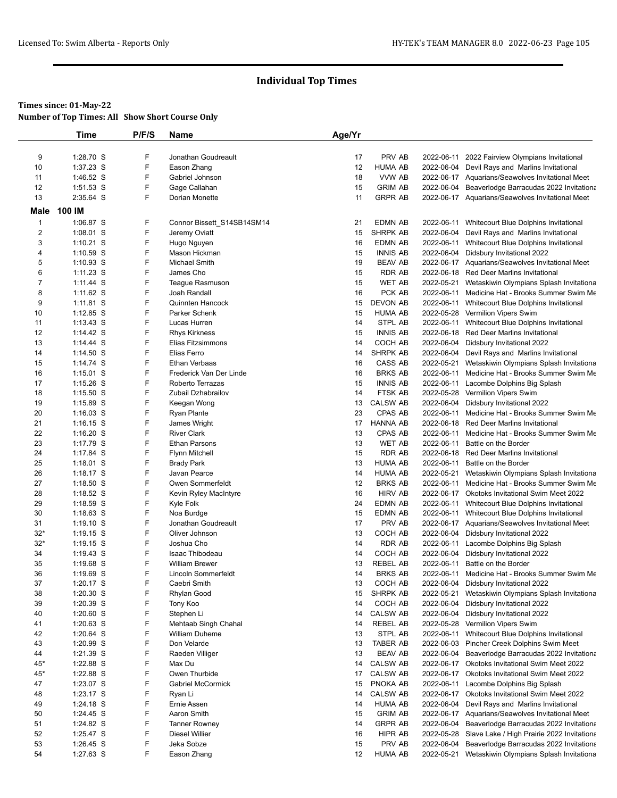#### **Times since: 01-May-22**

**Number of Top Times: All Show Short Course Only**

|                | Time                       | P/F/S  | Name                              | Age/Yr   |                                   |                          |                                                                                            |
|----------------|----------------------------|--------|-----------------------------------|----------|-----------------------------------|--------------------------|--------------------------------------------------------------------------------------------|
|                |                            |        |                                   |          |                                   |                          |                                                                                            |
| 9              | 1:28.70 S                  | F      | Jonathan Goudreault               | 17       | PRV AB                            |                          | 2022-06-11 2022 Fairview Olympians Invitational                                            |
| 10             | 1:37.23 S                  | F      | Eason Zhang                       | 12       | <b>HUMA AB</b>                    |                          | 2022-06-04 Devil Rays and Marlins Invitational                                             |
| 11             | 1:46.52 S                  | F      | Gabriel Johnson                   | 18       | VVW AB                            |                          | 2022-06-17 Aquarians/Seawolves Invitational Meet                                           |
| 12             | 1:51.53 S                  | F      | Gage Callahan                     | 15       | <b>GRIM AB</b>                    |                          | 2022-06-04 Beaverlodge Barracudas 2022 Invitationa                                         |
| 13             | 2:35.64 S                  | F      | Dorian Monette                    | 11       | <b>GRPR AB</b>                    |                          | 2022-06-17 Aquarians/Seawolves Invitational Meet                                           |
| Male           | 100 IM                     |        |                                   |          |                                   |                          |                                                                                            |
| 1              | 1:06.87 S                  | F      | Connor Bissett S14SB14SM14        | 21       | EDMN AB                           |                          | 2022-06-11 Whitecourt Blue Dolphins Invitational                                           |
| $\overline{2}$ | 1:08.01 S                  | F      | Jeremy Oviatt                     | 15       | <b>SHRPK AB</b>                   |                          | 2022-06-04 Devil Rays and Marlins Invitational                                             |
| 3              | $1:10.21$ S                | F      | Hugo Nguyen                       | 16       | <b>EDMN AB</b>                    |                          | 2022-06-11 Whitecourt Blue Dolphins Invitational                                           |
| 4              | 1:10.59 S                  | F      | Mason Hickman                     | 15       | <b>INNIS AB</b>                   |                          | 2022-06-04 Didsbury Invitational 2022                                                      |
| 5              | $1:10.93$ S                | F      | Michael Smith                     | 19       | <b>BEAV AB</b>                    |                          | 2022-06-17 Aquarians/Seawolves Invitational Meet                                           |
| 6              | $1:11.23$ S                | F      | James Cho                         | 15       | <b>RDR AB</b>                     |                          | 2022-06-18 Red Deer Marlins Invitational                                                   |
| 7              | 1:11.44 S                  | F      | Teague Rasmuson                   | 15       | <b>WET AB</b>                     |                          | 2022-05-21 Wetaskiwin Olympians Splash Invitationa                                         |
| 8              | $1:11.62$ S                | F      | Joah Randall                      | 16       | PCK AB                            |                          | 2022-06-11 Medicine Hat - Brooks Summer Swim Me                                            |
| 9              | $1:11.81$ S                | F      | <b>Quinnten Hancock</b>           | 15       | <b>DEVON AB</b>                   |                          | 2022-06-11 Whitecourt Blue Dolphins Invitational                                           |
| 10             | 1:12.85 S                  | F      | Parker Schenk                     | 15       | <b>HUMA AB</b>                    |                          | 2022-05-28 Vermilion Vipers Swim                                                           |
| 11             | $1:13.43$ S                | F      | Lucas Hurren                      | 14       | STPL AB                           |                          | 2022-06-11 Whitecourt Blue Dolphins Invitational                                           |
| 12             | $1:14.42$ S                | F      | <b>Rhys Kirkness</b>              | 15       | <b>INNIS AB</b>                   |                          | 2022-06-18 Red Deer Marlins Invitational                                                   |
| 13             | 1:14.44 S                  | F      | Elias Fitzsimmons                 | 14       | COCH AB                           |                          | 2022-06-04 Didsbury Invitational 2022                                                      |
| 14             | $1:14.50$ S                | F      | Elias Ferro                       | 14       | SHRPK AB                          |                          | 2022-06-04 Devil Rays and Marlins Invitational                                             |
| 15             | $1:14.74$ S                | F      | Ethan Verbaas                     | 16       | CASS AB                           |                          | 2022-05-21 Wetaskiwin Olympians Splash Invitationa                                         |
| 16             | $1:15.01$ S                | F      | Frederick Van Der Linde           | 16       | <b>BRKS AB</b>                    |                          | 2022-06-11 Medicine Hat - Brooks Summer Swim Me                                            |
| 17             | $1:15.26$ S                | F      | Roberto Terrazas                  | 15       | <b>INNIS AB</b>                   |                          | 2022-06-11 Lacombe Dolphins Big Splash                                                     |
| 18             | $1:15.50$ S                | F      | Zubail Dzhabrailov                | 14       | FTSK AB                           |                          | 2022-05-28 Vermilion Vipers Swim                                                           |
| 19             | 1:15.89 S                  | F      | Keegan Wong                       | 13       | <b>CALSW AB</b>                   |                          | 2022-06-04 Didsbury Invitational 2022                                                      |
| 20             | $1:16.03$ S                | F      | <b>Ryan Plante</b>                | 23       | CPAS AB                           |                          | 2022-06-11 Medicine Hat - Brooks Summer Swim Me                                            |
| 21             | $1:16.15$ S                | F      | James Wright                      | 17       | <b>HANNA AB</b>                   |                          | 2022-06-18 Red Deer Marlins Invitational                                                   |
| 22             | $1:16.20$ S                | F      | <b>River Clark</b>                | 13       | CPAS AB                           |                          | 2022-06-11 Medicine Hat - Brooks Summer Swim Me                                            |
| 23             | 1:17.79 S                  | F      | <b>Ethan Parsons</b>              | 13       | <b>WET AB</b>                     | 2022-06-11               | Battle on the Border                                                                       |
| 24             | 1:17.84 S                  | F<br>F | <b>Flynn Mitchell</b>             | 15       | <b>RDR AB</b>                     | 2022-06-18               | <b>Red Deer Marlins Invitational</b>                                                       |
| 25<br>26       | $1:18.01$ S<br>$1:18.17$ S | F      | <b>Brady Park</b><br>Javan Pearce | 13<br>14 | <b>HUMA AB</b><br><b>HUMA AB</b>  | 2022-06-11<br>2022-05-21 | Battle on the Border                                                                       |
| 27             | $1:18.50$ S                | F      | Owen Sommerfeldt                  | 12       | <b>BRKS AB</b>                    |                          | Wetaskiwin Olympians Splash Invitationa<br>2022-06-11 Medicine Hat - Brooks Summer Swim Me |
| 28             | 1:18.52 S                  | F      | Kevin Ryley MacIntyre             | 16       | <b>HIRV AB</b>                    |                          | 2022-06-17 Okotoks Invitational Swim Meet 2022                                             |
| 29             | $1:18.59$ S                | F      | Kyle Folk                         | 24       | EDMN AB                           |                          | 2022-06-11 Whitecourt Blue Dolphins Invitational                                           |
| 30             | $1:18.63$ S                | F      | Noa Burdge                        | 15       | EDMN AB                           |                          | 2022-06-11 Whitecourt Blue Dolphins Invitational                                           |
| 31             | $1:19.10$ S                | F      | Jonathan Goudreault               | 17       | PRV AB                            |                          | 2022-06-17 Aquarians/Seawolves Invitational Meet                                           |
| $32*$          | $1:19.15$ S                | F      | Oliver Johnson                    | 13       | COCH AB                           |                          | 2022-06-04 Didsbury Invitational 2022                                                      |
| $32*$          | $1:19.15$ S                | F      | Joshua Cho                        | 14       | <b>RDR AB</b>                     |                          | 2022-06-11 Lacombe Dolphins Big Splash                                                     |
| 34             | $1:19.43$ S                | F      | <b>Isaac Thibodeau</b>            | 14       | COCH AB                           |                          | 2022-06-04 Didsbury Invitational 2022                                                      |
| 35             | 1:19.68 S                  | F      | <b>William Brewer</b>             | 13       | <b>REBEL AB</b>                   | 2022-06-11               | Battle on the Border                                                                       |
| 36             | $1:19.69$ S                | F      | Lincoln Sommerfeldt               | 14       | <b>BRKS AB</b>                    |                          | 2022-06-11 Medicine Hat - Brooks Summer Swim Me                                            |
| 37             | 1:20.17 S                  | F      | Caebri Smith                      | 13       | COCH AB                           |                          | 2022-06-04 Didsbury Invitational 2022                                                      |
| 38             | $1:20.30$ S                | F      | Rhylan Good                       | 15       | <b>SHRPK AB</b>                   |                          | 2022-05-21 Wetaskiwin Olympians Splash Invitationa                                         |
| 39             | $1:20.39$ S                | F      | Tony Koo                          | 14       | COCH AB                           | 2022-06-04               | Didsbury Invitational 2022                                                                 |
| 40             | 1:20.60 S                  | F      | Stephen Li                        | 14       | <b>CALSW AB</b>                   | 2022-06-04               | Didsbury Invitational 2022                                                                 |
| 41             | 1:20.63 S                  | F      | Mehtaab Singh Chahal              | 14       | <b>REBEL AB</b>                   |                          | 2022-05-28 Vermilion Vipers Swim                                                           |
| 42             | 1:20.64 S                  | F      | <b>William Duheme</b>             | 13       | STPL AB                           |                          | 2022-06-11 Whitecourt Blue Dolphins Invitational                                           |
| 43             | 1:20.99 S                  | F      | Don Velarde                       | 13       | <b>TABER AB</b>                   |                          | 2022-06-03 Pincher Creek Dolphins Swim Meet                                                |
| 44             | 1:21.39 S                  | F      | Raeden Villiger                   | 13       | <b>BEAV AB</b>                    |                          | 2022-06-04 Beaverlodge Barracudas 2022 Invitationa                                         |
| 45*            | 1:22.88 S                  | F<br>F | Max Du                            | 14       | <b>CALSW AB</b>                   |                          | 2022-06-17 Okotoks Invitational Swim Meet 2022                                             |
| 45*            | 1:22.88 S                  |        | Owen Thurbide                     | 17       | <b>CALSW AB</b>                   |                          | 2022-06-17 Okotoks Invitational Swim Meet 2022                                             |
| 47             | 1:23.07 S                  | F<br>F | Gabriel McCormick                 | 15       | PNOKA AB                          |                          | 2022-06-11 Lacombe Dolphins Big Splash                                                     |
| 48             | 1:23.17 S                  | F      | Ryan Li<br>Ernie Assen            | 14<br>14 | <b>CALSW AB</b><br><b>HUMA AB</b> |                          | 2022-06-17 Okotoks Invitational Swim Meet 2022                                             |
| 49<br>50       | $1:24.18$ S<br>1:24.45 S   | F      | Aaron Smith                       | 15       | <b>GRIM AB</b>                    | 2022-06-04               | Devil Rays and Marlins Invitational<br>2022-06-17 Aquarians/Seawolves Invitational Meet    |
| 51             | 1:24.82 S                  | F      | <b>Tanner Rowney</b>              | 14       | <b>GRPR AB</b>                    | 2022-06-04               | Beaverlodge Barracudas 2022 Invitationa                                                    |
| 52             | 1:25.47 S                  | F      | Diesel Willier                    | 16       | HIPR AB                           |                          | 2022-05-28 Slave Lake / High Prairie 2022 Invitationa                                      |
| 53             | $1:26.45$ S                | F      | Jeka Sobze                        | 15       | PRV AB                            | 2022-06-04               | Beaverlodge Barracudas 2022 Invitationa                                                    |
| 54             | 1:27.63 S                  | F.     | Eason Zhang                       | 12       | HUMA AB                           | 2022-05-21               | Wetaskiwin Olympians Splash Invitationa                                                    |
|                |                            |        |                                   |          |                                   |                          |                                                                                            |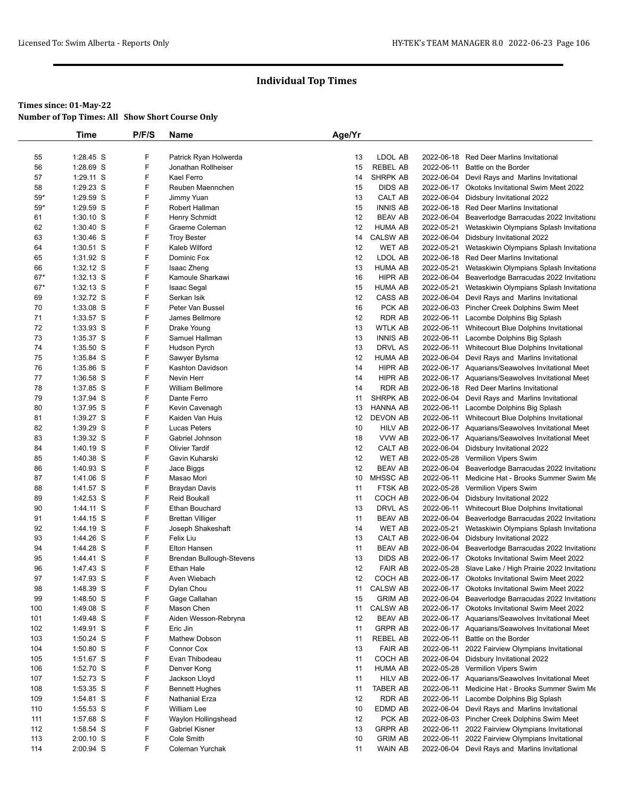|       | Time        | P/F/S  | Name                     | Age/Yr   |                 |            |                                                       |
|-------|-------------|--------|--------------------------|----------|-----------------|------------|-------------------------------------------------------|
|       |             |        |                          |          |                 |            |                                                       |
| 55    | 1:28.45 S   | F      | Patrick Ryan Holwerda    | 13       | LDOL AB         | 2022-06-18 | <b>Red Deer Marlins Invitational</b>                  |
| 56    | 1:28.69 S   | F      | Jonathan Rollheiser      | 15       | <b>REBEL AB</b> | 2022-06-11 | Battle on the Border                                  |
| 57    | 1:29.11 S   | F      | Kael Ferro               | 14       | SHRPK AB        |            | 2022-06-04 Devil Rays and Marlins Invitational        |
| 58    | 1:29.23 S   | F      | Reuben Maennchen         | 15       | DIDS AB         |            | 2022-06-17 Okotoks Invitational Swim Meet 2022        |
| 59*   | 1:29.59 S   | F<br>F | Jimmy Yuan               | 13       | CALT AB         |            | 2022-06-04 Didsbury Invitational 2022                 |
| $59*$ | 1:29.59 S   |        | Robert Hallman           | 15       | <b>INNIS AB</b> |            | 2022-06-18 Red Deer Marlins Invitational              |
| 61    | 1:30.10 S   | F      | Henry Schmidt            | 12       | <b>BEAV AB</b>  |            | 2022-06-04 Beaverlodge Barracudas 2022 Invitationa    |
| 62    | $1:30.40$ S | F      | Graeme Coleman           | 12       | <b>HUMA AB</b>  | 2022-05-21 | Wetaskiwin Olympians Splash Invitationa               |
| 63    | $1:30.46$ S | F      | <b>Troy Bester</b>       | 14       | <b>CALSW AB</b> |            | 2022-06-04 Didsbury Invitational 2022                 |
| 64    | 1:30.51 S   | F      | Kaleb Wilford            | 12       | WET AB          | 2022-05-21 | Wetaskiwin Olympians Splash Invitationa               |
| 65    | 1:31.92 S   | F<br>F | Dominic Fox              | 12<br>13 | LDOL AB         |            | 2022-06-18 Red Deer Marlins Invitational              |
| 66    | 1:32.12 S   |        | Isaac Zheng              |          | <b>HUMA AB</b>  | 2022-05-21 | Wetaskiwin Olympians Splash Invitationa               |
| $67*$ | 1:32.13 S   | F      | Kamoule Sharkawi         | 16       | HIPR AB         |            | 2022-06-04 Beaverlodge Barracudas 2022 Invitationa    |
| $67*$ | 1:32.13 S   | F      | <b>Isaac Segal</b>       | 15       | <b>HUMA AB</b>  | 2022-05-21 | Wetaskiwin Olympians Splash Invitationa               |
| 69    | 1:32.72 S   | F      | Serkan Isik              | 12       | CASS AB         |            | 2022-06-04 Devil Rays and Marlins Invitational        |
| 70    | 1:33.08 S   | F      | Peter Van Bussel         | 16       | PCK AB          |            | 2022-06-03 Pincher Creek Dolphins Swim Meet           |
| 71    | 1:33.57 S   | F      | James Bellmore           | 12       | RDR AB          |            | 2022-06-11 Lacombe Dolphins Big Splash                |
| 72    | 1:33.93 S   | F      | Drake Young              | 13       | <b>WTLK AB</b>  |            | 2022-06-11 Whitecourt Blue Dolphins Invitational      |
| 73    | 1:35.37 S   | F      | Samuel Hallman           | 13       | <b>INNIS AB</b> | 2022-06-11 | Lacombe Dolphins Big Splash                           |
| 74    | $1:35.50$ S | F      | Hudson Pyrch             | 13       | DRVL AS         |            | 2022-06-11 Whitecourt Blue Dolphins Invitational      |
| 75    | 1:35.84 S   | F      | Sawyer Bylsma            | 12       | HUMA AB         |            | 2022-06-04 Devil Rays and Marlins Invitational        |
| 76    | 1:35.86 S   | F      | Kashton Davidson         | 14       | <b>HIPR AB</b>  |            | 2022-06-17 Aquarians/Seawolves Invitational Meet      |
| 77    | 1:36.58 S   | F      | Nevin Herr               | 14       | HIPR AB         |            | 2022-06-17 Aquarians/Seawolves Invitational Meet      |
| 78    | 1:37.85 S   | F      | <b>William Bellmore</b>  | 14       | <b>RDR AB</b>   |            | 2022-06-18 Red Deer Marlins Invitational              |
| 79    | 1:37.94 S   | F      | Dante Ferro              | 11       | SHRPK AB        |            | 2022-06-04 Devil Rays and Marlins Invitational        |
| 80    | 1:37.95 S   | F      | Kevin Cavenagh           | 13       | HANNA AB        |            | 2022-06-11 Lacombe Dolphins Big Splash                |
| 81    | 1:39.27 S   | F      | Kaiden Van Huis          | 12       | DEVON AB        |            | 2022-06-11 Whitecourt Blue Dolphins Invitational      |
| 82    | 1:39.29 S   | F      | Lucas Peters             | 10       | HILV AB         |            | 2022-06-17 Aquarians/Seawolves Invitational Meet      |
| 83    | 1:39.32 S   | F      | Gabriel Johnson          | 18       | VVW AB          |            | 2022-06-17 Aquarians/Seawolves Invitational Meet      |
| 84    | 1:40.19 S   | F      | <b>Olivier Tardif</b>    | 12       | CALT AB         |            | 2022-06-04 Didsbury Invitational 2022                 |
| 85    | $1:40.38$ S | F      | Gavin Kuharski           | 12       | <b>WET AB</b>   |            | 2022-05-28 Vermilion Vipers Swim                      |
| 86    | 1:40.93 S   | F      | Jace Biggs               | 12       | <b>BEAV AB</b>  |            | 2022-06-04 Beaverlodge Barracudas 2022 Invitationa    |
| 87    | 1:41.06 S   | F      | Masao Mori               | 10       | MHSSC AB        | 2022-06-11 | Medicine Hat - Brooks Summer Swim Me                  |
| 88    | 1:41.57 S   | F      | Braydan Davis            | 11       | FTSK AB         |            | 2022-05-28 Vermilion Vipers Swim                      |
| 89    | 1:42.53 S   | F      | <b>Reid Boukall</b>      | 11       | COCH AB         |            | 2022-06-04 Didsbury Invitational 2022                 |
| 90    | 1:44.11 S   | F      | Ethan Bouchard           | 13       | DRVL AS         |            | 2022-06-11 Whitecourt Blue Dolphins Invitational      |
| 91    | 1:44.15 S   | F      | <b>Brettan Villiger</b>  | 11       | BEAV AB         |            | 2022-06-04 Beaverlodge Barracudas 2022 Invitationa    |
| 92    | 1:44.19 S   | F      | Joseph Shakeshaft        | 14       | WET AB          | 2022-05-21 | Wetaskiwin Olympians Splash Invitationa               |
| 93    | 1:44.26 S   | F      | Felix Liu                | 13       | CALT AB         |            | 2022-06-04 Didsbury Invitational 2022                 |
| 94    | 1:44.28 S   | F      | Elton Hansen             | 11       | <b>BEAV AB</b>  |            | 2022-06-04 Beaverlodge Barracudas 2022 Invitationa    |
| 95    | 1:44.41 S   | F      | Brendan Bullough-Stevens | 13       | DIDS AB         |            | 2022-06-17 Okotoks Invitational Swim Meet 2022        |
| 96    | 1:47.43 S   | F      | Ethan Hale               | 12       | <b>FAIR AB</b>  |            | 2022-05-28 Slave Lake / High Prairie 2022 Invitationa |
| 97    | 1:47.93 S   | F      | Aven Wiebach             | 12       | COCH AB         |            | 2022-06-17 Okotoks Invitational Swim Meet 2022        |
| 98    | 1:48.39 S   | F      | Dylan Chou               | 11       | CALSW AB        |            | 2022-06-17 Okotoks Invitational Swim Meet 2022        |
| 99    | 1:48.50 S   | F      | Gage Callahan            | 15       | <b>GRIM AB</b>  | 2022-06-04 | Beaverlodge Barracudas 2022 Invitationa               |
| 100   | 1:49.08 S   | F      | Mason Chen               | 11       | <b>CALSW AB</b> |            | 2022-06-17 Okotoks Invitational Swim Meet 2022        |
| 101   | 1:49.48 S   | F      | Aiden Wesson-Rebryna     | 12       | <b>BEAV AB</b>  |            | 2022-06-17 Aquarians/Seawolves Invitational Meet      |
| 102   | 1:49.91 S   | F      | Eric Jin                 | 11       | <b>GRPR AB</b>  |            | 2022-06-17 Aquarians/Seawolves Invitational Meet      |
| 103   | $1:50.24$ S | F      | Mathew Dobson            | 11       | <b>REBEL AB</b> | 2022-06-11 | Battle on the Border                                  |
| 104   | 1:50.80 S   | F      | Connor Cox               | 13       | <b>FAIR AB</b>  | 2022-06-11 | 2022 Fairview Olympians Invitational                  |
| 105   | 1:51.67 S   | F      | Evan Thibodeau           | 11       | COCH AB         |            | 2022-06-04 Didsbury Invitational 2022                 |
| 106   | 1:52.70 S   | F      | Denver Kong              | 11       | <b>HUMA AB</b>  |            | 2022-05-28 Vermilion Vipers Swim                      |
| 107   | 1:52.73 S   | F      | Jackson Lloyd            | 11       | <b>HILV AB</b>  |            | 2022-06-17 Aquarians/Seawolves Invitational Meet      |
| 108   | 1:53.35 S   | F      | <b>Bennett Hughes</b>    | 11       | TABER AB        | 2022-06-11 | Medicine Hat - Brooks Summer Swim Me                  |
| 109   | 1:54.81 S   | F      | <b>Nathanial Erza</b>    | 12       | RDR AB          | 2022-06-11 | Lacombe Dolphins Big Splash                           |
| 110   | $1:55.53$ S | F      | <b>William Lee</b>       | 10       | EDMD AB         | 2022-06-04 | Devil Rays and Marlins Invitational                   |
| 111   | 1:57.68 S   | F      | Waylon Hollingshead      | 12       | PCK AB          |            | 2022-06-03 Pincher Creek Dolphins Swim Meet           |
| 112   | 1:58.54 S   | F      | Gabriel Kisner           | 13       | <b>GRPR AB</b>  | 2022-06-11 | 2022 Fairview Olympians Invitational                  |
| 113   | 2:00.10 S   | F      | Cole Smith               | 10       | <b>GRIM AB</b>  | 2022-06-11 | 2022 Fairview Olympians Invitational                  |
| 114   | 2:00.94 S   | F      | Coleman Yurchak          | 11       | WAIN AB         |            | 2022-06-04 Devil Rays and Marlins Invitational        |
|       |             |        |                          |          |                 |            |                                                       |